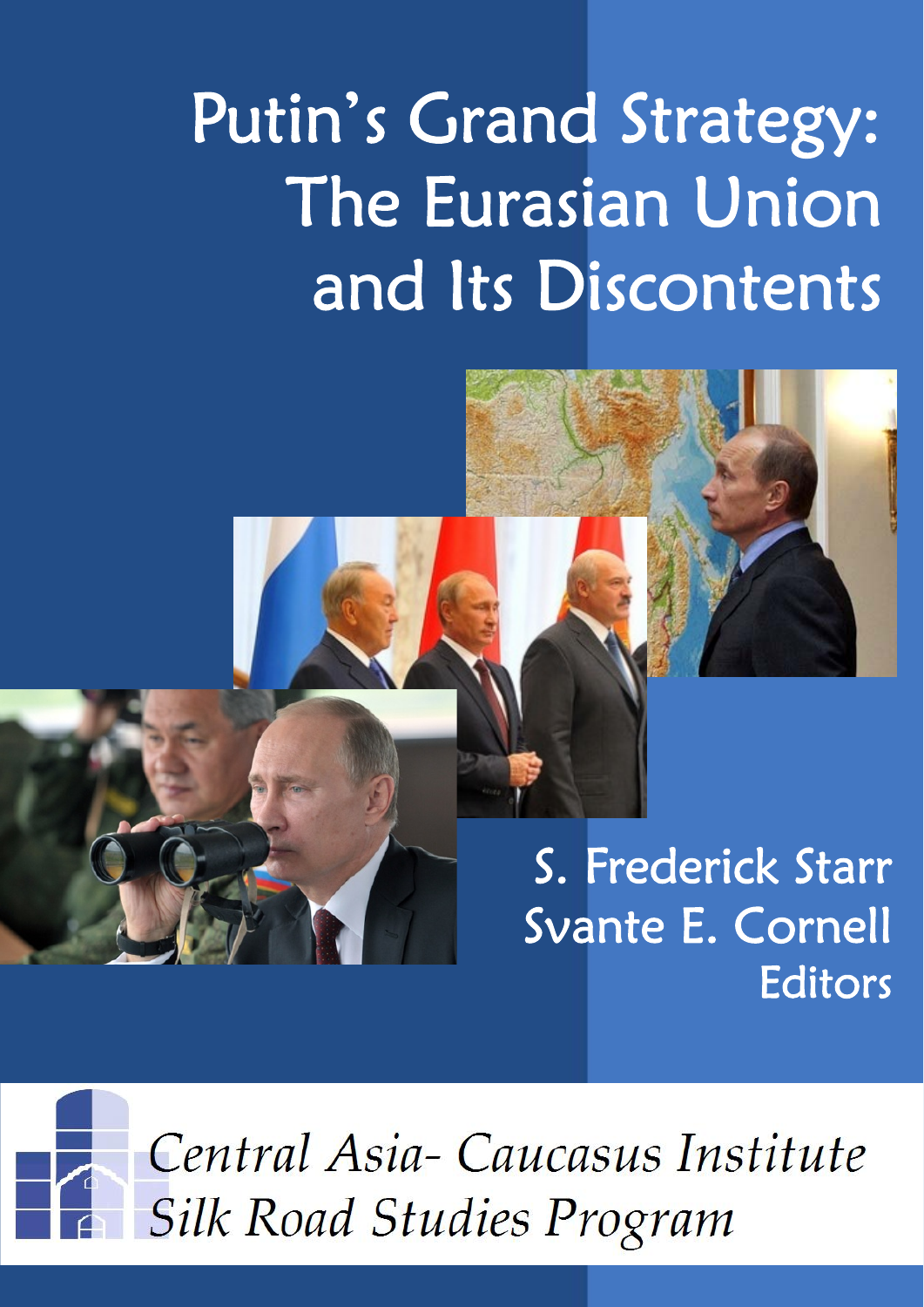# Putin's Grand Strategy: The Eurasian Union and Its Discontents



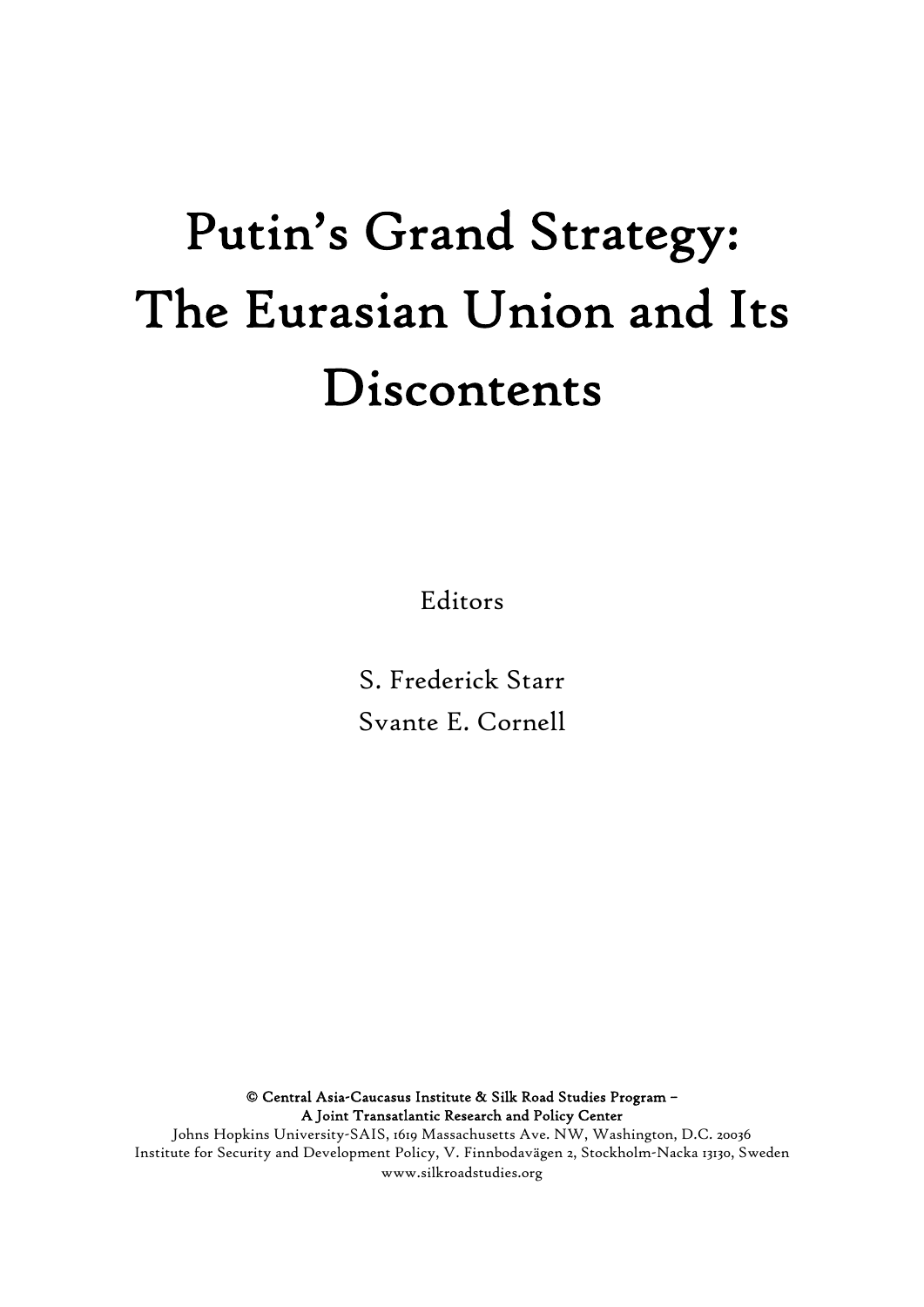## Putin's Grand Strategy: The Eurasian Union and Its Discontents

Editors

S. Frederick Starr Svante E. Cornell

© Central Asia-Caucasus Institute & Silk Road Studies Program – A Joint Transatlantic Research and Policy Center

Johns Hopkins University-SAIS, 1619 Massachusetts Ave. NW, Washington, D.C. 20036 Institute for Security and Development Policy, V. Finnbodavägen 2, Stockholm-Nacka 13130, Sweden www.silkroadstudies.org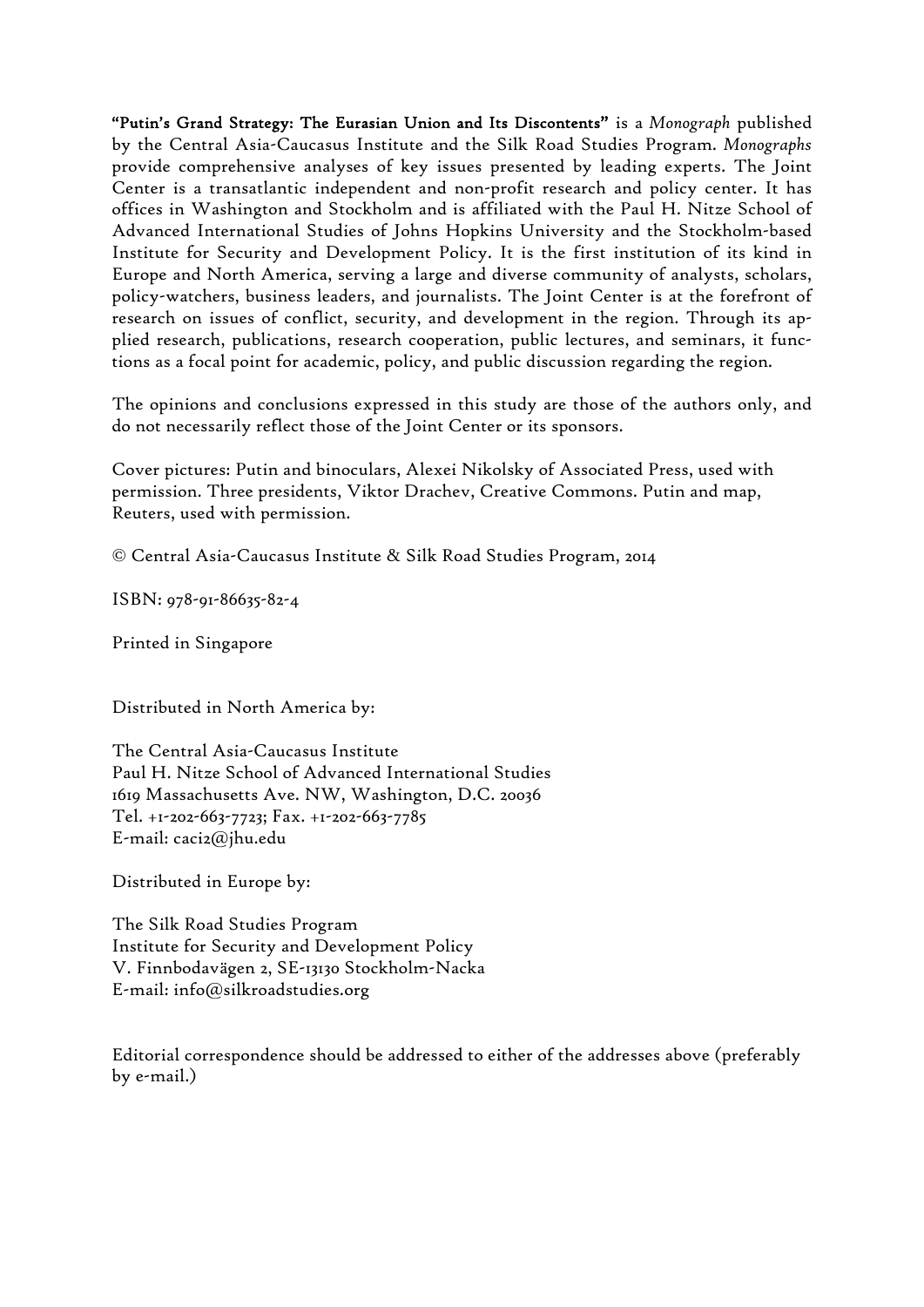"Putin's Grand Strategy: The Eurasian Union and Its Discontents" is a *Monograph* published by the Central Asia-Caucasus Institute and the Silk Road Studies Program. *Monographs* provide comprehensive analyses of key issues presented by leading experts. The Joint Center is a transatlantic independent and non-profit research and policy center. It has offices in Washington and Stockholm and is affiliated with the Paul H. Nitze School of Advanced International Studies of Johns Hopkins University and the Stockholm-based Institute for Security and Development Policy. It is the first institution of its kind in Europe and North America, serving a large and diverse community of analysts, scholars, policy-watchers, business leaders, and journalists. The Joint Center is at the forefront of research on issues of conflict, security, and development in the region. Through its applied research, publications, research cooperation, public lectures, and seminars, it functions as a focal point for academic, policy, and public discussion regarding the region.

The opinions and conclusions expressed in this study are those of the authors only, and do not necessarily reflect those of the Joint Center or its sponsors.

Cover pictures: Putin and binoculars, Alexei Nikolsky of Associated Press, used with permission. Three presidents, Viktor Drachev, Creative Commons. Putin and map, Reuters, used with permission.

© Central Asia-Caucasus Institute & Silk Road Studies Program, 2014

ISBN: 978-91-86635-82-4

Printed in Singapore

Distributed in North America by:

The Central Asia-Caucasus Institute Paul H. Nitze School of Advanced International Studies 1619 Massachusetts Ave. NW, Washington, D.C. 20036 Tel. +1-202-663-7723; Fax. +1-202-663-7785 E-mail: caci2@jhu.edu

Distributed in Europe by:

The Silk Road Studies Program Institute for Security and Development Policy V. Finnbodavägen 2, SE-13130 Stockholm-Nacka E-mail: info@silkroadstudies.org

Editorial correspondence should be addressed to either of the addresses above (preferably by e-mail.)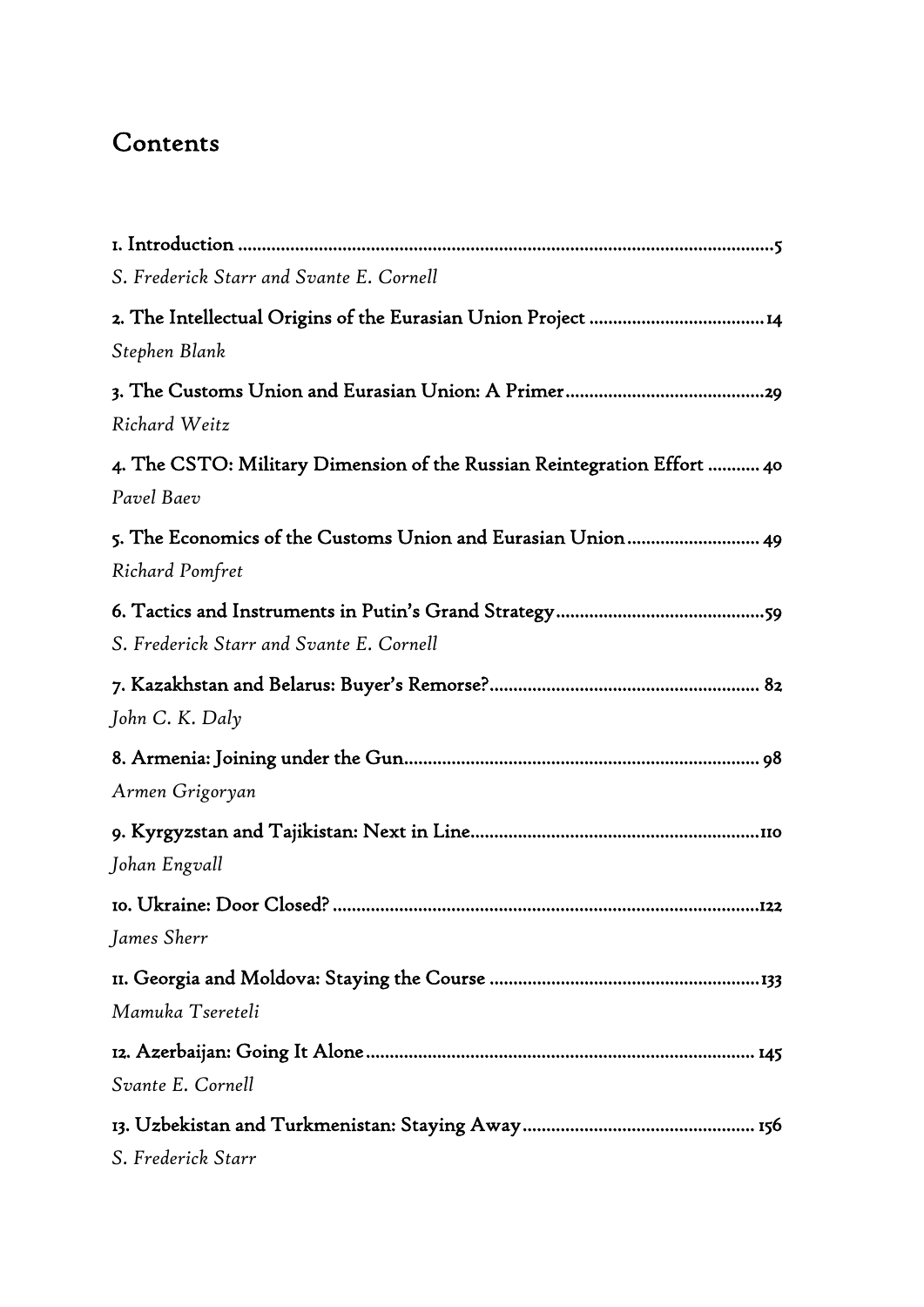## Contents

| S. Frederick Starr and Svante E. Cornell                                |
|-------------------------------------------------------------------------|
|                                                                         |
| Stephen Blank                                                           |
|                                                                         |
| Richard Weitz                                                           |
| 4. The CSTO: Military Dimension of the Russian Reintegration Effort  40 |
| Pavel Baev                                                              |
| 5. The Economics of the Customs Union and Eurasian Union 49             |
| <b>Richard Pomfret</b>                                                  |
|                                                                         |
| S. Frederick Starr and Svante E. Cornell                                |
|                                                                         |
| John C. K. Daly                                                         |
|                                                                         |
| Armen Grigoryan                                                         |
|                                                                         |
| Johan Engvall                                                           |
|                                                                         |
| James Sherr                                                             |
|                                                                         |
| Mamuka Tsereteli                                                        |
|                                                                         |
| Svante E. Cornell                                                       |
|                                                                         |
| S. Frederick Starr                                                      |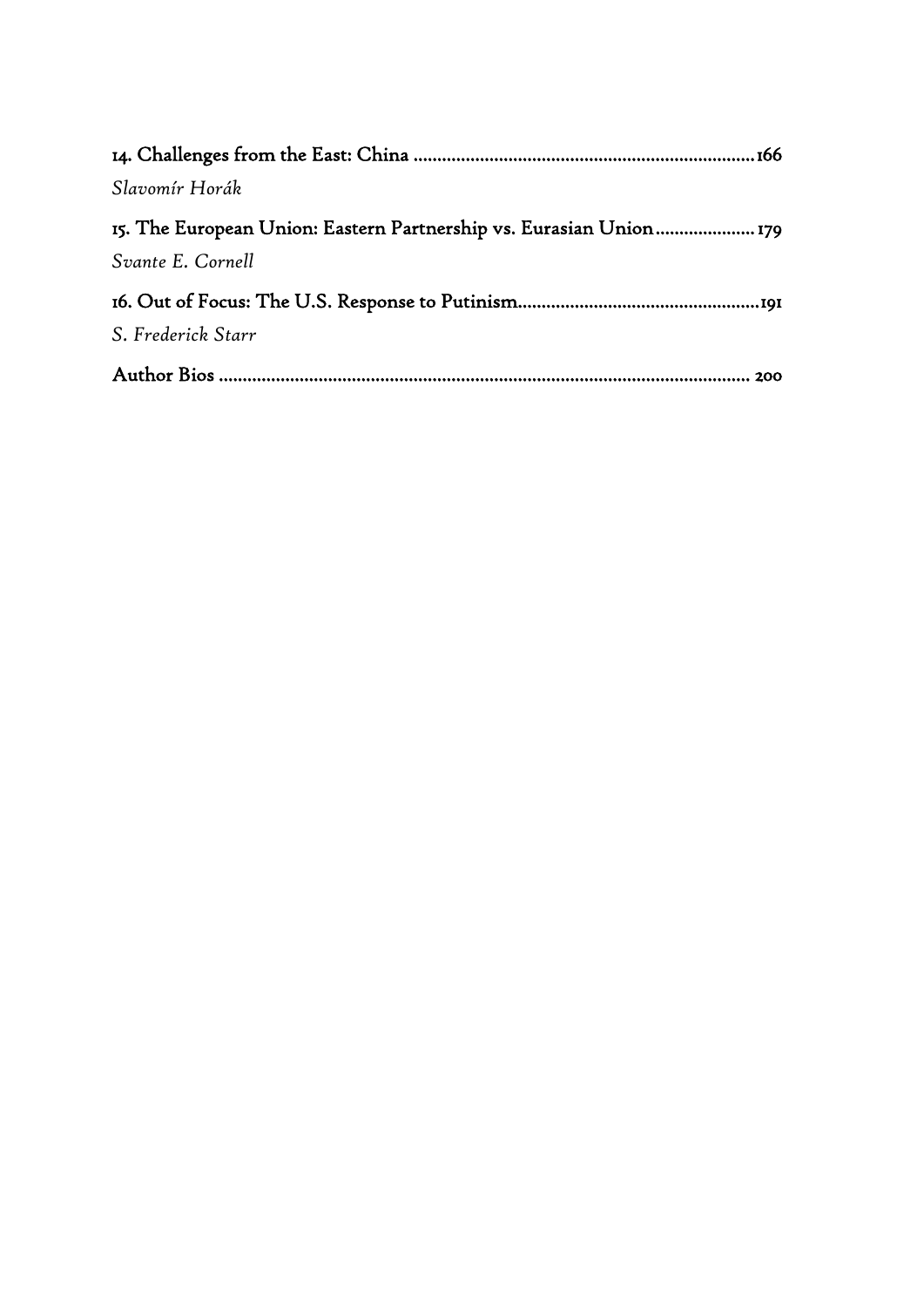| Slavomír Horák     |
|--------------------|
|                    |
| Svante E. Cornell  |
|                    |
| S. Frederick Starr |
| 200                |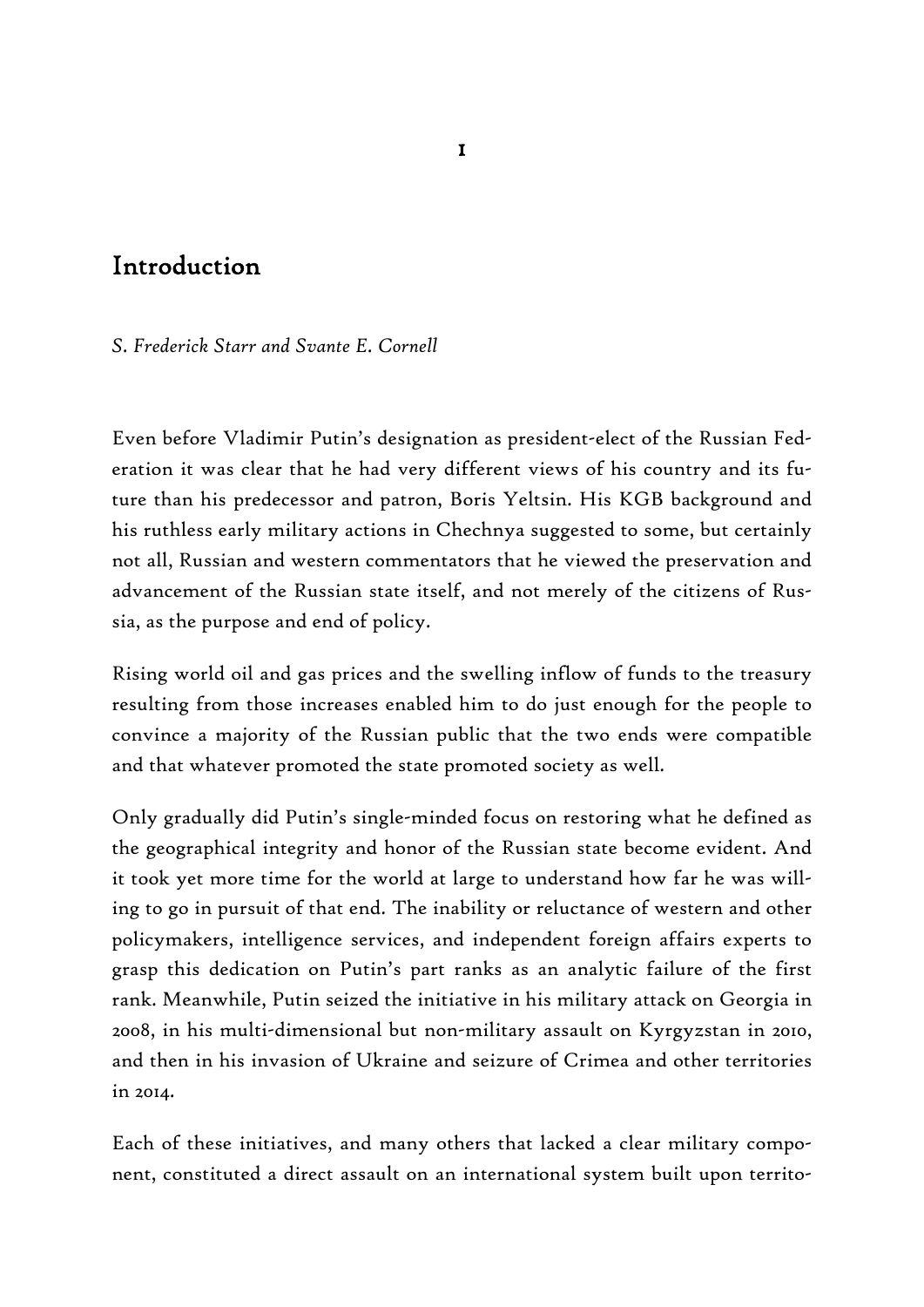## Introduction

*S. Frederick Starr and Svante E. Cornell* 

Even before Vladimir Putin's designation as president-elect of the Russian Federation it was clear that he had very different views of his country and its future than his predecessor and patron, Boris Yeltsin. His KGB background and his ruthless early military actions in Chechnya suggested to some, but certainly not all, Russian and western commentators that he viewed the preservation and advancement of the Russian state itself, and not merely of the citizens of Russia, as the purpose and end of policy.

Rising world oil and gas prices and the swelling inflow of funds to the treasury resulting from those increases enabled him to do just enough for the people to convince a majority of the Russian public that the two ends were compatible and that whatever promoted the state promoted society as well.

Only gradually did Putin's single-minded focus on restoring what he defined as the geographical integrity and honor of the Russian state become evident. And it took yet more time for the world at large to understand how far he was willing to go in pursuit of that end. The inability or reluctance of western and other policymakers, intelligence services, and independent foreign affairs experts to grasp this dedication on Putin's part ranks as an analytic failure of the first rank. Meanwhile, Putin seized the initiative in his military attack on Georgia in 2008, in his multi-dimensional but non-military assault on Kyrgyzstan in 2010, and then in his invasion of Ukraine and seizure of Crimea and other territories in 2014.

Each of these initiatives, and many others that lacked a clear military component, constituted a direct assault on an international system built upon territo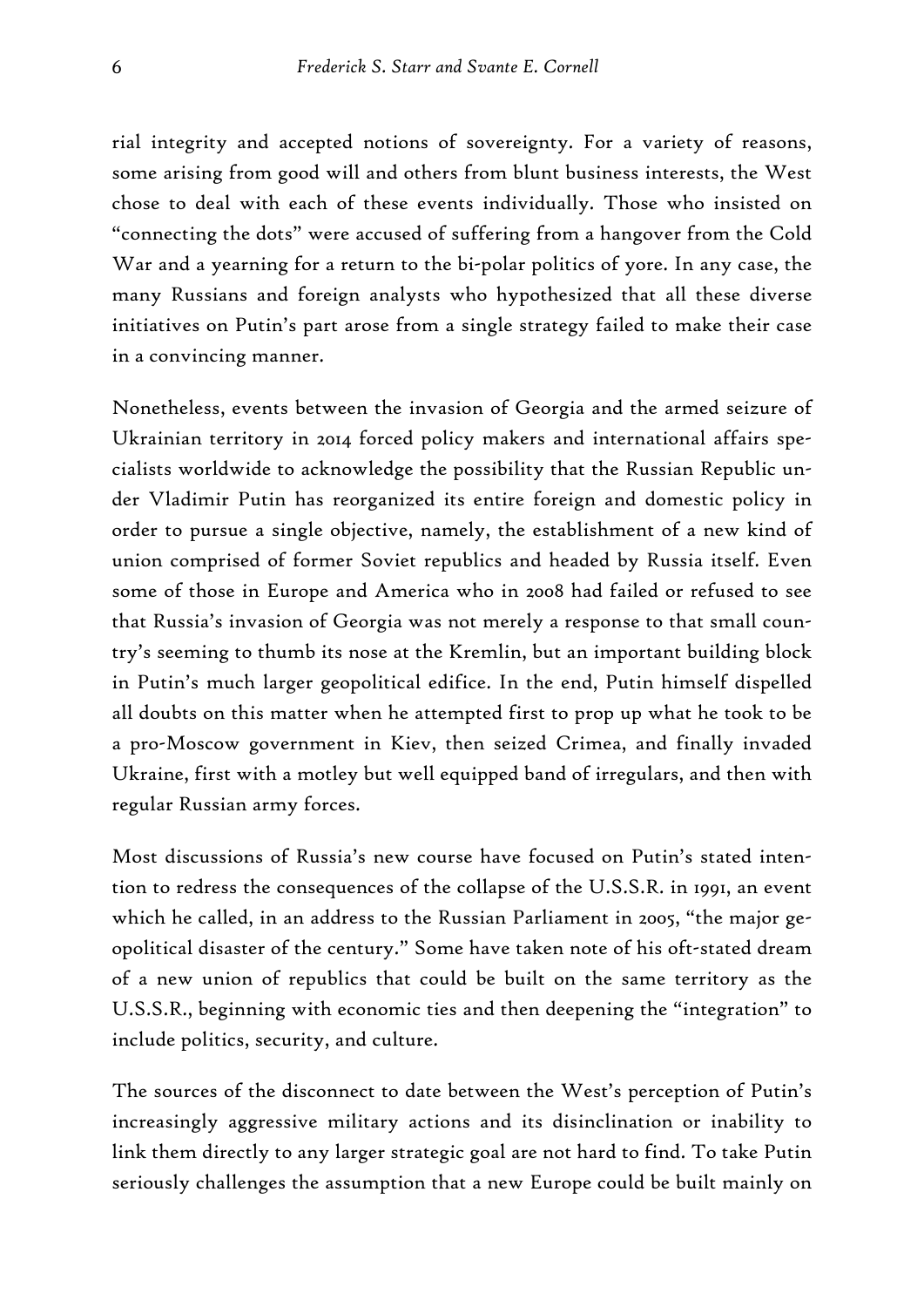rial integrity and accepted notions of sovereignty. For a variety of reasons, some arising from good will and others from blunt business interests, the West chose to deal with each of these events individually. Those who insisted on "connecting the dots" were accused of suffering from a hangover from the Cold War and a yearning for a return to the bi-polar politics of yore. In any case, the many Russians and foreign analysts who hypothesized that all these diverse initiatives on Putin's part arose from a single strategy failed to make their case in a convincing manner.

Nonetheless, events between the invasion of Georgia and the armed seizure of Ukrainian territory in 2014 forced policy makers and international affairs specialists worldwide to acknowledge the possibility that the Russian Republic under Vladimir Putin has reorganized its entire foreign and domestic policy in order to pursue a single objective, namely, the establishment of a new kind of union comprised of former Soviet republics and headed by Russia itself. Even some of those in Europe and America who in 2008 had failed or refused to see that Russia's invasion of Georgia was not merely a response to that small country's seeming to thumb its nose at the Kremlin, but an important building block in Putin's much larger geopolitical edifice. In the end, Putin himself dispelled all doubts on this matter when he attempted first to prop up what he took to be a pro-Moscow government in Kiev, then seized Crimea, and finally invaded Ukraine, first with a motley but well equipped band of irregulars, and then with regular Russian army forces.

Most discussions of Russia's new course have focused on Putin's stated intention to redress the consequences of the collapse of the U.S.S.R. in 1991, an event which he called, in an address to the Russian Parliament in 2005, "the major geopolitical disaster of the century." Some have taken note of his oft-stated dream of a new union of republics that could be built on the same territory as the U.S.S.R., beginning with economic ties and then deepening the "integration" to include politics, security, and culture.

The sources of the disconnect to date between the West's perception of Putin's increasingly aggressive military actions and its disinclination or inability to link them directly to any larger strategic goal are not hard to find. To take Putin seriously challenges the assumption that a new Europe could be built mainly on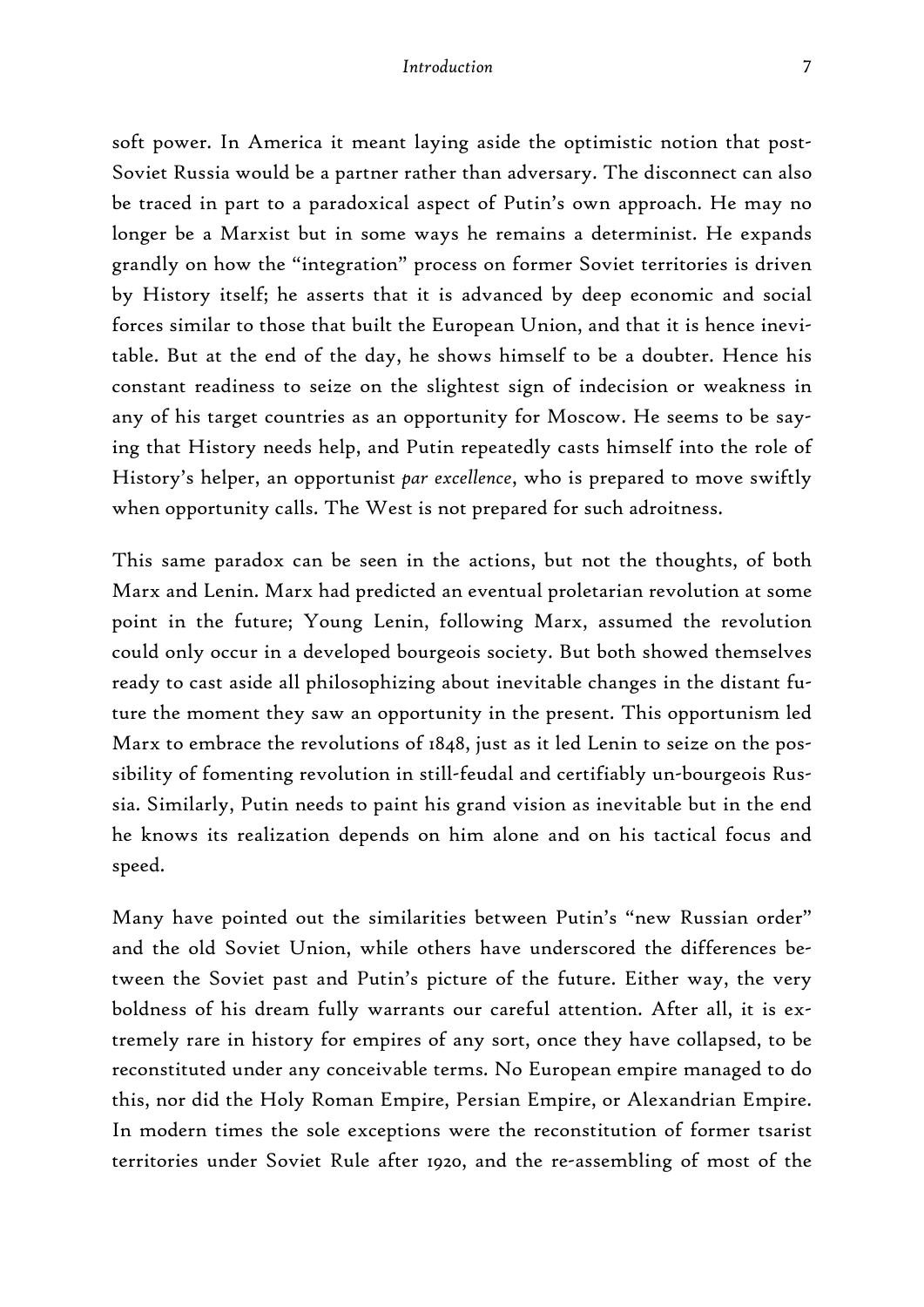#### *Introduction*

soft power. In America it meant laying aside the optimistic notion that post-Soviet Russia would be a partner rather than adversary. The disconnect can also be traced in part to a paradoxical aspect of Putin's own approach. He may no longer be a Marxist but in some ways he remains a determinist. He expands grandly on how the "integration" process on former Soviet territories is driven by History itself; he asserts that it is advanced by deep economic and social forces similar to those that built the European Union, and that it is hence inevitable. But at the end of the day, he shows himself to be a doubter. Hence his constant readiness to seize on the slightest sign of indecision or weakness in any of his target countries as an opportunity for Moscow. He seems to be saying that History needs help, and Putin repeatedly casts himself into the role of History's helper, an opportunist *par excellence*, who is prepared to move swiftly when opportunity calls. The West is not prepared for such adroitness.

This same paradox can be seen in the actions, but not the thoughts, of both Marx and Lenin. Marx had predicted an eventual proletarian revolution at some point in the future; Young Lenin, following Marx, assumed the revolution could only occur in a developed bourgeois society. But both showed themselves ready to cast aside all philosophizing about inevitable changes in the distant future the moment they saw an opportunity in the present. This opportunism led Marx to embrace the revolutions of 1848, just as it led Lenin to seize on the possibility of fomenting revolution in still-feudal and certifiably un-bourgeois Russia. Similarly, Putin needs to paint his grand vision as inevitable but in the end he knows its realization depends on him alone and on his tactical focus and speed.

Many have pointed out the similarities between Putin's "new Russian order" and the old Soviet Union, while others have underscored the differences between the Soviet past and Putin's picture of the future. Either way, the very boldness of his dream fully warrants our careful attention. After all, it is extremely rare in history for empires of any sort, once they have collapsed, to be reconstituted under any conceivable terms. No European empire managed to do this, nor did the Holy Roman Empire, Persian Empire, or Alexandrian Empire. In modern times the sole exceptions were the reconstitution of former tsarist territories under Soviet Rule after 1920, and the re-assembling of most of the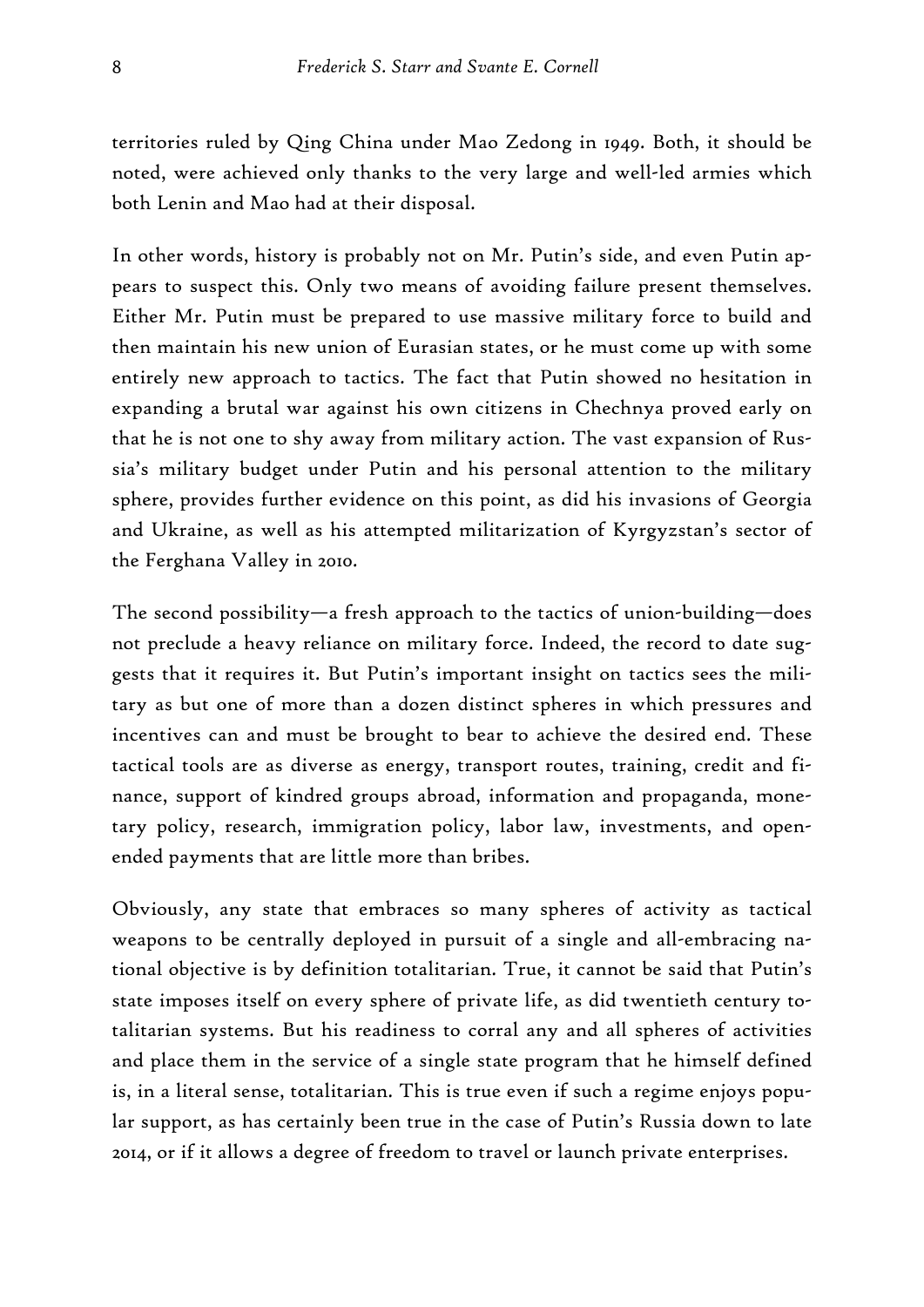territories ruled by Qing China under Mao Zedong in 1949. Both, it should be noted, were achieved only thanks to the very large and well-led armies which both Lenin and Mao had at their disposal.

In other words, history is probably not on Mr. Putin's side, and even Putin appears to suspect this. Only two means of avoiding failure present themselves. Either Mr. Putin must be prepared to use massive military force to build and then maintain his new union of Eurasian states, or he must come up with some entirely new approach to tactics. The fact that Putin showed no hesitation in expanding a brutal war against his own citizens in Chechnya proved early on that he is not one to shy away from military action. The vast expansion of Russia's military budget under Putin and his personal attention to the military sphere, provides further evidence on this point, as did his invasions of Georgia and Ukraine, as well as his attempted militarization of Kyrgyzstan's sector of the Ferghana Valley in 2010.

The second possibility—a fresh approach to the tactics of union-building—does not preclude a heavy reliance on military force. Indeed, the record to date suggests that it requires it. But Putin's important insight on tactics sees the military as but one of more than a dozen distinct spheres in which pressures and incentives can and must be brought to bear to achieve the desired end. These tactical tools are as diverse as energy, transport routes, training, credit and finance, support of kindred groups abroad, information and propaganda, monetary policy, research, immigration policy, labor law, investments, and openended payments that are little more than bribes.

Obviously, any state that embraces so many spheres of activity as tactical weapons to be centrally deployed in pursuit of a single and all-embracing national objective is by definition totalitarian. True, it cannot be said that Putin's state imposes itself on every sphere of private life, as did twentieth century totalitarian systems. But his readiness to corral any and all spheres of activities and place them in the service of a single state program that he himself defined is, in a literal sense, totalitarian. This is true even if such a regime enjoys popular support, as has certainly been true in the case of Putin's Russia down to late 2014, or if it allows a degree of freedom to travel or launch private enterprises.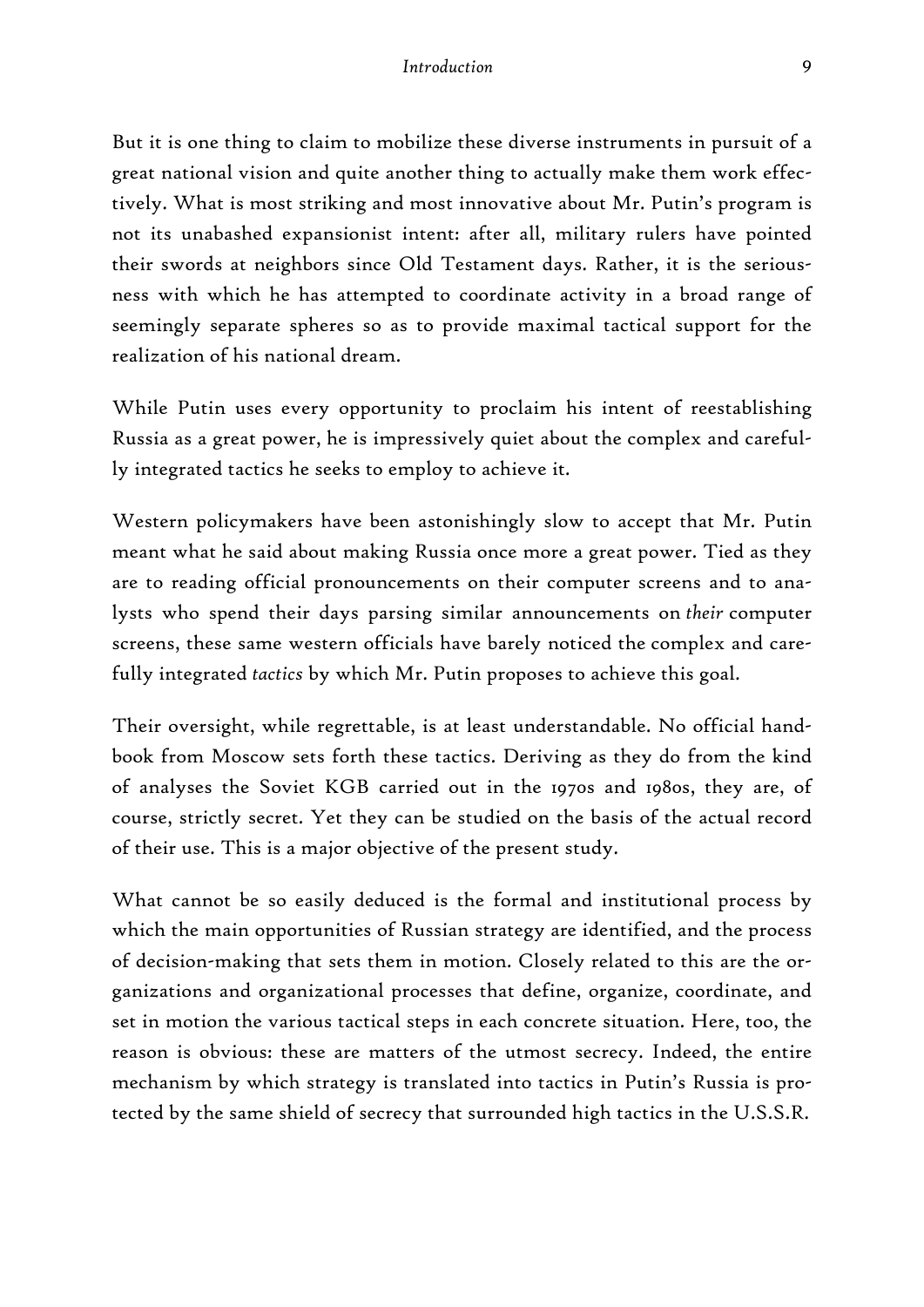But it is one thing to claim to mobilize these diverse instruments in pursuit of a great national vision and quite another thing to actually make them work effectively. What is most striking and most innovative about Mr. Putin's program is not its unabashed expansionist intent: after all, military rulers have pointed their swords at neighbors since Old Testament days. Rather, it is the seriousness with which he has attempted to coordinate activity in a broad range of seemingly separate spheres so as to provide maximal tactical support for the realization of his national dream.

While Putin uses every opportunity to proclaim his intent of reestablishing Russia as a great power, he is impressively quiet about the complex and carefully integrated tactics he seeks to employ to achieve it.

Western policymakers have been astonishingly slow to accept that Mr. Putin meant what he said about making Russia once more a great power. Tied as they are to reading official pronouncements on their computer screens and to analysts who spend their days parsing similar announcements on *their* computer screens, these same western officials have barely noticed the complex and carefully integrated *tactics* by which Mr. Putin proposes to achieve this goal.

Their oversight, while regrettable, is at least understandable. No official handbook from Moscow sets forth these tactics. Deriving as they do from the kind of analyses the Soviet KGB carried out in the 1970s and 1980s, they are, of course, strictly secret. Yet they can be studied on the basis of the actual record of their use. This is a major objective of the present study.

What cannot be so easily deduced is the formal and institutional process by which the main opportunities of Russian strategy are identified, and the process of decision-making that sets them in motion. Closely related to this are the organizations and organizational processes that define, organize, coordinate, and set in motion the various tactical steps in each concrete situation. Here, too, the reason is obvious: these are matters of the utmost secrecy. Indeed, the entire mechanism by which strategy is translated into tactics in Putin's Russia is protected by the same shield of secrecy that surrounded high tactics in the U.S.S.R.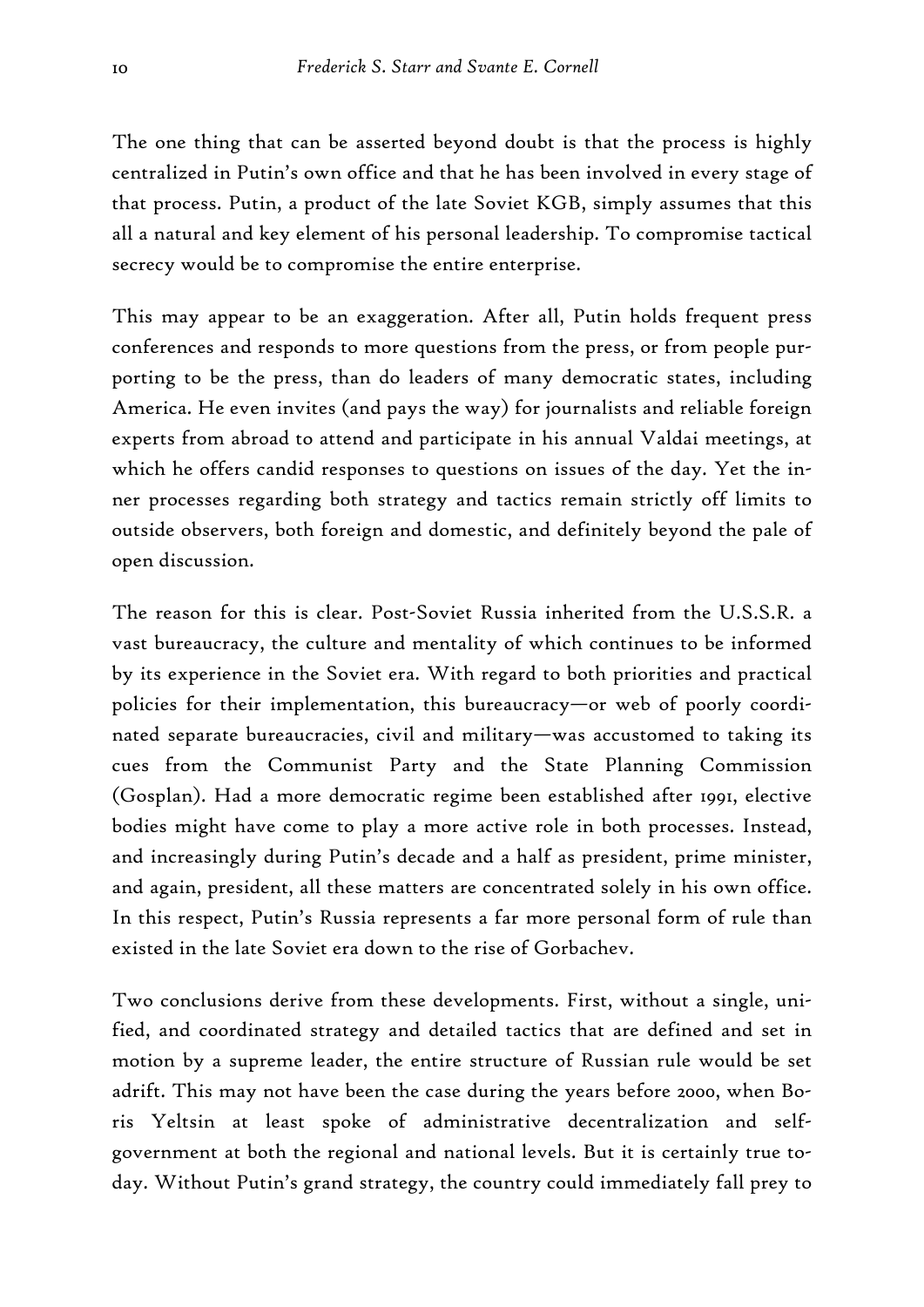The one thing that can be asserted beyond doubt is that the process is highly centralized in Putin's own office and that he has been involved in every stage of that process. Putin, a product of the late Soviet KGB, simply assumes that this all a natural and key element of his personal leadership. To compromise tactical secrecy would be to compromise the entire enterprise.

This may appear to be an exaggeration. After all, Putin holds frequent press conferences and responds to more questions from the press, or from people purporting to be the press, than do leaders of many democratic states, including America. He even invites (and pays the way) for journalists and reliable foreign experts from abroad to attend and participate in his annual Valdai meetings, at which he offers candid responses to questions on issues of the day. Yet the inner processes regarding both strategy and tactics remain strictly off limits to outside observers, both foreign and domestic, and definitely beyond the pale of open discussion.

The reason for this is clear. Post-Soviet Russia inherited from the U.S.S.R. a vast bureaucracy, the culture and mentality of which continues to be informed by its experience in the Soviet era. With regard to both priorities and practical policies for their implementation, this bureaucracy—or web of poorly coordinated separate bureaucracies, civil and military—was accustomed to taking its cues from the Communist Party and the State Planning Commission (Gosplan). Had a more democratic regime been established after 1991, elective bodies might have come to play a more active role in both processes. Instead, and increasingly during Putin's decade and a half as president, prime minister, and again, president, all these matters are concentrated solely in his own office. In this respect, Putin's Russia represents a far more personal form of rule than existed in the late Soviet era down to the rise of Gorbachev.

Two conclusions derive from these developments. First, without a single, unified, and coordinated strategy and detailed tactics that are defined and set in motion by a supreme leader, the entire structure of Russian rule would be set adrift. This may not have been the case during the years before 2000, when Boris Yeltsin at least spoke of administrative decentralization and selfgovernment at both the regional and national levels. But it is certainly true today. Without Putin's grand strategy, the country could immediately fall prey to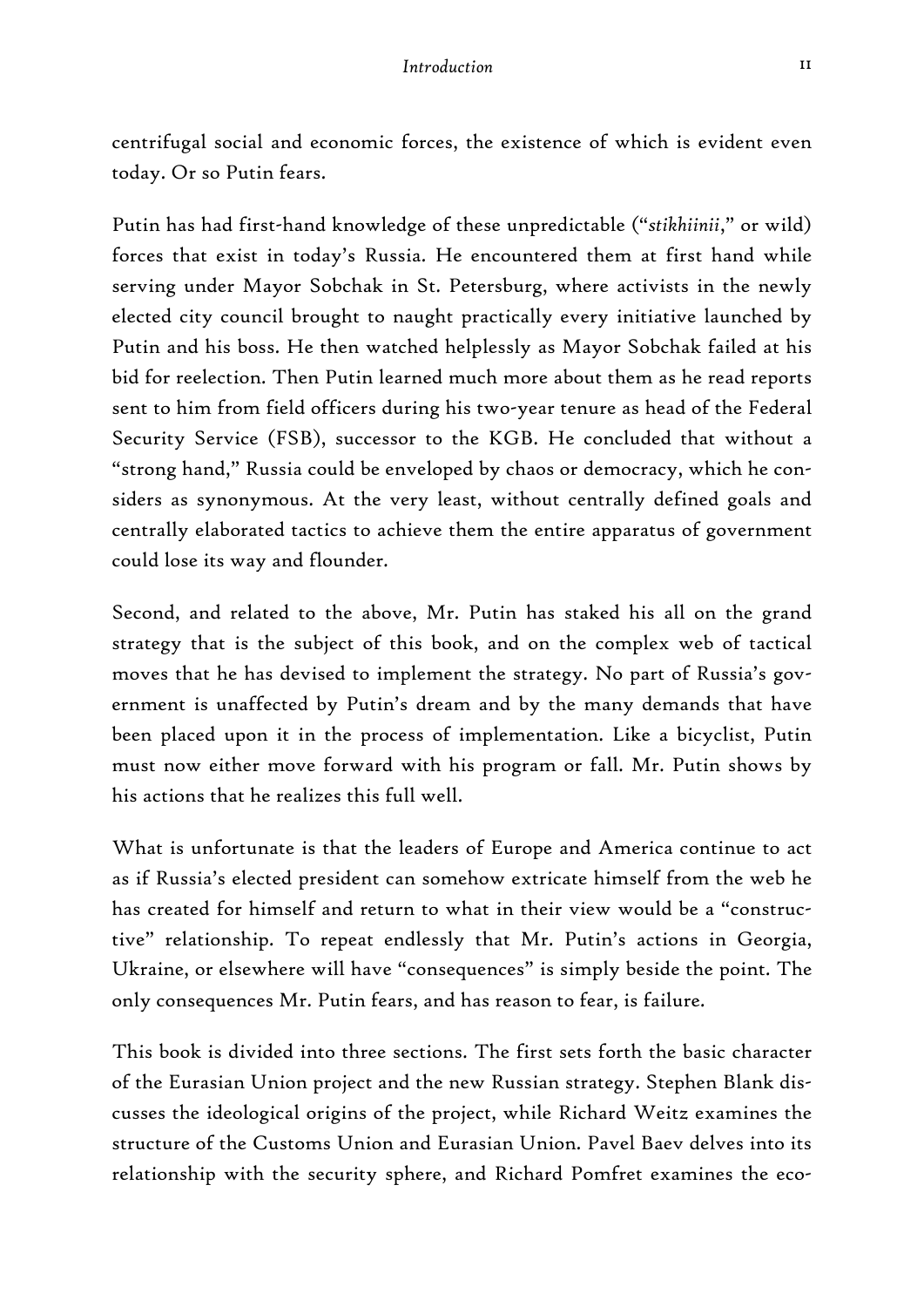11

centrifugal social and economic forces, the existence of which is evident even today. Or so Putin fears.

Putin has had first-hand knowledge of these unpredictable ("*stikhiinii*," or wild) forces that exist in today's Russia. He encountered them at first hand while serving under Mayor Sobchak in St. Petersburg, where activists in the newly elected city council brought to naught practically every initiative launched by Putin and his boss. He then watched helplessly as Mayor Sobchak failed at his bid for reelection. Then Putin learned much more about them as he read reports sent to him from field officers during his two-year tenure as head of the Federal Security Service (FSB), successor to the KGB. He concluded that without a "strong hand," Russia could be enveloped by chaos or democracy, which he considers as synonymous. At the very least, without centrally defined goals and centrally elaborated tactics to achieve them the entire apparatus of government could lose its way and flounder.

Second, and related to the above, Mr. Putin has staked his all on the grand strategy that is the subject of this book, and on the complex web of tactical moves that he has devised to implement the strategy. No part of Russia's government is unaffected by Putin's dream and by the many demands that have been placed upon it in the process of implementation. Like a bicyclist, Putin must now either move forward with his program or fall. Mr. Putin shows by his actions that he realizes this full well.

What is unfortunate is that the leaders of Europe and America continue to act as if Russia's elected president can somehow extricate himself from the web he has created for himself and return to what in their view would be a "constructive" relationship. To repeat endlessly that Mr. Putin's actions in Georgia, Ukraine, or elsewhere will have "consequences" is simply beside the point. The only consequences Mr. Putin fears, and has reason to fear, is failure.

This book is divided into three sections. The first sets forth the basic character of the Eurasian Union project and the new Russian strategy. Stephen Blank discusses the ideological origins of the project, while Richard Weitz examines the structure of the Customs Union and Eurasian Union. Pavel Baev delves into its relationship with the security sphere, and Richard Pomfret examines the eco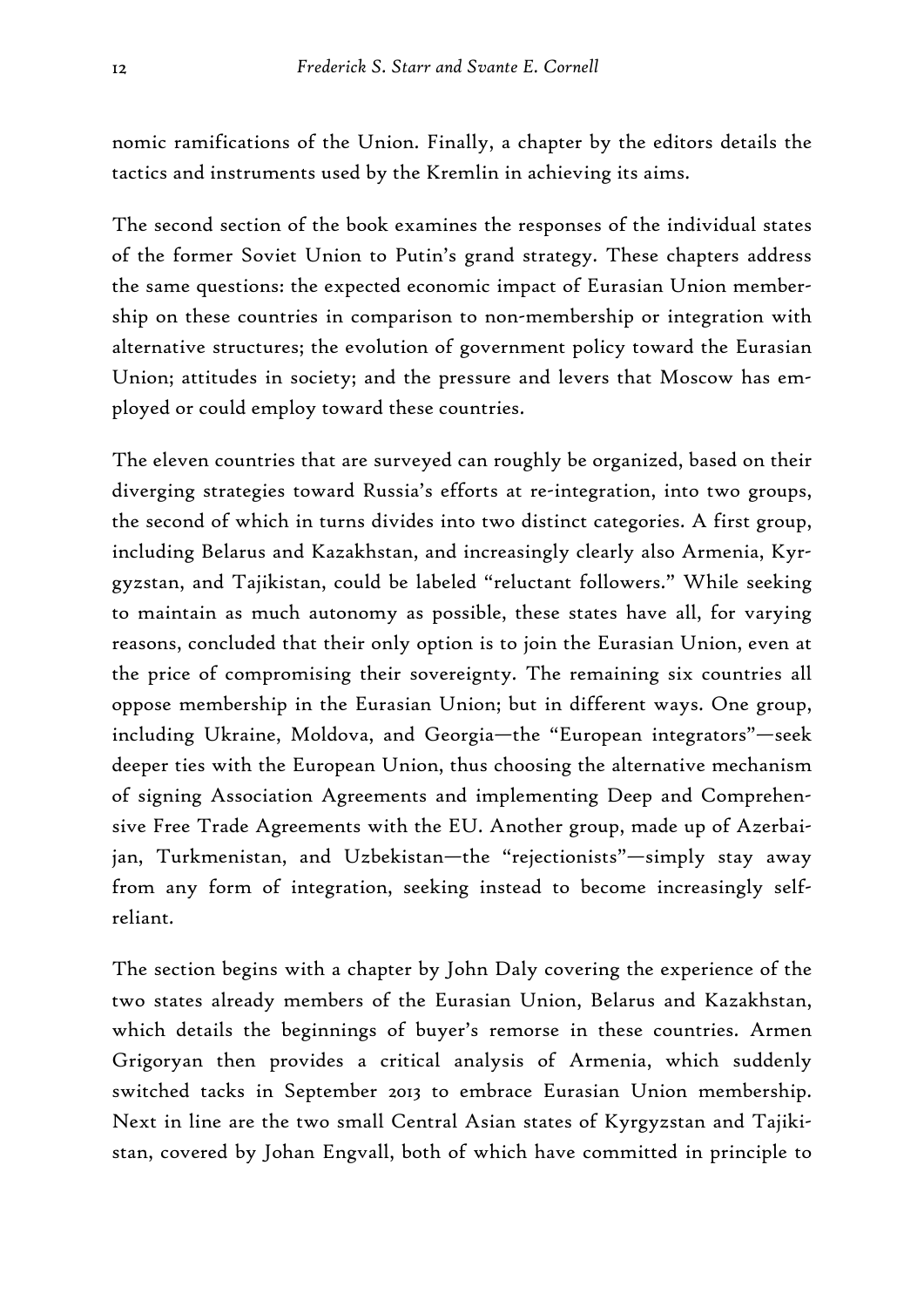nomic ramifications of the Union. Finally, a chapter by the editors details the tactics and instruments used by the Kremlin in achieving its aims.

The second section of the book examines the responses of the individual states of the former Soviet Union to Putin's grand strategy. These chapters address the same questions: the expected economic impact of Eurasian Union membership on these countries in comparison to non-membership or integration with alternative structures; the evolution of government policy toward the Eurasian Union; attitudes in society; and the pressure and levers that Moscow has employed or could employ toward these countries.

The eleven countries that are surveyed can roughly be organized, based on their diverging strategies toward Russia's efforts at re-integration, into two groups, the second of which in turns divides into two distinct categories. A first group, including Belarus and Kazakhstan, and increasingly clearly also Armenia, Kyrgyzstan, and Tajikistan, could be labeled "reluctant followers." While seeking to maintain as much autonomy as possible, these states have all, for varying reasons, concluded that their only option is to join the Eurasian Union, even at the price of compromising their sovereignty. The remaining six countries all oppose membership in the Eurasian Union; but in different ways. One group, including Ukraine, Moldova, and Georgia—the "European integrators"—seek deeper ties with the European Union, thus choosing the alternative mechanism of signing Association Agreements and implementing Deep and Comprehensive Free Trade Agreements with the EU. Another group, made up of Azerbaijan, Turkmenistan, and Uzbekistan—the "rejectionists"—simply stay away from any form of integration, seeking instead to become increasingly selfreliant.

The section begins with a chapter by John Daly covering the experience of the two states already members of the Eurasian Union, Belarus and Kazakhstan, which details the beginnings of buyer's remorse in these countries. Armen Grigoryan then provides a critical analysis of Armenia, which suddenly switched tacks in September 2013 to embrace Eurasian Union membership. Next in line are the two small Central Asian states of Kyrgyzstan and Tajikistan, covered by Johan Engvall, both of which have committed in principle to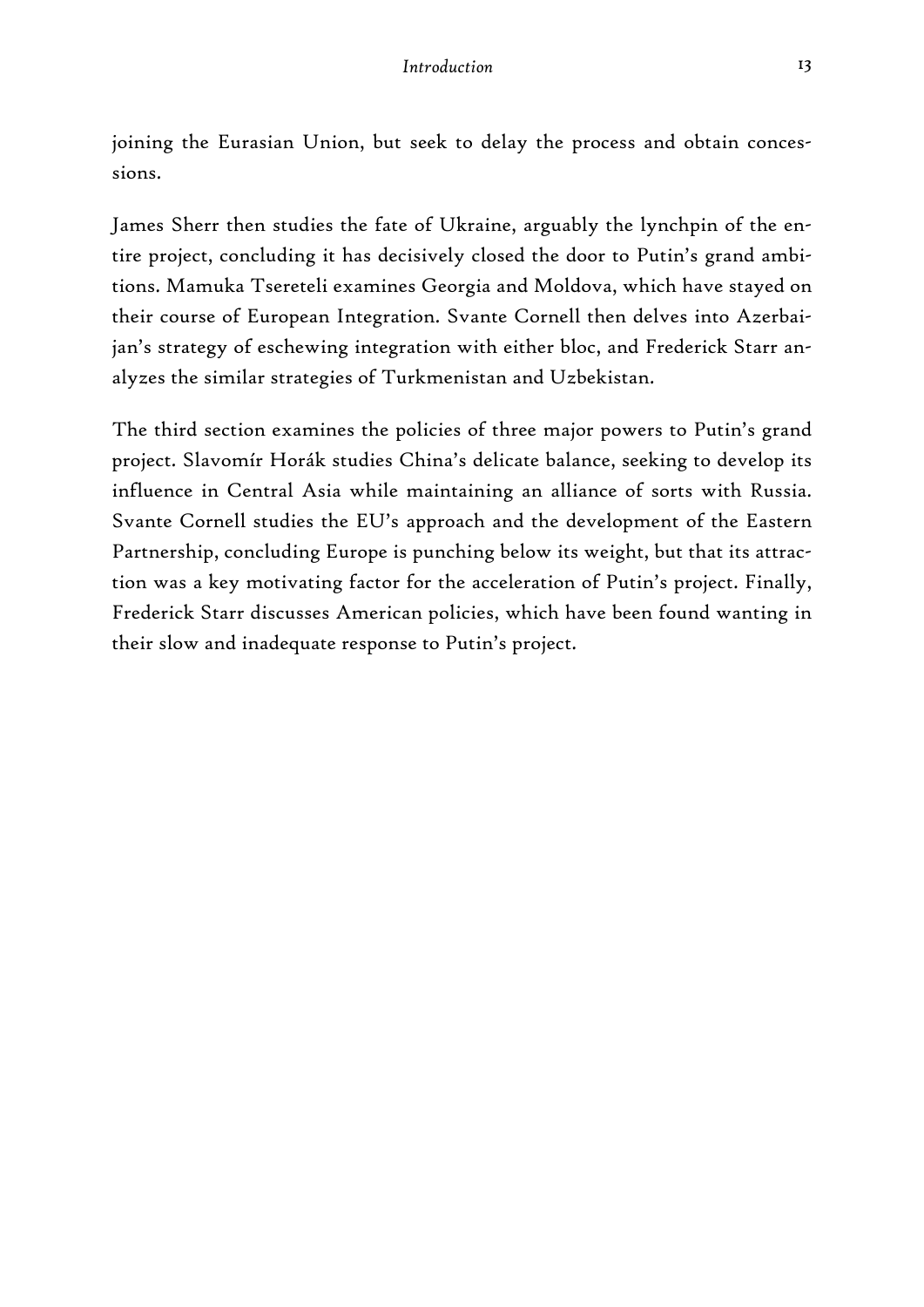joining the Eurasian Union, but seek to delay the process and obtain concessions.

James Sherr then studies the fate of Ukraine, arguably the lynchpin of the entire project, concluding it has decisively closed the door to Putin's grand ambitions. Mamuka Tsereteli examines Georgia and Moldova, which have stayed on their course of European Integration. Svante Cornell then delves into Azerbaijan's strategy of eschewing integration with either bloc, and Frederick Starr analyzes the similar strategies of Turkmenistan and Uzbekistan.

The third section examines the policies of three major powers to Putin's grand project. Slavomír Horák studies China's delicate balance, seeking to develop its influence in Central Asia while maintaining an alliance of sorts with Russia. Svante Cornell studies the EU's approach and the development of the Eastern Partnership, concluding Europe is punching below its weight, but that its attraction was a key motivating factor for the acceleration of Putin's project. Finally, Frederick Starr discusses American policies, which have been found wanting in their slow and inadequate response to Putin's project.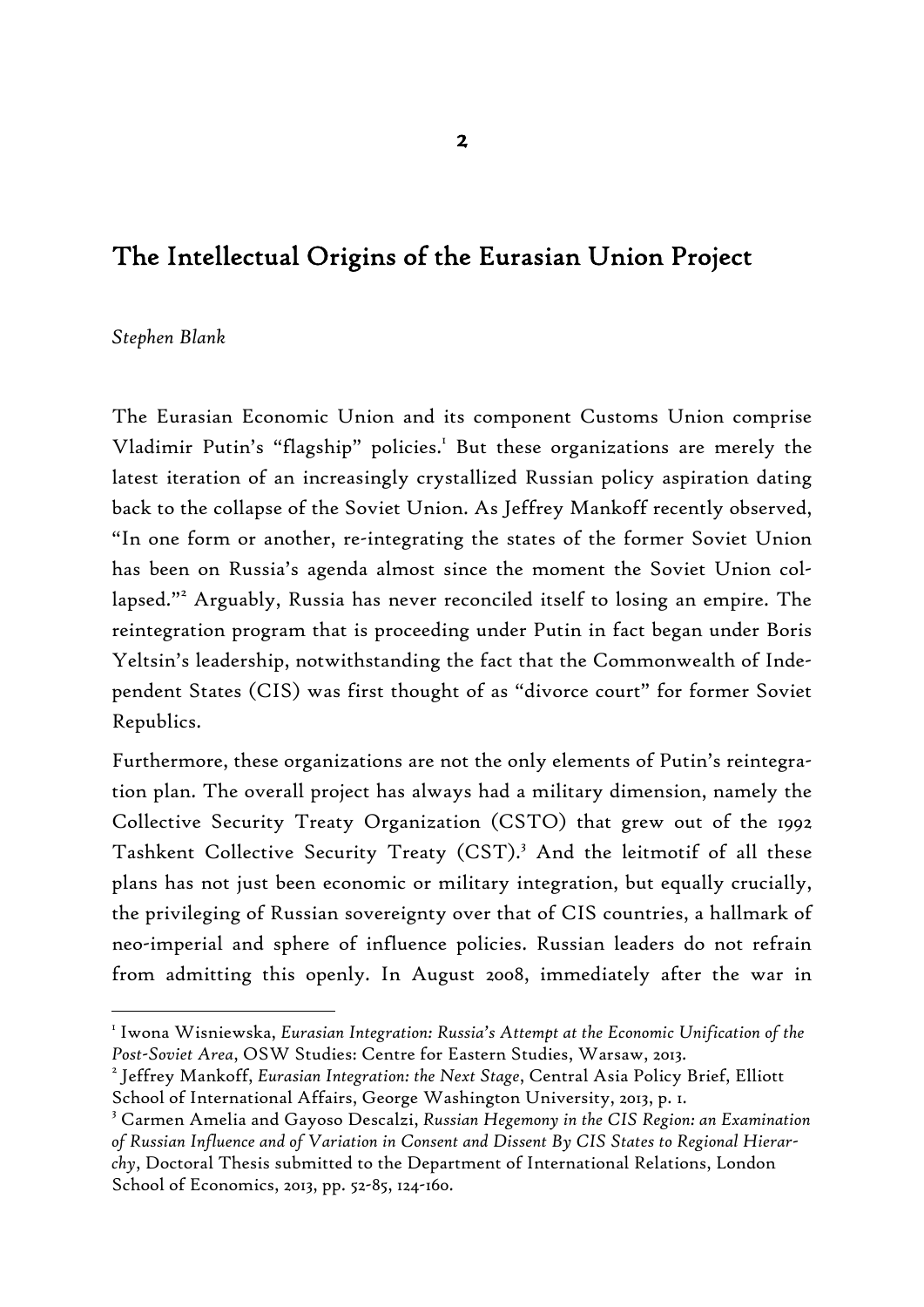## The Intellectual Origins of the Eurasian Union Project

#### *Stephen Blank*

-

The Eurasian Economic Union and its component Customs Union comprise Vladimir Putin's "flagship" policies.<sup>1</sup> But these organizations are merely the latest iteration of an increasingly crystallized Russian policy aspiration dating back to the collapse of the Soviet Union. As Jeffrey Mankoff recently observed, "In one form or another, re-integrating the states of the former Soviet Union has been on Russia's agenda almost since the moment the Soviet Union collapsed."<sup>2</sup> Arguably, Russia has never reconciled itself to losing an empire. The reintegration program that is proceeding under Putin in fact began under Boris Yeltsin's leadership, notwithstanding the fact that the Commonwealth of Independent States (CIS) was first thought of as "divorce court" for former Soviet Republics.

Furthermore, these organizations are not the only elements of Putin's reintegration plan. The overall project has always had a military dimension, namely the Collective Security Treaty Organization (CSTO) that grew out of the 1992 Tashkent Collective Security Treaty (CST).<sup>3</sup> And the leitmotif of all these plans has not just been economic or military integration, but equally crucially, the privileging of Russian sovereignty over that of CIS countries, a hallmark of neo-imperial and sphere of influence policies. Russian leaders do not refrain from admitting this openly. In August 2008, immediately after the war in

 $^{\rm\scriptscriptstyle I}$  Iwona Wisniewska, *Eurasian Integration: Russia's Attempt at the Economic Unification of the* Post-Soviet Area, OSW Studies: Centre for Eastern Studies, Warsaw, 2013.

Jeffrey Mankoff, *Eurasian Integration: the Next Stage*, Central Asia Policy Brief, Elliott School of International Affairs, George Washington University, 2013, p. 1.

<sup>3</sup> Carmen Amelia and Gayoso Descalzi, *Russian Hegemony in the CIS Region: an Examination of Russian Influence and of Variation in Consent and Dissent By CIS States to Regional Hierarchy*, Doctoral Thesis submitted to the Department of International Relations, London School of Economics, 2013, pp. 52-85, 124-160.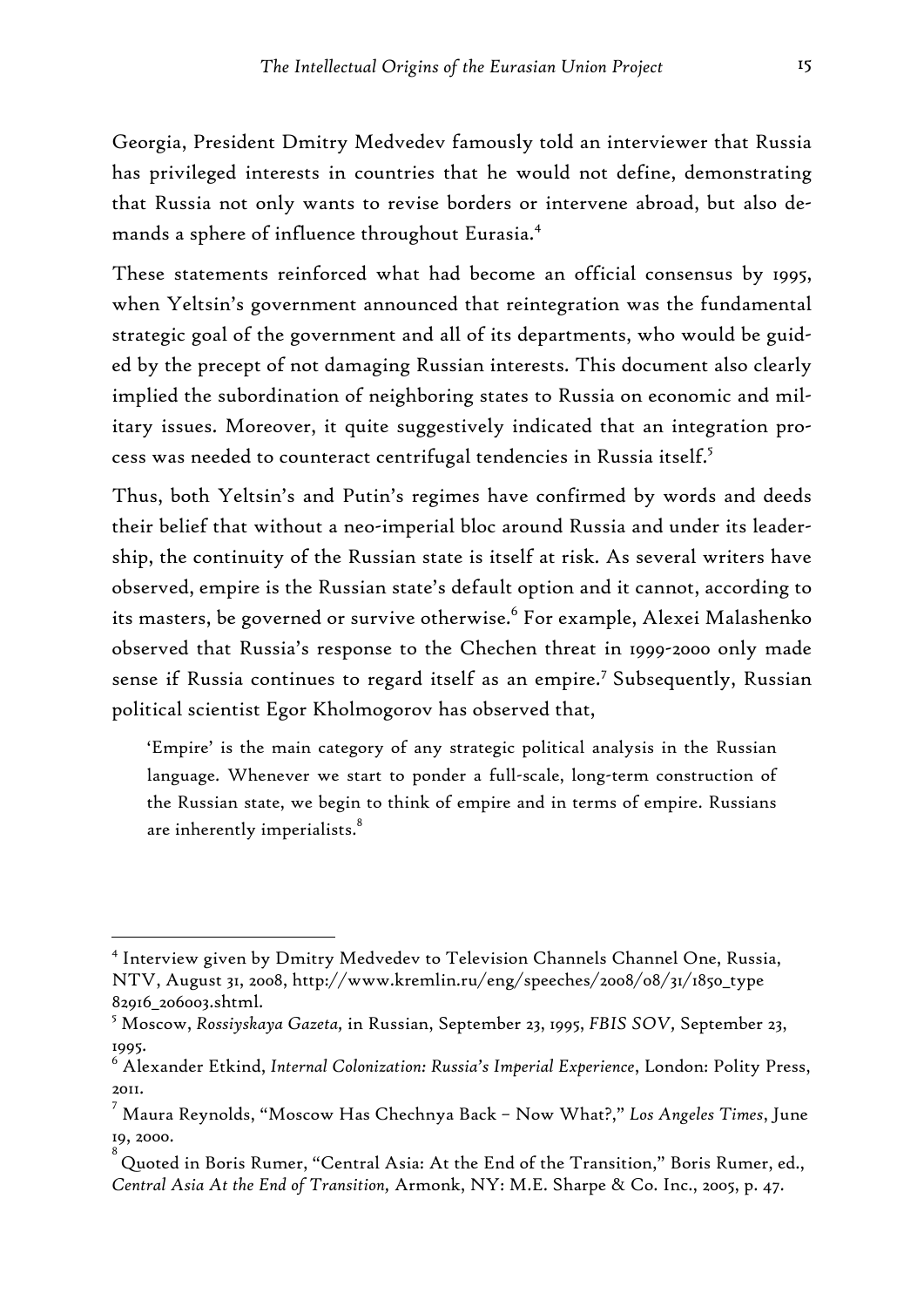Georgia, President Dmitry Medvedev famously told an interviewer that Russia has privileged interests in countries that he would not define, demonstrating that Russia not only wants to revise borders or intervene abroad, but also demands a sphere of influence throughout Eurasia.4

These statements reinforced what had become an official consensus by 1995, when Yeltsin's government announced that reintegration was the fundamental strategic goal of the government and all of its departments, who would be guided by the precept of not damaging Russian interests. This document also clearly implied the subordination of neighboring states to Russia on economic and military issues. Moreover, it quite suggestively indicated that an integration process was needed to counteract centrifugal tendencies in Russia itself.5

Thus, both Yeltsin's and Putin's regimes have confirmed by words and deeds their belief that without a neo-imperial bloc around Russia and under its leadership, the continuity of the Russian state is itself at risk. As several writers have observed, empire is the Russian state's default option and it cannot, according to its masters, be governed or survive otherwise.<sup>6</sup> For example, Alexei Malashenko observed that Russia's response to the Chechen threat in 1999-2000 only made sense if Russia continues to regard itself as an empire.<sup>7</sup> Subsequently, Russian political scientist Egor Kholmogorov has observed that,

'Empire' is the main category of any strategic political analysis in the Russian language. Whenever we start to ponder a full-scale, long-term construction of the Russian state, we begin to think of empire and in terms of empire. Russians are inherently imperialists.<sup>8</sup>

<sup>4</sup> Interview given by Dmitry Medvedev to Television Channels Channel One, Russia, NTV, August 31, 2008, http://www.kremlin.ru/eng/speeches/2008/08/31/1850\_type 82916\_206003.shtml.

<sup>5</sup> Moscow, *Rossiyskaya Gazeta,* in Russian, September 23, 1995, *FBIS SOV,* September 23, 1995.

<sup>6</sup> Alexander Etkind, *Internal Colonization: Russia's Imperial Experience*, London: Polity Press, 2011.

<sup>7</sup> Maura Reynolds, "Moscow Has Chechnya Back – Now What?," *Los Angeles Times*, June 19, 2000.

<sup>8</sup> Quoted in Boris Rumer, "Central Asia: At the End of the Transition," Boris Rumer, ed., *Central Asia At the End of Transition,* Armonk, NY: M.E. Sharpe & Co. Inc., 2005, p. 47.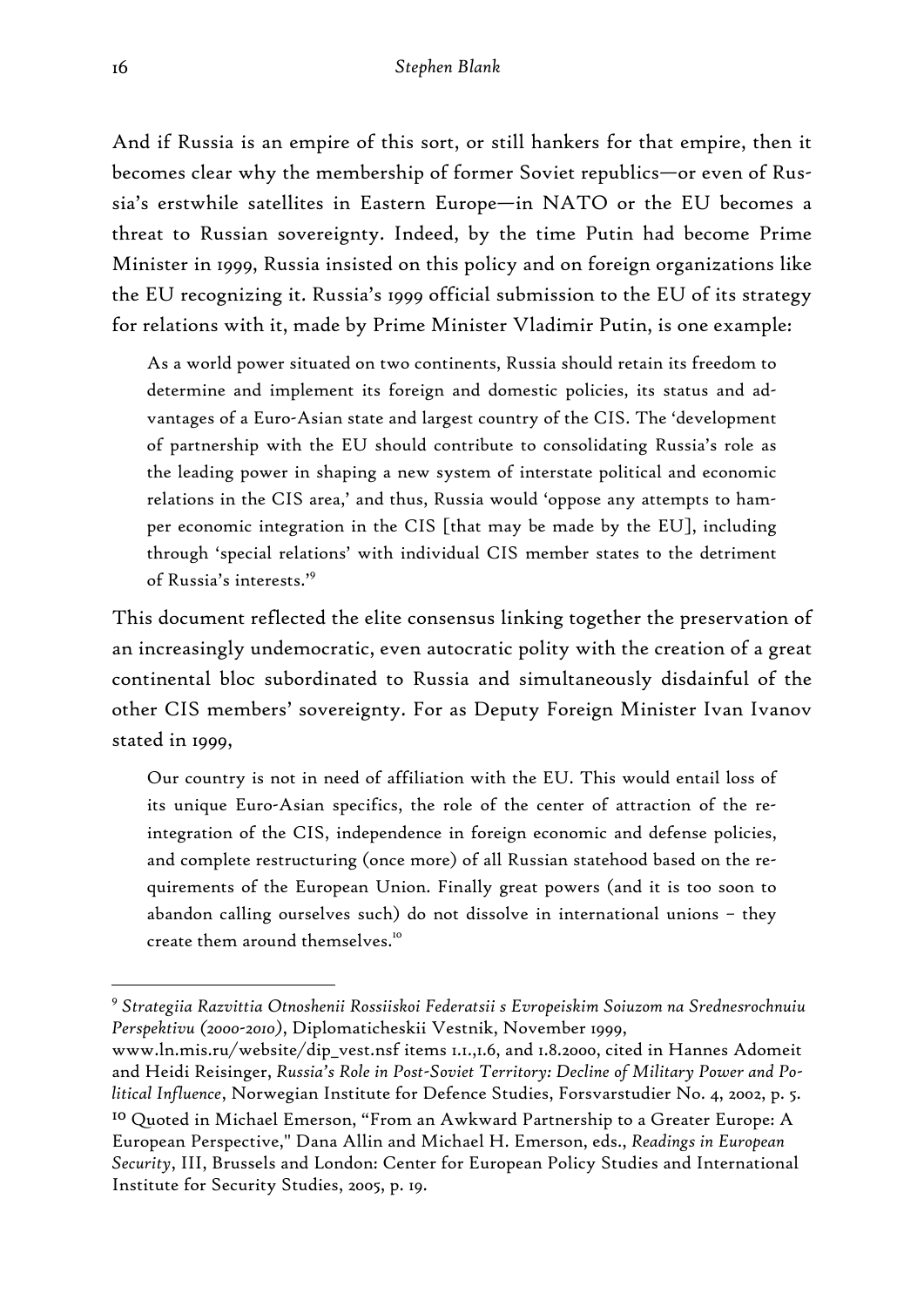And if Russia is an empire of this sort, or still hankers for that empire, then it becomes clear why the membership of former Soviet republics—or even of Russia's erstwhile satellites in Eastern Europe—in NATO or the EU becomes a threat to Russian sovereignty. Indeed, by the time Putin had become Prime Minister in 1999, Russia insisted on this policy and on foreign organizations like the EU recognizing it. Russia's 1999 official submission to the EU of its strategy for relations with it, made by Prime Minister Vladimir Putin, is one example:

As a world power situated on two continents, Russia should retain its freedom to determine and implement its foreign and domestic policies, its status and advantages of a Euro-Asian state and largest country of the CIS. The 'development of partnership with the EU should contribute to consolidating Russia's role as the leading power in shaping a new system of interstate political and economic relations in the CIS area,' and thus, Russia would 'oppose any attempts to hamper economic integration in the CIS [that may be made by the EU], including through 'special relations' with individual CIS member states to the detriment of Russia's interests.'<sup>9</sup>

This document reflected the elite consensus linking together the preservation of an increasingly undemocratic, even autocratic polity with the creation of a great continental bloc subordinated to Russia and simultaneously disdainful of the other CIS members' sovereignty. For as Deputy Foreign Minister Ivan Ivanov stated in 1999,

Our country is not in need of affiliation with the EU. This would entail loss of its unique Euro-Asian specifics, the role of the center of attraction of the reintegration of the CIS, independence in foreign economic and defense policies, and complete restructuring (once more) of all Russian statehood based on the requirements of the European Union. Finally great powers (and it is too soon to abandon calling ourselves such) do not dissolve in international unions – they create them around themselves.10

<sup>9</sup> *Strategiia Razvittia Otnoshenii Rossiiskoi Federatsii s Evropeiskim Soiuzom na Srednesrochnuiu Perspektivu (2000-2010)*, Diplomaticheskii Vestnik, November 1999,

www.ln.mis.ru/website/dip\_vest.nsf items 1.1.,1.6, and 1.8.2000, cited in Hannes Adomeit and Heidi Reisinger, *Russia's Role in Post-Soviet Territory: Decline of Military Power and Political Influence*, Norwegian Institute for Defence Studies, Forsvarstudier No. 4, 2002, p. 5.

<sup>10</sup> Quoted in Michael Emerson, "From an Awkward Partnership to a Greater Europe: A European Perspective," Dana Allin and Michael H. Emerson, eds., *Readings in European Security*, III, Brussels and London: Center for European Policy Studies and International Institute for Security Studies, 2005, p. 19.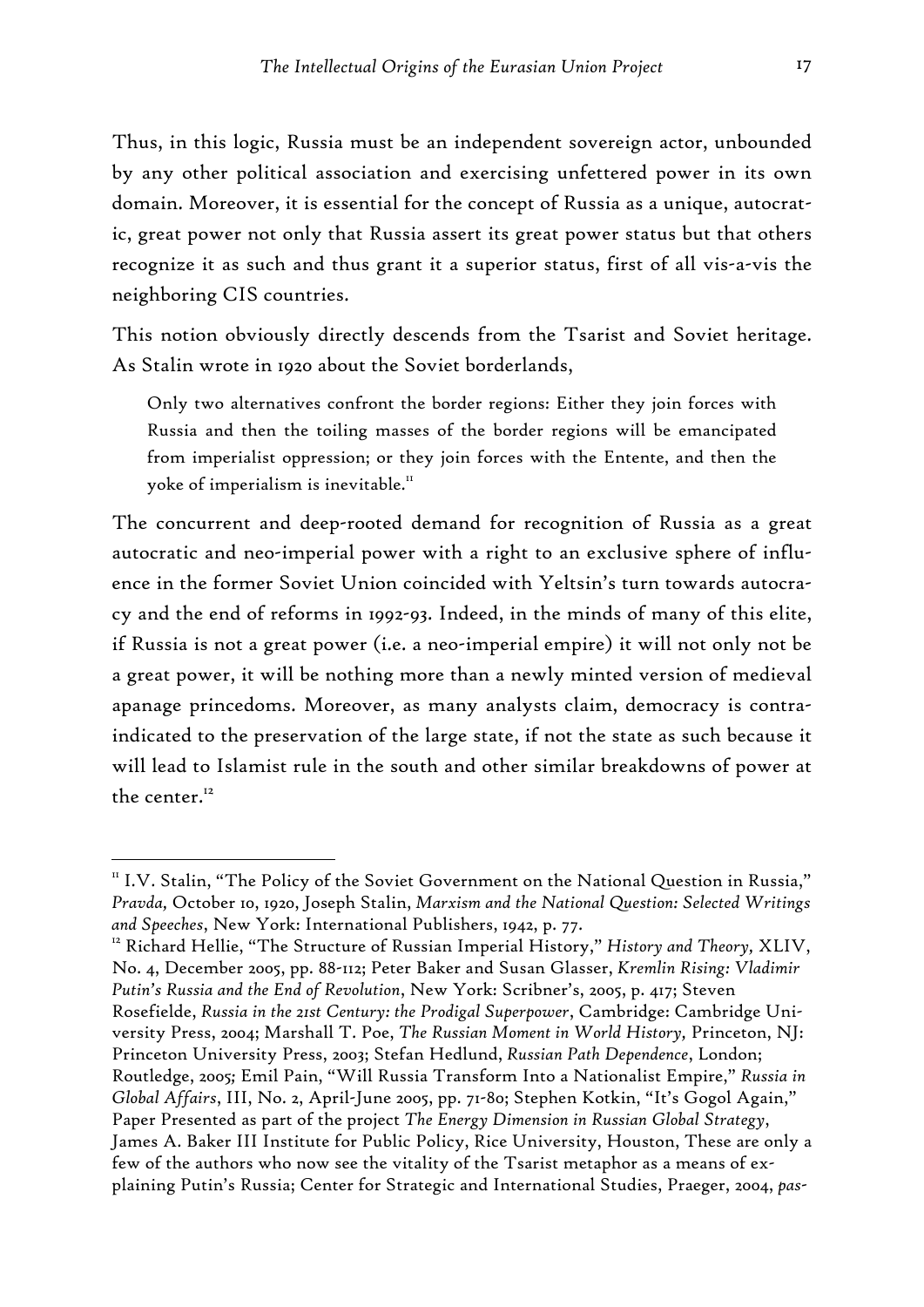Thus, in this logic, Russia must be an independent sovereign actor, unbounded by any other political association and exercising unfettered power in its own domain. Moreover, it is essential for the concept of Russia as a unique, autocratic, great power not only that Russia assert its great power status but that others recognize it as such and thus grant it a superior status, first of all vis-a-vis the neighboring CIS countries.

This notion obviously directly descends from the Tsarist and Soviet heritage. As Stalin wrote in 1920 about the Soviet borderlands,

Only two alternatives confront the border regions: Either they join forces with Russia and then the toiling masses of the border regions will be emancipated from imperialist oppression; or they join forces with the Entente, and then the yoke of imperialism is inevitable.<sup>11</sup>

The concurrent and deep-rooted demand for recognition of Russia as a great autocratic and neo-imperial power with a right to an exclusive sphere of influence in the former Soviet Union coincided with Yeltsin's turn towards autocracy and the end of reforms in 1992-93. Indeed, in the minds of many of this elite, if Russia is not a great power (i.e. a neo-imperial empire) it will not only not be a great power, it will be nothing more than a newly minted version of medieval apanage princedoms. Moreover, as many analysts claim, democracy is contraindicated to the preservation of the large state, if not the state as such because it will lead to Islamist rule in the south and other similar breakdowns of power at the center.<sup>12</sup>

-

No. 4, December 2005, pp. 88-112; Peter Baker and Susan Glasser, *Kremlin Rising: Vladimir Putin's Russia and the End of Revolution*, New York: Scribner's, 2005, p. 417; Steven Rosefielde, *Russia in the 21st Century: the Prodigal Superpower*, Cambridge: Cambridge University Press, 2004; Marshall T. Poe, *The Russian Moment in World History,* Princeton, NJ: Princeton University Press, 2003; Stefan Hedlund, *Russian Path Dependence*, London; Routledge, 2005*;* Emil Pain, "Will Russia Transform Into a Nationalist Empire," *Russia in Global Affairs*, III, No. 2, April-June 2005, pp. 71-80; Stephen Kotkin, "It's Gogol Again," Paper Presented as part of the project *The Energy Dimension in Russian Global Strategy*, James A. Baker III Institute for Public Policy, Rice University, Houston, These are only a few of the authors who now see the vitality of the Tsarist metaphor as a means of explaining Putin's Russia; Center for Strategic and International Studies, Praeger, 2004, *pas-*

<sup>11</sup> I.V. Stalin, "The Policy of the Soviet Government on the National Question in Russia," *Pravda,* October 10, 1920, Joseph Stalin, *Marxism and the National Question: Selected Writings and Speeches*, New York: International Publishers, 1942, p. 77. 12 Richard Hellie, "The Structure of Russian Imperial History," *History and Theory,* XLIV,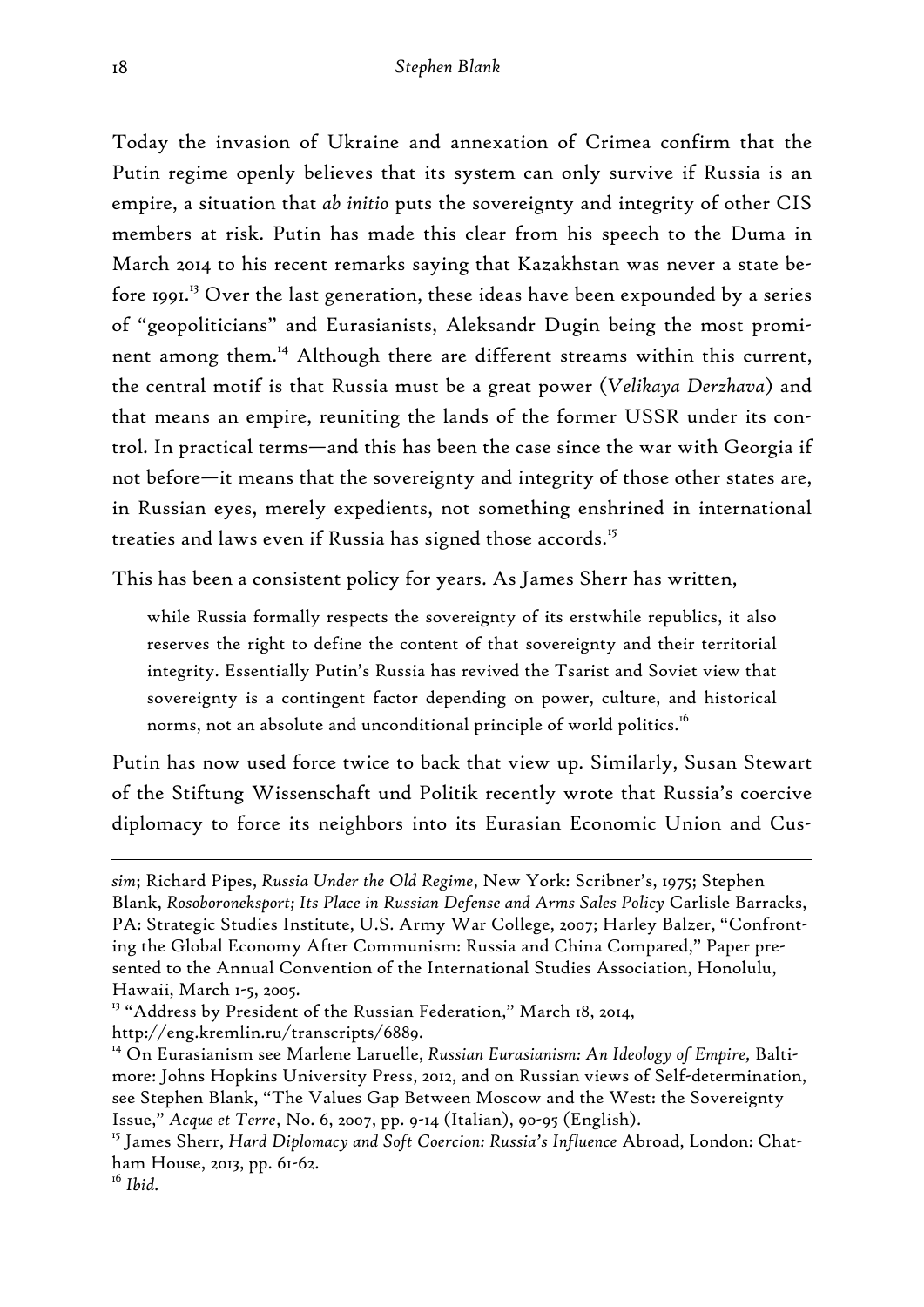Today the invasion of Ukraine and annexation of Crimea confirm that the Putin regime openly believes that its system can only survive if Russia is an empire, a situation that *ab initio* puts the sovereignty and integrity of other CIS members at risk. Putin has made this clear from his speech to the Duma in March 2014 to his recent remarks saying that Kazakhstan was never a state before 1991.<sup>13</sup> Over the last generation, these ideas have been expounded by a series of "geopoliticians" and Eurasianists, Aleksandr Dugin being the most prominent among them.<sup>14</sup> Although there are different streams within this current, the central motif is that Russia must be a great power (*Velikaya Derzhava*) and that means an empire, reuniting the lands of the former USSR under its control. In practical terms—and this has been the case since the war with Georgia if not before—it means that the sovereignty and integrity of those other states are, in Russian eyes, merely expedients, not something enshrined in international treaties and laws even if Russia has signed those accords.<sup>15</sup>

This has been a consistent policy for years. As James Sherr has written,

while Russia formally respects the sovereignty of its erstwhile republics, it also reserves the right to define the content of that sovereignty and their territorial integrity. Essentially Putin's Russia has revived the Tsarist and Soviet view that sovereignty is a contingent factor depending on power, culture, and historical norms, not an absolute and unconditional principle of world politics.<sup>16</sup>

Putin has now used force twice to back that view up. Similarly, Susan Stewart of the Stiftung Wissenschaft und Politik recently wrote that Russia's coercive diplomacy to force its neighbors into its Eurasian Economic Union and Cus-

*sim*; Richard Pipes, *Russia Under the Old Regime*, New York: Scribner's, 1975; Stephen Blank, *Rosoboroneksport; Its Place in Russian Defense and Arms Sales Policy* Carlisle Barracks, PA: Strategic Studies Institute, U.S. Army War College, 2007; Harley Balzer, "Confronting the Global Economy After Communism: Russia and China Compared," Paper presented to the Annual Convention of the International Studies Association, Honolulu, Hawaii, March 1-5, 2005.

<sup>&</sup>lt;sup>13</sup> "Address by President of the Russian Federation," March 18, 2014, http://eng.kremlin.ru/transcripts/6889.

<sup>14</sup> On Eurasianism see Marlene Laruelle, *Russian Eurasianism: An Ideology of Empire,* Baltimore: Johns Hopkins University Press, 2012, and on Russian views of Self-determination, see Stephen Blank, "The Values Gap Between Moscow and the West: the Sovereignty Issue," *Acque et Terre*, No. 6, 2007, pp. 9-14 (Italian), 90-95 (English).

<sup>15</sup> James Sherr, *Hard Diplomacy and Soft Coercion: Russia's Influence* Abroad, London: Chatham House, 2013, pp. 61-62.

<sup>16</sup> *Ibid.*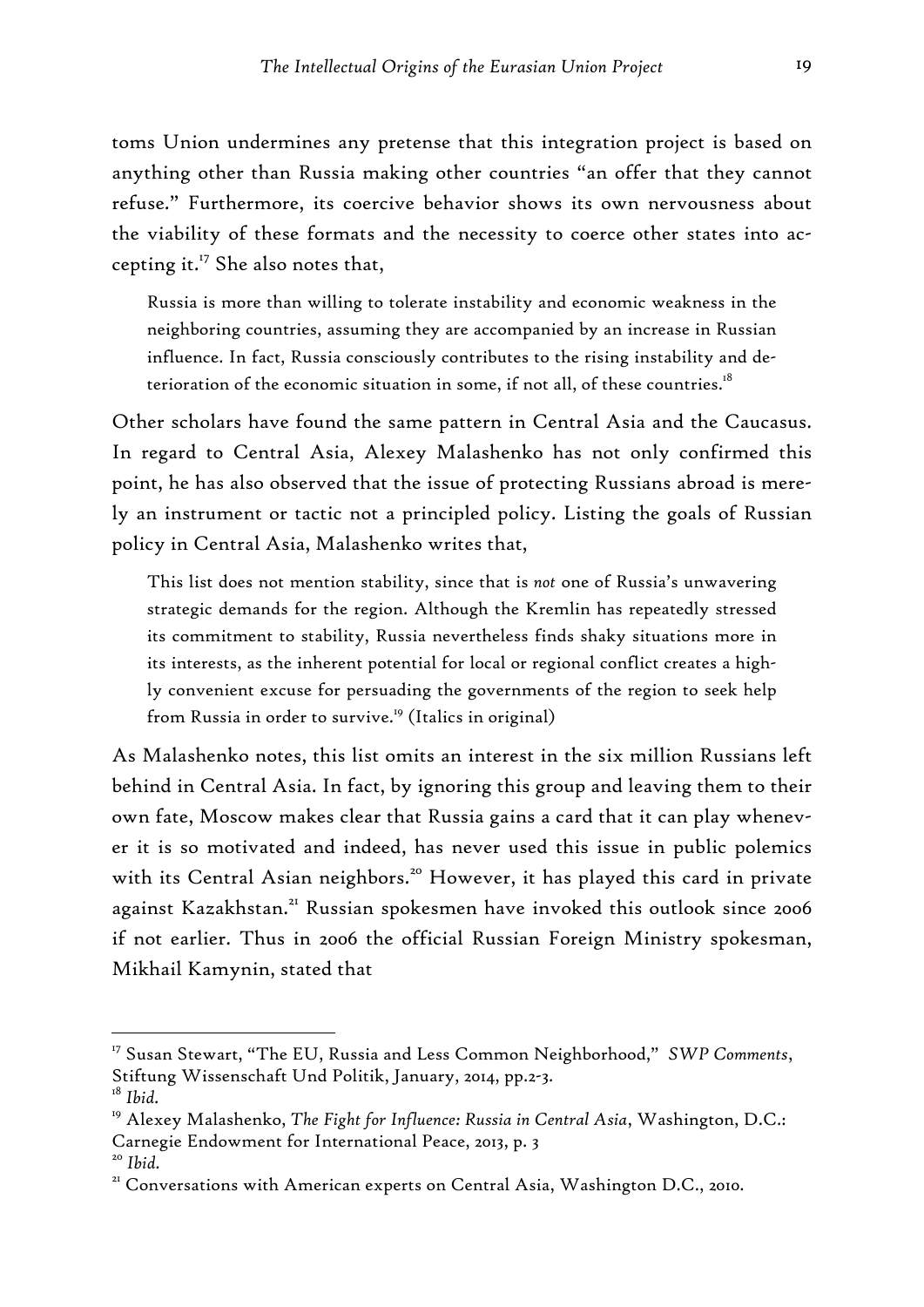toms Union undermines any pretense that this integration project is based on anything other than Russia making other countries "an offer that they cannot refuse." Furthermore, its coercive behavior shows its own nervousness about the viability of these formats and the necessity to coerce other states into accepting it. $^{17}$  She also notes that,

Russia is more than willing to tolerate instability and economic weakness in the neighboring countries, assuming they are accompanied by an increase in Russian influence. In fact, Russia consciously contributes to the rising instability and deterioration of the economic situation in some, if not all, of these countries.<sup>18</sup>

Other scholars have found the same pattern in Central Asia and the Caucasus. In regard to Central Asia, Alexey Malashenko has not only confirmed this point, he has also observed that the issue of protecting Russians abroad is merely an instrument or tactic not a principled policy. Listing the goals of Russian policy in Central Asia, Malashenko writes that,

This list does not mention stability, since that is *not* one of Russia's unwavering strategic demands for the region. Although the Kremlin has repeatedly stressed its commitment to stability, Russia nevertheless finds shaky situations more in its interests, as the inherent potential for local or regional conflict creates a highly convenient excuse for persuading the governments of the region to seek help from Russia in order to survive.<sup>19</sup> (Italics in original)

As Malashenko notes, this list omits an interest in the six million Russians left behind in Central Asia. In fact, by ignoring this group and leaving them to their own fate, Moscow makes clear that Russia gains a card that it can play whenever it is so motivated and indeed, has never used this issue in public polemics with its Central Asian neighbors.<sup>20</sup> However, it has played this card in private against Kazakhstan.<sup>21</sup> Russian spokesmen have invoked this outlook since 2006 if not earlier. Thus in 2006 the official Russian Foreign Ministry spokesman, Mikhail Kamynin, stated that

<sup>17</sup> Susan Stewart, "The EU, Russia and Less Common Neighborhood," *SWP Comments*, Stiftung Wissenschaft Und Politik, January, 2014, pp.2-3.

<sup>18</sup> *Ibid.*

<sup>19</sup> Alexey Malashenko, *The Fight for Influence: Russia in Central Asia*, Washington, D.C.: Carnegie Endowment for International Peace, 2013, p. 3

<sup>&</sup>lt;sup>20</sup> Ibid.<br><sup>21</sup> Conversations with American experts on Central Asia, Washington D.C., 2010.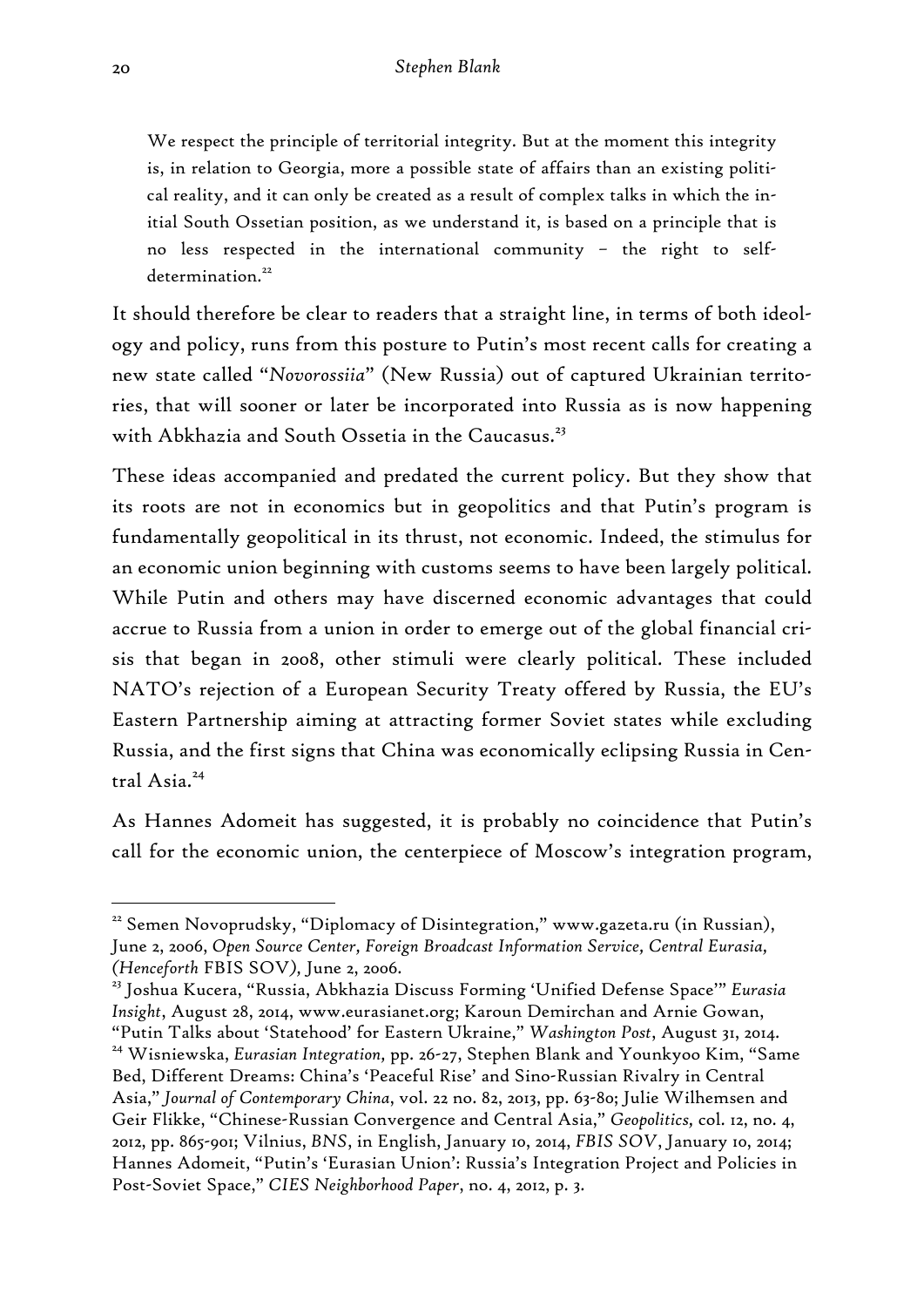We respect the principle of territorial integrity. But at the moment this integrity is, in relation to Georgia, more a possible state of affairs than an existing political reality, and it can only be created as a result of complex talks in which the initial South Ossetian position, as we understand it, is based on a principle that is no less respected in the international community – the right to self $determination<sup>22</sup>$ 

It should therefore be clear to readers that a straight line, in terms of both ideology and policy, runs from this posture to Putin's most recent calls for creating a new state called "*Novorossiia*" (New Russia) out of captured Ukrainian territories, that will sooner or later be incorporated into Russia as is now happening with Abkhazia and South Ossetia in the Caucasus.<sup>23</sup>

These ideas accompanied and predated the current policy. But they show that its roots are not in economics but in geopolitics and that Putin's program is fundamentally geopolitical in its thrust, not economic. Indeed, the stimulus for an economic union beginning with customs seems to have been largely political. While Putin and others may have discerned economic advantages that could accrue to Russia from a union in order to emerge out of the global financial crisis that began in 2008, other stimuli were clearly political. These included NATO's rejection of a European Security Treaty offered by Russia, the EU's Eastern Partnership aiming at attracting former Soviet states while excluding Russia, and the first signs that China was economically eclipsing Russia in Central  $A$ sia<sup>24</sup>

As Hannes Adomeit has suggested, it is probably no coincidence that Putin's call for the economic union, the centerpiece of Moscow's integration program,

<sup>&</sup>lt;sup>22</sup> Semen Novoprudsky, "Diplomacy of Disintegration," www.gazeta.ru (in Russian), June 2, 2006, *Open Source Center, Foreign Broadcast Information Service, Central Eurasia, (Henceforth* FBIS SOV*),* June 2, 2006.

<sup>23</sup> Joshua Kucera, "Russia, Abkhazia Discuss Forming 'Unified Defense Space'" *Eurasia Insight*, August 28, 2014, www.eurasianet.org; Karoun Demirchan and Arnie Gowan, "Putin Talks about 'Statehood' for Eastern Ukraine," *Washington Post*, August 31, 2014. 24 Wisniewska, *Eurasian Integration,* pp. 26-27, Stephen Blank and Younkyoo Kim, "Same Bed, Different Dreams: China's 'Peaceful Rise' and Sino-Russian Rivalry in Central Asia," *Journal of Contemporary China*, vol. 22 no. 82, 2013, pp. 63-80; Julie Wilhemsen and Geir Flikke, "Chinese-Russian Convergence and Central Asia," *Geopolitics,* col. 12, no. 4, 2012, pp. 865-901; Vilnius, *BNS*, in English, January 10, 2014, *FBIS SOV*, January 10, 2014; Hannes Adomeit, "Putin's 'Eurasian Union': Russia's Integration Project and Policies in Post-Soviet Space," *CIES Neighborhood Paper*, no. 4, 2012, p. 3.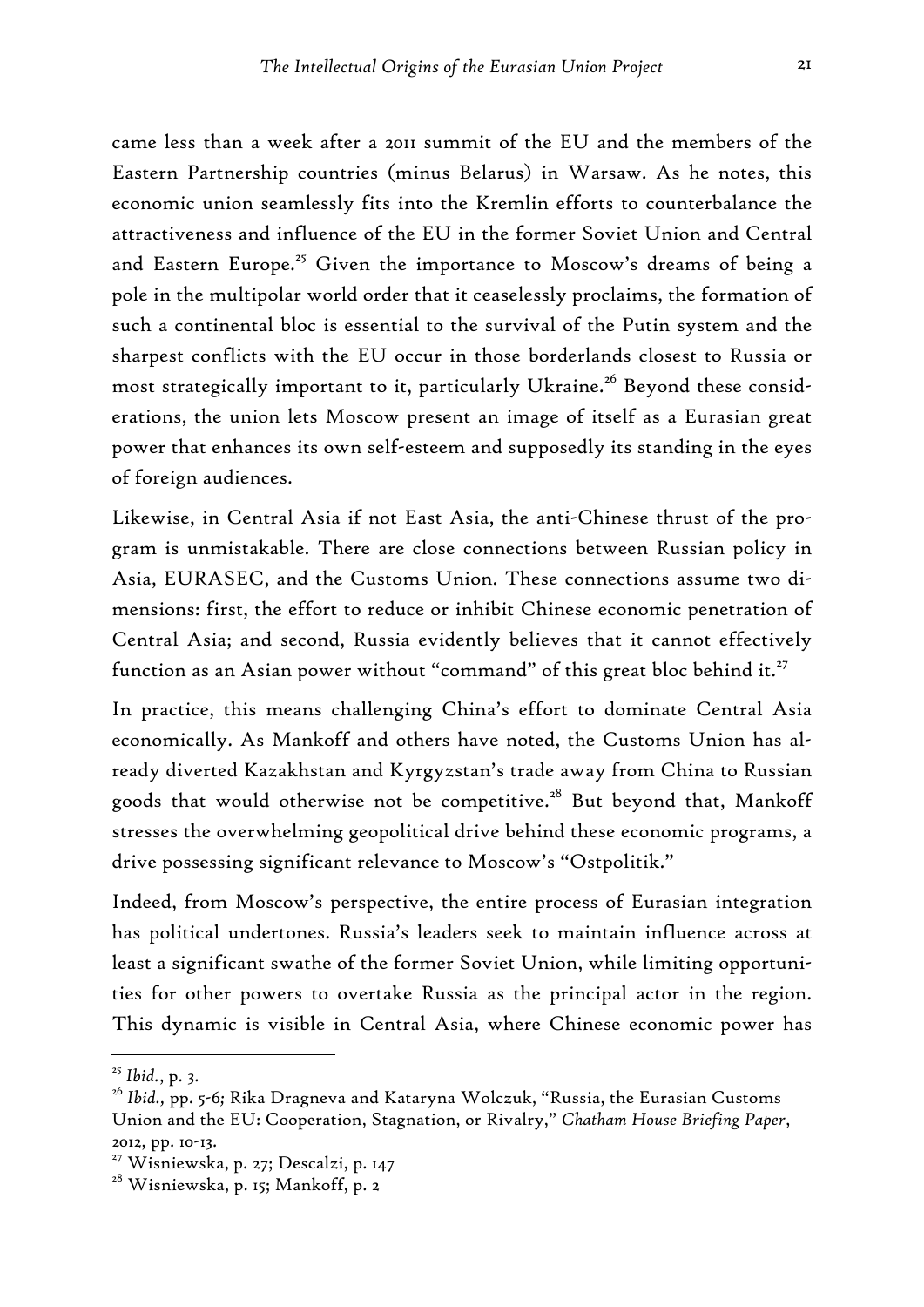came less than a week after a 2011 summit of the EU and the members of the Eastern Partnership countries (minus Belarus) in Warsaw. As he notes, this economic union seamlessly fits into the Kremlin efforts to counterbalance the attractiveness and influence of the EU in the former Soviet Union and Central and Eastern Europe.<sup>25</sup> Given the importance to Moscow's dreams of being a pole in the multipolar world order that it ceaselessly proclaims, the formation of such a continental bloc is essential to the survival of the Putin system and the sharpest conflicts with the EU occur in those borderlands closest to Russia or most strategically important to it, particularly Ukraine.<sup>26</sup> Beyond these considerations, the union lets Moscow present an image of itself as a Eurasian great power that enhances its own self-esteem and supposedly its standing in the eyes of foreign audiences.

Likewise, in Central Asia if not East Asia, the anti-Chinese thrust of the program is unmistakable. There are close connections between Russian policy in Asia, EURASEC, and the Customs Union. These connections assume two dimensions: first, the effort to reduce or inhibit Chinese economic penetration of Central Asia; and second, Russia evidently believes that it cannot effectively function as an Asian power without "command" of this great bloc behind it.<sup>27</sup>

In practice, this means challenging China's effort to dominate Central Asia economically. As Mankoff and others have noted, the Customs Union has already diverted Kazakhstan and Kyrgyzstan's trade away from China to Russian goods that would otherwise not be competitive.<sup>28</sup> But beyond that, Mankoff stresses the overwhelming geopolitical drive behind these economic programs, a drive possessing significant relevance to Moscow's "Ostpolitik."

Indeed, from Moscow's perspective, the entire process of Eurasian integration has political undertones. Russia's leaders seek to maintain influence across at least a significant swathe of the former Soviet Union, while limiting opportunities for other powers to overtake Russia as the principal actor in the region. This dynamic is visible in Central Asia, where Chinese economic power has

<sup>25</sup> *Ibid.*, p. 3.

<sup>26</sup> *Ibid.,* pp. 5-6*;* Rika Dragneva and Kataryna Wolczuk, "Russia, the Eurasian Customs Union and the EU: Cooperation, Stagnation, or Rivalry," *Chatham House Briefing Paper*, 2012, pp. 10-13.

<sup>&</sup>lt;sup>27</sup> Wisniewska, p. 27; Descalzi, p. 147

<sup>&</sup>lt;sup>28</sup> Wisniewska, p. 15; Mankoff, p. 2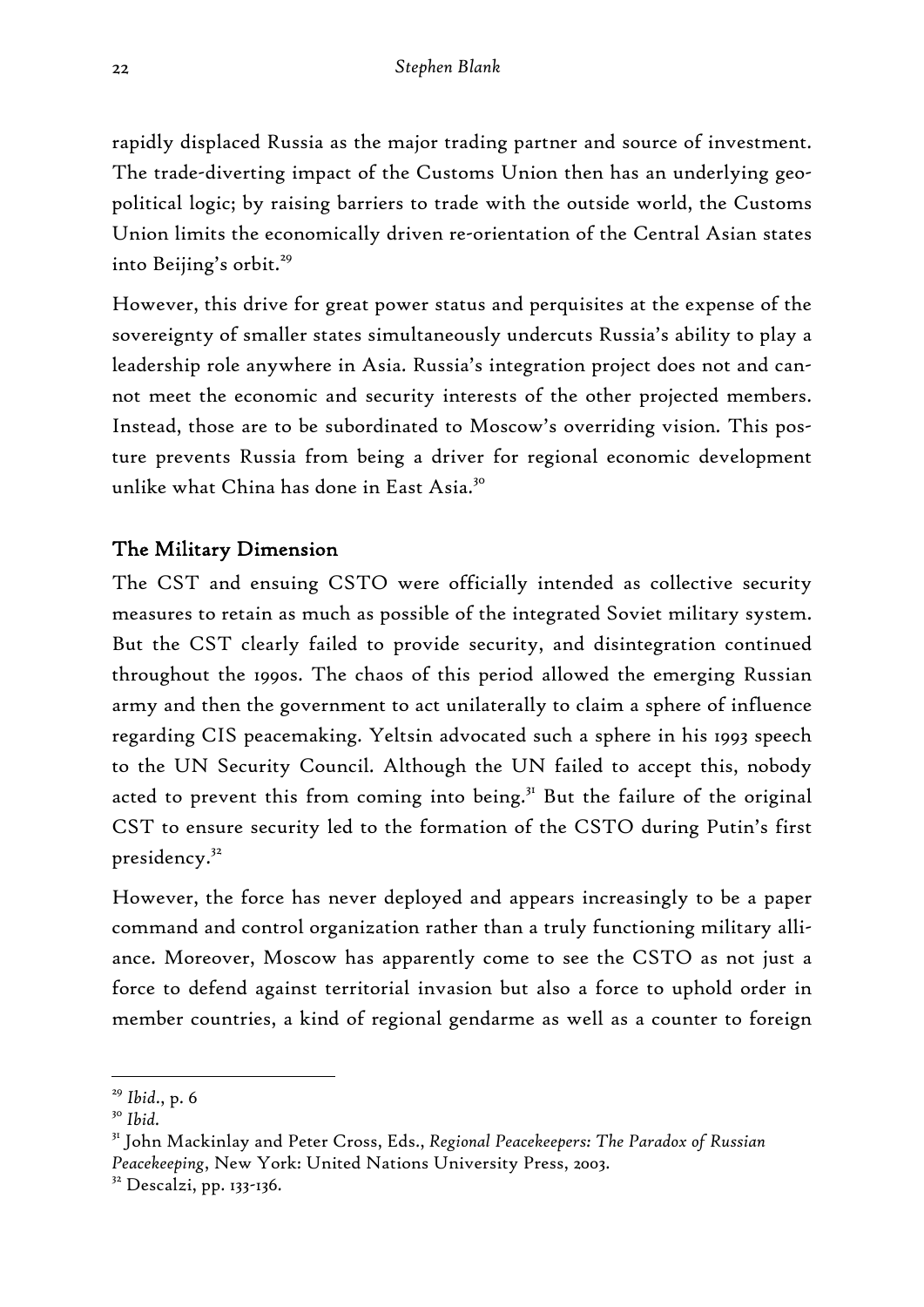rapidly displaced Russia as the major trading partner and source of investment. The trade-diverting impact of the Customs Union then has an underlying geopolitical logic; by raising barriers to trade with the outside world, the Customs Union limits the economically driven re-orientation of the Central Asian states into Beijing's orbit.<sup>29</sup>

However, this drive for great power status and perquisites at the expense of the sovereignty of smaller states simultaneously undercuts Russia's ability to play a leadership role anywhere in Asia. Russia's integration project does not and cannot meet the economic and security interests of the other projected members. Instead, those are to be subordinated to Moscow's overriding vision. This posture prevents Russia from being a driver for regional economic development unlike what China has done in East Asia.<sup>30</sup>

#### The Military Dimension

The CST and ensuing CSTO were officially intended as collective security measures to retain as much as possible of the integrated Soviet military system. But the CST clearly failed to provide security, and disintegration continued throughout the 1990s. The chaos of this period allowed the emerging Russian army and then the government to act unilaterally to claim a sphere of influence regarding CIS peacemaking. Yeltsin advocated such a sphere in his 1993 speech to the UN Security Council. Although the UN failed to accept this, nobody acted to prevent this from coming into being.<sup>31</sup> But the failure of the original CST to ensure security led to the formation of the CSTO during Putin's first presidency.<sup>32</sup>

However, the force has never deployed and appears increasingly to be a paper command and control organization rather than a truly functioning military alliance. Moreover, Moscow has apparently come to see the CSTO as not just a force to defend against territorial invasion but also a force to uphold order in member countries, a kind of regional gendarme as well as a counter to foreign

<sup>29</sup> *Ibid*., p. 6

<sup>30</sup> *Ibid.*

<sup>31</sup> John Mackinlay and Peter Cross, Eds., *Regional Peacekeepers: The Paradox of Russian Peacekeeping*, New York: United Nations University Press, 2003.

<sup>&</sup>lt;sup>32</sup> Descalzi, pp. 133-136.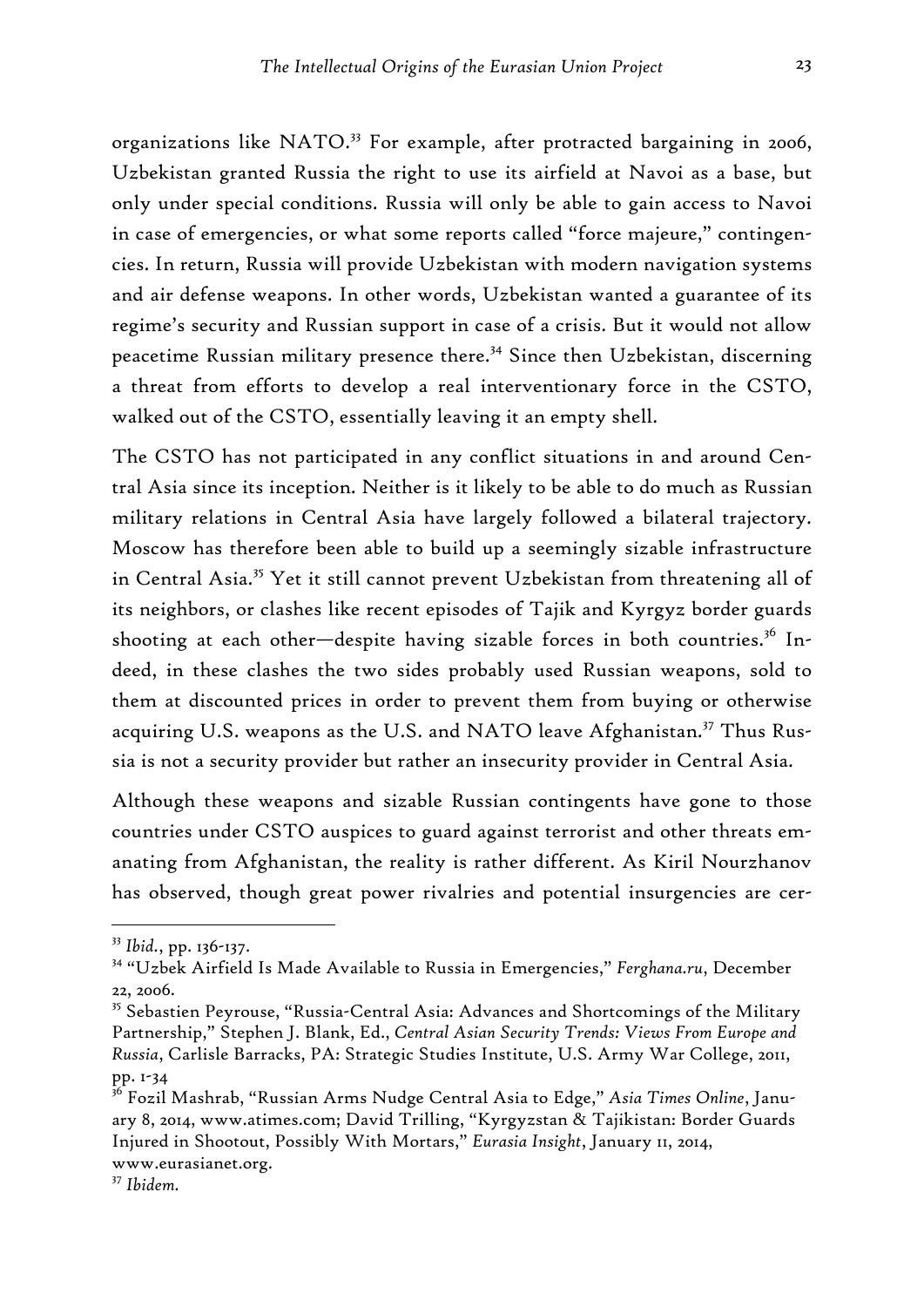organizations like NATO.<sup>33</sup> For example, after protracted bargaining in 2006, Uzbekistan granted Russia the right to use its airfield at Navoi as a base, but only under special conditions. Russia will only be able to gain access to Navoi in case of emergencies, or what some reports called "force majeure," contingencies. In return, Russia will provide Uzbekistan with modern navigation systems and air defense weapons. In other words, Uzbekistan wanted a guarantee of its regime's security and Russian support in case of a crisis. But it would not allow peacetime Russian military presence there.<sup>34</sup> Since then Uzbekistan, discerning a threat from efforts to develop a real interventionary force in the CSTO, walked out of the CSTO, essentially leaving it an empty shell.

The CSTO has not participated in any conflict situations in and around Central Asia since its inception. Neither is it likely to be able to do much as Russian military relations in Central Asia have largely followed a bilateral trajectory. Moscow has therefore been able to build up a seemingly sizable infrastructure in Central Asia.35 Yet it still cannot prevent Uzbekistan from threatening all of its neighbors, or clashes like recent episodes of Tajik and Kyrgyz border guards shooting at each other-despite having sizable forces in both countries.<sup>36</sup> Indeed, in these clashes the two sides probably used Russian weapons, sold to them at discounted prices in order to prevent them from buying or otherwise acquiring U.S. weapons as the U.S. and NATO leave Afghanistan.<sup>37</sup> Thus Russia is not a security provider but rather an insecurity provider in Central Asia.

Although these weapons and sizable Russian contingents have gone to those countries under CSTO auspices to guard against terrorist and other threats emanating from Afghanistan, the reality is rather different. As Kiril Nourzhanov has observed, though great power rivalries and potential insurgencies are cer-

<sup>33</sup> *Ibid.*, pp. 136-137.

<sup>34 &</sup>quot;Uzbek Airfield Is Made Available to Russia in Emergencies," *Ferghana.ru*, December 22, 2006.

<sup>&</sup>lt;sup>35</sup> Sebastien Peyrouse, "Russia-Central Asia: Advances and Shortcomings of the Military Partnership," Stephen J. Blank, Ed., *Central Asian Security Trends: Views From Europe and Russia*, Carlisle Barracks, PA: Strategic Studies Institute, U.S. Army War College, 2011, pp. 1-34

<sup>36</sup> Fozil Mashrab, "Russian Arms Nudge Central Asia to Edge," *Asia Times Online*, January 8, 2014, www.atimes.com; David Trilling, "Kyrgyzstan & Tajikistan: Border Guards Injured in Shootout, Possibly With Mortars," *Eurasia Insight*, January 11, 2014, www.eurasianet.org.

<sup>37</sup> *Ibidem.*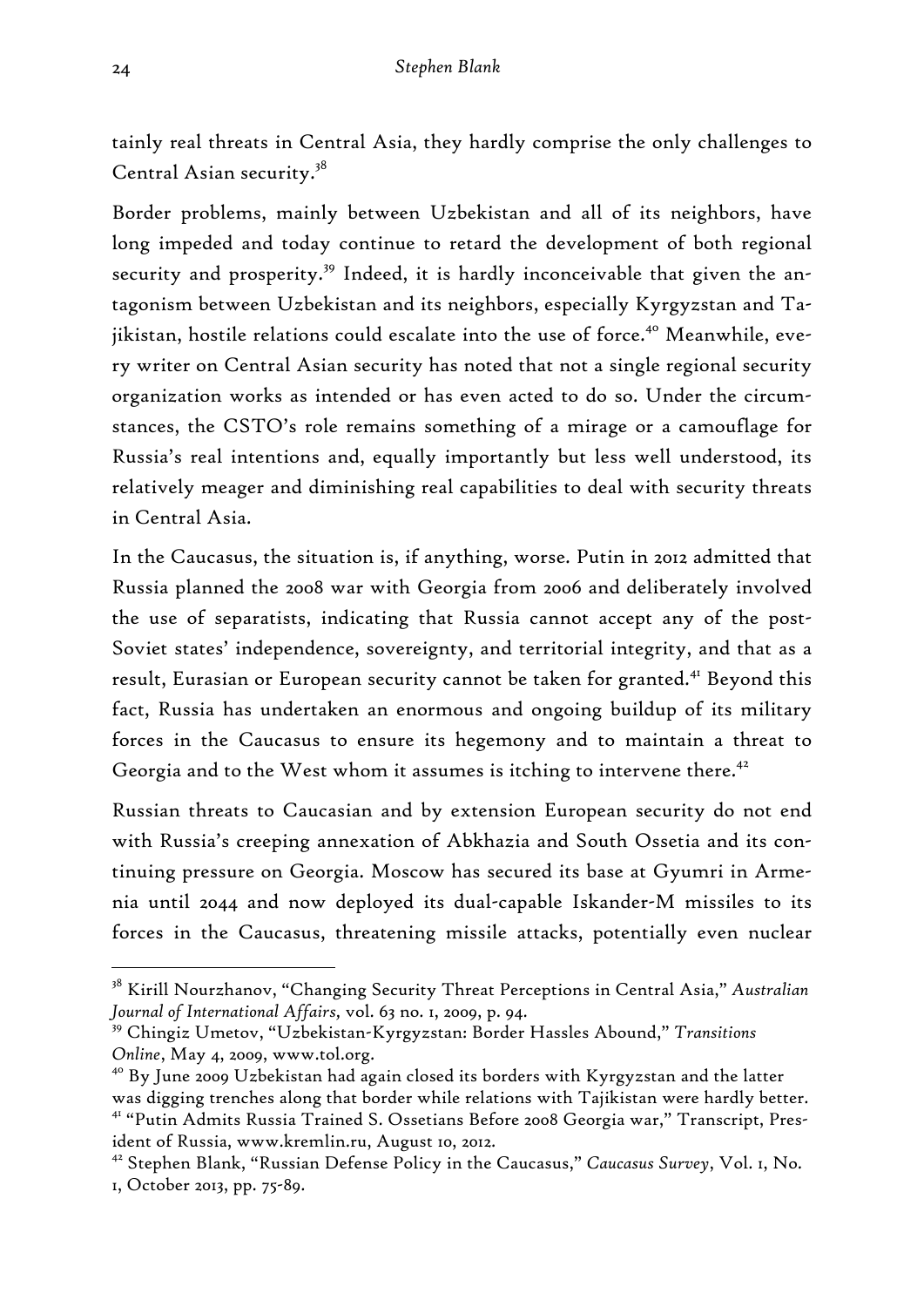tainly real threats in Central Asia, they hardly comprise the only challenges to Central Asian security.38

Border problems, mainly between Uzbekistan and all of its neighbors, have long impeded and today continue to retard the development of both regional security and prosperity.<sup>39</sup> Indeed, it is hardly inconceivable that given the antagonism between Uzbekistan and its neighbors, especially Kyrgyzstan and Tajikistan, hostile relations could escalate into the use of force.<sup>40</sup> Meanwhile, every writer on Central Asian security has noted that not a single regional security organization works as intended or has even acted to do so. Under the circumstances, the CSTO's role remains something of a mirage or a camouflage for Russia's real intentions and, equally importantly but less well understood, its relatively meager and diminishing real capabilities to deal with security threats in Central Asia.

In the Caucasus, the situation is, if anything, worse. Putin in 2012 admitted that Russia planned the 2008 war with Georgia from 2006 and deliberately involved the use of separatists, indicating that Russia cannot accept any of the post-Soviet states' independence, sovereignty, and territorial integrity, and that as a result, Eurasian or European security cannot be taken for granted.<sup>41</sup> Beyond this fact, Russia has undertaken an enormous and ongoing buildup of its military forces in the Caucasus to ensure its hegemony and to maintain a threat to Georgia and to the West whom it assumes is itching to intervene there. $42$ 

Russian threats to Caucasian and by extension European security do not end with Russia's creeping annexation of Abkhazia and South Ossetia and its continuing pressure on Georgia. Moscow has secured its base at Gyumri in Armenia until 2044 and now deployed its dual-capable Iskander-M missiles to its forces in the Caucasus, threatening missile attacks, potentially even nuclear

<sup>38</sup> Kirill Nourzhanov, "Changing Security Threat Perceptions in Central Asia," *Australian Journal of International Affairs,* vol. 63 no. 1, 2009, p. 94.

<sup>39</sup> Chingiz Umetov, "Uzbekistan-Kyrgyzstan: Border Hassles Abound," *Transitions Online*, May 4, 2009, www.tol.org.

<sup>&</sup>lt;sup>40</sup> By June 2009 Uzbekistan had again closed its borders with Kyrgyzstan and the latter was digging trenches along that border while relations with Tajikistan were hardly better. 41 "Putin Admits Russia Trained S. Ossetians Before 2008 Georgia war," Transcript, President of Russia, www.kremlin.ru, August 10, 2012.

<sup>42</sup> Stephen Blank, "Russian Defense Policy in the Caucasus," *Caucasus Survey*, Vol. 1, No. 1, October 2013, pp. 75-89.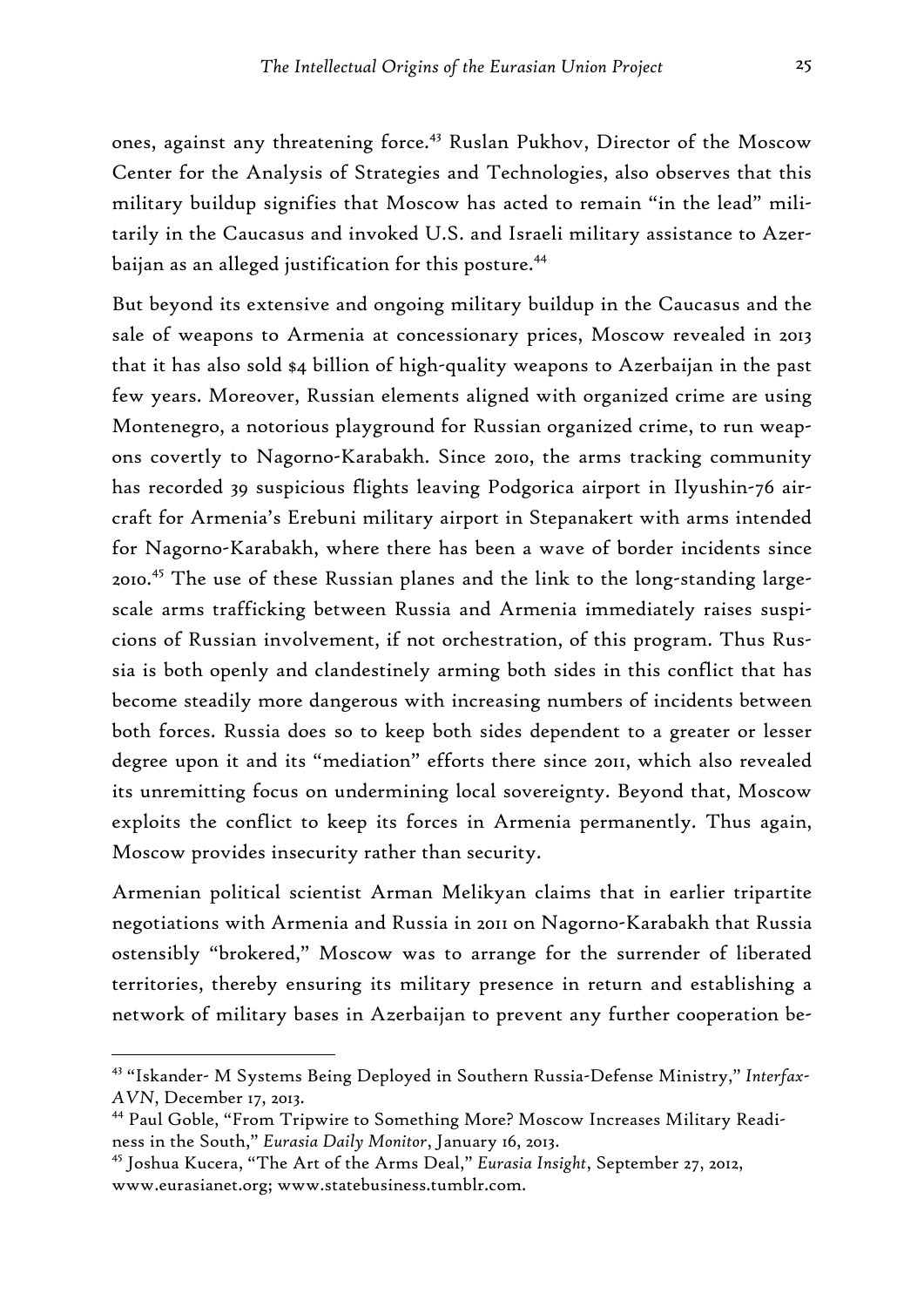ones, against any threatening force.<sup>43</sup> Ruslan Pukhov, Director of the Moscow Center for the Analysis of Strategies and Technologies, also observes that this military buildup signifies that Moscow has acted to remain "in the lead" militarily in the Caucasus and invoked U.S. and Israeli military assistance to Azerbaijan as an alleged justification for this posture.<sup>44</sup>

But beyond its extensive and ongoing military buildup in the Caucasus and the sale of weapons to Armenia at concessionary prices, Moscow revealed in 2013 that it has also sold \$4 billion of high-quality weapons to Azerbaijan in the past few years. Moreover, Russian elements aligned with organized crime are using Montenegro, a notorious playground for Russian organized crime, to run weapons covertly to Nagorno-Karabakh. Since 2010, the arms tracking community has recorded 39 suspicious flights leaving Podgorica airport in Ilyushin-76 aircraft for Armenia's Erebuni military airport in Stepanakert with arms intended for Nagorno-Karabakh, where there has been a wave of border incidents since 2010.45 The use of these Russian planes and the link to the long-standing largescale arms trafficking between Russia and Armenia immediately raises suspicions of Russian involvement, if not orchestration, of this program. Thus Russia is both openly and clandestinely arming both sides in this conflict that has become steadily more dangerous with increasing numbers of incidents between both forces. Russia does so to keep both sides dependent to a greater or lesser degree upon it and its "mediation" efforts there since 2011, which also revealed its unremitting focus on undermining local sovereignty. Beyond that, Moscow exploits the conflict to keep its forces in Armenia permanently. Thus again, Moscow provides insecurity rather than security.

Armenian political scientist Arman Melikyan claims that in earlier tripartite negotiations with Armenia and Russia in 2011 on Nagorno-Karabakh that Russia ostensibly "brokered," Moscow was to arrange for the surrender of liberated territories, thereby ensuring its military presence in return and establishing a network of military bases in Azerbaijan to prevent any further cooperation be-

<sup>43 &</sup>quot;Iskander- M Systems Being Deployed in Southern Russia-Defense Ministry," *Interfax-AVN*, December 17, 2013.

<sup>44</sup> Paul Goble, "From Tripwire to Something More? Moscow Increases Military Readiness in the South," *Eurasia Daily Monitor*, January 16, 2013.

<sup>45</sup> Joshua Kucera, "The Art of the Arms Deal," *Eurasia Insight*, September 27, 2012, www.eurasianet.org; www.statebusiness.tumblr.com.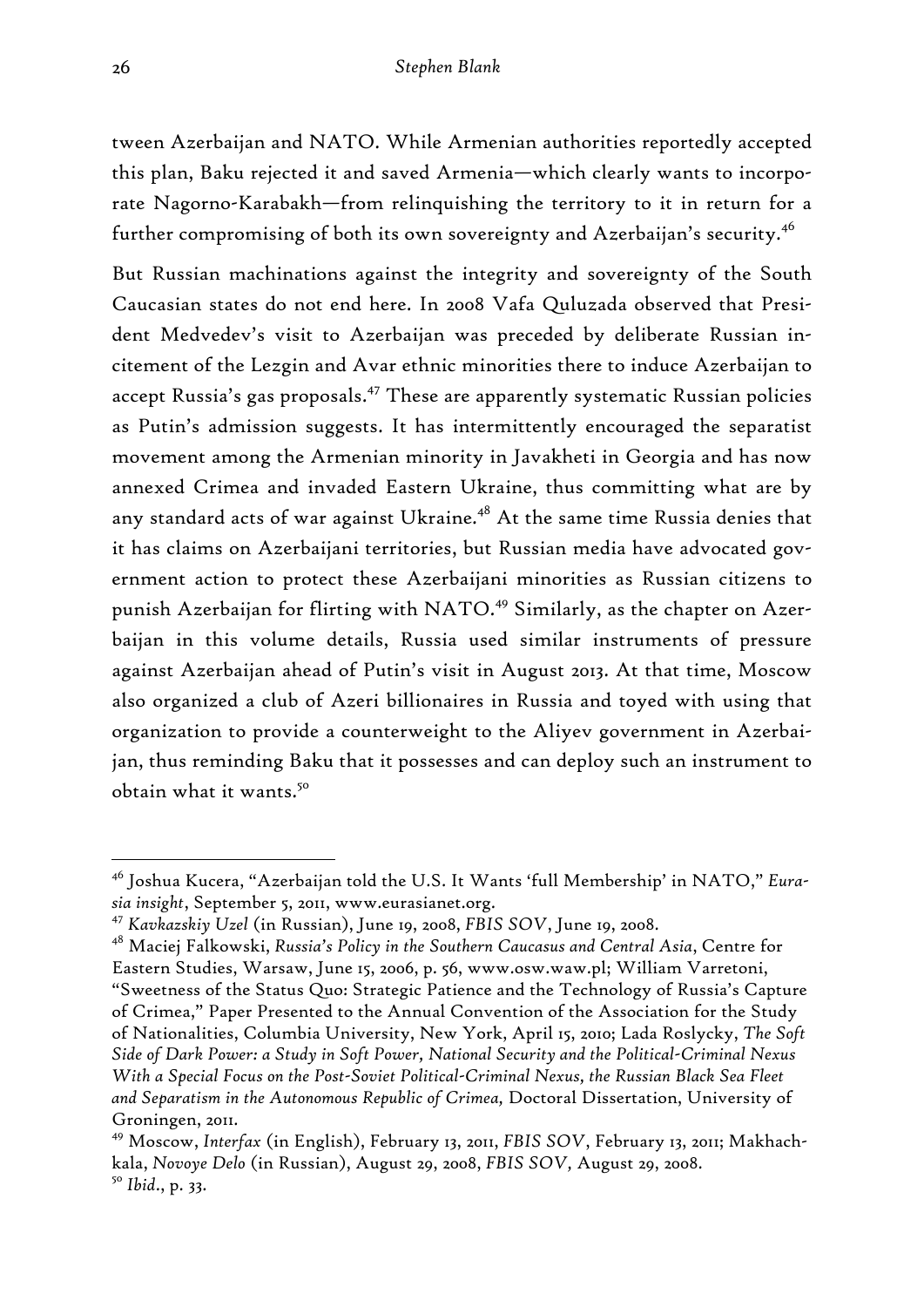tween Azerbaijan and NATO. While Armenian authorities reportedly accepted this plan, Baku rejected it and saved Armenia—which clearly wants to incorporate Nagorno-Karabakh—from relinquishing the territory to it in return for a further compromising of both its own sovereignty and Azerbaijan's security.<sup>46</sup>

But Russian machinations against the integrity and sovereignty of the South Caucasian states do not end here. In 2008 Vafa Quluzada observed that President Medvedev's visit to Azerbaijan was preceded by deliberate Russian incitement of the Lezgin and Avar ethnic minorities there to induce Azerbaijan to accept Russia's gas proposals.<sup>47</sup> These are apparently systematic Russian policies as Putin's admission suggests. It has intermittently encouraged the separatist movement among the Armenian minority in Javakheti in Georgia and has now annexed Crimea and invaded Eastern Ukraine, thus committing what are by any standard acts of war against Ukraine.<sup>48</sup> At the same time Russia denies that it has claims on Azerbaijani territories, but Russian media have advocated government action to protect these Azerbaijani minorities as Russian citizens to punish Azerbaijan for flirting with NATO.<sup>49</sup> Similarly, as the chapter on Azerbaijan in this volume details, Russia used similar instruments of pressure against Azerbaijan ahead of Putin's visit in August 2013. At that time, Moscow also organized a club of Azeri billionaires in Russia and toyed with using that organization to provide a counterweight to the Aliyev government in Azerbaijan, thus reminding Baku that it possesses and can deploy such an instrument to obtain what it wants.50

<sup>46</sup> Joshua Kucera, "Azerbaijan told the U.S. It Wants 'full Membership' in NATO," *Eurasia insight*, September 5, 2011, www.eurasianet.org.

<sup>47</sup> *Kavkazskiy Uzel* (in Russian), June 19, 2008, *FBIS SOV*, June 19, 2008.

<sup>48</sup> Maciej Falkowski, *Russia's Policy in the Southern Caucasus and Central Asia*, Centre for Eastern Studies, Warsaw, June 15, 2006, p. 56, www.osw.waw.pl; William Varretoni, "Sweetness of the Status Quo: Strategic Patience and the Technology of Russia's Capture of Crimea," Paper Presented to the Annual Convention of the Association for the Study of Nationalities, Columbia University, New York, April 15, 2010; Lada Roslycky, *The Soft Side of Dark Power: a Study in Soft Power, National Security and the Political-Criminal Nexus With a Special Focus on the Post-Soviet Political-Criminal Nexus, the Russian Black Sea Fleet and Separatism in the Autonomous Republic of Crimea,* Doctoral Dissertation, University of Groningen, 2011.

<sup>49</sup> Moscow, *Interfax* (in English), February 13, 2011, *FBIS SOV*, February 13, 2011; Makhachkala, *Novoye Delo* (in Russian), August 29, 2008, *FBIS SOV,* August 29, 2008. <sup>50</sup> *Ibid*., p. 33.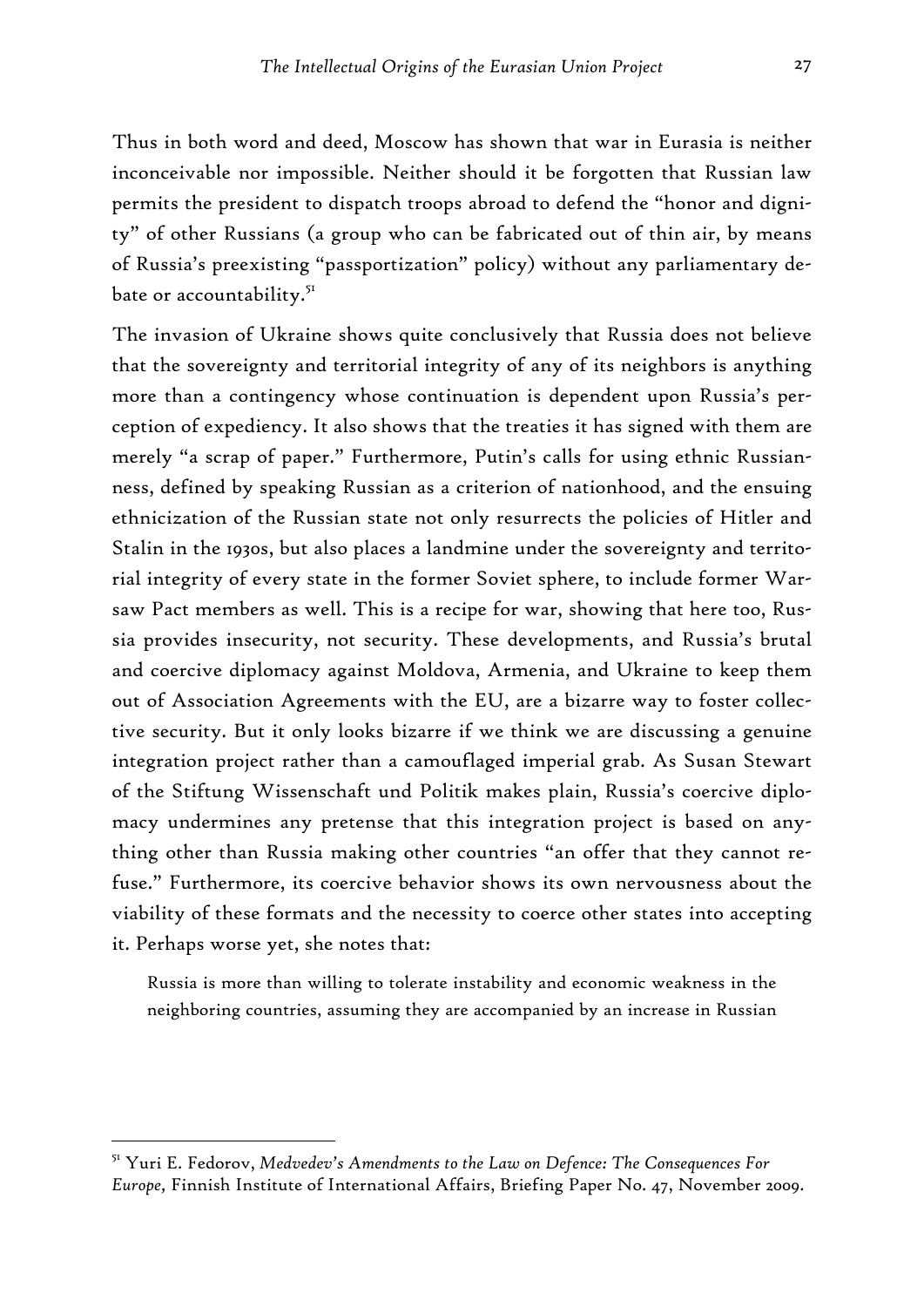Thus in both word and deed, Moscow has shown that war in Eurasia is neither inconceivable nor impossible. Neither should it be forgotten that Russian law permits the president to dispatch troops abroad to defend the "honor and dignity" of other Russians (a group who can be fabricated out of thin air, by means of Russia's preexisting "passportization" policy) without any parliamentary debate or accountability.<sup>51</sup>

The invasion of Ukraine shows quite conclusively that Russia does not believe that the sovereignty and territorial integrity of any of its neighbors is anything more than a contingency whose continuation is dependent upon Russia's perception of expediency. It also shows that the treaties it has signed with them are merely "a scrap of paper." Furthermore, Putin's calls for using ethnic Russianness, defined by speaking Russian as a criterion of nationhood, and the ensuing ethnicization of the Russian state not only resurrects the policies of Hitler and Stalin in the 1930s, but also places a landmine under the sovereignty and territorial integrity of every state in the former Soviet sphere, to include former Warsaw Pact members as well. This is a recipe for war, showing that here too, Russia provides insecurity, not security. These developments, and Russia's brutal and coercive diplomacy against Moldova, Armenia, and Ukraine to keep them out of Association Agreements with the EU, are a bizarre way to foster collective security. But it only looks bizarre if we think we are discussing a genuine integration project rather than a camouflaged imperial grab. As Susan Stewart of the Stiftung Wissenschaft und Politik makes plain, Russia's coercive diplomacy undermines any pretense that this integration project is based on anything other than Russia making other countries "an offer that they cannot refuse." Furthermore, its coercive behavior shows its own nervousness about the viability of these formats and the necessity to coerce other states into accepting it. Perhaps worse yet, she notes that:

Russia is more than willing to tolerate instability and economic weakness in the neighboring countries, assuming they are accompanied by an increase in Russian

<sup>51</sup> Yuri E. Fedorov, *Medvedev's Amendments to the Law on Defence: The Consequences For Europe,* Finnish Institute of International Affairs, Briefing Paper No. 47, November 2009.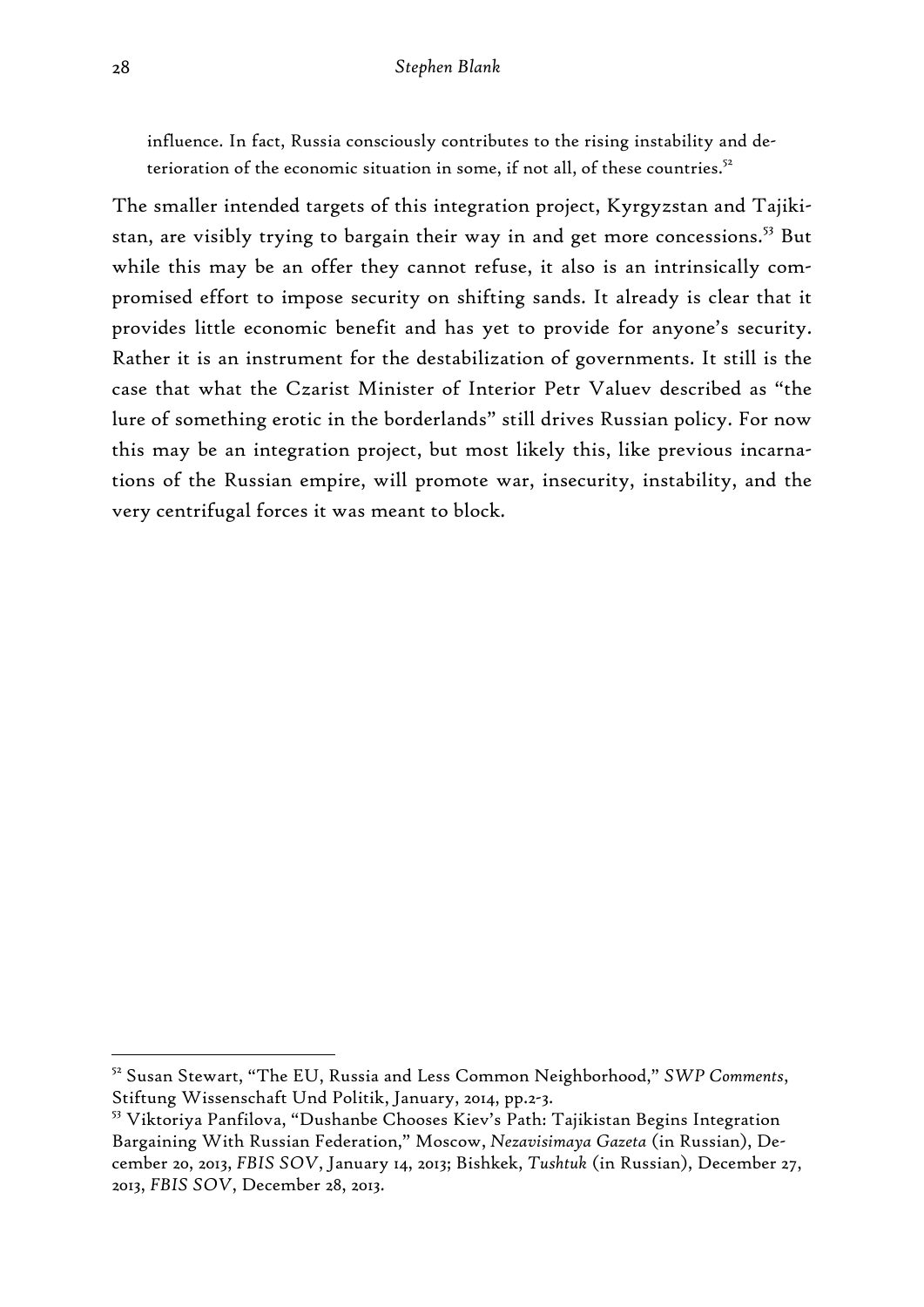influence. In fact, Russia consciously contributes to the rising instability and deterioration of the economic situation in some, if not all, of these countries.<sup>52</sup>

The smaller intended targets of this integration project, Kyrgyzstan and Tajikistan, are visibly trying to bargain their way in and get more concessions.<sup>53</sup> But while this may be an offer they cannot refuse, it also is an intrinsically compromised effort to impose security on shifting sands. It already is clear that it provides little economic benefit and has yet to provide for anyone's security. Rather it is an instrument for the destabilization of governments. It still is the case that what the Czarist Minister of Interior Petr Valuev described as "the lure of something erotic in the borderlands" still drives Russian policy. For now this may be an integration project, but most likely this, like previous incarnations of the Russian empire, will promote war, insecurity, instability, and the very centrifugal forces it was meant to block.

<sup>52</sup> Susan Stewart, "The EU, Russia and Less Common Neighborhood," *SWP Comments*, Stiftung Wissenschaft Und Politik, January, 2014, pp.2-3.

<sup>53</sup> Viktoriya Panfilova, "Dushanbe Chooses Kiev's Path: Tajikistan Begins Integration Bargaining With Russian Federation," Moscow, *Nezavisimaya Gazeta* (in Russian), December 20, 2013, *FBIS SOV*, January 14, 2013; Bishkek, *Tushtuk* (in Russian), December 27, 2013, *FBIS SOV*, December 28, 2013.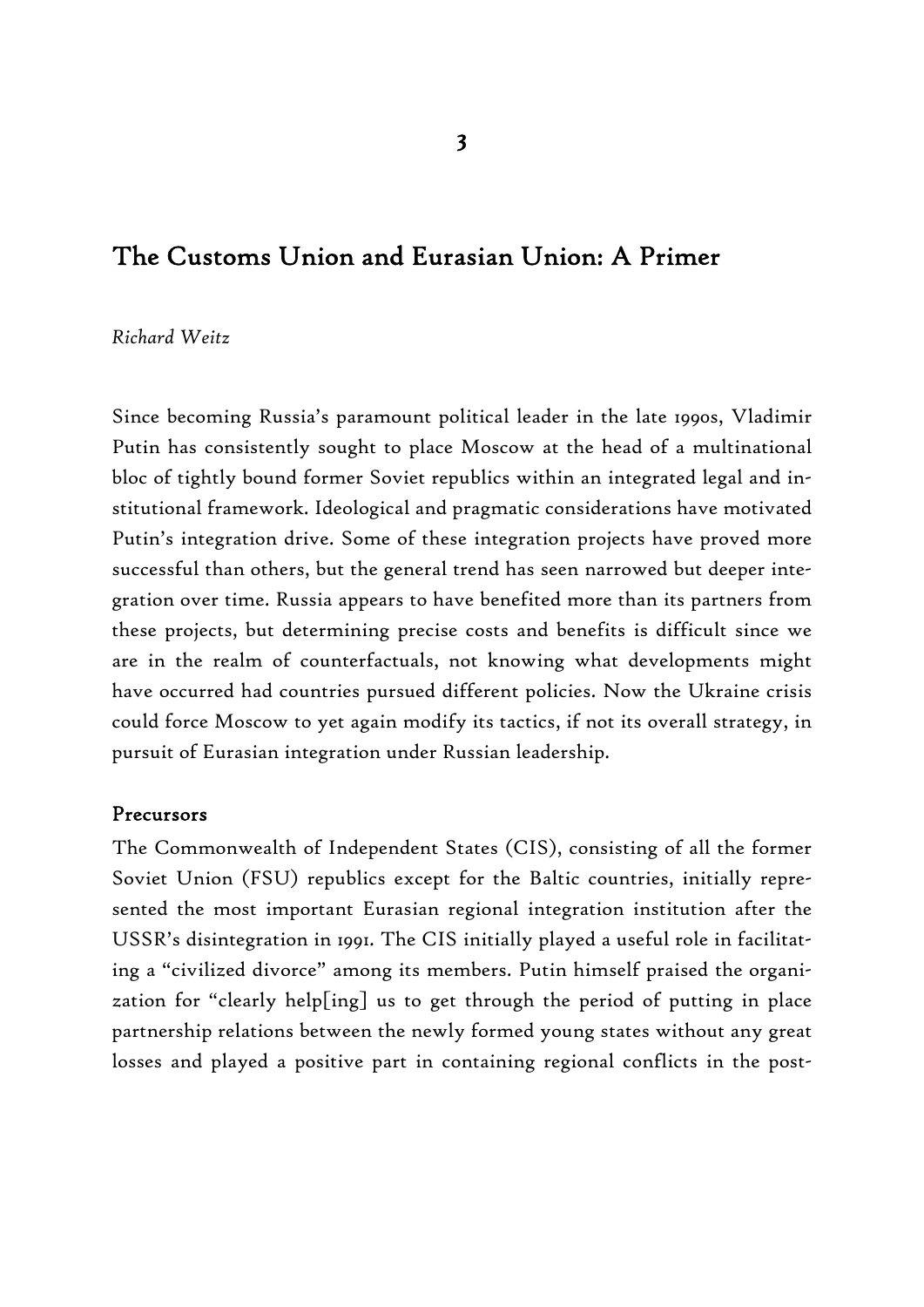### The Customs Union and Eurasian Union: A Primer

#### *Richard Weitz*

Since becoming Russia's paramount political leader in the late 1990s, Vladimir Putin has consistently sought to place Moscow at the head of a multinational bloc of tightly bound former Soviet republics within an integrated legal and institutional framework. Ideological and pragmatic considerations have motivated Putin's integration drive. Some of these integration projects have proved more successful than others, but the general trend has seen narrowed but deeper integration over time. Russia appears to have benefited more than its partners from these projects, but determining precise costs and benefits is difficult since we are in the realm of counterfactuals, not knowing what developments might have occurred had countries pursued different policies. Now the Ukraine crisis could force Moscow to yet again modify its tactics, if not its overall strategy, in pursuit of Eurasian integration under Russian leadership.

#### Precursors

The Commonwealth of Independent States (CIS), consisting of all the former Soviet Union (FSU) republics except for the Baltic countries, initially represented the most important Eurasian regional integration institution after the USSR's disintegration in 1991. The CIS initially played a useful role in facilitating a "civilized divorce" among its members. Putin himself praised the organization for "clearly help[ing] us to get through the period of putting in place partnership relations between the newly formed young states without any great losses and played a positive part in containing regional conflicts in the post-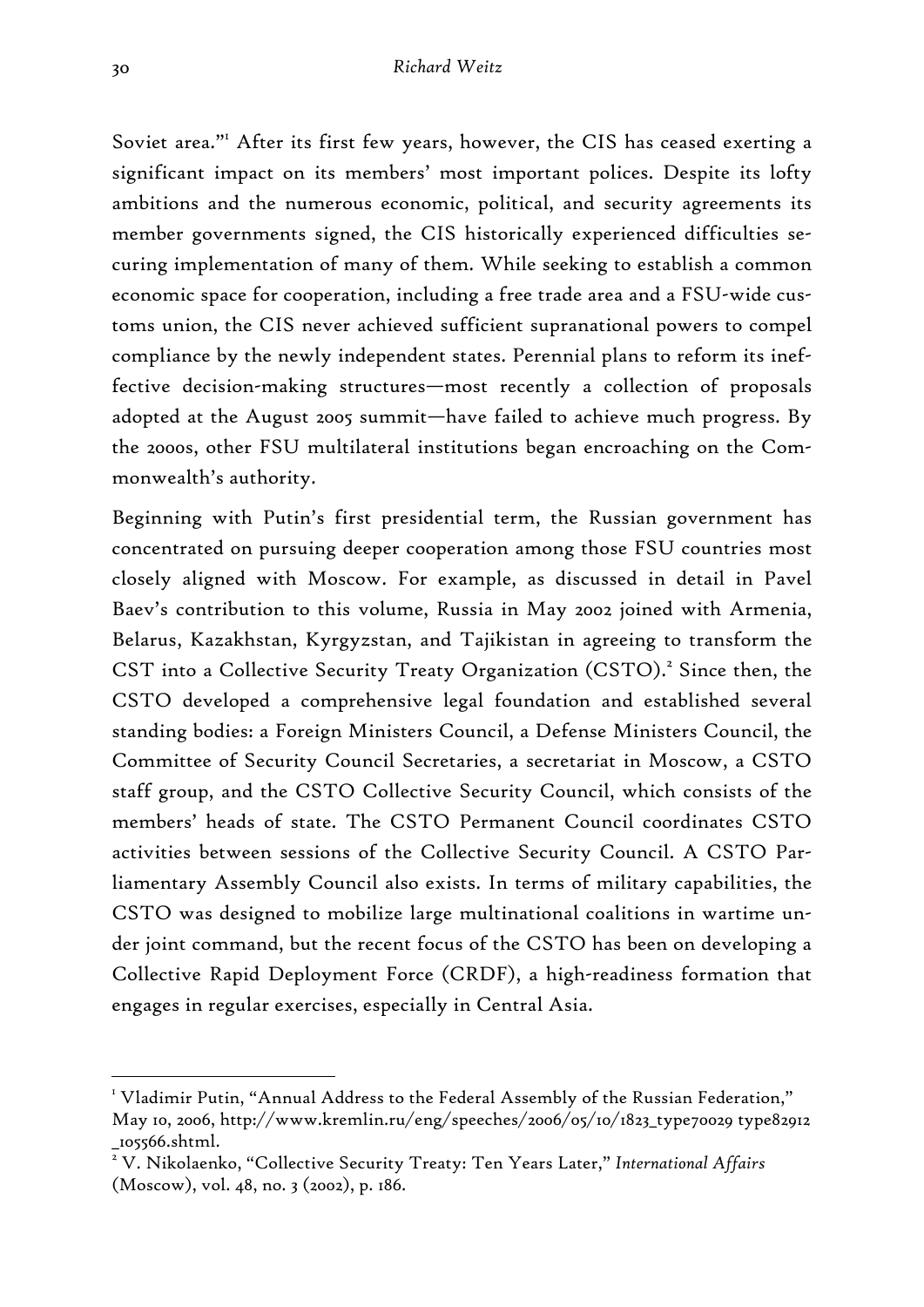Soviet area."<sup>I</sup> After its first few years, however, the CIS has ceased exerting a significant impact on its members' most important polices. Despite its lofty ambitions and the numerous economic, political, and security agreements its member governments signed, the CIS historically experienced difficulties securing implementation of many of them. While seeking to establish a common economic space for cooperation, including a free trade area and a FSU-wide customs union, the CIS never achieved sufficient supranational powers to compel compliance by the newly independent states. Perennial plans to reform its ineffective decision-making structures—most recently a collection of proposals adopted at the August 2005 summit—have failed to achieve much progress. By the 2000s, other FSU multilateral institutions began encroaching on the Commonwealth's authority.

Beginning with Putin's first presidential term, the Russian government has concentrated on pursuing deeper cooperation among those FSU countries most closely aligned with Moscow. For example, as discussed in detail in Pavel Baev's contribution to this volume, Russia in May 2002 joined with Armenia, Belarus, Kazakhstan, Kyrgyzstan, and Tajikistan in agreeing to transform the CST into a Collective Security Treaty Organization (CSTO).<sup>2</sup> Since then, the CSTO developed a comprehensive legal foundation and established several standing bodies: a Foreign Ministers Council, a Defense Ministers Council, the Committee of Security Council Secretaries, a secretariat in Moscow, a CSTO staff group, and the CSTO Collective Security Council, which consists of the members' heads of state. The CSTO Permanent Council coordinates CSTO activities between sessions of the Collective Security Council. A CSTO Parliamentary Assembly Council also exists. In terms of military capabilities, the CSTO was designed to mobilize large multinational coalitions in wartime under joint command, but the recent focus of the CSTO has been on developing a Collective Rapid Deployment Force (CRDF), a high-readiness formation that engages in regular exercises, especially in Central Asia.

<sup>&</sup>lt;sup>1</sup> Vladimir Putin, "Annual Address to the Federal Assembly of the Russian Federation," May 10, 2006, http://www.kremlin.ru/eng/speeches/2006/05/10/1823\_type70029 type82912 \_105566.shtml.

<sup>2</sup> V. Nikolaenko, "Collective Security Treaty: Ten Years Later," *International Affairs* (Moscow), vol. 48, no. 3 (2002), p. 186.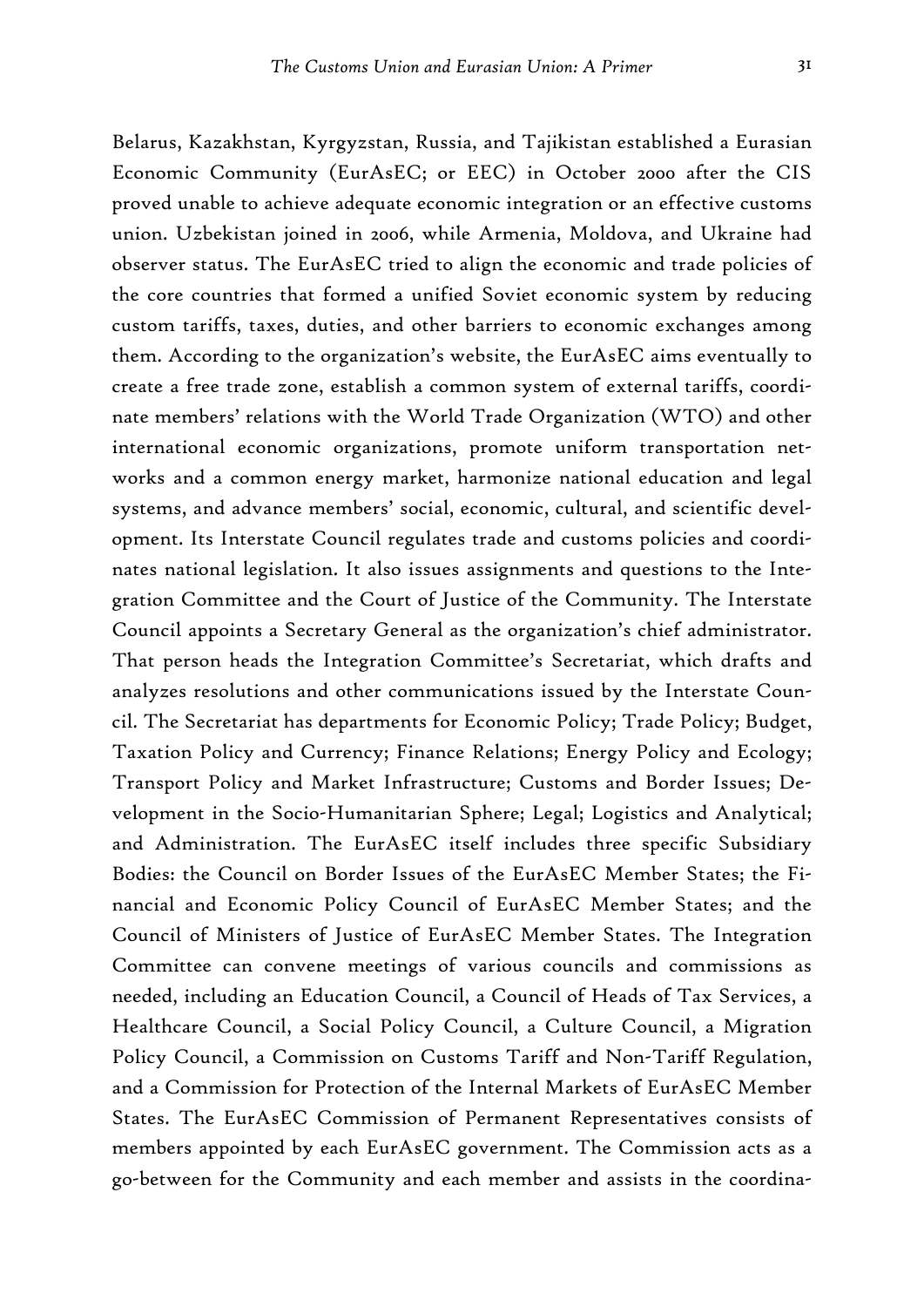Belarus, Kazakhstan, Kyrgyzstan, Russia, and Tajikistan established a Eurasian Economic Community (EurAsEC; or EEC) in October 2000 after the CIS proved unable to achieve adequate economic integration or an effective customs union. Uzbekistan joined in 2006, while Armenia, Moldova, and Ukraine had observer status. The EurAsEC tried to align the economic and trade policies of the core countries that formed a unified Soviet economic system by reducing custom tariffs, taxes, duties, and other barriers to economic exchanges among them. According to the organization's website, the EurAsEC aims eventually to create a free trade zone, establish a common system of external tariffs, coordinate members' relations with the World Trade Organization (WTO) and other international economic organizations, promote uniform transportation networks and a common energy market, harmonize national education and legal systems, and advance members' social, economic, cultural, and scientific development. Its Interstate Council regulates trade and customs policies and coordinates national legislation. It also issues assignments and questions to the Integration Committee and the Court of Justice of the Community. The Interstate Council appoints a Secretary General as the organization's chief administrator. That person heads the Integration Committee's Secretariat, which drafts and analyzes resolutions and other communications issued by the Interstate Council. The Secretariat has departments for Economic Policy; Trade Policy; Budget, Taxation Policy and Currency; Finance Relations; Energy Policy and Ecology; Transport Policy and Market Infrastructure; Customs and Border Issues; Development in the Socio-Humanitarian Sphere; Legal; Logistics and Analytical; and Administration. The EurAsEC itself includes three specific Subsidiary Bodies: the Council on Border Issues of the EurAsEC Member States; the Financial and Economic Policy Council of EurAsEC Member States; and the Council of Ministers of Justice of EurAsEC Member States. The Integration Committee can convene meetings of various councils and commissions as needed, including an Education Council, a Council of Heads of Tax Services, a Healthcare Council, a Social Policy Council, a Culture Council, a Migration Policy Council, a Commission on Customs Tariff and Non-Tariff Regulation, and a Commission for Protection of the Internal Markets of EurAsEC Member States. The EurAsEC Commission of Permanent Representatives consists of members appointed by each EurAsEC government. The Commission acts as a go-between for the Community and each member and assists in the coordina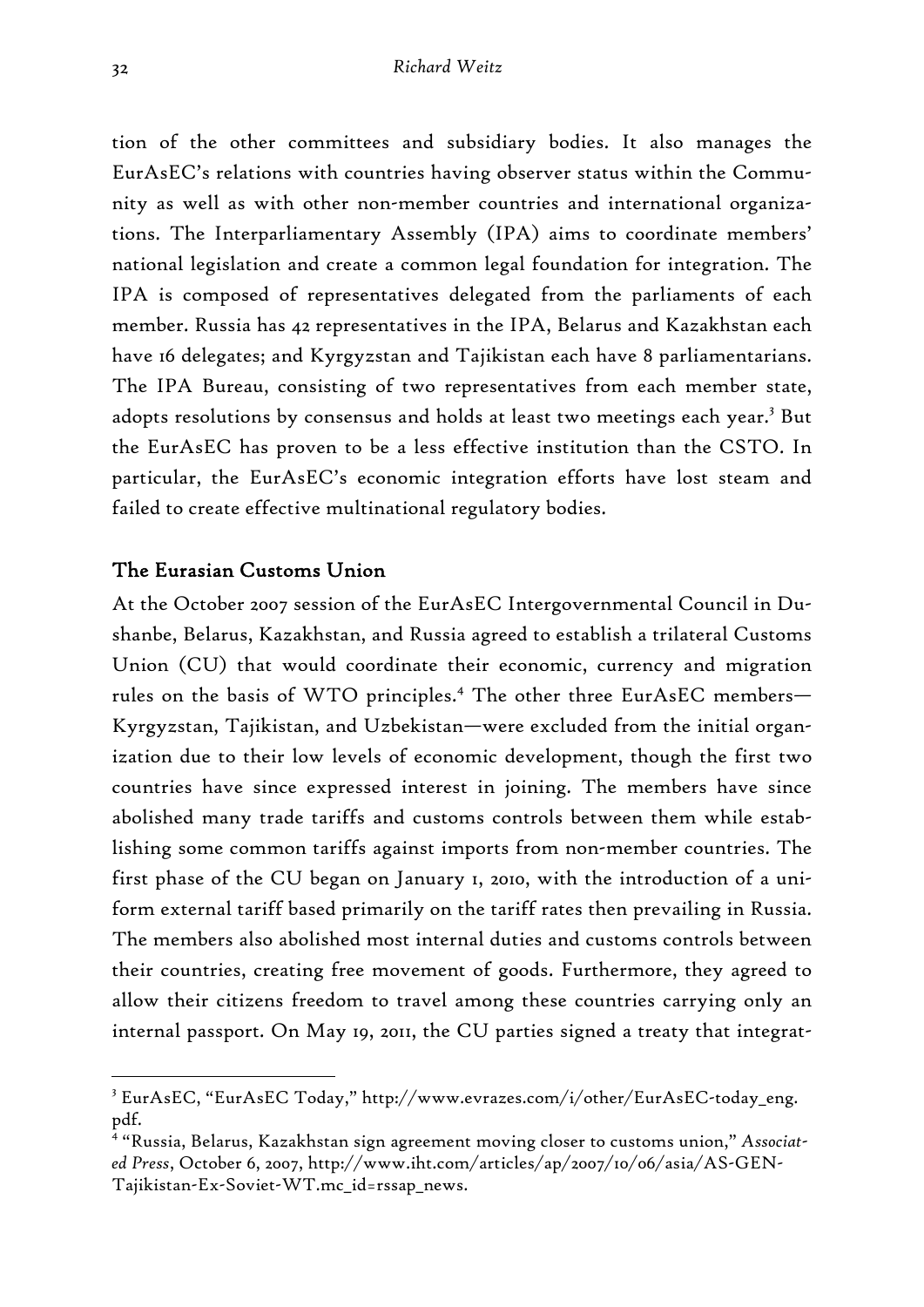tion of the other committees and subsidiary bodies. It also manages the EurAsEC's relations with countries having observer status within the Community as well as with other non-member countries and international organizations. The Interparliamentary Assembly (IPA) aims to coordinate members' national legislation and create a common legal foundation for integration. The IPA is composed of representatives delegated from the parliaments of each member. Russia has 42 representatives in the IPA, Belarus and Kazakhstan each have 16 delegates; and Kyrgyzstan and Tajikistan each have 8 parliamentarians. The IPA Bureau, consisting of two representatives from each member state, adopts resolutions by consensus and holds at least two meetings each year.<sup>3</sup> But the EurAsEC has proven to be a less effective institution than the CSTO. In particular, the EurAsEC's economic integration efforts have lost steam and failed to create effective multinational regulatory bodies.

#### The Eurasian Customs Union

At the October 2007 session of the EurAsEC Intergovernmental Council in Dushanbe, Belarus, Kazakhstan, and Russia agreed to establish a trilateral Customs Union (CU) that would coordinate their economic, currency and migration rules on the basis of WTO principles.<sup>4</sup> The other three EurAsEC members— Kyrgyzstan, Tajikistan, and Uzbekistan—were excluded from the initial organization due to their low levels of economic development, though the first two countries have since expressed interest in joining. The members have since abolished many trade tariffs and customs controls between them while establishing some common tariffs against imports from non-member countries. The first phase of the CU began on January 1, 2010, with the introduction of a uniform external tariff based primarily on the tariff rates then prevailing in Russia. The members also abolished most internal duties and customs controls between their countries, creating free movement of goods. Furthermore, they agreed to allow their citizens freedom to travel among these countries carrying only an internal passport. On May 19, 2011, the CU parties signed a treaty that integrat-

<sup>3</sup> EurAsEC, "EurAsEC Today," http://www.evrazes.com/i/other/EurAsEC-today\_eng. pdf.

<sup>4</sup> "Russia, Belarus, Kazakhstan sign agreement moving closer to customs union," *Associated Press*, October 6, 2007, http://www.iht.com/articles/ap/2007/10/06/asia/AS-GEN-Tajikistan-Ex-Soviet-WT.mc\_id=rssap\_news.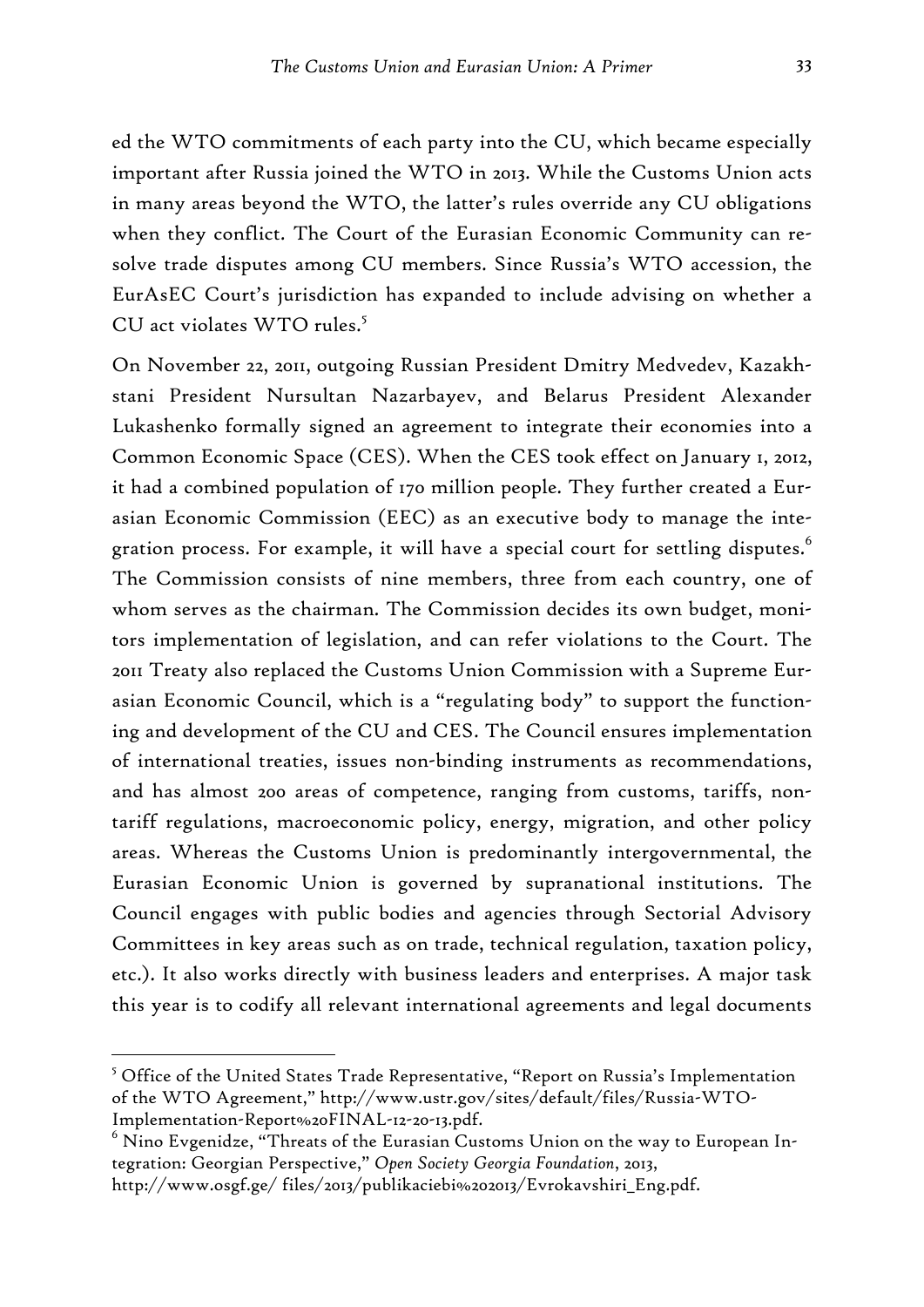ed the WTO commitments of each party into the CU, which became especially important after Russia joined the WTO in 2013. While the Customs Union acts in many areas beyond the WTO, the latter's rules override any CU obligations when they conflict. The Court of the Eurasian Economic Community can resolve trade disputes among CU members. Since Russia's WTO accession, the EurAsEC Court's jurisdiction has expanded to include advising on whether a CU act violates WTO rules.<sup>5</sup>

On November 22, 2011, outgoing Russian President Dmitry Medvedev, Kazakhstani President Nursultan Nazarbayev, and Belarus President Alexander Lukashenko formally signed an agreement to integrate their economies into a Common Economic Space (CES). When the CES took effect on January 1, 2012, it had a combined population of 170 million people. They further created a Eurasian Economic Commission (EEC) as an executive body to manage the integration process. For example, it will have a special court for settling disputes.<sup>6</sup> The Commission consists of nine members, three from each country, one of whom serves as the chairman. The Commission decides its own budget, monitors implementation of legislation, and can refer violations to the Court. The 2011 Treaty also replaced the Customs Union Commission with a Supreme Eurasian Economic Council, which is a "regulating body" to support the functioning and development of the CU and CES. The Council ensures implementation of international treaties, issues non-binding instruments as recommendations, and has almost 200 areas of competence, ranging from customs, tariffs, nontariff regulations, macroeconomic policy, energy, migration, and other policy areas. Whereas the Customs Union is predominantly intergovernmental, the Eurasian Economic Union is governed by supranational institutions. The Council engages with public bodies and agencies through Sectorial Advisory Committees in key areas such as on trade, technical regulation, taxation policy, etc.). It also works directly with business leaders and enterprises. A major task this year is to codify all relevant international agreements and legal documents

 $5$  Office of the United States Trade Representative, "Report on Russia's Implementation of the WTO Agreement," http://www.ustr.gov/sites/default/files/Russia-WTO-Implementation-Report%20FINAL-12-20-13.pdf.

 $^6$  Nino Evgenidze, "Threats of the Eurasian Customs Union on the way to European Integration: Georgian Perspective," *Open Society Georgia Foundation*, 2013,

http://www.osgf.ge/ files/2013/publikaciebi%202013/Evrokavshiri\_Eng.pdf.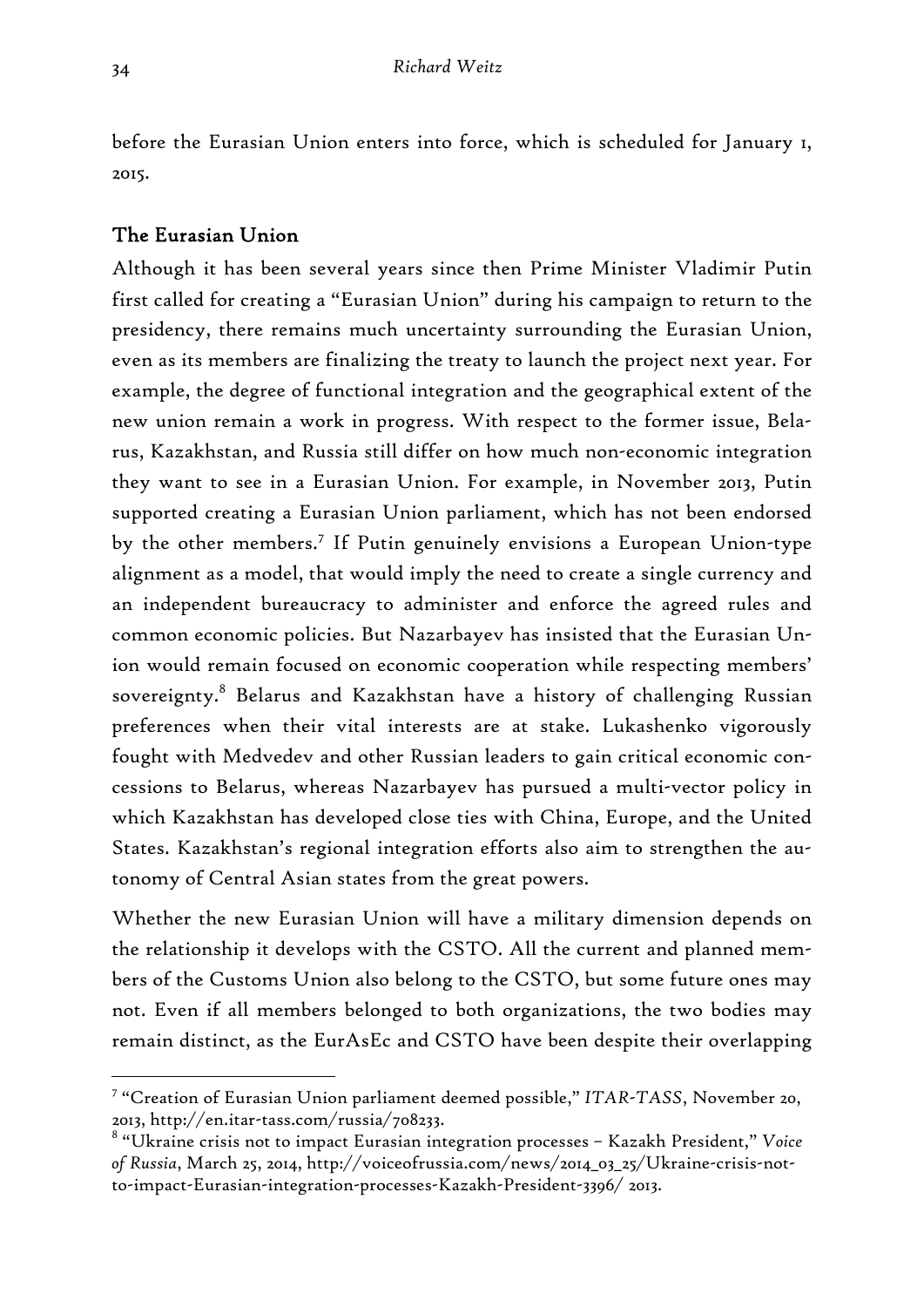before the Eurasian Union enters into force, which is scheduled for January 1, 2015.

# The Eurasian Union

Although it has been several years since then Prime Minister Vladimir Putin first called for creating a "Eurasian Union" during his campaign to return to the presidency, there remains much uncertainty surrounding the Eurasian Union, even as its members are finalizing the treaty to launch the project next year. For example, the degree of functional integration and the geographical extent of the new union remain a work in progress. With respect to the former issue, Belarus, Kazakhstan, and Russia still differ on how much non-economic integration they want to see in a Eurasian Union. For example, in November 2013, Putin supported creating a Eurasian Union parliament, which has not been endorsed by the other members.<sup>7</sup> If Putin genuinely envisions a European Union-type alignment as a model, that would imply the need to create a single currency and an independent bureaucracy to administer and enforce the agreed rules and common economic policies. But Nazarbayev has insisted that the Eurasian Union would remain focused on economic cooperation while respecting members' sovereignty.<sup>8</sup> Belarus and Kazakhstan have a history of challenging Russian preferences when their vital interests are at stake. Lukashenko vigorously fought with Medvedev and other Russian leaders to gain critical economic concessions to Belarus, whereas Nazarbayev has pursued a multi-vector policy in which Kazakhstan has developed close ties with China, Europe, and the United States. Kazakhstan's regional integration efforts also aim to strengthen the autonomy of Central Asian states from the great powers.

Whether the new Eurasian Union will have a military dimension depends on the relationship it develops with the CSTO. All the current and planned members of the Customs Union also belong to the CSTO, but some future ones may not. Even if all members belonged to both organizations, the two bodies may remain distinct, as the EurAsEc and CSTO have been despite their overlapping

<sup>7</sup> "Creation of Eurasian Union parliament deemed possible," *ITAR-TASS*, November 20, 2013, http://en.itar-tass.com/russia/708233.

<sup>8</sup> "Ukraine crisis not to impact Eurasian integration processes – Kazakh President," *Voice of Russia*, March 25, 2014, http://voiceofrussia.com/news/2014\_03\_25/Ukraine-crisis-notto-impact-Eurasian-integration-processes-Kazakh-President-3396/ 2013.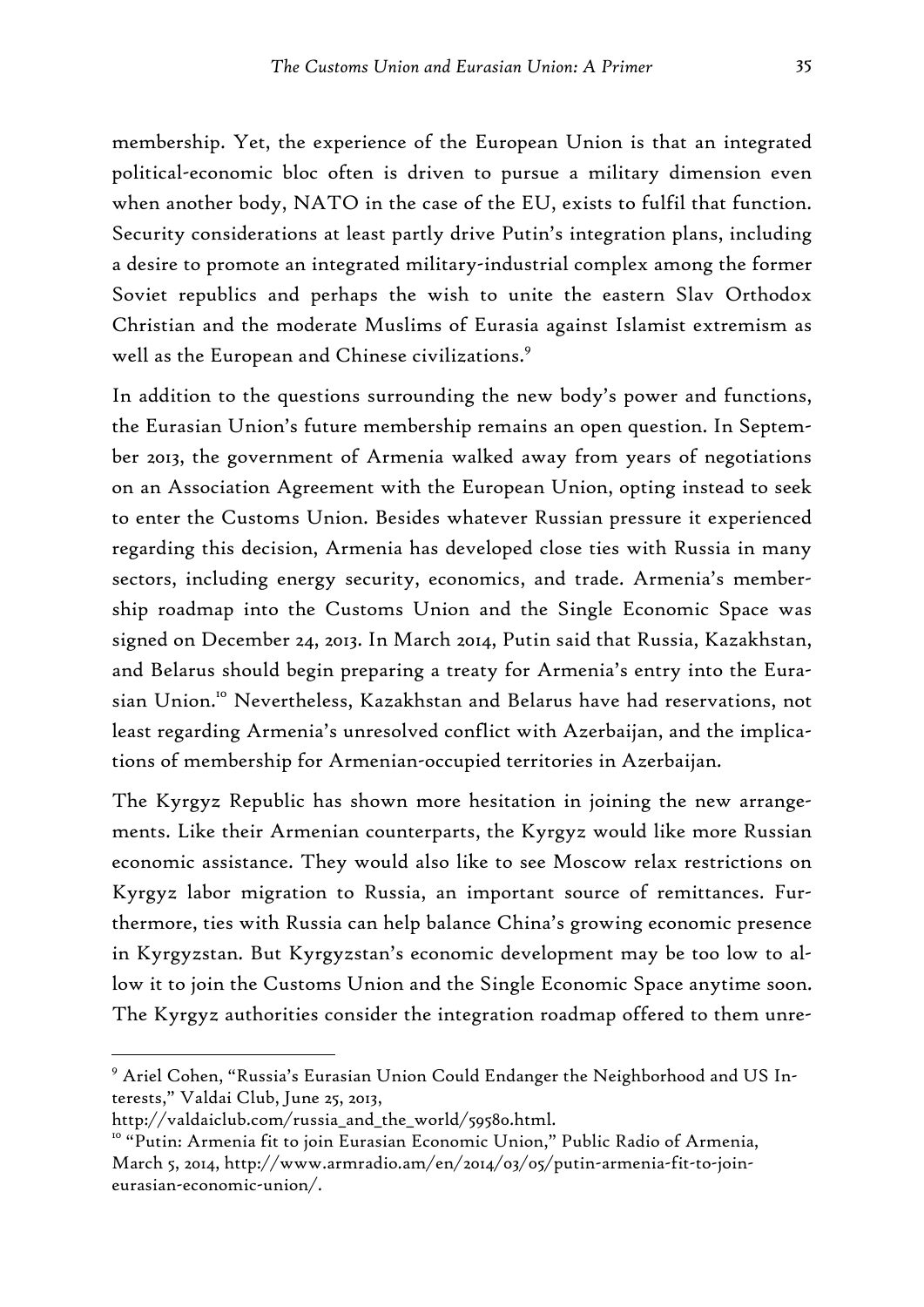membership. Yet, the experience of the European Union is that an integrated political-economic bloc often is driven to pursue a military dimension even when another body, NATO in the case of the EU, exists to fulfil that function. Security considerations at least partly drive Putin's integration plans, including a desire to promote an integrated military-industrial complex among the former Soviet republics and perhaps the wish to unite the eastern Slav Orthodox Christian and the moderate Muslims of Eurasia against Islamist extremism as well as the European and Chinese civilizations.<sup>9</sup>

In addition to the questions surrounding the new body's power and functions, the Eurasian Union's future membership remains an open question. In September 2013, the government of Armenia walked away from years of negotiations on an Association Agreement with the European Union, opting instead to seek to enter the Customs Union. Besides whatever Russian pressure it experienced regarding this decision, Armenia has developed close ties with Russia in many sectors, including energy security, economics, and trade. Armenia's membership roadmap into the Customs Union and the Single Economic Space was signed on December 24, 2013. In March 2014, Putin said that Russia, Kazakhstan, and Belarus should begin preparing a treaty for Armenia's entry into the Eurasian Union.<sup>10</sup> Nevertheless, Kazakhstan and Belarus have had reservations, not least regarding Armenia's unresolved conflict with Azerbaijan, and the implications of membership for Armenian-occupied territories in Azerbaijan.

The Kyrgyz Republic has shown more hesitation in joining the new arrangements. Like their Armenian counterparts, the Kyrgyz would like more Russian economic assistance. They would also like to see Moscow relax restrictions on Kyrgyz labor migration to Russia, an important source of remittances. Furthermore, ties with Russia can help balance China's growing economic presence in Kyrgyzstan. But Kyrgyzstan's economic development may be too low to allow it to join the Customs Union and the Single Economic Space anytime soon. The Kyrgyz authorities consider the integration roadmap offered to them unre-

<sup>9</sup> Ariel Cohen, "Russia's Eurasian Union Could Endanger the Neighborhood and US Interests," Valdai Club, June 25, 2013,

http://valdaiclub.com/russia\_and\_the\_world/59580.html.

<sup>&</sup>lt;sup>10</sup> "Putin: Armenia fit to join Eurasian Economic Union," Public Radio of Armenia, March 5, 2014, http://www.armradio.am/en/2014/03/05/putin-armenia-fit-to-joineurasian-economic-union/.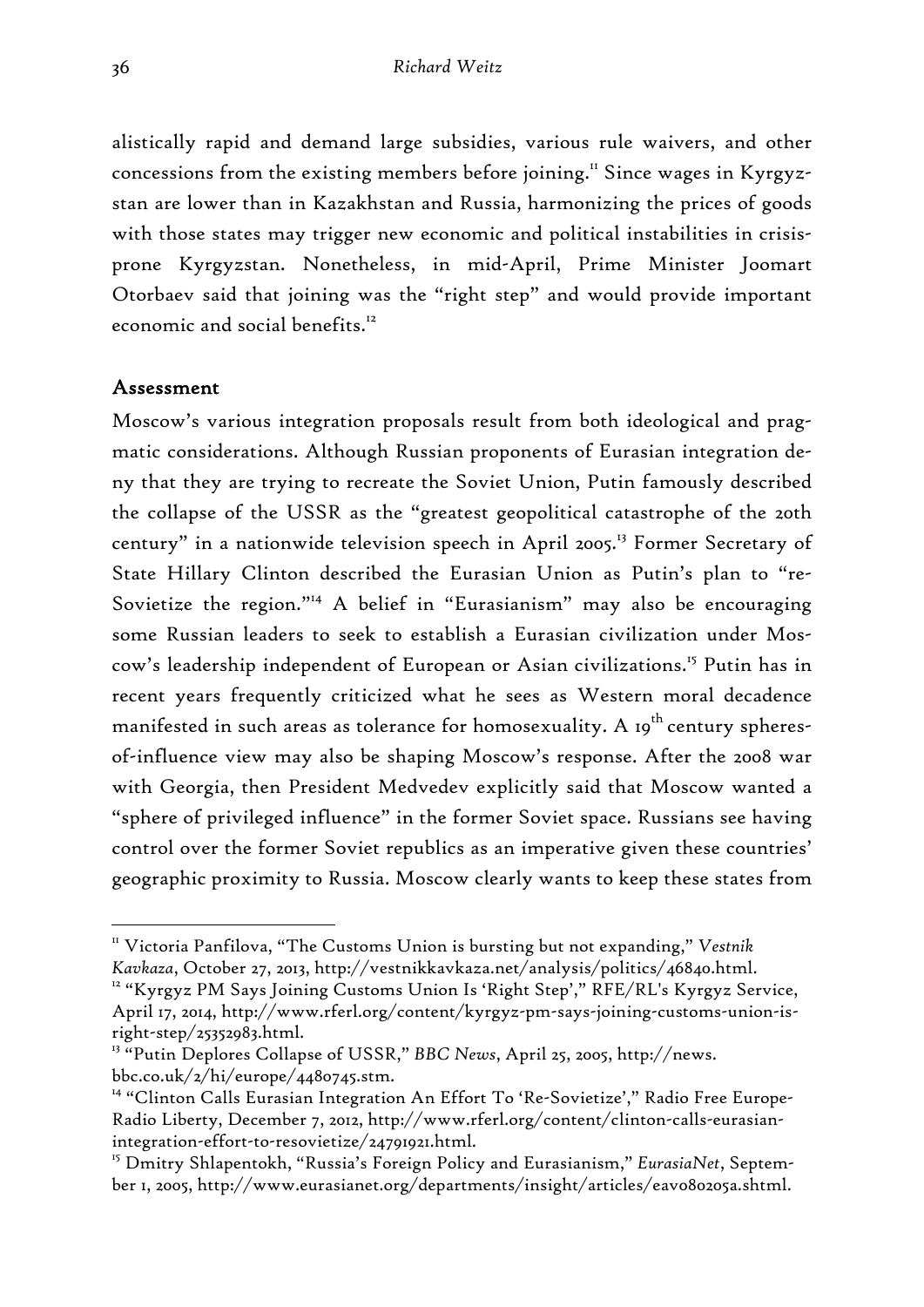alistically rapid and demand large subsidies, various rule waivers, and other concessions from the existing members before joining.<sup>11</sup> Since wages in Kyrgyzstan are lower than in Kazakhstan and Russia, harmonizing the prices of goods with those states may trigger new economic and political instabilities in crisisprone Kyrgyzstan. Nonetheless, in mid-April, Prime Minister Joomart Otorbaev said that joining was the "right step" and would provide important economic and social benefits.<sup>12</sup>

# Assessment

-

Moscow's various integration proposals result from both ideological and pragmatic considerations. Although Russian proponents of Eurasian integration deny that they are trying to recreate the Soviet Union, Putin famously described the collapse of the USSR as the "greatest geopolitical catastrophe of the 20th century" in a nationwide television speech in April 2005.<sup>13</sup> Former Secretary of State Hillary Clinton described the Eurasian Union as Putin's plan to "re-Sovietize the region."14 A belief in "Eurasianism" may also be encouraging some Russian leaders to seek to establish a Eurasian civilization under Moscow's leadership independent of European or Asian civilizations.<sup>15</sup> Putin has in recent years frequently criticized what he sees as Western moral decadence manifested in such areas as tolerance for homosexuality. A  $19^{th}$  century spheresof-influence view may also be shaping Moscow's response. After the 2008 war with Georgia, then President Medvedev explicitly said that Moscow wanted a "sphere of privileged influence" in the former Soviet space. Russians see having control over the former Soviet republics as an imperative given these countries' geographic proximity to Russia. Moscow clearly wants to keep these states from

<sup>&</sup>lt;sup>11</sup> Victoria Panfilova, "The Customs Union is bursting but not expanding," *Vestnik* 

*Kavkaza*, October 27, 2013, http://vestnikkavkaza.net/analysis/politics/46840.html. 12 "Kyrgyz PM Says Joining Customs Union Is 'Right Step'," RFE/RL's Kyrgyz Service, April 17, 2014, http://www.rferl.org/content/kyrgyz-pm-says-joining-customs-union-isright-step/25352983.html.

<sup>13 &</sup>quot;Putin Deplores Collapse of USSR," *BBC News*, April 25, 2005, http://news. bbc.co.uk/2/hi/europe/4480745.stm.

<sup>&</sup>lt;sup>14</sup> "Clinton Calls Eurasian Integration An Effort To 'Re-Sovietize'," Radio Free Europe-Radio Liberty, December 7, 2012, http://www.rferl.org/content/clinton-calls-eurasianintegration-effort-to-resovietize/24791921.html.

<sup>15</sup> Dmitry Shlapentokh, "Russia's Foreign Policy and Eurasianism," *EurasiaNet*, September 1, 2005, http://www.eurasianet.org/departments/insight/articles/eav080205a.shtml.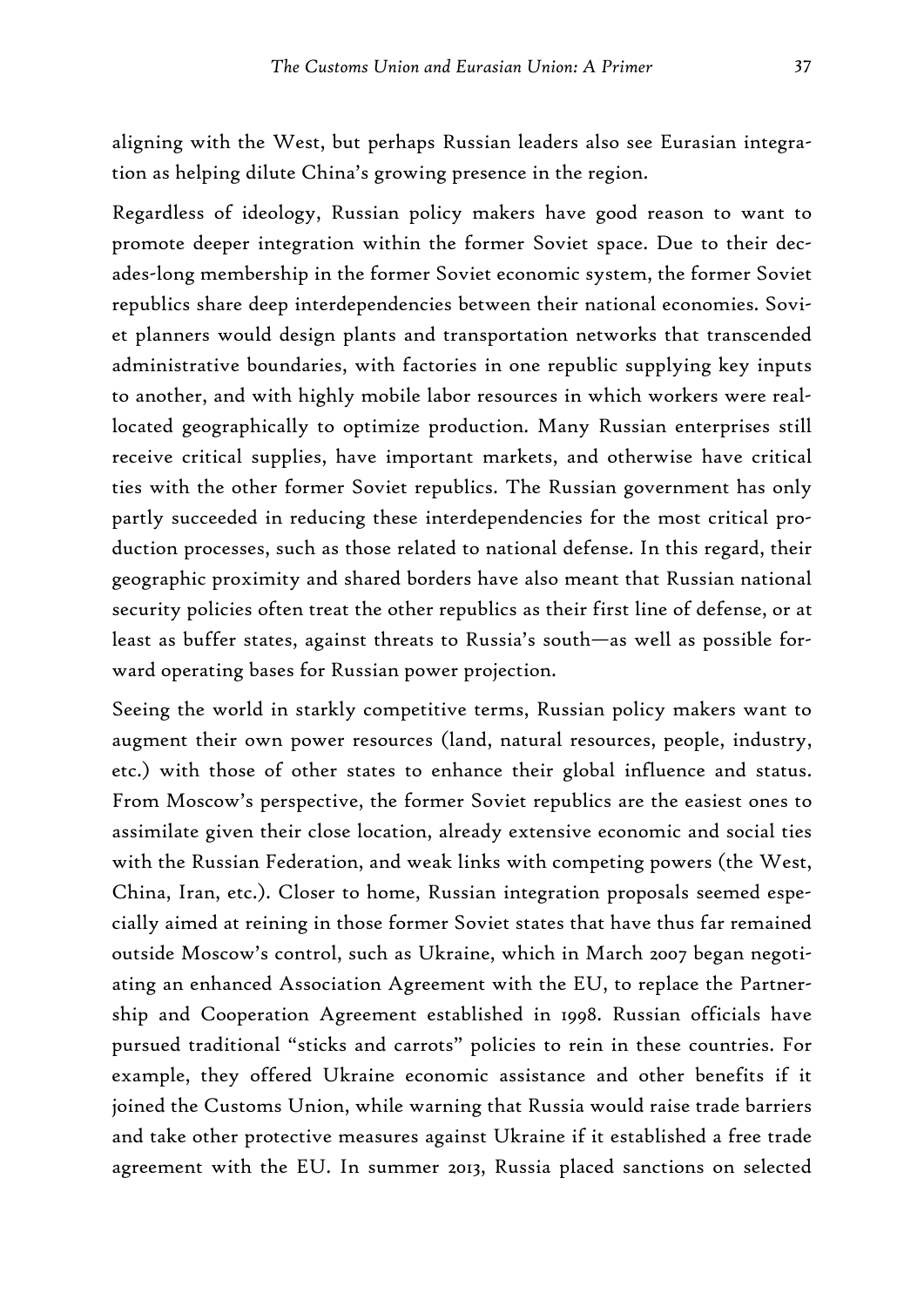aligning with the West, but perhaps Russian leaders also see Eurasian integration as helping dilute China's growing presence in the region.

Regardless of ideology, Russian policy makers have good reason to want to promote deeper integration within the former Soviet space. Due to their decades-long membership in the former Soviet economic system, the former Soviet republics share deep interdependencies between their national economies. Soviet planners would design plants and transportation networks that transcended administrative boundaries, with factories in one republic supplying key inputs to another, and with highly mobile labor resources in which workers were reallocated geographically to optimize production. Many Russian enterprises still receive critical supplies, have important markets, and otherwise have critical ties with the other former Soviet republics. The Russian government has only partly succeeded in reducing these interdependencies for the most critical production processes, such as those related to national defense. In this regard, their geographic proximity and shared borders have also meant that Russian national security policies often treat the other republics as their first line of defense, or at least as buffer states, against threats to Russia's south—as well as possible forward operating bases for Russian power projection.

Seeing the world in starkly competitive terms, Russian policy makers want to augment their own power resources (land, natural resources, people, industry, etc.) with those of other states to enhance their global influence and status. From Moscow's perspective, the former Soviet republics are the easiest ones to assimilate given their close location, already extensive economic and social ties with the Russian Federation, and weak links with competing powers (the West, China, Iran, etc.). Closer to home, Russian integration proposals seemed especially aimed at reining in those former Soviet states that have thus far remained outside Moscow's control, such as Ukraine, which in March 2007 began negotiating an enhanced Association Agreement with the EU, to replace the Partnership and Cooperation Agreement established in 1998. Russian officials have pursued traditional "sticks and carrots" policies to rein in these countries. For example, they offered Ukraine economic assistance and other benefits if it joined the Customs Union, while warning that Russia would raise trade barriers and take other protective measures against Ukraine if it established a free trade agreement with the EU. In summer 2013, Russia placed sanctions on selected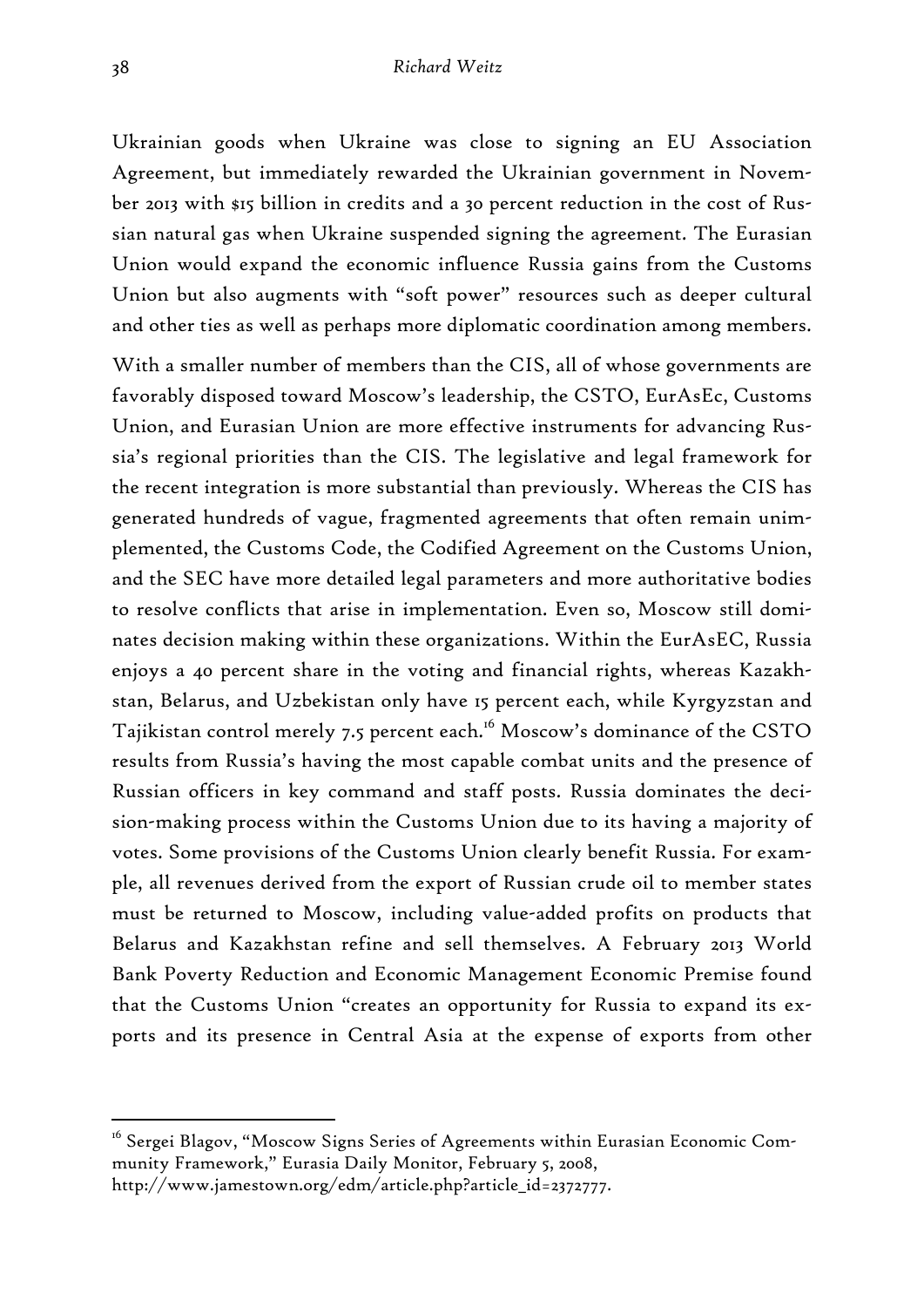Ukrainian goods when Ukraine was close to signing an EU Association Agreement, but immediately rewarded the Ukrainian government in November 2013 with \$15 billion in credits and a 30 percent reduction in the cost of Russian natural gas when Ukraine suspended signing the agreement. The Eurasian Union would expand the economic influence Russia gains from the Customs Union but also augments with "soft power" resources such as deeper cultural and other ties as well as perhaps more diplomatic coordination among members.

With a smaller number of members than the CIS, all of whose governments are favorably disposed toward Moscow's leadership, the CSTO, EurAsEc, Customs Union, and Eurasian Union are more effective instruments for advancing Russia's regional priorities than the CIS. The legislative and legal framework for the recent integration is more substantial than previously. Whereas the CIS has generated hundreds of vague, fragmented agreements that often remain unimplemented, the Customs Code, the Codified Agreement on the Customs Union, and the SEC have more detailed legal parameters and more authoritative bodies to resolve conflicts that arise in implementation. Even so, Moscow still dominates decision making within these organizations. Within the EurAsEC, Russia enjoys a 40 percent share in the voting and financial rights, whereas Kazakhstan, Belarus, and Uzbekistan only have 15 percent each, while Kyrgyzstan and Tajikistan control merely 7.5 percent each.<sup>16</sup> Moscow's dominance of the CSTO results from Russia's having the most capable combat units and the presence of Russian officers in key command and staff posts. Russia dominates the decision-making process within the Customs Union due to its having a majority of votes. Some provisions of the Customs Union clearly benefit Russia. For example, all revenues derived from the export of Russian crude oil to member states must be returned to Moscow, including value-added profits on products that Belarus and Kazakhstan refine and sell themselves. A February 2013 World Bank Poverty Reduction and Economic Management Economic Premise found that the Customs Union "creates an opportunity for Russia to expand its exports and its presence in Central Asia at the expense of exports from other

<sup>&</sup>lt;sup>16</sup> Sergei Blagov, "Moscow Signs Series of Agreements within Eurasian Economic Community Framework," Eurasia Daily Monitor, February 5, 2008,

http://www.jamestown.org/edm/article.php?article\_id=2372777.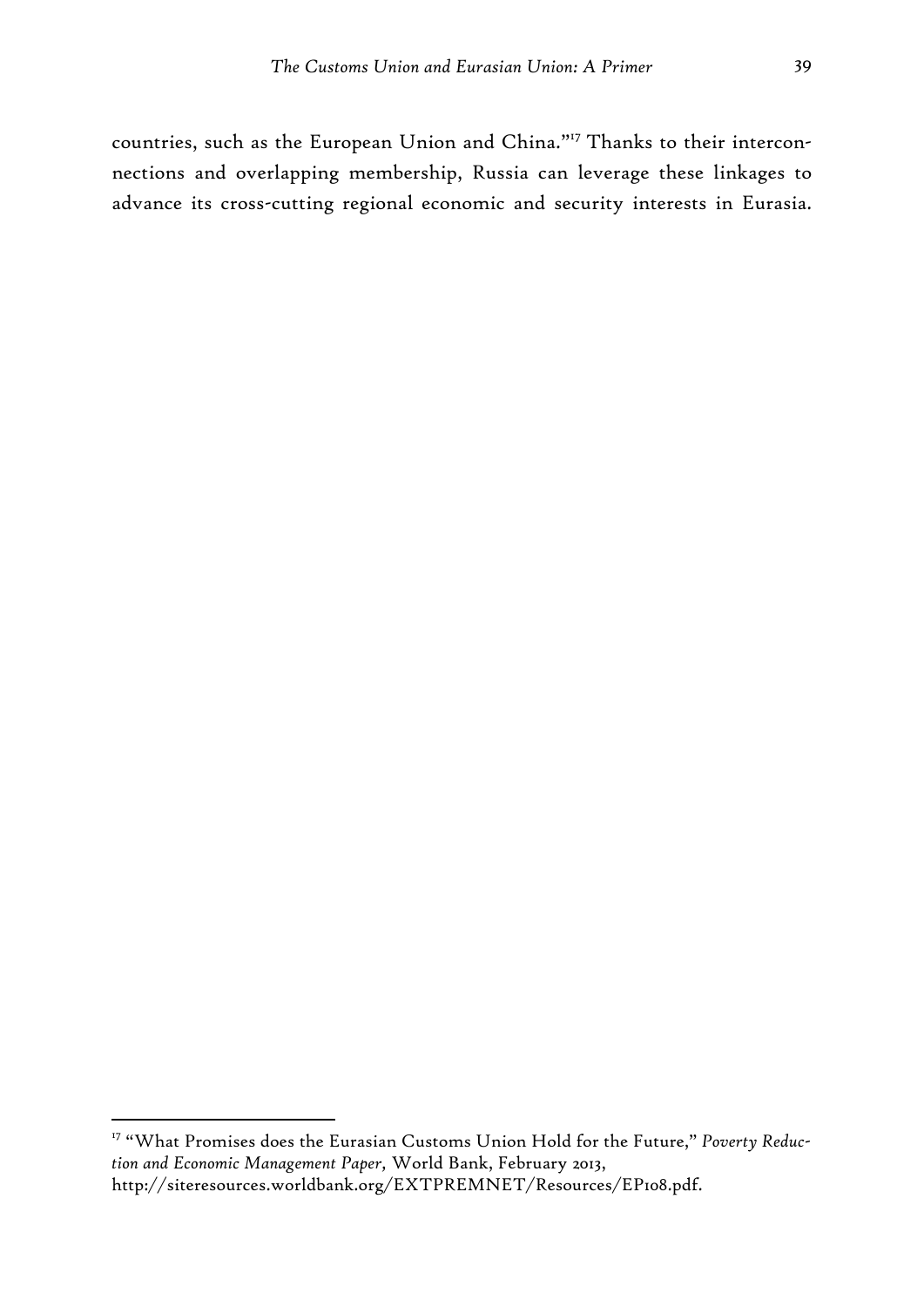countries, such as the European Union and China."17 Thanks to their interconnections and overlapping membership, Russia can leverage these linkages to advance its cross-cutting regional economic and security interests in Eurasia.

<sup>17 &</sup>quot;What Promises does the Eurasian Customs Union Hold for the Future," *Poverty Reduction and Economic Management Paper,* World Bank, February 2013, http://siteresources.worldbank.org/EXTPREMNET/Resources/EP108.pdf.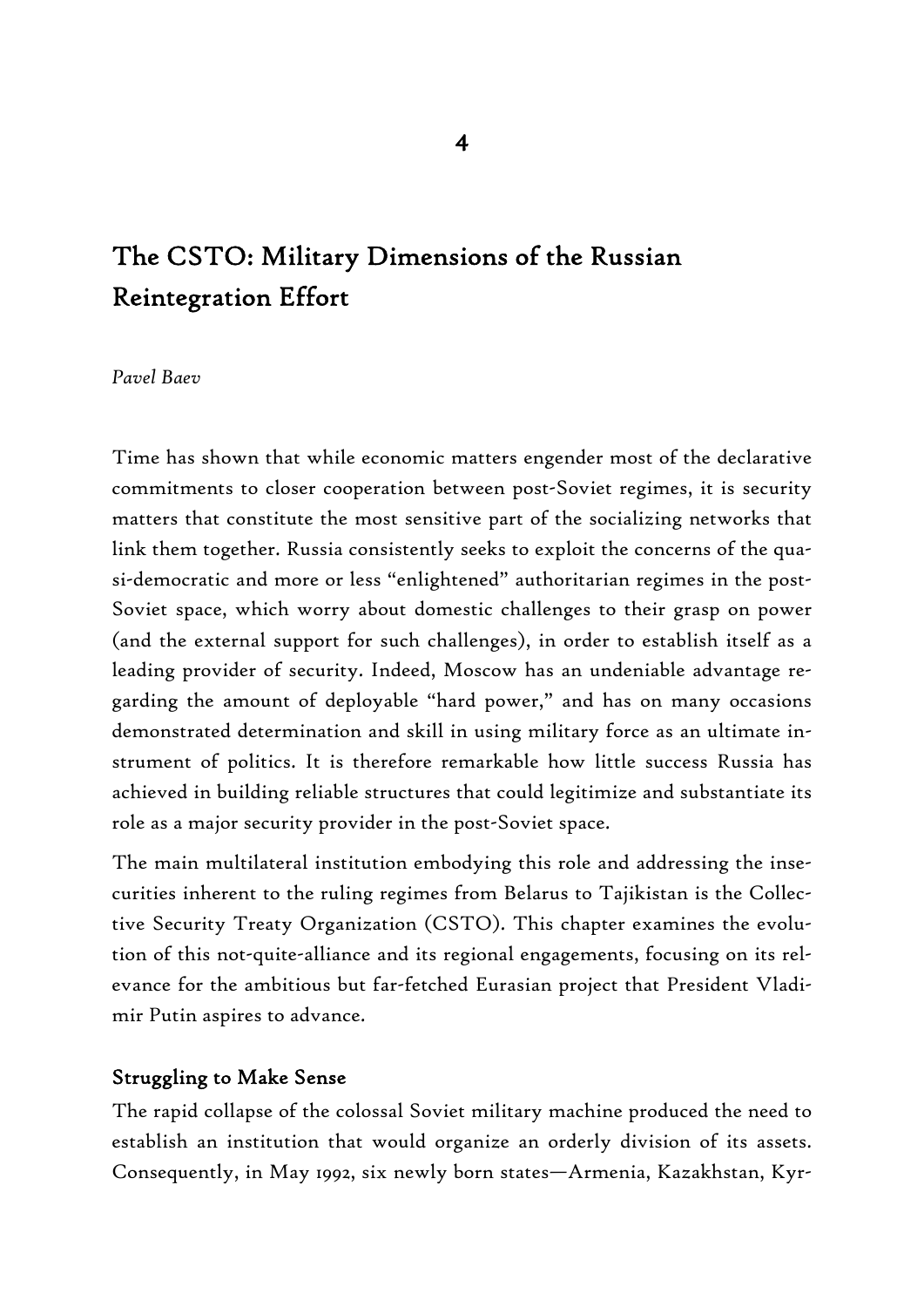# The CSTO: Military Dimensions of the Russian Reintegration Effort

#### *Pavel Baev*

Time has shown that while economic matters engender most of the declarative commitments to closer cooperation between post-Soviet regimes, it is security matters that constitute the most sensitive part of the socializing networks that link them together. Russia consistently seeks to exploit the concerns of the quasi-democratic and more or less "enlightened" authoritarian regimes in the post-Soviet space, which worry about domestic challenges to their grasp on power (and the external support for such challenges), in order to establish itself as a leading provider of security. Indeed, Moscow has an undeniable advantage regarding the amount of deployable "hard power," and has on many occasions demonstrated determination and skill in using military force as an ultimate instrument of politics. It is therefore remarkable how little success Russia has achieved in building reliable structures that could legitimize and substantiate its role as a major security provider in the post-Soviet space.

The main multilateral institution embodying this role and addressing the insecurities inherent to the ruling regimes from Belarus to Tajikistan is the Collective Security Treaty Organization (CSTO). This chapter examines the evolution of this not-quite-alliance and its regional engagements, focusing on its relevance for the ambitious but far-fetched Eurasian project that President Vladimir Putin aspires to advance.

# Struggling to Make Sense

The rapid collapse of the colossal Soviet military machine produced the need to establish an institution that would organize an orderly division of its assets. Consequently, in May 1992, six newly born states—Armenia, Kazakhstan, Kyr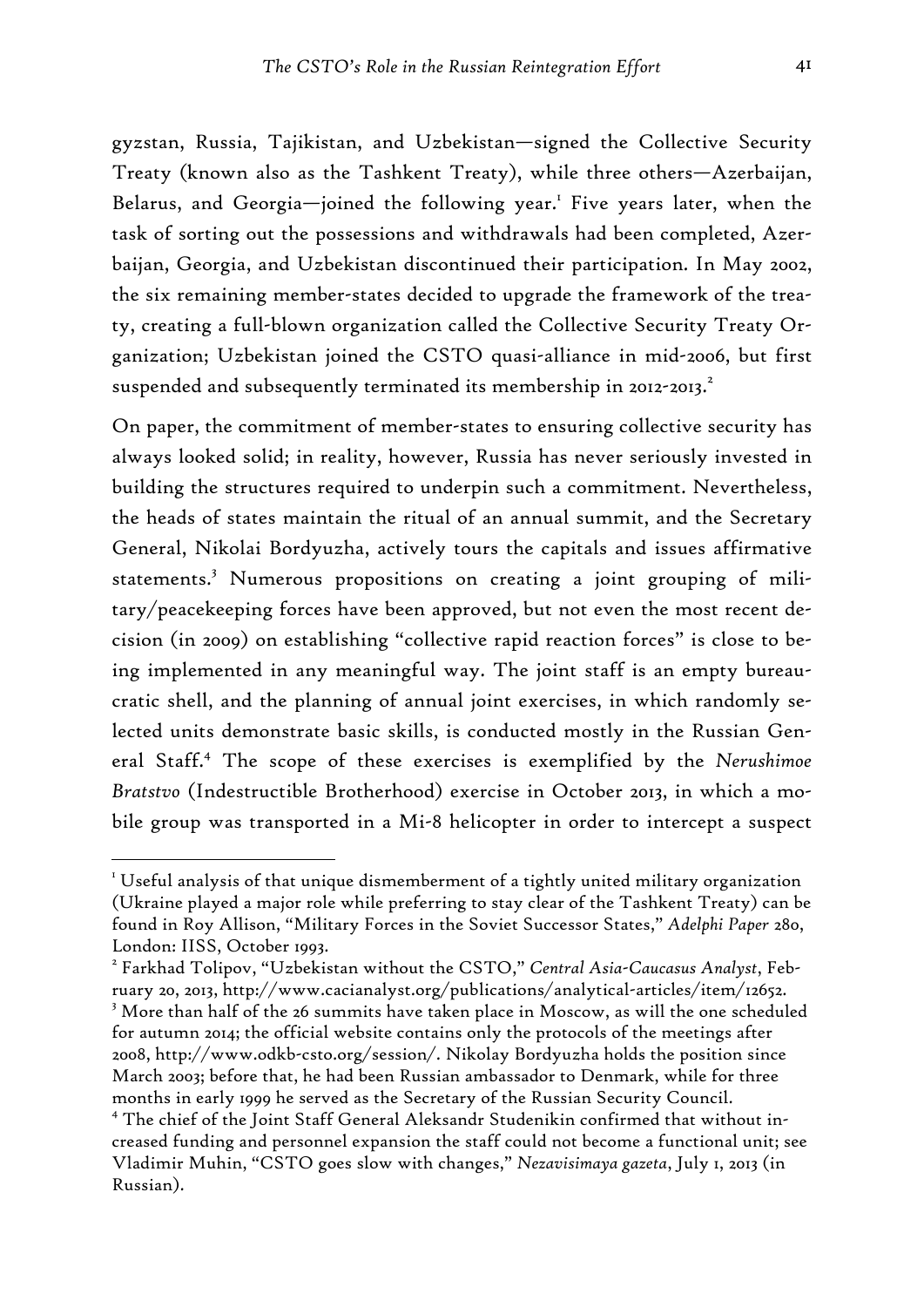gyzstan, Russia, Tajikistan, and Uzbekistan—signed the Collective Security Treaty (known also as the Tashkent Treaty), while three others—Azerbaijan, Belarus, and Georgia-joined the following year.<sup>1</sup> Five years later, when the task of sorting out the possessions and withdrawals had been completed, Azerbaijan, Georgia, and Uzbekistan discontinued their participation. In May 2002, the six remaining member-states decided to upgrade the framework of the treaty, creating a full-blown organization called the Collective Security Treaty Organization; Uzbekistan joined the CSTO quasi-alliance in mid-2006, but first suspended and subsequently terminated its membership in 2012-2013. $^2$ 

On paper, the commitment of member-states to ensuring collective security has always looked solid; in reality, however, Russia has never seriously invested in building the structures required to underpin such a commitment. Nevertheless, the heads of states maintain the ritual of an annual summit, and the Secretary General, Nikolai Bordyuzha, actively tours the capitals and issues affirmative statements.<sup>3</sup> Numerous propositions on creating a joint grouping of military/peacekeeping forces have been approved, but not even the most recent decision (in 2009) on establishing "collective rapid reaction forces" is close to being implemented in any meaningful way. The joint staff is an empty bureaucratic shell, and the planning of annual joint exercises, in which randomly selected units demonstrate basic skills, is conducted mostly in the Russian General Staff.4 The scope of these exercises is exemplified by the *Nerushimoe Bratstvo* (Indestructible Brotherhood) exercise in October 2013, in which a mobile group was transported in a Mi-8 helicopter in order to intercept a suspect

 $^{\mathrm{I}}$  Useful analysis of that unique dismemberment of a tightly united military organization (Ukraine played a major role while preferring to stay clear of the Tashkent Treaty) can be found in Roy Allison, "Military Forces in the Soviet Successor States," *Adelphi Paper* 280, London: IISS, October 1993.

<sup>2</sup> Farkhad Tolipov, "Uzbekistan without the CSTO," *Central Asia-Caucasus Analyst*, February 20, 2013, http://www.cacianalyst.org/publications/analytical-articles/item/12652. 3 More than half of the 26 summits have taken place in Moscow, as will the one scheduled for autumn 2014; the official website contains only the protocols of the meetings after

<sup>2008,</sup> http://www.odkb-csto.org/session/. Nikolay Bordyuzha holds the position since March 2003; before that, he had been Russian ambassador to Denmark, while for three months in early 1999 he served as the Secretary of the Russian Security Council.

<sup>4</sup> The chief of the Joint Staff General Aleksandr Studenikin confirmed that without increased funding and personnel expansion the staff could not become a functional unit; see Vladimir Muhin, "CSTO goes slow with changes," *Nezavisimaya gazeta*, July 1, 2013 (in Russian).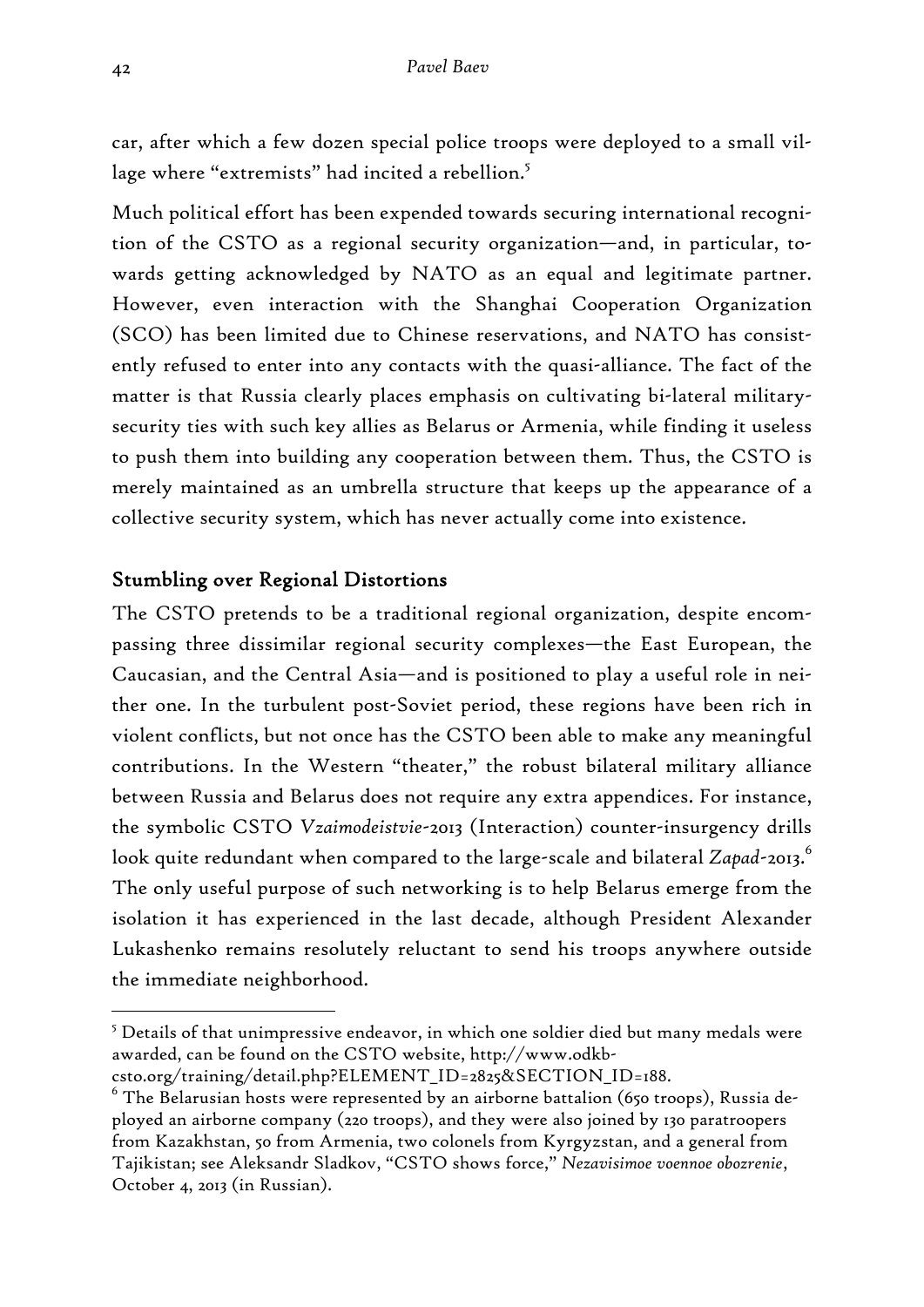car, after which a few dozen special police troops were deployed to a small village where "extremists" had incited a rebellion.<sup>5</sup>

Much political effort has been expended towards securing international recognition of the CSTO as a regional security organization—and, in particular, towards getting acknowledged by NATO as an equal and legitimate partner. However, even interaction with the Shanghai Cooperation Organization (SCO) has been limited due to Chinese reservations, and NATO has consistently refused to enter into any contacts with the quasi-alliance. The fact of the matter is that Russia clearly places emphasis on cultivating bi-lateral militarysecurity ties with such key allies as Belarus or Armenia, while finding it useless to push them into building any cooperation between them. Thus, the CSTO is merely maintained as an umbrella structure that keeps up the appearance of a collective security system, which has never actually come into existence.

# Stumbling over Regional Distortions

The CSTO pretends to be a traditional regional organization, despite encompassing three dissimilar regional security complexes—the East European, the Caucasian, and the Central Asia—and is positioned to play a useful role in neither one. In the turbulent post-Soviet period, these regions have been rich in violent conflicts, but not once has the CSTO been able to make any meaningful contributions. In the Western "theater," the robust bilateral military alliance between Russia and Belarus does not require any extra appendices. For instance, the symbolic CSTO *Vzaimodeistvie*-2013 (Interaction) counter-insurgency drills look quite redundant when compared to the large-scale and bilateral *Zapad*-2013. 6 The only useful purpose of such networking is to help Belarus emerge from the isolation it has experienced in the last decade, although President Alexander Lukashenko remains resolutely reluctant to send his troops anywhere outside the immediate neighborhood.

 $^5$  Details of that unimpressive endeavor, in which one soldier died but many medals were awarded, can be found on the CSTO website, http://www.odkb-

csto.org/training/detail.php?ELEMENT\_ID=2825&SECTION\_ID=188.

 $^6$  The Belarusian hosts were represented by an airborne battalion (650 troops), Russia deployed an airborne company (220 troops), and they were also joined by 130 paratroopers from Kazakhstan, 50 from Armenia, two colonels from Kyrgyzstan, and a general from Tajikistan; see Aleksandr Sladkov, "CSTO shows force," *Nezavisimoe voennoe obozrenie*, October 4, 2013 (in Russian).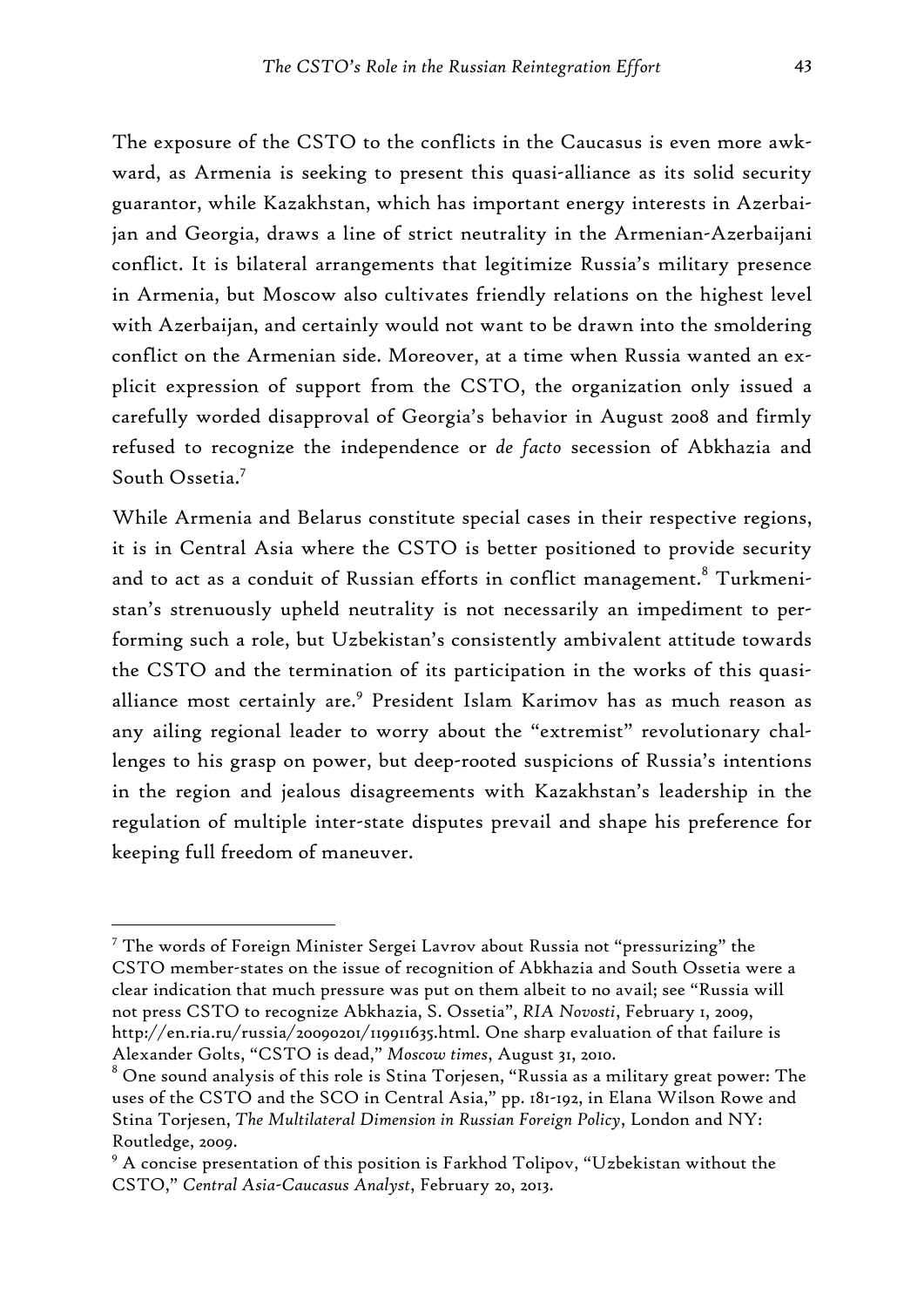The exposure of the CSTO to the conflicts in the Caucasus is even more awkward, as Armenia is seeking to present this quasi-alliance as its solid security guarantor, while Kazakhstan, which has important energy interests in Azerbaijan and Georgia, draws a line of strict neutrality in the Armenian-Azerbaijani conflict. It is bilateral arrangements that legitimize Russia's military presence in Armenia, but Moscow also cultivates friendly relations on the highest level with Azerbaijan, and certainly would not want to be drawn into the smoldering conflict on the Armenian side. Moreover, at a time when Russia wanted an explicit expression of support from the CSTO, the organization only issued a carefully worded disapproval of Georgia's behavior in August 2008 and firmly refused to recognize the independence or *de facto* secession of Abkhazia and South Ossetia.<sup>7</sup>

While Armenia and Belarus constitute special cases in their respective regions, it is in Central Asia where the CSTO is better positioned to provide security and to act as a conduit of Russian efforts in conflict management. $^8$  Turkmenistan's strenuously upheld neutrality is not necessarily an impediment to performing such a role, but Uzbekistan's consistently ambivalent attitude towards the CSTO and the termination of its participation in the works of this quasialliance most certainly are.<sup>9</sup> President Islam Karimov has as much reason as any ailing regional leader to worry about the "extremist" revolutionary challenges to his grasp on power, but deep-rooted suspicions of Russia's intentions in the region and jealous disagreements with Kazakhstan's leadership in the regulation of multiple inter-state disputes prevail and shape his preference for keeping full freedom of maneuver.

<sup>&</sup>lt;sup>7</sup> The words of Foreign Minister Sergei Lavrov about Russia not "pressurizing" the CSTO member-states on the issue of recognition of Abkhazia and South Ossetia were a clear indication that much pressure was put on them albeit to no avail; see "Russia will not press CSTO to recognize Abkhazia, S. Ossetia", *RIA Novosti*, February 1, 2009, http://en.ria.ru/russia/20090201/119911635.html. One sharp evaluation of that failure is Alexander Golts, "CSTO is dead," *Moscow times*, August 31, 2010.

 $^{\rm 8}$  One sound analysis of this role is Stina Torjesen, "Russia as a military great power: The uses of the CSTO and the SCO in Central Asia," pp. 181-192, in Elana Wilson Rowe and Stina Torjesen, *The Multilateral Dimension in Russian Foreign Policy*, London and NY: Routledge, 2009.

 $^9$  A concise presentation of this position is Farkhod Tolipov, "Uzbekistan without the CSTO," *Central Asia-Caucasus Analyst*, February 20, 2013.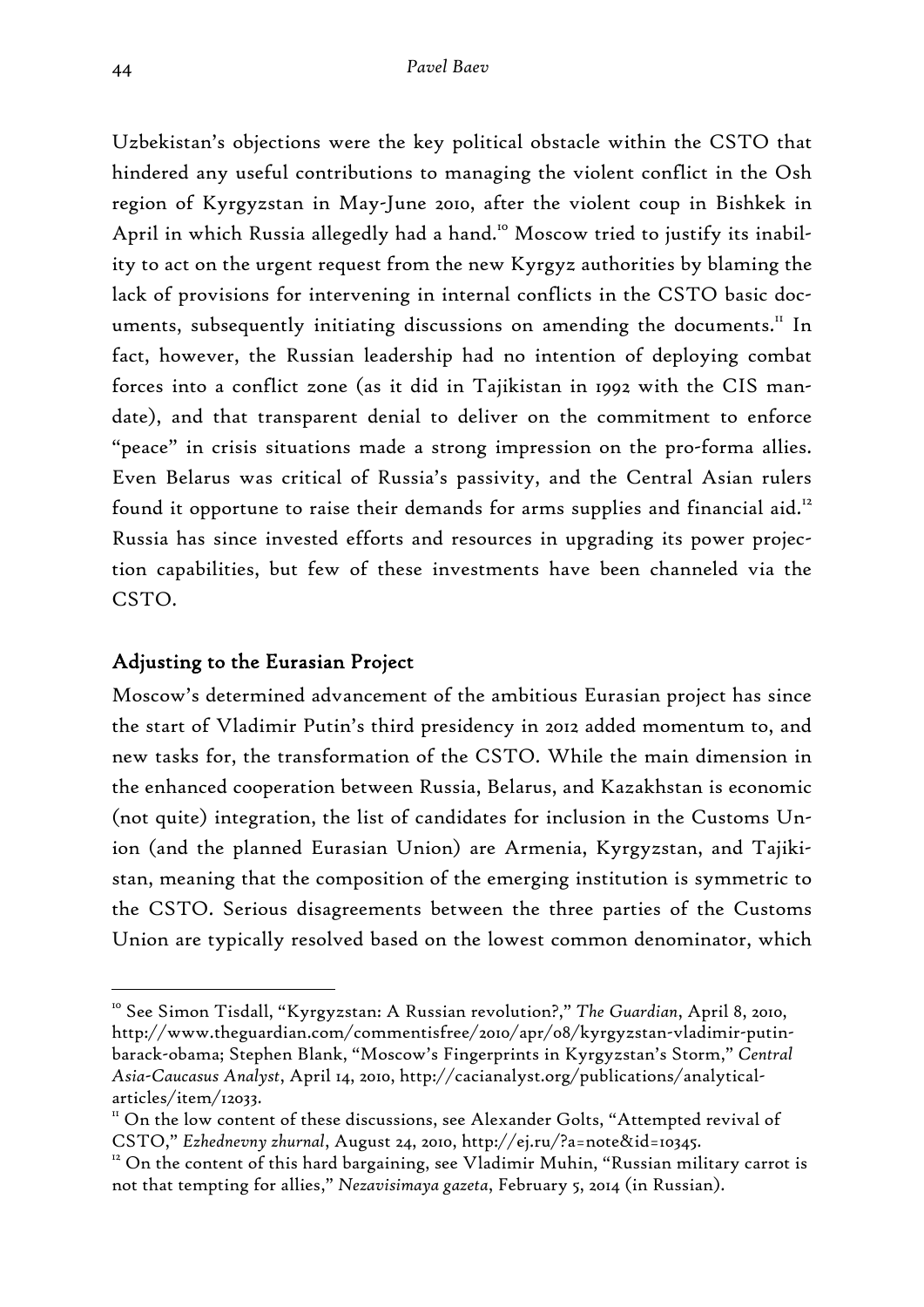Uzbekistan's objections were the key political obstacle within the CSTO that hindered any useful contributions to managing the violent conflict in the Osh region of Kyrgyzstan in May-June 2010, after the violent coup in Bishkek in April in which Russia allegedly had a hand.<sup>10</sup> Moscow tried to justify its inability to act on the urgent request from the new Kyrgyz authorities by blaming the lack of provisions for intervening in internal conflicts in the CSTO basic documents, subsequently initiating discussions on amending the documents.<sup>11</sup> In fact, however, the Russian leadership had no intention of deploying combat forces into a conflict zone (as it did in Tajikistan in 1992 with the CIS mandate), and that transparent denial to deliver on the commitment to enforce "peace" in crisis situations made a strong impression on the pro-forma allies. Even Belarus was critical of Russia's passivity, and the Central Asian rulers found it opportune to raise their demands for arms supplies and financial aid.<sup>12</sup> Russia has since invested efforts and resources in upgrading its power projection capabilities, but few of these investments have been channeled via the CSTO.

# Adjusting to the Eurasian Project

Moscow's determined advancement of the ambitious Eurasian project has since the start of Vladimir Putin's third presidency in 2012 added momentum to, and new tasks for, the transformation of the CSTO. While the main dimension in the enhanced cooperation between Russia, Belarus, and Kazakhstan is economic (not quite) integration, the list of candidates for inclusion in the Customs Union (and the planned Eurasian Union) are Armenia, Kyrgyzstan, and Tajikistan, meaning that the composition of the emerging institution is symmetric to the CSTO. Serious disagreements between the three parties of the Customs Union are typically resolved based on the lowest common denominator, which

<sup>10</sup> See Simon Tisdall, "Kyrgyzstan: A Russian revolution?," *The Guardian*, April 8, 2010, http://www.theguardian.com/commentisfree/2010/apr/08/kyrgyzstan-vladimir-putinbarack-obama; Stephen Blank, "Moscow's Fingerprints in Kyrgyzstan's Storm," *Central Asia-Caucasus Analyst*, April 14, 2010, http://cacianalyst.org/publications/analyticalarticles/item/12033.

<sup>&</sup>lt;sup>11</sup> On the low content of these discussions, see Alexander Golts, "Attempted revival of CSTO," *Ezhednevny zhurnal*, August 24, 2010, http://ej.ru/?a=note&id=10345.<br><sup>12</sup> On the content of this hard bargaining, see Vladimir Muhin, "Russian military carrot is

not that tempting for allies," *Nezavisimaya gazeta*, February 5, 2014 (in Russian).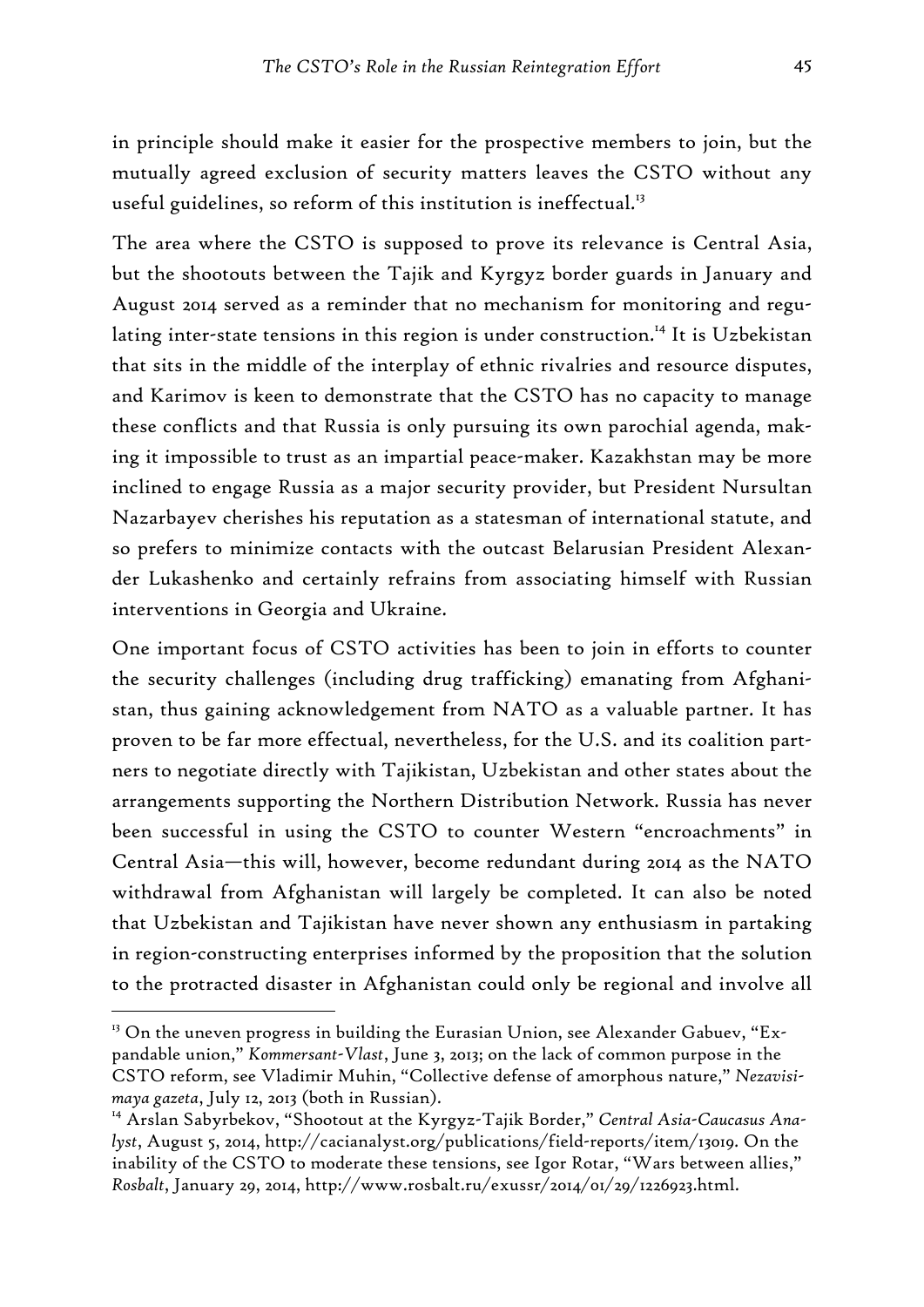in principle should make it easier for the prospective members to join, but the mutually agreed exclusion of security matters leaves the CSTO without any useful guidelines, so reform of this institution is ineffectual.<sup>13</sup>

The area where the CSTO is supposed to prove its relevance is Central Asia, but the shootouts between the Tajik and Kyrgyz border guards in January and August 2014 served as a reminder that no mechanism for monitoring and regulating inter-state tensions in this region is under construction.<sup>14</sup> It is Uzbekistan that sits in the middle of the interplay of ethnic rivalries and resource disputes, and Karimov is keen to demonstrate that the CSTO has no capacity to manage these conflicts and that Russia is only pursuing its own parochial agenda, making it impossible to trust as an impartial peace-maker. Kazakhstan may be more inclined to engage Russia as a major security provider, but President Nursultan Nazarbayev cherishes his reputation as a statesman of international statute, and so prefers to minimize contacts with the outcast Belarusian President Alexander Lukashenko and certainly refrains from associating himself with Russian interventions in Georgia and Ukraine.

One important focus of CSTO activities has been to join in efforts to counter the security challenges (including drug trafficking) emanating from Afghanistan, thus gaining acknowledgement from NATO as a valuable partner. It has proven to be far more effectual, nevertheless, for the U.S. and its coalition partners to negotiate directly with Tajikistan, Uzbekistan and other states about the arrangements supporting the Northern Distribution Network. Russia has never been successful in using the CSTO to counter Western "encroachments" in Central Asia—this will, however, become redundant during 2014 as the NATO withdrawal from Afghanistan will largely be completed. It can also be noted that Uzbekistan and Tajikistan have never shown any enthusiasm in partaking in region-constructing enterprises informed by the proposition that the solution to the protracted disaster in Afghanistan could only be regional and involve all

 $13$  On the uneven progress in building the Eurasian Union, see Alexander Gabuev, "Expandable union," *Kommersant-Vlast*, June 3, 2013; on the lack of common purpose in the CSTO reform, see Vladimir Muhin, "Collective defense of amorphous nature," *Nezavisimaya gazeta*, July 12, 2013 (both in Russian).

<sup>&</sup>lt;sup>14</sup> Arslan Sabyrbekov, "Shootout at the Kyrgyz-Tajik Border," Central Asia-Caucasus Ana*lyst*, August 5, 2014, http://cacianalyst.org/publications/field-reports/item/13019. On the inability of the CSTO to moderate these tensions, see Igor Rotar, "Wars between allies," *Rosbalt*, January 29, 2014, http://www.rosbalt.ru/exussr/2014/01/29/1226923.html.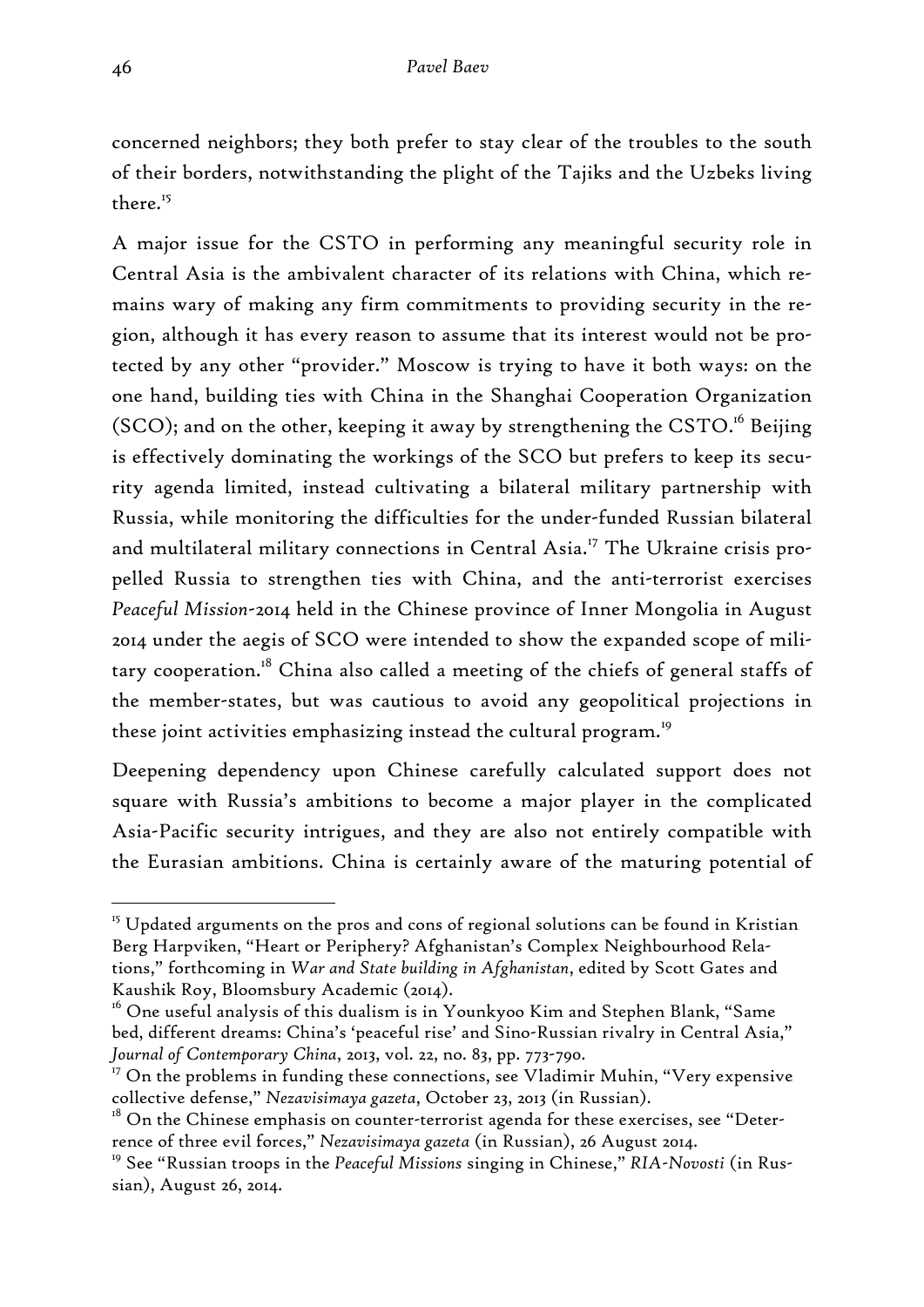concerned neighbors; they both prefer to stay clear of the troubles to the south of their borders, notwithstanding the plight of the Tajiks and the Uzbeks living there.15

A major issue for the CSTO in performing any meaningful security role in Central Asia is the ambivalent character of its relations with China, which remains wary of making any firm commitments to providing security in the region, although it has every reason to assume that its interest would not be protected by any other "provider." Moscow is trying to have it both ways: on the one hand, building ties with China in the Shanghai Cooperation Organization (SCO); and on the other, keeping it away by strengthening the CSTO.<sup>16</sup> Beijing is effectively dominating the workings of the SCO but prefers to keep its security agenda limited, instead cultivating a bilateral military partnership with Russia, while monitoring the difficulties for the under-funded Russian bilateral and multilateral military connections in Central Asia.<sup>17</sup> The Ukraine crisis propelled Russia to strengthen ties with China, and the anti-terrorist exercises *Peaceful Mission*-2014 held in the Chinese province of Inner Mongolia in August 2014 under the aegis of SCO were intended to show the expanded scope of military cooperation.<sup>18</sup> China also called a meeting of the chiefs of general staffs of the member-states, but was cautious to avoid any geopolitical projections in these joint activities emphasizing instead the cultural program.<sup>19</sup>

Deepening dependency upon Chinese carefully calculated support does not square with Russia's ambitions to become a major player in the complicated Asia-Pacific security intrigues, and they are also not entirely compatible with the Eurasian ambitions. China is certainly aware of the maturing potential of

 $15$  Updated arguments on the pros and cons of regional solutions can be found in Kristian Berg Harpviken, "Heart or Periphery? Afghanistan's Complex Neighbourhood Relations," forthcoming in *War and State building in Afghanistan*, edited by Scott Gates and Kaushik Roy, Bloomsbury Academic (2014).

 $16$  One useful analysis of this dualism is in Younkyoo Kim and Stephen Blank, "Same bed, different dreams: China's 'peaceful rise' and Sino-Russian rivalry in Central Asia," *Journal of Contemporary China*, 2013, vol. 22, no. 83, pp. 773-790.

 $17$  On the problems in funding these connections, see Vladimir Muhin, "Very expensive collective defense," *Nezavisimaya gazeta*, October 23, 2013 (in Russian).

 $18$  On the Chinese emphasis on counter-terrorist agenda for these exercises, see "Deterrence of three evil forces," *Nezavisimaya gazeta* (in Russian), 26 August 2014.

<sup>19</sup> See "Russian troops in the *Peaceful Missions* singing in Chinese," *RIA-Novosti* (in Russian), August 26, 2014.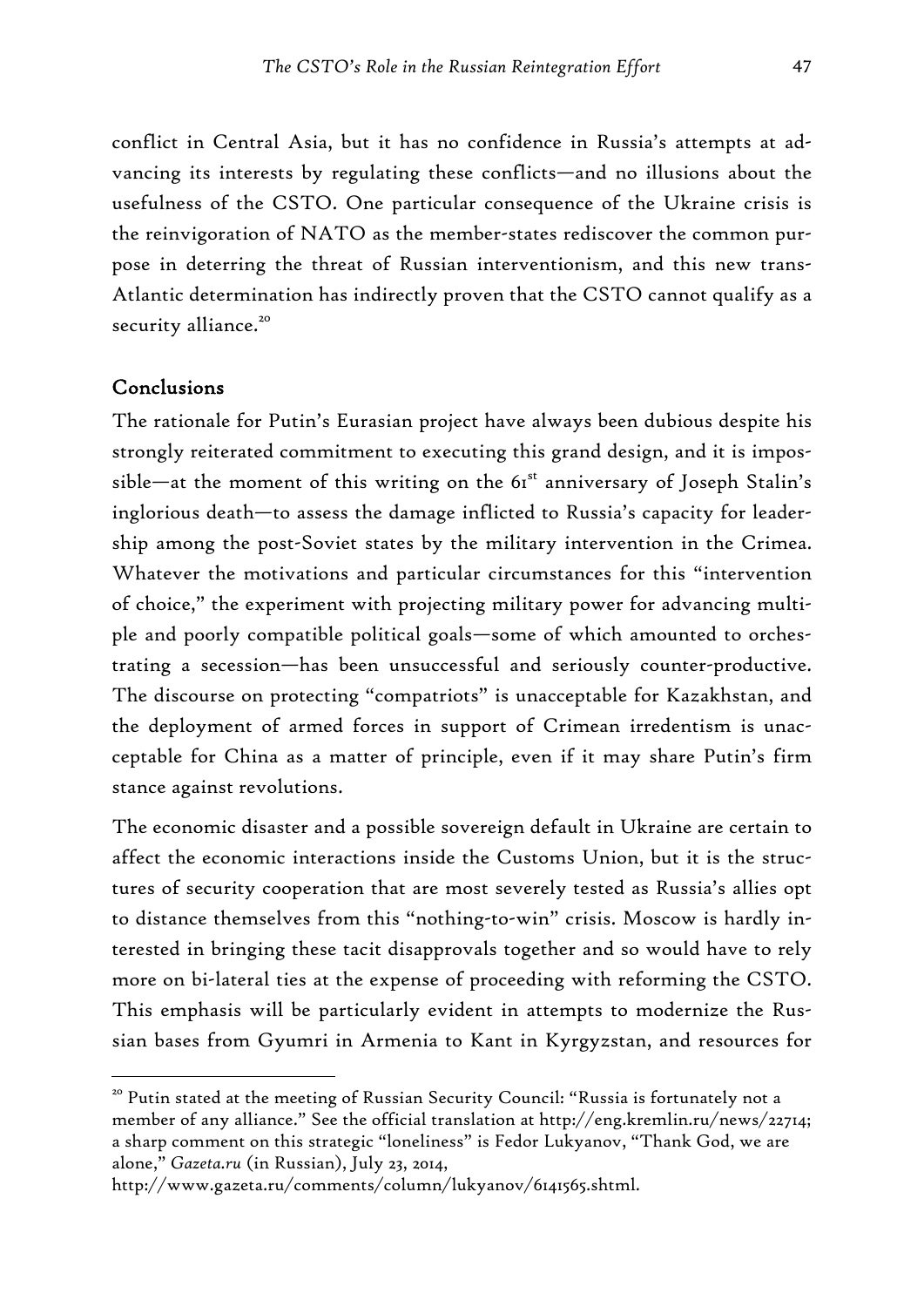conflict in Central Asia, but it has no confidence in Russia's attempts at advancing its interests by regulating these conflicts—and no illusions about the usefulness of the CSTO. One particular consequence of the Ukraine crisis is the reinvigoration of NATO as the member-states rediscover the common purpose in deterring the threat of Russian interventionism, and this new trans-Atlantic determination has indirectly proven that the CSTO cannot qualify as a security alliance.<sup>20</sup>

#### Conclusions

-

The rationale for Putin's Eurasian project have always been dubious despite his strongly reiterated commitment to executing this grand design, and it is impossible—at the moment of this writing on the  $61^{\text{st}}$  anniversary of Joseph Stalin's inglorious death—to assess the damage inflicted to Russia's capacity for leadership among the post-Soviet states by the military intervention in the Crimea. Whatever the motivations and particular circumstances for this "intervention of choice," the experiment with projecting military power for advancing multiple and poorly compatible political goals—some of which amounted to orchestrating a secession—has been unsuccessful and seriously counter-productive. The discourse on protecting "compatriots" is unacceptable for Kazakhstan, and the deployment of armed forces in support of Crimean irredentism is unacceptable for China as a matter of principle, even if it may share Putin's firm stance against revolutions.

The economic disaster and a possible sovereign default in Ukraine are certain to affect the economic interactions inside the Customs Union, but it is the structures of security cooperation that are most severely tested as Russia's allies opt to distance themselves from this "nothing-to-win" crisis. Moscow is hardly interested in bringing these tacit disapprovals together and so would have to rely more on bi-lateral ties at the expense of proceeding with reforming the CSTO. This emphasis will be particularly evident in attempts to modernize the Russian bases from Gyumri in Armenia to Kant in Kyrgyzstan, and resources for

<sup>&</sup>lt;sup>20</sup> Putin stated at the meeting of Russian Security Council: "Russia is fortunately not a member of any alliance." See the official translation at http://eng.kremlin.ru/news/22714; a sharp comment on this strategic "loneliness" is Fedor Lukyanov, "Thank God, we are alone," *Gazeta.ru* (in Russian), July 23, 2014,

http://www.gazeta.ru/comments/column/lukyanov/6141565.shtml.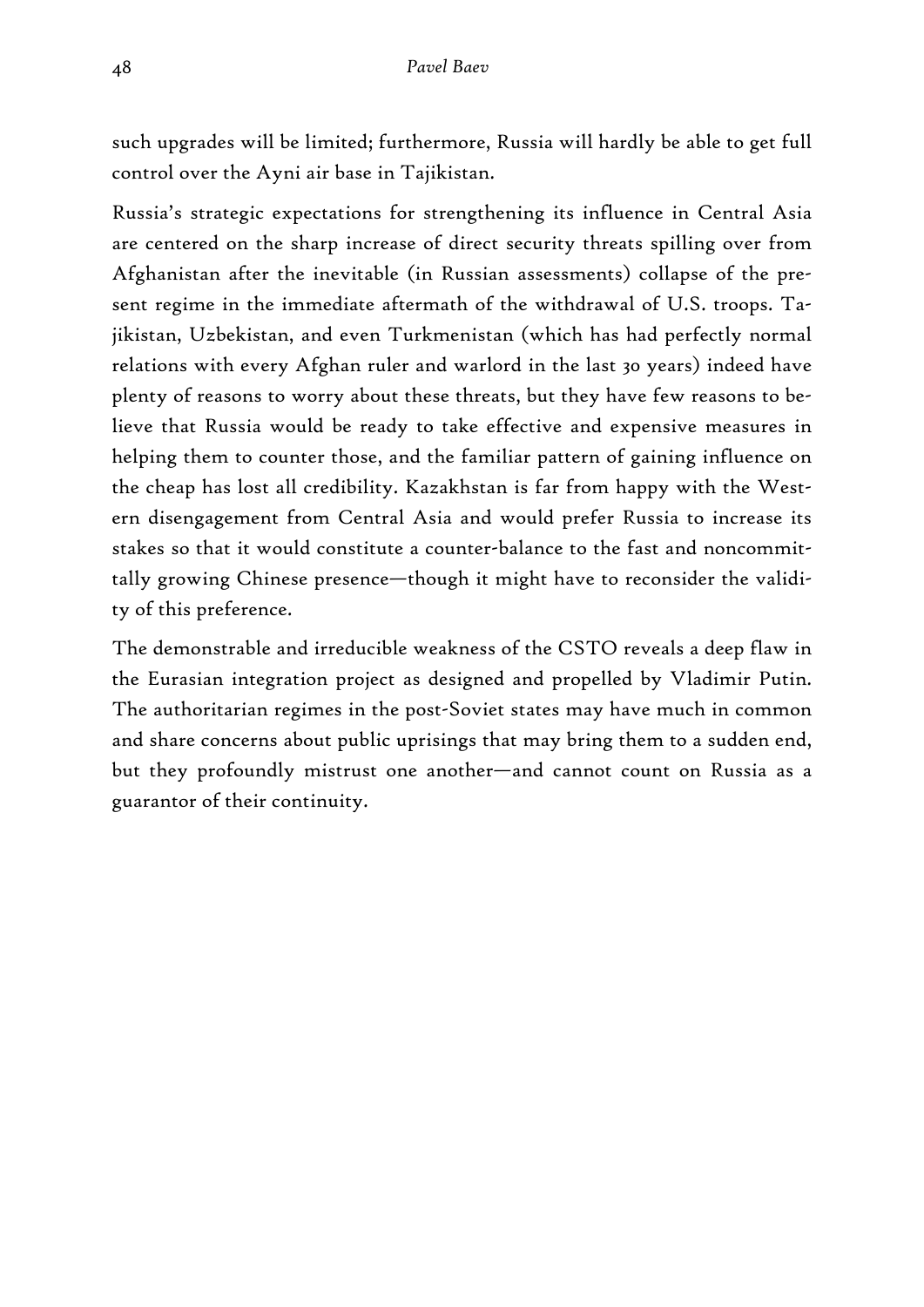such upgrades will be limited; furthermore, Russia will hardly be able to get full control over the Ayni air base in Tajikistan.

Russia's strategic expectations for strengthening its influence in Central Asia are centered on the sharp increase of direct security threats spilling over from Afghanistan after the inevitable (in Russian assessments) collapse of the present regime in the immediate aftermath of the withdrawal of U.S. troops. Tajikistan, Uzbekistan, and even Turkmenistan (which has had perfectly normal relations with every Afghan ruler and warlord in the last 30 years) indeed have plenty of reasons to worry about these threats, but they have few reasons to believe that Russia would be ready to take effective and expensive measures in helping them to counter those, and the familiar pattern of gaining influence on the cheap has lost all credibility. Kazakhstan is far from happy with the Western disengagement from Central Asia and would prefer Russia to increase its stakes so that it would constitute a counter-balance to the fast and noncommittally growing Chinese presence—though it might have to reconsider the validity of this preference.

The demonstrable and irreducible weakness of the CSTO reveals a deep flaw in the Eurasian integration project as designed and propelled by Vladimir Putin. The authoritarian regimes in the post-Soviet states may have much in common and share concerns about public uprisings that may bring them to a sudden end, but they profoundly mistrust one another—and cannot count on Russia as a guarantor of their continuity.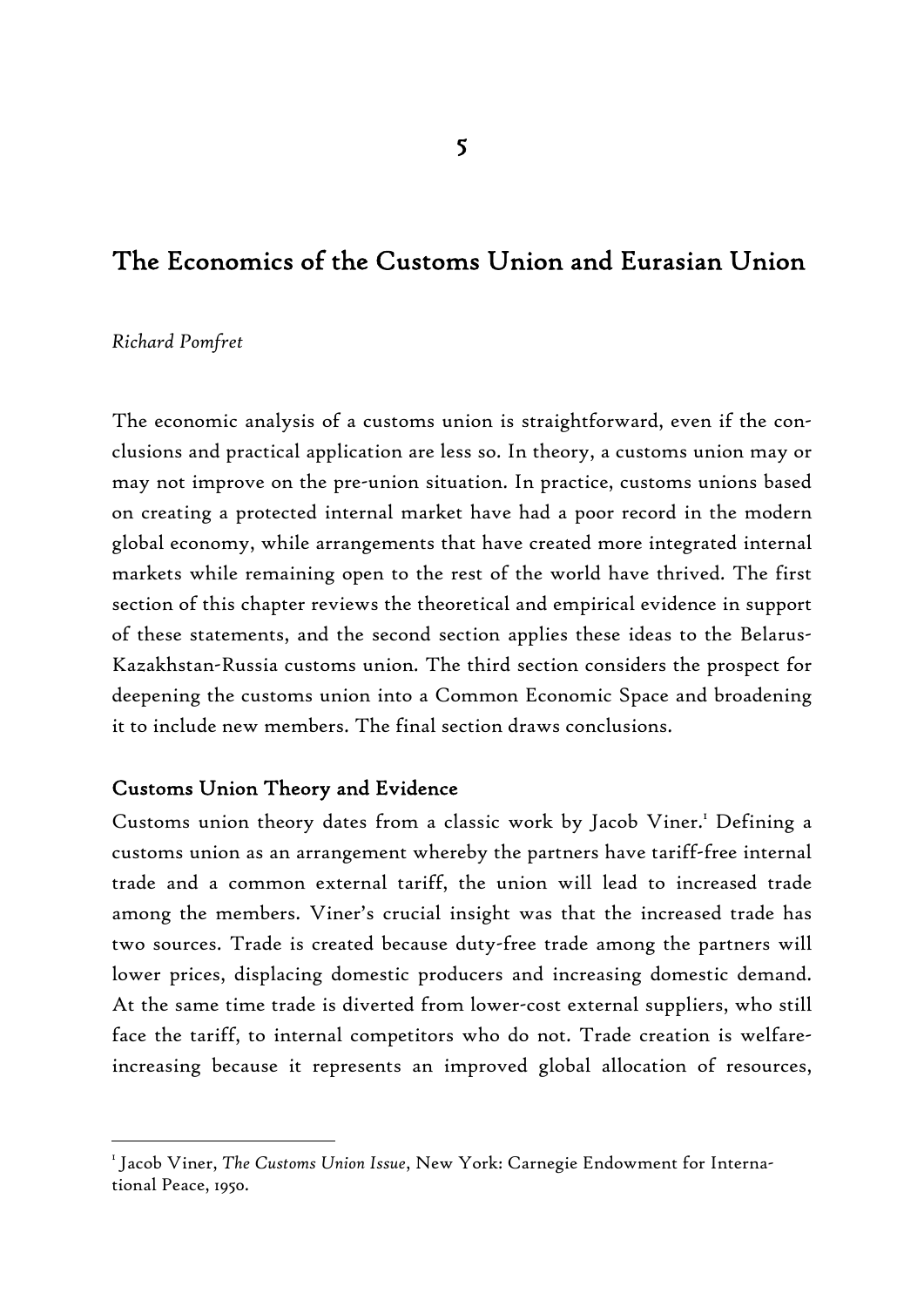# The Economics of the Customs Union and Eurasian Union

#### *Richard Pomfret*

-

The economic analysis of a customs union is straightforward, even if the conclusions and practical application are less so. In theory, a customs union may or may not improve on the pre-union situation. In practice, customs unions based on creating a protected internal market have had a poor record in the modern global economy, while arrangements that have created more integrated internal markets while remaining open to the rest of the world have thrived. The first section of this chapter reviews the theoretical and empirical evidence in support of these statements, and the second section applies these ideas to the Belarus-Kazakhstan-Russia customs union. The third section considers the prospect for deepening the customs union into a Common Economic Space and broadening it to include new members. The final section draws conclusions.

#### Customs Union Theory and Evidence

Customs union theory dates from a classic work by Jacob Viner.<sup>1</sup> Defining a customs union as an arrangement whereby the partners have tariff-free internal trade and a common external tariff, the union will lead to increased trade among the members. Viner's crucial insight was that the increased trade has two sources. Trade is created because duty-free trade among the partners will lower prices, displacing domestic producers and increasing domestic demand. At the same time trade is diverted from lower-cost external suppliers, who still face the tariff, to internal competitors who do not. Trade creation is welfareincreasing because it represents an improved global allocation of resources,

<sup>1</sup> Jacob Viner, *The Customs Union Issue*, New York: Carnegie Endowment for International Peace, 1950.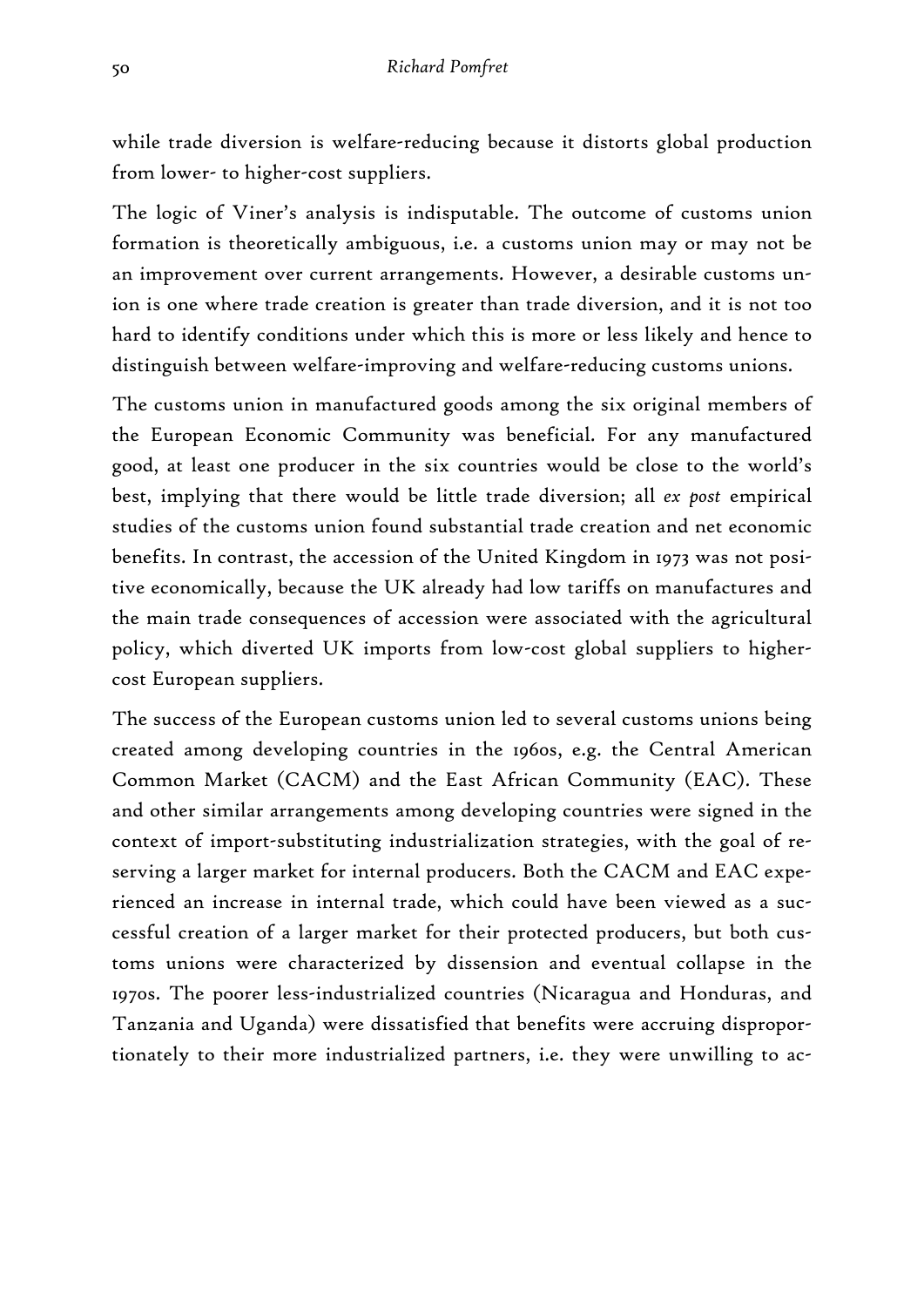while trade diversion is welfare-reducing because it distorts global production from lower- to higher-cost suppliers.

The logic of Viner's analysis is indisputable. The outcome of customs union formation is theoretically ambiguous, i.e. a customs union may or may not be an improvement over current arrangements. However, a desirable customs union is one where trade creation is greater than trade diversion, and it is not too hard to identify conditions under which this is more or less likely and hence to distinguish between welfare-improving and welfare-reducing customs unions.

The customs union in manufactured goods among the six original members of the European Economic Community was beneficial. For any manufactured good, at least one producer in the six countries would be close to the world's best, implying that there would be little trade diversion; all *ex post* empirical studies of the customs union found substantial trade creation and net economic benefits. In contrast, the accession of the United Kingdom in 1973 was not positive economically, because the UK already had low tariffs on manufactures and the main trade consequences of accession were associated with the agricultural policy, which diverted UK imports from low-cost global suppliers to highercost European suppliers.

The success of the European customs union led to several customs unions being created among developing countries in the 1960s, e.g. the Central American Common Market (CACM) and the East African Community (EAC). These and other similar arrangements among developing countries were signed in the context of import-substituting industrialization strategies, with the goal of reserving a larger market for internal producers. Both the CACM and EAC experienced an increase in internal trade, which could have been viewed as a successful creation of a larger market for their protected producers, but both customs unions were characterized by dissension and eventual collapse in the 1970s. The poorer less-industrialized countries (Nicaragua and Honduras, and Tanzania and Uganda) were dissatisfied that benefits were accruing disproportionately to their more industrialized partners, i.e. they were unwilling to ac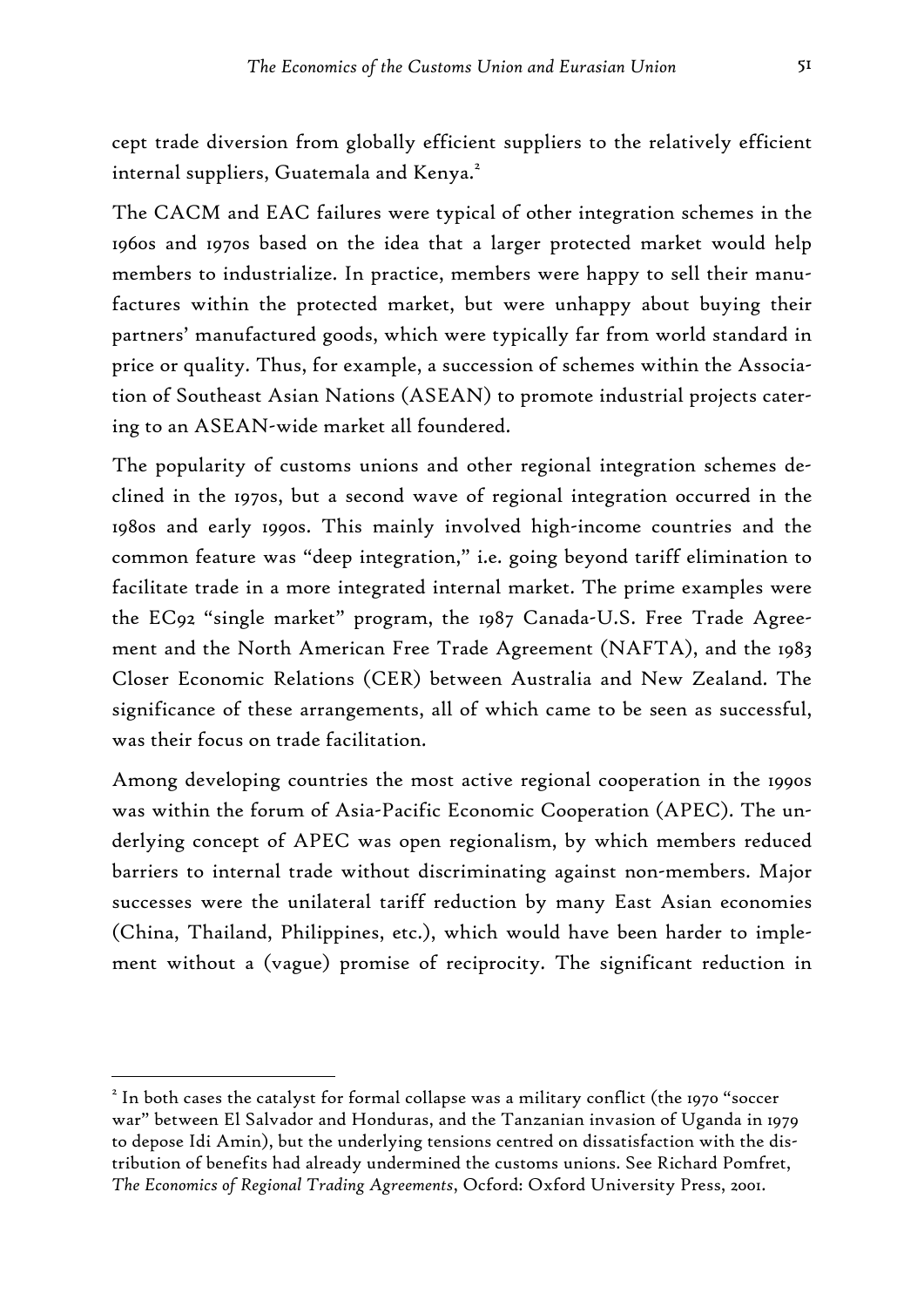cept trade diversion from globally efficient suppliers to the relatively efficient internal suppliers, Guatemala and Kenya.<sup>2</sup>

The CACM and EAC failures were typical of other integration schemes in the 1960s and 1970s based on the idea that a larger protected market would help members to industrialize. In practice, members were happy to sell their manufactures within the protected market, but were unhappy about buying their partners' manufactured goods, which were typically far from world standard in price or quality. Thus, for example, a succession of schemes within the Association of Southeast Asian Nations (ASEAN) to promote industrial projects catering to an ASEAN-wide market all foundered.

The popularity of customs unions and other regional integration schemes declined in the 1970s, but a second wave of regional integration occurred in the 1980s and early 1990s. This mainly involved high-income countries and the common feature was "deep integration," i.e. going beyond tariff elimination to facilitate trade in a more integrated internal market. The prime examples were the EC92 "single market" program, the 1987 Canada-U.S. Free Trade Agreement and the North American Free Trade Agreement (NAFTA), and the 1983 Closer Economic Relations (CER) between Australia and New Zealand. The significance of these arrangements, all of which came to be seen as successful, was their focus on trade facilitation.

Among developing countries the most active regional cooperation in the 1990s was within the forum of Asia-Pacific Economic Cooperation (APEC). The underlying concept of APEC was open regionalism, by which members reduced barriers to internal trade without discriminating against non-members. Major successes were the unilateral tariff reduction by many East Asian economies (China, Thailand, Philippines, etc.), which would have been harder to implement without a (vague) promise of reciprocity. The significant reduction in

 $^2$  In both cases the catalyst for formal collapse was a military conflict (the 1970 "soccer war" between El Salvador and Honduras, and the Tanzanian invasion of Uganda in 1979 to depose Idi Amin), but the underlying tensions centred on dissatisfaction with the distribution of benefits had already undermined the customs unions. See Richard Pomfret, *The Economics of Regional Trading Agreements*, Ocford: Oxford University Press, 2001.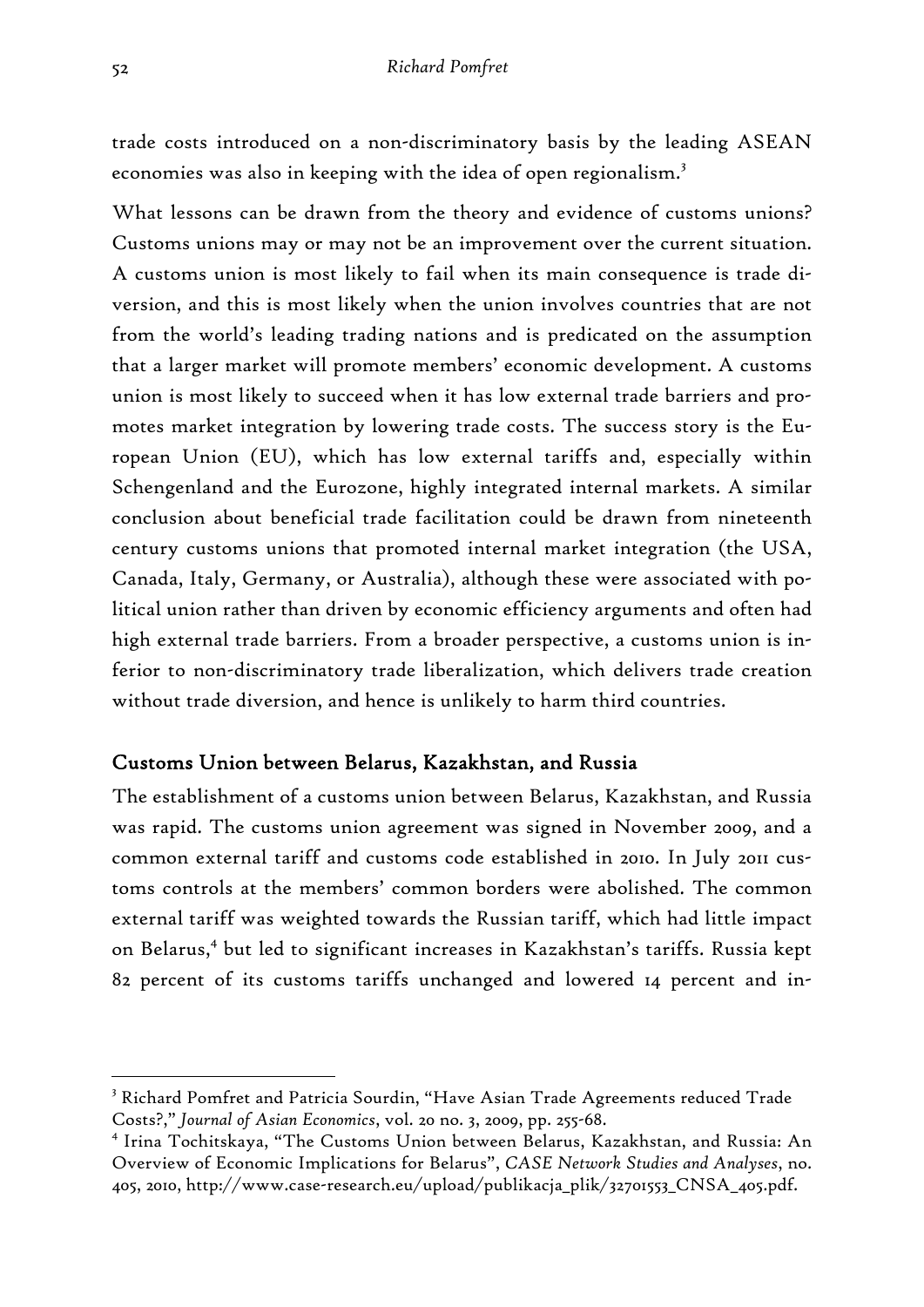trade costs introduced on a non-discriminatory basis by the leading ASEAN economies was also in keeping with the idea of open regionalism.<sup>3</sup>

What lessons can be drawn from the theory and evidence of customs unions? Customs unions may or may not be an improvement over the current situation. A customs union is most likely to fail when its main consequence is trade diversion, and this is most likely when the union involves countries that are not from the world's leading trading nations and is predicated on the assumption that a larger market will promote members' economic development. A customs union is most likely to succeed when it has low external trade barriers and promotes market integration by lowering trade costs. The success story is the European Union (EU), which has low external tariffs and, especially within Schengenland and the Eurozone, highly integrated internal markets. A similar conclusion about beneficial trade facilitation could be drawn from nineteenth century customs unions that promoted internal market integration (the USA, Canada, Italy, Germany, or Australia), although these were associated with political union rather than driven by economic efficiency arguments and often had high external trade barriers. From a broader perspective, a customs union is inferior to non-discriminatory trade liberalization, which delivers trade creation without trade diversion, and hence is unlikely to harm third countries.

### Customs Union between Belarus, Kazakhstan, and Russia

The establishment of a customs union between Belarus, Kazakhstan, and Russia was rapid. The customs union agreement was signed in November 2009, and a common external tariff and customs code established in 2010. In July 2011 customs controls at the members' common borders were abolished. The common external tariff was weighted towards the Russian tariff, which had little impact on Belarus,<sup>4</sup> but led to significant increases in Kazakhstan's tariffs. Russia kept 82 percent of its customs tariffs unchanged and lowered 14 percent and in-

<sup>&</sup>lt;sup>3</sup> Richard Pomfret and Patricia Sourdin, "Have Asian Trade Agreements reduced Trade Costs?," *Journal of Asian Economics*, vol. 20 no. 3, 2009, pp. 255-68.

<sup>4</sup> Irina Tochitskaya, "The Customs Union between Belarus, Kazakhstan, and Russia: An Overview of Economic Implications for Belarus", *CASE Network Studies and Analyses*, no. 405, 2010, http://www.case-research.eu/upload/publikacja\_plik/32701553\_CNSA\_405.pdf.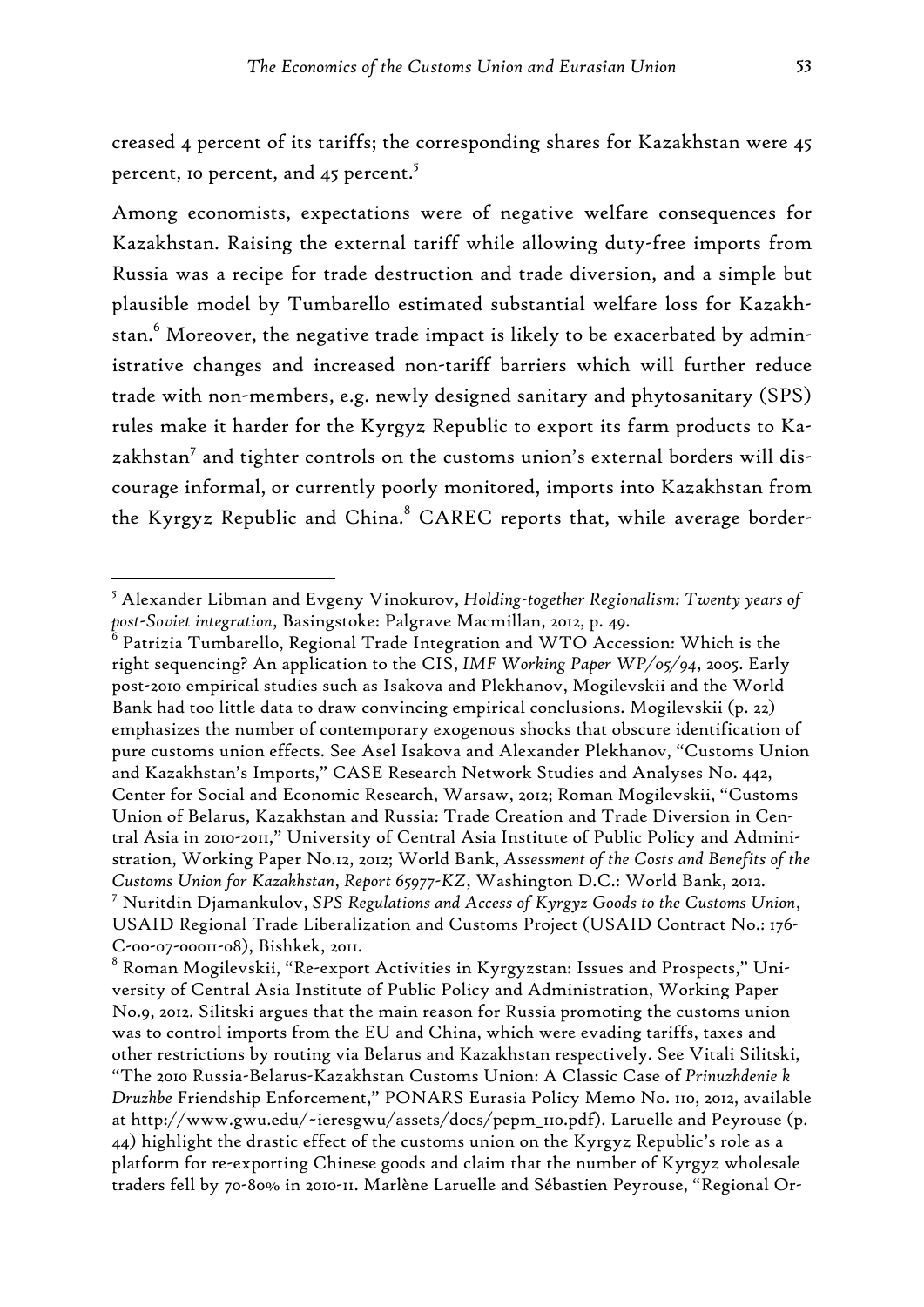creased 4 percent of its tariffs; the corresponding shares for Kazakhstan were 45 percent, 10 percent, and 45 percent.<sup>5</sup>

Among economists, expectations were of negative welfare consequences for Kazakhstan. Raising the external tariff while allowing duty-free imports from Russia was a recipe for trade destruction and trade diversion, and a simple but plausible model by Tumbarello estimated substantial welfare loss for Kazakhstan. $^6$  Moreover, the negative trade impact is likely to be exacerbated by administrative changes and increased non-tariff barriers which will further reduce trade with non-members, e.g. newly designed sanitary and phytosanitary (SPS) rules make it harder for the Kyrgyz Republic to export its farm products to Kazakhstan<sup>7</sup> and tighter controls on the customs union's external borders will discourage informal, or currently poorly monitored, imports into Kazakhstan from the Kyrgyz Republic and China.<sup>8</sup> CAREC reports that, while average border-

<sup>5</sup> Alexander Libman and Evgeny Vinokurov, *Holding-together Regionalism: Twenty years of post-Soviet integration*, Basingstoke: Palgrave Macmillan, 2012, p. 49.

 $^{\rm 6}$  Patrizia Tumbarello, Regional Trade Integration and WTO Accession: Which is the right sequencing? An application to the CIS, *IMF Working Paper WP/05/94*, 2005. Early post-2010 empirical studies such as Isakova and Plekhanov, Mogilevskii and the World Bank had too little data to draw convincing empirical conclusions. Mogilevskii (p. 22) emphasizes the number of contemporary exogenous shocks that obscure identification of pure customs union effects. See Asel Isakova and Alexander Plekhanov, "Customs Union and Kazakhstan's Imports," CASE Research Network Studies and Analyses No. 442, Center for Social and Economic Research, Warsaw, 2012; Roman Mogilevskii, "Customs Union of Belarus, Kazakhstan and Russia: Trade Creation and Trade Diversion in Central Asia in 2010-2011," University of Central Asia Institute of Public Policy and Administration, Working Paper No.12, 2012; World Bank, *Assessment of the Costs and Benefits of the Customs Union for Kazakhstan*, *Report 65977-KZ*, Washington D.C.: World Bank, 2012. 7 Nuritdin Djamankulov, *SPS Regulations and Access of Kyrgyz Goods to the Customs Union*, USAID Regional Trade Liberalization and Customs Project (USAID Contract No.: 176- C-00-07-00011-08), Bishkek, 2011.

 $^{\rm 8}$  Roman Mogilevskii, "Re-export Activities in Kyrgyzstan: Issues and Prospects," University of Central Asia Institute of Public Policy and Administration, Working Paper No.9, 2012. Silitski argues that the main reason for Russia promoting the customs union was to control imports from the EU and China, which were evading tariffs, taxes and other restrictions by routing via Belarus and Kazakhstan respectively. See Vitali Silitski, "The 2010 Russia-Belarus-Kazakhstan Customs Union: A Classic Case of *Prinuzhdenie k Druzhbe* Friendship Enforcement," PONARS Eurasia Policy Memo No. 110, 2012, available at http://www.gwu.edu/~ieresgwu/assets/docs/pepm\_110.pdf). Laruelle and Peyrouse (p. 44) highlight the drastic effect of the customs union on the Kyrgyz Republic's role as a platform for re-exporting Chinese goods and claim that the number of Kyrgyz wholesale traders fell by 70-80% in 2010-11. Marlène Laruelle and Sébastien Peyrouse, "Regional Or-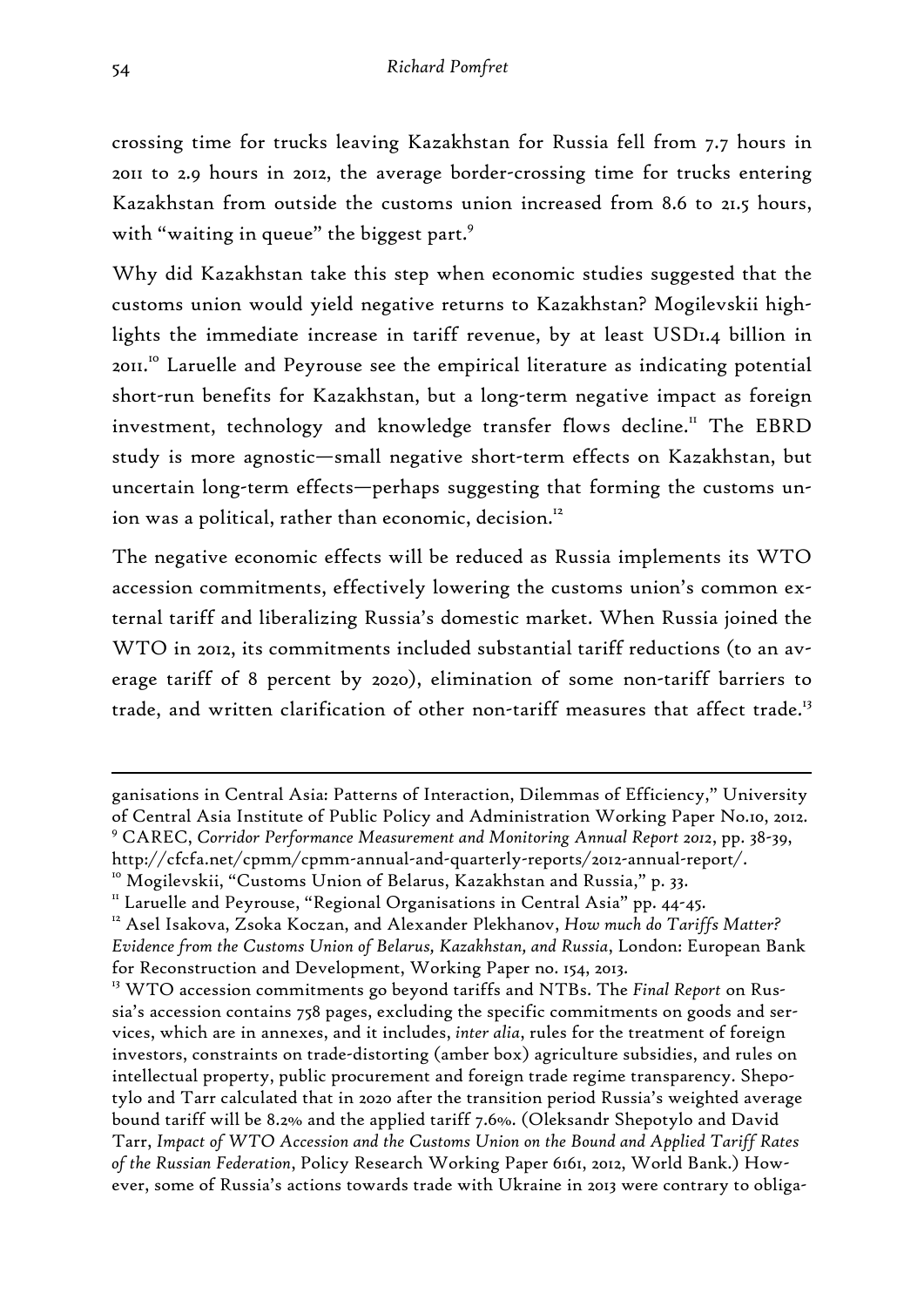crossing time for trucks leaving Kazakhstan for Russia fell from 7.7 hours in 2011 to 2.9 hours in 2012, the average border-crossing time for trucks entering Kazakhstan from outside the customs union increased from 8.6 to 21.5 hours, with "waiting in queue" the biggest part.<sup>9</sup>

Why did Kazakhstan take this step when economic studies suggested that the customs union would yield negative returns to Kazakhstan? Mogilevskii highlights the immediate increase in tariff revenue, by at least USD1.4 billion in 2011.10 Laruelle and Peyrouse see the empirical literature as indicating potential short-run benefits for Kazakhstan, but a long-term negative impact as foreign investment, technology and knowledge transfer flows decline.<sup>11</sup> The EBRD study is more agnostic—small negative short-term effects on Kazakhstan, but uncertain long-term effects—perhaps suggesting that forming the customs union was a political, rather than economic, decision.<sup>12</sup>

The negative economic effects will be reduced as Russia implements its WTO accession commitments, effectively lowering the customs union's common external tariff and liberalizing Russia's domestic market. When Russia joined the WTO in 2012, its commitments included substantial tariff reductions (to an average tariff of 8 percent by 2020), elimination of some non-tariff barriers to trade, and written clarification of other non-tariff measures that affect trade.<sup>13</sup>

ganisations in Central Asia: Patterns of Interaction, Dilemmas of Efficiency," University of Central Asia Institute of Public Policy and Administration Working Paper No.10, 2012. 9 CAREC, *Corridor Performance Measurement and Monitoring Annual Report 2012*, pp. 38-39,

http://cfcfa.net/cpmm/cpmm-annual-and-quarterly-reports/2012-annual-report/.<br><sup>10</sup> Mogilevskii, "Customs Union of Belarus, Kazakhstan and Russia," p. 33.<br><sup>11</sup> Laruelle and Peyrouse, "Regional Organisations in Central Asia"

<sup>&</sup>lt;sup>12</sup> Asel Isakova, Zsoka Koczan, and Alexander Plekhanov, How much do Tariffs Matter? *Evidence from the Customs Union of Belarus, Kazakhstan, and Russia*, London: European Bank for Reconstruction and Development, Working Paper no. 154, 2013.

<sup>&</sup>lt;sup>13</sup> WTO accession commitments go beyond tariffs and NTBs. The *Final Report* on Russia's accession contains 758 pages, excluding the specific commitments on goods and services, which are in annexes, and it includes, *inter alia*, rules for the treatment of foreign investors, constraints on trade-distorting (amber box) agriculture subsidies, and rules on intellectual property, public procurement and foreign trade regime transparency. Shepotylo and Tarr calculated that in 2020 after the transition period Russia's weighted average bound tariff will be 8.2% and the applied tariff 7.6%. (Oleksandr Shepotylo and David Tarr, *Impact of WTO Accession and the Customs Union on the Bound and Applied Tariff Rates of the Russian Federation*, Policy Research Working Paper 6161, 2012, World Bank.) However, some of Russia's actions towards trade with Ukraine in 2013 were contrary to obliga-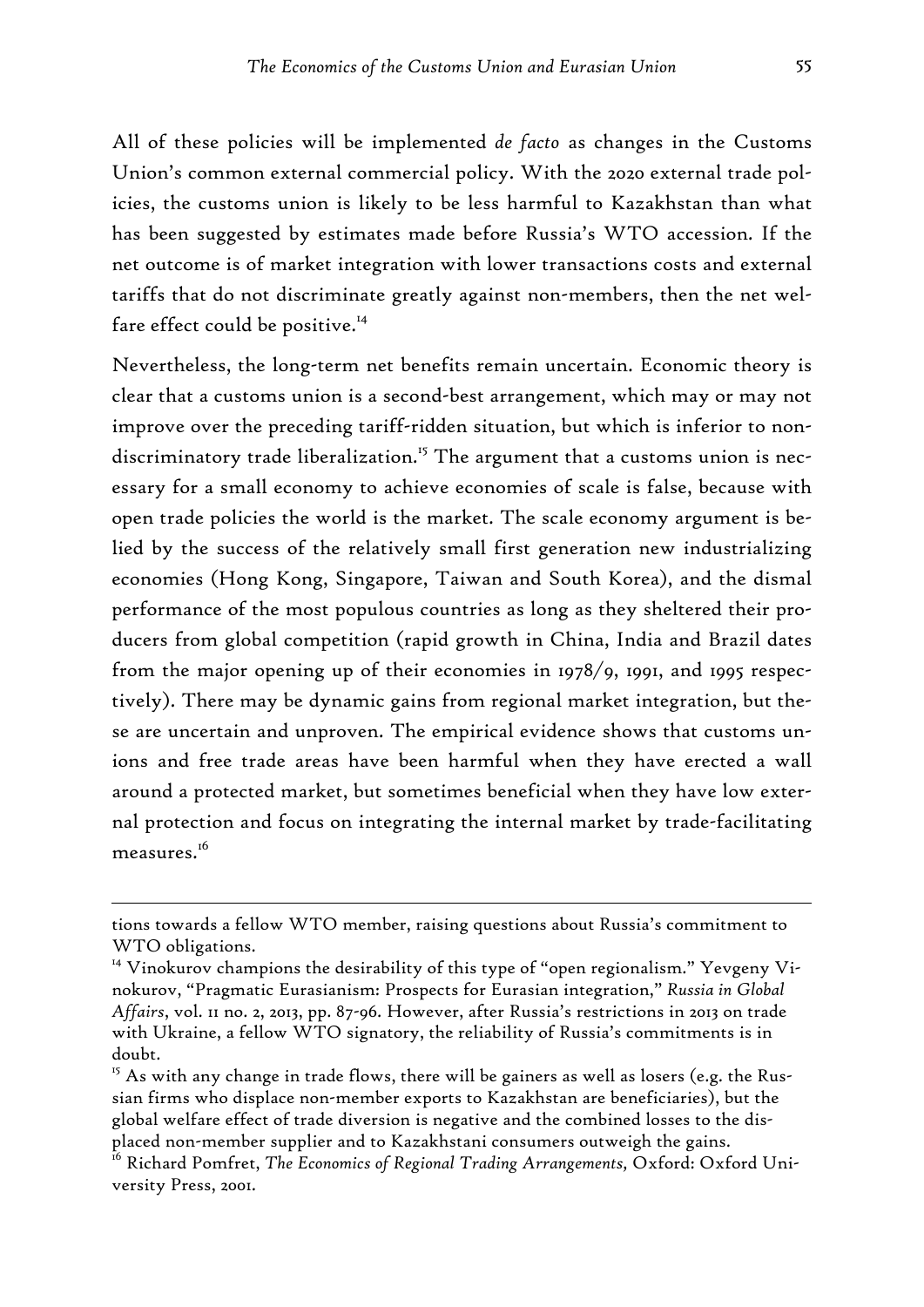All of these policies will be implemented *de facto* as changes in the Customs Union's common external commercial policy. With the 2020 external trade policies, the customs union is likely to be less harmful to Kazakhstan than what has been suggested by estimates made before Russia's WTO accession. If the net outcome is of market integration with lower transactions costs and external tariffs that do not discriminate greatly against non-members, then the net welfare effect could be positive.<sup>14</sup>

Nevertheless, the long-term net benefits remain uncertain. Economic theory is clear that a customs union is a second-best arrangement, which may or may not improve over the preceding tariff-ridden situation, but which is inferior to nondiscriminatory trade liberalization.<sup>15</sup> The argument that a customs union is necessary for a small economy to achieve economies of scale is false, because with open trade policies the world is the market. The scale economy argument is belied by the success of the relatively small first generation new industrializing economies (Hong Kong, Singapore, Taiwan and South Korea), and the dismal performance of the most populous countries as long as they sheltered their producers from global competition (rapid growth in China, India and Brazil dates from the major opening up of their economies in 1978/9, 1991, and 1995 respectively). There may be dynamic gains from regional market integration, but these are uncertain and unproven. The empirical evidence shows that customs unions and free trade areas have been harmful when they have erected a wall around a protected market, but sometimes beneficial when they have low external protection and focus on integrating the internal market by trade-facilitating measures.<sup>16</sup>

tions towards a fellow WTO member, raising questions about Russia's commitment to WTO obligations.

<sup>&</sup>lt;sup>14</sup> Vinokurov champions the desirability of this type of "open regionalism." Yevgeny Vinokurov, "Pragmatic Eurasianism: Prospects for Eurasian integration," *Russia in Global Affairs*, vol. 11 no. 2, 2013, pp. 87-96. However, after Russia's restrictions in 2013 on trade with Ukraine, a fellow WTO signatory, the reliability of Russia's commitments is in doubt.

 $15$  As with any change in trade flows, there will be gainers as well as losers (e.g. the Russian firms who displace non-member exports to Kazakhstan are beneficiaries), but the global welfare effect of trade diversion is negative and the combined losses to the displaced non-member supplier and to Kazakhstani consumers outweigh the gains.

<sup>&</sup>lt;sup>16</sup> Richard Pomfret, *The Economics of Regional Trading Arrangements*, Oxford: Oxford University Press, 2001.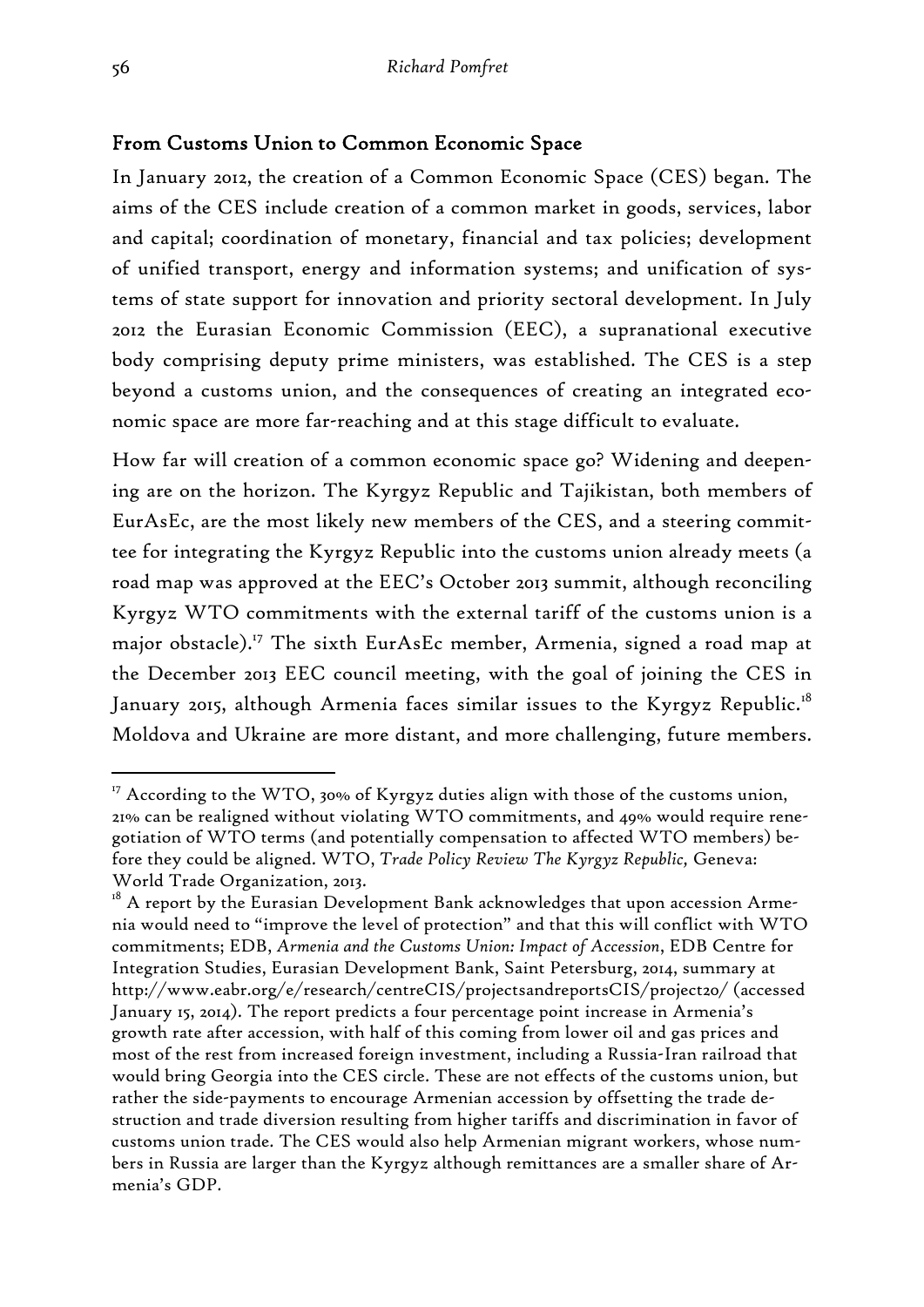#### From Customs Union to Common Economic Space

In January 2012, the creation of a Common Economic Space (CES) began. The aims of the CES include creation of a common market in goods, services, labor and capital; coordination of monetary, financial and tax policies; development of unified transport, energy and information systems; and unification of systems of state support for innovation and priority sectoral development. In July 2012 the Eurasian Economic Commission (EEC), a supranational executive body comprising deputy prime ministers, was established. The CES is a step beyond a customs union, and the consequences of creating an integrated economic space are more far-reaching and at this stage difficult to evaluate.

How far will creation of a common economic space go? Widening and deepening are on the horizon. The Kyrgyz Republic and Tajikistan, both members of EurAsEc, are the most likely new members of the CES, and a steering committee for integrating the Kyrgyz Republic into the customs union already meets (a road map was approved at the EEC's October 2013 summit, although reconciling Kyrgyz WTO commitments with the external tariff of the customs union is a major obstacle).<sup>17</sup> The sixth EurAsEc member, Armenia, signed a road map at the December 2013 EEC council meeting, with the goal of joining the CES in January 2015, although Armenia faces similar issues to the Kyrgyz Republic.<sup>18</sup> Moldova and Ukraine are more distant, and more challenging, future members.

 $17$  According to the WTO, 30% of Kyrgyz duties align with those of the customs union, 21% can be realigned without violating WTO commitments, and 49% would require renegotiation of WTO terms (and potentially compensation to affected WTO members) before they could be aligned. WTO, *Trade Policy Review The Kyrgyz Republic,* Geneva: World Trade Organization, 2013.

 $18$  A report by the Eurasian Development Bank acknowledges that upon accession Armenia would need to "improve the level of protection" and that this will conflict with WTO commitments; EDB, *Armenia and the Customs Union: Impact of Accession*, EDB Centre for Integration Studies, Eurasian Development Bank, Saint Petersburg, 2014, summary at http://www.eabr.org/e/research/centreCIS/projectsandreportsCIS/project20/ (accessed January 15, 2014). The report predicts a four percentage point increase in Armenia's growth rate after accession, with half of this coming from lower oil and gas prices and most of the rest from increased foreign investment, including a Russia-Iran railroad that would bring Georgia into the CES circle. These are not effects of the customs union, but rather the side-payments to encourage Armenian accession by offsetting the trade destruction and trade diversion resulting from higher tariffs and discrimination in favor of customs union trade. The CES would also help Armenian migrant workers, whose numbers in Russia are larger than the Kyrgyz although remittances are a smaller share of Armenia's GDP.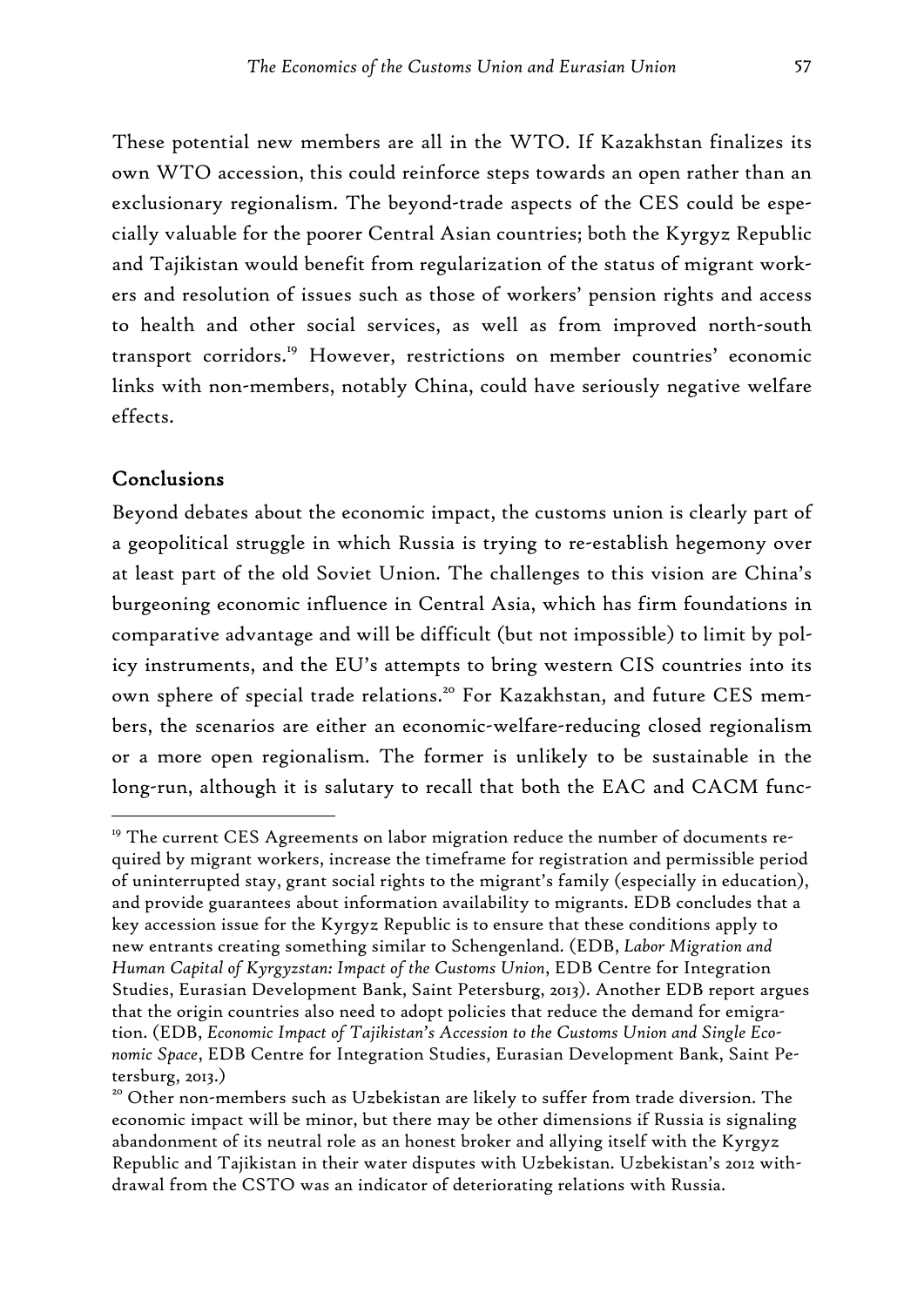These potential new members are all in the WTO. If Kazakhstan finalizes its own WTO accession, this could reinforce steps towards an open rather than an exclusionary regionalism. The beyond-trade aspects of the CES could be especially valuable for the poorer Central Asian countries; both the Kyrgyz Republic and Tajikistan would benefit from regularization of the status of migrant workers and resolution of issues such as those of workers' pension rights and access to health and other social services, as well as from improved north-south transport corridors.<sup>19</sup> However, restrictions on member countries' economic links with non-members, notably China, could have seriously negative welfare effects.

#### Conclusions

-

Beyond debates about the economic impact, the customs union is clearly part of a geopolitical struggle in which Russia is trying to re-establish hegemony over at least part of the old Soviet Union. The challenges to this vision are China's burgeoning economic influence in Central Asia, which has firm foundations in comparative advantage and will be difficult (but not impossible) to limit by policy instruments, and the EU's attempts to bring western CIS countries into its own sphere of special trade relations.<sup>20</sup> For Kazakhstan, and future CES members, the scenarios are either an economic-welfare-reducing closed regionalism or a more open regionalism. The former is unlikely to be sustainable in the long-run, although it is salutary to recall that both the EAC and CACM func-

<sup>&</sup>lt;sup>19</sup> The current CES Agreements on labor migration reduce the number of documents required by migrant workers, increase the timeframe for registration and permissible period of uninterrupted stay, grant social rights to the migrant's family (especially in education), and provide guarantees about information availability to migrants. EDB concludes that a key accession issue for the Kyrgyz Republic is to ensure that these conditions apply to new entrants creating something similar to Schengenland. (EDB, *Labor Migration and Human Capital of Kyrgyzstan: Impact of the Customs Union*, EDB Centre for Integration Studies, Eurasian Development Bank, Saint Petersburg, 2013). Another EDB report argues that the origin countries also need to adopt policies that reduce the demand for emigration. (EDB, *Economic Impact of Tajikistan's Accession to the Customs Union and Single Economic Space*, EDB Centre for Integration Studies, Eurasian Development Bank, Saint Petersburg, 2013.)

<sup>&</sup>lt;sup>20</sup> Other non-members such as Uzbekistan are likely to suffer from trade diversion. The economic impact will be minor, but there may be other dimensions if Russia is signaling abandonment of its neutral role as an honest broker and allying itself with the Kyrgyz Republic and Tajikistan in their water disputes with Uzbekistan. Uzbekistan's 2012 withdrawal from the CSTO was an indicator of deteriorating relations with Russia.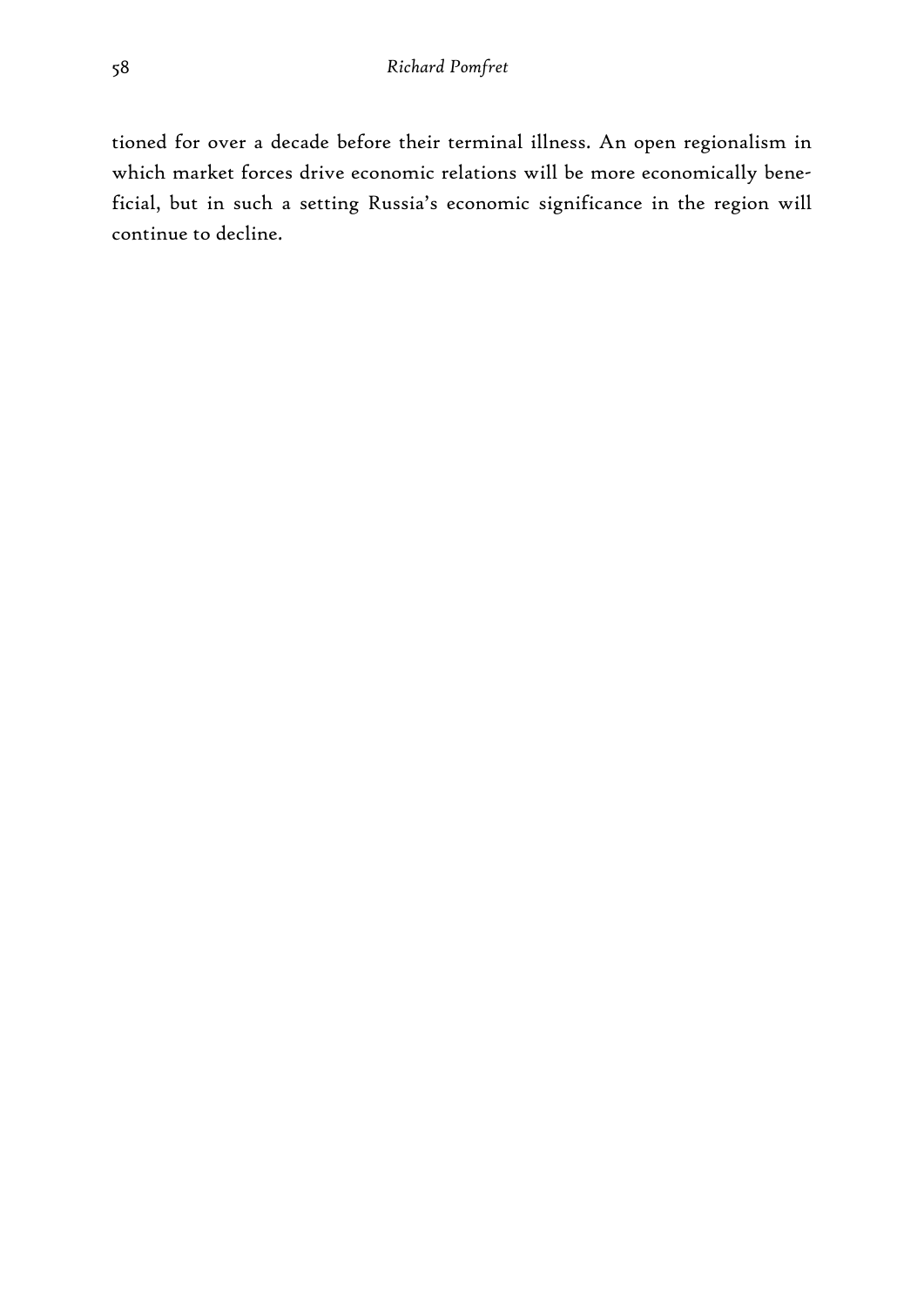tioned for over a decade before their terminal illness. An open regionalism in which market forces drive economic relations will be more economically beneficial, but in such a setting Russia's economic significance in the region will continue to decline.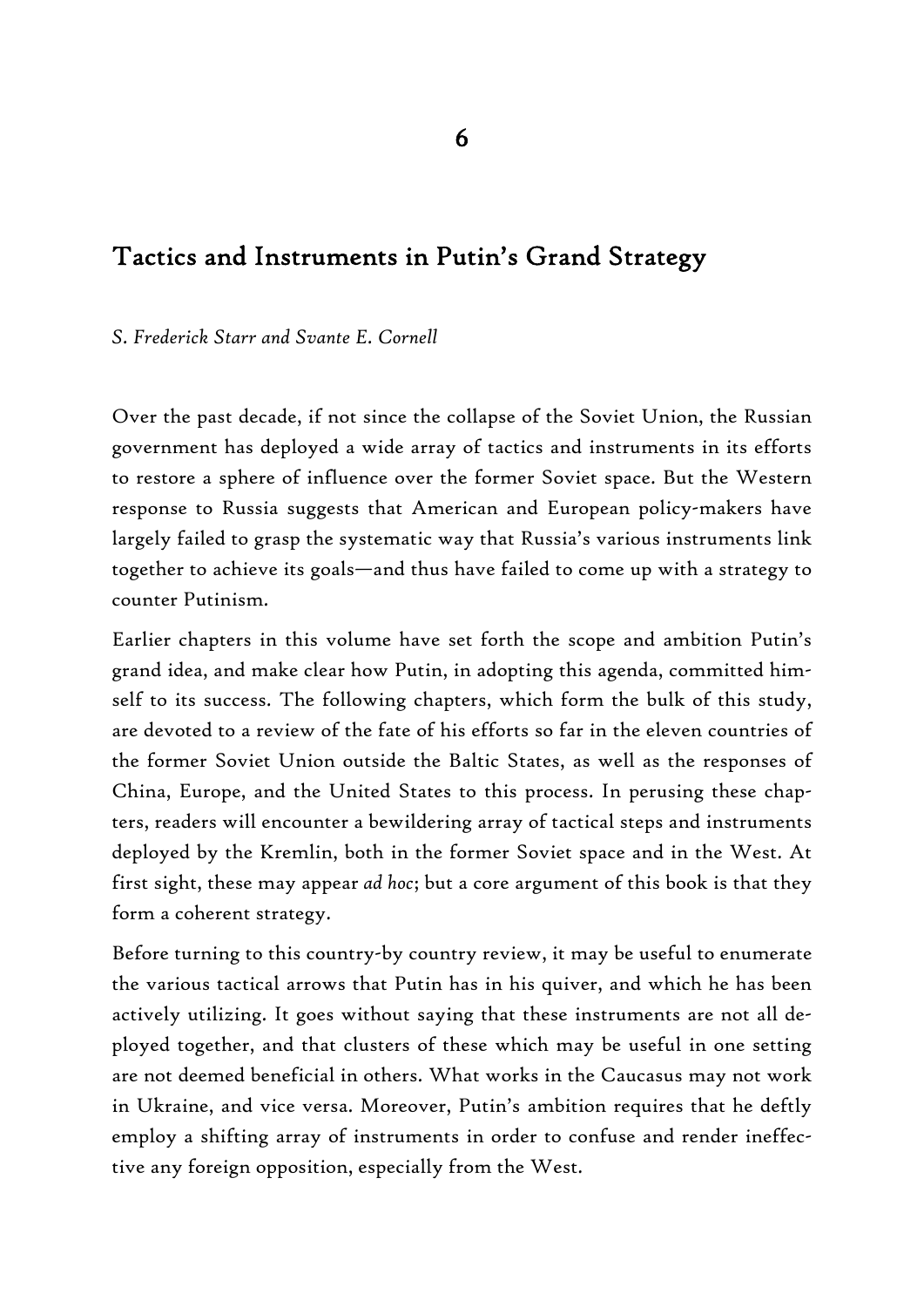# Tactics and Instruments in Putin's Grand Strategy

#### *S. Frederick Starr and Svante E. Cornell*

Over the past decade, if not since the collapse of the Soviet Union, the Russian government has deployed a wide array of tactics and instruments in its efforts to restore a sphere of influence over the former Soviet space. But the Western response to Russia suggests that American and European policy-makers have largely failed to grasp the systematic way that Russia's various instruments link together to achieve its goals—and thus have failed to come up with a strategy to counter Putinism.

Earlier chapters in this volume have set forth the scope and ambition Putin's grand idea, and make clear how Putin, in adopting this agenda, committed himself to its success. The following chapters, which form the bulk of this study, are devoted to a review of the fate of his efforts so far in the eleven countries of the former Soviet Union outside the Baltic States, as well as the responses of China, Europe, and the United States to this process. In perusing these chapters, readers will encounter a bewildering array of tactical steps and instruments deployed by the Kremlin, both in the former Soviet space and in the West. At first sight, these may appear *ad hoc*; but a core argument of this book is that they form a coherent strategy.

Before turning to this country-by country review, it may be useful to enumerate the various tactical arrows that Putin has in his quiver, and which he has been actively utilizing. It goes without saying that these instruments are not all deployed together, and that clusters of these which may be useful in one setting are not deemed beneficial in others. What works in the Caucasus may not work in Ukraine, and vice versa. Moreover, Putin's ambition requires that he deftly employ a shifting array of instruments in order to confuse and render ineffective any foreign opposition, especially from the West.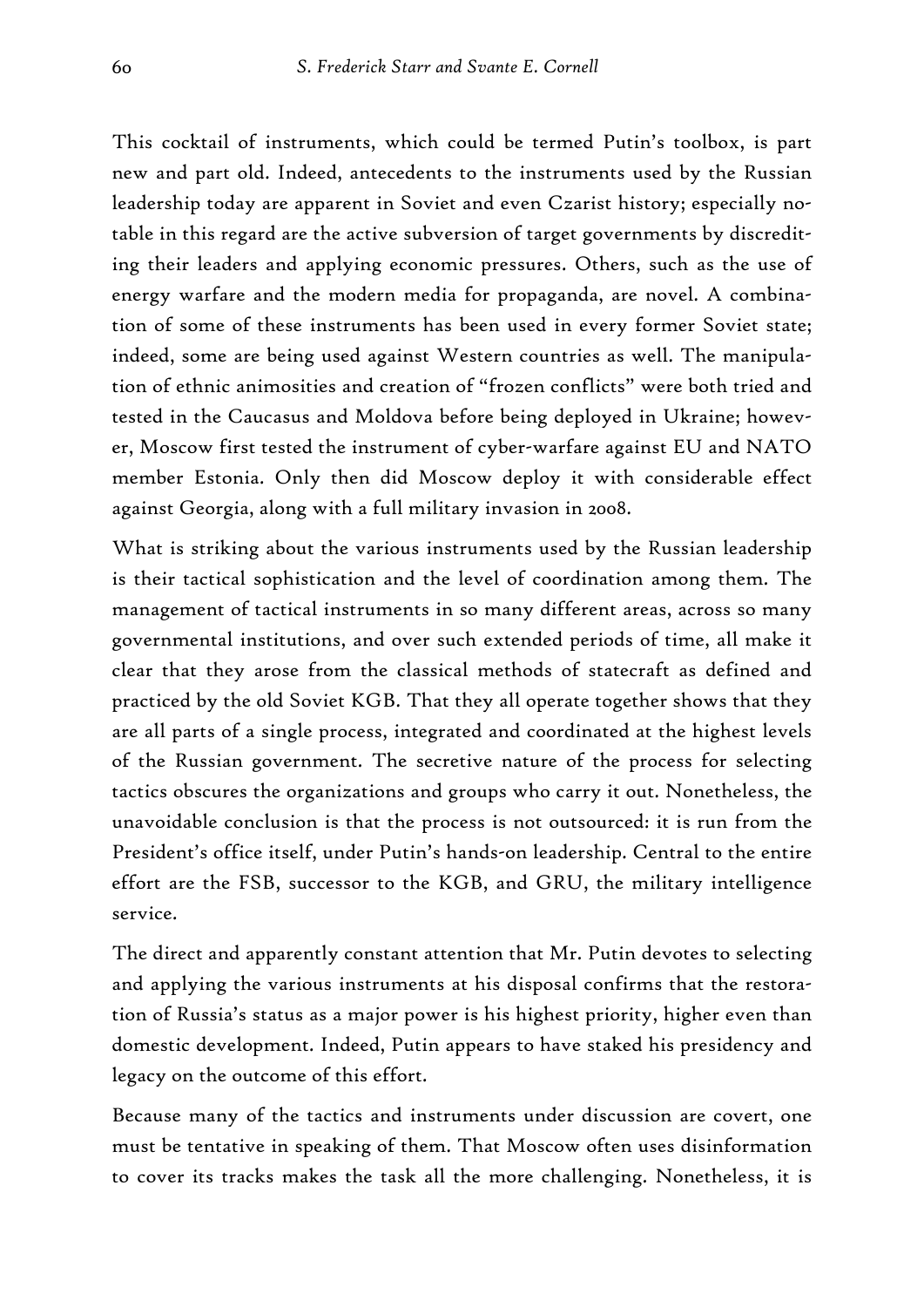This cocktail of instruments, which could be termed Putin's toolbox, is part new and part old. Indeed, antecedents to the instruments used by the Russian leadership today are apparent in Soviet and even Czarist history; especially notable in this regard are the active subversion of target governments by discrediting their leaders and applying economic pressures. Others, such as the use of energy warfare and the modern media for propaganda, are novel. A combination of some of these instruments has been used in every former Soviet state; indeed, some are being used against Western countries as well. The manipulation of ethnic animosities and creation of "frozen conflicts" were both tried and tested in the Caucasus and Moldova before being deployed in Ukraine; however, Moscow first tested the instrument of cyber-warfare against EU and NATO member Estonia. Only then did Moscow deploy it with considerable effect against Georgia, along with a full military invasion in 2008.

What is striking about the various instruments used by the Russian leadership is their tactical sophistication and the level of coordination among them. The management of tactical instruments in so many different areas, across so many governmental institutions, and over such extended periods of time, all make it clear that they arose from the classical methods of statecraft as defined and practiced by the old Soviet KGB. That they all operate together shows that they are all parts of a single process, integrated and coordinated at the highest levels of the Russian government. The secretive nature of the process for selecting tactics obscures the organizations and groups who carry it out. Nonetheless, the unavoidable conclusion is that the process is not outsourced: it is run from the President's office itself, under Putin's hands-on leadership. Central to the entire effort are the FSB, successor to the KGB, and GRU, the military intelligence service.

The direct and apparently constant attention that Mr. Putin devotes to selecting and applying the various instruments at his disposal confirms that the restoration of Russia's status as a major power is his highest priority, higher even than domestic development. Indeed, Putin appears to have staked his presidency and legacy on the outcome of this effort.

Because many of the tactics and instruments under discussion are covert, one must be tentative in speaking of them. That Moscow often uses disinformation to cover its tracks makes the task all the more challenging. Nonetheless, it is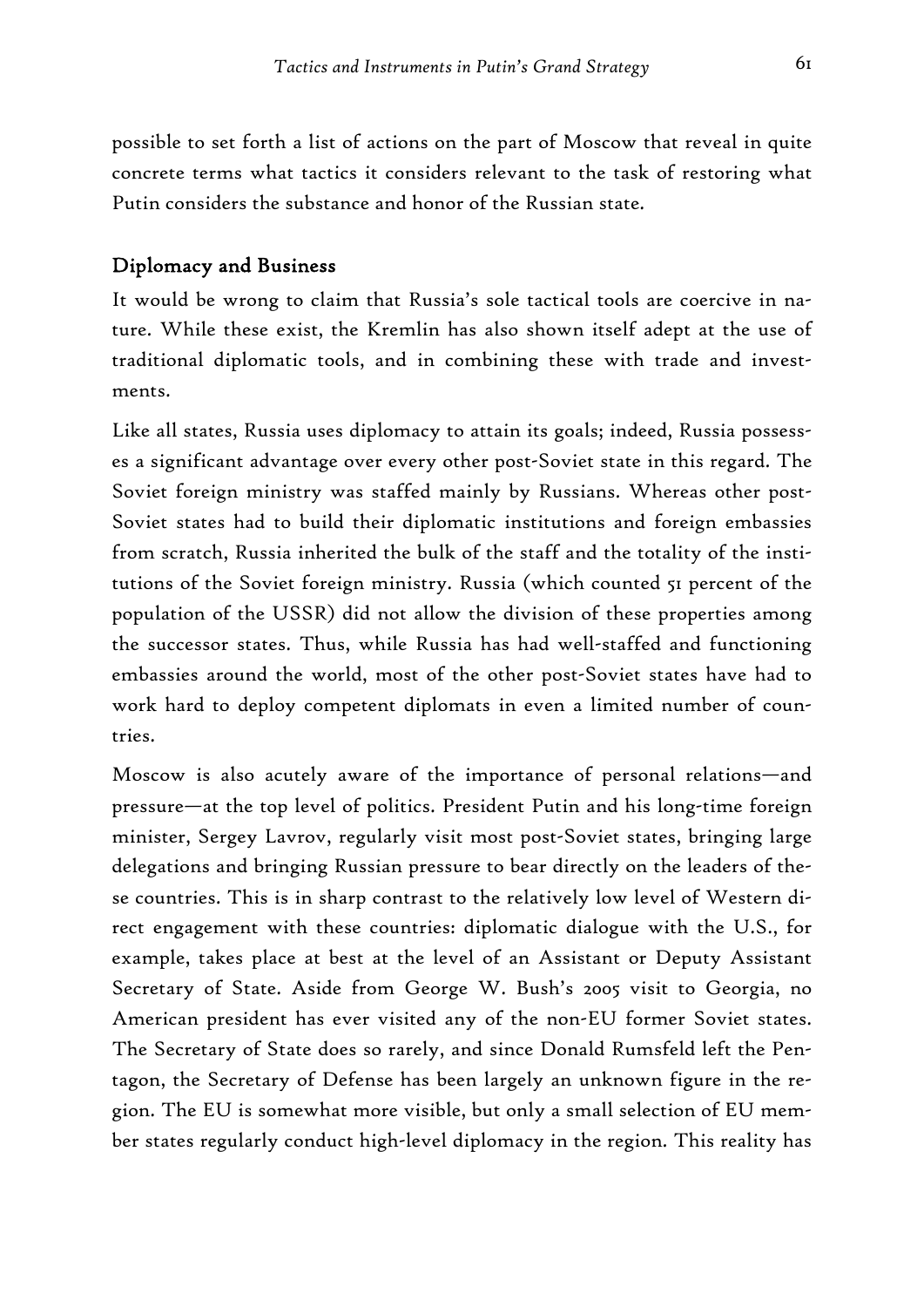possible to set forth a list of actions on the part of Moscow that reveal in quite concrete terms what tactics it considers relevant to the task of restoring what Putin considers the substance and honor of the Russian state.

#### Diplomacy and Business

It would be wrong to claim that Russia's sole tactical tools are coercive in nature. While these exist, the Kremlin has also shown itself adept at the use of traditional diplomatic tools, and in combining these with trade and investments.

Like all states, Russia uses diplomacy to attain its goals; indeed, Russia possesses a significant advantage over every other post-Soviet state in this regard. The Soviet foreign ministry was staffed mainly by Russians. Whereas other post-Soviet states had to build their diplomatic institutions and foreign embassies from scratch, Russia inherited the bulk of the staff and the totality of the institutions of the Soviet foreign ministry. Russia (which counted 51 percent of the population of the USSR) did not allow the division of these properties among the successor states. Thus, while Russia has had well-staffed and functioning embassies around the world, most of the other post-Soviet states have had to work hard to deploy competent diplomats in even a limited number of countries.

Moscow is also acutely aware of the importance of personal relations—and pressure—at the top level of politics. President Putin and his long-time foreign minister, Sergey Lavrov, regularly visit most post-Soviet states, bringing large delegations and bringing Russian pressure to bear directly on the leaders of these countries. This is in sharp contrast to the relatively low level of Western direct engagement with these countries: diplomatic dialogue with the U.S., for example, takes place at best at the level of an Assistant or Deputy Assistant Secretary of State. Aside from George W. Bush's 2005 visit to Georgia, no American president has ever visited any of the non-EU former Soviet states. The Secretary of State does so rarely, and since Donald Rumsfeld left the Pentagon, the Secretary of Defense has been largely an unknown figure in the region. The EU is somewhat more visible, but only a small selection of EU member states regularly conduct high-level diplomacy in the region. This reality has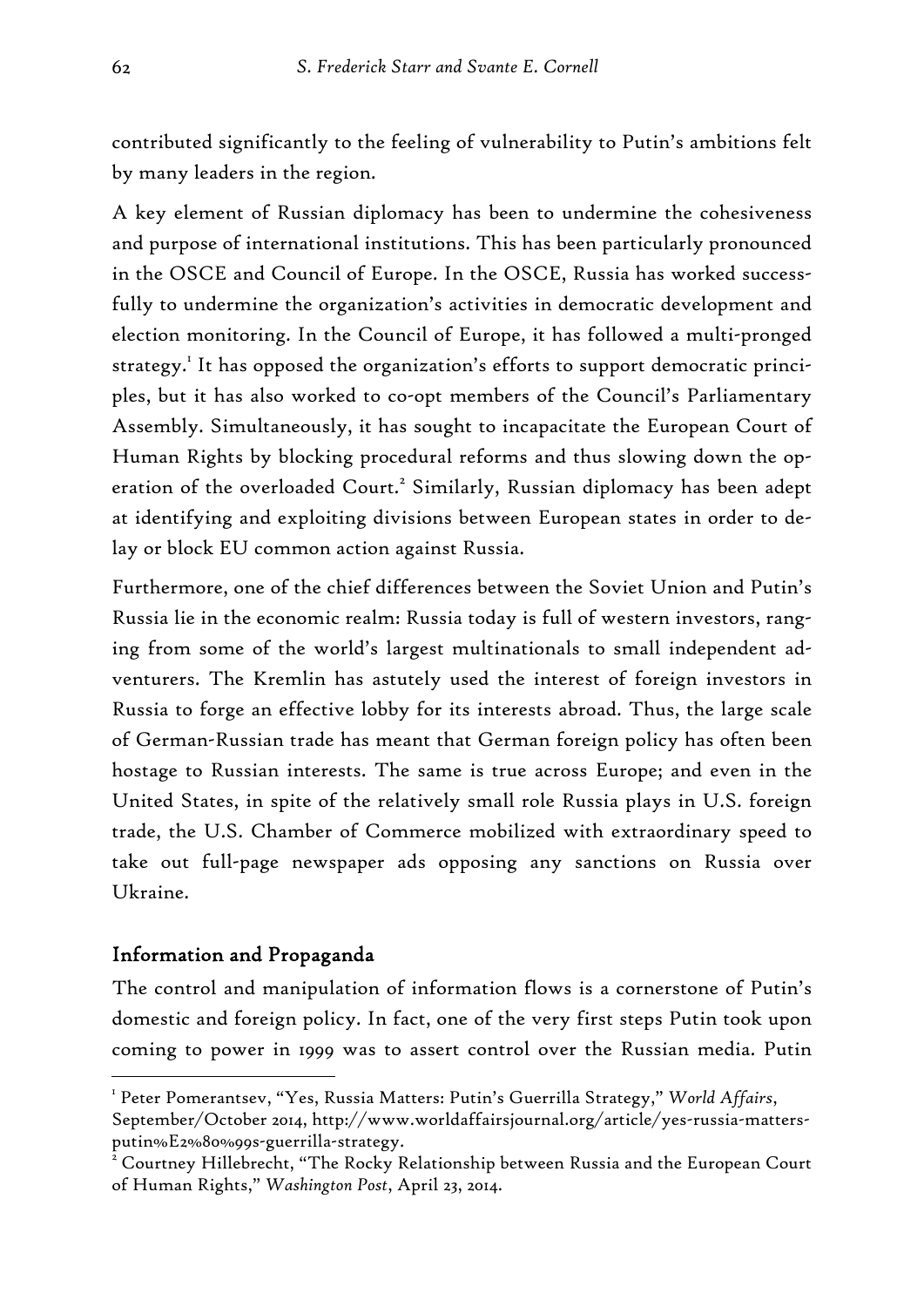contributed significantly to the feeling of vulnerability to Putin's ambitions felt by many leaders in the region.

A key element of Russian diplomacy has been to undermine the cohesiveness and purpose of international institutions. This has been particularly pronounced in the OSCE and Council of Europe. In the OSCE, Russia has worked successfully to undermine the organization's activities in democratic development and election monitoring. In the Council of Europe, it has followed a multi-pronged strategy.<sup>1</sup> It has opposed the organization's efforts to support democratic principles, but it has also worked to co-opt members of the Council's Parliamentary Assembly. Simultaneously, it has sought to incapacitate the European Court of Human Rights by blocking procedural reforms and thus slowing down the operation of the overloaded Court.<sup>2</sup> Similarly, Russian diplomacy has been adept at identifying and exploiting divisions between European states in order to delay or block EU common action against Russia.

Furthermore, one of the chief differences between the Soviet Union and Putin's Russia lie in the economic realm: Russia today is full of western investors, ranging from some of the world's largest multinationals to small independent adventurers. The Kremlin has astutely used the interest of foreign investors in Russia to forge an effective lobby for its interests abroad. Thus, the large scale of German-Russian trade has meant that German foreign policy has often been hostage to Russian interests. The same is true across Europe; and even in the United States, in spite of the relatively small role Russia plays in U.S. foreign trade, the U.S. Chamber of Commerce mobilized with extraordinary speed to take out full-page newspaper ads opposing any sanctions on Russia over Ukraine.

### Information and Propaganda

-

The control and manipulation of information flows is a cornerstone of Putin's domestic and foreign policy. In fact, one of the very first steps Putin took upon coming to power in 1999 was to assert control over the Russian media. Putin

<sup>1</sup> Peter Pomerantsev, "Yes, Russia Matters: Putin's Guerrilla Strategy," *World Affairs*, September/October 2014, http://www.worldaffairsjournal.org/article/yes-russia-mattersputin%E2%80%99s-guerrilla-strategy.

 $^{\tilde{2}}$  Courtney Hillebrecht, "The Rocky Relationship between Russia and the European Court of Human Rights," *Washington Post*, April 23, 2014.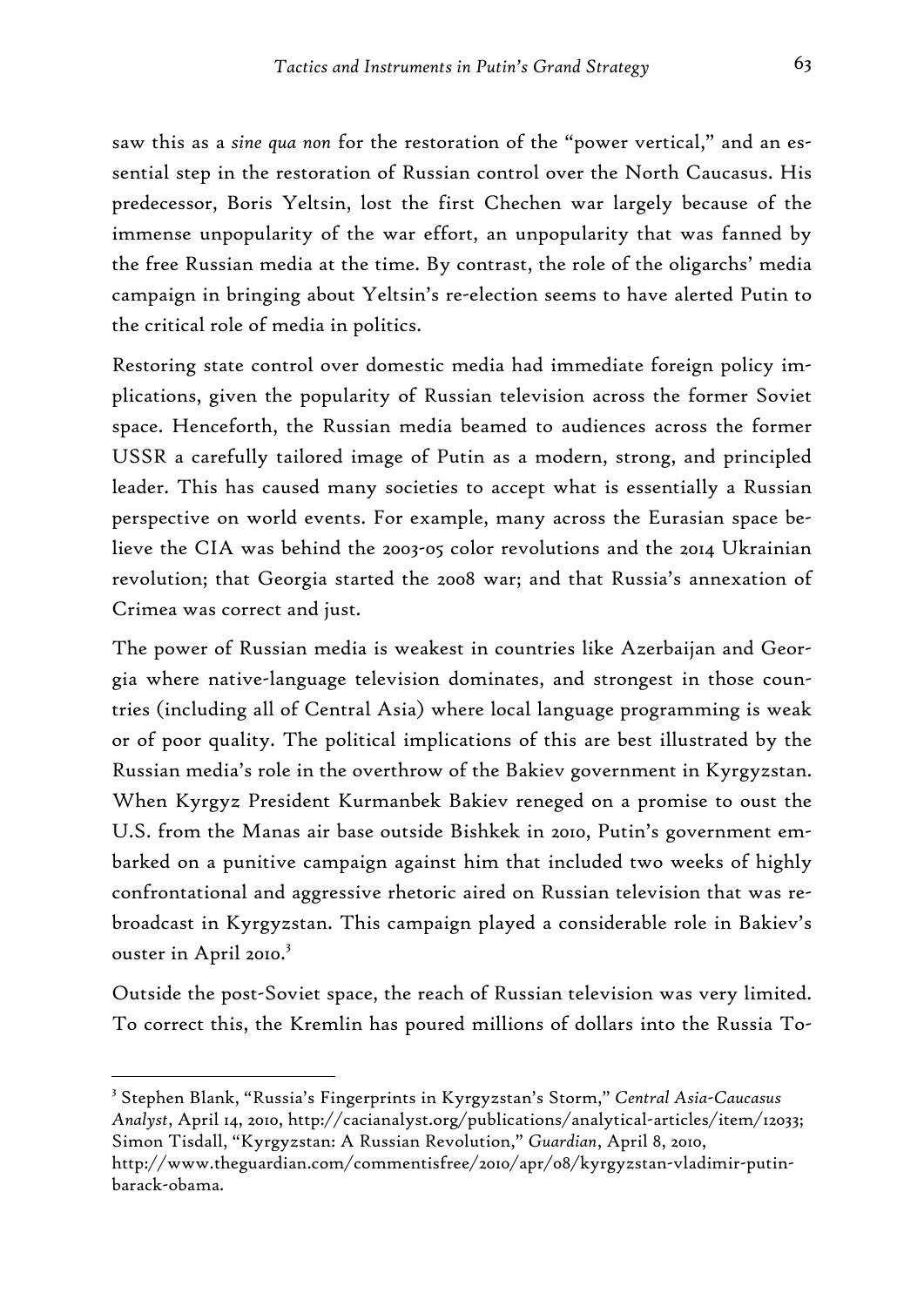saw this as a *sine qua non* for the restoration of the "power vertical," and an essential step in the restoration of Russian control over the North Caucasus. His predecessor, Boris Yeltsin, lost the first Chechen war largely because of the immense unpopularity of the war effort, an unpopularity that was fanned by the free Russian media at the time. By contrast, the role of the oligarchs' media campaign in bringing about Yeltsin's re-election seems to have alerted Putin to the critical role of media in politics.

Restoring state control over domestic media had immediate foreign policy implications, given the popularity of Russian television across the former Soviet space. Henceforth, the Russian media beamed to audiences across the former USSR a carefully tailored image of Putin as a modern, strong, and principled leader. This has caused many societies to accept what is essentially a Russian perspective on world events. For example, many across the Eurasian space believe the CIA was behind the 2003-05 color revolutions and the 2014 Ukrainian revolution; that Georgia started the 2008 war; and that Russia's annexation of Crimea was correct and just.

The power of Russian media is weakest in countries like Azerbaijan and Georgia where native-language television dominates, and strongest in those countries (including all of Central Asia) where local language programming is weak or of poor quality. The political implications of this are best illustrated by the Russian media's role in the overthrow of the Bakiev government in Kyrgyzstan. When Kyrgyz President Kurmanbek Bakiev reneged on a promise to oust the U.S. from the Manas air base outside Bishkek in 2010, Putin's government embarked on a punitive campaign against him that included two weeks of highly confrontational and aggressive rhetoric aired on Russian television that was rebroadcast in Kyrgyzstan. This campaign played a considerable role in Bakiev's ouster in April 2010.<sup>3</sup>

Outside the post-Soviet space, the reach of Russian television was very limited. To correct this, the Kremlin has poured millions of dollars into the Russia To-

<sup>3</sup> Stephen Blank, "Russia's Fingerprints in Kyrgyzstan's Storm," *Central Asia-Caucasus Analyst*, April 14, 2010, http://cacianalyst.org/publications/analytical-articles/item/12033; Simon Tisdall, "Kyrgyzstan: A Russian Revolution," *Guardian*, April 8, 2010, http://www.theguardian.com/commentisfree/2010/apr/08/kyrgyzstan-vladimir-putinbarack-obama.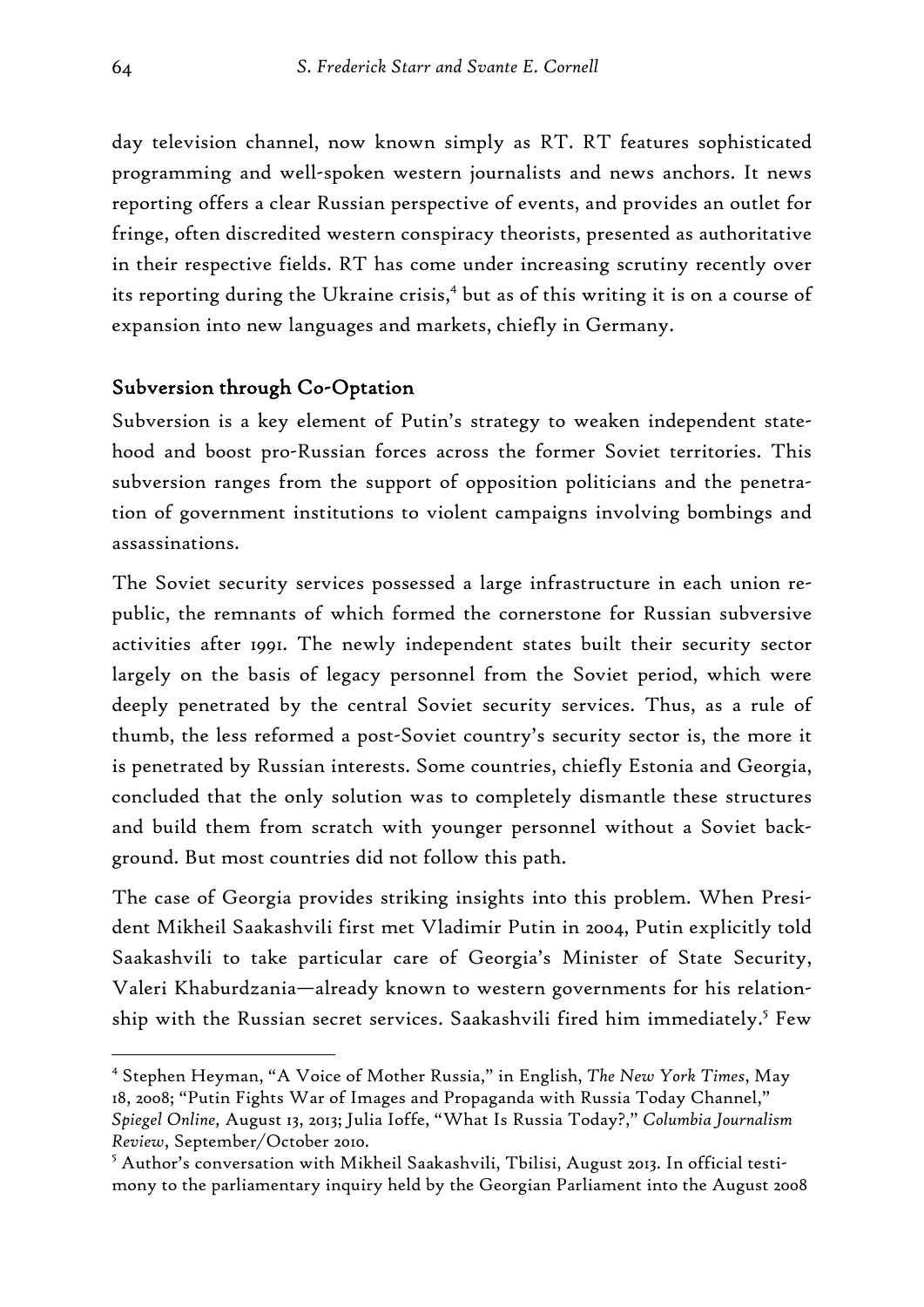day television channel, now known simply as RT. RT features sophisticated programming and well-spoken western journalists and news anchors. It news reporting offers a clear Russian perspective of events, and provides an outlet for fringe, often discredited western conspiracy theorists, presented as authoritative in their respective fields. RT has come under increasing scrutiny recently over its reporting during the Ukraine crisis,<sup>4</sup> but as of this writing it is on a course of expansion into new languages and markets, chiefly in Germany.

#### Subversion through Co-Optation

Subversion is a key element of Putin's strategy to weaken independent statehood and boost pro-Russian forces across the former Soviet territories. This subversion ranges from the support of opposition politicians and the penetration of government institutions to violent campaigns involving bombings and assassinations.

The Soviet security services possessed a large infrastructure in each union republic, the remnants of which formed the cornerstone for Russian subversive activities after 1991. The newly independent states built their security sector largely on the basis of legacy personnel from the Soviet period, which were deeply penetrated by the central Soviet security services. Thus, as a rule of thumb, the less reformed a post-Soviet country's security sector is, the more it is penetrated by Russian interests. Some countries, chiefly Estonia and Georgia, concluded that the only solution was to completely dismantle these structures and build them from scratch with younger personnel without a Soviet background. But most countries did not follow this path.

The case of Georgia provides striking insights into this problem. When President Mikheil Saakashvili first met Vladimir Putin in 2004, Putin explicitly told Saakashvili to take particular care of Georgia's Minister of State Security, Valeri Khaburdzania—already known to western governments for his relationship with the Russian secret services. Saakashvili fired him immediately.<sup>5</sup> Few

<sup>4</sup> Stephen Heyman, "A Voice of Mother Russia," in English, *The New York Times*, May 18, 2008; "Putin Fights War of Images and Propaganda with Russia Today Channel," *Spiegel Online,* August 13, 2013; Julia Ioffe, "What Is Russia Today?," *Columbia Journalism Review*, September/October 2010.

 $^5$  Author's conversation with Mikheil Saakashvili, Tbilisi, August 2013. In official testimony to the parliamentary inquiry held by the Georgian Parliament into the August 2008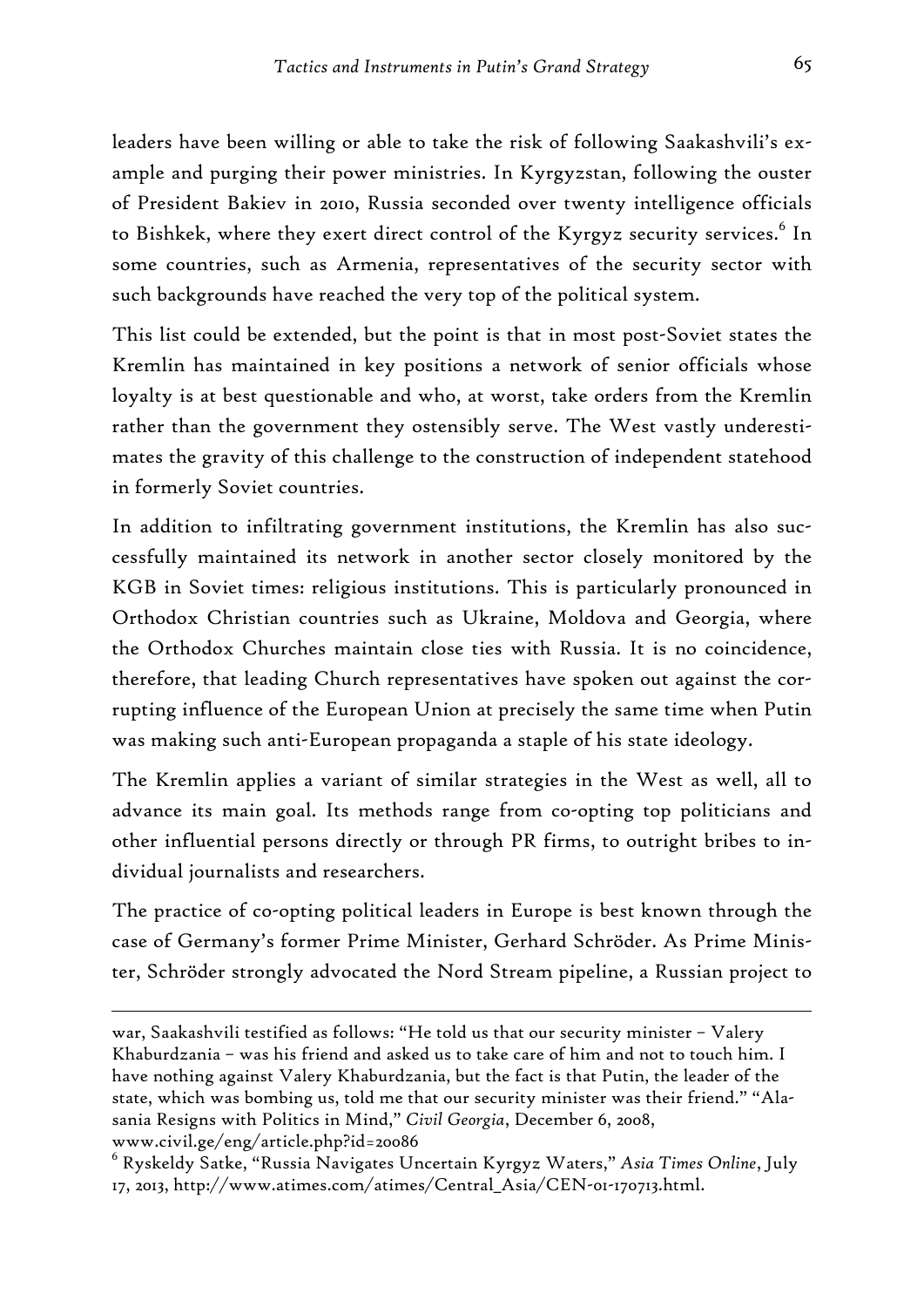leaders have been willing or able to take the risk of following Saakashvili's example and purging their power ministries. In Kyrgyzstan, following the ouster of President Bakiev in 2010, Russia seconded over twenty intelligence officials to Bishkek, where they exert direct control of the Kyrgyz security services. $^6$  In some countries, such as Armenia, representatives of the security sector with such backgrounds have reached the very top of the political system.

This list could be extended, but the point is that in most post-Soviet states the Kremlin has maintained in key positions a network of senior officials whose loyalty is at best questionable and who, at worst, take orders from the Kremlin rather than the government they ostensibly serve. The West vastly underestimates the gravity of this challenge to the construction of independent statehood in formerly Soviet countries.

In addition to infiltrating government institutions, the Kremlin has also successfully maintained its network in another sector closely monitored by the KGB in Soviet times: religious institutions. This is particularly pronounced in Orthodox Christian countries such as Ukraine, Moldova and Georgia, where the Orthodox Churches maintain close ties with Russia. It is no coincidence, therefore, that leading Church representatives have spoken out against the corrupting influence of the European Union at precisely the same time when Putin was making such anti-European propaganda a staple of his state ideology.

The Kremlin applies a variant of similar strategies in the West as well, all to advance its main goal. Its methods range from co-opting top politicians and other influential persons directly or through PR firms, to outright bribes to individual journalists and researchers.

The practice of co-opting political leaders in Europe is best known through the case of Germany's former Prime Minister, Gerhard Schröder. As Prime Minister, Schröder strongly advocated the Nord Stream pipeline, a Russian project to

war, Saakashvili testified as follows: "He told us that our security minister – Valery Khaburdzania – was his friend and asked us to take care of him and not to touch him. I have nothing against Valery Khaburdzania, but the fact is that Putin, the leader of the state, which was bombing us, told me that our security minister was their friend." "Alasania Resigns with Politics in Mind," *Civil Georgia*, December 6, 2008, www.civil.ge/eng/article.php?id=20086

<sup>6</sup> Ryskeldy Satke, "Russia Navigates Uncertain Kyrgyz Waters," *Asia Times Online*, July 17, 2013, http://www.atimes.com/atimes/Central\_Asia/CEN-01-170713.html.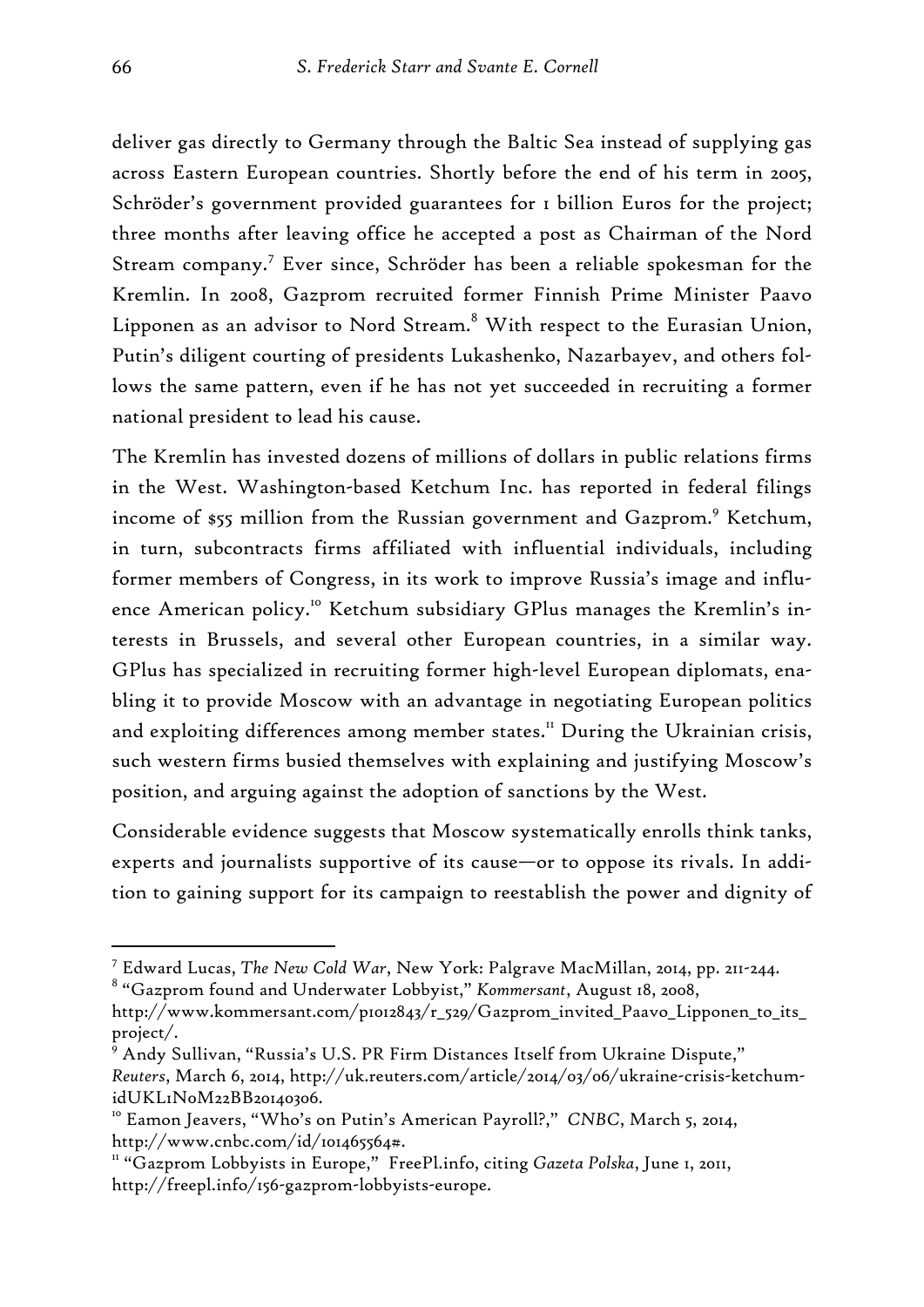deliver gas directly to Germany through the Baltic Sea instead of supplying gas across Eastern European countries. Shortly before the end of his term in 2005, Schröder's government provided guarantees for 1 billion Euros for the project; three months after leaving office he accepted a post as Chairman of the Nord Stream company.<sup>7</sup> Ever since, Schröder has been a reliable spokesman for the Kremlin. In 2008, Gazprom recruited former Finnish Prime Minister Paavo Lipponen as an advisor to Nord Stream. $^8$  With respect to the Eurasian Union, Putin's diligent courting of presidents Lukashenko, Nazarbayev, and others follows the same pattern, even if he has not yet succeeded in recruiting a former national president to lead his cause.

The Kremlin has invested dozens of millions of dollars in public relations firms in the West. Washington-based Ketchum Inc. has reported in federal filings income of \$55 million from the Russian government and Gazprom.<sup>9</sup> Ketchum, in turn, subcontracts firms affiliated with influential individuals, including former members of Congress, in its work to improve Russia's image and influence American policy.<sup>10</sup> Ketchum subsidiary GPlus manages the Kremlin's interests in Brussels, and several other European countries, in a similar way. GPlus has specialized in recruiting former high-level European diplomats, enabling it to provide Moscow with an advantage in negotiating European politics and exploiting differences among member states.<sup>11</sup> During the Ukrainian crisis, such western firms busied themselves with explaining and justifying Moscow's position, and arguing against the adoption of sanctions by the West.

Considerable evidence suggests that Moscow systematically enrolls think tanks, experts and journalists supportive of its cause—or to oppose its rivals. In addition to gaining support for its campaign to reestablish the power and dignity of

8 "Gazprom found and Underwater Lobbyist," *Kommersant*, August 18, 2008,

<sup>7</sup> Edward Lucas, *The New Cold War*, New York: Palgrave MacMillan, 2014, pp. 211-244.

http://www.kommersant.com/p1012843/r\_529/Gazprom\_invited\_Paavo\_Lipponen\_to\_its\_ project/.

 $^{\circ}$  Andy Sullivan, "Russia's U.S. PR Firm Distances Itself from Ukraine Dispute," *Reuters*, March 6, 2014, http://uk.reuters.com/article/2014/03/06/ukraine-crisis-ketchumidUKL1N0M22BB20140306.

<sup>10</sup> Eamon Jeavers, "Who's on Putin's American Payroll?," *CNBC*, March 5, 2014, http://www.cnbc.com/id/101465564#.

<sup>&</sup>lt;sup>11</sup> "Gazprom Lobbyists in Europe," FreePl.info, citing *Gazeta Polska*, June 1, 2011, http://freepl.info/156-gazprom-lobbyists-europe.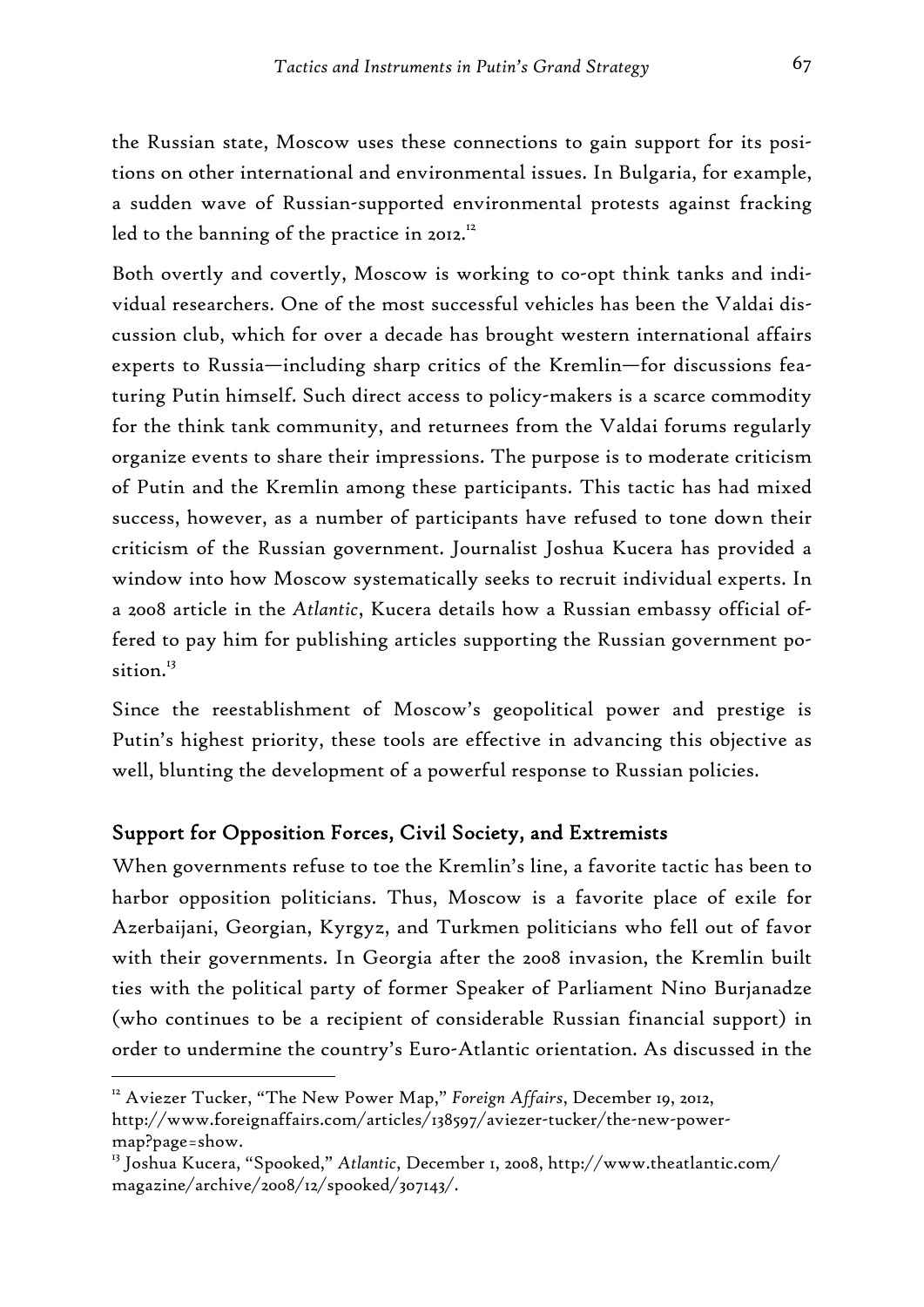the Russian state, Moscow uses these connections to gain support for its positions on other international and environmental issues. In Bulgaria, for example, a sudden wave of Russian-supported environmental protests against fracking led to the banning of the practice in 2012.<sup>12</sup>

Both overtly and covertly, Moscow is working to co-opt think tanks and individual researchers. One of the most successful vehicles has been the Valdai discussion club, which for over a decade has brought western international affairs experts to Russia—including sharp critics of the Kremlin—for discussions featuring Putin himself. Such direct access to policy-makers is a scarce commodity for the think tank community, and returnees from the Valdai forums regularly organize events to share their impressions. The purpose is to moderate criticism of Putin and the Kremlin among these participants. This tactic has had mixed success, however, as a number of participants have refused to tone down their criticism of the Russian government. Journalist Joshua Kucera has provided a window into how Moscow systematically seeks to recruit individual experts. In a 2008 article in the *Atlantic*, Kucera details how a Russian embassy official offered to pay him for publishing articles supporting the Russian government position.<sup>13</sup>

Since the reestablishment of Moscow's geopolitical power and prestige is Putin's highest priority, these tools are effective in advancing this objective as well, blunting the development of a powerful response to Russian policies.

# Support for Opposition Forces, Civil Society, and Extremists

When governments refuse to toe the Kremlin's line, a favorite tactic has been to harbor opposition politicians. Thus, Moscow is a favorite place of exile for Azerbaijani, Georgian, Kyrgyz, and Turkmen politicians who fell out of favor with their governments. In Georgia after the 2008 invasion, the Kremlin built ties with the political party of former Speaker of Parliament Nino Burjanadze (who continues to be a recipient of considerable Russian financial support) in order to undermine the country's Euro-Atlantic orientation. As discussed in the

<sup>&</sup>lt;sup>12</sup> Aviezer Tucker, "The New Power Map," *Foreign Affairs*, December 19, 2012, http://www.foreignaffairs.com/articles/138597/aviezer-tucker/the-new-powermap?page=show.

<sup>13</sup> Joshua Kucera, "Spooked," *Atlantic*, December 1, 2008, http://www.theatlantic.com/ magazine/archive/2008/12/spooked/307143/.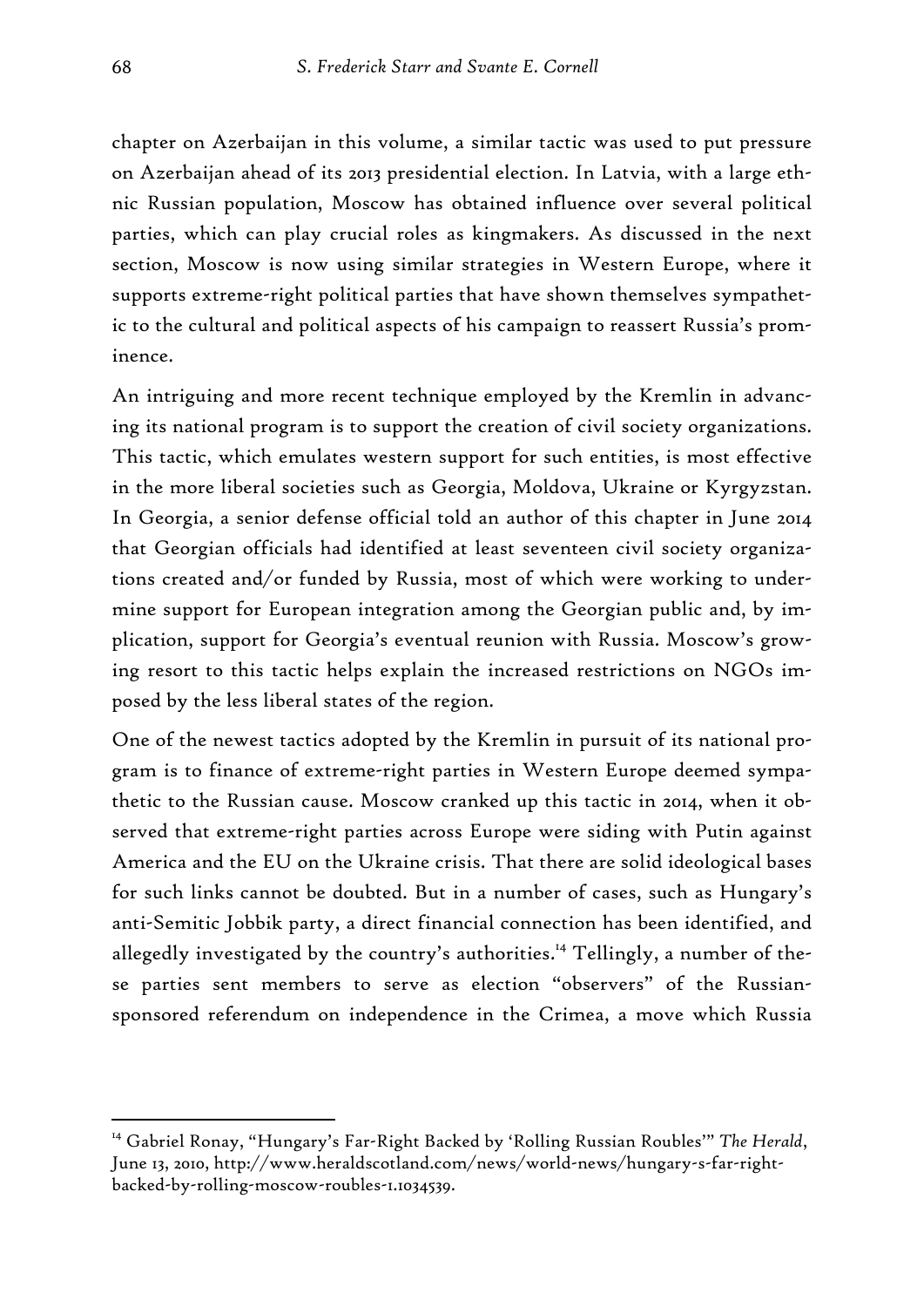chapter on Azerbaijan in this volume, a similar tactic was used to put pressure on Azerbaijan ahead of its 2013 presidential election. In Latvia, with a large ethnic Russian population, Moscow has obtained influence over several political parties, which can play crucial roles as kingmakers. As discussed in the next section, Moscow is now using similar strategies in Western Europe, where it supports extreme-right political parties that have shown themselves sympathetic to the cultural and political aspects of his campaign to reassert Russia's prominence.

An intriguing and more recent technique employed by the Kremlin in advancing its national program is to support the creation of civil society organizations. This tactic, which emulates western support for such entities, is most effective in the more liberal societies such as Georgia, Moldova, Ukraine or Kyrgyzstan. In Georgia, a senior defense official told an author of this chapter in June 2014 that Georgian officials had identified at least seventeen civil society organizations created and/or funded by Russia, most of which were working to undermine support for European integration among the Georgian public and, by implication, support for Georgia's eventual reunion with Russia. Moscow's growing resort to this tactic helps explain the increased restrictions on NGOs imposed by the less liberal states of the region.

One of the newest tactics adopted by the Kremlin in pursuit of its national program is to finance of extreme-right parties in Western Europe deemed sympathetic to the Russian cause. Moscow cranked up this tactic in 2014, when it observed that extreme-right parties across Europe were siding with Putin against America and the EU on the Ukraine crisis. That there are solid ideological bases for such links cannot be doubted. But in a number of cases, such as Hungary's anti-Semitic Jobbik party, a direct financial connection has been identified, and allegedly investigated by the country's authorities.<sup>14</sup> Tellingly, a number of these parties sent members to serve as election "observers" of the Russiansponsored referendum on independence in the Crimea, a move which Russia

<sup>&</sup>lt;sup>14</sup> Gabriel Ronay, "Hungary's Far-Right Backed by 'Rolling Russian Roubles'" The Herald, June 13, 2010, http://www.heraldscotland.com/news/world-news/hungary-s-far-rightbacked-by-rolling-moscow-roubles-1.1034539.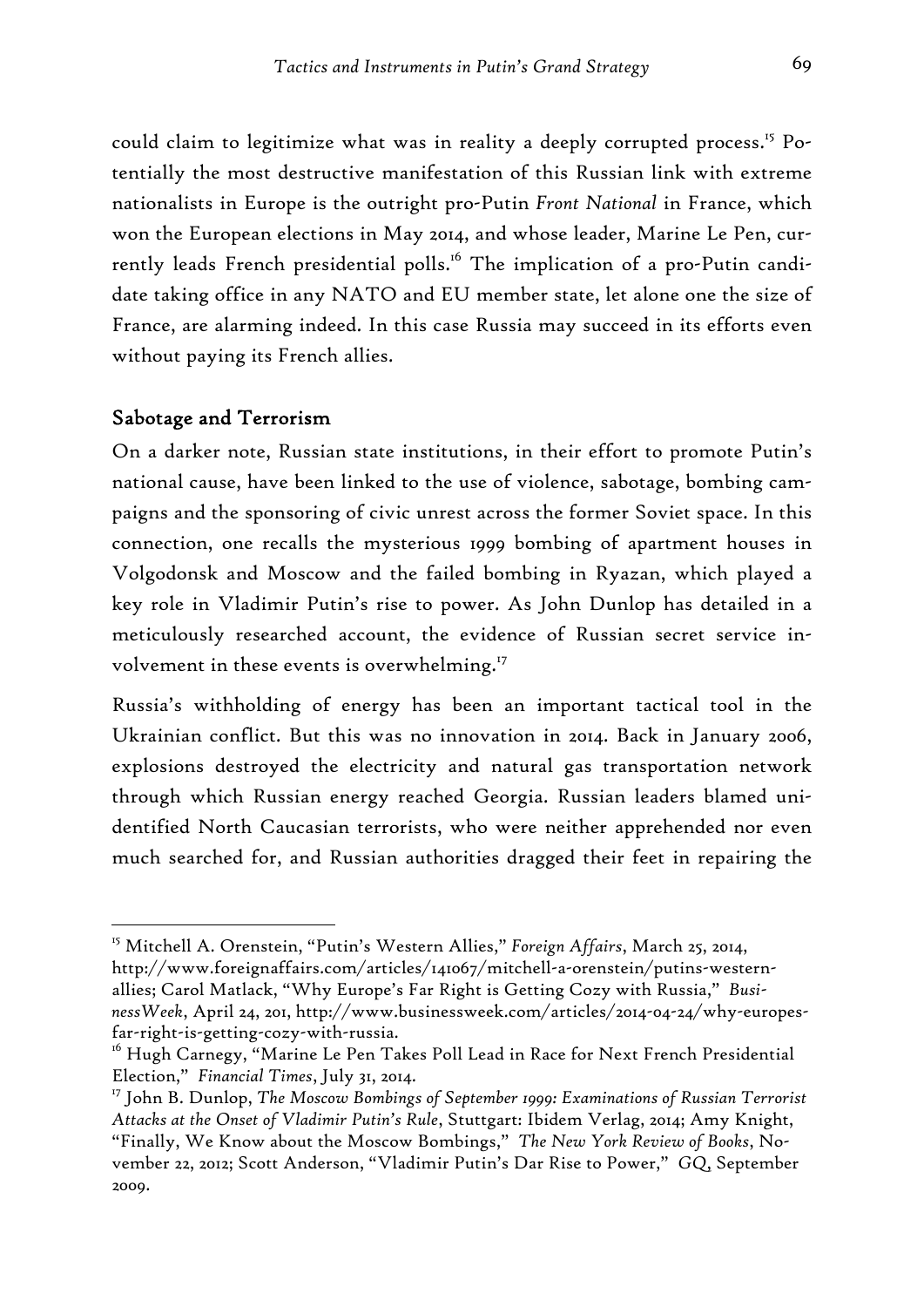could claim to legitimize what was in reality a deeply corrupted process.<sup>15</sup> Potentially the most destructive manifestation of this Russian link with extreme nationalists in Europe is the outright pro-Putin *Front National* in France, which won the European elections in May 2014, and whose leader, Marine Le Pen, currently leads French presidential polls.<sup>16</sup> The implication of a pro-Putin candidate taking office in any NATO and EU member state, let alone one the size of France, are alarming indeed. In this case Russia may succeed in its efforts even without paying its French allies.

#### Sabotage and Terrorism

-

On a darker note, Russian state institutions, in their effort to promote Putin's national cause, have been linked to the use of violence, sabotage, bombing campaigns and the sponsoring of civic unrest across the former Soviet space. In this connection, one recalls the mysterious 1999 bombing of apartment houses in Volgodonsk and Moscow and the failed bombing in Ryazan, which played a key role in Vladimir Putin's rise to power. As John Dunlop has detailed in a meticulously researched account, the evidence of Russian secret service involvement in these events is overwhelming.<sup>17</sup>

Russia's withholding of energy has been an important tactical tool in the Ukrainian conflict. But this was no innovation in 2014. Back in January 2006, explosions destroyed the electricity and natural gas transportation network through which Russian energy reached Georgia. Russian leaders blamed unidentified North Caucasian terrorists, who were neither apprehended nor even much searched for, and Russian authorities dragged their feet in repairing the

<sup>15</sup> Mitchell A. Orenstein, "Putin's Western Allies," *Foreign Affairs*, March 25, 2014, http://www.foreignaffairs.com/articles/141067/mitchell-a-orenstein/putins-westernallies; Carol Matlack, "Why Europe's Far Right is Getting Cozy with Russia," *BusinessWeek*, April 24, 201, http://www.businessweek.com/articles/2014-04-24/why-europesfar-right-is-getting-cozy-with-russia.

<sup>&</sup>lt;sup>16</sup> Hugh Carnegy, "Marine Le Pen Takes Poll Lead in Race for Next French Presidential Election," *Financial Times*, July 31, 2014.

<sup>17</sup> John B. Dunlop, *The Moscow Bombings of September 1999: Examinations of Russian Terrorist Attacks at the Onset of Vladimir Putin's Rule*, Stuttgart: Ibidem Verlag, 2014; Amy Knight, "Finally, We Know about the Moscow Bombings," *The New York Review of Books*, November 22, 2012; Scott Anderson, "Vladimir Putin's Dar Rise to Power," *GQ*, September 2009.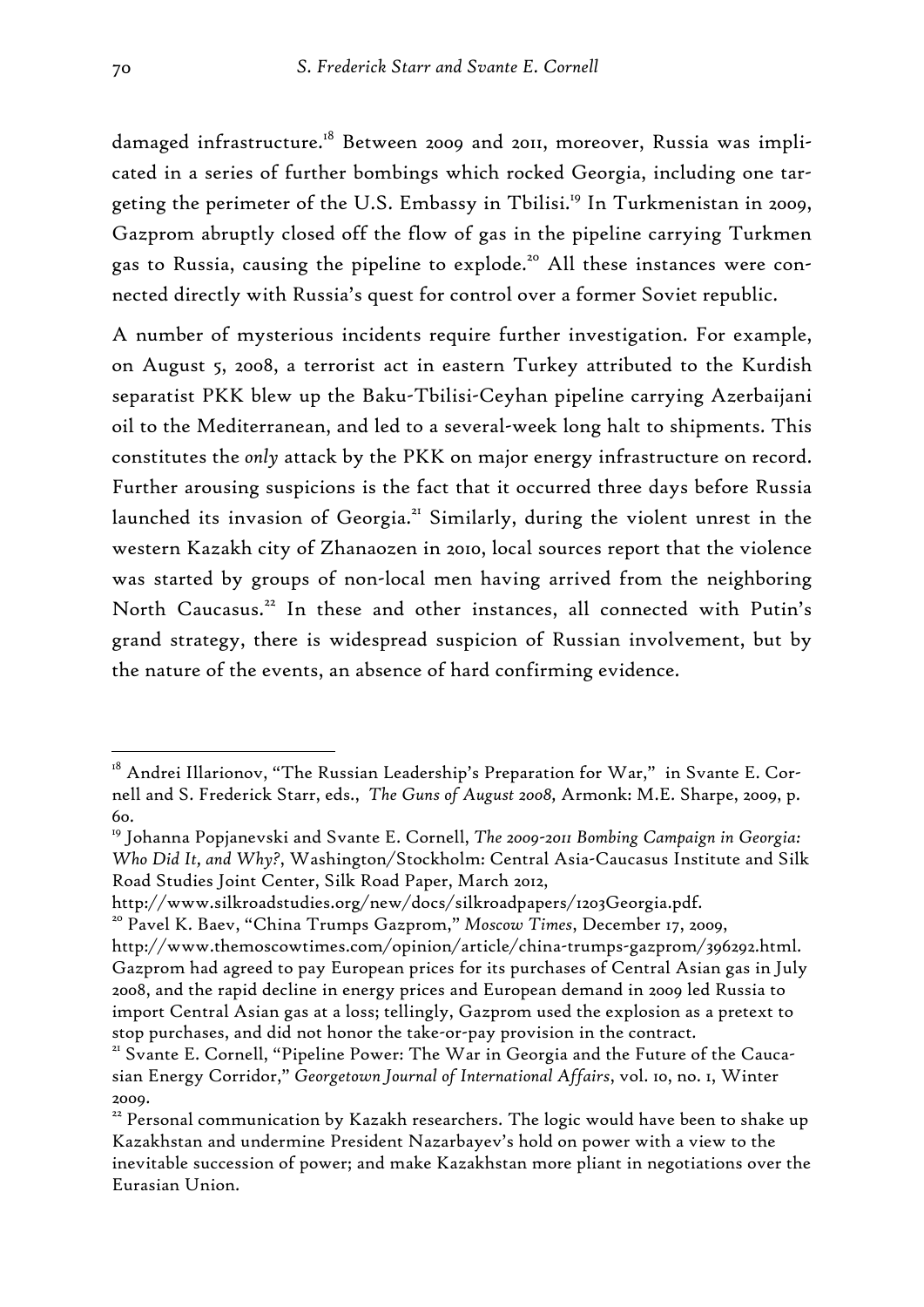damaged infrastructure.<sup>18</sup> Between 2009 and 2011, moreover, Russia was implicated in a series of further bombings which rocked Georgia, including one targeting the perimeter of the U.S. Embassy in Tbilisi.<sup>19</sup> In Turkmenistan in 2009, Gazprom abruptly closed off the flow of gas in the pipeline carrying Turkmen gas to Russia, causing the pipeline to explode.<sup>20</sup> All these instances were connected directly with Russia's quest for control over a former Soviet republic.

A number of mysterious incidents require further investigation. For example, on August 5, 2008, a terrorist act in eastern Turkey attributed to the Kurdish separatist PKK blew up the Baku-Tbilisi-Ceyhan pipeline carrying Azerbaijani oil to the Mediterranean, and led to a several-week long halt to shipments. This constitutes the *only* attack by the PKK on major energy infrastructure on record. Further arousing suspicions is the fact that it occurred three days before Russia launched its invasion of Georgia.<sup>21</sup> Similarly, during the violent unrest in the western Kazakh city of Zhanaozen in 2010, local sources report that the violence was started by groups of non-local men having arrived from the neighboring North Caucasus.<sup>22</sup> In these and other instances, all connected with Putin's grand strategy, there is widespread suspicion of Russian involvement, but by the nature of the events, an absence of hard confirming evidence.

<sup>&</sup>lt;sup>18</sup> Andrei Illarionov, "The Russian Leadership's Preparation for War," in Svante E. Cornell and S. Frederick Starr, eds., *The Guns of August 2008,* Armonk: M.E. Sharpe, 2009, p. 60.

<sup>19</sup> Johanna Popjanevski and Svante E. Cornell, *The 2009-2011 Bombing Campaign in Georgia: Who Did It, and Why?*, Washington/Stockholm: Central Asia-Caucasus Institute and Silk Road Studies Joint Center, Silk Road Paper, March 2012,

http://www.silkroadstudies.org/new/docs/silkroadpapers/1203Georgia.pdf. 20 Pavel K. Baev, "China Trumps Gazprom," *Moscow Times*, December 17, 2009,

http://www.themoscowtimes.com/opinion/article/china-trumps-gazprom/396292.html. Gazprom had agreed to pay European prices for its purchases of Central Asian gas in July 2008, and the rapid decline in energy prices and European demand in 2009 led Russia to import Central Asian gas at a loss; tellingly, Gazprom used the explosion as a pretext to stop purchases, and did not honor the take-or-pay provision in the contract.<br><sup>21</sup> Svante E. Cornell, "Pipeline Power: The War in Georgia and the Future of the Cauca-

sian Energy Corridor," *Georgetown Journal of International Affairs*, vol. 10, no. 1, Winter 2009.

<sup>&</sup>lt;sup>22</sup> Personal communication by Kazakh researchers. The logic would have been to shake up Kazakhstan and undermine President Nazarbayev's hold on power with a view to the inevitable succession of power; and make Kazakhstan more pliant in negotiations over the Eurasian Union.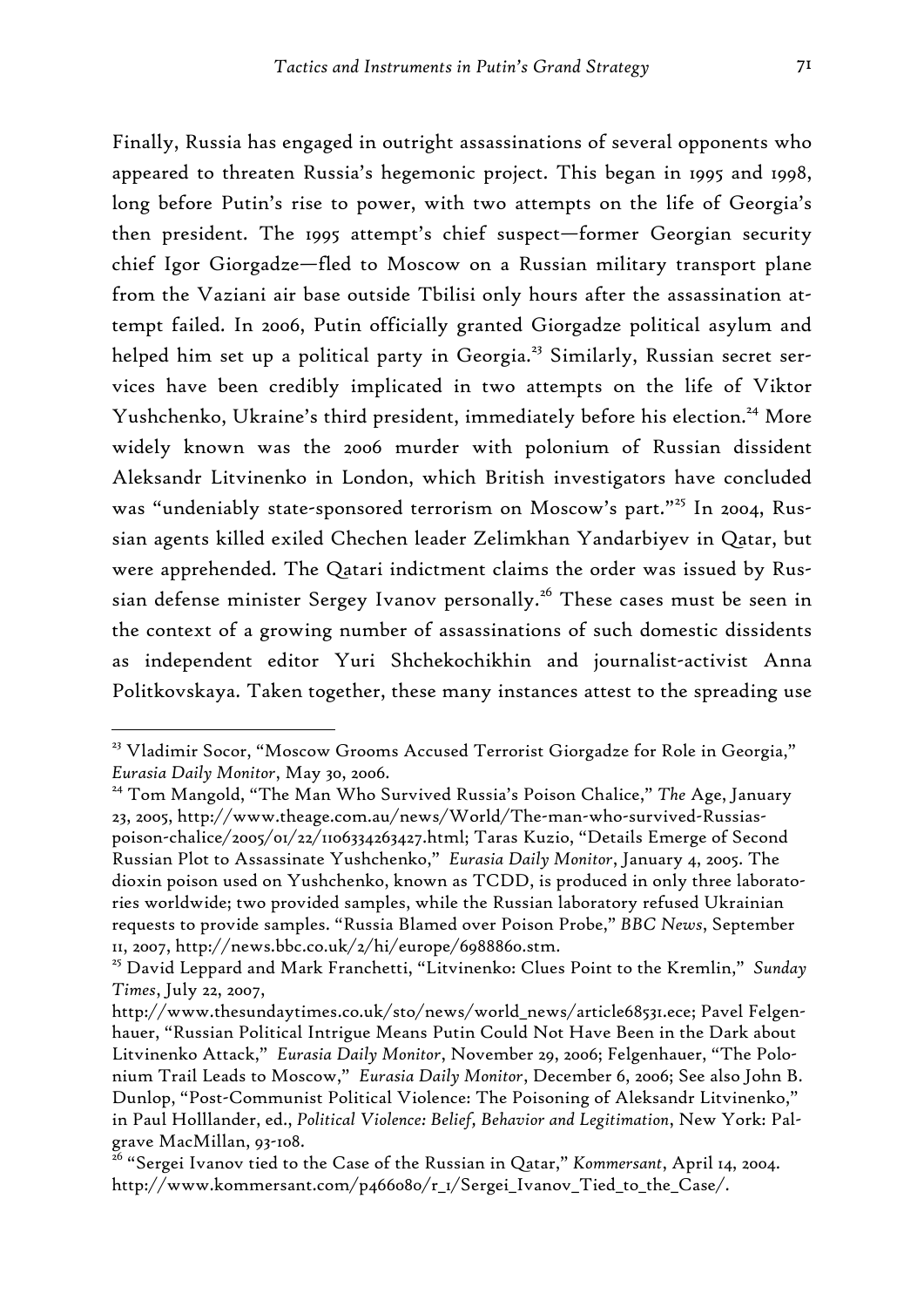Finally, Russia has engaged in outright assassinations of several opponents who appeared to threaten Russia's hegemonic project. This began in 1995 and 1998, long before Putin's rise to power, with two attempts on the life of Georgia's then president. The 1995 attempt's chief suspect—former Georgian security chief Igor Giorgadze—fled to Moscow on a Russian military transport plane from the Vaziani air base outside Tbilisi only hours after the assassination attempt failed. In 2006, Putin officially granted Giorgadze political asylum and helped him set up a political party in Georgia.<sup>23</sup> Similarly, Russian secret services have been credibly implicated in two attempts on the life of Viktor Yushchenko, Ukraine's third president, immediately before his election.<sup>24</sup> More widely known was the 2006 murder with polonium of Russian dissident Aleksandr Litvinenko in London, which British investigators have concluded was "undeniably state-sponsored terrorism on Moscow's part."<sup>25</sup> In 2004, Russian agents killed exiled Chechen leader Zelimkhan Yandarbiyev in Qatar, but were apprehended. The Qatari indictment claims the order was issued by Russian defense minister Sergey Ivanov personally.<sup>26</sup> These cases must be seen in the context of a growing number of assassinations of such domestic dissidents as independent editor Yuri Shchekochikhin and journalist-activist Anna Politkovskaya. Taken together, these many instances attest to the spreading use

<sup>&</sup>lt;sup>23</sup> Vladimir Socor, "Moscow Grooms Accused Terrorist Giorgadze for Role in Georgia," *Eurasia Daily Monitor*, May 30, 2006.

<sup>24</sup> Tom Mangold, "The Man Who Survived Russia's Poison Chalice," *The* Age, January 23, 2005, http://www.theage.com.au/news/World/The-man-who-survived-Russiaspoison-chalice/2005/01/22/1106334263427.html; Taras Kuzio, "Details Emerge of Second Russian Plot to Assassinate Yushchenko," *Eurasia Daily Monitor*, January 4, 2005. The dioxin poison used on Yushchenko, known as TCDD, is produced in only three laboratories worldwide; two provided samples, while the Russian laboratory refused Ukrainian requests to provide samples. "Russia Blamed over Poison Probe," *BBC News*, September 11, 2007, http://news.bbc.co.uk/2/hi/europe/6988860.stm.

<sup>25</sup> David Leppard and Mark Franchetti, "Litvinenko: Clues Point to the Kremlin," *Sunday Times*, July 22, 2007,

http://www.thesundaytimes.co.uk/sto/news/world\_news/article68531.ece; Pavel Felgenhauer, "Russian Political Intrigue Means Putin Could Not Have Been in the Dark about Litvinenko Attack," *Eurasia Daily Monitor*, November 29, 2006; Felgenhauer, "The Polonium Trail Leads to Moscow," *Eurasia Daily Monitor*, December 6, 2006; See also John B. Dunlop, "Post-Communist Political Violence: The Poisoning of Aleksandr Litvinenko," in Paul Holllander, ed., *Political Violence: Belief, Behavior and Legitimation*, New York: Palgrave MacMillan, 93-108.

<sup>26 &</sup>quot;Sergei Ivanov tied to the Case of the Russian in Qatar," *Kommersant*, April 14, 2004. http://www.kommersant.com/p466080/r\_1/Sergei\_Ivanov\_Tied\_to\_the\_Case/.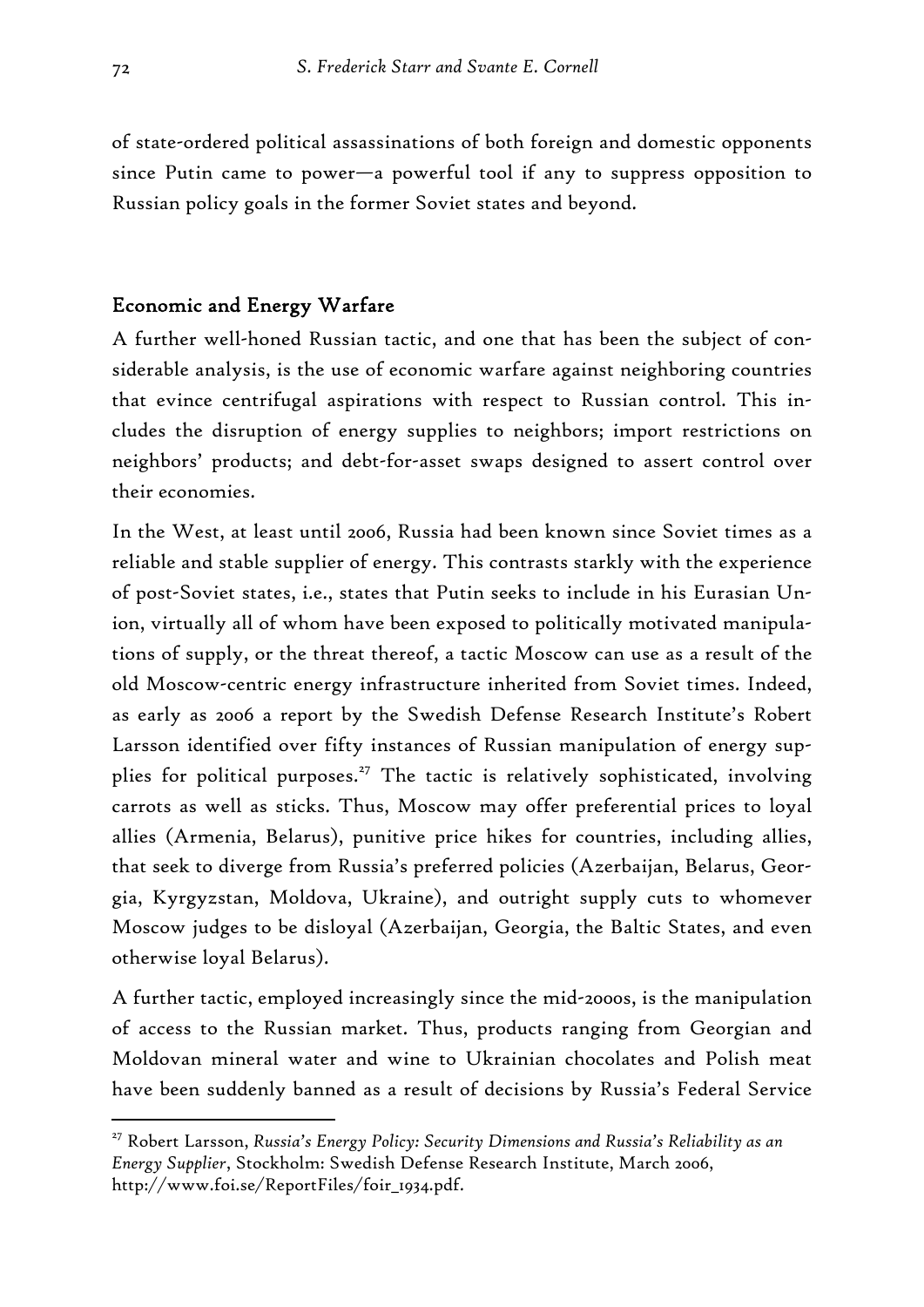of state-ordered political assassinations of both foreign and domestic opponents since Putin came to power—a powerful tool if any to suppress opposition to Russian policy goals in the former Soviet states and beyond.

## Economic and Energy Warfare

A further well-honed Russian tactic, and one that has been the subject of considerable analysis, is the use of economic warfare against neighboring countries that evince centrifugal aspirations with respect to Russian control. This includes the disruption of energy supplies to neighbors; import restrictions on neighbors' products; and debt-for-asset swaps designed to assert control over their economies.

In the West, at least until 2006, Russia had been known since Soviet times as a reliable and stable supplier of energy. This contrasts starkly with the experience of post-Soviet states, i.e., states that Putin seeks to include in his Eurasian Union, virtually all of whom have been exposed to politically motivated manipulations of supply, or the threat thereof, a tactic Moscow can use as a result of the old Moscow-centric energy infrastructure inherited from Soviet times. Indeed, as early as 2006 a report by the Swedish Defense Research Institute's Robert Larsson identified over fifty instances of Russian manipulation of energy supplies for political purposes.<sup>27</sup> The tactic is relatively sophisticated, involving carrots as well as sticks. Thus, Moscow may offer preferential prices to loyal allies (Armenia, Belarus), punitive price hikes for countries, including allies, that seek to diverge from Russia's preferred policies (Azerbaijan, Belarus, Georgia, Kyrgyzstan, Moldova, Ukraine), and outright supply cuts to whomever Moscow judges to be disloyal (Azerbaijan, Georgia, the Baltic States, and even otherwise loyal Belarus).

A further tactic, employed increasingly since the mid-2000s, is the manipulation of access to the Russian market. Thus, products ranging from Georgian and Moldovan mineral water and wine to Ukrainian chocolates and Polish meat have been suddenly banned as a result of decisions by Russia's Federal Service

<sup>27</sup> Robert Larsson, *Russia's Energy Policy: Security Dimensions and Russia's Reliability as an Energy Supplier*, Stockholm: Swedish Defense Research Institute, March 2006, http://www.foi.se/ReportFiles/foir\_1934.pdf.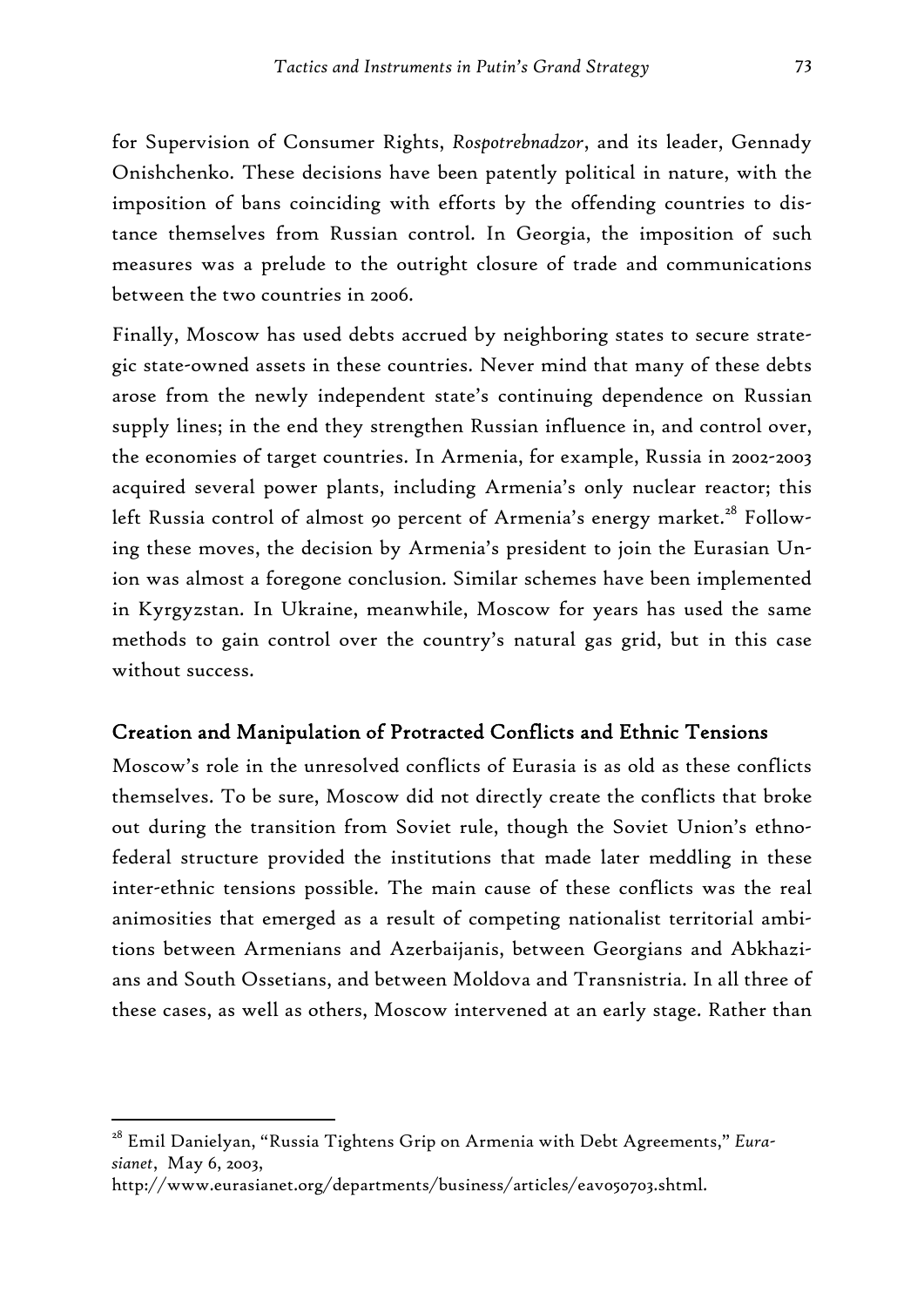for Supervision of Consumer Rights, *Rospotrebnadzor*, and its leader, Gennady Onishchenko. These decisions have been patently political in nature, with the imposition of bans coinciding with efforts by the offending countries to distance themselves from Russian control. In Georgia, the imposition of such measures was a prelude to the outright closure of trade and communications between the two countries in 2006.

Finally, Moscow has used debts accrued by neighboring states to secure strategic state-owned assets in these countries. Never mind that many of these debts arose from the newly independent state's continuing dependence on Russian supply lines; in the end they strengthen Russian influence in, and control over, the economies of target countries. In Armenia, for example, Russia in 2002-2003 acquired several power plants, including Armenia's only nuclear reactor; this left Russia control of almost 90 percent of Armenia's energy market.<sup>28</sup> Following these moves, the decision by Armenia's president to join the Eurasian Union was almost a foregone conclusion. Similar schemes have been implemented in Kyrgyzstan. In Ukraine, meanwhile, Moscow for years has used the same methods to gain control over the country's natural gas grid, but in this case without success.

#### Creation and Manipulation of Protracted Conflicts and Ethnic Tensions

Moscow's role in the unresolved conflicts of Eurasia is as old as these conflicts themselves. To be sure, Moscow did not directly create the conflicts that broke out during the transition from Soviet rule, though the Soviet Union's ethnofederal structure provided the institutions that made later meddling in these inter-ethnic tensions possible. The main cause of these conflicts was the real animosities that emerged as a result of competing nationalist territorial ambitions between Armenians and Azerbaijanis, between Georgians and Abkhazians and South Ossetians, and between Moldova and Transnistria. In all three of these cases, as well as others, Moscow intervened at an early stage. Rather than

<sup>28</sup> Emil Danielyan, "Russia Tightens Grip on Armenia with Debt Agreements," *Eurasianet*, May 6, 2003,

http://www.eurasianet.org/departments/business/articles/eav050703.shtml.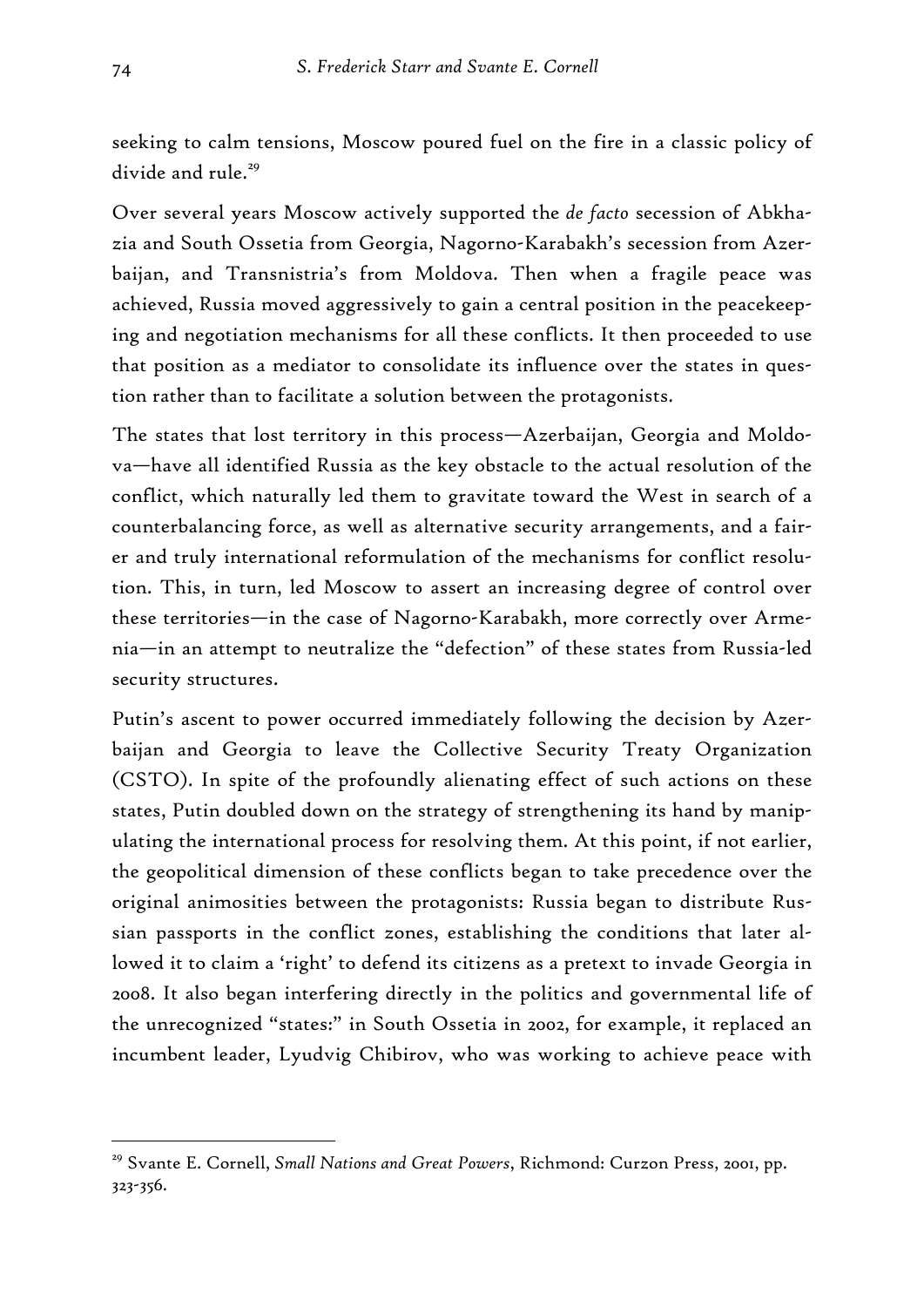seeking to calm tensions, Moscow poured fuel on the fire in a classic policy of divide and rule.<sup>29</sup>

Over several years Moscow actively supported the *de facto* secession of Abkhazia and South Ossetia from Georgia, Nagorno-Karabakh's secession from Azerbaijan, and Transnistria's from Moldova. Then when a fragile peace was achieved, Russia moved aggressively to gain a central position in the peacekeeping and negotiation mechanisms for all these conflicts. It then proceeded to use that position as a mediator to consolidate its influence over the states in question rather than to facilitate a solution between the protagonists.

The states that lost territory in this process—Azerbaijan, Georgia and Moldova—have all identified Russia as the key obstacle to the actual resolution of the conflict, which naturally led them to gravitate toward the West in search of a counterbalancing force, as well as alternative security arrangements, and a fairer and truly international reformulation of the mechanisms for conflict resolution. This, in turn, led Moscow to assert an increasing degree of control over these territories—in the case of Nagorno-Karabakh, more correctly over Armenia—in an attempt to neutralize the "defection" of these states from Russia-led security structures.

Putin's ascent to power occurred immediately following the decision by Azerbaijan and Georgia to leave the Collective Security Treaty Organization (CSTO). In spite of the profoundly alienating effect of such actions on these states, Putin doubled down on the strategy of strengthening its hand by manipulating the international process for resolving them. At this point, if not earlier, the geopolitical dimension of these conflicts began to take precedence over the original animosities between the protagonists: Russia began to distribute Russian passports in the conflict zones, establishing the conditions that later allowed it to claim a 'right' to defend its citizens as a pretext to invade Georgia in 2008. It also began interfering directly in the politics and governmental life of the unrecognized "states:" in South Ossetia in 2002, for example, it replaced an incumbent leader, Lyudvig Chibirov, who was working to achieve peace with

<sup>29</sup> Svante E. Cornell, *Small Nations and Great Powers*, Richmond: Curzon Press, 2001, pp. 323-356.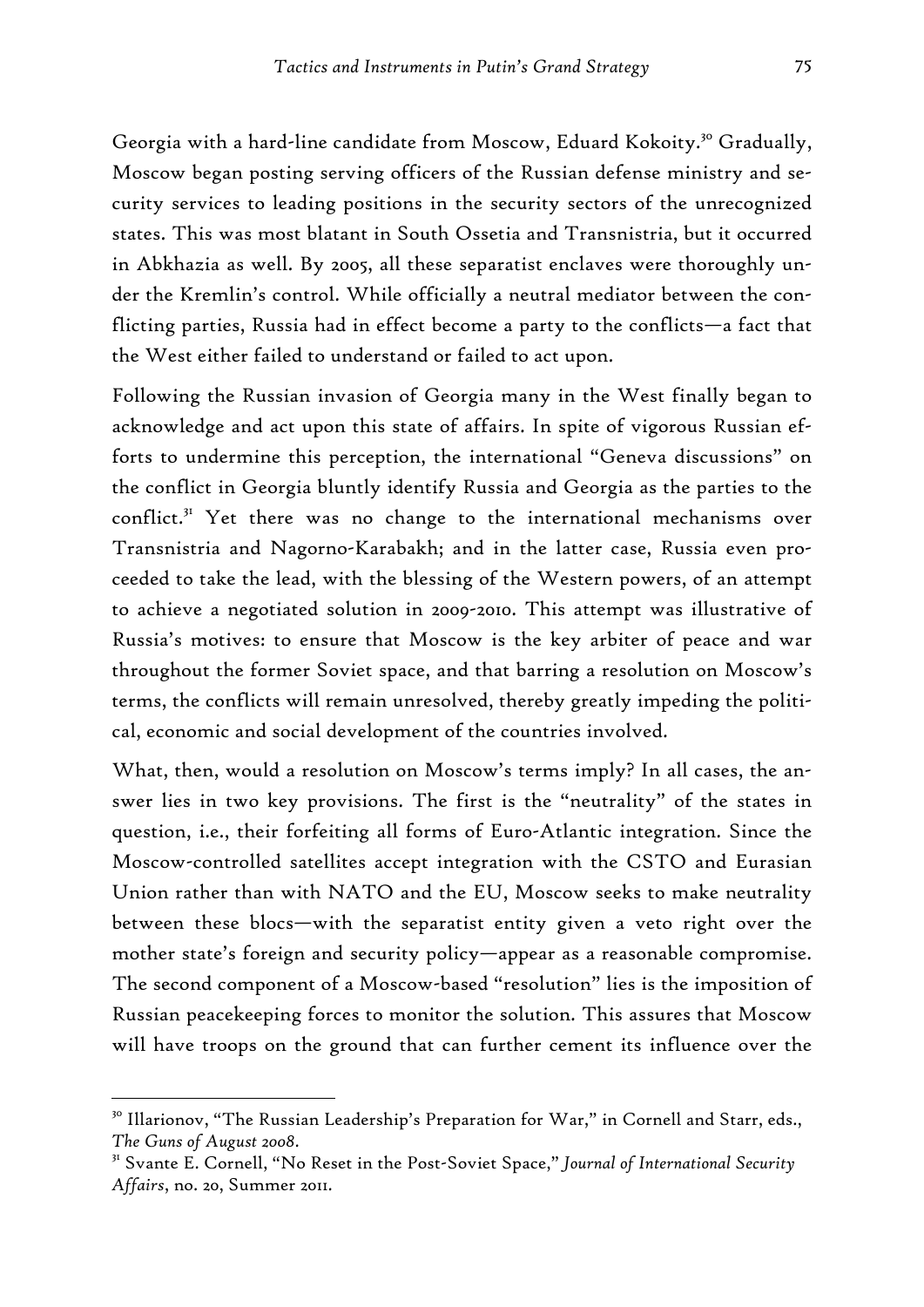Georgia with a hard-line candidate from Moscow, Eduard Kokoity.<sup>30</sup> Gradually, Moscow began posting serving officers of the Russian defense ministry and security services to leading positions in the security sectors of the unrecognized states. This was most blatant in South Ossetia and Transnistria, but it occurred in Abkhazia as well. By 2005, all these separatist enclaves were thoroughly under the Kremlin's control. While officially a neutral mediator between the conflicting parties, Russia had in effect become a party to the conflicts—a fact that the West either failed to understand or failed to act upon.

Following the Russian invasion of Georgia many in the West finally began to acknowledge and act upon this state of affairs. In spite of vigorous Russian efforts to undermine this perception, the international "Geneva discussions" on the conflict in Georgia bluntly identify Russia and Georgia as the parties to the conflict.<sup>31</sup> Yet there was no change to the international mechanisms over Transnistria and Nagorno-Karabakh; and in the latter case, Russia even proceeded to take the lead, with the blessing of the Western powers, of an attempt to achieve a negotiated solution in 2009-2010. This attempt was illustrative of Russia's motives: to ensure that Moscow is the key arbiter of peace and war throughout the former Soviet space, and that barring a resolution on Moscow's terms, the conflicts will remain unresolved, thereby greatly impeding the political, economic and social development of the countries involved.

What, then, would a resolution on Moscow's terms imply? In all cases, the answer lies in two key provisions. The first is the "neutrality" of the states in question, i.e., their forfeiting all forms of Euro-Atlantic integration. Since the Moscow-controlled satellites accept integration with the CSTO and Eurasian Union rather than with NATO and the EU, Moscow seeks to make neutrality between these blocs—with the separatist entity given a veto right over the mother state's foreign and security policy—appear as a reasonable compromise. The second component of a Moscow-based "resolution" lies is the imposition of Russian peacekeeping forces to monitor the solution. This assures that Moscow will have troops on the ground that can further cement its influence over the

<sup>&</sup>lt;sup>30</sup> Illarionov, "The Russian Leadership's Preparation for War," in Cornell and Starr, eds., *The Guns of August 2008.*<br><sup>31</sup> Svante E. Cornell, "No Reset in the Post-Soviet Space," *Journal of International Security* 

*Affairs*, no. 20, Summer 2011.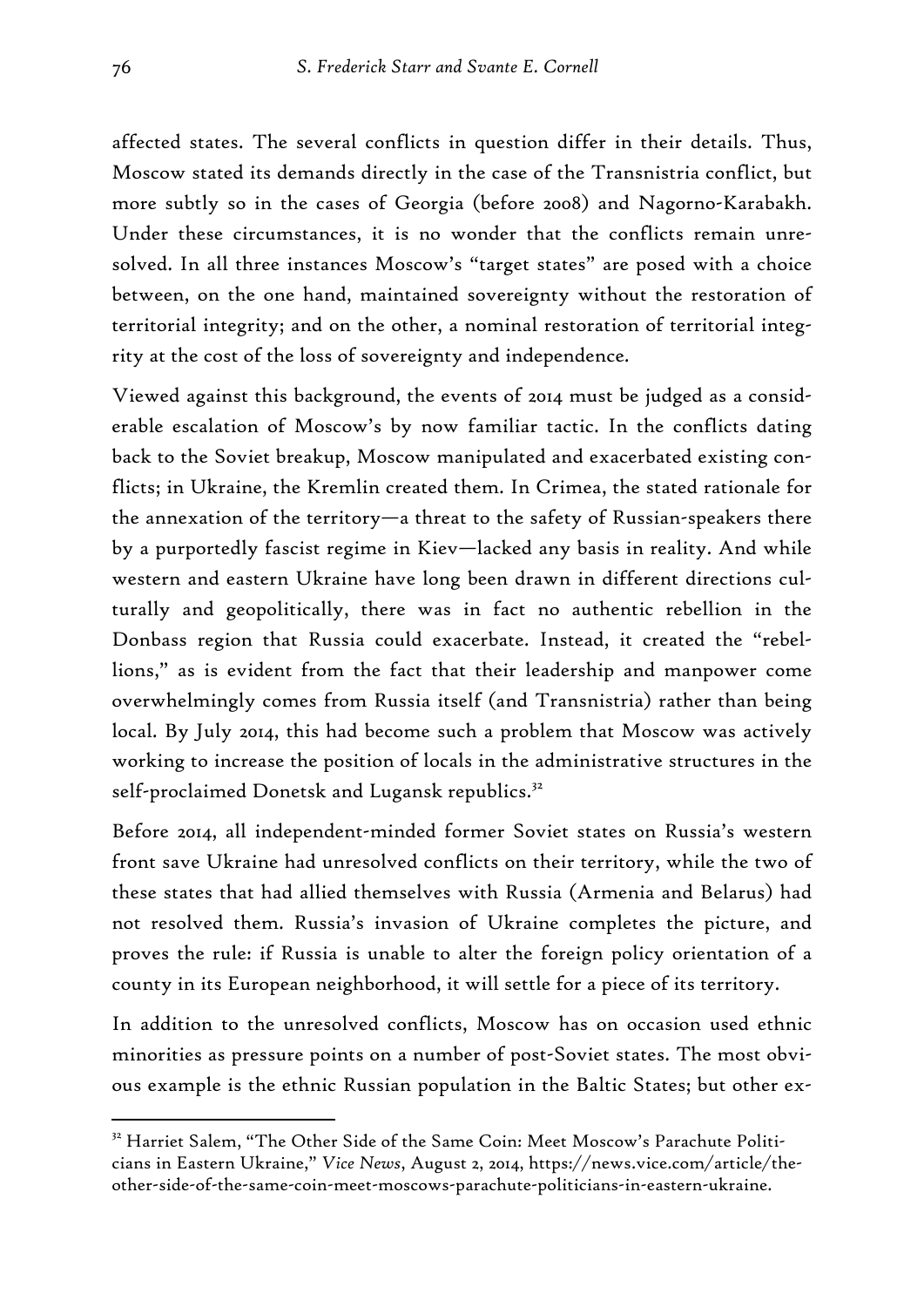affected states. The several conflicts in question differ in their details. Thus, Moscow stated its demands directly in the case of the Transnistria conflict, but more subtly so in the cases of Georgia (before 2008) and Nagorno-Karabakh. Under these circumstances, it is no wonder that the conflicts remain unresolved. In all three instances Moscow's "target states" are posed with a choice between, on the one hand, maintained sovereignty without the restoration of territorial integrity; and on the other, a nominal restoration of territorial integrity at the cost of the loss of sovereignty and independence.

Viewed against this background, the events of 2014 must be judged as a considerable escalation of Moscow's by now familiar tactic. In the conflicts dating back to the Soviet breakup, Moscow manipulated and exacerbated existing conflicts; in Ukraine, the Kremlin created them. In Crimea, the stated rationale for the annexation of the territory—a threat to the safety of Russian-speakers there by a purportedly fascist regime in Kiev—lacked any basis in reality. And while western and eastern Ukraine have long been drawn in different directions culturally and geopolitically, there was in fact no authentic rebellion in the Donbass region that Russia could exacerbate. Instead, it created the "rebellions," as is evident from the fact that their leadership and manpower come overwhelmingly comes from Russia itself (and Transnistria) rather than being local. By July 2014, this had become such a problem that Moscow was actively working to increase the position of locals in the administrative structures in the self-proclaimed Donetsk and Lugansk republics.<sup>32</sup>

Before 2014, all independent-minded former Soviet states on Russia's western front save Ukraine had unresolved conflicts on their territory, while the two of these states that had allied themselves with Russia (Armenia and Belarus) had not resolved them. Russia's invasion of Ukraine completes the picture, and proves the rule: if Russia is unable to alter the foreign policy orientation of a county in its European neighborhood, it will settle for a piece of its territory.

In addition to the unresolved conflicts, Moscow has on occasion used ethnic minorities as pressure points on a number of post-Soviet states. The most obvious example is the ethnic Russian population in the Baltic States; but other ex-

<sup>&</sup>lt;sup>32</sup> Harriet Salem, "The Other Side of the Same Coin: Meet Moscow's Parachute Politicians in Eastern Ukraine," *Vice News*, August 2, 2014, https://news.vice.com/article/theother-side-of-the-same-coin-meet-moscows-parachute-politicians-in-eastern-ukraine.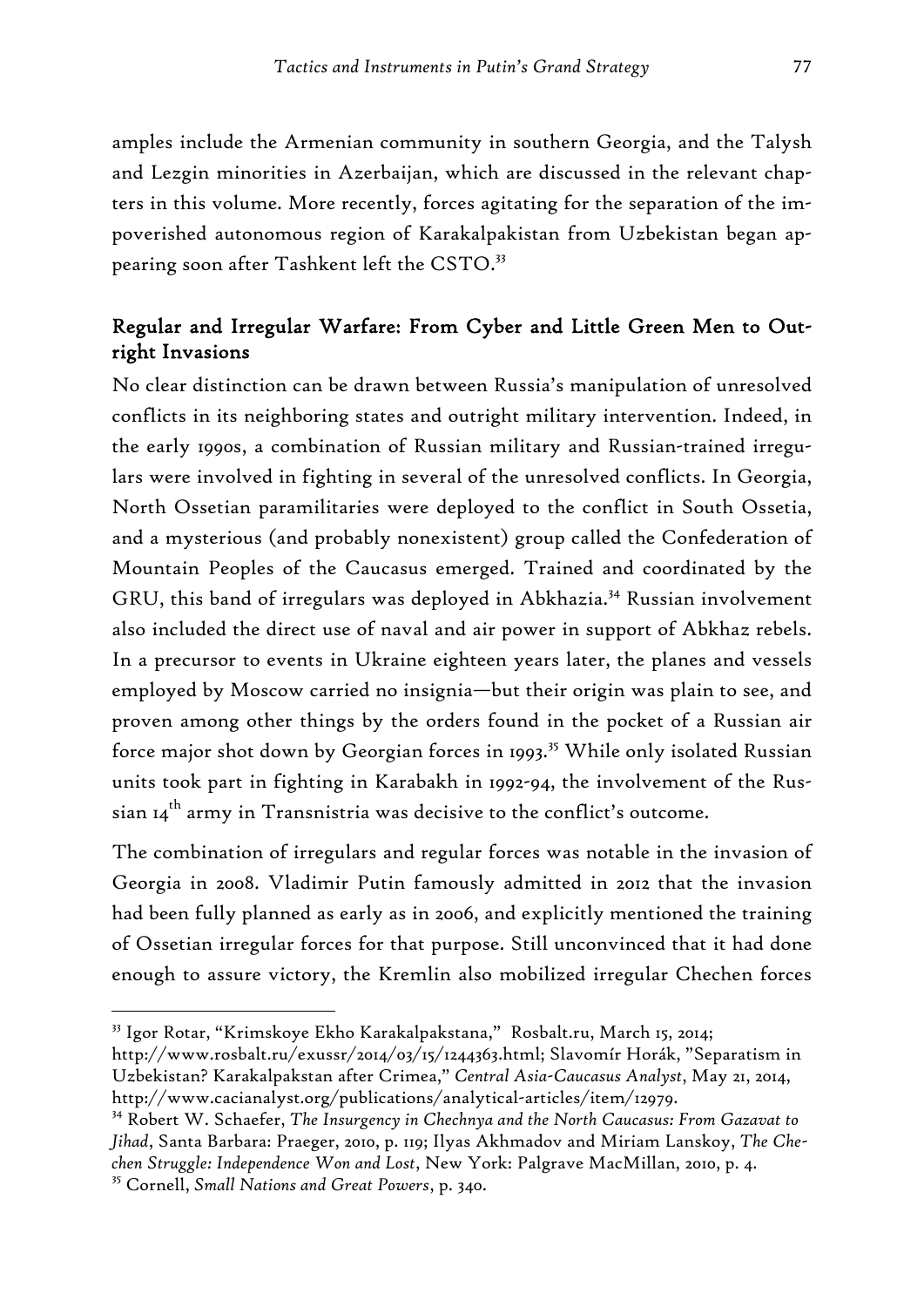amples include the Armenian community in southern Georgia, and the Talysh and Lezgin minorities in Azerbaijan, which are discussed in the relevant chapters in this volume. More recently, forces agitating for the separation of the impoverished autonomous region of Karakalpakistan from Uzbekistan began appearing soon after Tashkent left the CSTO.<sup>33</sup>

# Regular and Irregular Warfare: From Cyber and Little Green Men to Outright Invasions

No clear distinction can be drawn between Russia's manipulation of unresolved conflicts in its neighboring states and outright military intervention. Indeed, in the early 1990s, a combination of Russian military and Russian-trained irregulars were involved in fighting in several of the unresolved conflicts. In Georgia, North Ossetian paramilitaries were deployed to the conflict in South Ossetia, and a mysterious (and probably nonexistent) group called the Confederation of Mountain Peoples of the Caucasus emerged. Trained and coordinated by the GRU, this band of irregulars was deployed in Abkhazia.<sup>34</sup> Russian involvement also included the direct use of naval and air power in support of Abkhaz rebels. In a precursor to events in Ukraine eighteen years later, the planes and vessels employed by Moscow carried no insignia—but their origin was plain to see, and proven among other things by the orders found in the pocket of a Russian air force major shot down by Georgian forces in 1993.<sup>35</sup> While only isolated Russian units took part in fighting in Karabakh in 1992-94, the involvement of the Russian  $14^{th}$  army in Transnistria was decisive to the conflict's outcome.

The combination of irregulars and regular forces was notable in the invasion of Georgia in 2008. Vladimir Putin famously admitted in 2012 that the invasion had been fully planned as early as in 2006, and explicitly mentioned the training of Ossetian irregular forces for that purpose. Still unconvinced that it had done enough to assure victory, the Kremlin also mobilized irregular Chechen forces

<sup>33</sup> Igor Rotar, "Krimskoye Ekho Karakalpakstana," Rosbalt.ru, March 15, 2014;

http://www.rosbalt.ru/exussr/2014/03/15/1244363.html; Slavomír Horák, "Separatism in Uzbekistan? Karakalpakstan after Crimea," *Central Asia-Caucasus Analyst*, May 21, 2014, http://www.cacianalyst.org/publications/analytical-articles/item/12979.

<sup>34</sup> Robert W. Schaefer, *The Insurgency in Chechnya and the North Caucasus: From Gazavat to Jihad*, Santa Barbara: Praeger, 2010, p. 119; Ilyas Akhmadov and Miriam Lanskoy, *The Chechen Struggle: Independence Won and Lost*, New York: Palgrave MacMillan, 2010, p. 4.

<sup>35</sup> Cornell, *Small Nations and Great Powers*, p. 340.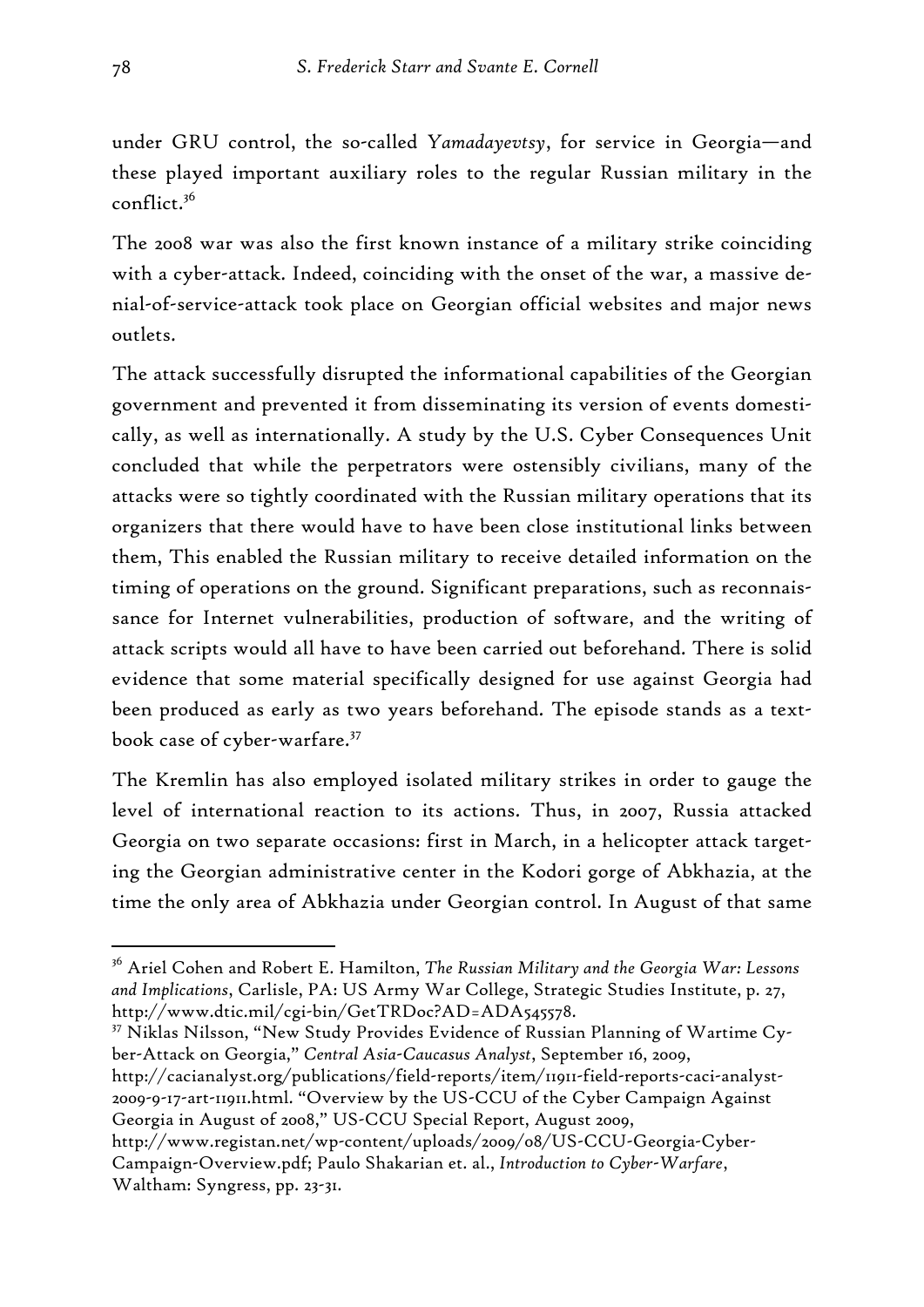under GRU control, the so-called *Yamadayevtsy*, for service in Georgia—and these played important auxiliary roles to the regular Russian military in the conflict.36

The 2008 war was also the first known instance of a military strike coinciding with a cyber-attack. Indeed, coinciding with the onset of the war, a massive denial-of-service-attack took place on Georgian official websites and major news outlets.

The attack successfully disrupted the informational capabilities of the Georgian government and prevented it from disseminating its version of events domestically, as well as internationally. A study by the U.S. Cyber Consequences Unit concluded that while the perpetrators were ostensibly civilians, many of the attacks were so tightly coordinated with the Russian military operations that its organizers that there would have to have been close institutional links between them, This enabled the Russian military to receive detailed information on the timing of operations on the ground. Significant preparations, such as reconnaissance for Internet vulnerabilities, production of software, and the writing of attack scripts would all have to have been carried out beforehand. There is solid evidence that some material specifically designed for use against Georgia had been produced as early as two years beforehand. The episode stands as a textbook case of cyber-warfare.<sup>37</sup>

The Kremlin has also employed isolated military strikes in order to gauge the level of international reaction to its actions. Thus, in 2007, Russia attacked Georgia on two separate occasions: first in March, in a helicopter attack targeting the Georgian administrative center in the Kodori gorge of Abkhazia, at the time the only area of Abkhazia under Georgian control. In August of that same

37 Niklas Nilsson, "New Study Provides Evidence of Russian Planning of Wartime Cyber-Attack on Georgia," *Central Asia-Caucasus Analyst*, September 16, 2009, http://cacianalyst.org/publications/field-reports/item/11911-field-reports-caci-analyst-2009-9-17-art-11911.html. "Overview by the US-CCU of the Cyber Campaign Against

Georgia in August of 2008," US-CCU Special Report, August 2009,

<sup>36</sup> Ariel Cohen and Robert E. Hamilton, *The Russian Military and the Georgia War: Lessons and Implications*, Carlisle, PA: US Army War College, Strategic Studies Institute, p. 27, http://www.dtic.mil/cgi-bin/GetTRDoc?AD=ADA545578.

http://www.registan.net/wp-content/uploads/2009/08/US-CCU-Georgia-Cyber-Campaign-Overview.pdf; Paulo Shakarian et. al., *Introduction to Cyber-Warfare*, Waltham: Syngress, pp. 23-31.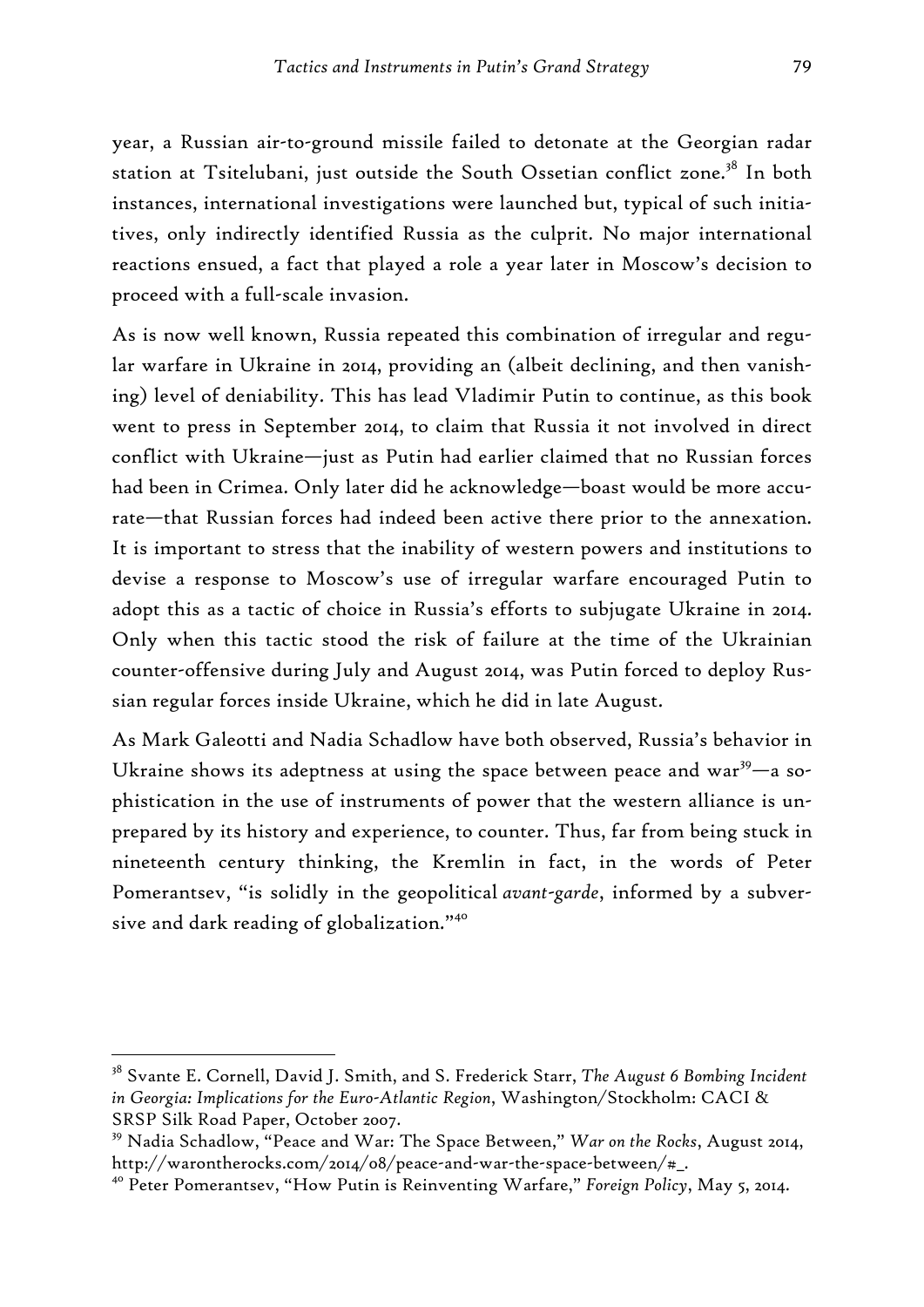year, a Russian air-to-ground missile failed to detonate at the Georgian radar station at Tsitelubani, just outside the South Ossetian conflict zone.<sup>38</sup> In both instances, international investigations were launched but, typical of such initiatives, only indirectly identified Russia as the culprit. No major international reactions ensued, a fact that played a role a year later in Moscow's decision to proceed with a full-scale invasion.

As is now well known, Russia repeated this combination of irregular and regular warfare in Ukraine in 2014, providing an (albeit declining, and then vanishing) level of deniability. This has lead Vladimir Putin to continue, as this book went to press in September 2014, to claim that Russia it not involved in direct conflict with Ukraine—just as Putin had earlier claimed that no Russian forces had been in Crimea. Only later did he acknowledge—boast would be more accurate—that Russian forces had indeed been active there prior to the annexation. It is important to stress that the inability of western powers and institutions to devise a response to Moscow's use of irregular warfare encouraged Putin to adopt this as a tactic of choice in Russia's efforts to subjugate Ukraine in 2014. Only when this tactic stood the risk of failure at the time of the Ukrainian counter-offensive during July and August 2014, was Putin forced to deploy Russian regular forces inside Ukraine, which he did in late August.

As Mark Galeotti and Nadia Schadlow have both observed, Russia's behavior in Ukraine shows its adeptness at using the space between peace and war $39$ —a sophistication in the use of instruments of power that the western alliance is unprepared by its history and experience, to counter. Thus, far from being stuck in nineteenth century thinking, the Kremlin in fact, in the words of Peter Pomerantsev, "is solidly in the geopolitical *avant-garde*, informed by a subversive and dark reading of globalization."40

<sup>38</sup> Svante E. Cornell, David J. Smith, and S. Frederick Starr, *The August 6 Bombing Incident in Georgia: Implications for the Euro-Atlantic Region*, Washington/Stockholm: CACI & SRSP Silk Road Paper, October 2007.

<sup>39</sup> Nadia Schadlow, "Peace and War: The Space Between," *War on the Rocks*, August 2014, http://warontherocks.com/2014/08/peace-and-war-the-space-between/#\_.

<sup>40</sup> Peter Pomerantsev, "How Putin is Reinventing Warfare," *Foreign Policy*, May 5, 2014.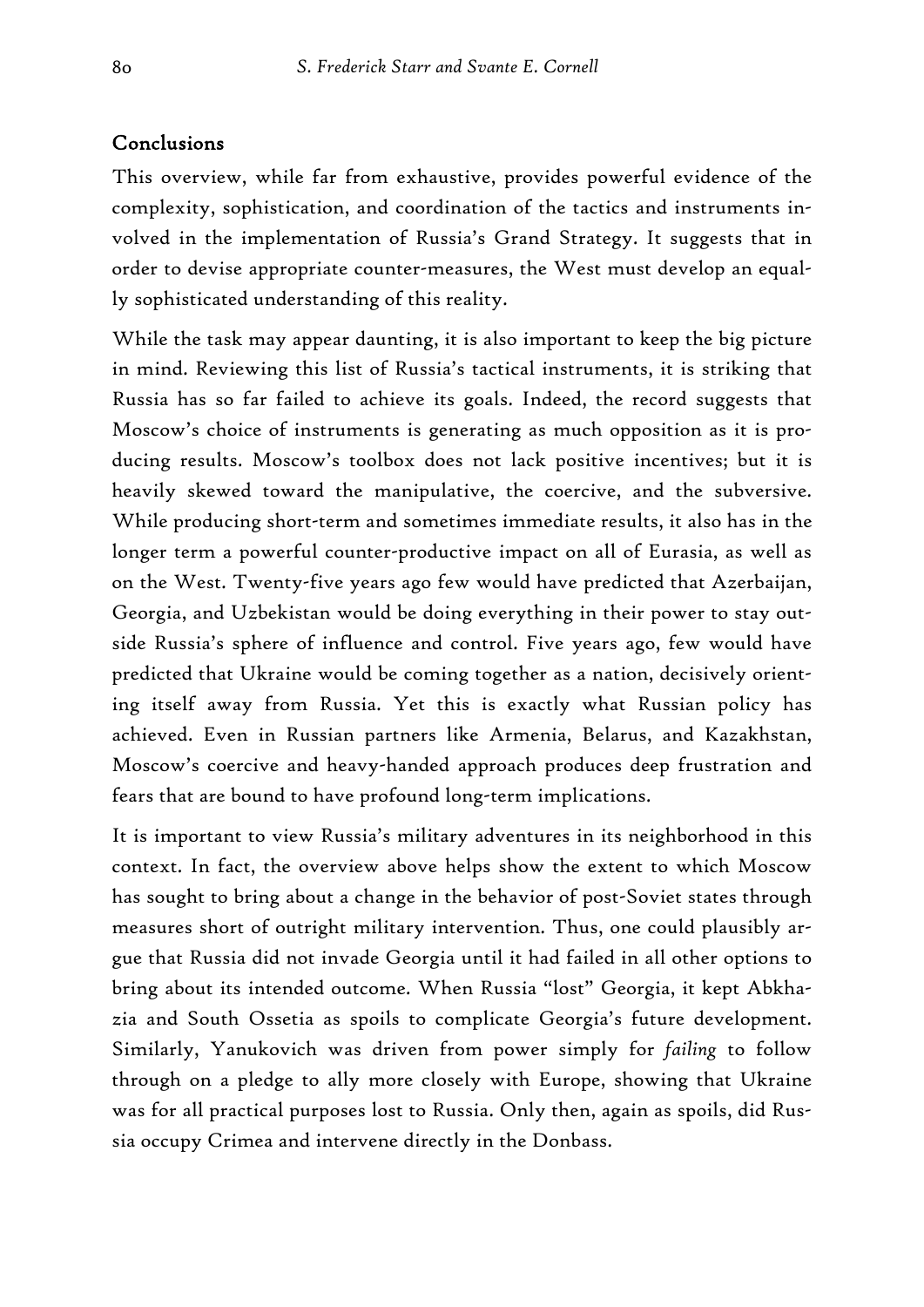#### Conclusions

This overview, while far from exhaustive, provides powerful evidence of the complexity, sophistication, and coordination of the tactics and instruments involved in the implementation of Russia's Grand Strategy. It suggests that in order to devise appropriate counter-measures, the West must develop an equally sophisticated understanding of this reality.

While the task may appear daunting, it is also important to keep the big picture in mind. Reviewing this list of Russia's tactical instruments, it is striking that Russia has so far failed to achieve its goals. Indeed, the record suggests that Moscow's choice of instruments is generating as much opposition as it is producing results. Moscow's toolbox does not lack positive incentives; but it is heavily skewed toward the manipulative, the coercive, and the subversive. While producing short-term and sometimes immediate results, it also has in the longer term a powerful counter-productive impact on all of Eurasia, as well as on the West. Twenty-five years ago few would have predicted that Azerbaijan, Georgia, and Uzbekistan would be doing everything in their power to stay outside Russia's sphere of influence and control. Five years ago, few would have predicted that Ukraine would be coming together as a nation, decisively orienting itself away from Russia. Yet this is exactly what Russian policy has achieved. Even in Russian partners like Armenia, Belarus, and Kazakhstan, Moscow's coercive and heavy-handed approach produces deep frustration and fears that are bound to have profound long-term implications.

It is important to view Russia's military adventures in its neighborhood in this context. In fact, the overview above helps show the extent to which Moscow has sought to bring about a change in the behavior of post-Soviet states through measures short of outright military intervention. Thus, one could plausibly argue that Russia did not invade Georgia until it had failed in all other options to bring about its intended outcome. When Russia "lost" Georgia, it kept Abkhazia and South Ossetia as spoils to complicate Georgia's future development. Similarly, Yanukovich was driven from power simply for *failing* to follow through on a pledge to ally more closely with Europe, showing that Ukraine was for all practical purposes lost to Russia. Only then, again as spoils, did Russia occupy Crimea and intervene directly in the Donbass.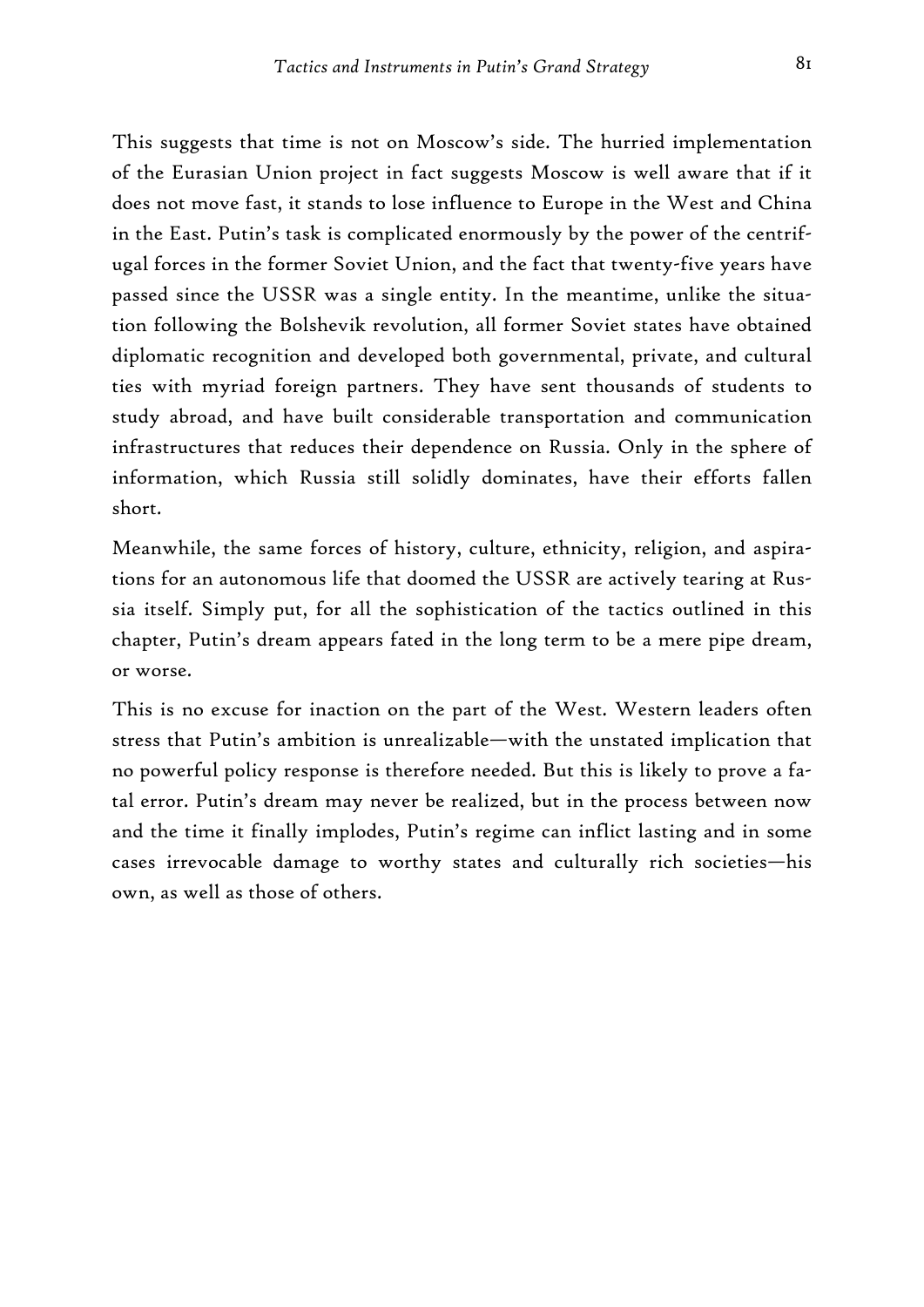This suggests that time is not on Moscow's side. The hurried implementation of the Eurasian Union project in fact suggests Moscow is well aware that if it does not move fast, it stands to lose influence to Europe in the West and China in the East. Putin's task is complicated enormously by the power of the centrifugal forces in the former Soviet Union, and the fact that twenty-five years have passed since the USSR was a single entity. In the meantime, unlike the situation following the Bolshevik revolution, all former Soviet states have obtained diplomatic recognition and developed both governmental, private, and cultural ties with myriad foreign partners. They have sent thousands of students to study abroad, and have built considerable transportation and communication infrastructures that reduces their dependence on Russia. Only in the sphere of information, which Russia still solidly dominates, have their efforts fallen short.

Meanwhile, the same forces of history, culture, ethnicity, religion, and aspirations for an autonomous life that doomed the USSR are actively tearing at Russia itself. Simply put, for all the sophistication of the tactics outlined in this chapter, Putin's dream appears fated in the long term to be a mere pipe dream, or worse.

This is no excuse for inaction on the part of the West. Western leaders often stress that Putin's ambition is unrealizable—with the unstated implication that no powerful policy response is therefore needed. But this is likely to prove a fatal error. Putin's dream may never be realized, but in the process between now and the time it finally implodes, Putin's regime can inflict lasting and in some cases irrevocable damage to worthy states and culturally rich societies—his own, as well as those of others.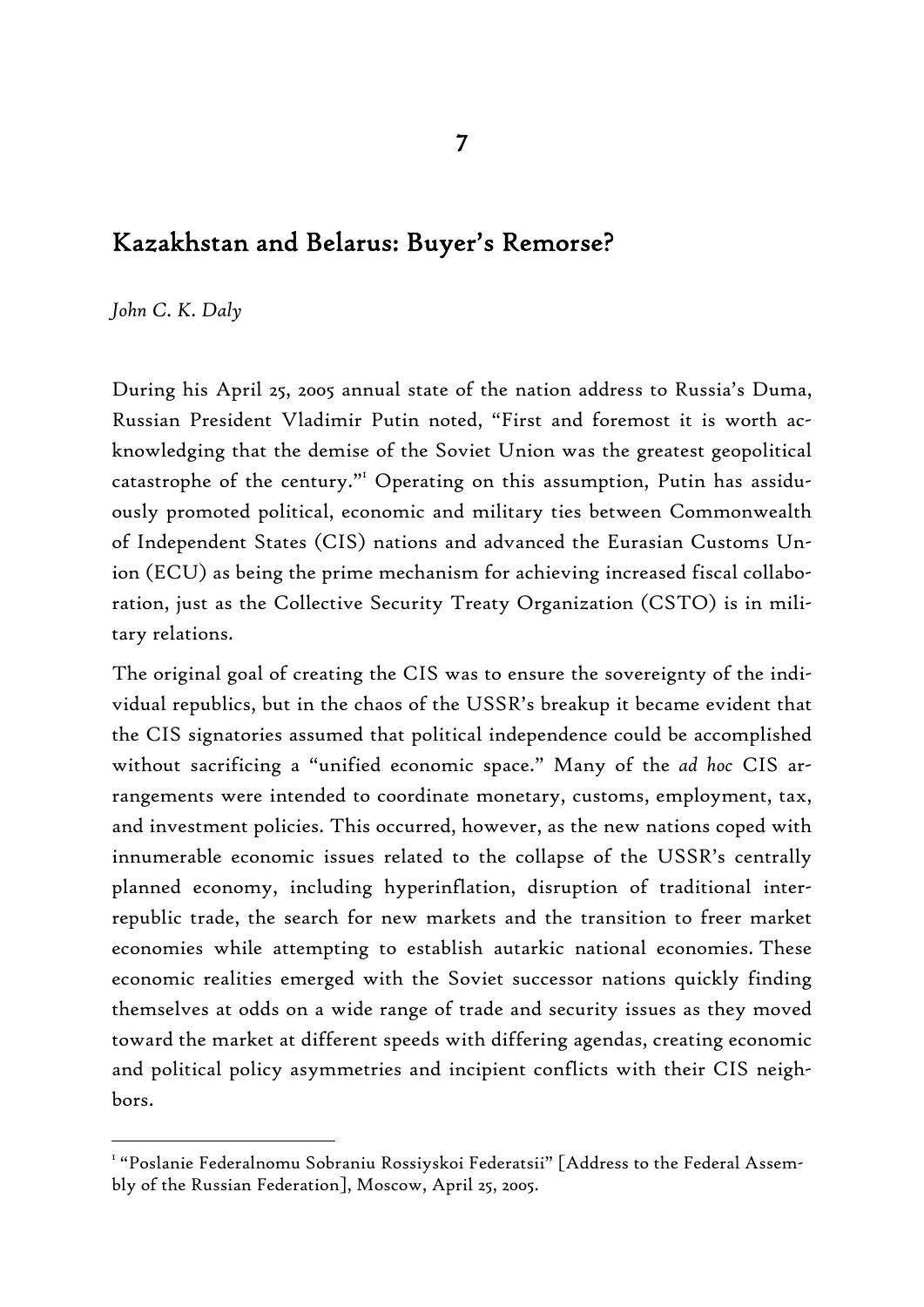# Kazakhstan and Belarus: Buyer's Remorse?

*John C. K. Daly* 

-

During his April 25, 2005 annual state of the nation address to Russia's Duma, Russian President Vladimir Putin noted, "First and foremost it is worth acknowledging that the demise of the Soviet Union was the greatest geopolitical catastrophe of the century."<sup>I</sup> Operating on this assumption, Putin has assiduously promoted political, economic and military ties between Commonwealth of Independent States (CIS) nations and advanced the Eurasian Customs Union (ECU) as being the prime mechanism for achieving increased fiscal collaboration, just as the Collective Security Treaty Organization (CSTO) is in military relations.

The original goal of creating the CIS was to ensure the sovereignty of the individual republics, but in the chaos of the USSR's breakup it became evident that the CIS signatories assumed that political independence could be accomplished without sacrificing a "unified economic space." Many of the *ad hoc* CIS arrangements were intended to coordinate monetary, customs, employment, tax, and investment policies. This occurred, however, as the new nations coped with innumerable economic issues related to the collapse of the USSR's centrally planned economy, including hyperinflation, disruption of traditional interrepublic trade, the search for new markets and the transition to freer market economies while attempting to establish autarkic national economies. These economic realities emerged with the Soviet successor nations quickly finding themselves at odds on a wide range of trade and security issues as they moved toward the market at different speeds with differing agendas, creating economic and political policy asymmetries and incipient conflicts with their CIS neighbors.

 $^{\text{\tiny{\textsf{I}}}}$  "Poslanie Federalnomu Sobraniu Rossiyskoi Federatsii" [Address to the Federal Assembly of the Russian Federation], Moscow, April 25, 2005.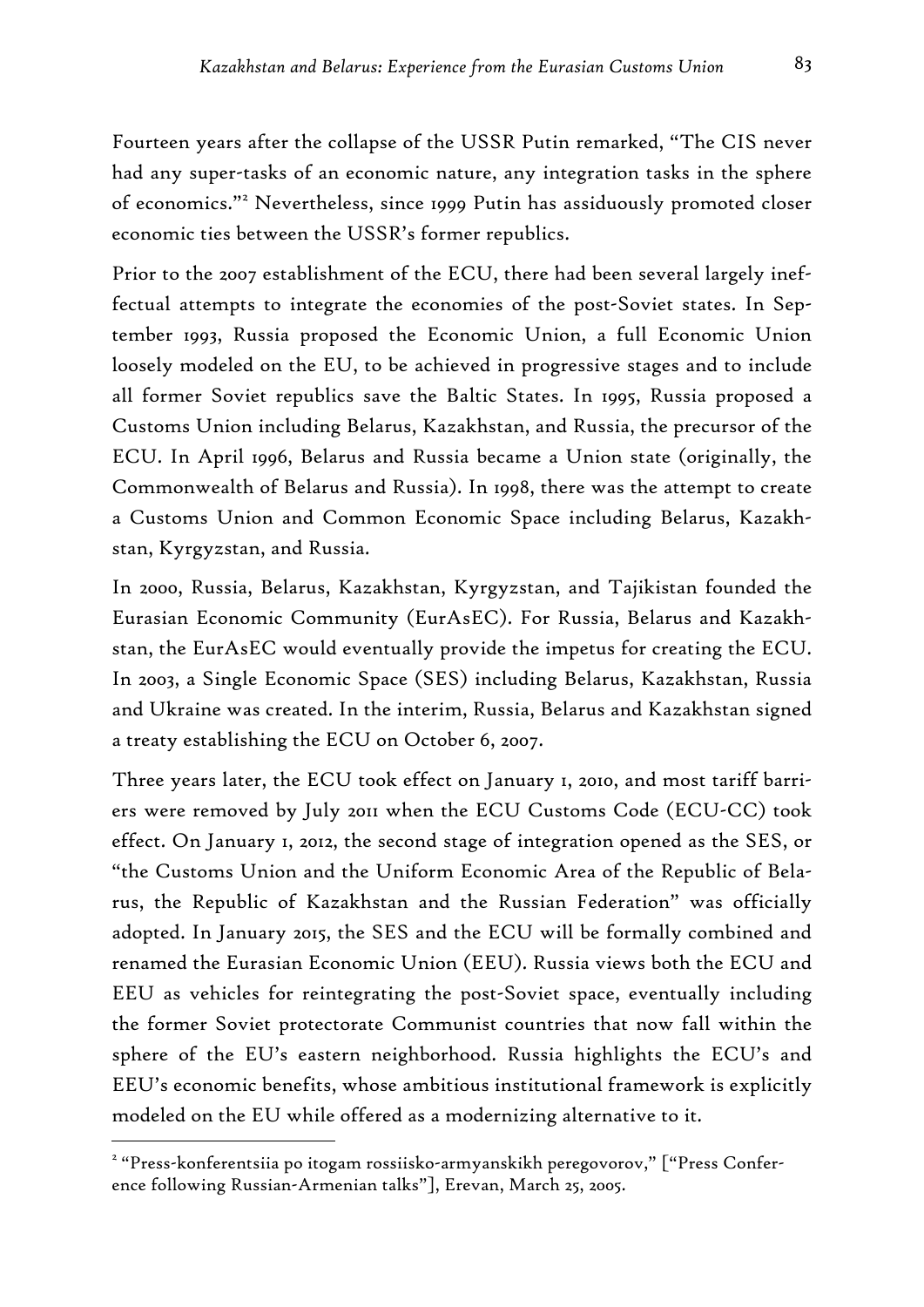Fourteen years after the collapse of the USSR Putin remarked, "The CIS never had any super-tasks of an economic nature, any integration tasks in the sphere of economics."<sup>2</sup> Nevertheless, since 1999 Putin has assiduously promoted closer economic ties between the USSR's former republics.

Prior to the 2007 establishment of the ECU, there had been several largely ineffectual attempts to integrate the economies of the post-Soviet states. In September 1993, Russia proposed the Economic Union, a full Economic Union loosely modeled on the EU, to be achieved in progressive stages and to include all former Soviet republics save the Baltic States. In 1995, Russia proposed a Customs Union including Belarus, Kazakhstan, and Russia, the precursor of the ECU. In April 1996, Belarus and Russia became a Union state (originally, the Commonwealth of Belarus and Russia). In 1998, there was the attempt to create a Customs Union and Common Economic Space including Belarus, Kazakhstan, Kyrgyzstan, and Russia.

In 2000, Russia, Belarus, Kazakhstan, Kyrgyzstan, and Tajikistan founded the Eurasian Economic Community (EurAsEC). For Russia, Belarus and Kazakhstan, the EurAsEC would eventually provide the impetus for creating the ECU. In 2003, a Single Economic Space (SES) including Belarus, Kazakhstan, Russia and Ukraine was created. In the interim, Russia, Belarus and Kazakhstan signed a treaty establishing the ECU on October 6, 2007.

Three years later, the ECU took effect on January 1, 2010, and most tariff barriers were removed by July 2011 when the ECU Customs Code (ECU-CC) took effect. On January 1, 2012, the second stage of integration opened as the SES, or "the Customs Union and the Uniform Economic Area of the Republic of Belarus, the Republic of Kazakhstan and the Russian Federation" was officially adopted. In January 2015, the SES and the ECU will be formally combined and renamed the Eurasian Economic Union (EEU). Russia views both the ECU and EEU as vehicles for reintegrating the post-Soviet space, eventually including the former Soviet protectorate Communist countries that now fall within the sphere of the EU's eastern neighborhood. Russia highlights the ECU's and EEU's economic benefits, whose ambitious institutional framework is explicitly modeled on the EU while offered as a modernizing alternative to it.

<sup>2</sup> "Press-konferentsiia po itogam rossiisko-armyanskikh peregovorov," ["Press Conference following Russian-Armenian talks"], Erevan, March 25, 2005.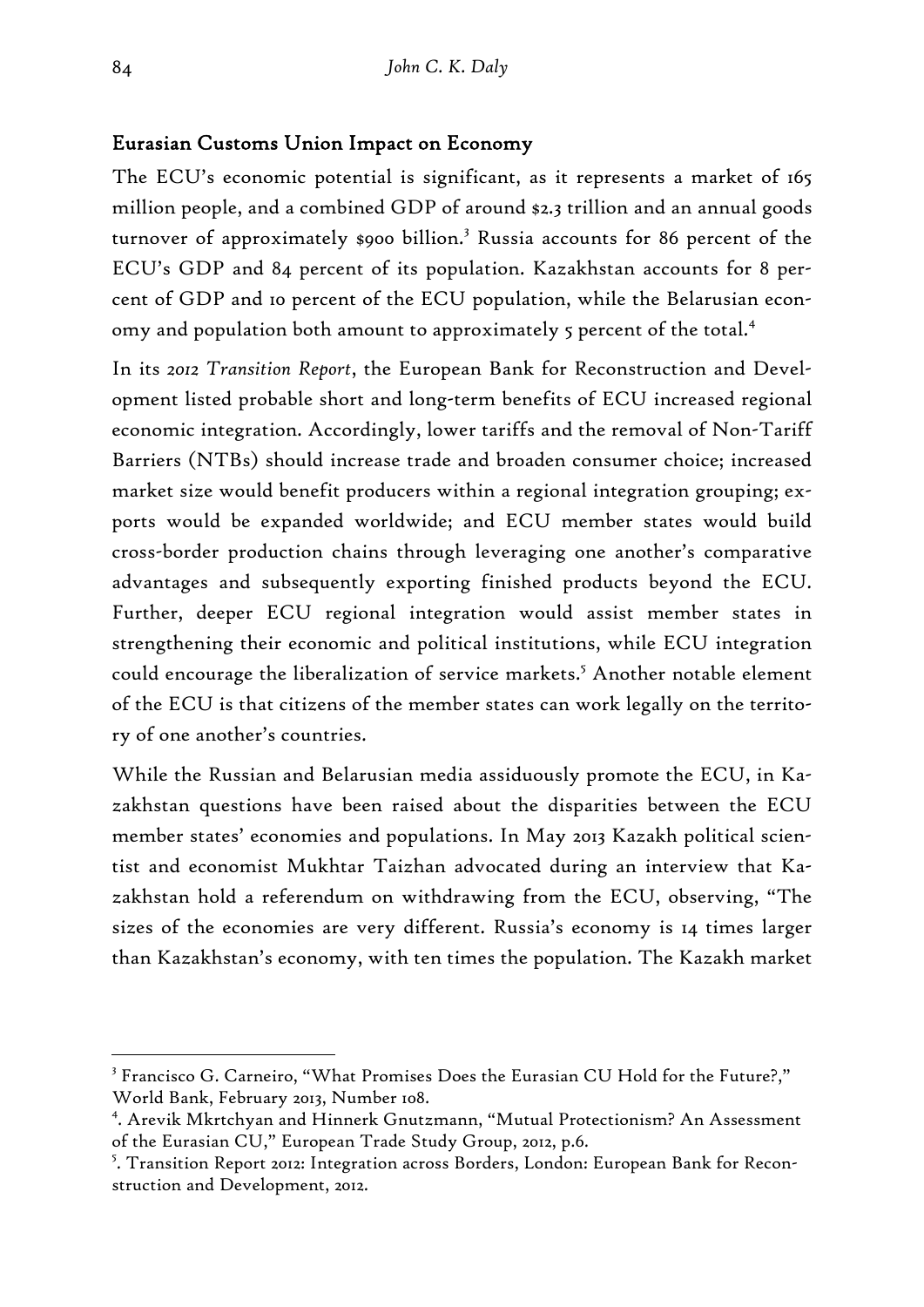## Eurasian Customs Union Impact on Economy

The ECU's economic potential is significant, as it represents a market of 165 million people, and a combined GDP of around \$2.3 trillion and an annual goods turnover of approximately \$900 billion.<sup>3</sup> Russia accounts for 86 percent of the ECU's GDP and 84 percent of its population. Kazakhstan accounts for 8 percent of GDP and 10 percent of the ECU population, while the Belarusian economy and population both amount to approximately 5 percent of the total.<sup>4</sup>

In its *2012 Transition Report*, the European Bank for Reconstruction and Development listed probable short and long-term benefits of ECU increased regional economic integration. Accordingly, lower tariffs and the removal of Non-Tariff Barriers (NTBs) should increase trade and broaden consumer choice; increased market size would benefit producers within a regional integration grouping; exports would be expanded worldwide; and ECU member states would build cross-border production chains through leveraging one another's comparative advantages and subsequently exporting finished products beyond the ECU. Further, deeper ECU regional integration would assist member states in strengthening their economic and political institutions, while ECU integration could encourage the liberalization of service markets.<sup>5</sup> Another notable element of the ECU is that citizens of the member states can work legally on the territory of one another's countries.

While the Russian and Belarusian media assiduously promote the ECU, in Kazakhstan questions have been raised about the disparities between the ECU member states' economies and populations. In May 2013 Kazakh political scientist and economist Mukhtar Taizhan advocated during an interview that Kazakhstan hold a referendum on withdrawing from the ECU, observing, "The sizes of the economies are very different. Russia's economy is 14 times larger than Kazakhstan's economy, with ten times the population. The Kazakh market

 $3$  Francisco G. Carneiro, "What Promises Does the Eurasian CU Hold for the Future?," World Bank, February 2013, Number 108.

<sup>4</sup> . Arevik Mkrtchyan and Hinnerk Gnutzmann, "Mutual Protectionism? An Assessment of the Eurasian CU," European Trade Study Group, 2012, p.6.

<sup>5</sup> . Transition Report 2012: Integration across Borders, London: European Bank for Reconstruction and Development, 2012.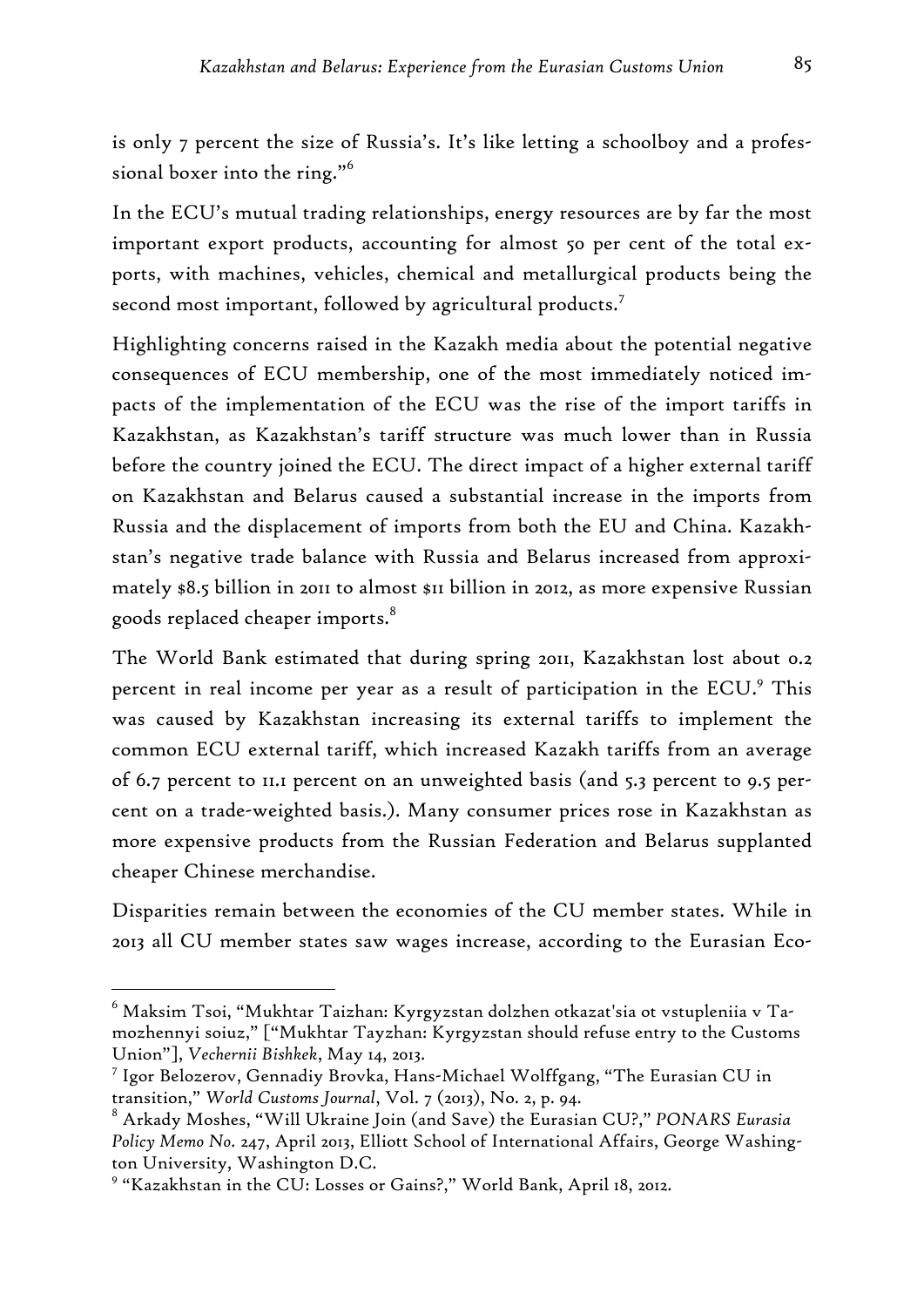is only 7 percent the size of Russia's. It's like letting a schoolboy and a professional boxer into the ring."<sup>6</sup>

In the ECU's mutual trading relationships, energy resources are by far the most important export products, accounting for almost 50 per cent of the total exports, with machines, vehicles, chemical and metallurgical products being the second most important, followed by agricultural products.<sup>7</sup>

Highlighting concerns raised in the Kazakh media about the potential negative consequences of ECU membership, one of the most immediately noticed impacts of the implementation of the ECU was the rise of the import tariffs in Kazakhstan, as Kazakhstan's tariff structure was much lower than in Russia before the country joined the ECU. The direct impact of a higher external tariff on Kazakhstan and Belarus caused a substantial increase in the imports from Russia and the displacement of imports from both the EU and China. Kazakhstan's negative trade balance with Russia and Belarus increased from approximately \$8.5 billion in 2011 to almost \$11 billion in 2012, as more expensive Russian goods replaced cheaper imports.8

The World Bank estimated that during spring 2011, Kazakhstan lost about 0.2 percent in real income per year as a result of participation in the ECU.<sup>9</sup> This was caused by Kazakhstan increasing its external tariffs to implement the common ECU external tariff, which increased Kazakh tariffs from an average of 6.7 percent to 11.1 percent on an unweighted basis (and 5.3 percent to 9.5 percent on a trade-weighted basis.). Many consumer prices rose in Kazakhstan as more expensive products from the Russian Federation and Belarus supplanted cheaper Chinese merchandise.

Disparities remain between the economies of the CU member states. While in 2013 all CU member states saw wages increase, according to the Eurasian Eco-

 $^6$  Maksim Tsoi, "Mukhtar Taizhan: Kyrgyzstan dolzhen otkazat'sia ot vstupleniia v Tamozhennyi soiuz," ["Mukhtar Tayzhan: Kyrgyzstan should refuse entry to the Customs Union"], *Vechernii Bishkek*, May 14, 2013.

<sup>7</sup> Igor Belozerov, Gennadiy Brovka, Hans-Michael Wolffgang, "The Eurasian CU in transition," *World Customs Journal*, Vol. 7 (2013), No. 2, p. 94.

<sup>8</sup> Arkady Moshes, "Will Ukraine Join (and Save) the Eurasian CU?," *PONARS Eurasia Policy Memo No.* 247, April 2013, Elliott School of International Affairs, George Washington University, Washington D.C.

<sup>9</sup> "Kazakhstan in the CU: Losses or Gains?," World Bank, April 18, 2012.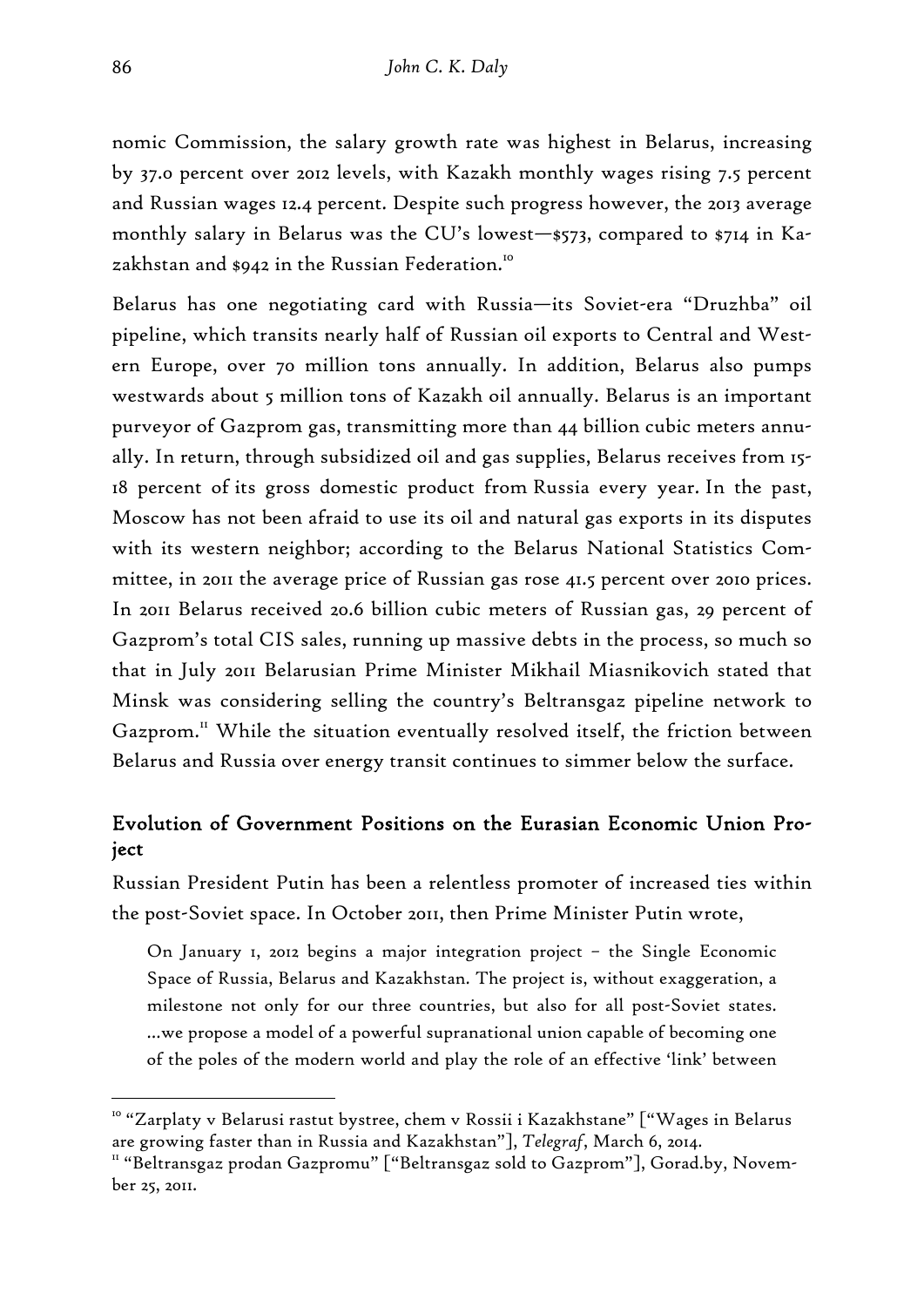nomic Commission, the salary growth rate was highest in Belarus, increasing by 37.0 percent over 2012 levels, with Kazakh monthly wages rising 7.5 percent and Russian wages 12.4 percent. Despite such progress however, the 2013 average monthly salary in Belarus was the CU's lowest—\$573, compared to \$714 in Kazakhstan and \$942 in the Russian Federation.<sup>10</sup>

Belarus has one negotiating card with Russia—its Soviet-era "Druzhba" oil pipeline, which transits nearly half of Russian oil exports to Central and Western Europe, over 70 million tons annually. In addition, Belarus also pumps westwards about 5 million tons of Kazakh oil annually. Belarus is an important purveyor of Gazprom gas, transmitting more than 44 billion cubic meters annually. In return, through subsidized oil and gas supplies, Belarus receives from 15- 18 percent of its gross domestic product from Russia every year. In the past, Moscow has not been afraid to use its oil and natural gas exports in its disputes with its western neighbor; according to the Belarus National Statistics Committee, in 2011 the average price of Russian gas rose 41.5 percent over 2010 prices. In 2011 Belarus received 20.6 billion cubic meters of Russian gas, 29 percent of Gazprom's total CIS sales, running up massive debts in the process, so much so that in July 2011 Belarusian Prime Minister Mikhail Miasnikovich stated that Minsk was considering selling the country's Beltransgaz pipeline network to Gazprom.<sup>11</sup> While the situation eventually resolved itself, the friction between Belarus and Russia over energy transit continues to simmer below the surface.

# Evolution of Government Positions on the Eurasian Economic Union Project

Russian President Putin has been a relentless promoter of increased ties within the post-Soviet space. In October 2011, then Prime Minister Putin wrote,

On January 1, 2012 begins a major integration project – the Single Economic Space of Russia, Belarus and Kazakhstan. The project is, without exaggeration, a milestone not only for our three countries, but also for all post-Soviet states. …we propose a model of a powerful supranational union capable of becoming one of the poles of the modern world and play the role of an effective 'link' between

<sup>&</sup>lt;sup>10</sup> "Zarplaty v Belarusi rastut bystree, chem v Rossii i Kazakhstane" ["Wages in Belarus are growing faster than in Russia and Kazakhstan"], *Telegraf*, March 6, 2014.<br>" "Beltransgaz prodan Gazpromu" ["Beltransgaz sold to Gazprom"], Gorad.by, Novem-

ber 25, 2011.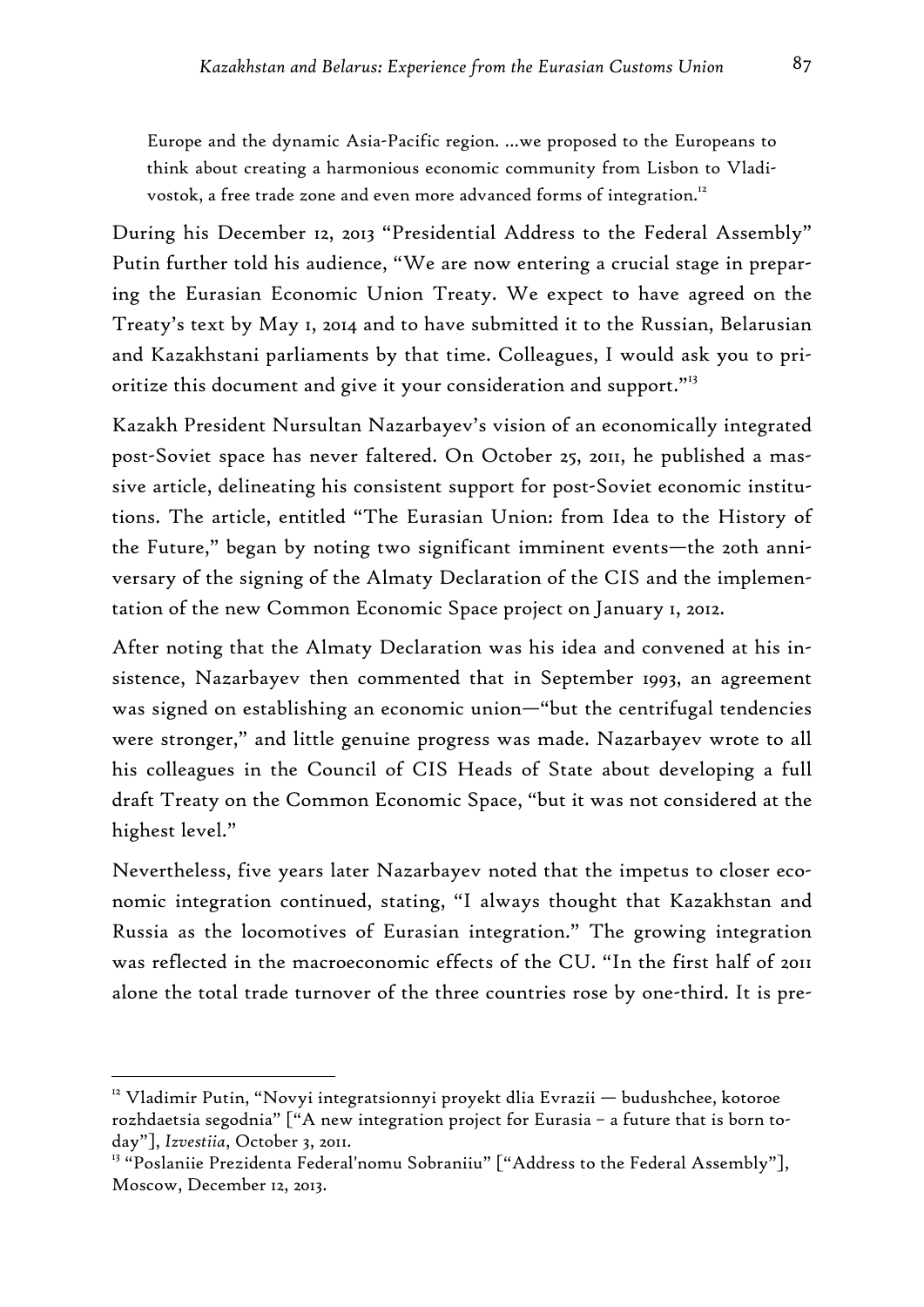Europe and the dynamic Asia-Pacific region. …we proposed to the Europeans to think about creating a harmonious economic community from Lisbon to Vladivostok, a free trade zone and even more advanced forms of integration.<sup>12</sup>

During his December 12, 2013 "Presidential Address to the Federal Assembly" Putin further told his audience, "We are now entering a crucial stage in preparing the Eurasian Economic Union Treaty. We expect to have agreed on the Treaty's text by May 1, 2014 and to have submitted it to the Russian, Belarusian and Kazakhstani parliaments by that time. Colleagues, I would ask you to prioritize this document and give it your consideration and support."<sup>13</sup>

Kazakh President Nursultan Nazarbayev's vision of an economically integrated post-Soviet space has never faltered. On October 25, 2011, he published a massive article, delineating his consistent support for post-Soviet economic institutions. The article, entitled "The Eurasian Union: from Idea to the History of the Future," began by noting two significant imminent events—the 20th anniversary of the signing of the Almaty Declaration of the CIS and the implementation of the new Common Economic Space project on January 1, 2012.

After noting that the Almaty Declaration was his idea and convened at his insistence, Nazarbayev then commented that in September 1993, an agreement was signed on establishing an economic union—"but the centrifugal tendencies were stronger," and little genuine progress was made. Nazarbayev wrote to all his colleagues in the Council of CIS Heads of State about developing a full draft Treaty on the Common Economic Space, "but it was not considered at the highest level."

Nevertheless, five years later Nazarbayev noted that the impetus to closer economic integration continued, stating, "I always thought that Kazakhstan and Russia as the locomotives of Eurasian integration." The growing integration was reflected in the macroeconomic effects of the CU. "In the first half of 2011 alone the total trade turnover of the three countries rose by one-third. It is pre-

<sup>&</sup>lt;sup>12</sup> Vladimir Putin, "Novyi integratsionnyi proyekt dlia Evrazii — budushchee, kotoroe rozhdaetsia segodnia" ["A new integration project for Eurasia – a future that is born today"], *Izvestiia*, October 3, 2011.

<sup>&</sup>lt;sup>13</sup> "Poslaniie Prezidenta Federal'nomu Sobraniiu" ["Address to the Federal Assembly"], Moscow, December 12, 2013.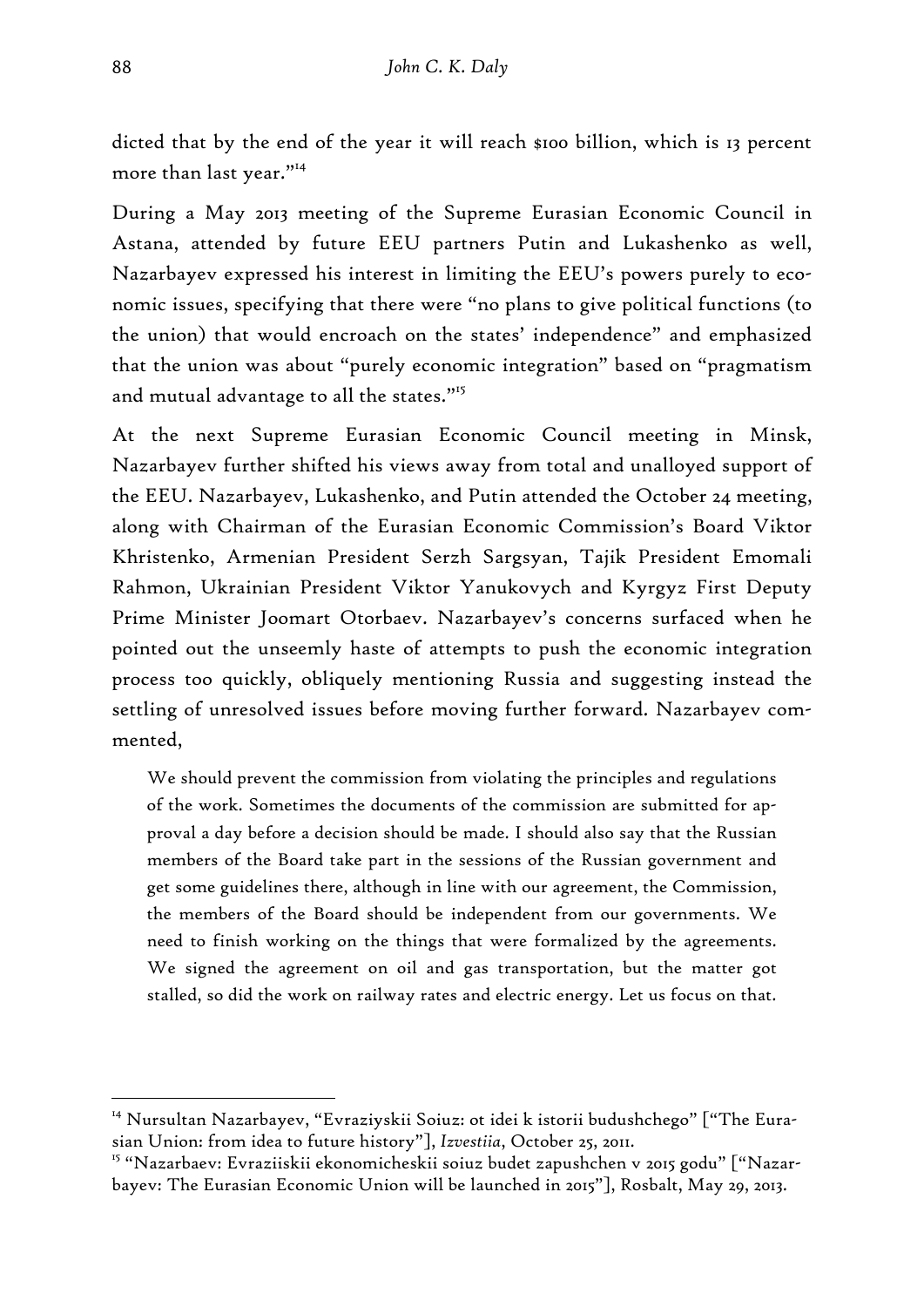dicted that by the end of the year it will reach \$100 billion, which is 13 percent more than last year."14

During a May 2013 meeting of the Supreme Eurasian Economic Council in Astana, attended by future EEU partners Putin and Lukashenko as well, Nazarbayev expressed his interest in limiting the EEU's powers purely to economic issues, specifying that there were "no plans to give political functions (to the union) that would encroach on the states' independence" and emphasized that the union was about "purely economic integration" based on "pragmatism and mutual advantage to all the states."15

At the next Supreme Eurasian Economic Council meeting in Minsk, Nazarbayev further shifted his views away from total and unalloyed support of the EEU. Nazarbayev, Lukashenko, and Putin attended the October 24 meeting, along with Chairman of the Eurasian Economic Commission's Board Viktor Khristenko, Armenian President Serzh Sargsyan, Tajik President Emomali Rahmon, Ukrainian President Viktor Yanukovych and Kyrgyz First Deputy Prime Minister Joomart Otorbaev. Nazarbayev's concerns surfaced when he pointed out the unseemly haste of attempts to push the economic integration process too quickly, obliquely mentioning Russia and suggesting instead the settling of unresolved issues before moving further forward. Nazarbayev commented,

We should prevent the commission from violating the principles and regulations of the work. Sometimes the documents of the commission are submitted for approval a day before a decision should be made. I should also say that the Russian members of the Board take part in the sessions of the Russian government and get some guidelines there, although in line with our agreement, the Commission, the members of the Board should be independent from our governments. We need to finish working on the things that were formalized by the agreements. We signed the agreement on oil and gas transportation, but the matter got stalled, so did the work on railway rates and electric energy. Let us focus on that.

<sup>&</sup>lt;sup>14</sup> Nursultan Nazarbayev, "Evraziyskii Soiuz: ot idei k istorii budushchego" ["The Eurasian Union: from idea to future history"], *Izvestiia*, October 25, 2011.

<sup>&</sup>lt;sup>15</sup> "Nazarbaev: Evraziiskii ekonomicheskii soiuz budet zapushchen v 2015 godu" ["Nazarbayev: The Eurasian Economic Union will be launched in 2015"], Rosbalt, May 29, 2013.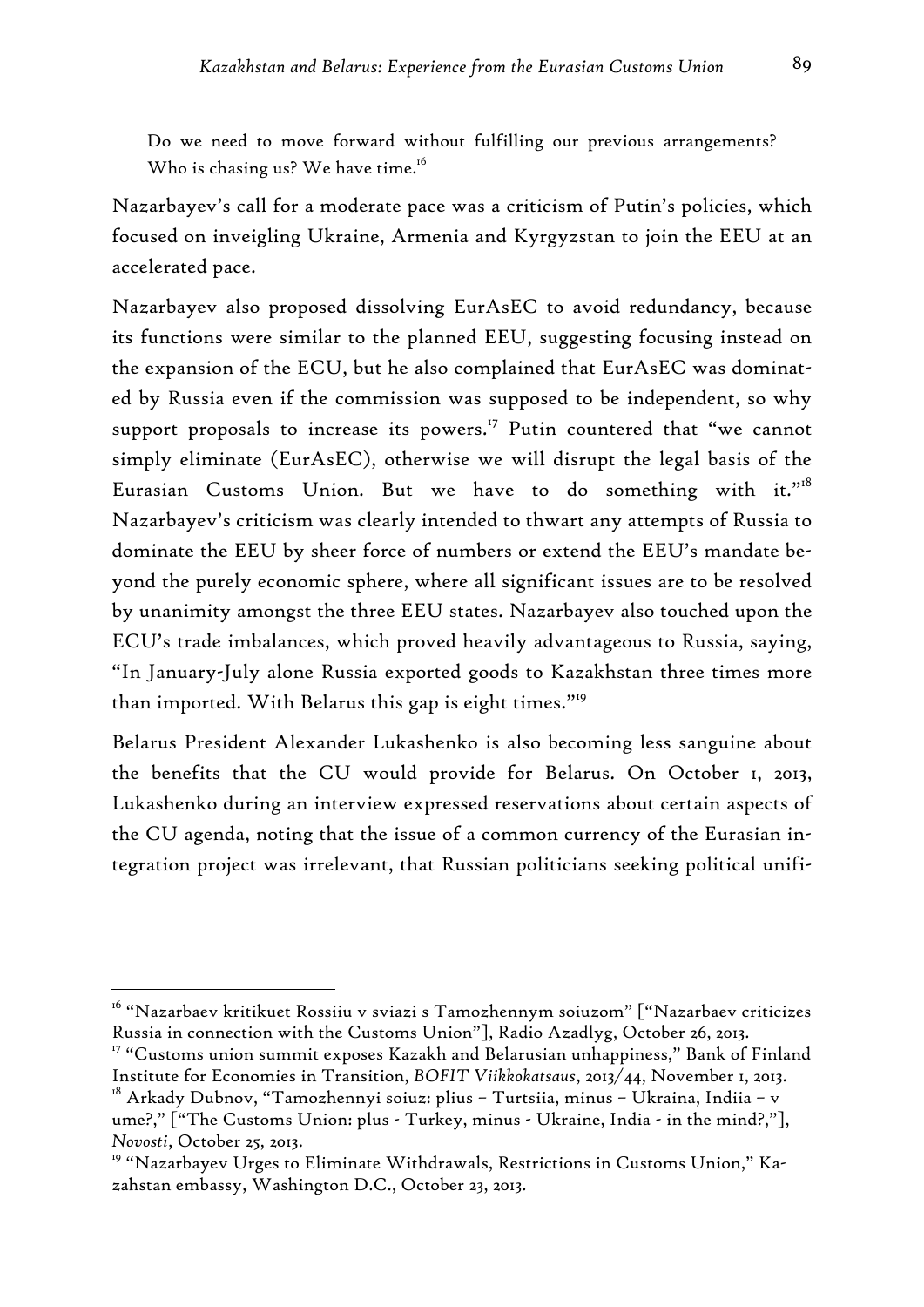Do we need to move forward without fulfilling our previous arrangements? Who is chasing us? We have time.<sup>16</sup>

Nazarbayev's call for a moderate pace was a criticism of Putin's policies, which focused on inveigling Ukraine, Armenia and Kyrgyzstan to join the EEU at an accelerated pace.

Nazarbayev also proposed dissolving EurAsEC to avoid redundancy, because its functions were similar to the planned EEU, suggesting focusing instead on the expansion of the ECU, but he also complained that EurAsEC was dominated by Russia even if the commission was supposed to be independent, so why support proposals to increase its powers.<sup>17</sup> Putin countered that "we cannot simply eliminate (EurAsEC), otherwise we will disrupt the legal basis of the Eurasian Customs Union. But we have to do something with it." $18$ Nazarbayev's criticism was clearly intended to thwart any attempts of Russia to dominate the EEU by sheer force of numbers or extend the EEU's mandate beyond the purely economic sphere, where all significant issues are to be resolved by unanimity amongst the three EEU states. Nazarbayev also touched upon the ECU's trade imbalances, which proved heavily advantageous to Russia, saying, "In January-July alone Russia exported goods to Kazakhstan three times more than imported. With Belarus this gap is eight times."<sup>19</sup>

Belarus President Alexander Lukashenko is also becoming less sanguine about the benefits that the CU would provide for Belarus. On October 1, 2013, Lukashenko during an interview expressed reservations about certain aspects of the CU agenda, noting that the issue of a common currency of the Eurasian integration project was irrelevant, that Russian politicians seeking political unifi-

<sup>16 &</sup>quot;Nazarbaev kritikuet Rossiiu v sviazi s Tamozhennym soiuzom" ["Nazarbaev criticizes Russia in connection with the Customs Union"], Radio Azadlyg, October 26, 2013.

<sup>&</sup>lt;sup>17</sup> "Customs union summit exposes Kazakh and Belarusian unhappiness," Bank of Finland Institute for Economies in Transition, *BOFIT Viikkokatsaus*, 2013/44, November 1, 2013.

<sup>&</sup>lt;sup>18</sup> Arkady Dubnov, "Tamozhennyi soiuz: plius - Turtsiia, minus - Ukraina, Indiia - v ume?," ["The Customs Union: plus - Turkey, minus - Ukraine, India - in the mind?,"], *Novosti*, October 25, 2013.

<sup>&</sup>lt;sup>19</sup> "Nazarbayev Urges to Eliminate Withdrawals, Restrictions in Customs Union," Kazahstan embassy, Washington D.C., October 23, 2013.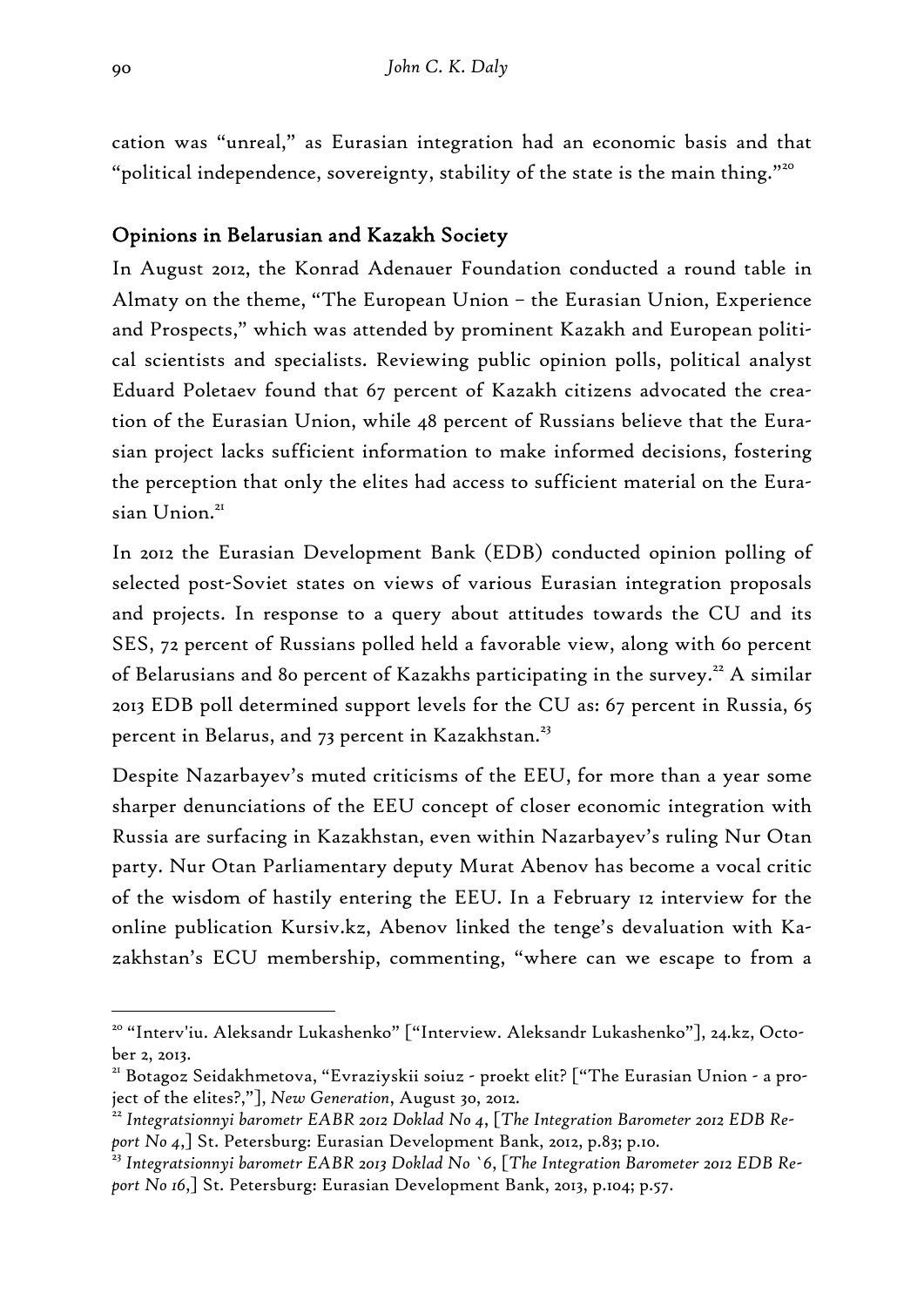cation was "unreal," as Eurasian integration had an economic basis and that "political independence, sovereignty, stability of the state is the main thing."20

## Opinions in Belarusian and Kazakh Society

In August 2012, the Konrad Adenauer Foundation conducted a round table in Almaty on the theme, "The European Union – the Eurasian Union, Experience and Prospects," which was attended by prominent Kazakh and European political scientists and specialists. Reviewing public opinion polls, political analyst Eduard Poletaev found that 67 percent of Kazakh citizens advocated the creation of the Eurasian Union, while 48 percent of Russians believe that the Eurasian project lacks sufficient information to make informed decisions, fostering the perception that only the elites had access to sufficient material on the Eurasian Union.<sup>21</sup>

In 2012 the Eurasian Development Bank (EDB) conducted opinion polling of selected post-Soviet states on views of various Eurasian integration proposals and projects. In response to a query about attitudes towards the CU and its SES, 72 percent of Russians polled held a favorable view, along with 60 percent of Belarusians and 80 percent of Kazakhs participating in the survey.<sup>22</sup> A similar 2013 EDB poll determined support levels for the CU as: 67 percent in Russia, 65 percent in Belarus, and 73 percent in Kazakhstan.<sup>23</sup>

Despite Nazarbayev's muted criticisms of the EEU, for more than a year some sharper denunciations of the EEU concept of closer economic integration with Russia are surfacing in Kazakhstan, even within Nazarbayev's ruling Nur Otan party. Nur Otan Parliamentary deputy Murat Abenov has become a vocal critic of the wisdom of hastily entering the EEU. In a February 12 interview for the online publication Kursiv.kz, Abenov linked the tenge's devaluation with Kazakhstan's ECU membership, commenting, "where can we escape to from a

<sup>20 &</sup>quot;Interv'iu. Aleksandr Lukashenko" ["Interview. Aleksandr Lukashenko"], 24.kz, October 2, 2013.

<sup>21</sup> Botagoz Seidakhmetova, "Evraziyskii soiuz - proekt elit? ["The Eurasian Union - a project of the elites?,"], *New Generation*, August 30, 2012. 22 *Integratsionnyi barometr EABR 2012 Doklad No 4*, [*The Integration Barometer 2012 EDB Re-*

*port No 4*,] St. Petersburg: Eurasian Development Bank, 2012, p.83; p.10.

<sup>23</sup> *Integratsionnyi barometr EABR 2013 Doklad No `6*, [*The Integration Barometer 2012 EDB Report No 16*,] St. Petersburg: Eurasian Development Bank, 2013, p.104; p.57.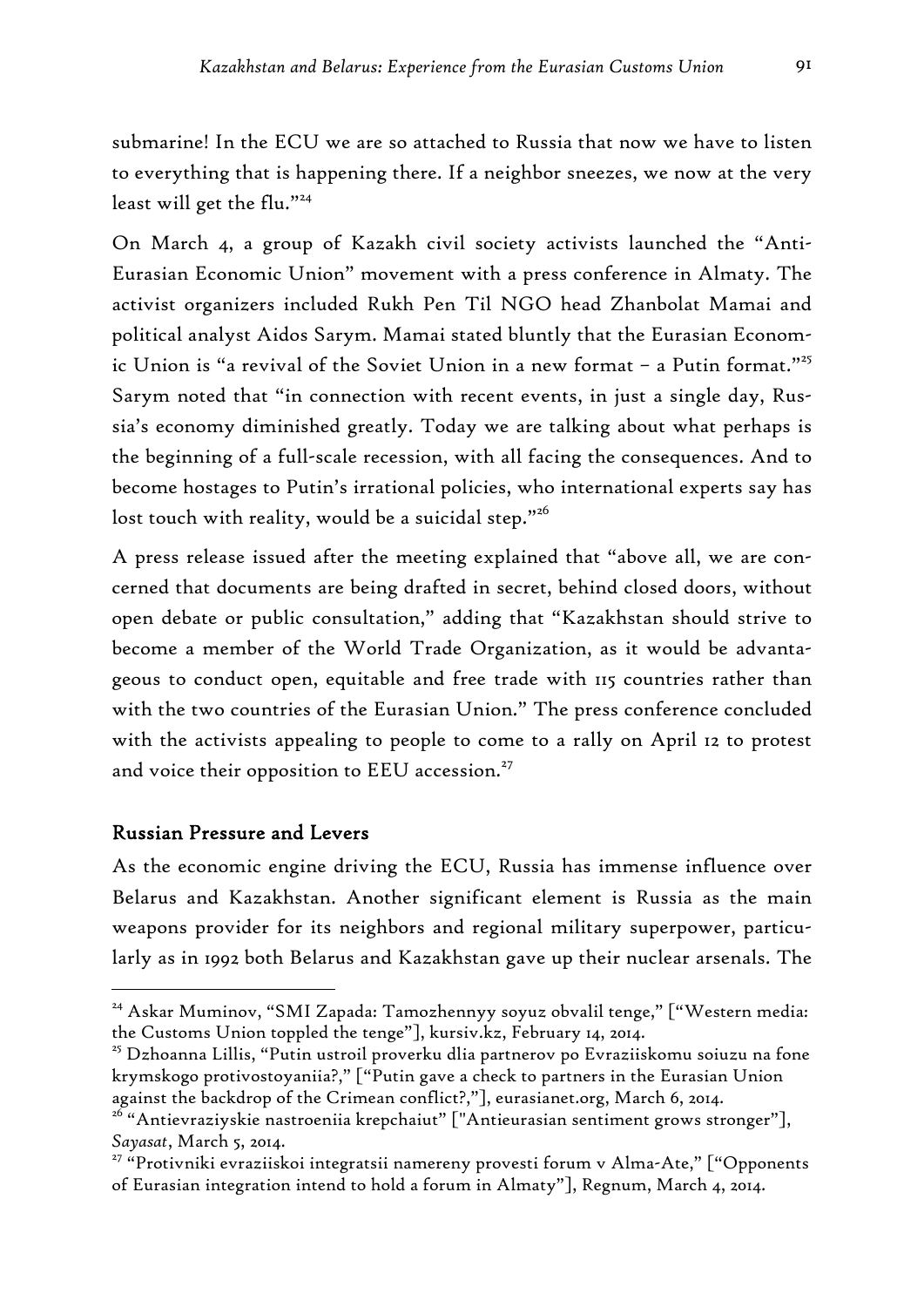submarine! In the ECU we are so attached to Russia that now we have to listen to everything that is happening there. If a neighbor sneezes, we now at the very least will get the flu."<sup>24</sup>

On March 4, a group of Kazakh civil society activists launched the "Anti-Eurasian Economic Union" movement with a press conference in Almaty. The activist organizers included Rukh Pen Til NGO head Zhanbolat Mamai and political analyst Aidos Sarym. Mamai stated bluntly that the Eurasian Economic Union is "a revival of the Soviet Union in a new format – a Putin format."<sup>25</sup> Sarym noted that "in connection with recent events, in just a single day, Russia's economy diminished greatly. Today we are talking about what perhaps is the beginning of a full-scale recession, with all facing the consequences. And to become hostages to Putin's irrational policies, who international experts say has lost touch with reality, would be a suicidal step."<sup>26</sup>

A press release issued after the meeting explained that "above all, we are concerned that documents are being drafted in secret, behind closed doors, without open debate or public consultation," adding that "Kazakhstan should strive to become a member of the World Trade Organization, as it would be advantageous to conduct open, equitable and free trade with 115 countries rather than with the two countries of the Eurasian Union." The press conference concluded with the activists appealing to people to come to a rally on April 12 to protest and voice their opposition to EEU accession.<sup>27</sup>

## Russian Pressure and Levers

-

As the economic engine driving the ECU, Russia has immense influence over Belarus and Kazakhstan. Another significant element is Russia as the main weapons provider for its neighbors and regional military superpower, particularly as in 1992 both Belarus and Kazakhstan gave up their nuclear arsenals. The

<sup>&</sup>lt;sup>24</sup> Askar Muminov, "SMI Zapada: Tamozhennyy soyuz obvalil tenge," ["Western media: the Customs Union toppled the tenge"], kursiv.kz, February 14, 2014.

<sup>25</sup> Dzhoanna Lillis, "Putin ustroil proverku dlia partnerov po Evraziiskomu soiuzu na fone krymskogo protivostoyaniia?," ["Putin gave a check to partners in the Eurasian Union against the backdrop of the Crimean conflict?,"], eurasianet.org, March 6, 2014.

<sup>&</sup>lt;sup>26</sup> "Antievraziyskie nastroeniia krepchaiut" ["Antieurasian sentiment grows stronger"], *Sayasat*, March 5, 2014. 27 "Protivniki evraziiskoi integratsii namereny provesti forum v Alma-Ate," ["Opponents

of Eurasian integration intend to hold a forum in Almaty"], Regnum, March 4, 2014.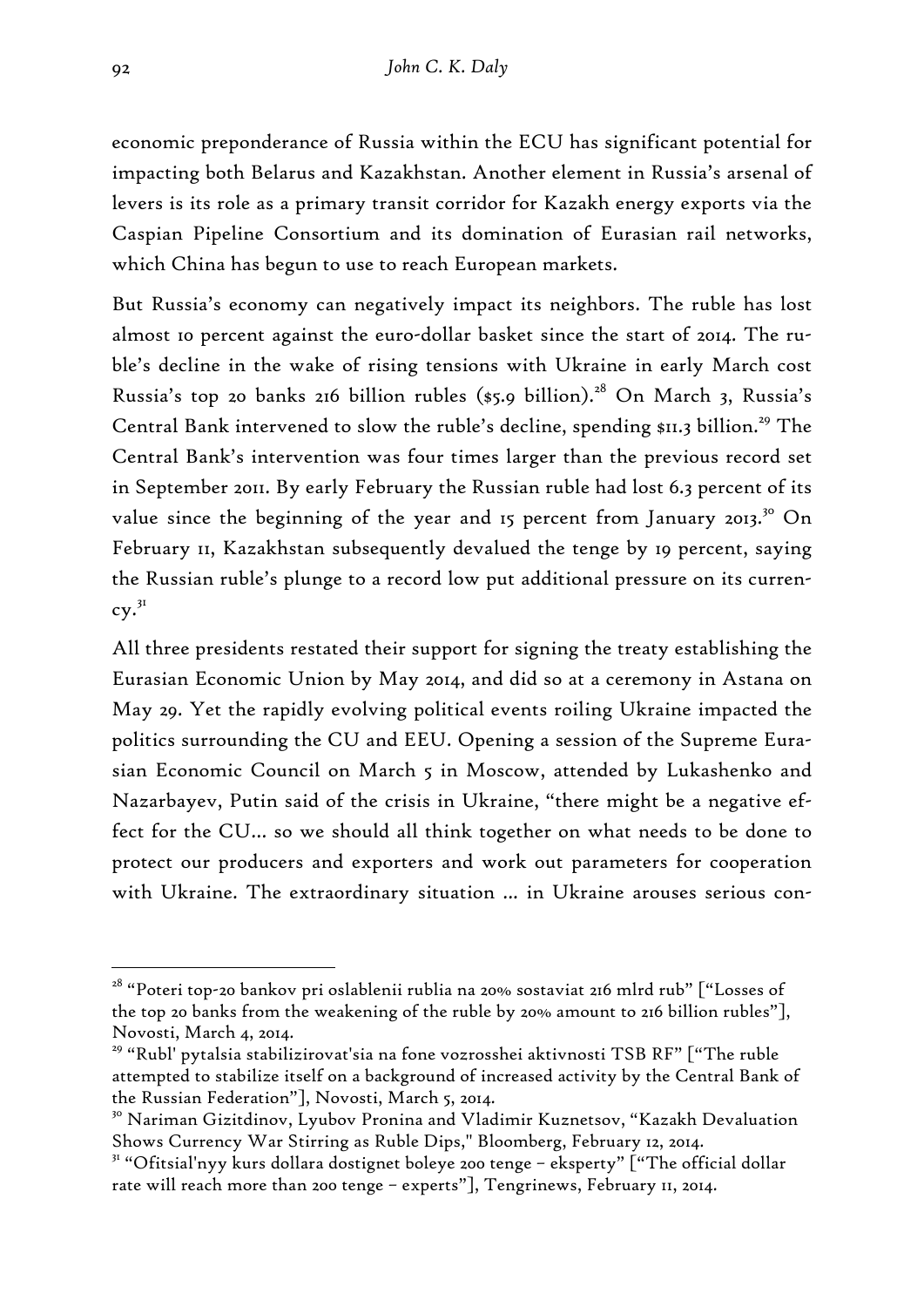economic preponderance of Russia within the ECU has significant potential for impacting both Belarus and Kazakhstan. Another element in Russia's arsenal of levers is its role as a primary transit corridor for Kazakh energy exports via the Caspian Pipeline Consortium and its domination of Eurasian rail networks, which China has begun to use to reach European markets.

But Russia's economy can negatively impact its neighbors. The ruble has lost almost 10 percent against the euro-dollar basket since the start of 2014. The ruble's decline in the wake of rising tensions with Ukraine in early March cost Russia's top 20 banks 216 billion rubles (\$5.9 billion).<sup>28</sup> On March 3, Russia's Central Bank intervened to slow the ruble's decline, spending \$11.3 billion.<sup>29</sup> The Central Bank's intervention was four times larger than the previous record set in September 2011. By early February the Russian ruble had lost 6.3 percent of its value since the beginning of the year and 15 percent from January 2013.<sup>30</sup> On February 11, Kazakhstan subsequently devalued the tenge by 19 percent, saying the Russian ruble's plunge to a record low put additional pressure on its currency.31

All three presidents restated their support for signing the treaty establishing the Eurasian Economic Union by May 2014, and did so at a ceremony in Astana on May 29. Yet the rapidly evolving political events roiling Ukraine impacted the politics surrounding the CU and EEU. Opening a session of the Supreme Eurasian Economic Council on March 5 in Moscow, attended by Lukashenko and Nazarbayev, Putin said of the crisis in Ukraine, "there might be a negative effect for the CU… so we should all think together on what needs to be done to protect our producers and exporters and work out parameters for cooperation with Ukraine. The extraordinary situation ... in Ukraine arouses serious con-

<sup>28 &</sup>quot;Poteri top-20 bankov pri oslablenii rublia na 20% sostaviat 216 mlrd rub" ["Losses of the top 20 banks from the weakening of the ruble by 20% amount to 216 billion rubles"], Novosti, March 4, 2014.

<sup>29 &</sup>quot;Rubl' pytalsia stabilizirovat'sia na fone vozrosshei aktivnosti TSB RF" ["The ruble attempted to stabilize itself on a background of increased activity by the Central Bank of the Russian Federation"], Novosti, March 5, 2014.

<sup>&</sup>lt;sup>30</sup> Nariman Gizitdinov, Lyubov Pronina and Vladimir Kuznetsov, "Kazakh Devaluation Shows Currency War Stirring as Ruble Dips," Bloomberg, February 12, 2014.

<sup>&</sup>lt;sup>31</sup> "Ofitsial'nyy kurs dollara dostignet boleye 200 tenge - eksperty" ["The official dollar rate will reach more than 200 tenge – experts"], Tengrinews, February 11, 2014.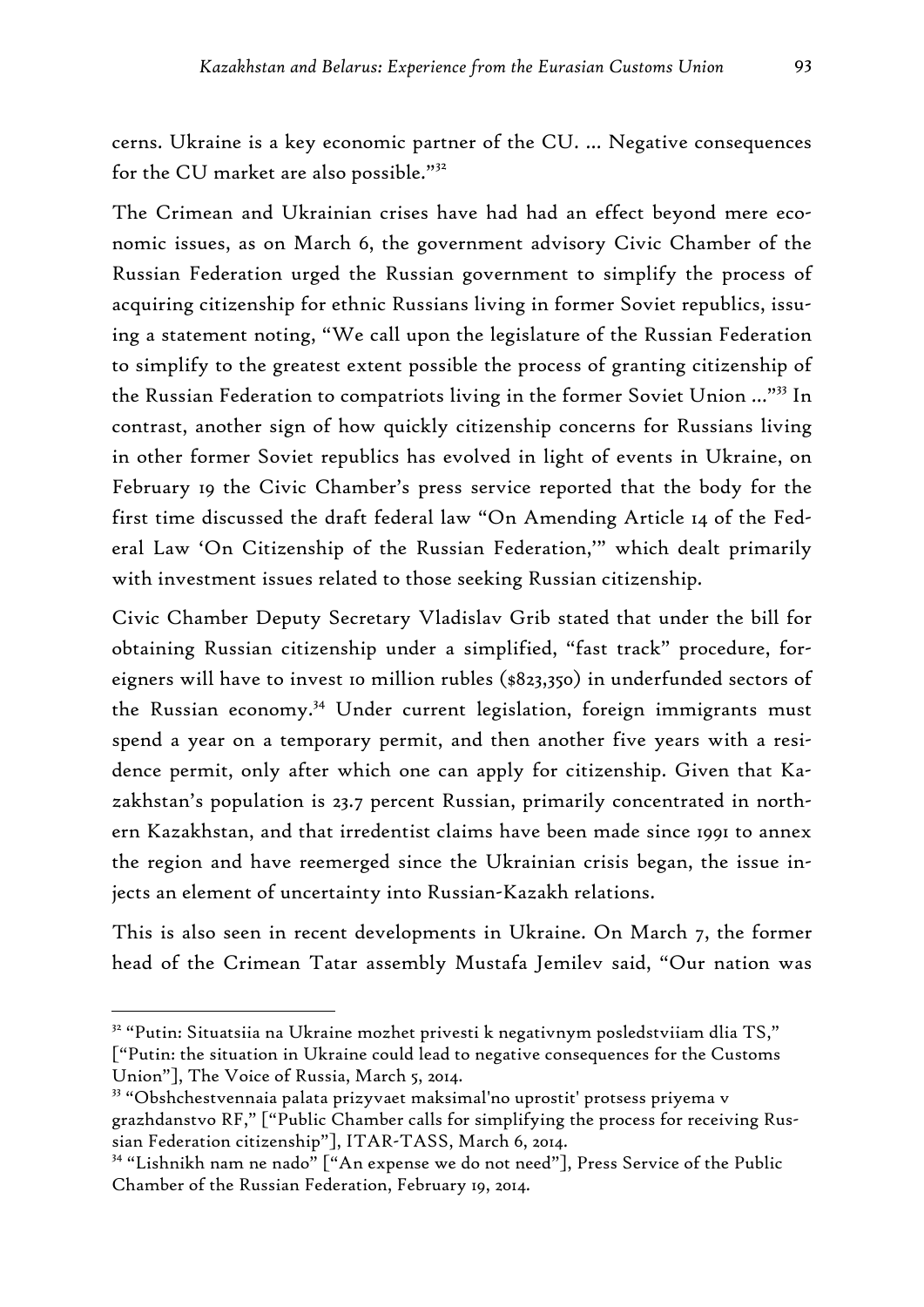cerns. Ukraine is a key economic partner of the CU. … Negative consequences for the CU market are also possible."<sup>32</sup>

The Crimean and Ukrainian crises have had had an effect beyond mere economic issues, as on March 6, the government advisory Civic Chamber of the Russian Federation urged the Russian government to simplify the process of acquiring citizenship for ethnic Russians living in former Soviet republics, issuing a statement noting, "We call upon the legislature of the Russian Federation to simplify to the greatest extent possible the process of granting citizenship of the Russian Federation to compatriots living in the former Soviet Union …"33 In contrast, another sign of how quickly citizenship concerns for Russians living in other former Soviet republics has evolved in light of events in Ukraine, on February 19 the Civic Chamber's press service reported that the body for the first time discussed the draft federal law "On Amending Article 14 of the Federal Law 'On Citizenship of the Russian Federation,'" which dealt primarily with investment issues related to those seeking Russian citizenship.

Civic Chamber Deputy Secretary Vladislav Grib stated that under the bill for obtaining Russian citizenship under a simplified, "fast track" procedure, foreigners will have to invest 10 million rubles (\$823,350) in underfunded sectors of the Russian economy.34 Under current legislation, foreign immigrants must spend a year on a temporary permit, and then another five years with a residence permit, only after which one can apply for citizenship. Given that Kazakhstan's population is 23.7 percent Russian, primarily concentrated in northern Kazakhstan, and that irredentist claims have been made since 1991 to annex the region and have reemerged since the Ukrainian crisis began, the issue injects an element of uncertainty into Russian-Kazakh relations.

This is also seen in recent developments in Ukraine. On March 7, the former head of the Crimean Tatar assembly Mustafa Jemilev said, "Our nation was

<sup>32 &</sup>quot;Putin: Situatsiia na Ukraine mozhet privesti k negativnym posledstviiam dlia TS," ["Putin: the situation in Ukraine could lead to negative consequences for the Customs Union"], The Voice of Russia, March 5, 2014.

<sup>33 &</sup>quot;Obshchestvennaia palata prizyvaet maksimal'no uprostit' protsess priyema v grazhdanstvo RF," ["Public Chamber calls for simplifying the process for receiving Russian Federation citizenship"], ITAR-TASS, March 6, 2014.

<sup>34 &</sup>quot;Lishnikh nam ne nado" ["An expense we do not need"], Press Service of the Public Chamber of the Russian Federation, February 19, 2014.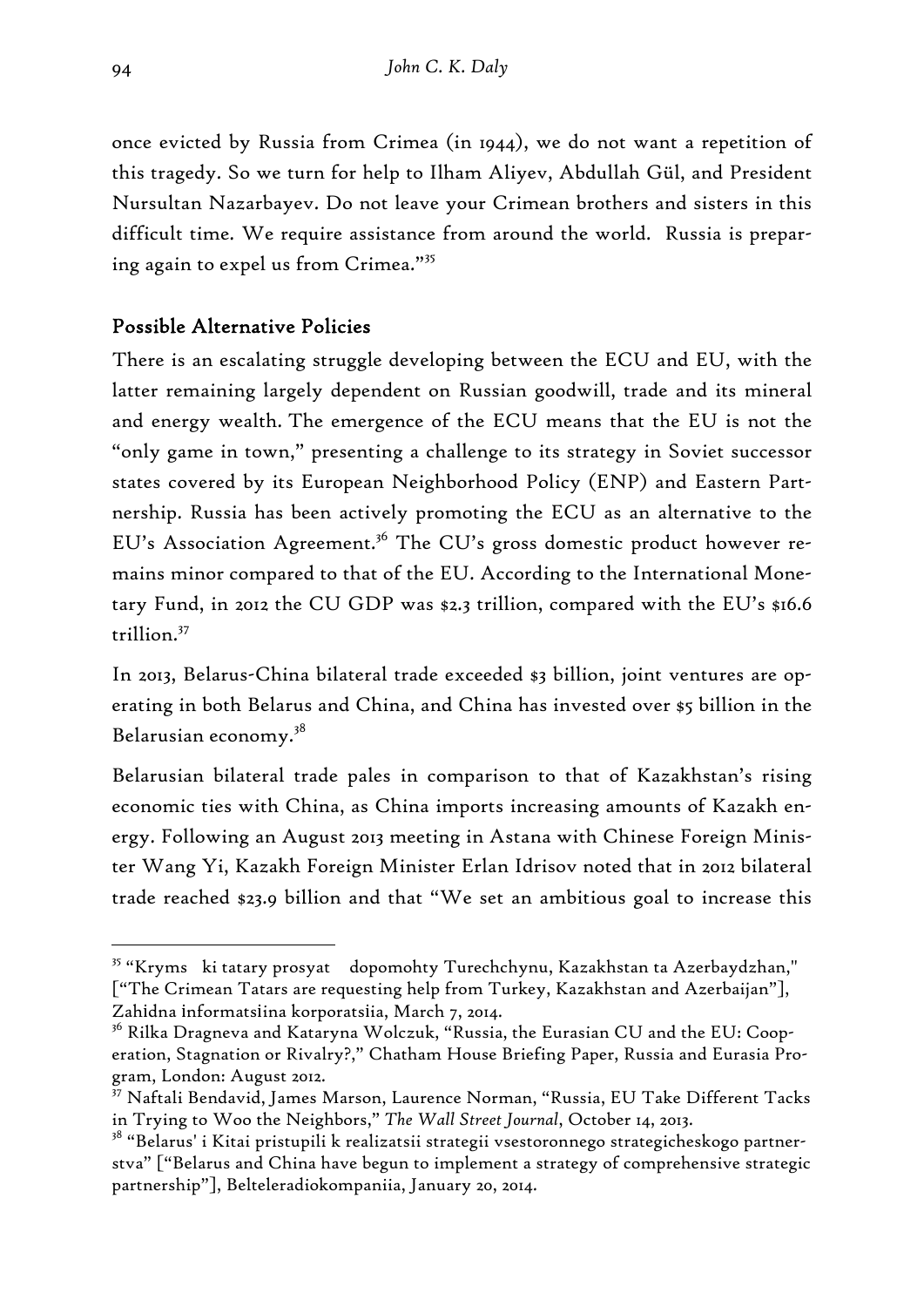once evicted by Russia from Crimea (in 1944), we do not want a repetition of this tragedy. So we turn for help to Ilham Aliyev, Abdullah Gül, and President Nursultan Nazarbayev. Do not leave your Crimean brothers and sisters in this difficult time. We require assistance from around the world. Russia is preparing again to expel us from Crimea."<sup>35</sup>

# Possible Alternative Policies

There is an escalating struggle developing between the ECU and EU, with the latter remaining largely dependent on Russian goodwill, trade and its mineral and energy wealth. The emergence of the ECU means that the EU is not the "only game in town," presenting a challenge to its strategy in Soviet successor states covered by its European Neighborhood Policy (ENP) and Eastern Partnership. Russia has been actively promoting the ECU as an alternative to the EU's Association Agreement.<sup>36</sup> The CU's gross domestic product however remains minor compared to that of the EU. According to the International Monetary Fund, in 2012 the CU GDP was \$2.3 trillion, compared with the EU's \$16.6 trillion.37

In 2013, Belarus-China bilateral trade exceeded \$3 billion, joint ventures are operating in both Belarus and China, and China has invested over \$5 billion in the Belarusian economy.38

Belarusian bilateral trade pales in comparison to that of Kazakhstan's rising economic ties with China, as China imports increasing amounts of Kazakh energy. Following an August 2013 meeting in Astana with Chinese Foreign Minister Wang Yi, Kazakh Foreign Minister Erlan Idrisov noted that in 2012 bilateral trade reached \$23.9 billion and that "We set an ambitious goal to increase this

<sup>35 &</sup>quot;Kryms ki tatary prosyat dopomohty Turechchynu, Kazakhstan ta Azerbaydzhan," ["The Crimean Tatars are requesting help from Turkey, Kazakhstan and Azerbaijan"], Zahіdna іnformatsіina korporatsіia, March 7, 2014.

<sup>&</sup>lt;sup>30</sup> Rilka Dragneva and Kataryna Wolczuk, "Russia, the Eurasian CU and the EU: Cooperation, Stagnation or Rivalry?," Chatham House Briefing Paper, Russia and Eurasia Program, London: August 2012.

<sup>37</sup> Naftali Bendavid, James Marson, Laurence Norman, "Russia, EU Take Different Tacks in Trying to Woo the Neighbors," *The Wall Street Journal*, October 14, 2013.

<sup>&</sup>lt;sup>38</sup> "Belarus' i Kitai pristupili k realizatsii strategii vsestoronnego strategicheskogo partnerstva" ["Belarus and China have begun to implement a strategy of comprehensive strategic partnership"], Belteleradiokompaniia, January 20, 2014.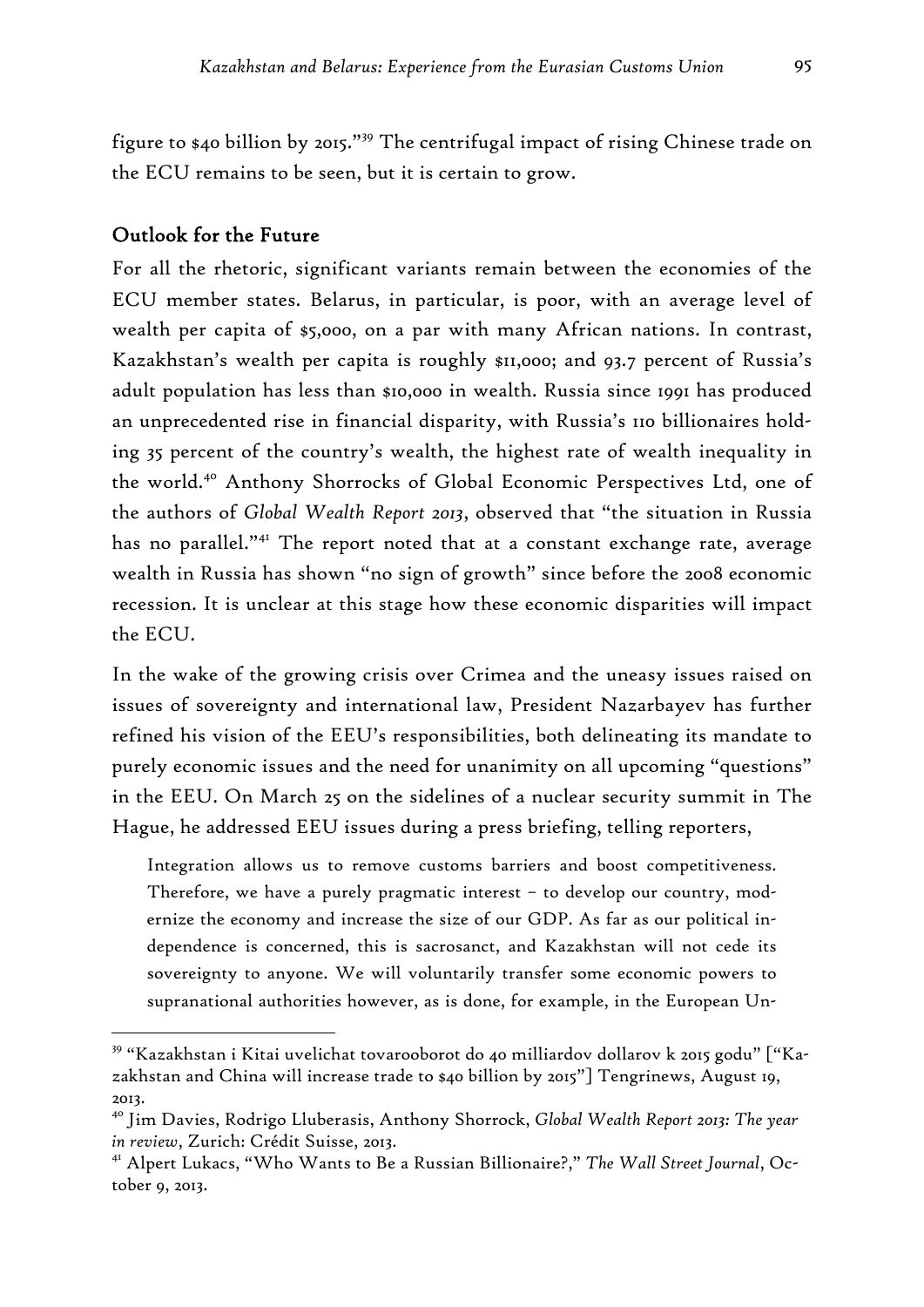figure to \$40 billion by 2015."39 The centrifugal impact of rising Chinese trade on the ECU remains to be seen, but it is certain to grow.

#### Outlook for the Future

-

For all the rhetoric, significant variants remain between the economies of the ECU member states. Belarus, in particular, is poor, with an average level of wealth per capita of \$5,000, on a par with many African nations. In contrast, Kazakhstan's wealth per capita is roughly \$11,000; and 93.7 percent of Russia's adult population has less than \$10,000 in wealth. Russia since 1991 has produced an unprecedented rise in financial disparity, with Russia's 110 billionaires holding 35 percent of the country's wealth, the highest rate of wealth inequality in the world.40 Anthony Shorrocks of Global Economic Perspectives Ltd, one of the authors of *Global Wealth Report 2013*, observed that "the situation in Russia has no parallel."41 The report noted that at a constant exchange rate, average wealth in Russia has shown "no sign of growth" since before the 2008 economic recession. It is unclear at this stage how these economic disparities will impact the ECU.

In the wake of the growing crisis over Crimea and the uneasy issues raised on issues of sovereignty and international law, President Nazarbayev has further refined his vision of the EEU's responsibilities, both delineating its mandate to purely economic issues and the need for unanimity on all upcoming "questions" in the EEU. On March 25 on the sidelines of a nuclear security summit in The Hague, he addressed EEU issues during a press briefing, telling reporters,

Integration allows us to remove customs barriers and boost competitiveness. Therefore, we have a purely pragmatic interest – to develop our country, modernize the economy and increase the size of our GDP. As far as our political independence is concerned, this is sacrosanct, and Kazakhstan will not cede its sovereignty to anyone. We will voluntarily transfer some economic powers to supranational authorities however, as is done, for example, in the European Un-

<sup>39 &</sup>quot;Kazakhstan i Kitai uvelichat tovarooborot do 40 milliardov dollarov k 2015 godu" ["Kazakhstan and China will increase trade to \$40 billion by 2015"] Tengrinews, August 19, 2013.

<sup>40</sup> Jim Davies, Rodrigo Lluberasis, Anthony Shorrock, *Global Wealth Report 2013: The year in review*, Zurich: Crédit Suisse, 2013.

<sup>41</sup> Alpert Lukacs, "Who Wants to Be a Russian Billionaire?," *The Wall Street Journal*, October 9, 2013.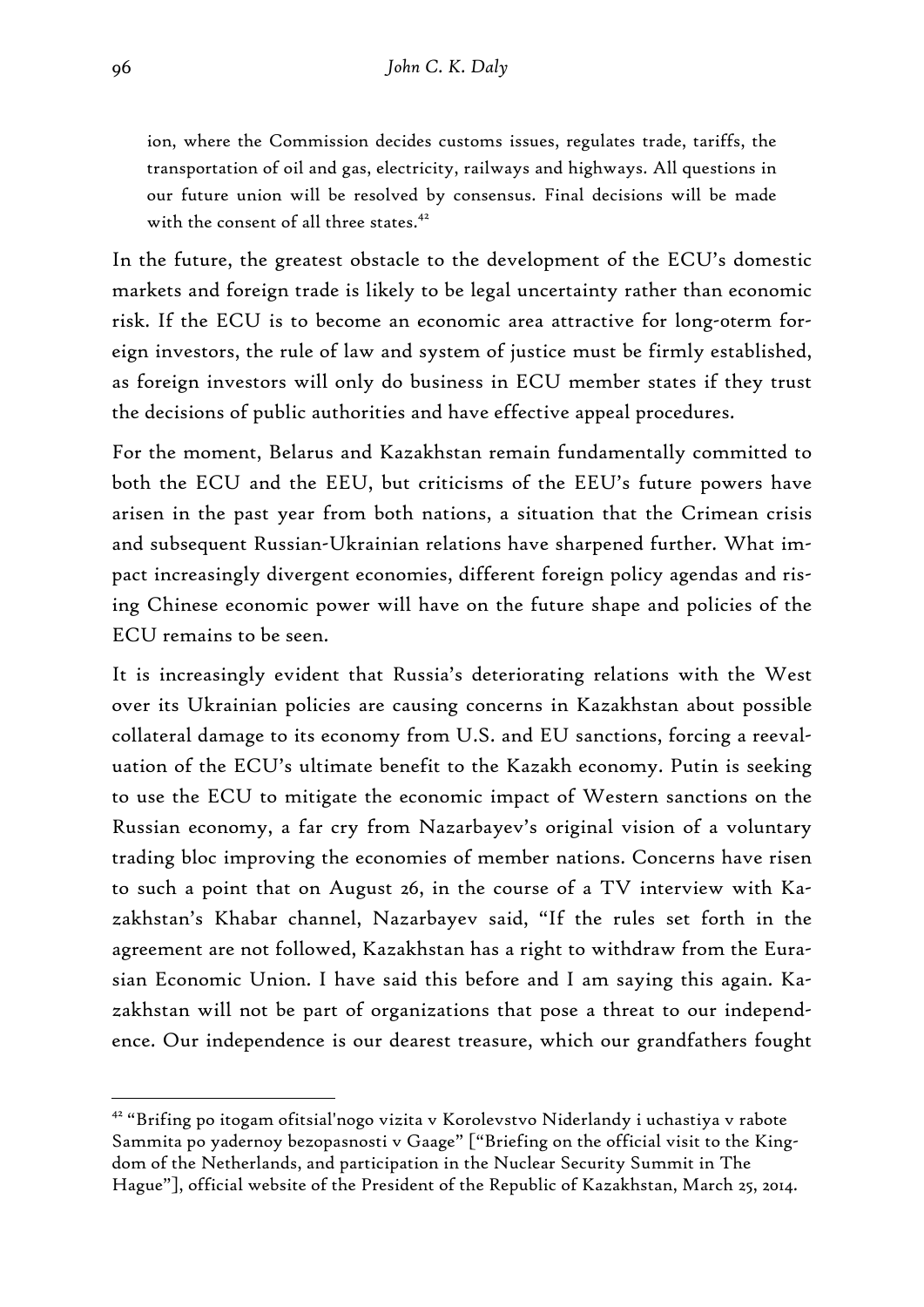ion, where the Commission decides customs issues, regulates trade, tariffs, the transportation of oil and gas, electricity, railways and highways. All questions in our future union will be resolved by consensus. Final decisions will be made with the consent of all three states.<sup>42</sup>

In the future, the greatest obstacle to the development of the ECU's domestic markets and foreign trade is likely to be legal uncertainty rather than economic risk. If the ECU is to become an economic area attractive for long-0term foreign investors, the rule of law and system of justice must be firmly established, as foreign investors will only do business in ECU member states if they trust the decisions of public authorities and have effective appeal procedures.

For the moment, Belarus and Kazakhstan remain fundamentally committed to both the ECU and the EEU, but criticisms of the EEU's future powers have arisen in the past year from both nations, a situation that the Crimean crisis and subsequent Russian-Ukrainian relations have sharpened further. What impact increasingly divergent economies, different foreign policy agendas and rising Chinese economic power will have on the future shape and policies of the ECU remains to be seen.

It is increasingly evident that Russia's deteriorating relations with the West over its Ukrainian policies are causing concerns in Kazakhstan about possible collateral damage to its economy from U.S. and EU sanctions, forcing a reevaluation of the ECU's ultimate benefit to the Kazakh economy. Putin is seeking to use the ECU to mitigate the economic impact of Western sanctions on the Russian economy, a far cry from Nazarbayev's original vision of a voluntary trading bloc improving the economies of member nations. Concerns have risen to such a point that on August 26, in the course of a TV interview with Kazakhstan's Khabar channel, Nazarbayev said, "If the rules set forth in the agreement are not followed, Kazakhstan has a right to withdraw from the Eurasian Economic Union. I have said this before and I am saying this again. Kazakhstan will not be part of organizations that pose a threat to our independence. Our independence is our dearest treasure, which our grandfathers fought

<sup>42 &</sup>quot;Brifing po itogam ofitsial'nogo vizita v Korolevstvo Niderlandy i uchastiya v rabote Sammita po yadernoy bezopasnosti v Gaage" ["Briefing on the official visit to the Kingdom of the Netherlands, and participation in the Nuclear Security Summit in The Hague"], official website of the President of the Republic of Kazakhstan, March 25, 2014.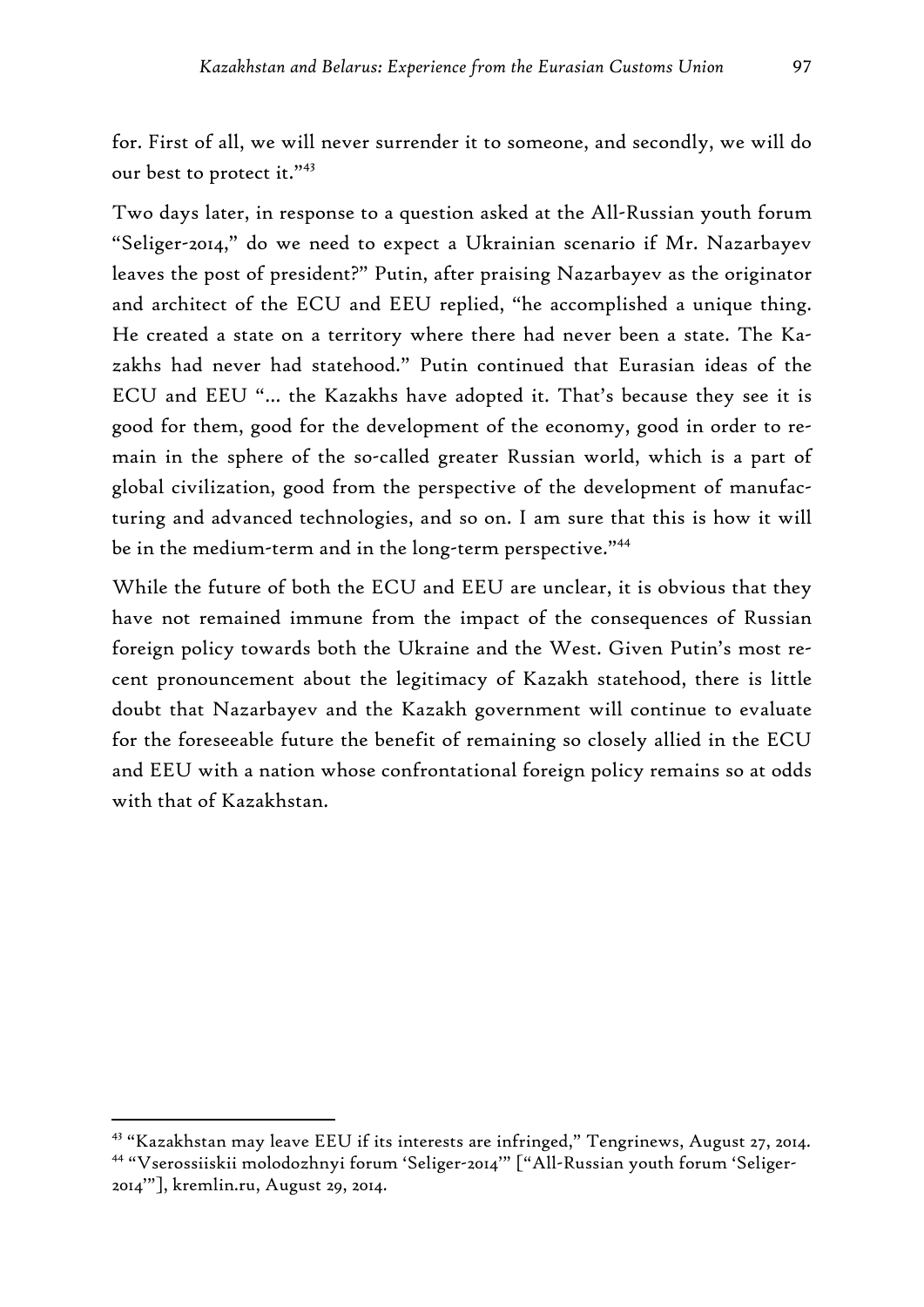for. First of all, we will never surrender it to someone, and secondly, we will do our best to protect it."<sup>43</sup>

Two days later, in response to a question asked at the All-Russian youth forum "Seliger-2014," do we need to expect a Ukrainian scenario if Mr. Nazarbayev leaves the post of president?" Putin, after praising Nazarbayev as the originator and architect of the ECU and EEU replied, "he accomplished a unique thing. He created a state on a territory where there had never been a state. The Kazakhs had never had statehood." Putin continued that Eurasian ideas of the ECU and EEU "… the Kazakhs have adopted it. That's because they see it is good for them, good for the development of the economy, good in order to remain in the sphere of the so-called greater Russian world, which is a part of global civilization, good from the perspective of the development of manufacturing and advanced technologies, and so on. I am sure that this is how it will be in the medium-term and in the long-term perspective."44

While the future of both the ECU and EEU are unclear, it is obvious that they have not remained immune from the impact of the consequences of Russian foreign policy towards both the Ukraine and the West. Given Putin's most recent pronouncement about the legitimacy of Kazakh statehood, there is little doubt that Nazarbayev and the Kazakh government will continue to evaluate for the foreseeable future the benefit of remaining so closely allied in the ECU and EEU with a nation whose confrontational foreign policy remains so at odds with that of Kazakhstan.

<sup>43 &</sup>quot;Kazakhstan may leave EEU if its interests are infringed," Tengrinews, August 27, 2014. 44 "Vserossiiskii molodozhnyi forum 'Seliger-2014'" ["All-Russian youth forum 'Seliger-2014'"], kremlin.ru, August 29, 2014.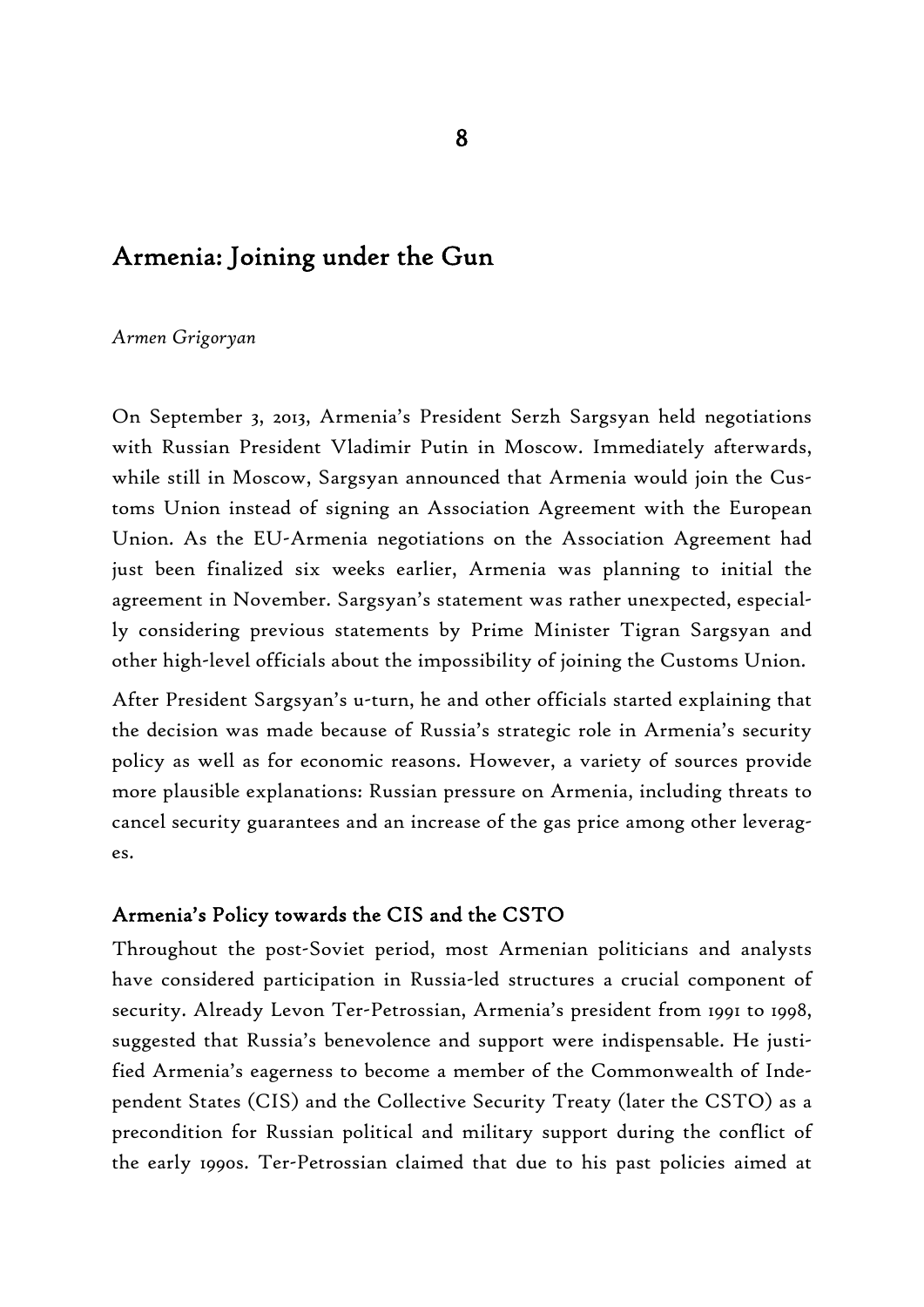# Armenia: Joining under the Gun

#### *Armen Grigoryan*

On September 3, 2013, Armenia's President Serzh Sargsyan held negotiations with Russian President Vladimir Putin in Moscow. Immediately afterwards, while still in Moscow, Sargsyan announced that Armenia would join the Customs Union instead of signing an Association Agreement with the European Union. As the EU-Armenia negotiations on the Association Agreement had just been finalized six weeks earlier, Armenia was planning to initial the agreement in November. Sargsyan's statement was rather unexpected, especially considering previous statements by Prime Minister Tigran Sargsyan and other high-level officials about the impossibility of joining the Customs Union.

After President Sargsyan's u-turn, he and other officials started explaining that the decision was made because of Russia's strategic role in Armenia's security policy as well as for economic reasons. However, a variety of sources provide more plausible explanations: Russian pressure on Armenia, including threats to cancel security guarantees and an increase of the gas price among other leverages.

#### Armenia's Policy towards the CIS and the CSTO

Throughout the post-Soviet period, most Armenian politicians and analysts have considered participation in Russia-led structures a crucial component of security. Already Levon Ter-Petrossian, Armenia's president from 1991 to 1998, suggested that Russia's benevolence and support were indispensable. He justified Armenia's eagerness to become a member of the Commonwealth of Independent States (CIS) and the Collective Security Treaty (later the CSTO) as a precondition for Russian political and military support during the conflict of the early 1990s. Ter-Petrossian claimed that due to his past policies aimed at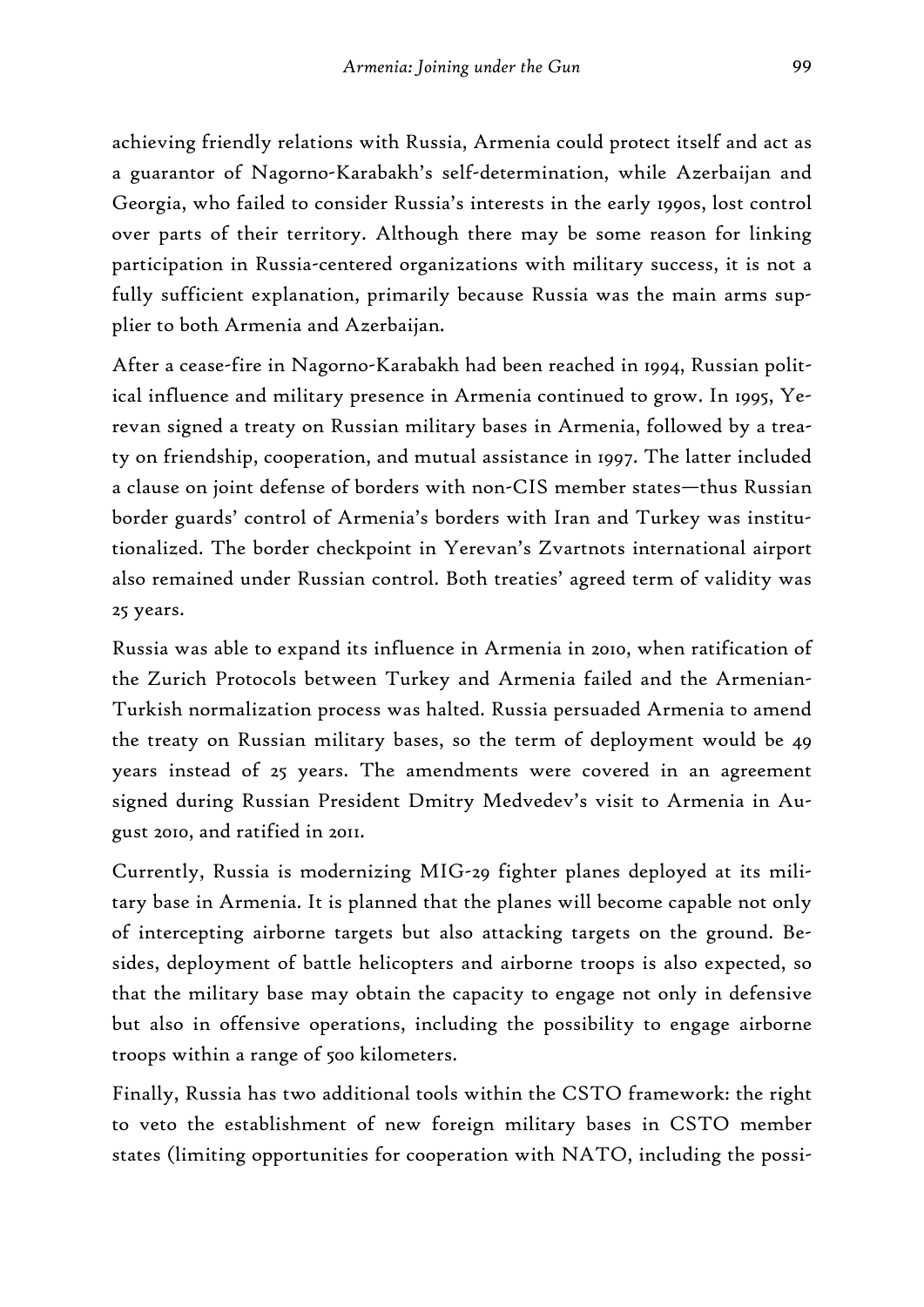achieving friendly relations with Russia, Armenia could protect itself and act as a guarantor of Nagorno-Karabakh's self-determination, while Azerbaijan and Georgia, who failed to consider Russia's interests in the early 1990s, lost control over parts of their territory. Although there may be some reason for linking participation in Russia-centered organizations with military success, it is not a fully sufficient explanation, primarily because Russia was the main arms supplier to both Armenia and Azerbaijan.

After a cease-fire in Nagorno-Karabakh had been reached in 1994, Russian political influence and military presence in Armenia continued to grow. In 1995, Yerevan signed a treaty on Russian military bases in Armenia, followed by a treaty on friendship, cooperation, and mutual assistance in 1997. The latter included a clause on joint defense of borders with non-CIS member states—thus Russian border guards' control of Armenia's borders with Iran and Turkey was institutionalized. The border checkpoint in Yerevan's Zvartnots international airport also remained under Russian control. Both treaties' agreed term of validity was 25 years.

Russia was able to expand its influence in Armenia in 2010, when ratification of the Zurich Protocols between Turkey and Armenia failed and the Armenian-Turkish normalization process was halted. Russia persuaded Armenia to amend the treaty on Russian military bases, so the term of deployment would be 49 years instead of 25 years. The amendments were covered in an agreement signed during Russian President Dmitry Medvedev's visit to Armenia in August 2010, and ratified in 2011.

Currently, Russia is modernizing MIG-29 fighter planes deployed at its military base in Armenia. It is planned that the planes will become capable not only of intercepting airborne targets but also attacking targets on the ground. Besides, deployment of battle helicopters and airborne troops is also expected, so that the military base may obtain the capacity to engage not only in defensive but also in offensive operations, including the possibility to engage airborne troops within a range of 500 kilometers.

Finally, Russia has two additional tools within the CSTO framework: the right to veto the establishment of new foreign military bases in CSTO member states (limiting opportunities for cooperation with NATO, including the possi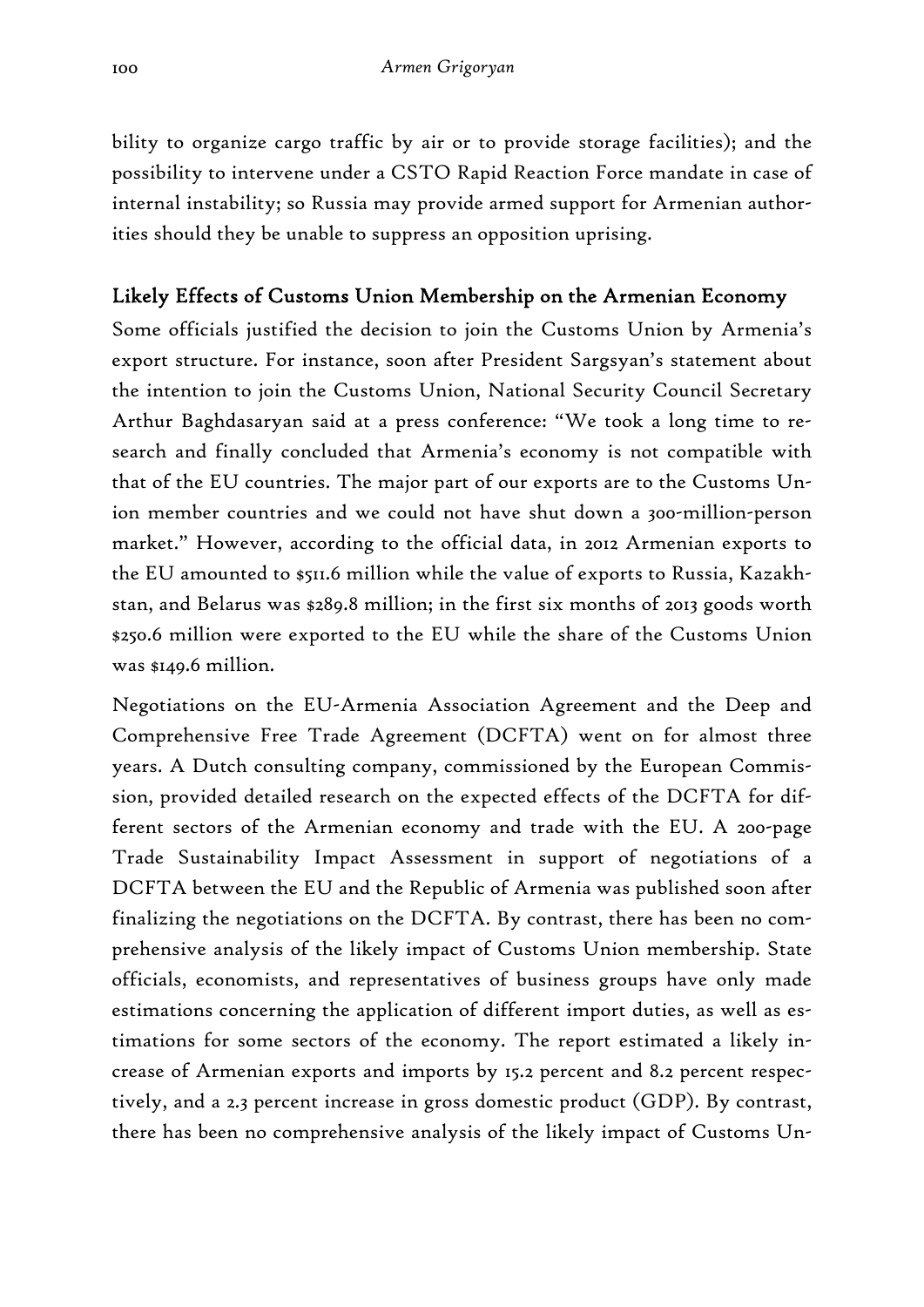bility to organize cargo traffic by air or to provide storage facilities); and the possibility to intervene under a CSTO Rapid Reaction Force mandate in case of internal instability; so Russia may provide armed support for Armenian authorities should they be unable to suppress an opposition uprising.

# Likely Effects of Customs Union Membership on the Armenian Economy

Some officials justified the decision to join the Customs Union by Armenia's export structure. For instance, soon after President Sargsyan's statement about the intention to join the Customs Union, National Security Council Secretary Arthur Baghdasaryan said at a press conference: "We took a long time to research and finally concluded that Armenia's economy is not compatible with that of the EU countries. The major part of our exports are to the Customs Union member countries and we could not have shut down a 300-million-person market." However, according to the official data, in 2012 Armenian exports to the EU amounted to \$511.6 million while the value of exports to Russia, Kazakhstan, and Belarus was \$289.8 million; in the first six months of 2013 goods worth \$250.6 million were exported to the EU while the share of the Customs Union was \$149.6 million.

Negotiations on the EU-Armenia Association Agreement and the Deep and Comprehensive Free Trade Agreement (DCFTA) went on for almost three years. A Dutch consulting company, commissioned by the European Commission, provided detailed research on the expected effects of the DCFTA for different sectors of the Armenian economy and trade with the EU. A 200-page Trade Sustainability Impact Assessment in support of negotiations of a DCFTA between the EU and the Republic of Armenia was published soon after finalizing the negotiations on the DCFTA. By contrast, there has been no comprehensive analysis of the likely impact of Customs Union membership. State officials, economists, and representatives of business groups have only made estimations concerning the application of different import duties, as well as estimations for some sectors of the economy. The report estimated a likely increase of Armenian exports and imports by 15.2 percent and 8.2 percent respectively, and a 2.3 percent increase in gross domestic product (GDP). By contrast, there has been no comprehensive analysis of the likely impact of Customs Un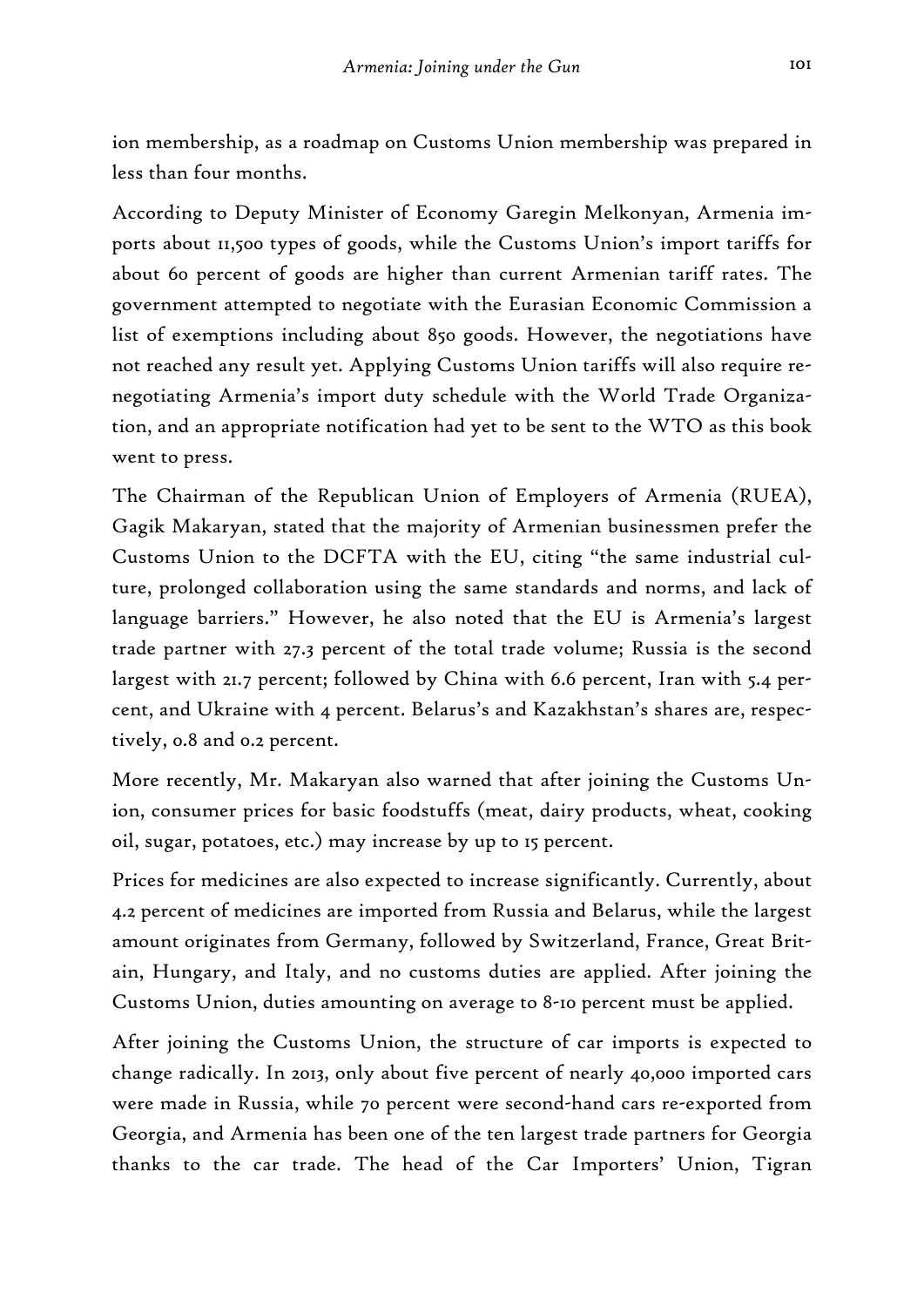ion membership, as a roadmap on Customs Union membership was prepared in less than four months.

According to Deputy Minister of Economy Garegin Melkonyan, Armenia imports about 11,500 types of goods, while the Customs Union's import tariffs for about 60 percent of goods are higher than current Armenian tariff rates. The government attempted to negotiate with the Eurasian Economic Commission a list of exemptions including about 850 goods. However, the negotiations have not reached any result yet. Applying Customs Union tariffs will also require renegotiating Armenia's import duty schedule with the World Trade Organization, and an appropriate notification had yet to be sent to the WTO as this book went to press.

The Chairman of the Republican Union of Employers of Armenia (RUEA), Gagik Makaryan, stated that the majority of Armenian businessmen prefer the Customs Union to the DCFTA with the EU, citing "the same industrial culture, prolonged collaboration using the same standards and norms, and lack of language barriers." However, he also noted that the EU is Armenia's largest trade partner with 27.3 percent of the total trade volume; Russia is the second largest with 21.7 percent; followed by China with 6.6 percent, Iran with 5.4 percent, and Ukraine with 4 percent. Belarus's and Kazakhstan's shares are, respectively, 0.8 and 0.2 percent.

More recently, Mr. Makaryan also warned that after joining the Customs Union, consumer prices for basic foodstuffs (meat, dairy products, wheat, cooking oil, sugar, potatoes, etc.) may increase by up to 15 percent.

Prices for medicines are also expected to increase significantly. Currently, about 4.2 percent of medicines are imported from Russia and Belarus, while the largest amount originates from Germany, followed by Switzerland, France, Great Britain, Hungary, and Italy, and no customs duties are applied. After joining the Customs Union, duties amounting on average to 8-10 percent must be applied.

After joining the Customs Union, the structure of car imports is expected to change radically. In 2013, only about five percent of nearly 40,000 imported cars were made in Russia, while 70 percent were second-hand cars re-exported from Georgia, and Armenia has been one of the ten largest trade partners for Georgia thanks to the car trade. The head of the Car Importers' Union, Tigran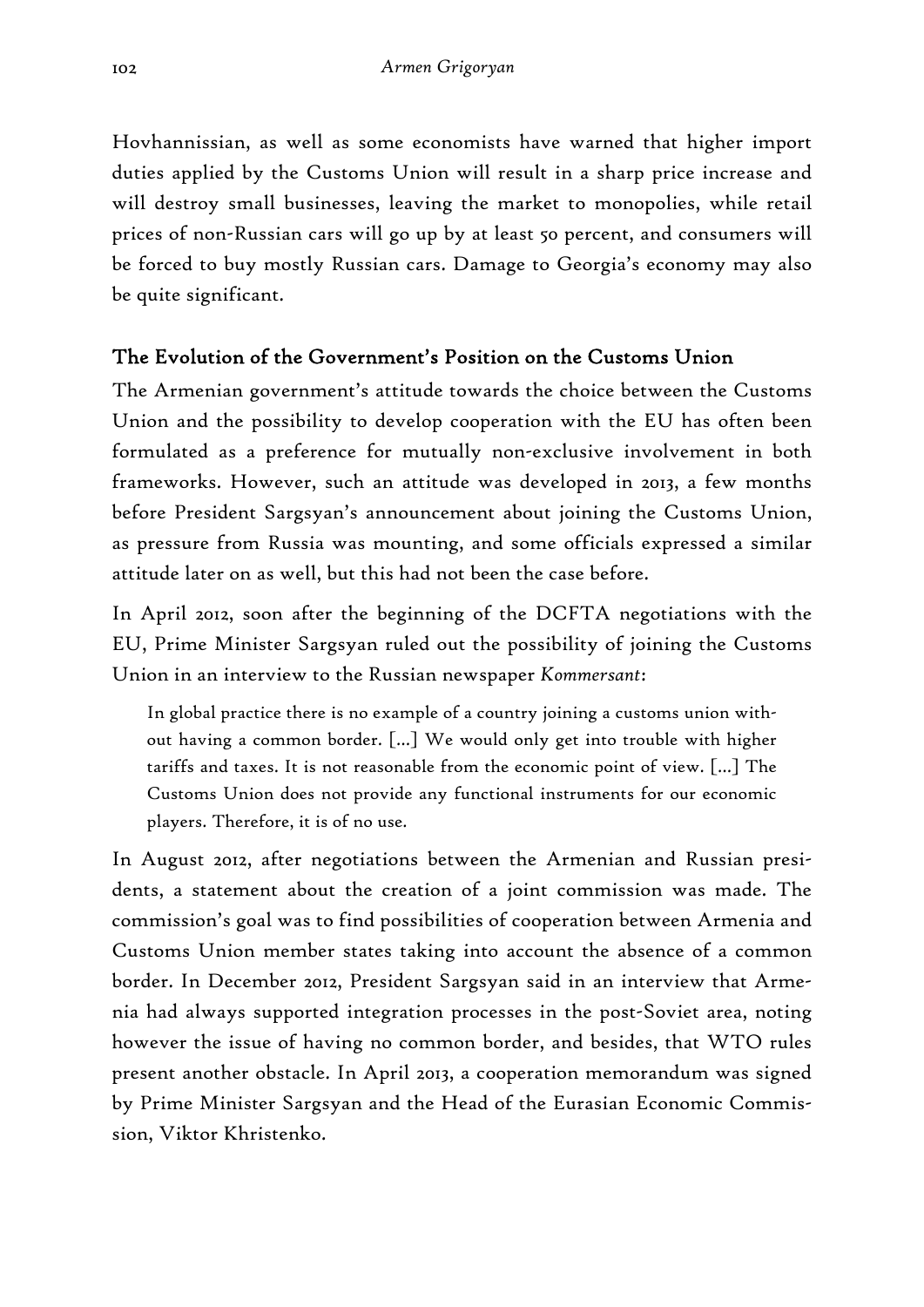Hovhannissian, as well as some economists have warned that higher import duties applied by the Customs Union will result in a sharp price increase and will destroy small businesses, leaving the market to monopolies, while retail prices of non-Russian cars will go up by at least 50 percent, and consumers will be forced to buy mostly Russian cars. Damage to Georgia's economy may also be quite significant.

# The Evolution of the Government's Position on the Customs Union

The Armenian government's attitude towards the choice between the Customs Union and the possibility to develop cooperation with the EU has often been formulated as a preference for mutually non-exclusive involvement in both frameworks. However, such an attitude was developed in 2013, a few months before President Sargsyan's announcement about joining the Customs Union, as pressure from Russia was mounting, and some officials expressed a similar attitude later on as well, but this had not been the case before.

In April 2012, soon after the beginning of the DCFTA negotiations with the EU, Prime Minister Sargsyan ruled out the possibility of joining the Customs Union in an interview to the Russian newspaper *Kommersant*:

In global practice there is no example of a country joining a customs union without having a common border. […] We would only get into trouble with higher tariffs and taxes. It is not reasonable from the economic point of view. […] The Customs Union does not provide any functional instruments for our economic players. Therefore, it is of no use.

In August 2012, after negotiations between the Armenian and Russian presidents, a statement about the creation of a joint commission was made. The commission's goal was to find possibilities of cooperation between Armenia and Customs Union member states taking into account the absence of a common border. In December 2012, President Sargsyan said in an interview that Armenia had always supported integration processes in the post-Soviet area, noting however the issue of having no common border, and besides, that WTO rules present another obstacle. In April 2013, a cooperation memorandum was signed by Prime Minister Sargsyan and the Head of the Eurasian Economic Commission, Viktor Khristenko.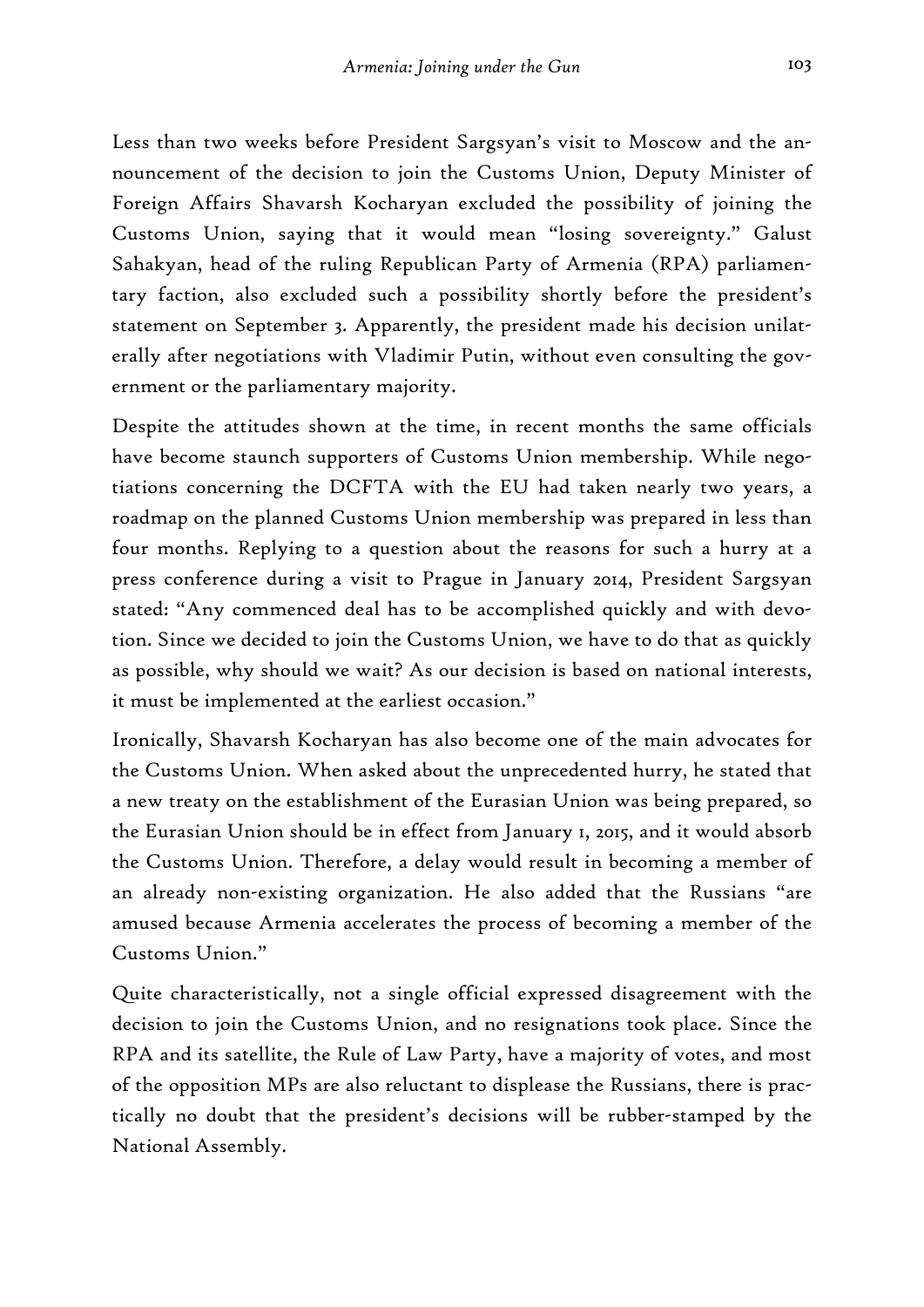Less than two weeks before President Sargsyan's visit to Moscow and the announcement of the decision to join the Customs Union, Deputy Minister of Foreign Affairs Shavarsh Kocharyan excluded the possibility of joining the Customs Union, saying that it would mean "losing sovereignty." Galust Sahakyan, head of the ruling Republican Party of Armenia (RPA) parliamentary faction, also excluded such a possibility shortly before the president's statement on September 3. Apparently, the president made his decision unilaterally after negotiations with Vladimir Putin, without even consulting the government or the parliamentary majority.

Despite the attitudes shown at the time, in recent months the same officials have become staunch supporters of Customs Union membership. While negotiations concerning the DCFTA with the EU had taken nearly two years, a roadmap on the planned Customs Union membership was prepared in less than four months. Replying to a question about the reasons for such a hurry at a press conference during a visit to Prague in January 2014, President Sargsyan stated: "Any commenced deal has to be accomplished quickly and with devotion. Since we decided to join the Customs Union, we have to do that as quickly as possible, why should we wait? As our decision is based on national interests, it must be implemented at the earliest occasion."

Ironically, Shavarsh Kocharyan has also become one of the main advocates for the Customs Union. When asked about the unprecedented hurry, he stated that a new treaty on the establishment of the Eurasian Union was being prepared, so the Eurasian Union should be in effect from January 1, 2015, and it would absorb the Customs Union. Therefore, a delay would result in becoming a member of an already non-existing organization. He also added that the Russians "are amused because Armenia accelerates the process of becoming a member of the Customs Union."

Quite characteristically, not a single official expressed disagreement with the decision to join the Customs Union, and no resignations took place. Since the RPA and its satellite, the Rule of Law Party, have a majority of votes, and most of the opposition MPs are also reluctant to displease the Russians, there is practically no doubt that the president's decisions will be rubber-stamped by the National Assembly.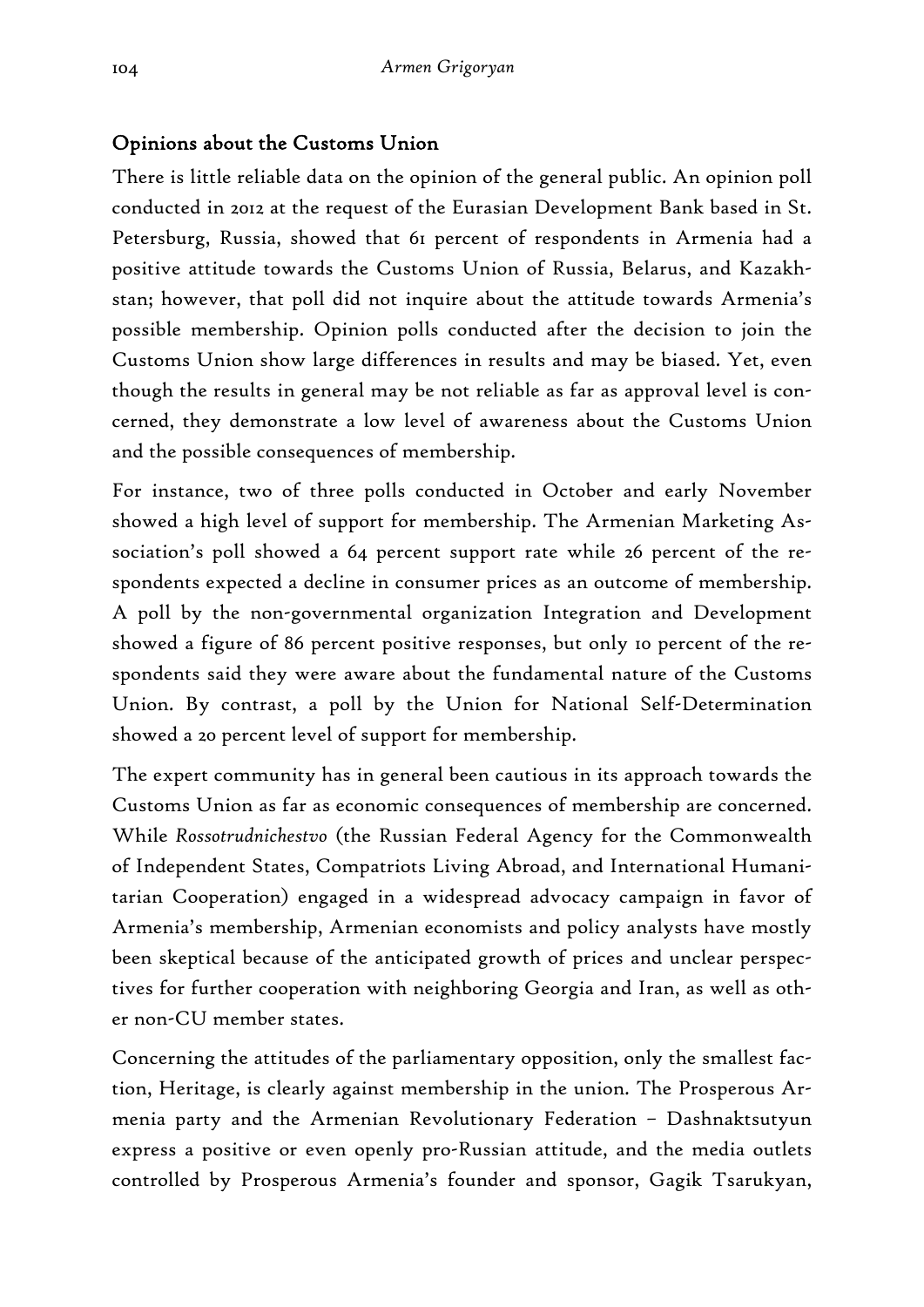## Opinions about the Customs Union

There is little reliable data on the opinion of the general public. An opinion poll conducted in 2012 at the request of the Eurasian Development Bank based in St. Petersburg, Russia, showed that 61 percent of respondents in Armenia had a positive attitude towards the Customs Union of Russia, Belarus, and Kazakhstan; however, that poll did not inquire about the attitude towards Armenia's possible membership. Opinion polls conducted after the decision to join the Customs Union show large differences in results and may be biased. Yet, even though the results in general may be not reliable as far as approval level is concerned, they demonstrate a low level of awareness about the Customs Union and the possible consequences of membership.

For instance, two of three polls conducted in October and early November showed a high level of support for membership. The Armenian Marketing Association's poll showed a 64 percent support rate while 26 percent of the respondents expected a decline in consumer prices as an outcome of membership. A poll by the non-governmental organization Integration and Development showed a figure of 86 percent positive responses, but only 10 percent of the respondents said they were aware about the fundamental nature of the Customs Union. By contrast, a poll by the Union for National Self-Determination showed a 20 percent level of support for membership.

The expert community has in general been cautious in its approach towards the Customs Union as far as economic consequences of membership are concerned. While *Rossotrudnichestvo* (the Russian Federal Agency for the Commonwealth of Independent States, Compatriots Living Abroad, and International Humanitarian Cooperation) engaged in a widespread advocacy campaign in favor of Armenia's membership, Armenian economists and policy analysts have mostly been skeptical because of the anticipated growth of prices and unclear perspectives for further cooperation with neighboring Georgia and Iran, as well as other non-CU member states.

Concerning the attitudes of the parliamentary opposition, only the smallest faction, Heritage, is clearly against membership in the union. The Prosperous Armenia party and the Armenian Revolutionary Federation – Dashnaktsutyun express a positive or even openly pro-Russian attitude, and the media outlets controlled by Prosperous Armenia's founder and sponsor, Gagik Tsarukyan,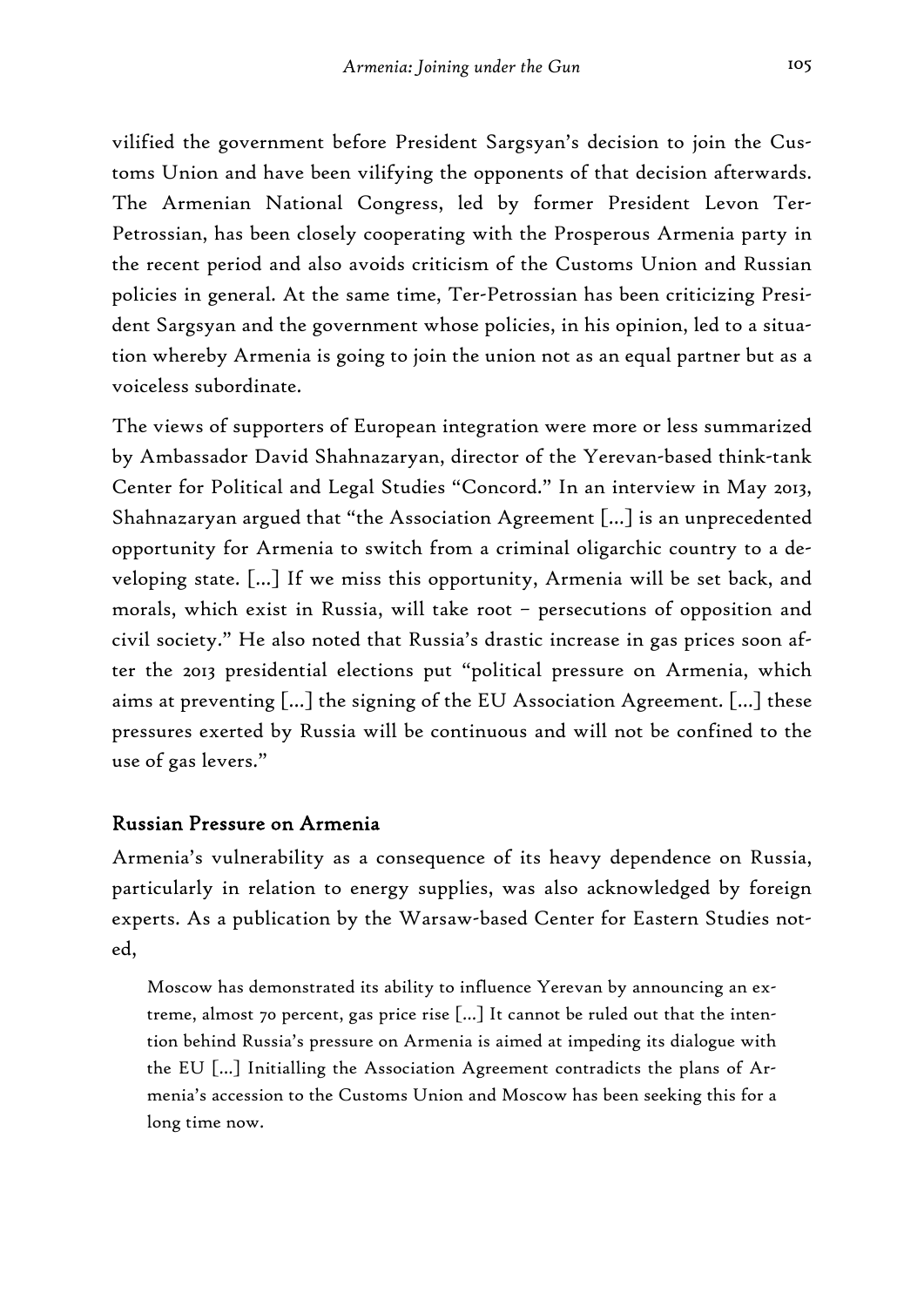vilified the government before President Sargsyan's decision to join the Customs Union and have been vilifying the opponents of that decision afterwards. The Armenian National Congress, led by former President Levon Ter-Petrossian, has been closely cooperating with the Prosperous Armenia party in the recent period and also avoids criticism of the Customs Union and Russian policies in general. At the same time, Ter-Petrossian has been criticizing President Sargsyan and the government whose policies, in his opinion, led to a situation whereby Armenia is going to join the union not as an equal partner but as a voiceless subordinate.

The views of supporters of European integration were more or less summarized by Ambassador David Shahnazaryan, director of the Yerevan-based think-tank Center for Political and Legal Studies "Concord." In an interview in May 2013, Shahnazaryan argued that "the Association Agreement […] is an unprecedented opportunity for Armenia to switch from a criminal oligarchic country to a developing state. […] If we miss this opportunity, Armenia will be set back, and morals, which exist in Russia, will take root – persecutions of opposition and civil society." He also noted that Russia's drastic increase in gas prices soon after the 2013 presidential elections put "political pressure on Armenia, which aims at preventing […] the signing of the EU Association Agreement. […] these pressures exerted by Russia will be continuous and will not be confined to the use of gas levers."

### Russian Pressure on Armenia

Armenia's vulnerability as a consequence of its heavy dependence on Russia, particularly in relation to energy supplies, was also acknowledged by foreign experts. As a publication by the Warsaw-based Center for Eastern Studies noted,

Moscow has demonstrated its ability to influence Yerevan by announcing an extreme, almost 70 percent, gas price rise […] It cannot be ruled out that the intention behind Russia's pressure on Armenia is aimed at impeding its dialogue with the EU […] Initialling the Association Agreement contradicts the plans of Armenia's accession to the Customs Union and Moscow has been seeking this for a long time now.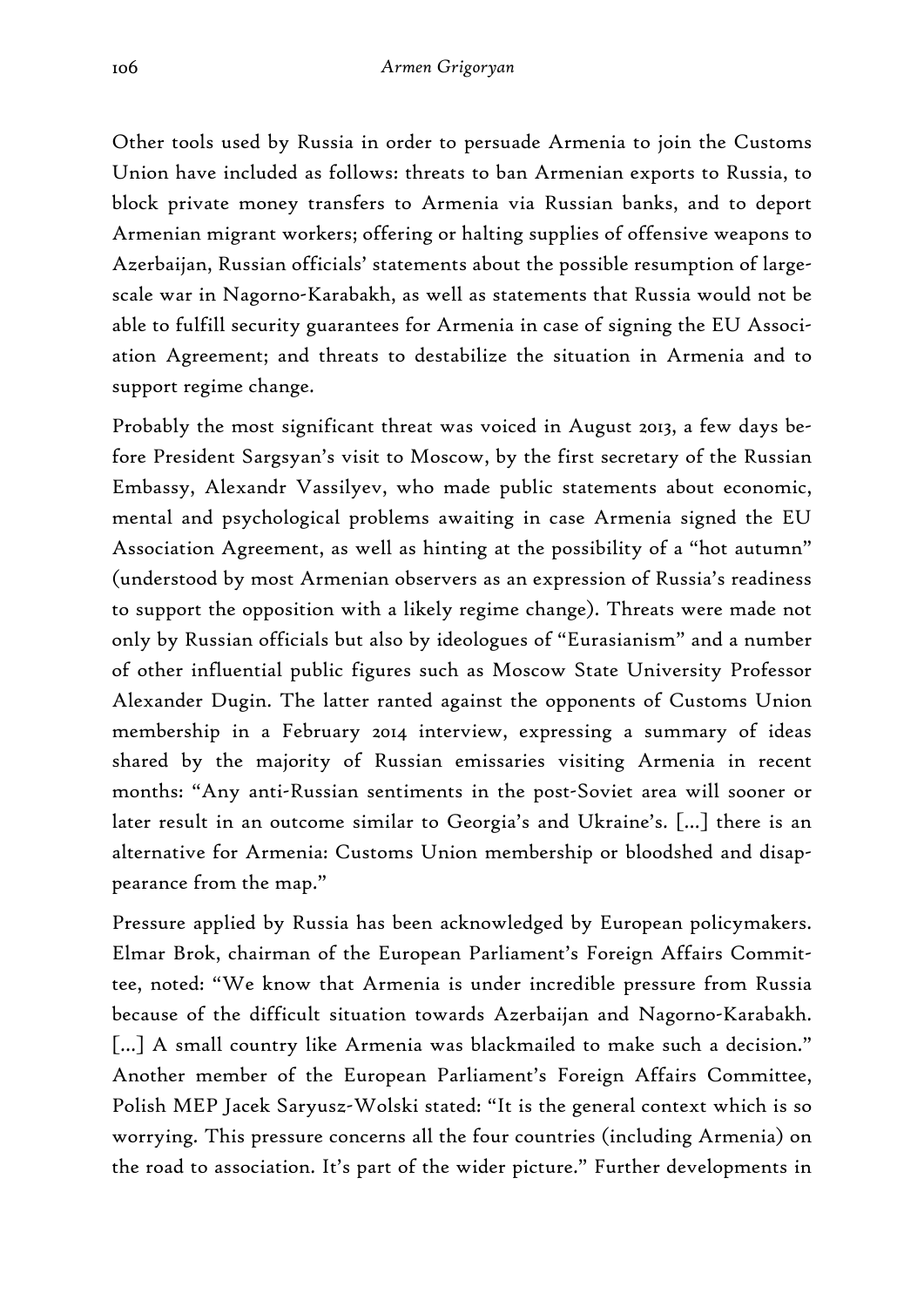Other tools used by Russia in order to persuade Armenia to join the Customs Union have included as follows: threats to ban Armenian exports to Russia, to block private money transfers to Armenia via Russian banks, and to deport Armenian migrant workers; offering or halting supplies of offensive weapons to Azerbaijan, Russian officials' statements about the possible resumption of largescale war in Nagorno-Karabakh, as well as statements that Russia would not be able to fulfill security guarantees for Armenia in case of signing the EU Association Agreement; and threats to destabilize the situation in Armenia and to support regime change.

Probably the most significant threat was voiced in August 2013, a few days before President Sargsyan's visit to Moscow, by the first secretary of the Russian Embassy, Alexandr Vassilyev, who made public statements about economic, mental and psychological problems awaiting in case Armenia signed the EU Association Agreement, as well as hinting at the possibility of a "hot autumn" (understood by most Armenian observers as an expression of Russia's readiness to support the opposition with a likely regime change). Threats were made not only by Russian officials but also by ideologues of "Eurasianism" and a number of other influential public figures such as Moscow State University Professor Alexander Dugin. The latter ranted against the opponents of Customs Union membership in a February 2014 interview, expressing a summary of ideas shared by the majority of Russian emissaries visiting Armenia in recent months: "Any anti-Russian sentiments in the post-Soviet area will sooner or later result in an outcome similar to Georgia's and Ukraine's. […] there is an alternative for Armenia: Customs Union membership or bloodshed and disappearance from the map."

Pressure applied by Russia has been acknowledged by European policymakers. Elmar Brok, chairman of the European Parliament's Foreign Affairs Committee, noted: "We know that Armenia is under incredible pressure from Russia because of the difficult situation towards Azerbaijan and Nagorno-Karabakh. [...] A small country like Armenia was blackmailed to make such a decision." Another member of the European Parliament's Foreign Affairs Committee, Polish MEP Jacek Saryusz-Wolski stated: "It is the general context which is so worrying. This pressure concerns all the four countries (including Armenia) on the road to association. It's part of the wider picture." Further developments in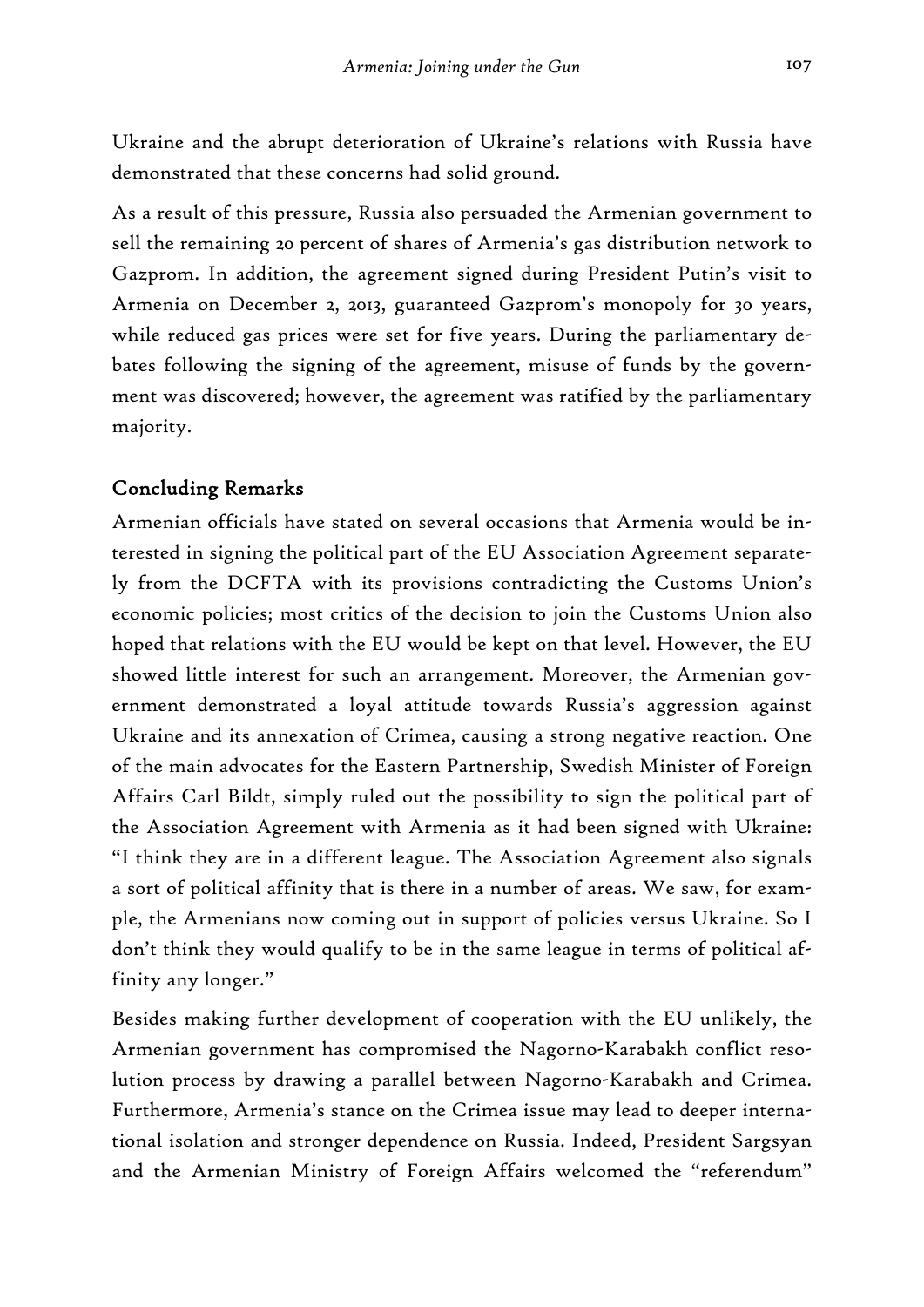Ukraine and the abrupt deterioration of Ukraine's relations with Russia have demonstrated that these concerns had solid ground.

As a result of this pressure, Russia also persuaded the Armenian government to sell the remaining 20 percent of shares of Armenia's gas distribution network to Gazprom. In addition, the agreement signed during President Putin's visit to Armenia on December 2, 2013, guaranteed Gazprom's monopoly for 30 years, while reduced gas prices were set for five years. During the parliamentary debates following the signing of the agreement, misuse of funds by the government was discovered; however, the agreement was ratified by the parliamentary majority.

## Concluding Remarks

Armenian officials have stated on several occasions that Armenia would be interested in signing the political part of the EU Association Agreement separately from the DCFTA with its provisions contradicting the Customs Union's economic policies; most critics of the decision to join the Customs Union also hoped that relations with the EU would be kept on that level. However, the EU showed little interest for such an arrangement. Moreover, the Armenian government demonstrated a loyal attitude towards Russia's aggression against Ukraine and its annexation of Crimea, causing a strong negative reaction. One of the main advocates for the Eastern Partnership, Swedish Minister of Foreign Affairs Carl Bildt, simply ruled out the possibility to sign the political part of the Association Agreement with Armenia as it had been signed with Ukraine: "I think they are in a different league. The Association Agreement also signals a sort of political affinity that is there in a number of areas. We saw, for example, the Armenians now coming out in support of policies versus Ukraine. So I don't think they would qualify to be in the same league in terms of political affinity any longer."

Besides making further development of cooperation with the EU unlikely, the Armenian government has compromised the Nagorno-Karabakh conflict resolution process by drawing a parallel between Nagorno-Karabakh and Crimea. Furthermore, Armenia's stance on the Crimea issue may lead to deeper international isolation and stronger dependence on Russia. Indeed, President Sargsyan and the Armenian Ministry of Foreign Affairs welcomed the "referendum"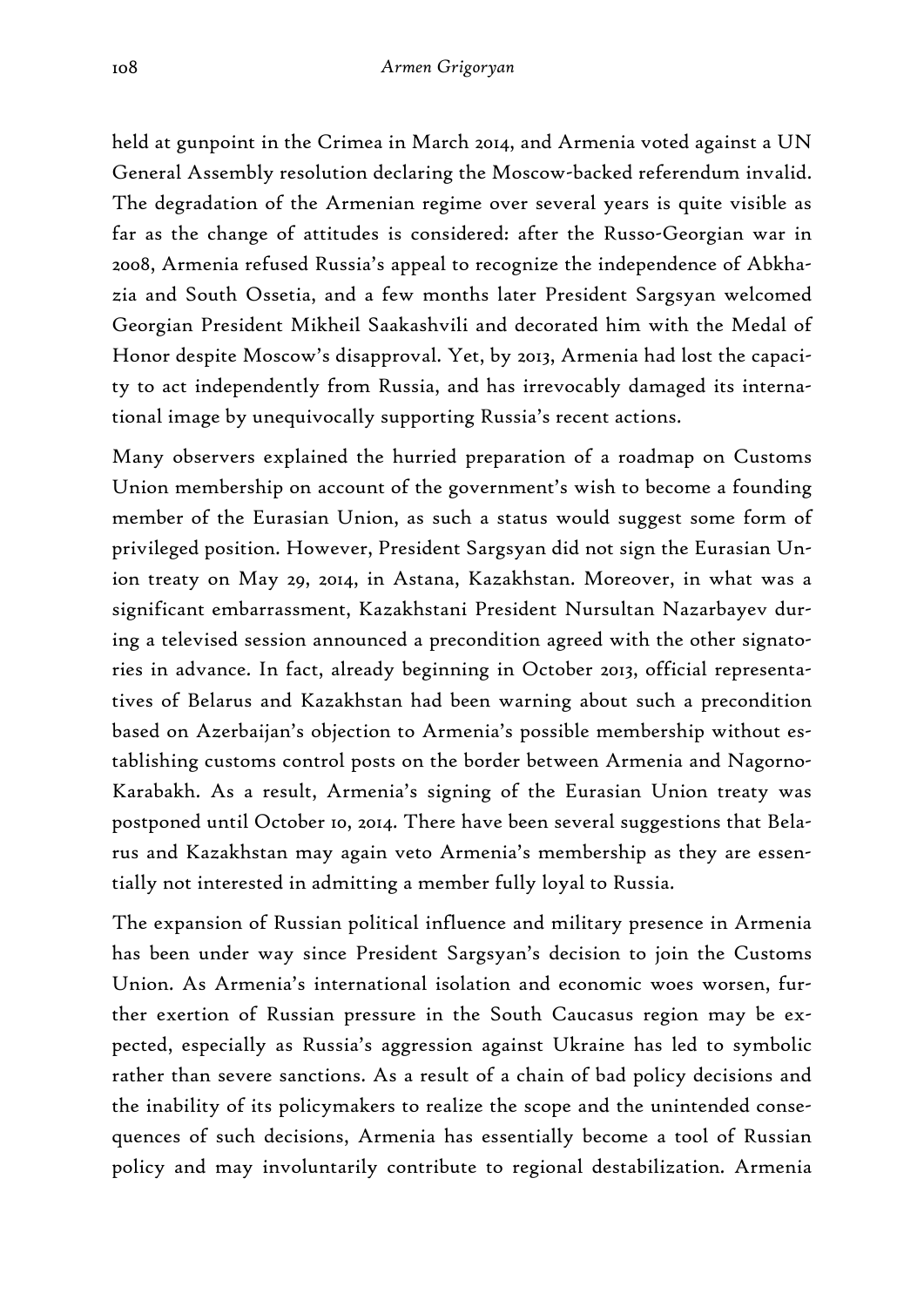held at gunpoint in the Crimea in March 2014, and Armenia voted against a UN General Assembly resolution declaring the Moscow-backed referendum invalid. The degradation of the Armenian regime over several years is quite visible as far as the change of attitudes is considered: after the Russo-Georgian war in 2008, Armenia refused Russia's appeal to recognize the independence of Abkhazia and South Ossetia, and a few months later President Sargsyan welcomed Georgian President Mikheil Saakashvili and decorated him with the Medal of Honor despite Moscow's disapproval. Yet, by 2013, Armenia had lost the capacity to act independently from Russia, and has irrevocably damaged its international image by unequivocally supporting Russia's recent actions.

Many observers explained the hurried preparation of a roadmap on Customs Union membership on account of the government's wish to become a founding member of the Eurasian Union, as such a status would suggest some form of privileged position. However, President Sargsyan did not sign the Eurasian Union treaty on May 29, 2014, in Astana, Kazakhstan. Moreover, in what was a significant embarrassment, Kazakhstani President Nursultan Nazarbayev during a televised session announced a precondition agreed with the other signatories in advance. In fact, already beginning in October 2013, official representatives of Belarus and Kazakhstan had been warning about such a precondition based on Azerbaijan's objection to Armenia's possible membership without establishing customs control posts on the border between Armenia and Nagorno-Karabakh. As a result, Armenia's signing of the Eurasian Union treaty was postponed until October 10, 2014. There have been several suggestions that Belarus and Kazakhstan may again veto Armenia's membership as they are essentially not interested in admitting a member fully loyal to Russia.

The expansion of Russian political influence and military presence in Armenia has been under way since President Sargsyan's decision to join the Customs Union. As Armenia's international isolation and economic woes worsen, further exertion of Russian pressure in the South Caucasus region may be expected, especially as Russia's aggression against Ukraine has led to symbolic rather than severe sanctions. As a result of a chain of bad policy decisions and the inability of its policymakers to realize the scope and the unintended consequences of such decisions, Armenia has essentially become a tool of Russian policy and may involuntarily contribute to regional destabilization. Armenia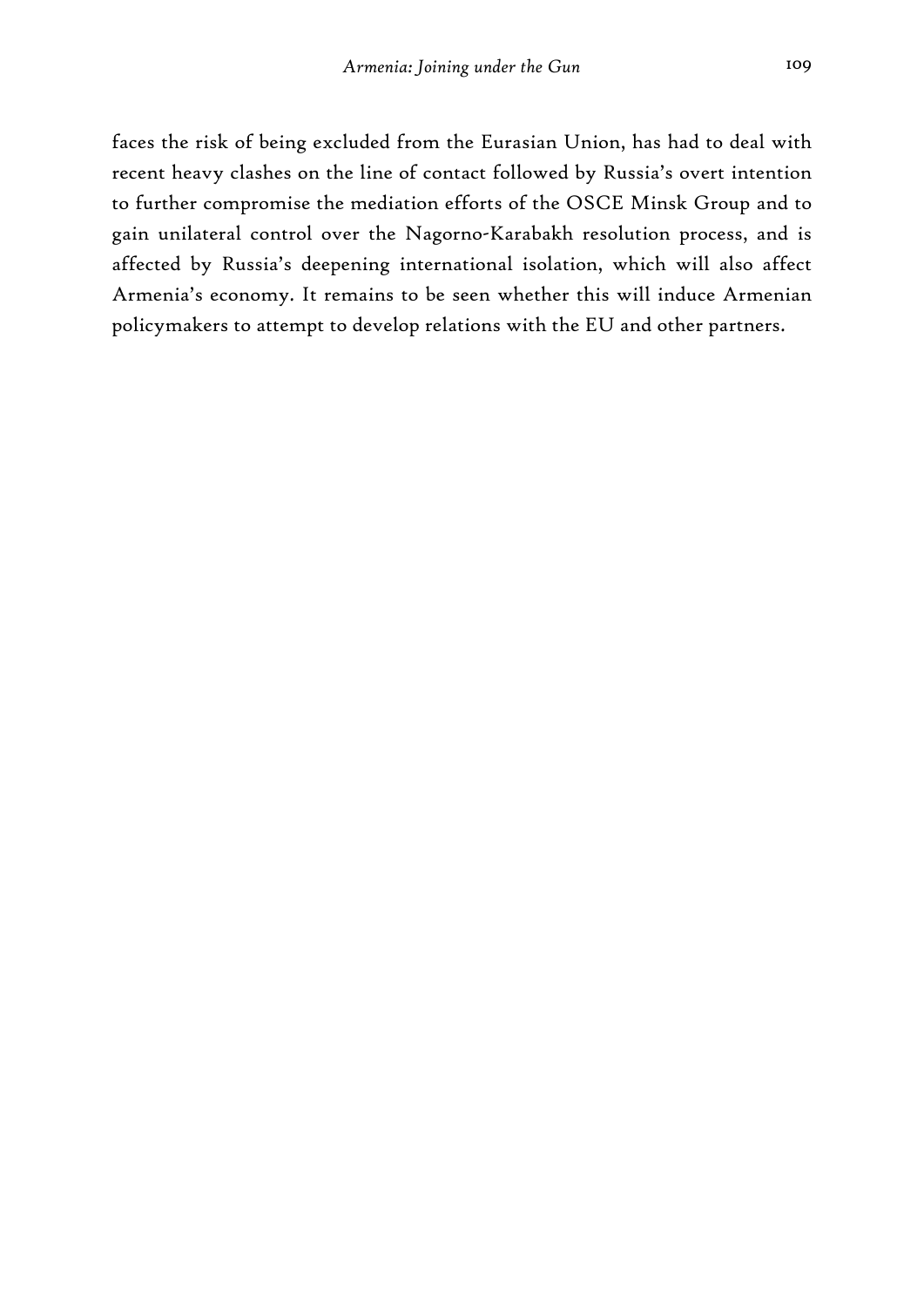faces the risk of being excluded from the Eurasian Union, has had to deal with recent heavy clashes on the line of contact followed by Russia's overt intention to further compromise the mediation efforts of the OSCE Minsk Group and to gain unilateral control over the Nagorno-Karabakh resolution process, and is affected by Russia's deepening international isolation, which will also affect Armenia's economy. It remains to be seen whether this will induce Armenian policymakers to attempt to develop relations with the EU and other partners.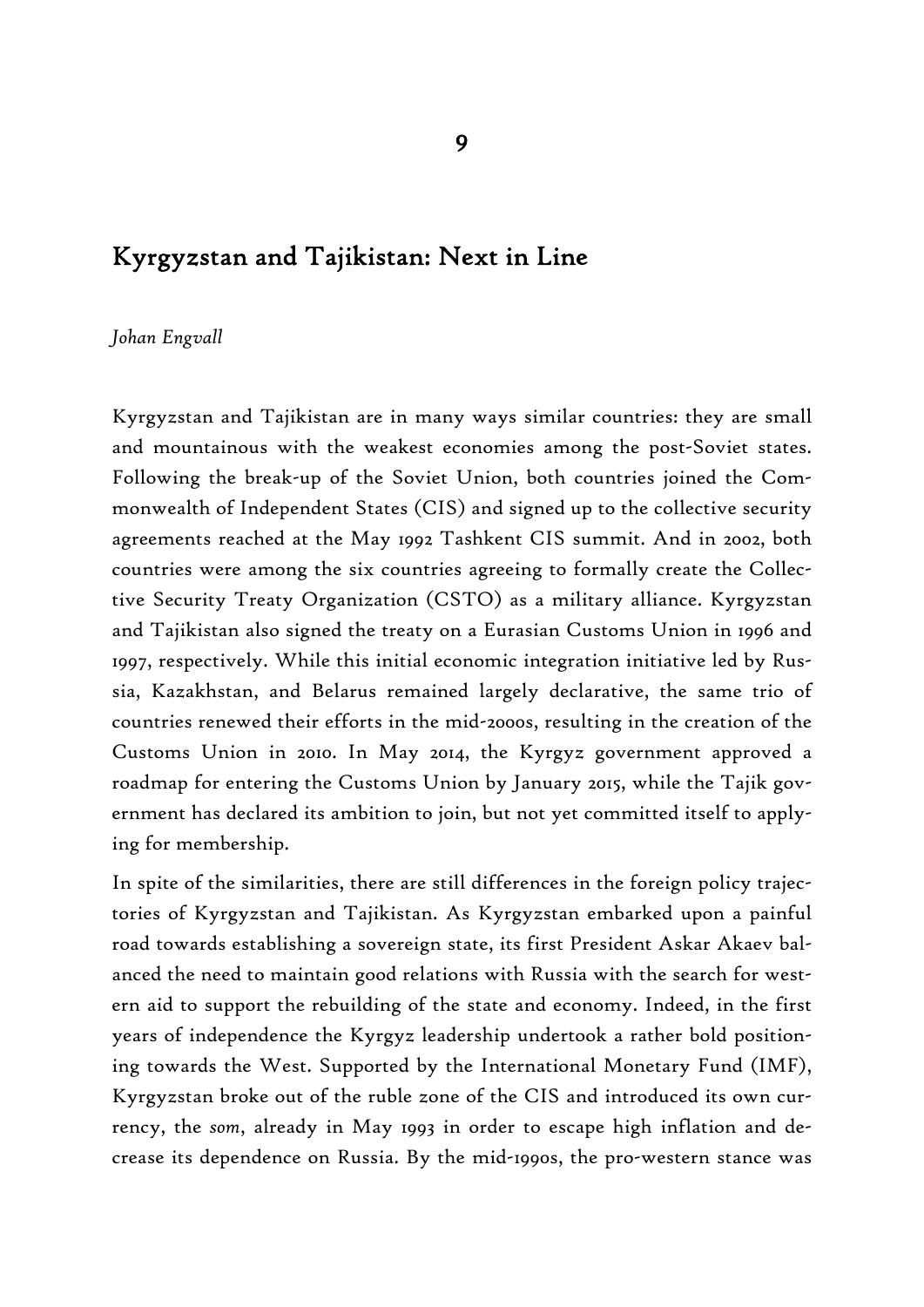# Kyrgyzstan and Tajikistan: Next in Line

#### *Johan Engvall*

Kyrgyzstan and Tajikistan are in many ways similar countries: they are small and mountainous with the weakest economies among the post-Soviet states. Following the break-up of the Soviet Union, both countries joined the Commonwealth of Independent States (CIS) and signed up to the collective security agreements reached at the May 1992 Tashkent CIS summit. And in 2002, both countries were among the six countries agreeing to formally create the Collective Security Treaty Organization (CSTO) as a military alliance. Kyrgyzstan and Tajikistan also signed the treaty on a Eurasian Customs Union in 1996 and 1997, respectively. While this initial economic integration initiative led by Russia, Kazakhstan, and Belarus remained largely declarative, the same trio of countries renewed their efforts in the mid-2000s, resulting in the creation of the Customs Union in 2010. In May 2014, the Kyrgyz government approved a roadmap for entering the Customs Union by January 2015, while the Tajik government has declared its ambition to join, but not yet committed itself to applying for membership.

In spite of the similarities, there are still differences in the foreign policy trajectories of Kyrgyzstan and Tajikistan. As Kyrgyzstan embarked upon a painful road towards establishing a sovereign state, its first President Askar Akaev balanced the need to maintain good relations with Russia with the search for western aid to support the rebuilding of the state and economy. Indeed, in the first years of independence the Kyrgyz leadership undertook a rather bold positioning towards the West. Supported by the International Monetary Fund (IMF), Kyrgyzstan broke out of the ruble zone of the CIS and introduced its own currency, the *som*, already in May 1993 in order to escape high inflation and decrease its dependence on Russia. By the mid-1990s, the pro-western stance was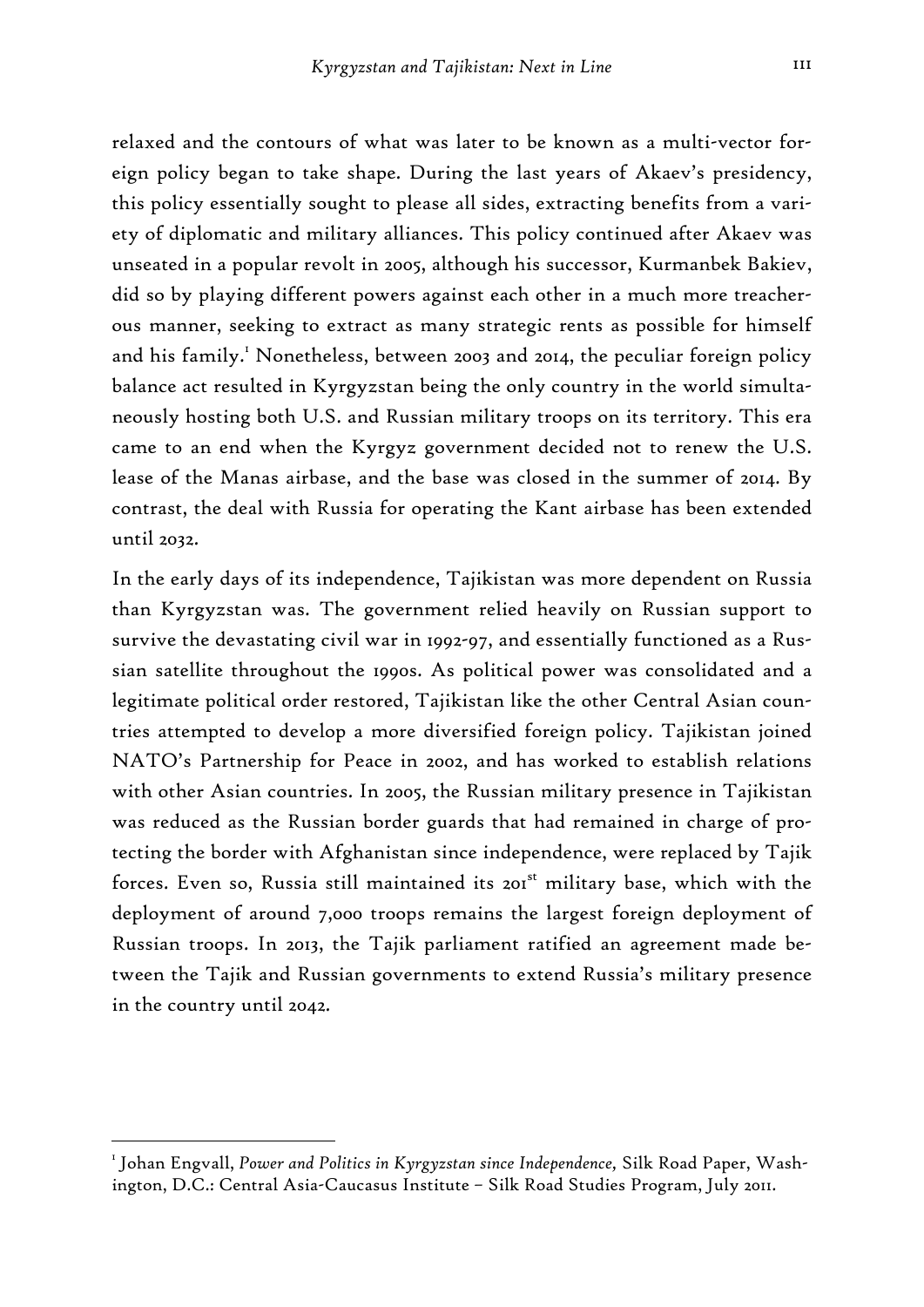relaxed and the contours of what was later to be known as a multi-vector foreign policy began to take shape. During the last years of Akaev's presidency, this policy essentially sought to please all sides, extracting benefits from a variety of diplomatic and military alliances. This policy continued after Akaev was unseated in a popular revolt in 2005, although his successor, Kurmanbek Bakiev, did so by playing different powers against each other in a much more treacherous manner, seeking to extract as many strategic rents as possible for himself and his family.<sup>1</sup> Nonetheless, between 2003 and 2014, the peculiar foreign policy balance act resulted in Kyrgyzstan being the only country in the world simultaneously hosting both U.S. and Russian military troops on its territory. This era came to an end when the Kyrgyz government decided not to renew the U.S. lease of the Manas airbase, and the base was closed in the summer of 2014. By contrast, the deal with Russia for operating the Kant airbase has been extended until 2032.

In the early days of its independence, Tajikistan was more dependent on Russia than Kyrgyzstan was. The government relied heavily on Russian support to survive the devastating civil war in 1992-97, and essentially functioned as a Russian satellite throughout the 1990s. As political power was consolidated and a legitimate political order restored, Tajikistan like the other Central Asian countries attempted to develop a more diversified foreign policy. Tajikistan joined NATO's Partnership for Peace in 2002, and has worked to establish relations with other Asian countries. In 2005, the Russian military presence in Tajikistan was reduced as the Russian border guards that had remained in charge of protecting the border with Afghanistan since independence, were replaced by Tajik forces. Even so, Russia still maintained its 201<sup>st</sup> military base, which with the deployment of around 7,000 troops remains the largest foreign deployment of Russian troops. In 2013, the Tajik parliament ratified an agreement made between the Tajik and Russian governments to extend Russia's military presence in the country until 2042.

<sup>1</sup> Johan Engvall, *Power and Politics in Kyrgyzstan since Independence,* Silk Road Paper, Washington, D.C.: Central Asia-Caucasus Institute – Silk Road Studies Program, July 2011.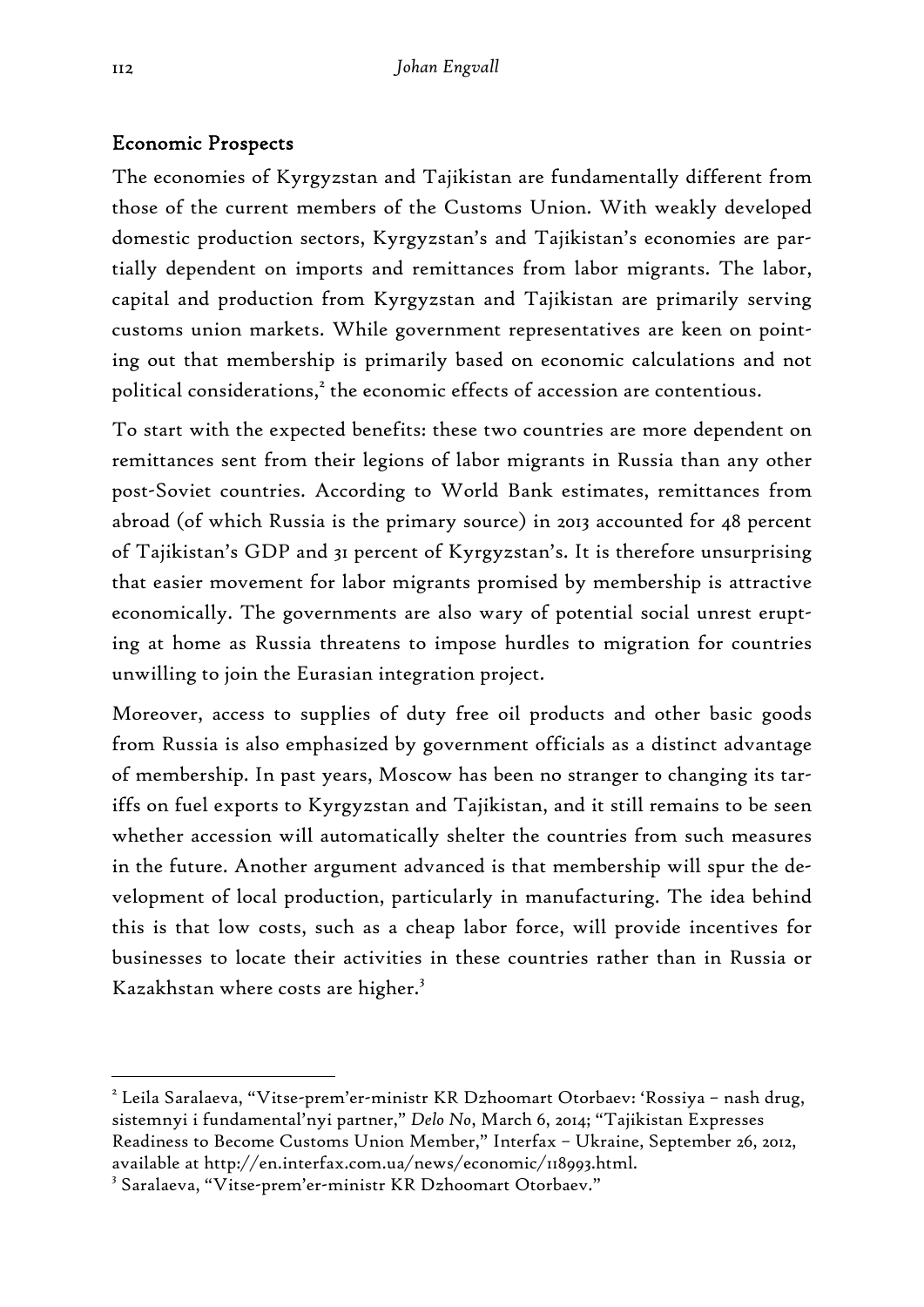## Economic Prospects

The economies of Kyrgyzstan and Tajikistan are fundamentally different from those of the current members of the Customs Union. With weakly developed domestic production sectors, Kyrgyzstan's and Tajikistan's economies are partially dependent on imports and remittances from labor migrants. The labor, capital and production from Kyrgyzstan and Tajikistan are primarily serving customs union markets. While government representatives are keen on pointing out that membership is primarily based on economic calculations and not political considerations, $^2$  the economic effects of accession are contentious.

To start with the expected benefits: these two countries are more dependent on remittances sent from their legions of labor migrants in Russia than any other post-Soviet countries. According to World Bank estimates, remittances from abroad (of which Russia is the primary source) in 2013 accounted for 48 percent of Tajikistan's GDP and 31 percent of Kyrgyzstan's. It is therefore unsurprising that easier movement for labor migrants promised by membership is attractive economically. The governments are also wary of potential social unrest erupting at home as Russia threatens to impose hurdles to migration for countries unwilling to join the Eurasian integration project.

Moreover, access to supplies of duty free oil products and other basic goods from Russia is also emphasized by government officials as a distinct advantage of membership. In past years, Moscow has been no stranger to changing its tariffs on fuel exports to Kyrgyzstan and Tajikistan, and it still remains to be seen whether accession will automatically shelter the countries from such measures in the future. Another argument advanced is that membership will spur the development of local production, particularly in manufacturing. The idea behind this is that low costs, such as a cheap labor force, will provide incentives for businesses to locate their activities in these countries rather than in Russia or Kazakhstan where costs are higher.<sup>3</sup>

<sup>&</sup>lt;sup>2</sup> Leila Saralaeva, "Vitse-prem'er-ministr KR Dzhoomart Otorbaev: 'Rossiya – nash drug, sistemnyi i fundamental'nyi partner," *Delo No*, March 6, 2014; "Tajikistan Expresses Readiness to Become Customs Union Member," Interfax – Ukraine, September 26, 2012, available at http://en.interfax.com.ua/news/economic/118993.html.

<sup>3</sup> Saralaeva, "Vitse-prem'er-ministr KR Dzhoomart Otorbaev."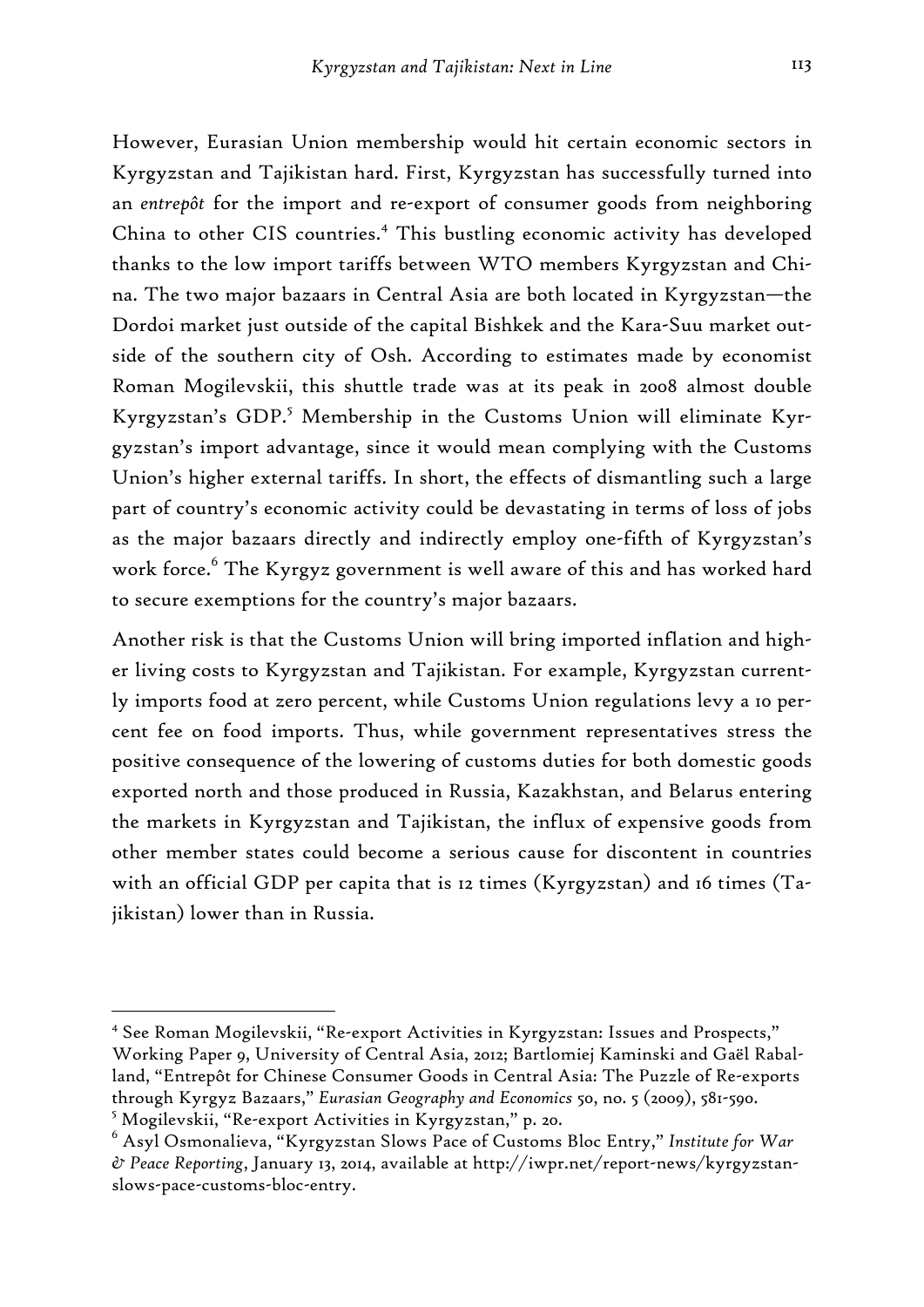However, Eurasian Union membership would hit certain economic sectors in Kyrgyzstan and Tajikistan hard. First, Kyrgyzstan has successfully turned into an *entrepôt* for the import and re-export of consumer goods from neighboring China to other CIS countries.<sup>4</sup> This bustling economic activity has developed thanks to the low import tariffs between WTO members Kyrgyzstan and China. The two major bazaars in Central Asia are both located in Kyrgyzstan—the Dordoi market just outside of the capital Bishkek and the Kara-Suu market outside of the southern city of Osh. According to estimates made by economist Roman Mogilevskii, this shuttle trade was at its peak in 2008 almost double Kyrgyzstan's GDP.<sup>5</sup> Membership in the Customs Union will eliminate Kyrgyzstan's import advantage, since it would mean complying with the Customs Union's higher external tariffs. In short, the effects of dismantling such a large part of country's economic activity could be devastating in terms of loss of jobs as the major bazaars directly and indirectly employ one-fifth of Kyrgyzstan's work force.<sup>6</sup> The Kyrgyz government is well aware of this and has worked hard to secure exemptions for the country's major bazaars.

Another risk is that the Customs Union will bring imported inflation and higher living costs to Kyrgyzstan and Tajikistan. For example, Kyrgyzstan currently imports food at zero percent, while Customs Union regulations levy a 10 percent fee on food imports. Thus, while government representatives stress the positive consequence of the lowering of customs duties for both domestic goods exported north and those produced in Russia, Kazakhstan, and Belarus entering the markets in Kyrgyzstan and Tajikistan, the influx of expensive goods from other member states could become a serious cause for discontent in countries with an official GDP per capita that is 12 times (Kyrgyzstan) and 16 times (Tajikistan) lower than in Russia.

<sup>4</sup> See Roman Mogilevskii, "Re-export Activities in Kyrgyzstan: Issues and Prospects," Working Paper 9, University of Central Asia, 2012; Bartlomiej Kaminski and Gaël Raballand, "Entrepôt for Chinese Consumer Goods in Central Asia: The Puzzle of Re-exports through Kyrgyz Bazaars," *Eurasian Geography and Economics* 50, no. 5 (2009), 581-590. 5 Mogilevskii, "Re-export Activities in Kyrgyzstan," p. 20.

<sup>6</sup> Asyl Osmonalieva, "Kyrgyzstan Slows Pace of Customs Bloc Entry," *Institute for War & Peace Reporting*, January 13, 2014, available at http://iwpr.net/report-news/kyrgyzstanslows-pace-customs-bloc-entry.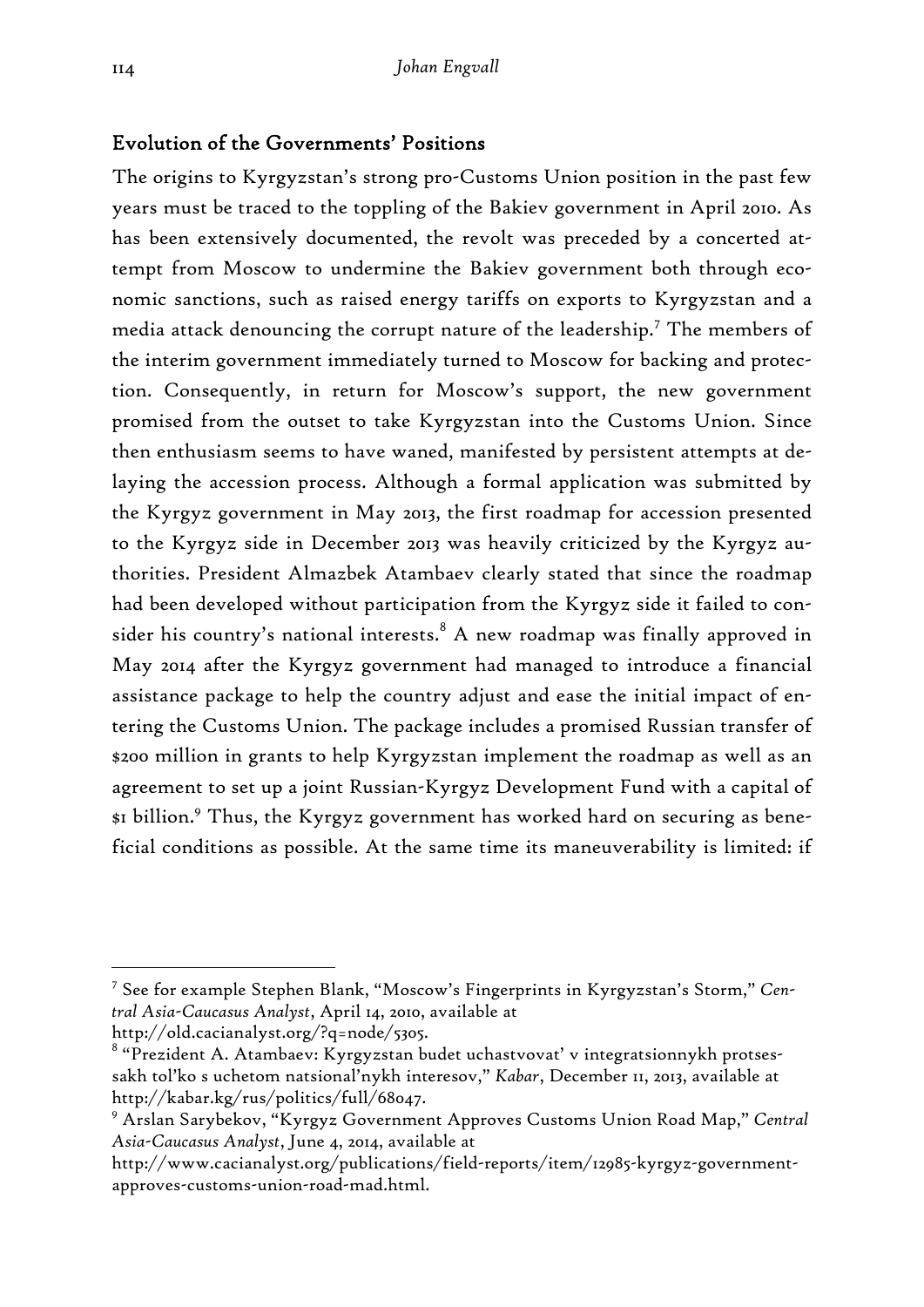### Evolution of the Governments' Positions

The origins to Kyrgyzstan's strong pro-Customs Union position in the past few years must be traced to the toppling of the Bakiev government in April 2010. As has been extensively documented, the revolt was preceded by a concerted attempt from Moscow to undermine the Bakiev government both through economic sanctions, such as raised energy tariffs on exports to Kyrgyzstan and a media attack denouncing the corrupt nature of the leadership.<sup>7</sup> The members of the interim government immediately turned to Moscow for backing and protection. Consequently, in return for Moscow's support, the new government promised from the outset to take Kyrgyzstan into the Customs Union. Since then enthusiasm seems to have waned, manifested by persistent attempts at delaying the accession process. Although a formal application was submitted by the Kyrgyz government in May 2013, the first roadmap for accession presented to the Kyrgyz side in December 2013 was heavily criticized by the Kyrgyz authorities. President Almazbek Atambaev clearly stated that since the roadmap had been developed without participation from the Kyrgyz side it failed to consider his country's national interests. $^8$  A new roadmap was finally approved in May 2014 after the Kyrgyz government had managed to introduce a financial assistance package to help the country adjust and ease the initial impact of entering the Customs Union. The package includes a promised Russian transfer of \$200 million in grants to help Kyrgyzstan implement the roadmap as well as an agreement to set up a joint Russian-Kyrgyz Development Fund with a capital of \$1 billion.<sup>9</sup> Thus, the Kyrgyz government has worked hard on securing as beneficial conditions as possible. At the same time its maneuverability is limited: if

<sup>7</sup> See for example Stephen Blank, "Moscow's Fingerprints in Kyrgyzstan's Storm," *Central Asia-Caucasus Analyst*, April 14, 2010, available at

http://old.cacianalyst.org/?q=node/5305.

 $^{\text{\tiny{8}}}$  "Prezident A. Atambaev: Kyrgyzstan budet uchastvovat' v integratsionnykh protsessakh tol'ko s uchetom natsional'nykh interesov," *Kabar*, December 11, 2013, available at http://kabar.kg/rus/politics/full/68047.

<sup>9</sup> Arslan Sarybekov, "Kyrgyz Government Approves Customs Union Road Map," *Central Asia-Caucasus Analyst*, June 4, 2014, available at

http://www.cacianalyst.org/publications/field-reports/item/12985-kyrgyz-governmentapproves-customs-union-road-mad.html.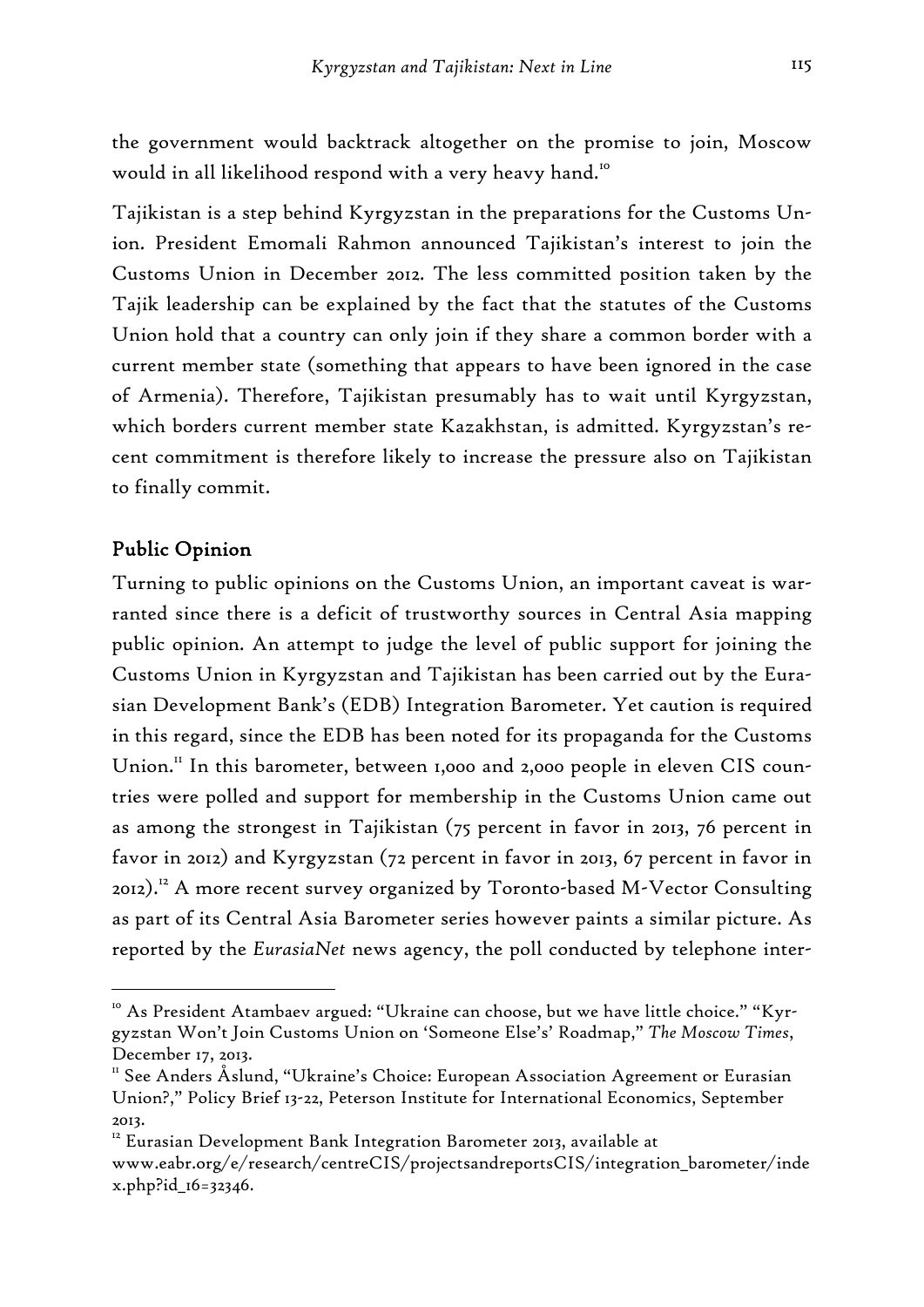the government would backtrack altogether on the promise to join, Moscow would in all likelihood respond with a very heavy hand.<sup>10</sup>

Tajikistan is a step behind Kyrgyzstan in the preparations for the Customs Union. President Emomali Rahmon announced Tajikistan's interest to join the Customs Union in December 2012. The less committed position taken by the Tajik leadership can be explained by the fact that the statutes of the Customs Union hold that a country can only join if they share a common border with a current member state (something that appears to have been ignored in the case of Armenia). Therefore, Tajikistan presumably has to wait until Kyrgyzstan, which borders current member state Kazakhstan, is admitted. Kyrgyzstan's recent commitment is therefore likely to increase the pressure also on Tajikistan to finally commit.

## Public Opinion

-

Turning to public opinions on the Customs Union, an important caveat is warranted since there is a deficit of trustworthy sources in Central Asia mapping public opinion. An attempt to judge the level of public support for joining the Customs Union in Kyrgyzstan and Tajikistan has been carried out by the Eurasian Development Bank's (EDB) Integration Barometer. Yet caution is required in this regard, since the EDB has been noted for its propaganda for the Customs Union.<sup>11</sup> In this barometer, between 1,000 and 2,000 people in eleven CIS countries were polled and support for membership in the Customs Union came out as among the strongest in Tajikistan (75 percent in favor in 2013, 76 percent in favor in 2012) and Kyrgyzstan (72 percent in favor in 2013, 67 percent in favor in 2012).12 A more recent survey organized by Toronto-based M-Vector Consulting as part of its Central Asia Barometer series however paints a similar picture. As reported by the *EurasiaNet* news agency, the poll conducted by telephone inter-

<sup>&</sup>lt;sup>10</sup> As President Atambaev argued: "Ukraine can choose, but we have little choice." "Kyrgyzstan Won't Join Customs Union on 'Someone Else's' Roadmap," *The Moscow Times*, December 17, 2013.

<sup>&</sup>lt;sup>11</sup> See Anders Åslund, "Ukraine's Choice: European Association Agreement or Eurasian Union?," Policy Brief 13-22, Peterson Institute for International Economics, September 2013.

<sup>&</sup>lt;sup>12</sup> Eurasian Development Bank Integration Barometer 2013, available at www.eabr.org/e/research/centreCIS/projectsandreportsCIS/integration\_barometer/inde x.php?id\_16=32346.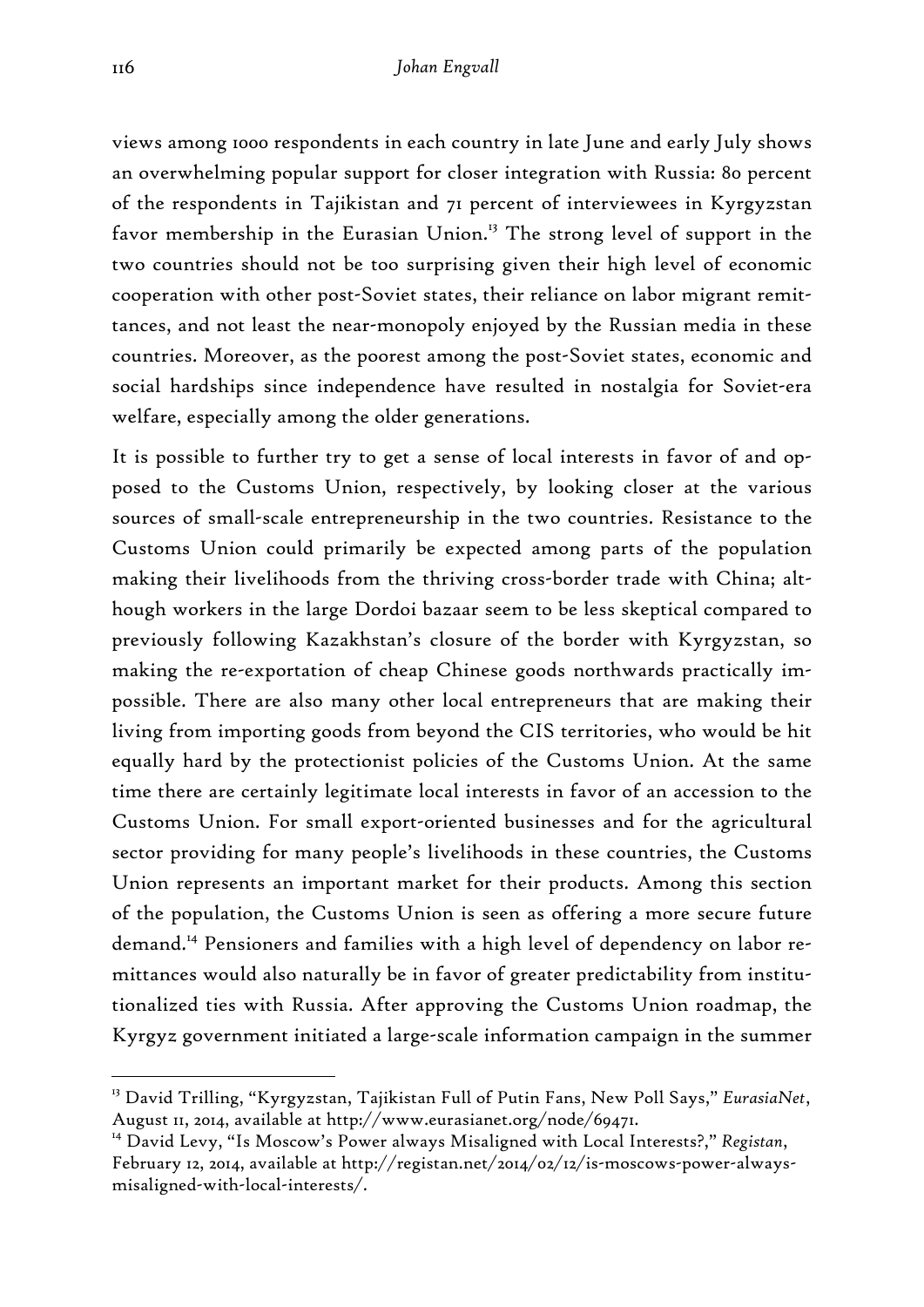views among 1000 respondents in each country in late June and early July shows an overwhelming popular support for closer integration with Russia: 80 percent of the respondents in Tajikistan and 71 percent of interviewees in Kyrgyzstan favor membership in the Eurasian Union.<sup>13</sup> The strong level of support in the two countries should not be too surprising given their high level of economic cooperation with other post-Soviet states, their reliance on labor migrant remittances, and not least the near-monopoly enjoyed by the Russian media in these countries. Moreover, as the poorest among the post-Soviet states, economic and social hardships since independence have resulted in nostalgia for Soviet-era welfare, especially among the older generations.

It is possible to further try to get a sense of local interests in favor of and opposed to the Customs Union, respectively, by looking closer at the various sources of small-scale entrepreneurship in the two countries. Resistance to the Customs Union could primarily be expected among parts of the population making their livelihoods from the thriving cross-border trade with China; although workers in the large Dordoi bazaar seem to be less skeptical compared to previously following Kazakhstan's closure of the border with Kyrgyzstan, so making the re-exportation of cheap Chinese goods northwards practically impossible. There are also many other local entrepreneurs that are making their living from importing goods from beyond the CIS territories, who would be hit equally hard by the protectionist policies of the Customs Union. At the same time there are certainly legitimate local interests in favor of an accession to the Customs Union. For small export-oriented businesses and for the agricultural sector providing for many people's livelihoods in these countries, the Customs Union represents an important market for their products. Among this section of the population, the Customs Union is seen as offering a more secure future demand.14 Pensioners and families with a high level of dependency on labor remittances would also naturally be in favor of greater predictability from institutionalized ties with Russia. After approving the Customs Union roadmap, the Kyrgyz government initiated a large-scale information campaign in the summer

<sup>13</sup> David Trilling, "Kyrgyzstan, Tajikistan Full of Putin Fans, New Poll Says," *EurasiaNet*, August 11, 2014, available at http://www.eurasianet.org/node/69471.

<sup>14</sup> David Levy, "Is Moscow's Power always Misaligned with Local Interests?," *Registan*, February 12, 2014, available at http://registan.net/2014/02/12/is-moscows-power-alwaysmisaligned-with-local-interests/.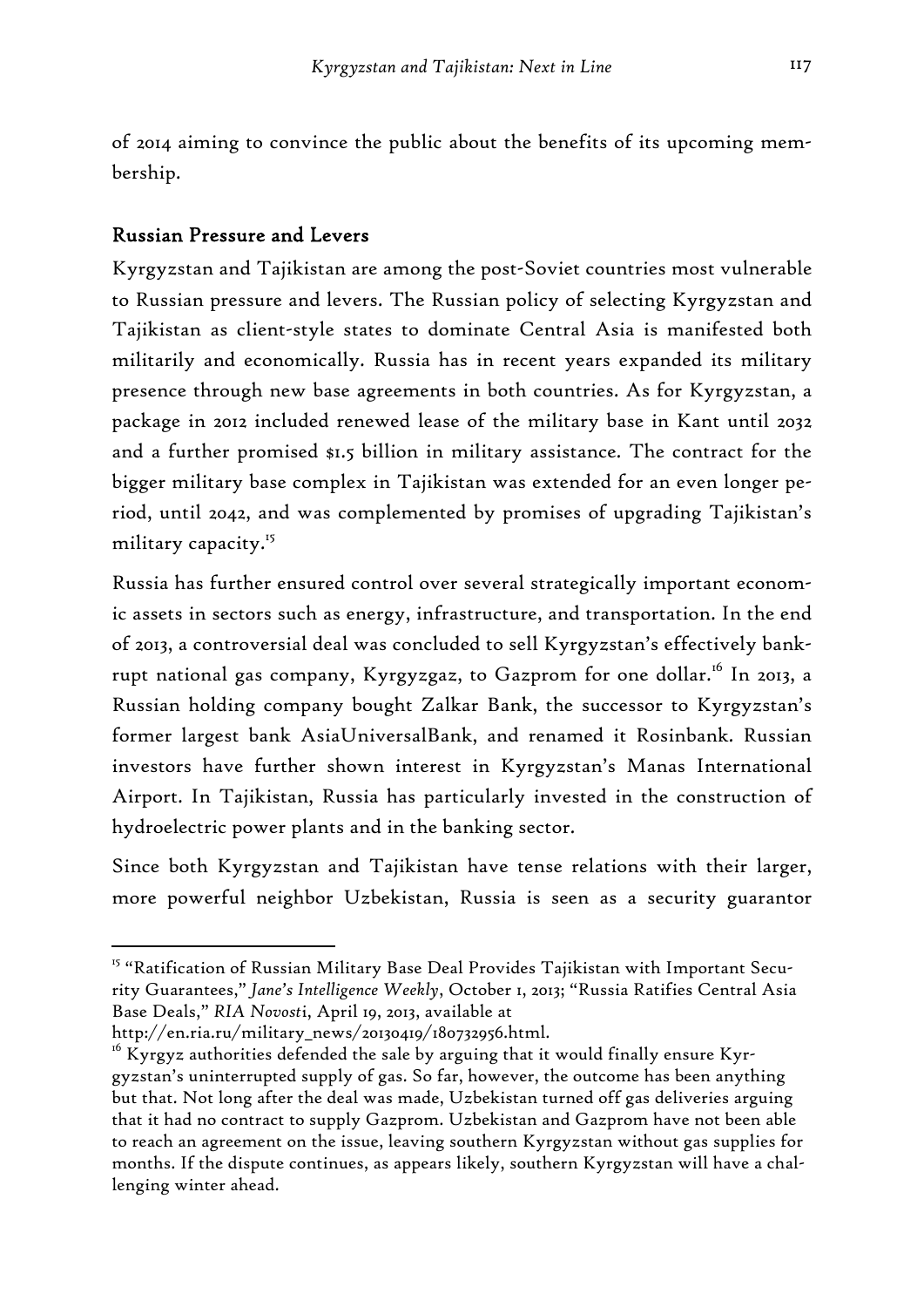of 2014 aiming to convince the public about the benefits of its upcoming membership.

## Russian Pressure and Levers

Kyrgyzstan and Tajikistan are among the post-Soviet countries most vulnerable to Russian pressure and levers. The Russian policy of selecting Kyrgyzstan and Tajikistan as client-style states to dominate Central Asia is manifested both militarily and economically. Russia has in recent years expanded its military presence through new base agreements in both countries. As for Kyrgyzstan, a package in 2012 included renewed lease of the military base in Kant until 2032 and a further promised \$1.5 billion in military assistance. The contract for the bigger military base complex in Tajikistan was extended for an even longer period, until 2042, and was complemented by promises of upgrading Tajikistan's military capacity.<sup>15</sup>

Russia has further ensured control over several strategically important economic assets in sectors such as energy, infrastructure, and transportation. In the end of 2013, a controversial deal was concluded to sell Kyrgyzstan's effectively bankrupt national gas company, Kyrgyzgaz, to Gazprom for one dollar.<sup>16</sup> In 2013, a Russian holding company bought Zalkar Bank, the successor to Kyrgyzstan's former largest bank AsiaUniversalBank, and renamed it Rosinbank. Russian investors have further shown interest in Kyrgyzstan's Manas International Airport. In Tajikistan, Russia has particularly invested in the construction of hydroelectric power plants and in the banking sector.

Since both Kyrgyzstan and Tajikistan have tense relations with their larger, more powerful neighbor Uzbekistan, Russia is seen as a security guarantor

<sup>&</sup>lt;sup>15</sup> "Ratification of Russian Military Base Deal Provides Tajikistan with Important Security Guarantees," *Jane's Intelligence Weekly*, October 1, 2013; "Russia Ratifies Central Asia Base Deals," *RIA Novost*i, April 19, 2013, available at

http://en.ria.ru/military\_news/20130419/180732956.html.

 $16$  Kyrgyz authorities defended the sale by arguing that it would finally ensure Kyrgyzstan's uninterrupted supply of gas. So far, however, the outcome has been anything but that. Not long after the deal was made, Uzbekistan turned off gas deliveries arguing that it had no contract to supply Gazprom. Uzbekistan and Gazprom have not been able to reach an agreement on the issue, leaving southern Kyrgyzstan without gas supplies for months. If the dispute continues, as appears likely, southern Kyrgyzstan will have a challenging winter ahead.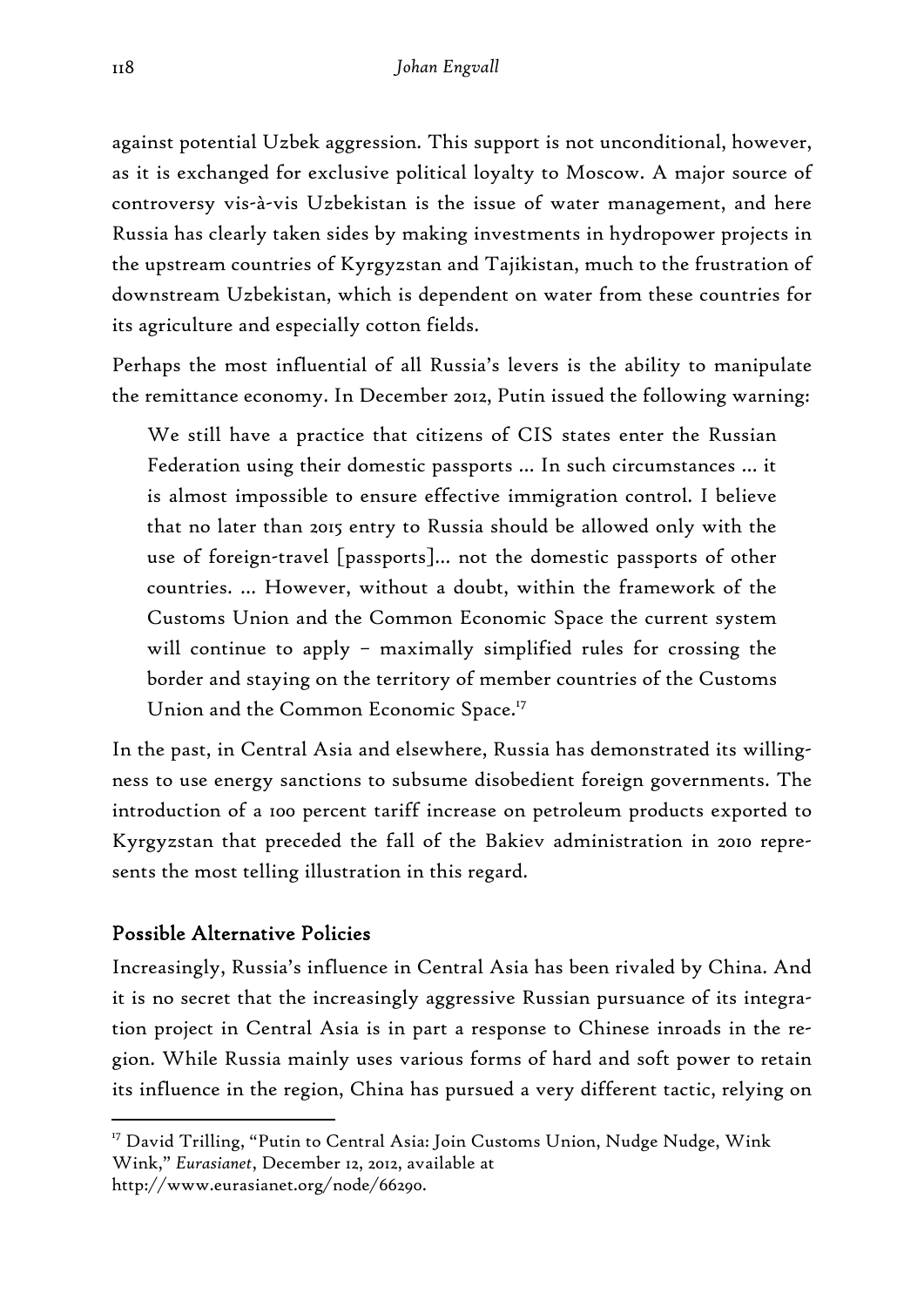against potential Uzbek aggression. This support is not unconditional, however, as it is exchanged for exclusive political loyalty to Moscow. A major source of controversy vis-à-vis Uzbekistan is the issue of water management, and here Russia has clearly taken sides by making investments in hydropower projects in the upstream countries of Kyrgyzstan and Tajikistan, much to the frustration of downstream Uzbekistan, which is dependent on water from these countries for its agriculture and especially cotton fields.

Perhaps the most influential of all Russia's levers is the ability to manipulate the remittance economy. In December 2012, Putin issued the following warning:

We still have a practice that citizens of CIS states enter the Russian Federation using their domestic passports … In such circumstances … it is almost impossible to ensure effective immigration control. I believe that no later than 2015 entry to Russia should be allowed only with the use of foreign-travel [passports]… not the domestic passports of other countries. … However, without a doubt, within the framework of the Customs Union and the Common Economic Space the current system will continue to apply – maximally simplified rules for crossing the border and staying on the territory of member countries of the Customs Union and the Common Economic Space.<sup>17</sup>

In the past, in Central Asia and elsewhere, Russia has demonstrated its willingness to use energy sanctions to subsume disobedient foreign governments. The introduction of a 100 percent tariff increase on petroleum products exported to Kyrgyzstan that preceded the fall of the Bakiev administration in 2010 represents the most telling illustration in this regard.

# Possible Alternative Policies

Increasingly, Russia's influence in Central Asia has been rivaled by China. And it is no secret that the increasingly aggressive Russian pursuance of its integration project in Central Asia is in part a response to Chinese inroads in the region. While Russia mainly uses various forms of hard and soft power to retain its influence in the region, China has pursued a very different tactic, relying on

<sup>-</sup><sup>17</sup> David Trilling, "Putin to Central Asia: Join Customs Union, Nudge Nudge, Wink Wink," *Eurasianet*, December 12, 2012, available at

http://www.eurasianet.org/node/66290.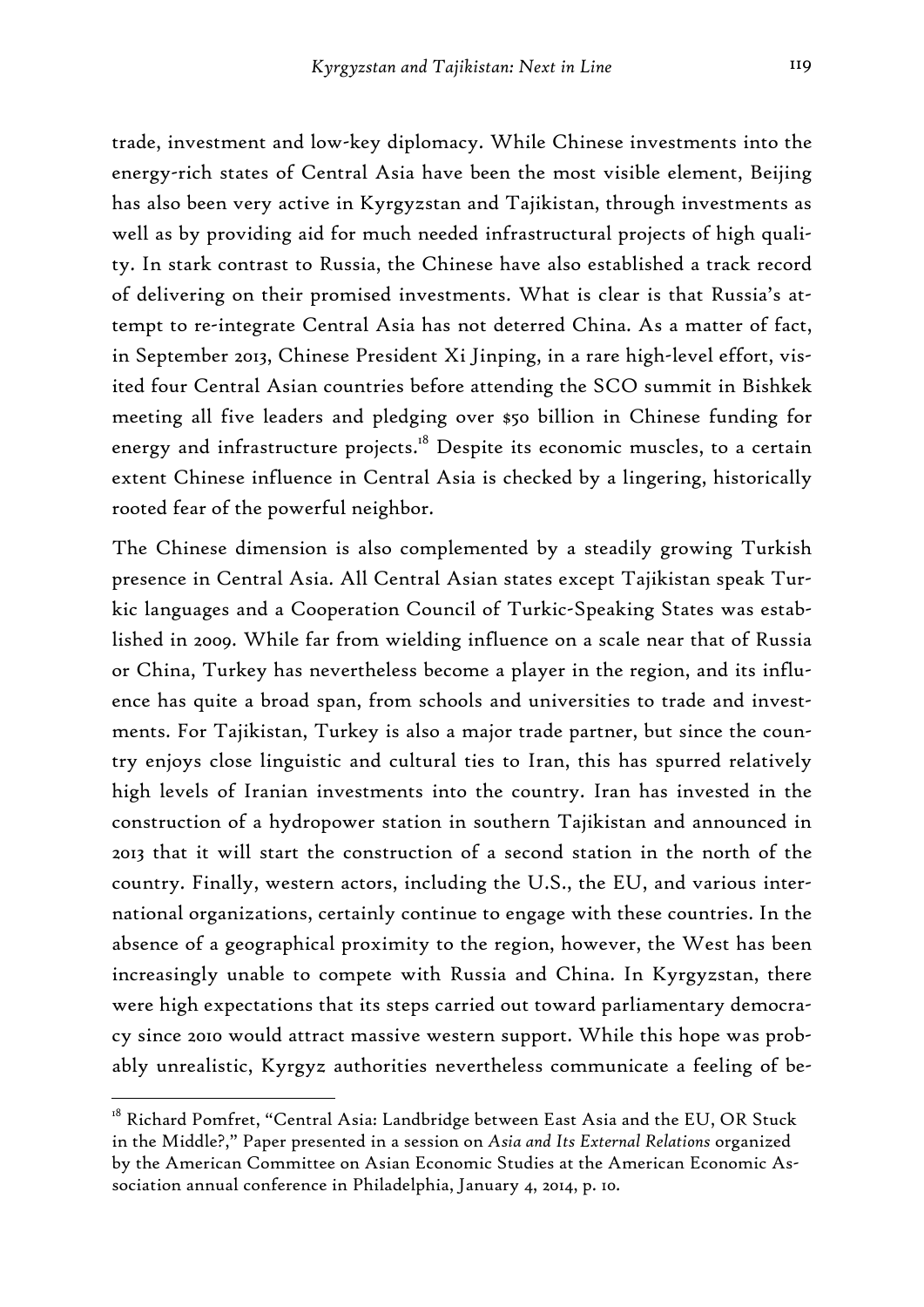trade, investment and low-key diplomacy. While Chinese investments into the energy-rich states of Central Asia have been the most visible element, Beijing has also been very active in Kyrgyzstan and Tajikistan, through investments as well as by providing aid for much needed infrastructural projects of high quality. In stark contrast to Russia, the Chinese have also established a track record of delivering on their promised investments. What is clear is that Russia's attempt to re-integrate Central Asia has not deterred China. As a matter of fact, in September 2013, Chinese President Xi Jinping, in a rare high-level effort, visited four Central Asian countries before attending the SCO summit in Bishkek meeting all five leaders and pledging over \$50 billion in Chinese funding for energy and infrastructure projects.<sup>18</sup> Despite its economic muscles, to a certain extent Chinese influence in Central Asia is checked by a lingering, historically rooted fear of the powerful neighbor.

The Chinese dimension is also complemented by a steadily growing Turkish presence in Central Asia. All Central Asian states except Tajikistan speak Turkic languages and a Cooperation Council of Turkic-Speaking States was established in 2009. While far from wielding influence on a scale near that of Russia or China, Turkey has nevertheless become a player in the region, and its influence has quite a broad span, from schools and universities to trade and investments. For Tajikistan, Turkey is also a major trade partner, but since the country enjoys close linguistic and cultural ties to Iran, this has spurred relatively high levels of Iranian investments into the country. Iran has invested in the construction of a hydropower station in southern Tajikistan and announced in 2013 that it will start the construction of a second station in the north of the country. Finally, western actors, including the U.S., the EU, and various international organizations, certainly continue to engage with these countries. In the absence of a geographical proximity to the region, however, the West has been increasingly unable to compete with Russia and China. In Kyrgyzstan, there were high expectations that its steps carried out toward parliamentary democracy since 2010 would attract massive western support. While this hope was probably unrealistic, Kyrgyz authorities nevertheless communicate a feeling of be-

 $^{18}$  Richard Pomfret, "Central Asia: Landbridge between East Asia and the EU, OR Stuck in the Middle?," Paper presented in a session on *Asia and Its External Relations* organized by the American Committee on Asian Economic Studies at the American Economic Association annual conference in Philadelphia, January 4, 2014, p. 10.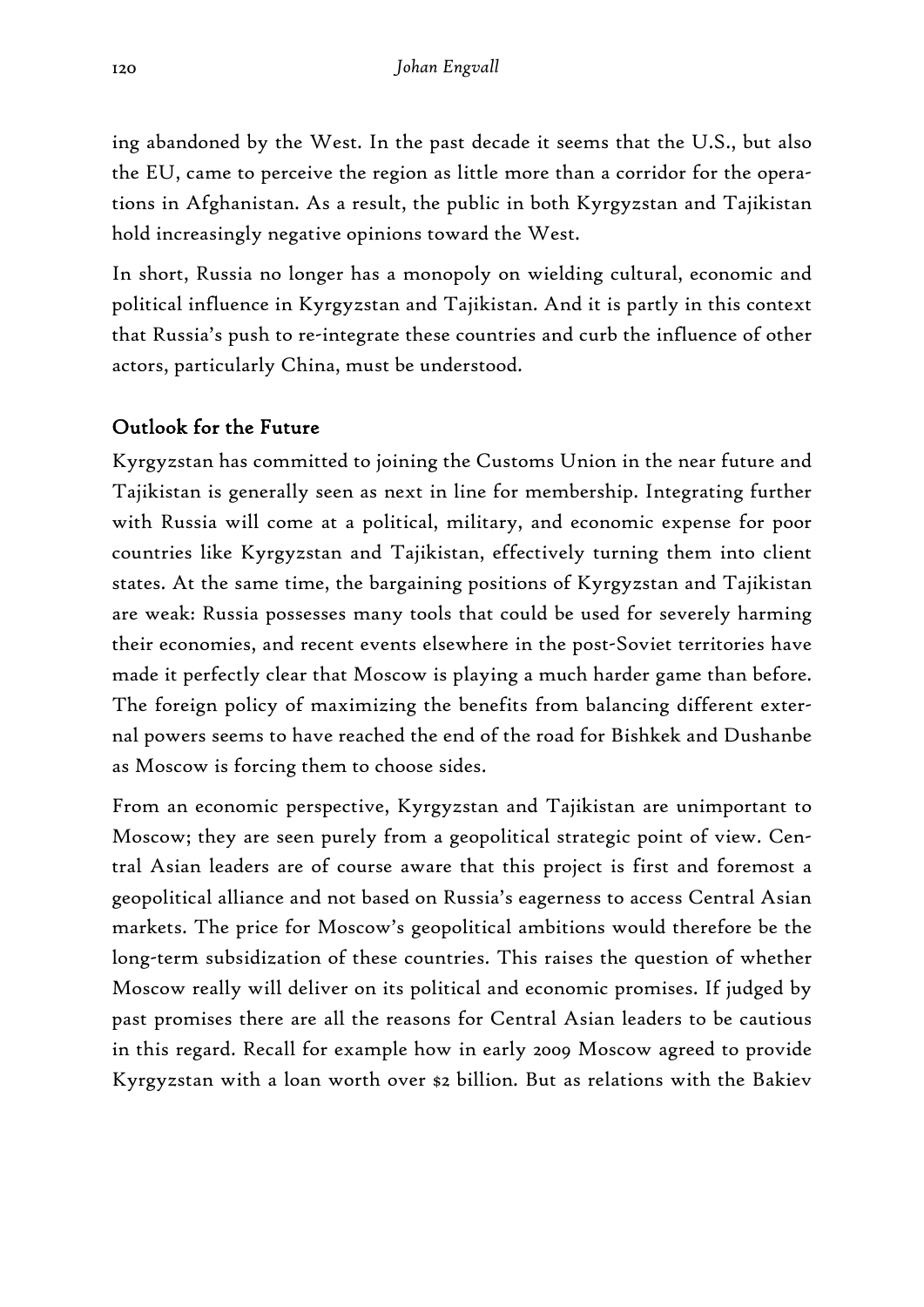ing abandoned by the West. In the past decade it seems that the U.S., but also the EU, came to perceive the region as little more than a corridor for the operations in Afghanistan. As a result, the public in both Kyrgyzstan and Tajikistan hold increasingly negative opinions toward the West.

In short, Russia no longer has a monopoly on wielding cultural, economic and political influence in Kyrgyzstan and Tajikistan. And it is partly in this context that Russia's push to re-integrate these countries and curb the influence of other actors, particularly China, must be understood.

# Outlook for the Future

Kyrgyzstan has committed to joining the Customs Union in the near future and Tajikistan is generally seen as next in line for membership. Integrating further with Russia will come at a political, military, and economic expense for poor countries like Kyrgyzstan and Tajikistan, effectively turning them into client states. At the same time, the bargaining positions of Kyrgyzstan and Tajikistan are weak: Russia possesses many tools that could be used for severely harming their economies, and recent events elsewhere in the post-Soviet territories have made it perfectly clear that Moscow is playing a much harder game than before. The foreign policy of maximizing the benefits from balancing different external powers seems to have reached the end of the road for Bishkek and Dushanbe as Moscow is forcing them to choose sides.

From an economic perspective, Kyrgyzstan and Tajikistan are unimportant to Moscow; they are seen purely from a geopolitical strategic point of view. Central Asian leaders are of course aware that this project is first and foremost a geopolitical alliance and not based on Russia's eagerness to access Central Asian markets. The price for Moscow's geopolitical ambitions would therefore be the long-term subsidization of these countries. This raises the question of whether Moscow really will deliver on its political and economic promises. If judged by past promises there are all the reasons for Central Asian leaders to be cautious in this regard. Recall for example how in early 2009 Moscow agreed to provide Kyrgyzstan with a loan worth over \$2 billion. But as relations with the Bakiev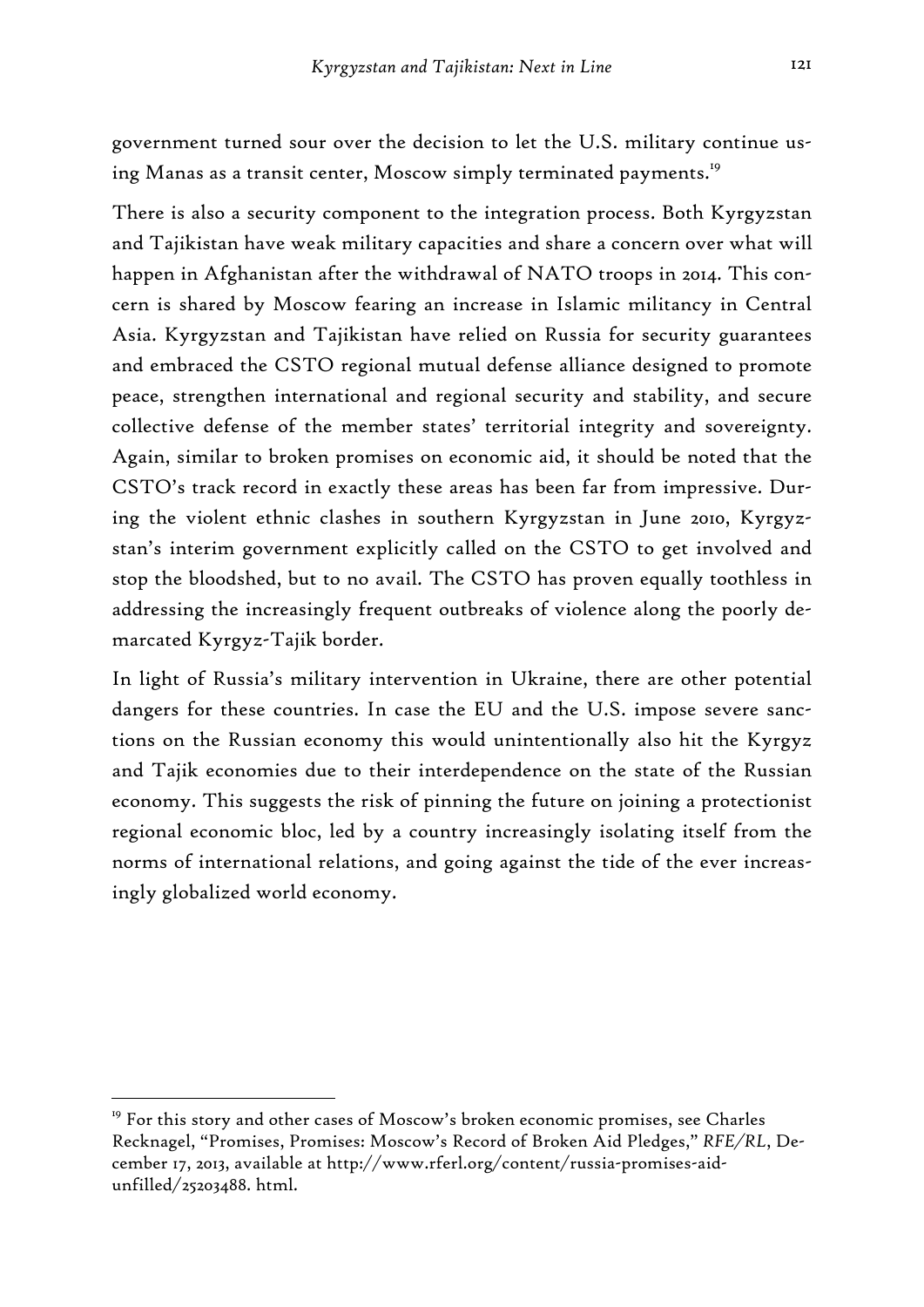government turned sour over the decision to let the U.S. military continue using Manas as a transit center, Moscow simply terminated payments.<sup>19</sup>

There is also a security component to the integration process. Both Kyrgyzstan and Tajikistan have weak military capacities and share a concern over what will happen in Afghanistan after the withdrawal of NATO troops in 2014. This concern is shared by Moscow fearing an increase in Islamic militancy in Central Asia. Kyrgyzstan and Tajikistan have relied on Russia for security guarantees and embraced the CSTO regional mutual defense alliance designed to promote peace, strengthen international and regional security and stability, and secure collective defense of the member states' territorial integrity and sovereignty. Again, similar to broken promises on economic aid, it should be noted that the CSTO's track record in exactly these areas has been far from impressive. During the violent ethnic clashes in southern Kyrgyzstan in June 2010, Kyrgyzstan's interim government explicitly called on the CSTO to get involved and stop the bloodshed, but to no avail. The CSTO has proven equally toothless in addressing the increasingly frequent outbreaks of violence along the poorly demarcated Kyrgyz-Tajik border.

In light of Russia's military intervention in Ukraine, there are other potential dangers for these countries. In case the EU and the U.S. impose severe sanctions on the Russian economy this would unintentionally also hit the Kyrgyz and Tajik economies due to their interdependence on the state of the Russian economy. This suggests the risk of pinning the future on joining a protectionist regional economic bloc, led by a country increasingly isolating itself from the norms of international relations, and going against the tide of the ever increasingly globalized world economy.

 $19$  For this story and other cases of Moscow's broken economic promises, see Charles Recknagel, "Promises, Promises: Moscow's Record of Broken Aid Pledges," *RFE/RL*, December 17, 2013, available at http://www.rferl.org/content/russia-promises-aidunfilled/25203488. html.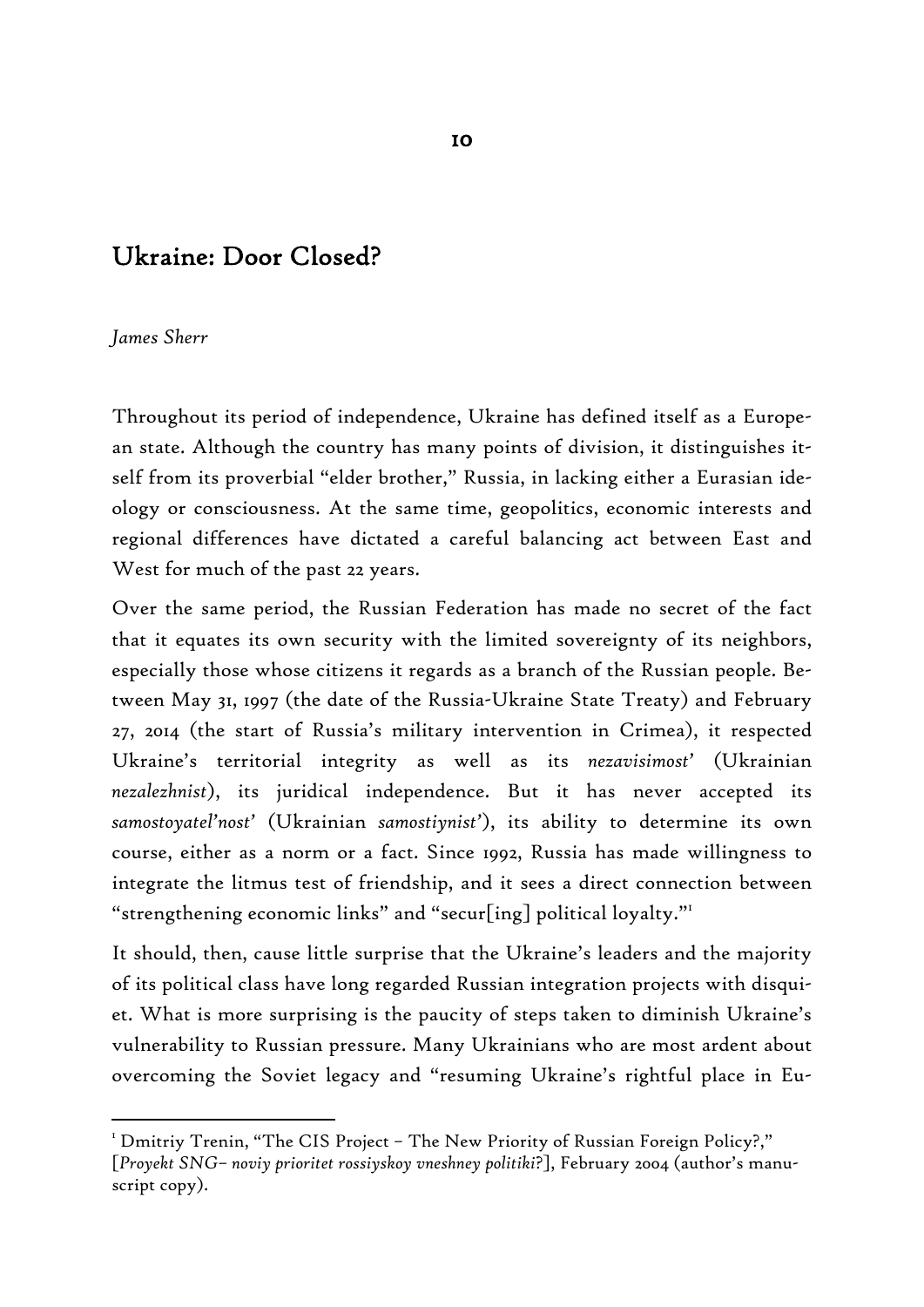# Ukraine: Door Closed?

#### *James Sherr*

-

Throughout its period of independence, Ukraine has defined itself as a European state. Although the country has many points of division, it distinguishes itself from its proverbial "elder brother," Russia, in lacking either a Eurasian ideology or consciousness. At the same time, geopolitics, economic interests and regional differences have dictated a careful balancing act between East and West for much of the past 22 years.

Over the same period, the Russian Federation has made no secret of the fact that it equates its own security with the limited sovereignty of its neighbors, especially those whose citizens it regards as a branch of the Russian people. Between May 31, 1997 (the date of the Russia-Ukraine State Treaty) and February 27, 2014 (the start of Russia's military intervention in Crimea), it respected Ukraine's territorial integrity as well as its *nezavisimost'* (Ukrainian *nezalezhnist*), its juridical independence. But it has never accepted its *samostoyatel'nost'* (Ukrainian *samostiynist'*), its ability to determine its own course, either as a norm or a fact. Since 1992, Russia has made willingness to integrate the litmus test of friendship, and it sees a direct connection between "strengthening economic links" and "secur[ing] political loyalty."<sup>1</sup>

It should, then, cause little surprise that the Ukraine's leaders and the majority of its political class have long regarded Russian integration projects with disquiet. What is more surprising is the paucity of steps taken to diminish Ukraine's vulnerability to Russian pressure. Many Ukrainians who are most ardent about overcoming the Soviet legacy and "resuming Ukraine's rightful place in Eu-

 $^{\text{\tiny{\text{I}}}}$  Dmitriy Trenin, "The CIS Project – The New Priority of Russian Foreign Policy?," [*Proyekt SNG– noviy prioritet rossiyskoy vneshney politiki*?], February 2004 (author's manuscript copy).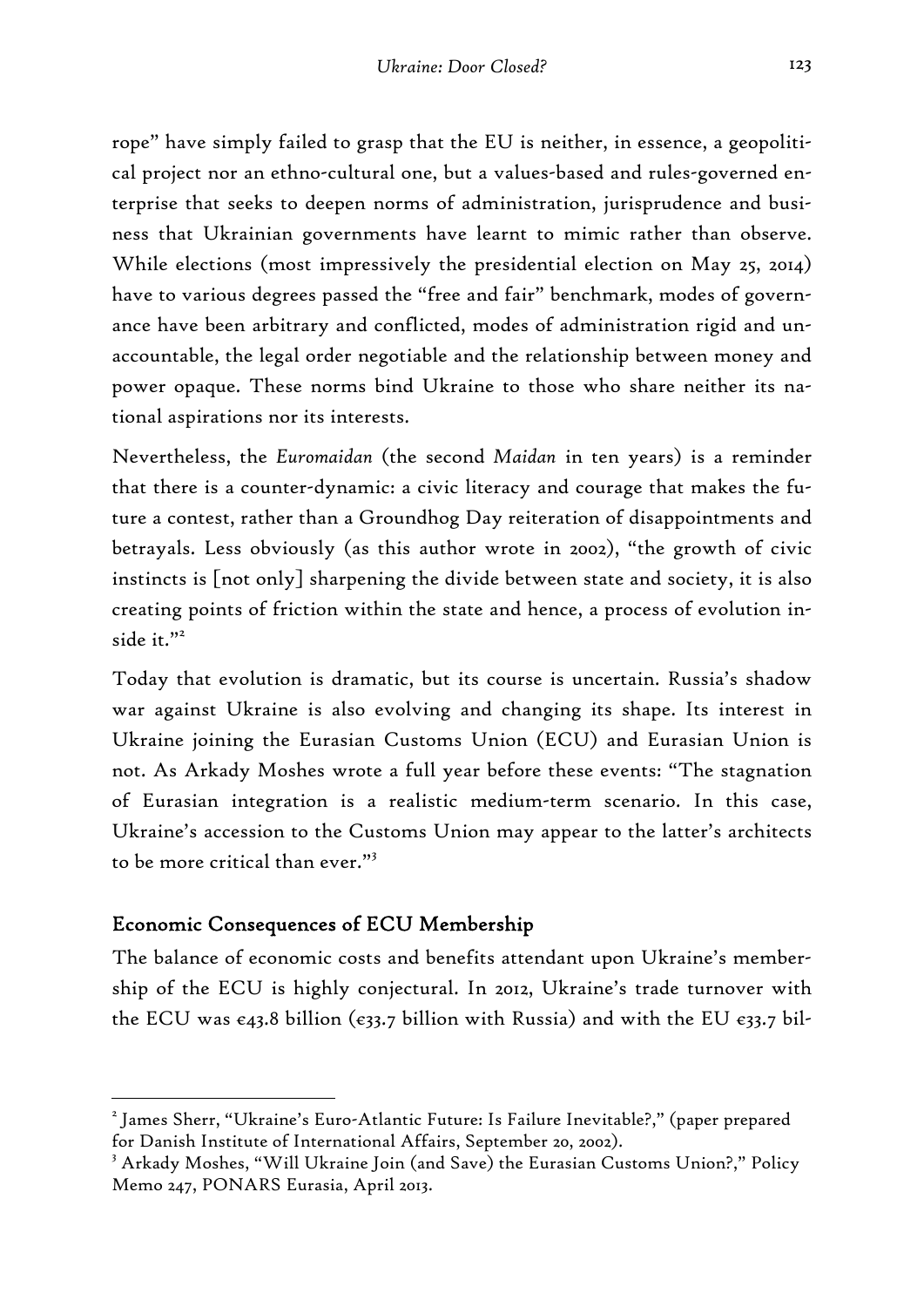rope" have simply failed to grasp that the EU is neither, in essence, a geopolitical project nor an ethno-cultural one, but a values-based and rules-governed enterprise that seeks to deepen norms of administration, jurisprudence and business that Ukrainian governments have learnt to mimic rather than observe. While elections (most impressively the presidential election on May 25, 2014) have to various degrees passed the "free and fair" benchmark, modes of governance have been arbitrary and conflicted, modes of administration rigid and unaccountable, the legal order negotiable and the relationship between money and power opaque. These norms bind Ukraine to those who share neither its national aspirations nor its interests.

Nevertheless, the *Euromaidan* (the second *Maidan* in ten years) is a reminder that there is a counter-dynamic: a civic literacy and courage that makes the future a contest, rather than a Groundhog Day reiteration of disappointments and betrayals. Less obviously (as this author wrote in 2002), "the growth of civic instincts is [not only] sharpening the divide between state and society, it is also creating points of friction within the state and hence, a process of evolution inside it."<sup>2</sup>

Today that evolution is dramatic, but its course is uncertain. Russia's shadow war against Ukraine is also evolving and changing its shape. Its interest in Ukraine joining the Eurasian Customs Union (ECU) and Eurasian Union is not. As Arkady Moshes wrote a full year before these events: "The stagnation of Eurasian integration is a realistic medium-term scenario. In this case, Ukraine's accession to the Customs Union may appear to the latter's architects to be more critical than ever."3

## Economic Consequences of ECU Membership

-

The balance of economic costs and benefits attendant upon Ukraine's membership of the ECU is highly conjectural. In 2012, Ukraine's trade turnover with the ECU was  $\epsilon$ 43.8 billion ( $\epsilon$ 33.7 billion with Russia) and with the EU  $\epsilon$ 33.7 bil-

<sup>2</sup> James Sherr, "Ukraine's Euro-Atlantic Future: Is Failure Inevitable?," (paper prepared for Danish Institute of International Affairs, September 20, 2002).

<sup>3</sup> Arkady Moshes, "Will Ukraine Join (and Save) the Eurasian Customs Union?," Policy Memo 247, PONARS Eurasia, April 2013.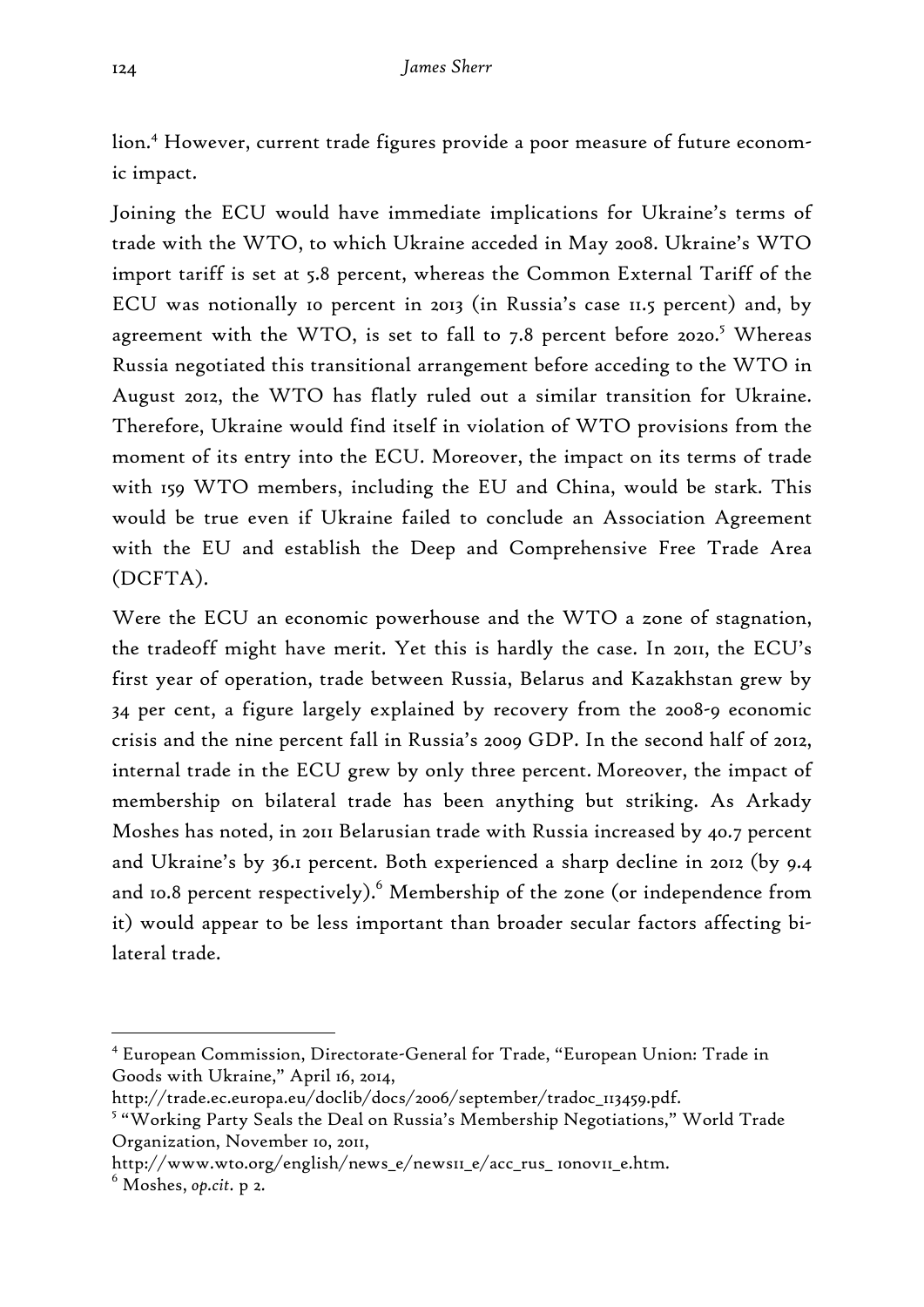lion.4 However, current trade figures provide a poor measure of future economic impact.

Joining the ECU would have immediate implications for Ukraine's terms of trade with the WTO, to which Ukraine acceded in May 2008. Ukraine's WTO import tariff is set at 5.8 percent, whereas the Common External Tariff of the ECU was notionally 10 percent in 2013 (in Russia's case 11.5 percent) and, by agreement with the WTO, is set to fall to 7.8 percent before 2020.<sup>5</sup> Whereas Russia negotiated this transitional arrangement before acceding to the WTO in August 2012, the WTO has flatly ruled out a similar transition for Ukraine. Therefore, Ukraine would find itself in violation of WTO provisions from the moment of its entry into the ECU. Moreover, the impact on its terms of trade with 159 WTO members, including the EU and China, would be stark. This would be true even if Ukraine failed to conclude an Association Agreement with the EU and establish the Deep and Comprehensive Free Trade Area (DCFTA).

Were the ECU an economic powerhouse and the WTO a zone of stagnation, the tradeoff might have merit. Yet this is hardly the case. In 2011, the ECU's first year of operation, trade between Russia, Belarus and Kazakhstan grew by 34 per cent, a figure largely explained by recovery from the 2008-9 economic crisis and the nine percent fall in Russia's 2009 GDP. In the second half of 2012, internal trade in the ECU grew by only three percent. Moreover, the impact of membership on bilateral trade has been anything but striking. As Arkady Moshes has noted, in 2011 Belarusian trade with Russia increased by 40.7 percent and Ukraine's by 36.1 percent. Both experienced a sharp decline in 2012 (by 9.4 and 10.8 percent respectively). $^6$  Membership of the zone (or independence from it) would appear to be less important than broader secular factors affecting bilateral trade.

<sup>4</sup> European Commission, Directorate-General for Trade, "European Union: Trade in Goods with Ukraine," April 16, 2014,

http://trade.ec.europa.eu/doclib/docs/2006/september/tradoc\_113459.pdf.

<sup>&</sup>lt;sup>5</sup> "Working Party Seals the Deal on Russia's Membership Negotiations," World Trade Organization, November 10, 2011,

http://www.wto.org/english/news\_e/news11\_e/acc\_rus\_ 10nov11\_e.htm.

<sup>6</sup> Moshes, *op.cit.* p 2.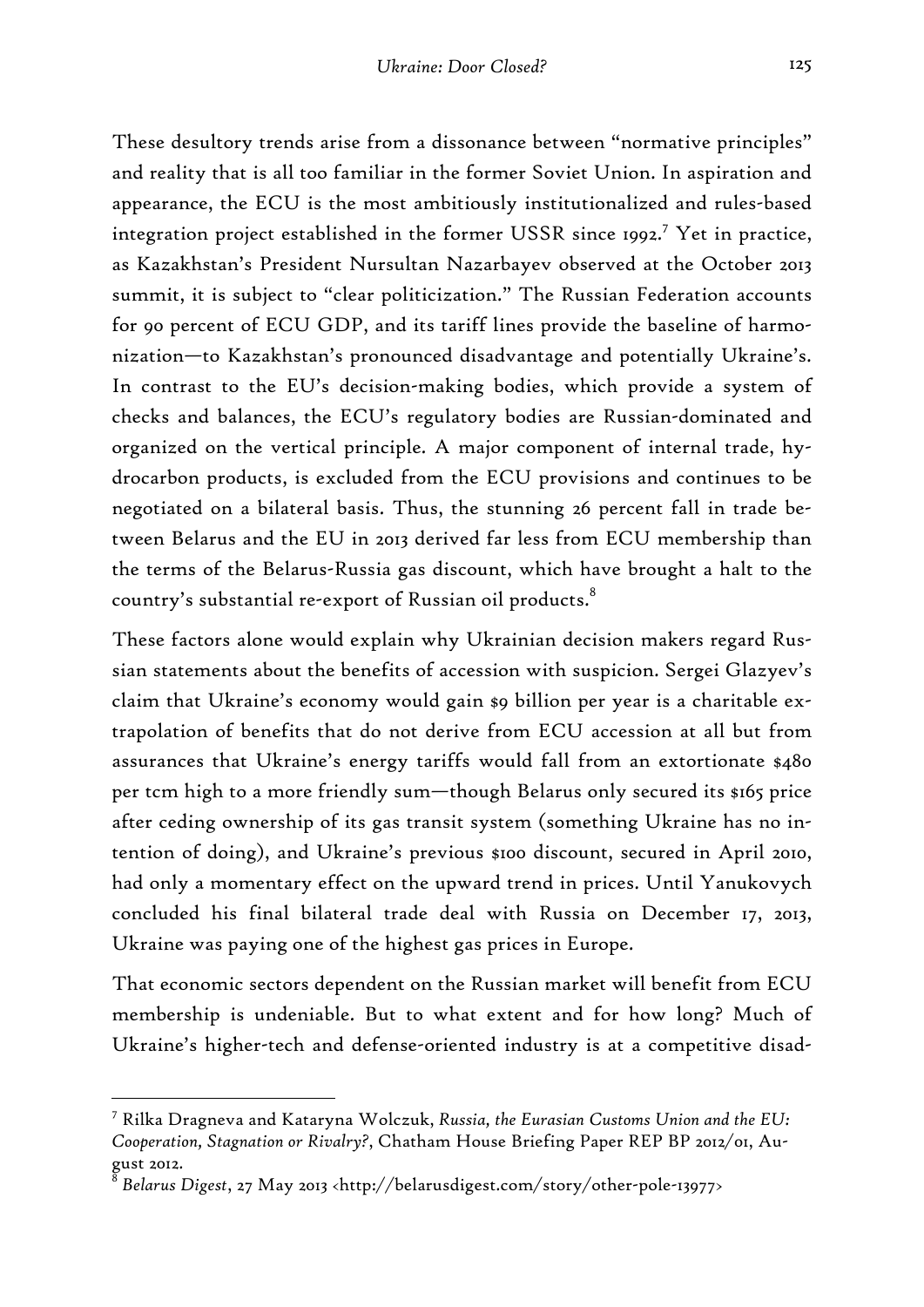These desultory trends arise from a dissonance between "normative principles" and reality that is all too familiar in the former Soviet Union. In aspiration and appearance, the ECU is the most ambitiously institutionalized and rules-based integration project established in the former USSR since 1992.<sup>7</sup> Yet in practice, as Kazakhstan's President Nursultan Nazarbayev observed at the October 2013 summit, it is subject to "clear politicization." The Russian Federation accounts for 90 percent of ECU GDP, and its tariff lines provide the baseline of harmonization—to Kazakhstan's pronounced disadvantage and potentially Ukraine's. In contrast to the EU's decision-making bodies, which provide a system of checks and balances, the ECU's regulatory bodies are Russian-dominated and organized on the vertical principle. A major component of internal trade, hydrocarbon products, is excluded from the ECU provisions and continues to be negotiated on a bilateral basis. Thus, the stunning 26 percent fall in trade between Belarus and the EU in 2013 derived far less from ECU membership than the terms of the Belarus-Russia gas discount, which have brought a halt to the country's substantial re-export of Russian oil products.<sup>8</sup>

These factors alone would explain why Ukrainian decision makers regard Russian statements about the benefits of accession with suspicion. Sergei Glazyev's claim that Ukraine's economy would gain \$9 billion per year is a charitable extrapolation of benefits that do not derive from ECU accession at all but from assurances that Ukraine's energy tariffs would fall from an extortionate \$480 per tcm high to a more friendly sum—though Belarus only secured its \$165 price after ceding ownership of its gas transit system (something Ukraine has no intention of doing), and Ukraine's previous \$100 discount, secured in April 2010, had only a momentary effect on the upward trend in prices. Until Yanukovych concluded his final bilateral trade deal with Russia on December 17, 2013, Ukraine was paying one of the highest gas prices in Europe.

That economic sectors dependent on the Russian market will benefit from ECU membership is undeniable. But to what extent and for how long? Much of Ukraine's higher-tech and defense-oriented industry is at a competitive disad-

<sup>7</sup> Rilka Dragneva and Kataryna Wolczuk, *Russia, the Eurasian Customs Union and the EU: Cooperation, Stagnation or Rivalry?*, Chatham House Briefing Paper REP BP 2012/01, August 2012.

<sup>8</sup> *Belarus Digest*, 27 May 2013 <http://belarusdigest.com/story/other-pole-13977>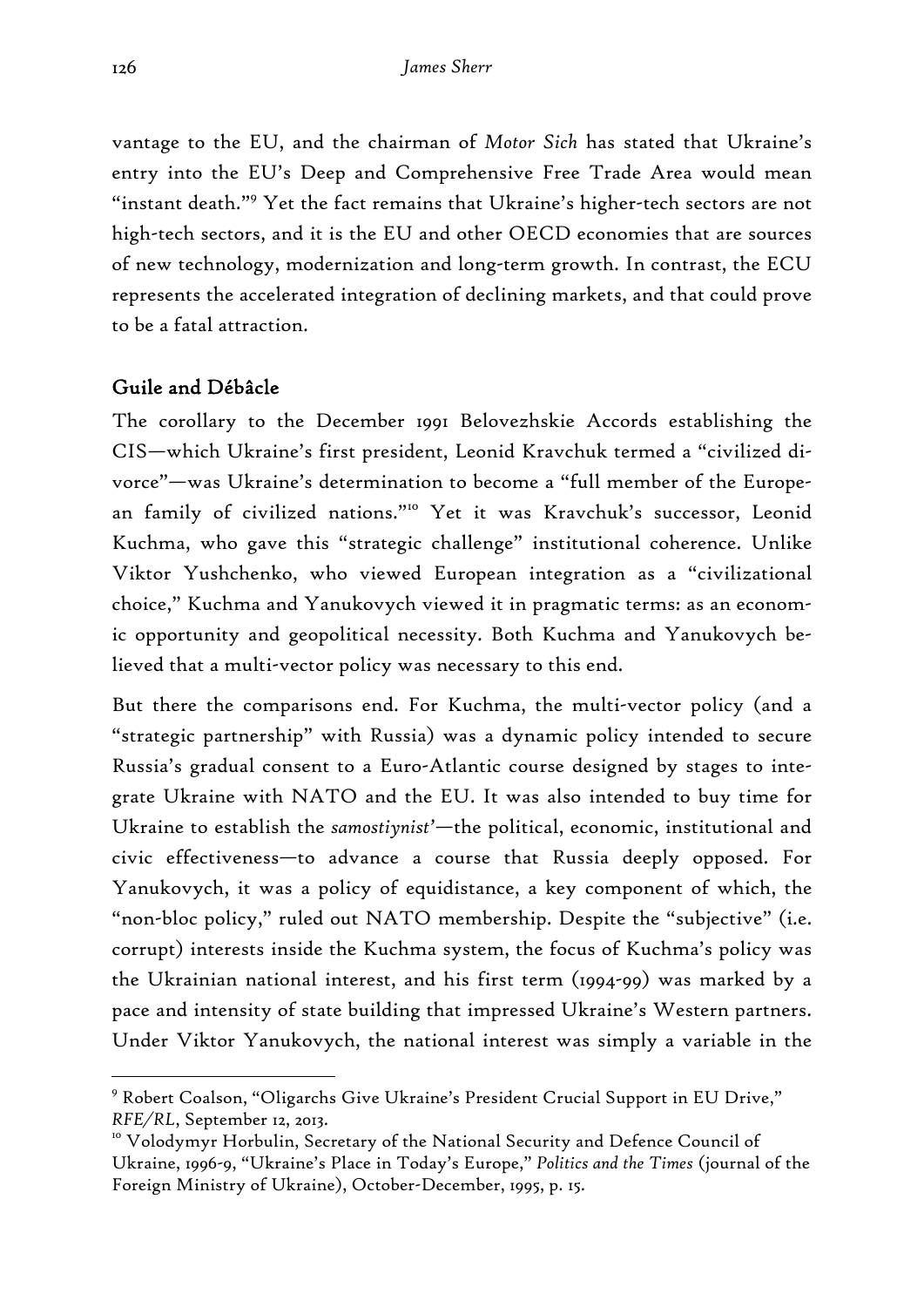vantage to the EU, and the chairman of *Motor Sich* has stated that Ukraine's entry into the EU's Deep and Comprehensive Free Trade Area would mean "instant death."<sup>9</sup> Yet the fact remains that Ukraine's higher-tech sectors are not high-tech sectors, and it is the EU and other OECD economies that are sources of new technology, modernization and long-term growth. In contrast, the ECU represents the accelerated integration of declining markets, and that could prove to be a fatal attraction.

# Guile and Débâcle

The corollary to the December 1991 Belovezhskie Accords establishing the CIS—which Ukraine's first president, Leonid Kravchuk termed a "civilized divorce"—was Ukraine's determination to become a "full member of the European family of civilized nations."<sup>10</sup> Yet it was Kravchuk's successor, Leonid Kuchma, who gave this "strategic challenge" institutional coherence. Unlike Viktor Yushchenko, who viewed European integration as a "civilizational choice," Kuchma and Yanukovych viewed it in pragmatic terms: as an economic opportunity and geopolitical necessity. Both Kuchma and Yanukovych believed that a multi-vector policy was necessary to this end.

But there the comparisons end. For Kuchma, the multi-vector policy (and a "strategic partnership" with Russia) was a dynamic policy intended to secure Russia's gradual consent to a Euro-Atlantic course designed by stages to integrate Ukraine with NATO and the EU. It was also intended to buy time for Ukraine to establish the *samostiynist'*—the political, economic, institutional and civic effectiveness—to advance a course that Russia deeply opposed. For Yanukovych, it was a policy of equidistance, a key component of which, the "non-bloc policy," ruled out NATO membership. Despite the "subjective" (i.e. corrupt) interests inside the Kuchma system, the focus of Kuchma's policy was the Ukrainian national interest, and his first term (1994-99) was marked by a pace and intensity of state building that impressed Ukraine's Western partners. Under Viktor Yanukovych, the national interest was simply a variable in the

<sup>&</sup>lt;sup>9</sup> Robert Coalson, "Oligarchs Give Ukraine's President Crucial Support in EU Drive,"

*RFE/RL*, September 12, 2013.<br><sup>10</sup> Volodymyr Horbulin, Secretary of the National Security and Defence Council of Ukraine, 1996-9, "Ukraine's Place in Today's Europe," *Politics and the Times* (journal of the Foreign Ministry of Ukraine), October-December, 1995, p. 15.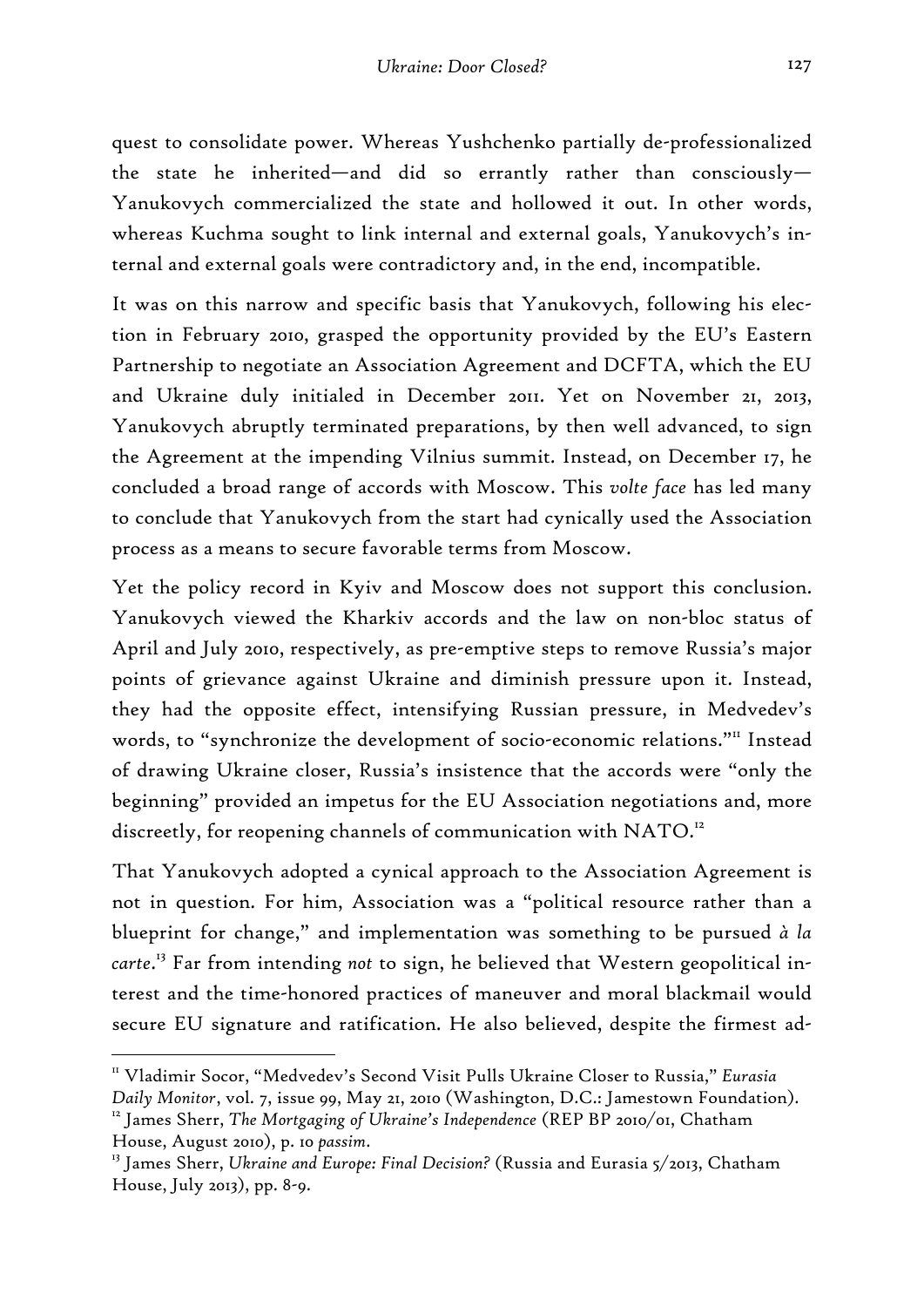quest to consolidate power. Whereas Yushchenko partially de-professionalized the state he inherited—and did so errantly rather than consciously— Yanukovych commercialized the state and hollowed it out. In other words, whereas Kuchma sought to link internal and external goals, Yanukovych's internal and external goals were contradictory and, in the end, incompatible.

It was on this narrow and specific basis that Yanukovych, following his election in February 2010, grasped the opportunity provided by the EU's Eastern Partnership to negotiate an Association Agreement and DCFTA, which the EU and Ukraine duly initialed in December 2011. Yet on November 21, 2013, Yanukovych abruptly terminated preparations, by then well advanced, to sign the Agreement at the impending Vilnius summit. Instead, on December 17, he concluded a broad range of accords with Moscow. This *volte face* has led many to conclude that Yanukovych from the start had cynically used the Association process as a means to secure favorable terms from Moscow.

Yet the policy record in Kyiv and Moscow does not support this conclusion. Yanukovych viewed the Kharkiv accords and the law on non-bloc status of April and July 2010, respectively, as pre-emptive steps to remove Russia's major points of grievance against Ukraine and diminish pressure upon it. Instead, they had the opposite effect, intensifying Russian pressure, in Medvedev's words, to "synchronize the development of socio-economic relations."" Instead of drawing Ukraine closer, Russia's insistence that the accords were "only the beginning" provided an impetus for the EU Association negotiations and, more discreetly, for reopening channels of communication with NATO.<sup>12</sup>

That Yanukovych adopted a cynical approach to the Association Agreement is not in question. For him, Association was a "political resource rather than a blueprint for change," and implementation was something to be pursued *à la carte*. 13 Far from intending *not* to sign, he believed that Western geopolitical interest and the time-honored practices of maneuver and moral blackmail would secure EU signature and ratification. He also believed, despite the firmest ad-

<sup>11</sup> Vladimir Socor, "Medvedev's Second Visit Pulls Ukraine Closer to Russia," *Eurasia* 

*Daily Monitor*, vol. 7, issue 99, May 21, 2010 (Washington, D.C.: Jamestown Foundation). 12 James Sherr, *The Mortgaging of Ukraine's Independence* (REP BP 2010/01, Chatham House, August 2010), p. 10 *passim*. 13 James Sherr, *Ukraine and Europe: Final Decision?* (Russia and Eurasia 5/2013, Chatham

House, July 2013), pp. 8-9.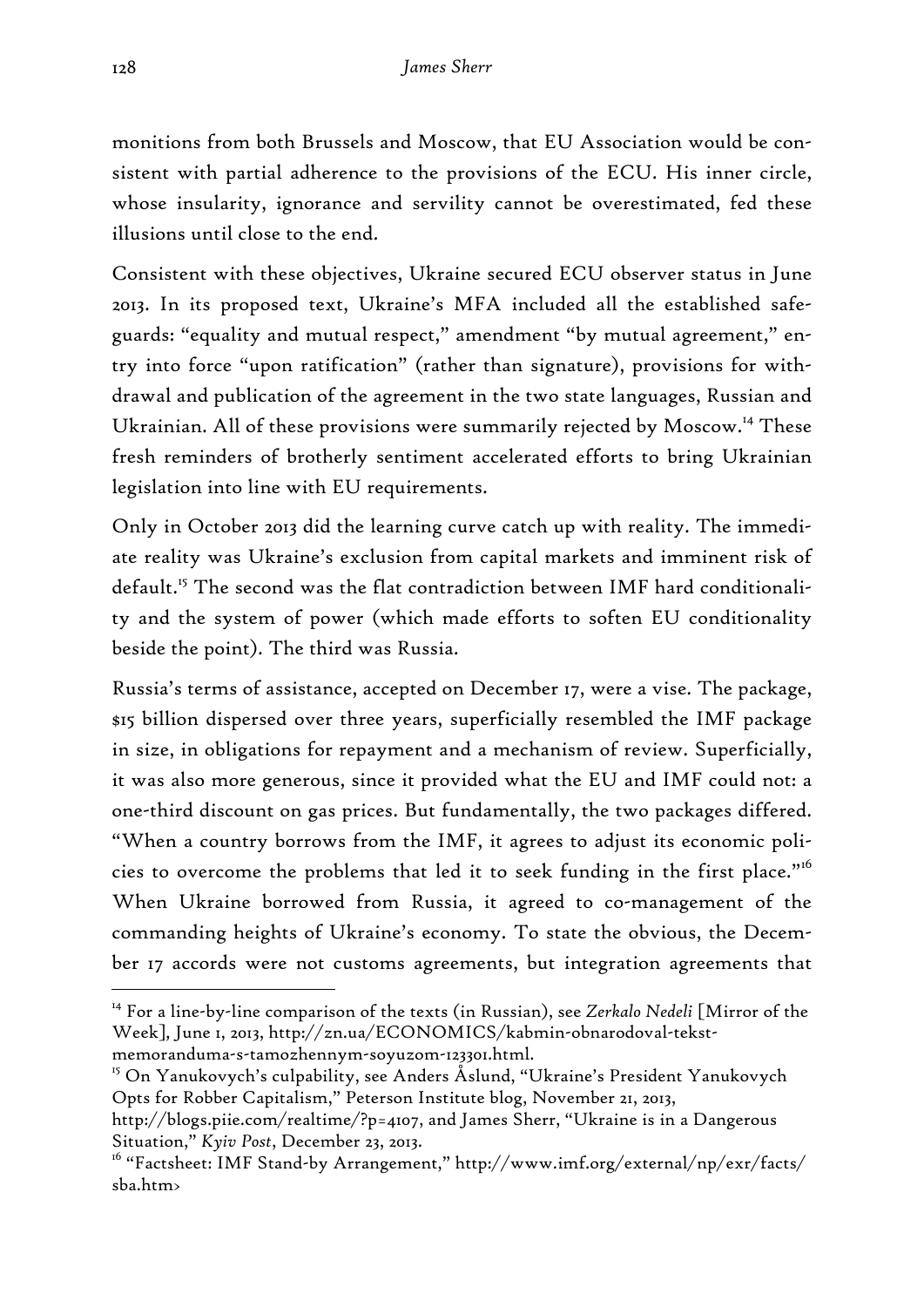monitions from both Brussels and Moscow, that EU Association would be consistent with partial adherence to the provisions of the ECU. His inner circle, whose insularity, ignorance and servility cannot be overestimated, fed these illusions until close to the end.

Consistent with these objectives, Ukraine secured ECU observer status in June 2013. In its proposed text, Ukraine's MFA included all the established safeguards: "equality and mutual respect," amendment "by mutual agreement," entry into force "upon ratification" (rather than signature), provisions for withdrawal and publication of the agreement in the two state languages, Russian and Ukrainian. All of these provisions were summarily rejected by Moscow.<sup>14</sup> These fresh reminders of brotherly sentiment accelerated efforts to bring Ukrainian legislation into line with EU requirements.

Only in October 2013 did the learning curve catch up with reality. The immediate reality was Ukraine's exclusion from capital markets and imminent risk of default.15 The second was the flat contradiction between IMF hard conditionality and the system of power (which made efforts to soften EU conditionality beside the point). The third was Russia.

Russia's terms of assistance, accepted on December 17, were a vise. The package, \$15 billion dispersed over three years, superficially resembled the IMF package in size, in obligations for repayment and a mechanism of review. Superficially, it was also more generous, since it provided what the EU and IMF could not: a one-third discount on gas prices. But fundamentally, the two packages differed. "When a country borrows from the IMF, it agrees to adjust its economic policies to overcome the problems that led it to seek funding in the first place."<sup>16</sup> When Ukraine borrowed from Russia, it agreed to co-management of the commanding heights of Ukraine's economy. To state the obvious, the December 17 accords were not customs agreements, but integration agreements that

<sup>15</sup> On Yanukovych's culpability, see Anders Åslund, "Ukraine's President Yanukovych Opts for Robber Capitalism," Peterson Institute blog, November 21, 2013,

<sup>14</sup> For a line-by-line comparison of the texts (in Russian), see *Zerkalo Nedeli* [Mirror of the Week]*,* June 1, 2013, http://zn.ua/ECONOMICS/kabmin-obnarodoval-tekstmemoranduma-s-tamozhennym-soyuzom-123301.html.

http://blogs.piie.com/realtime/?p=4107, and James Sherr, "Ukraine is in a Dangerous Situation," *Kyiv Post*, December 23, 2013.

<sup>&</sup>lt;sup>16</sup> "Factsheet: IMF Stand-by Arrangement," http://www.imf.org/external/np/exr/facts/ sba.htm>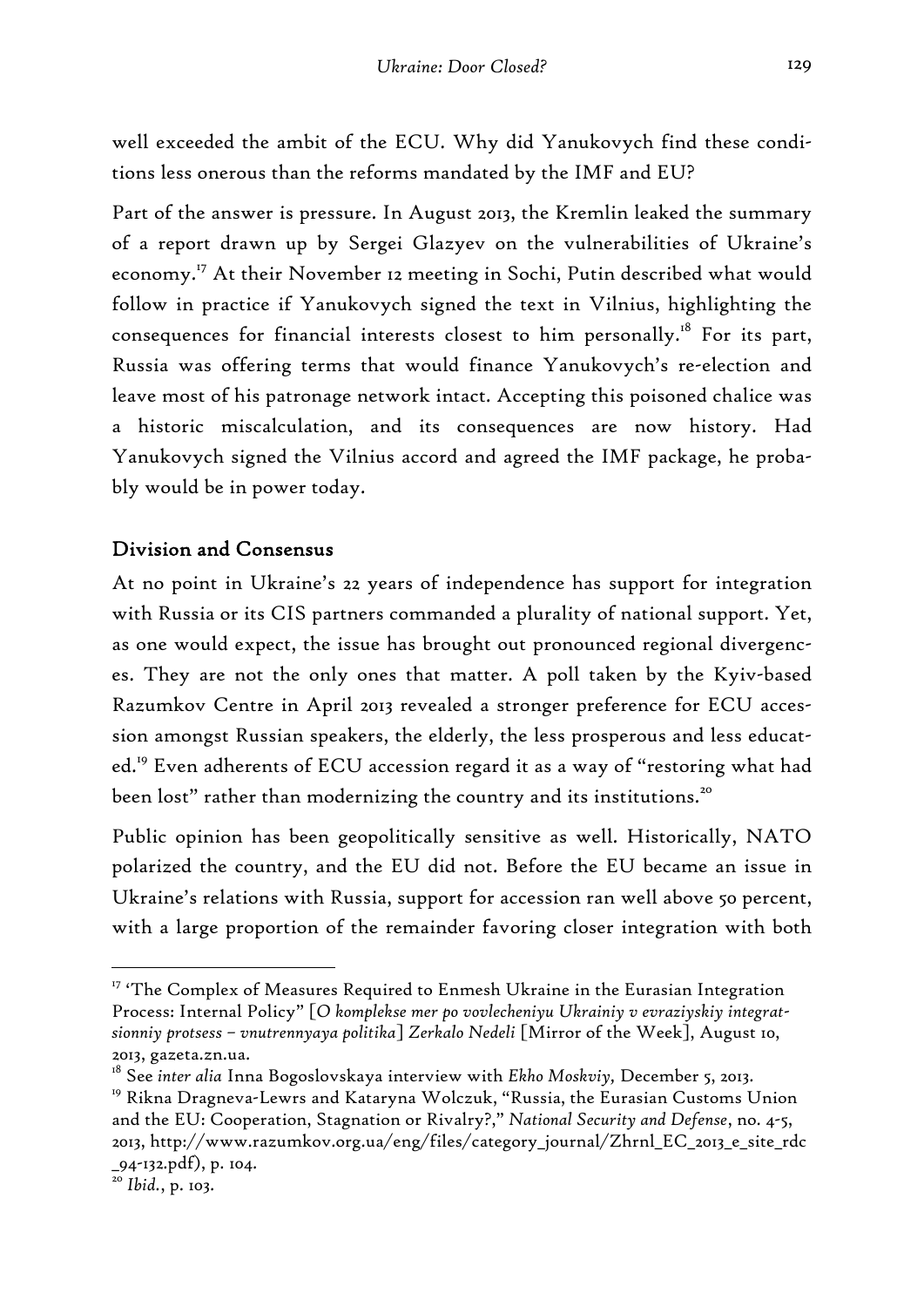well exceeded the ambit of the ECU. Why did Yanukovych find these conditions less onerous than the reforms mandated by the IMF and EU?

Part of the answer is pressure. In August 2013, the Kremlin leaked the summary of a report drawn up by Sergei Glazyev on the vulnerabilities of Ukraine's economy.<sup>17</sup> At their November 12 meeting in Sochi, Putin described what would follow in practice if Yanukovych signed the text in Vilnius, highlighting the consequences for financial interests closest to him personally.<sup>18</sup> For its part, Russia was offering terms that would finance Yanukovych's re-election and leave most of his patronage network intact. Accepting this poisoned chalice was a historic miscalculation, and its consequences are now history. Had Yanukovych signed the Vilnius accord and agreed the IMF package, he probably would be in power today.

# Division and Consensus

At no point in Ukraine's 22 years of independence has support for integration with Russia or its CIS partners commanded a plurality of national support. Yet, as one would expect, the issue has brought out pronounced regional divergences. They are not the only ones that matter. A poll taken by the Kyiv-based Razumkov Centre in April 2013 revealed a stronger preference for ECU accession amongst Russian speakers, the elderly, the less prosperous and less educated.19 Even adherents of ECU accession regard it as a way of "restoring what had been lost" rather than modernizing the country and its institutions.<sup>20</sup>

Public opinion has been geopolitically sensitive as well. Historically, NATO polarized the country, and the EU did not. Before the EU became an issue in Ukraine's relations with Russia, support for accession ran well above 50 percent, with a large proportion of the remainder favoring closer integration with both

<sup>&</sup>lt;sup>17</sup> 'The Complex of Measures Required to Enmesh Ukraine in the Eurasian Integration Process: Internal Policy" [*O komplekse mer po vovlecheniyu Ukrainiy v evraziyskiy integratsionniy protsess – vnutrennyaya politika*] *Zerkalo Nedeli* [Mirror of the Week], August 10, 2013, gazeta.zn.ua.

<sup>18</sup> See *inter alia* Inna Bogoslovskaya interview with *Ekho Moskviy,* December 5, 2013.

<sup>&</sup>lt;sup>19</sup> Rikna Dragneva-Lewrs and Kataryna Wolczuk, "Russia, the Eurasian Customs Union and the EU: Cooperation, Stagnation or Rivalry?," *National Security and Defense*, no. 4-5, 2013, http://www.razumkov.org.ua/eng/files/category\_journal/Zhrnl\_EC\_2013\_e\_site\_rdc \_94-132.pdf), p. 104.

<sup>20</sup> *Ibid.*, p. 103.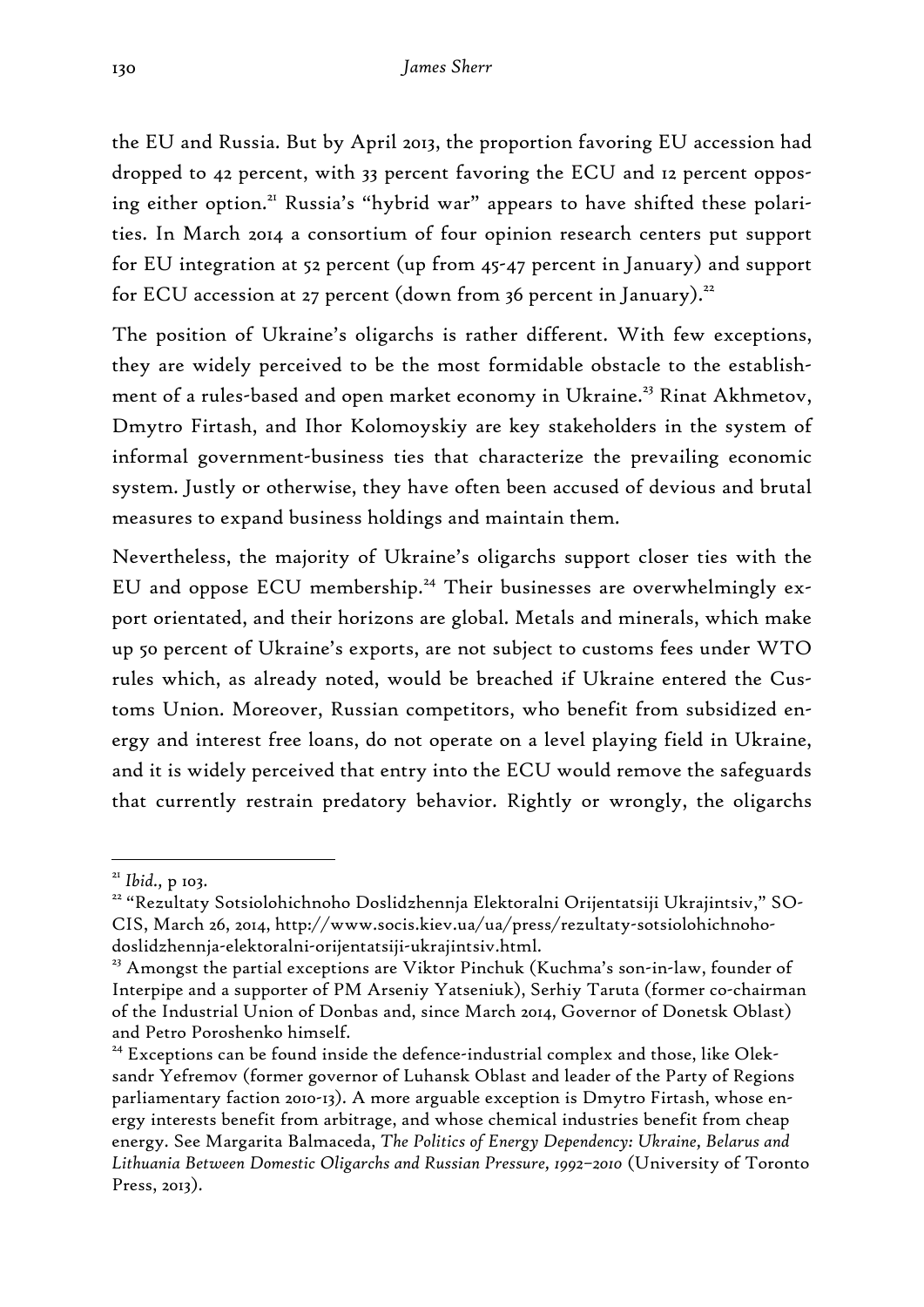the EU and Russia. But by April 2013, the proportion favoring EU accession had dropped to 42 percent, with 33 percent favoring the ECU and 12 percent opposing either option.<sup>21</sup> Russia's "hybrid war" appears to have shifted these polarities. In March 2014 a consortium of four opinion research centers put support for EU integration at 52 percent (up from 45-47 percent in January) and support for ECU accession at 27 percent (down from 36 percent in January).<sup>22</sup>

The position of Ukraine's oligarchs is rather different. With few exceptions, they are widely perceived to be the most formidable obstacle to the establishment of a rules-based and open market economy in Ukraine.<sup>23</sup> Rinat Akhmetov, Dmytro Firtash, and Ihor Kolomoyskiy are key stakeholders in the system of informal government-business ties that characterize the prevailing economic system. Justly or otherwise, they have often been accused of devious and brutal measures to expand business holdings and maintain them.

Nevertheless, the majority of Ukraine's oligarchs support closer ties with the EU and oppose ECU membership.<sup>24</sup> Their businesses are overwhelmingly export orientated, and their horizons are global. Metals and minerals, which make up 50 percent of Ukraine's exports, are not subject to customs fees under WTO rules which, as already noted, would be breached if Ukraine entered the Customs Union. Moreover, Russian competitors, who benefit from subsidized energy and interest free loans, do not operate on a level playing field in Ukraine, and it is widely perceived that entry into the ECU would remove the safeguards that currently restrain predatory behavior. Rightly or wrongly, the oligarchs

<sup>&</sup>lt;sup>21</sup> Ibid., p 103.<br><sup>22</sup> "Rezultaty Sotsiolohichnoho Doslidzhennja Elektoralni Orijentatsiji Ukrajintsiv," SO-CIS, March 26, 2014, http://www.socis.kiev.ua/ua/press/rezultaty-sotsiolohichnohodoslidzhennja-elektoralni-orijentatsiji-ukrajintsiv.html.

<sup>&</sup>lt;sup>23</sup> Amongst the partial exceptions are Viktor Pinchuk (Kuchma's son-in-law, founder of Interpipe and a supporter of PM Arseniy Yatseniuk), Serhiy Taruta (former co-chairman of the Industrial Union of Donbas and, since March 2014, Governor of Donetsk Oblast) and Petro Poroshenko himself.

<sup>&</sup>lt;sup>24</sup> Exceptions can be found inside the defence-industrial complex and those, like Oleksandr Yefremov (former governor of Luhansk Oblast and leader of the Party of Regions parliamentary faction 2010-13). A more arguable exception is Dmytro Firtash, whose energy interests benefit from arbitrage, and whose chemical industries benefit from cheap energy. See Margarita Balmaceda, *The Politics of Energy Dependency: Ukraine, Belarus and Lithuania Between Domestic Oligarchs and Russian Pressure, 1992–2010* (University of Toronto Press, 2013).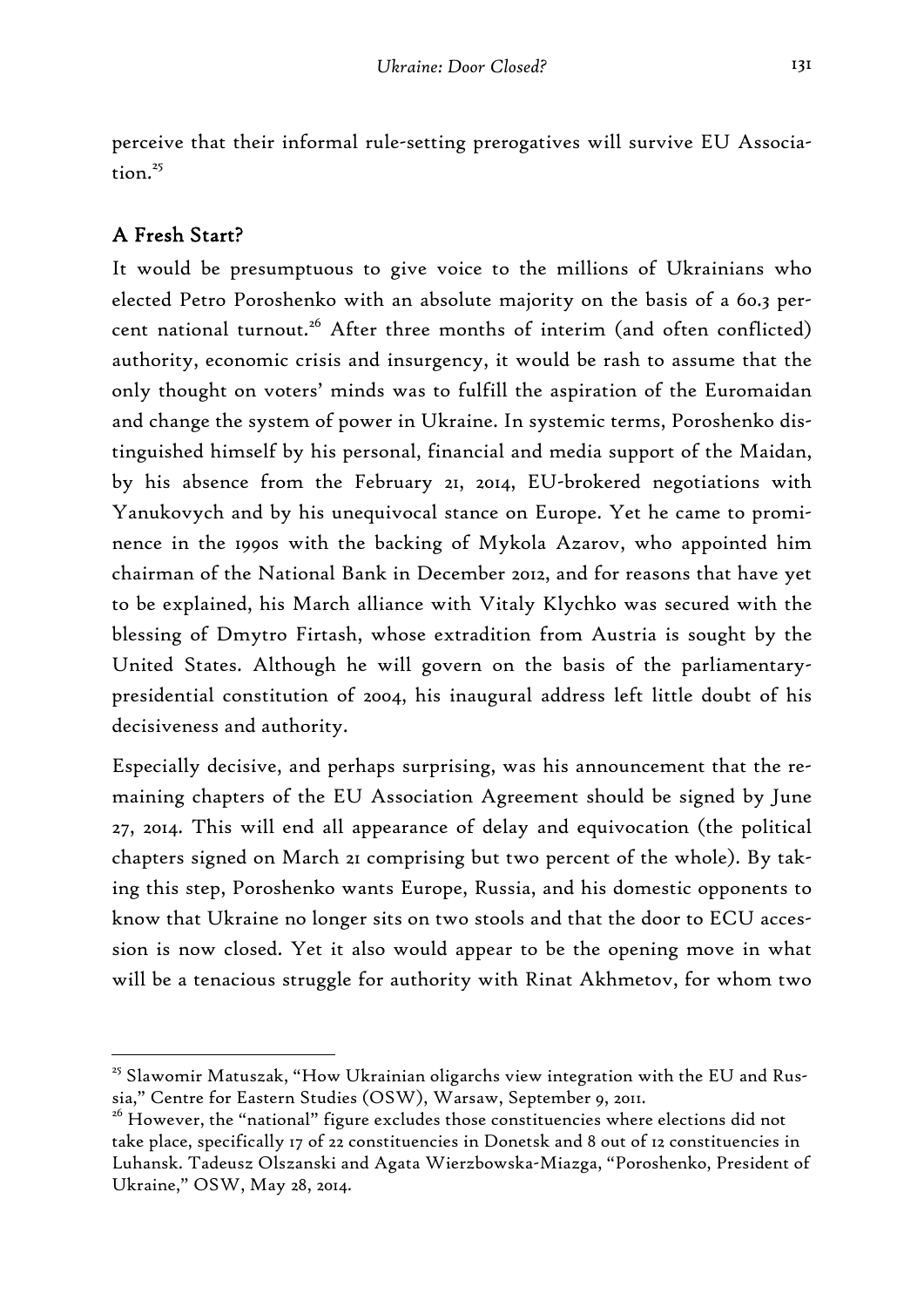perceive that their informal rule-setting prerogatives will survive EU Association.<sup>25</sup>

# A Fresh Start?

-

It would be presumptuous to give voice to the millions of Ukrainians who elected Petro Poroshenko with an absolute majority on the basis of a 60.3 percent national turnout.<sup>26</sup> After three months of interim (and often conflicted) authority, economic crisis and insurgency, it would be rash to assume that the only thought on voters' minds was to fulfill the aspiration of the Euromaidan and change the system of power in Ukraine. In systemic terms, Poroshenko distinguished himself by his personal, financial and media support of the Maidan, by his absence from the February 21, 2014, EU-brokered negotiations with Yanukovych and by his unequivocal stance on Europe. Yet he came to prominence in the 1990s with the backing of Mykola Azarov, who appointed him chairman of the National Bank in December 2012, and for reasons that have yet to be explained, his March alliance with Vitaly Klychko was secured with the blessing of Dmytro Firtash, whose extradition from Austria is sought by the United States. Although he will govern on the basis of the parliamentarypresidential constitution of 2004, his inaugural address left little doubt of his decisiveness and authority.

Especially decisive, and perhaps surprising, was his announcement that the remaining chapters of the EU Association Agreement should be signed by June 27, 2014. This will end all appearance of delay and equivocation (the political chapters signed on March 21 comprising but two percent of the whole). By taking this step, Poroshenko wants Europe, Russia, and his domestic opponents to know that Ukraine no longer sits on two stools and that the door to ECU accession is now closed. Yet it also would appear to be the opening move in what will be a tenacious struggle for authority with Rinat Akhmetov, for whom two

 $25$  Slawomir Matuszak, "How Ukrainian oligarchs view integration with the EU and Russia," Centre for Eastern Studies (OSW), Warsaw, September 9, 2011.

<sup>&</sup>lt;sup>26</sup> However, the "national" figure excludes those constituencies where elections did not take place, specifically 17 of 22 constituencies in Donetsk and 8 out of 12 constituencies in Luhansk. Tadeusz Olszanski and Agata Wierzbowska-Miazga, "Poroshenko, President of Ukraine," OSW, May 28, 2014.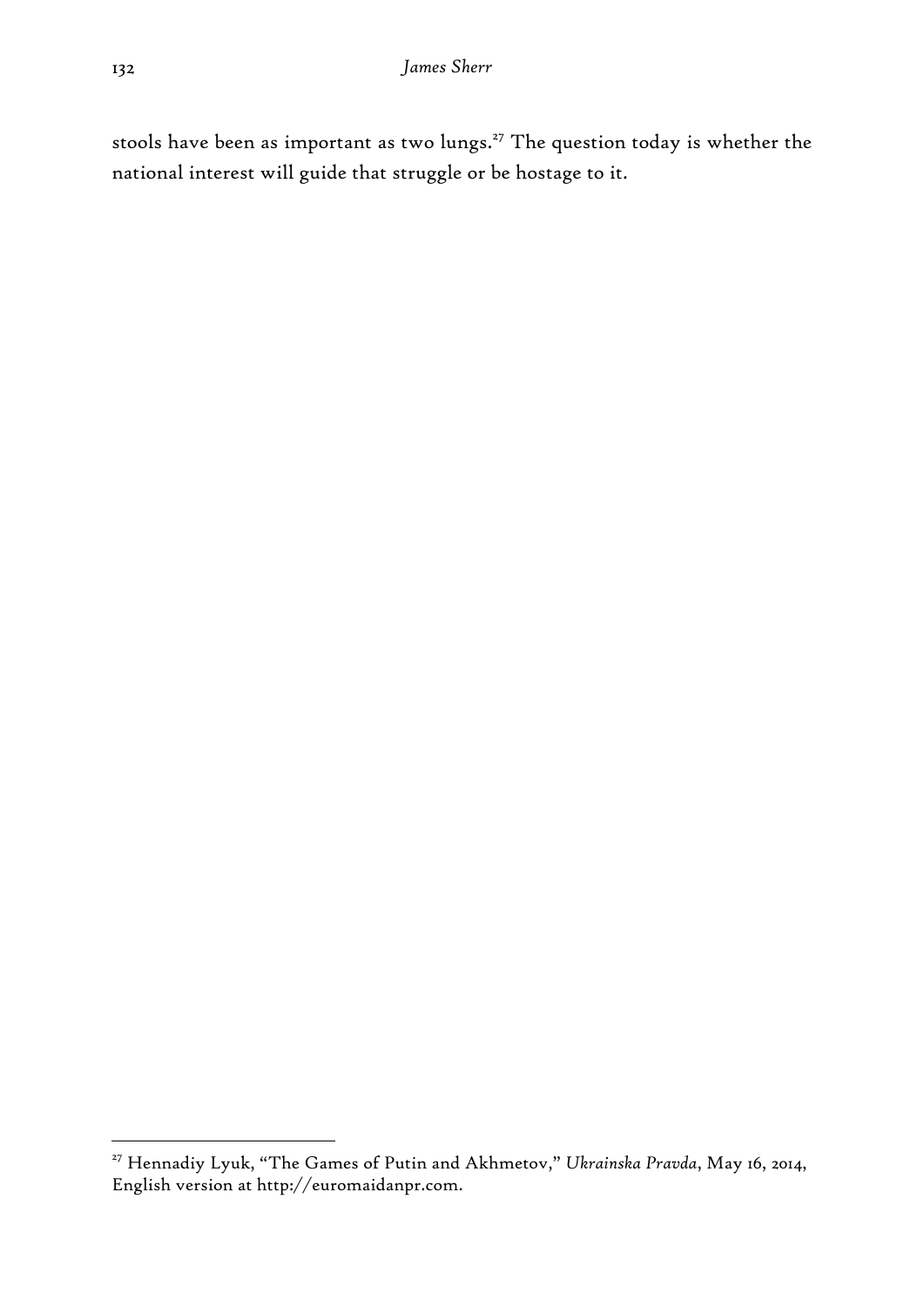stools have been as important as two lungs.<sup>27</sup> The question today is whether the national interest will guide that struggle or be hostage to it.

<sup>27</sup> Hennadiy Lyuk, "The Games of Putin and Akhmetov," *Ukrainska Pravda*, May 16, 2014, English version at http://euromaidanpr.com.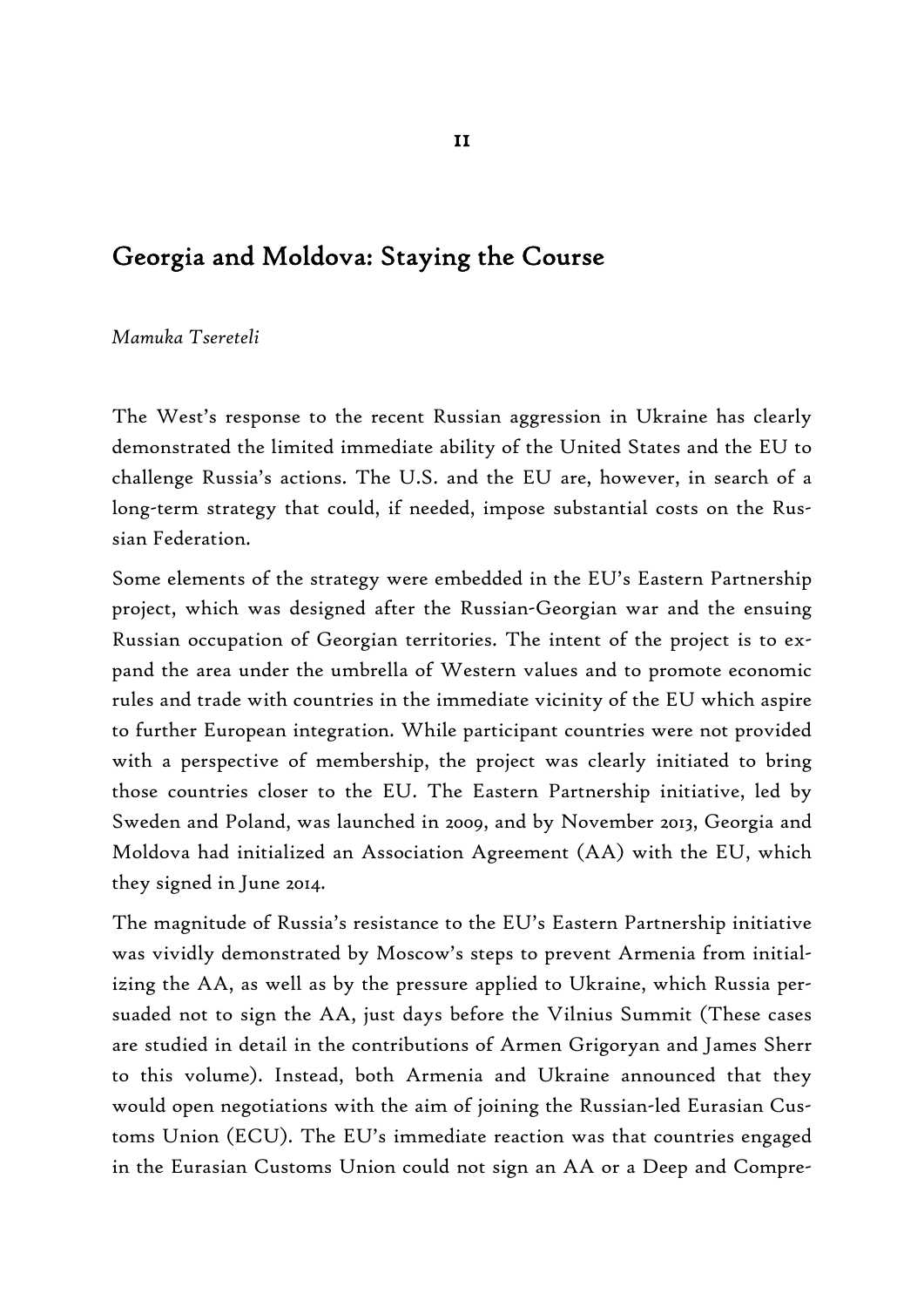# Georgia and Moldova: Staying the Course

#### *Mamuka Tsereteli*

The West's response to the recent Russian aggression in Ukraine has clearly demonstrated the limited immediate ability of the United States and the EU to challenge Russia's actions. The U.S. and the EU are, however, in search of a long-term strategy that could, if needed, impose substantial costs on the Russian Federation.

Some elements of the strategy were embedded in the EU's Eastern Partnership project, which was designed after the Russian-Georgian war and the ensuing Russian occupation of Georgian territories. The intent of the project is to expand the area under the umbrella of Western values and to promote economic rules and trade with countries in the immediate vicinity of the EU which aspire to further European integration. While participant countries were not provided with a perspective of membership, the project was clearly initiated to bring those countries closer to the EU. The Eastern Partnership initiative, led by Sweden and Poland, was launched in 2009, and by November 2013, Georgia and Moldova had initialized an Association Agreement (AA) with the EU, which they signed in June 2014.

The magnitude of Russia's resistance to the EU's Eastern Partnership initiative was vividly demonstrated by Moscow's steps to prevent Armenia from initializing the AA, as well as by the pressure applied to Ukraine, which Russia persuaded not to sign the AA, just days before the Vilnius Summit (These cases are studied in detail in the contributions of Armen Grigoryan and James Sherr to this volume). Instead, both Armenia and Ukraine announced that they would open negotiations with the aim of joining the Russian-led Eurasian Customs Union (ECU). The EU's immediate reaction was that countries engaged in the Eurasian Customs Union could not sign an AA or a Deep and Compre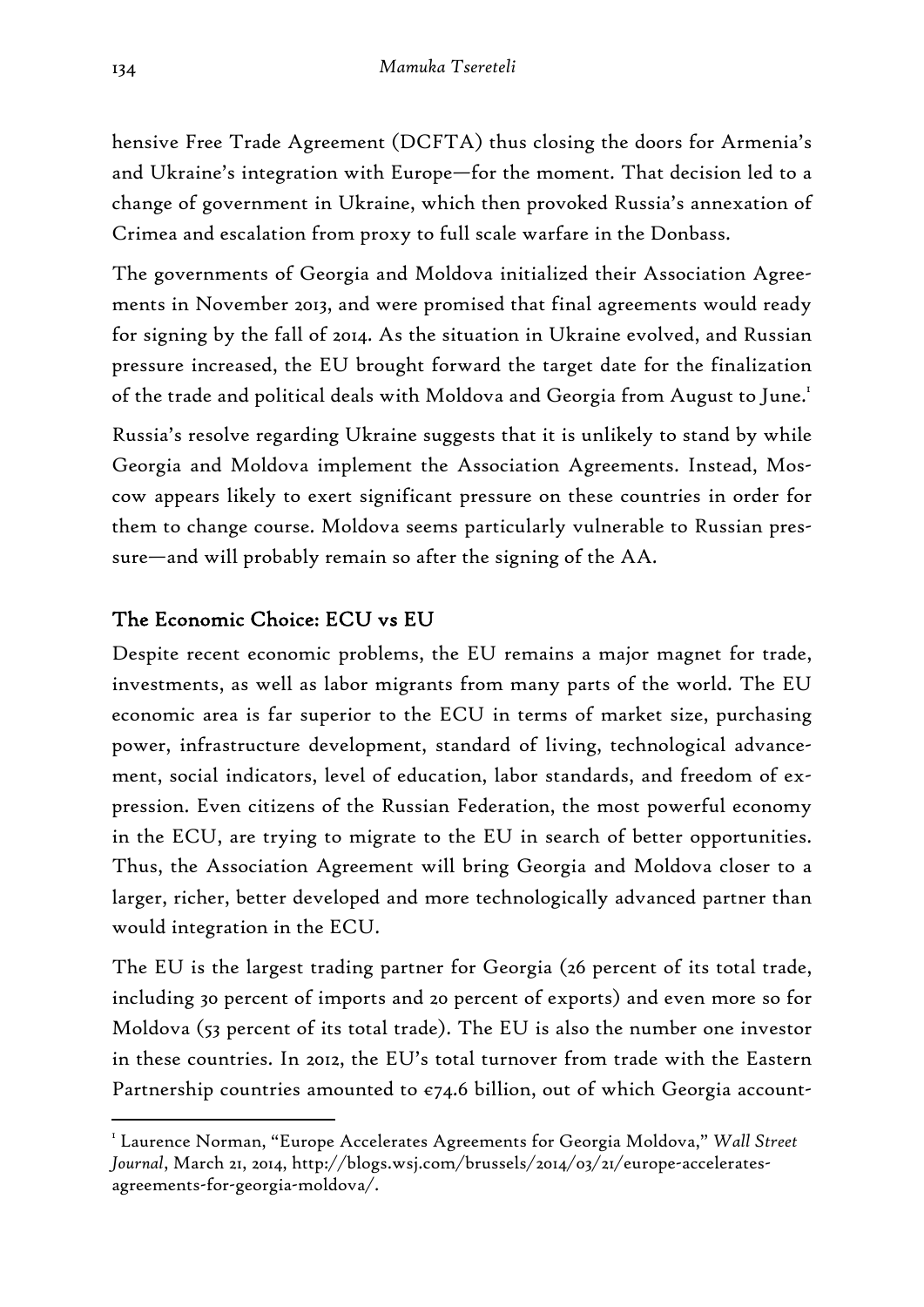hensive Free Trade Agreement (DCFTA) thus closing the doors for Armenia's and Ukraine's integration with Europe—for the moment. That decision led to a change of government in Ukraine, which then provoked Russia's annexation of Crimea and escalation from proxy to full scale warfare in the Donbass.

The governments of Georgia and Moldova initialized their Association Agreements in November 2013, and were promised that final agreements would ready for signing by the fall of 2014. As the situation in Ukraine evolved, and Russian pressure increased, the EU brought forward the target date for the finalization of the trade and political deals with Moldova and Georgia from August to June.<sup>1</sup>

Russia's resolve regarding Ukraine suggests that it is unlikely to stand by while Georgia and Moldova implement the Association Agreements. Instead, Moscow appears likely to exert significant pressure on these countries in order for them to change course. Moldova seems particularly vulnerable to Russian pressure—and will probably remain so after the signing of the AA.

## The Economic Choice: ECU vs EU

Despite recent economic problems, the EU remains a major magnet for trade, investments, as well as labor migrants from many parts of the world. The EU economic area is far superior to the ECU in terms of market size, purchasing power, infrastructure development, standard of living, technological advancement, social indicators, level of education, labor standards, and freedom of expression. Even citizens of the Russian Federation, the most powerful economy in the ECU, are trying to migrate to the EU in search of better opportunities. Thus, the Association Agreement will bring Georgia and Moldova closer to a larger, richer, better developed and more technologically advanced partner than would integration in the ECU.

The EU is the largest trading partner for Georgia (26 percent of its total trade, including 30 percent of imports and 20 percent of exports) and even more so for Moldova (53 percent of its total trade). The EU is also the number one investor in these countries. In 2012, the EU's total turnover from trade with the Eastern Partnership countries amounted to  $\varepsilon$ 74.6 billion, out of which Georgia account-

<sup>1</sup> Laurence Norman, "Europe Accelerates Agreements for Georgia Moldova," *Wall Street Journal*, March 21, 2014, http://blogs.wsj.com/brussels/2014/03/21/europe-acceleratesagreements-for-georgia-moldova/.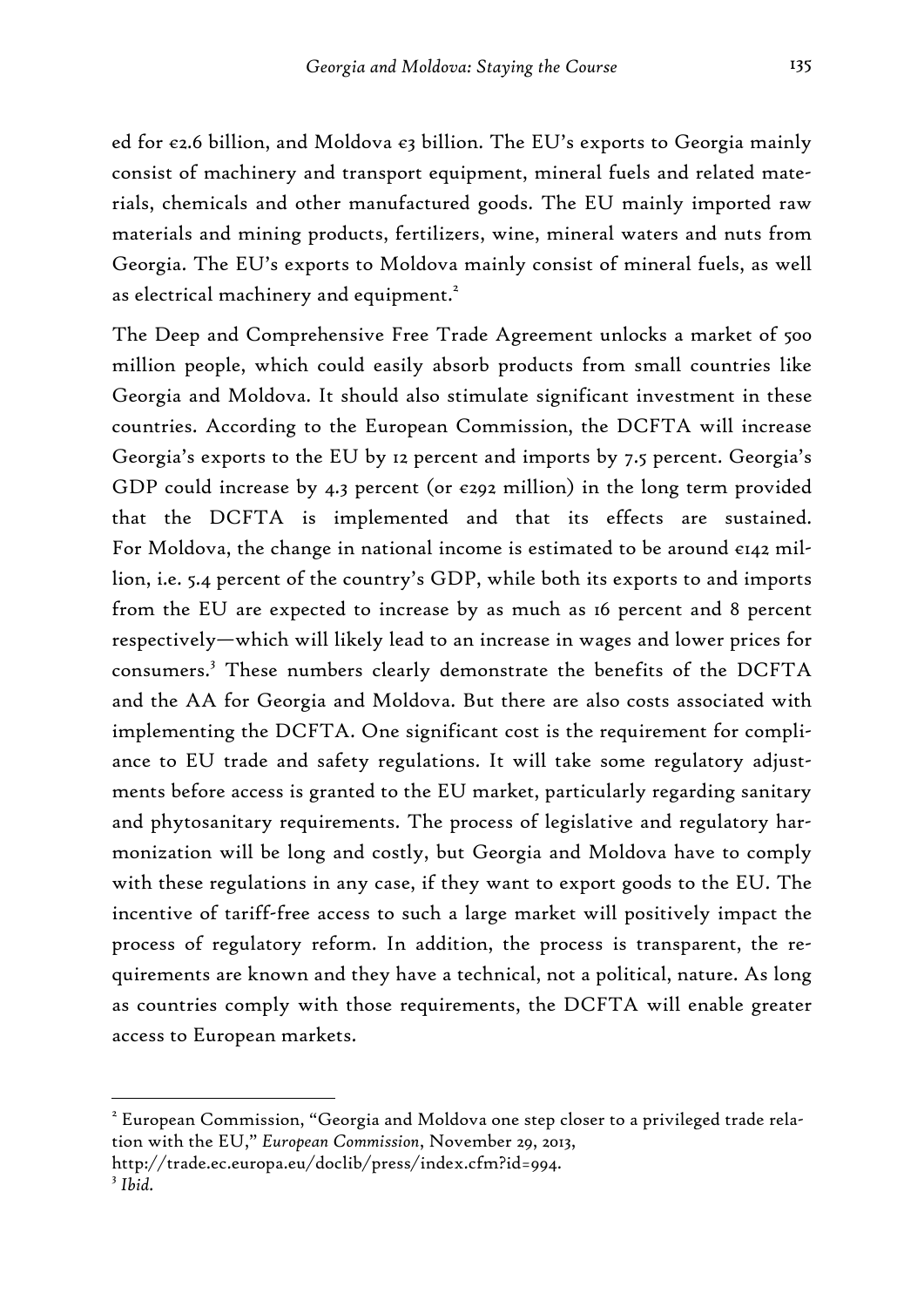ed for  $e_2$ .6 billion, and Moldova  $e_3$  billion. The EU's exports to Georgia mainly consist of machinery and transport equipment, mineral fuels and related materials, chemicals and other manufactured goods. The EU mainly imported raw materials and mining products, fertilizers, wine, mineral waters and nuts from Georgia. The EU's exports to Moldova mainly consist of mineral fuels, as well as electrical machinery and equipment.<sup>2</sup>

The Deep and Comprehensive Free Trade Agreement unlocks a market of 500 million people, which could easily absorb products from small countries like Georgia and Moldova. It should also stimulate significant investment in these countries. According to the European Commission, the DCFTA will increase Georgia's exports to the EU by 12 percent and imports by 7.5 percent. Georgia's GDP could increase by 4.3 percent (or  $\epsilon$ 292 million) in the long term provided that the DCFTA is implemented and that its effects are sustained. For Moldova, the change in national income is estimated to be around €142 million, i.e. 5.4 percent of the country's GDP, while both its exports to and imports from the EU are expected to increase by as much as 16 percent and 8 percent respectively—which will likely lead to an increase in wages and lower prices for consumers.<sup>3</sup> These numbers clearly demonstrate the benefits of the DCFTA and the AA for Georgia and Moldova. But there are also costs associated with implementing the DCFTA. One significant cost is the requirement for compliance to EU trade and safety regulations. It will take some regulatory adjustments before access is granted to the EU market, particularly regarding sanitary and phytosanitary requirements. The process of legislative and regulatory harmonization will be long and costly, but Georgia and Moldova have to comply with these regulations in any case, if they want to export goods to the EU. The incentive of tariff-free access to such a large market will positively impact the process of regulatory reform. In addition, the process is transparent, the requirements are known and they have a technical, not a political, nature. As long as countries comply with those requirements, the DCFTA will enable greater access to European markets.

 $^{\text{2}}$  European Commission, "Georgia and Moldova one step closer to a privileged trade relation with the EU," *European Commission*, November 29, 2013,

http://trade.ec.europa.eu/doclib/press/index.cfm?id=994.

<sup>3</sup> *Ibid.*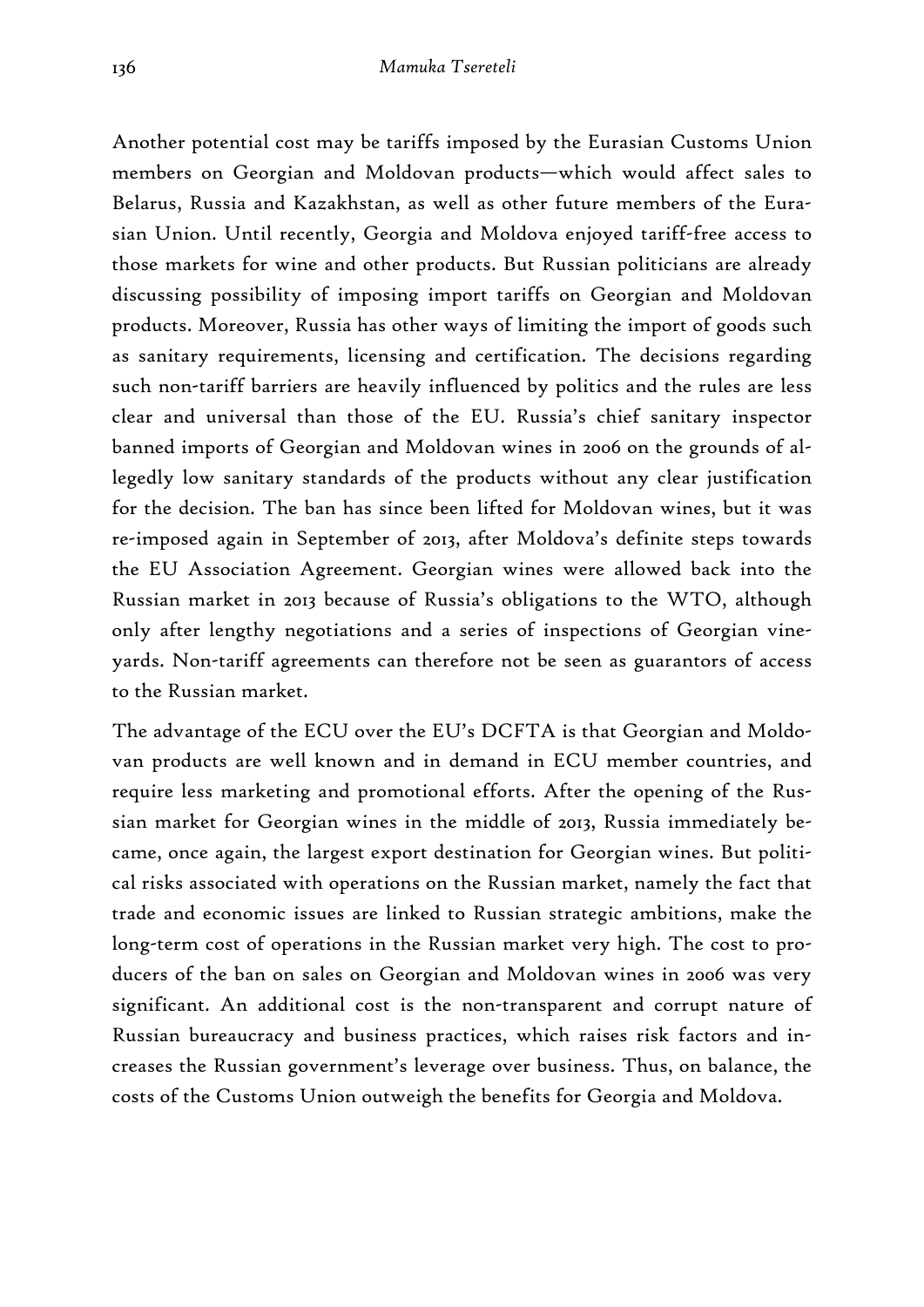Another potential cost may be tariffs imposed by the Eurasian Customs Union members on Georgian and Moldovan products—which would affect sales to Belarus, Russia and Kazakhstan, as well as other future members of the Eurasian Union. Until recently, Georgia and Moldova enjoyed tariff-free access to those markets for wine and other products. But Russian politicians are already discussing possibility of imposing import tariffs on Georgian and Moldovan products. Moreover, Russia has other ways of limiting the import of goods such as sanitary requirements, licensing and certification. The decisions regarding such non-tariff barriers are heavily influenced by politics and the rules are less clear and universal than those of the EU. Russia's chief sanitary inspector banned imports of Georgian and Moldovan wines in 2006 on the grounds of allegedly low sanitary standards of the products without any clear justification for the decision. The ban has since been lifted for Moldovan wines, but it was re-imposed again in September of 2013, after Moldova's definite steps towards the EU Association Agreement. Georgian wines were allowed back into the Russian market in 2013 because of Russia's obligations to the WTO, although only after lengthy negotiations and a series of inspections of Georgian vineyards. Non-tariff agreements can therefore not be seen as guarantors of access to the Russian market.

The advantage of the ECU over the EU's DCFTA is that Georgian and Moldovan products are well known and in demand in ECU member countries, and require less marketing and promotional efforts. After the opening of the Russian market for Georgian wines in the middle of 2013, Russia immediately became, once again, the largest export destination for Georgian wines. But political risks associated with operations on the Russian market, namely the fact that trade and economic issues are linked to Russian strategic ambitions, make the long-term cost of operations in the Russian market very high. The cost to producers of the ban on sales on Georgian and Moldovan wines in 2006 was very significant. An additional cost is the non-transparent and corrupt nature of Russian bureaucracy and business practices, which raises risk factors and increases the Russian government's leverage over business. Thus, on balance, the costs of the Customs Union outweigh the benefits for Georgia and Moldova.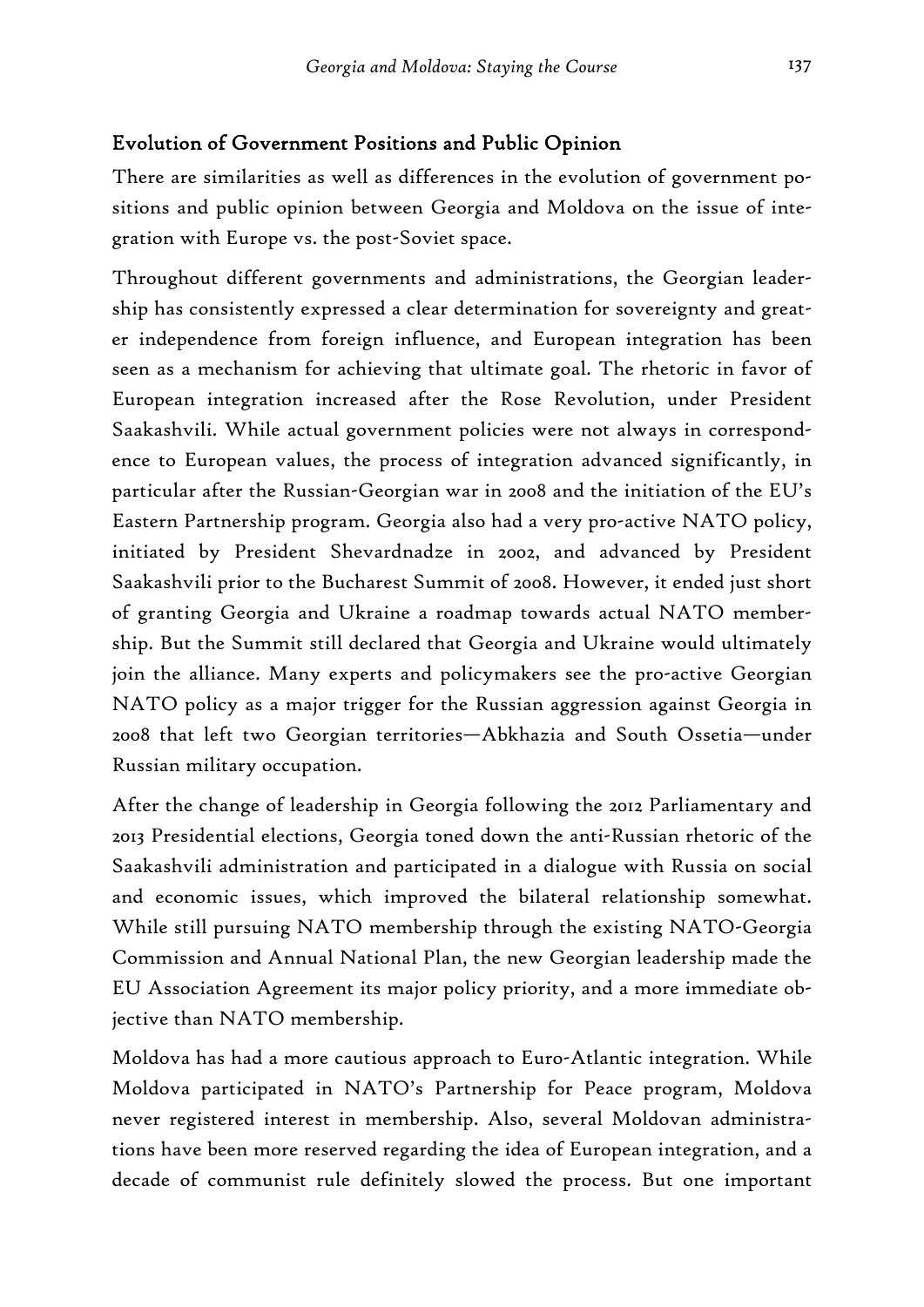## Evolution of Government Positions and Public Opinion

There are similarities as well as differences in the evolution of government positions and public opinion between Georgia and Moldova on the issue of integration with Europe vs. the post-Soviet space.

Throughout different governments and administrations, the Georgian leadership has consistently expressed a clear determination for sovereignty and greater independence from foreign influence, and European integration has been seen as a mechanism for achieving that ultimate goal. The rhetoric in favor of European integration increased after the Rose Revolution, under President Saakashvili. While actual government policies were not always in correspondence to European values, the process of integration advanced significantly, in particular after the Russian-Georgian war in 2008 and the initiation of the EU's Eastern Partnership program. Georgia also had a very pro-active NATO policy, initiated by President Shevardnadze in 2002, and advanced by President Saakashvili prior to the Bucharest Summit of 2008. However, it ended just short of granting Georgia and Ukraine a roadmap towards actual NATO membership. But the Summit still declared that Georgia and Ukraine would ultimately join the alliance. Many experts and policymakers see the pro-active Georgian NATO policy as a major trigger for the Russian aggression against Georgia in 2008 that left two Georgian territories—Abkhazia and South Ossetia—under Russian military occupation.

After the change of leadership in Georgia following the 2012 Parliamentary and 2013 Presidential elections, Georgia toned down the anti-Russian rhetoric of the Saakashvili administration and participated in a dialogue with Russia on social and economic issues, which improved the bilateral relationship somewhat. While still pursuing NATO membership through the existing NATO-Georgia Commission and Annual National Plan, the new Georgian leadership made the EU Association Agreement its major policy priority, and a more immediate objective than NATO membership.

Moldova has had a more cautious approach to Euro-Atlantic integration. While Moldova participated in NATO's Partnership for Peace program, Moldova never registered interest in membership. Also, several Moldovan administrations have been more reserved regarding the idea of European integration, and a decade of communist rule definitely slowed the process. But one important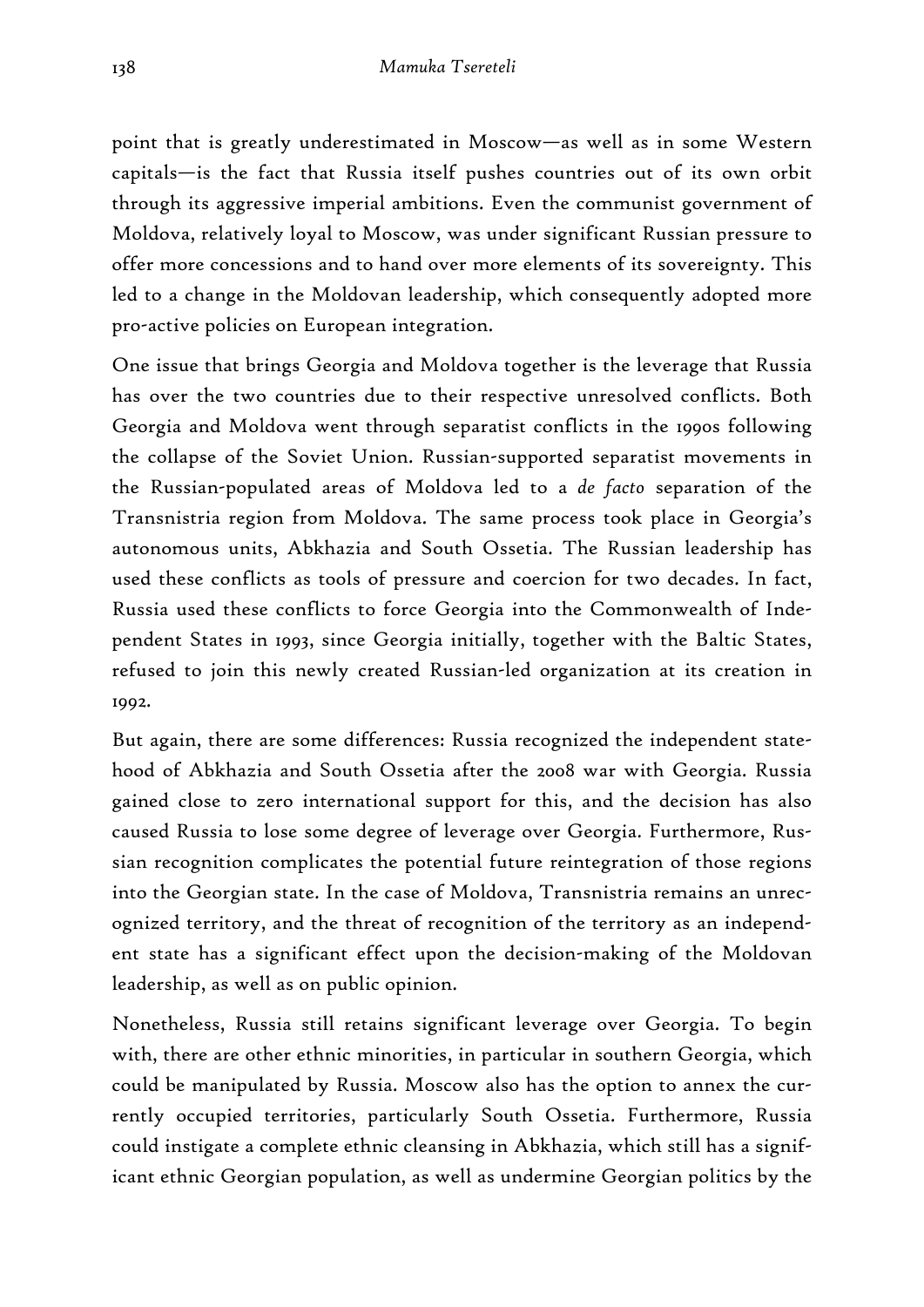point that is greatly underestimated in Moscow—as well as in some Western capitals—is the fact that Russia itself pushes countries out of its own orbit through its aggressive imperial ambitions. Even the communist government of Moldova, relatively loyal to Moscow, was under significant Russian pressure to offer more concessions and to hand over more elements of its sovereignty. This led to a change in the Moldovan leadership, which consequently adopted more pro-active policies on European integration.

One issue that brings Georgia and Moldova together is the leverage that Russia has over the two countries due to their respective unresolved conflicts. Both Georgia and Moldova went through separatist conflicts in the 1990s following the collapse of the Soviet Union. Russian-supported separatist movements in the Russian-populated areas of Moldova led to a *de facto* separation of the Transnistria region from Moldova. The same process took place in Georgia's autonomous units, Abkhazia and South Ossetia. The Russian leadership has used these conflicts as tools of pressure and coercion for two decades. In fact, Russia used these conflicts to force Georgia into the Commonwealth of Independent States in 1993, since Georgia initially, together with the Baltic States, refused to join this newly created Russian-led organization at its creation in 1992.

But again, there are some differences: Russia recognized the independent statehood of Abkhazia and South Ossetia after the 2008 war with Georgia. Russia gained close to zero international support for this, and the decision has also caused Russia to lose some degree of leverage over Georgia. Furthermore, Russian recognition complicates the potential future reintegration of those regions into the Georgian state. In the case of Moldova, Transnistria remains an unrecognized territory, and the threat of recognition of the territory as an independent state has a significant effect upon the decision-making of the Moldovan leadership, as well as on public opinion.

Nonetheless, Russia still retains significant leverage over Georgia. To begin with, there are other ethnic minorities, in particular in southern Georgia, which could be manipulated by Russia. Moscow also has the option to annex the currently occupied territories, particularly South Ossetia. Furthermore, Russia could instigate a complete ethnic cleansing in Abkhazia, which still has a significant ethnic Georgian population, as well as undermine Georgian politics by the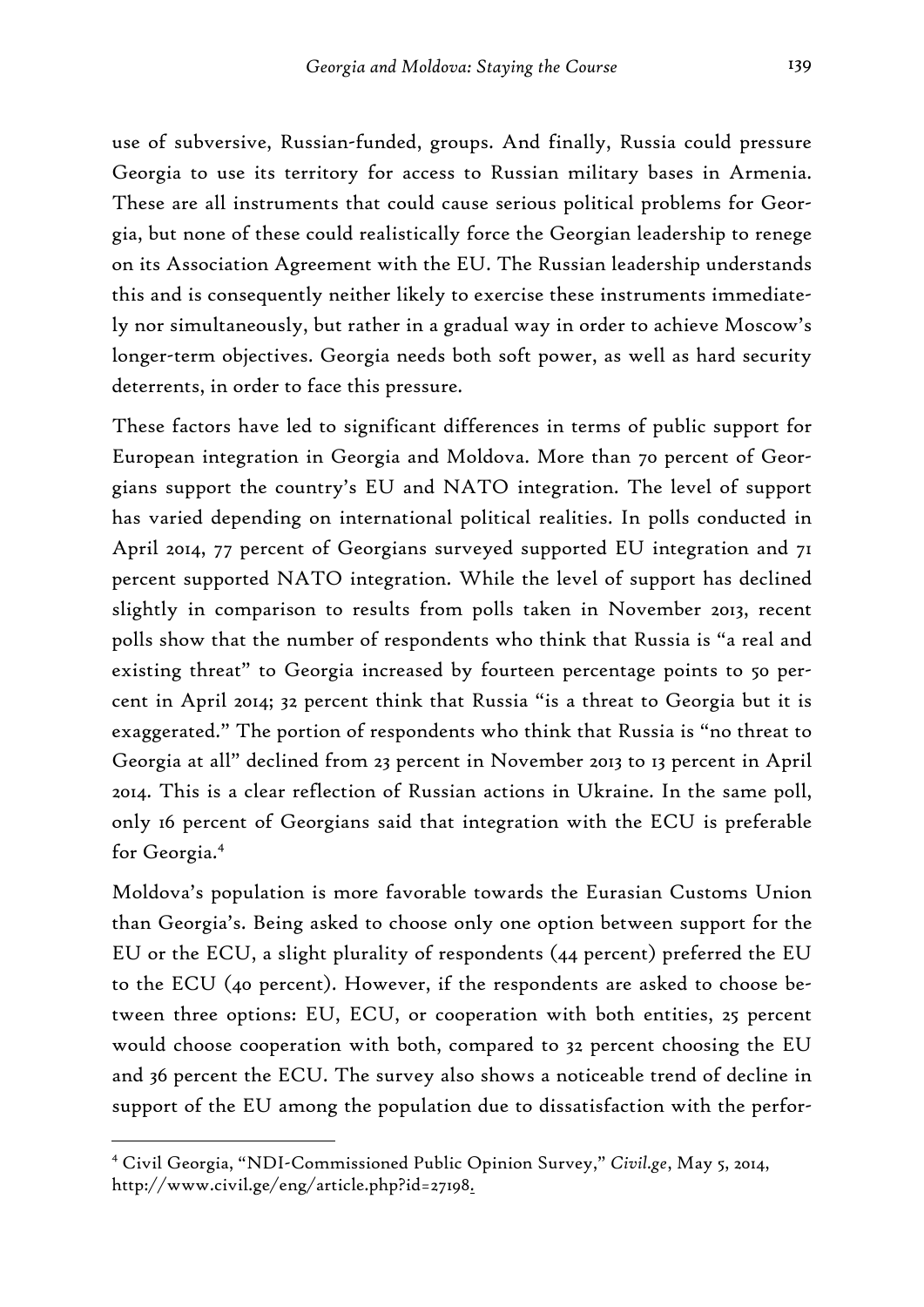use of subversive, Russian-funded, groups. And finally, Russia could pressure Georgia to use its territory for access to Russian military bases in Armenia. These are all instruments that could cause serious political problems for Georgia, but none of these could realistically force the Georgian leadership to renege on its Association Agreement with the EU. The Russian leadership understands this and is consequently neither likely to exercise these instruments immediately nor simultaneously, but rather in a gradual way in order to achieve Moscow's longer-term objectives. Georgia needs both soft power, as well as hard security deterrents, in order to face this pressure.

These factors have led to significant differences in terms of public support for European integration in Georgia and Moldova. More than 70 percent of Georgians support the country's EU and NATO integration. The level of support has varied depending on international political realities. In polls conducted in April 2014, 77 percent of Georgians surveyed supported EU integration and 71 percent supported NATO integration. While the level of support has declined slightly in comparison to results from polls taken in November 2013, recent polls show that the number of respondents who think that Russia is "a real and existing threat" to Georgia increased by fourteen percentage points to 50 percent in April 2014; 32 percent think that Russia "is a threat to Georgia but it is exaggerated." The portion of respondents who think that Russia is "no threat to Georgia at all" declined from 23 percent in November 2013 to 13 percent in April 2014. This is a clear reflection of Russian actions in Ukraine. In the same poll, only 16 percent of Georgians said that integration with the ECU is preferable for Georgia.4

Moldova's population is more favorable towards the Eurasian Customs Union than Georgia's. Being asked to choose only one option between support for the EU or the ECU, a slight plurality of respondents (44 percent) preferred the EU to the ECU (40 percent). However, if the respondents are asked to choose between three options: EU, ECU, or cooperation with both entities, 25 percent would choose cooperation with both, compared to 32 percent choosing the EU and 36 percent the ECU. The survey also shows a noticeable trend of decline in support of the EU among the population due to dissatisfaction with the perfor-

<sup>4</sup> Civil Georgia, "NDI-Commissioned Public Opinion Survey," *Civil.ge*, May 5, 2014, http://www.civil.ge/eng/article.php?id=27198.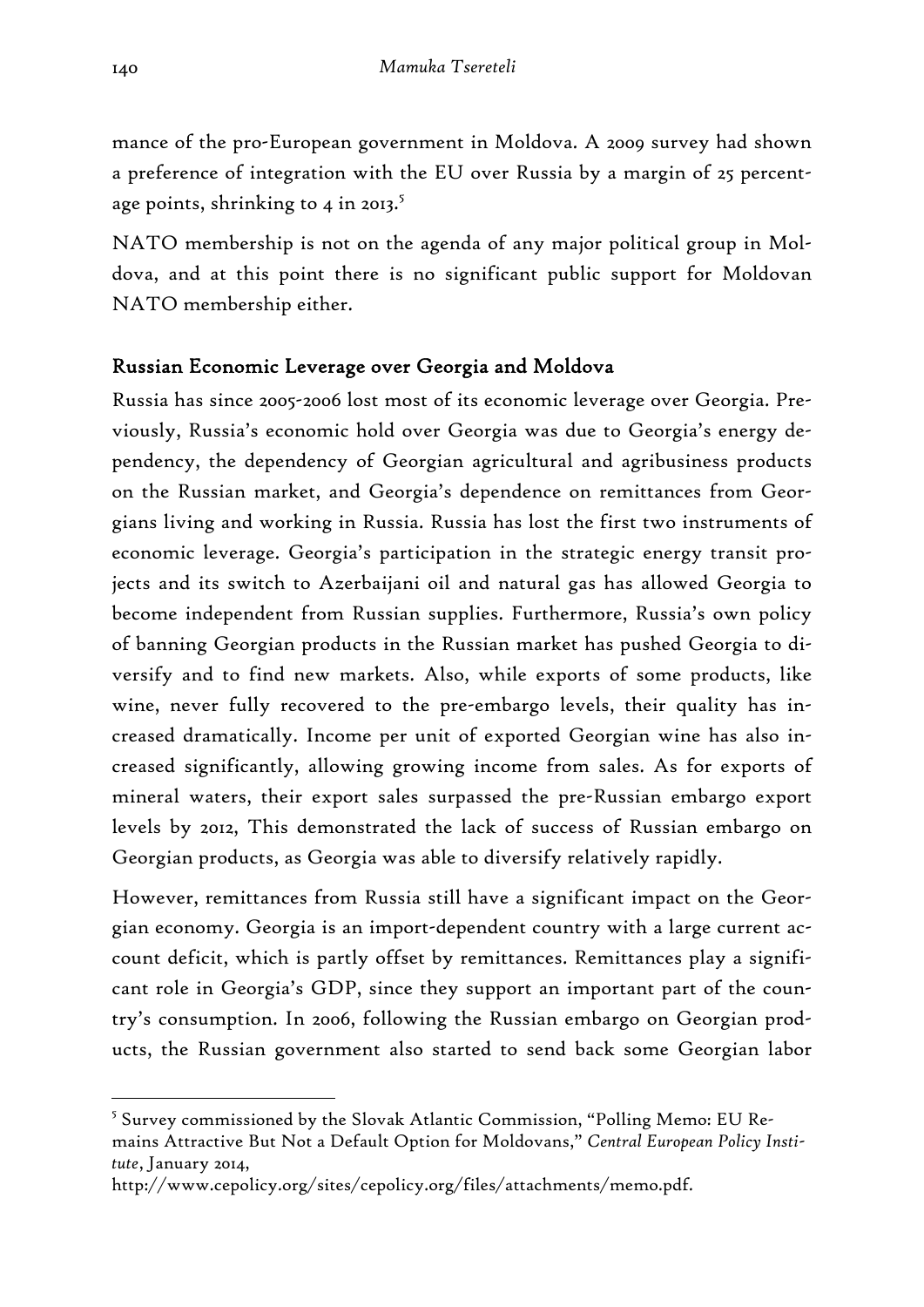mance of the pro-European government in Moldova. A 2009 survey had shown a preference of integration with the EU over Russia by a margin of 25 percentage points, shrinking to 4 in 2013. $5$ 

NATO membership is not on the agenda of any major political group in Moldova, and at this point there is no significant public support for Moldovan NATO membership either.

## Russian Economic Leverage over Georgia and Moldova

Russia has since 2005-2006 lost most of its economic leverage over Georgia. Previously, Russia's economic hold over Georgia was due to Georgia's energy dependency, the dependency of Georgian agricultural and agribusiness products on the Russian market, and Georgia's dependence on remittances from Georgians living and working in Russia. Russia has lost the first two instruments of economic leverage. Georgia's participation in the strategic energy transit projects and its switch to Azerbaijani oil and natural gas has allowed Georgia to become independent from Russian supplies. Furthermore, Russia's own policy of banning Georgian products in the Russian market has pushed Georgia to diversify and to find new markets. Also, while exports of some products, like wine, never fully recovered to the pre-embargo levels, their quality has increased dramatically. Income per unit of exported Georgian wine has also increased significantly, allowing growing income from sales. As for exports of mineral waters, their export sales surpassed the pre-Russian embargo export levels by 2012, This demonstrated the lack of success of Russian embargo on Georgian products, as Georgia was able to diversify relatively rapidly.

However, remittances from Russia still have a significant impact on the Georgian economy. Georgia is an import-dependent country with a large current account deficit, which is partly offset by remittances. Remittances play a significant role in Georgia's GDP, since they support an important part of the country's consumption. In 2006, following the Russian embargo on Georgian products, the Russian government also started to send back some Georgian labor

<sup>&</sup>lt;sup>5</sup> Survey commissioned by the Slovak Atlantic Commission, "Polling Memo: EU Remains Attractive But Not a Default Option for Moldovans," *Central European Policy Institute*, January 2014,

http://www.cepolicy.org/sites/cepolicy.org/files/attachments/memo.pdf.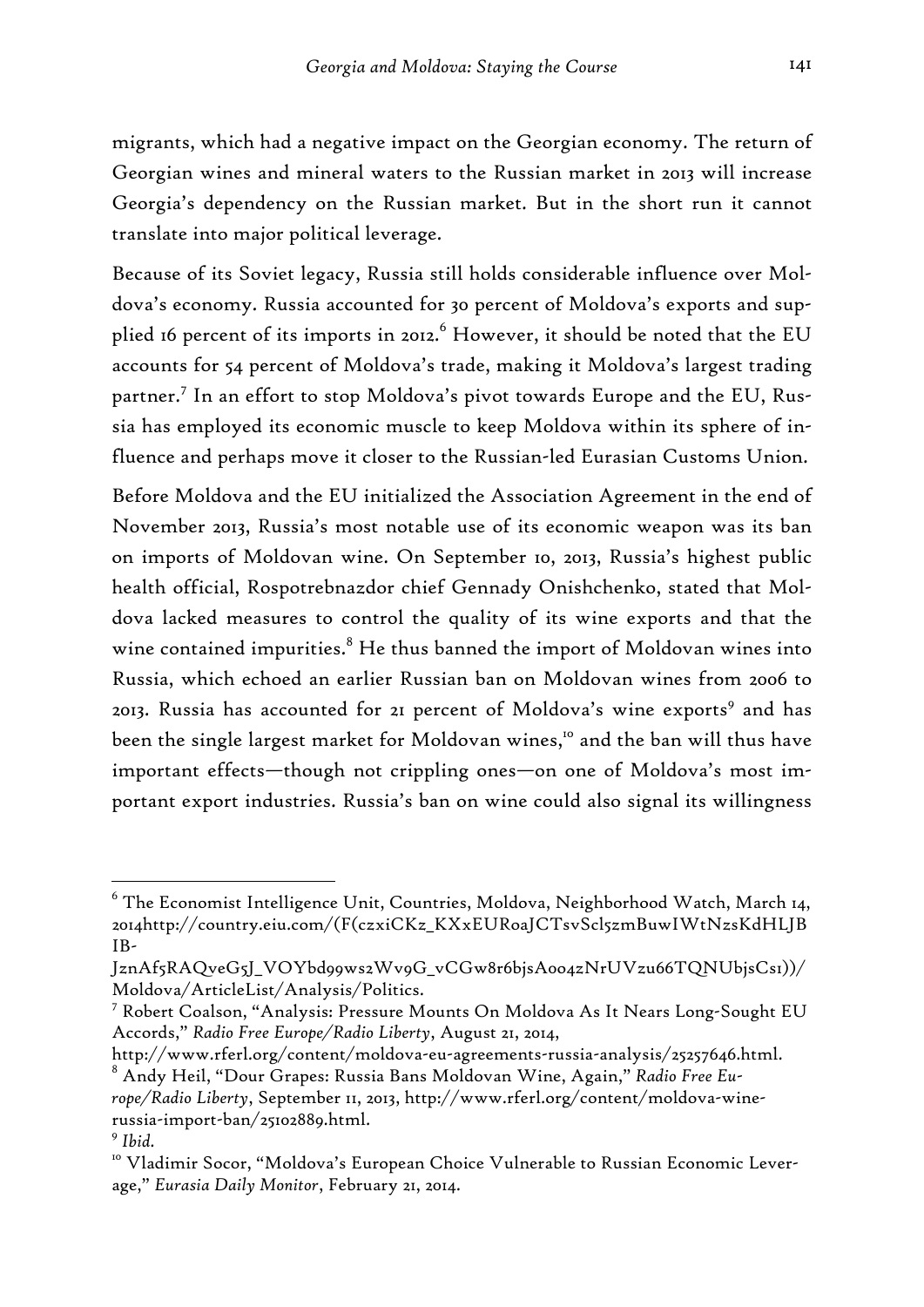migrants, which had a negative impact on the Georgian economy. The return of Georgian wines and mineral waters to the Russian market in 2013 will increase Georgia's dependency on the Russian market. But in the short run it cannot translate into major political leverage.

Because of its Soviet legacy, Russia still holds considerable influence over Moldova's economy. Russia accounted for 30 percent of Moldova's exports and supplied 16 percent of its imports in 2012. $^6$  However, it should be noted that the EU accounts for 54 percent of Moldova's trade, making it Moldova's largest trading partner.7 In an effort to stop Moldova's pivot towards Europe and the EU, Russia has employed its economic muscle to keep Moldova within its sphere of influence and perhaps move it closer to the Russian-led Eurasian Customs Union.

Before Moldova and the EU initialized the Association Agreement in the end of November 2013, Russia's most notable use of its economic weapon was its ban on imports of Moldovan wine. On September 10, 2013, Russia's highest public health official, Rospotrebnazdor chief Gennady Onishchenko, stated that Moldova lacked measures to control the quality of its wine exports and that the wine contained impurities. $^8$  He thus banned the import of Moldovan wines into Russia, which echoed an earlier Russian ban on Moldovan wines from 2006 to 2013. Russia has accounted for 21 percent of Moldova's wine exports<sup>9</sup> and has been the single largest market for Moldovan wines,<sup>10</sup> and the ban will thus have important effects—though not crippling ones—on one of Moldova's most important export industries. Russia's ban on wine could also signal its willingness

 $^6$  The Economist Intelligence Unit, Countries, Moldova, Neighborhood Watch, March 14, 2014http://country.eiu.com/(F(czxiCKz\_KXxEURoaJCTsvScl5zmBuwIWtNzsKdHLJB IB-

JznAf5RAQveG5J\_VOYbd99ws2Wv9G\_vCGw8r6bjsA0o4zNrUVzu66TQNUbjsCs1))/ Moldova/ArticleList/Analysis/Politics.

<sup>7</sup> Robert Coalson, "Analysis: Pressure Mounts On Moldova As It Nears Long-Sought EU Accords," *Radio Free Europe/Radio Liberty*, August 21, 2014,

http://www.rferl.org/content/moldova-eu-agreements-russia-analysis/25257646.html.

<sup>8</sup> Andy Heil, "Dour Grapes: Russia Bans Moldovan Wine, Again," *Radio Free Europe/Radio Liberty*, September 11, 2013, http://www.rferl.org/content/moldova-winerussia-import-ban/25102889.html. <sup>9</sup> *Ibid.*

<sup>&</sup>lt;sup>10</sup> Vladimir Socor, "Moldova's European Choice Vulnerable to Russian Economic Leverage," *Eurasia Daily Monitor*, February 21, 2014.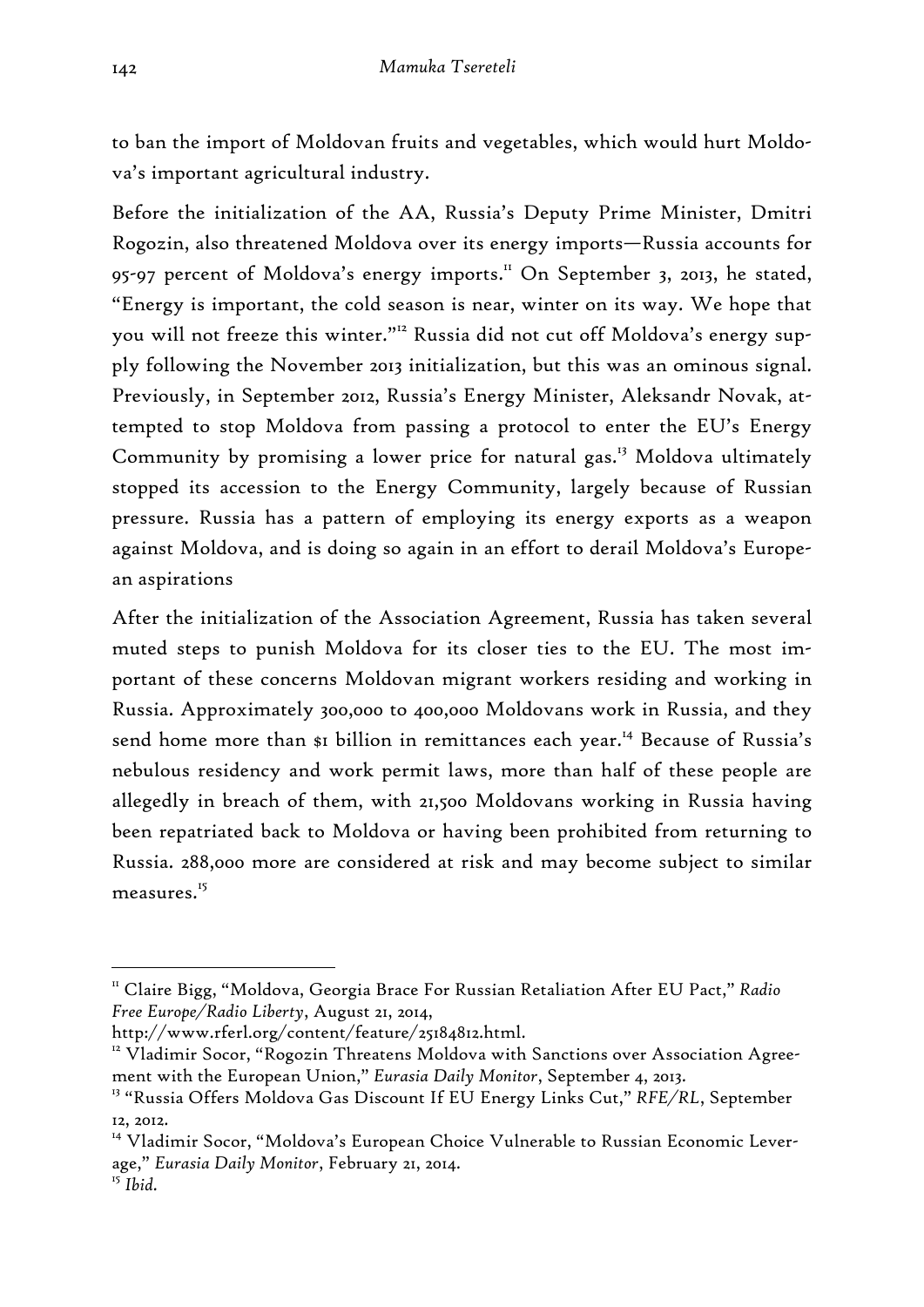to ban the import of Moldovan fruits and vegetables, which would hurt Moldova's important agricultural industry.

Before the initialization of the AA, Russia's Deputy Prime Minister, Dmitri Rogozin, also threatened Moldova over its energy imports—Russia accounts for 95-97 percent of Moldova's energy imports.<sup>11</sup> On September 3, 2013, he stated, "Energy is important, the cold season is near, winter on its way. We hope that you will not freeze this winter."<sup>12</sup> Russia did not cut off Moldova's energy supply following the November 2013 initialization, but this was an ominous signal. Previously, in September 2012, Russia's Energy Minister, Aleksandr Novak, attempted to stop Moldova from passing a protocol to enter the EU's Energy Community by promising a lower price for natural gas.<sup>13</sup> Moldova ultimately stopped its accession to the Energy Community, largely because of Russian pressure. Russia has a pattern of employing its energy exports as a weapon against Moldova, and is doing so again in an effort to derail Moldova's European aspirations

After the initialization of the Association Agreement, Russia has taken several muted steps to punish Moldova for its closer ties to the EU. The most important of these concerns Moldovan migrant workers residing and working in Russia. Approximately 300,000 to 400,000 Moldovans work in Russia, and they send home more than \$1 billion in remittances each year.<sup>14</sup> Because of Russia's nebulous residency and work permit laws, more than half of these people are allegedly in breach of them, with 21,500 Moldovans working in Russia having been repatriated back to Moldova or having been prohibited from returning to Russia. 288,000 more are considered at risk and may become subject to similar measures.<sup>15</sup>

<sup>11</sup> Claire Bigg, "Moldova, Georgia Brace For Russian Retaliation After EU Pact," *Radio Free Europe/Radio Liberty*, August 21, 2014,

http://www.rferl.org/content/feature/25184812.html.<br><sup>12</sup> Vladimir Socor, "Rogozin Threatens Moldova with Sanctions over Association Agreement with the European Union," *Eurasia Daily Monitor*, September 4, 2013.

<sup>13 &</sup>quot;Russia Offers Moldova Gas Discount If EU Energy Links Cut," *RFE/RL*, September 12, 2012.

<sup>&</sup>lt;sup>14</sup> Vladimir Socor, "Moldova's European Choice Vulnerable to Russian Economic Leverage," *Eurasia Daily Monitor*, February 21, 2014.

<sup>15</sup> *Ibid.*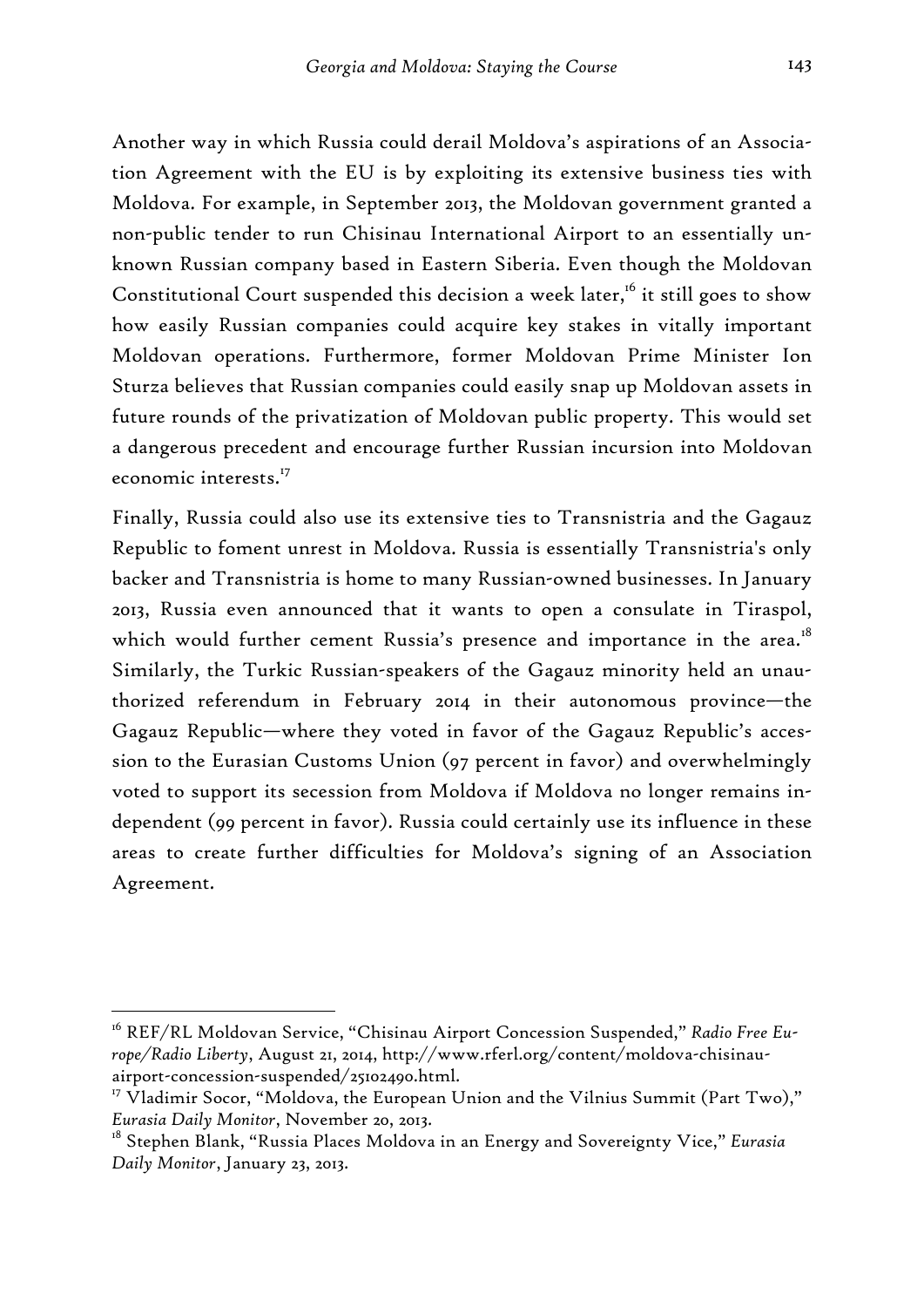Another way in which Russia could derail Moldova's aspirations of an Association Agreement with the EU is by exploiting its extensive business ties with Moldova. For example, in September 2013, the Moldovan government granted a non-public tender to run Chisinau International Airport to an essentially unknown Russian company based in Eastern Siberia. Even though the Moldovan Constitutional Court suspended this decision a week later,<sup>16</sup> it still goes to show how easily Russian companies could acquire key stakes in vitally important Moldovan operations. Furthermore, former Moldovan Prime Minister Ion Sturza believes that Russian companies could easily snap up Moldovan assets in future rounds of the privatization of Moldovan public property. This would set a dangerous precedent and encourage further Russian incursion into Moldovan economic interests.17

Finally, Russia could also use its extensive ties to Transnistria and the Gagauz Republic to foment unrest in Moldova. Russia is essentially Transnistria's only backer and Transnistria is home to many Russian-owned businesses. In January 2013, Russia even announced that it wants to open a consulate in Tiraspol, which would further cement Russia's presence and importance in the area.<sup>18</sup> Similarly, the Turkic Russian-speakers of the Gagauz minority held an unauthorized referendum in February 2014 in their autonomous province—the Gagauz Republic—where they voted in favor of the Gagauz Republic's accession to the Eurasian Customs Union (97 percent in favor) and overwhelmingly voted to support its secession from Moldova if Moldova no longer remains independent (99 percent in favor). Russia could certainly use its influence in these areas to create further difficulties for Moldova's signing of an Association Agreement.

<sup>&</sup>lt;sup>16</sup> REF/RL Moldovan Service, "Chisinau Airport Concession Suspended," Radio Free Eu*rope/Radio Liberty*, August 21, 2014, http://www.rferl.org/content/moldova-chisinauairport-concession-suspended/25102490.html.

<sup>&</sup>lt;sup>17</sup> Vladimir Socor, "Moldova, the European Union and the Vilnius Summit (Part Two)," *Eurasia Daily Monitor*, November 20, 2013.

<sup>18</sup> Stephen Blank, "Russia Places Moldova in an Energy and Sovereignty Vice," *Eurasia Daily Monitor*, January 23, 2013.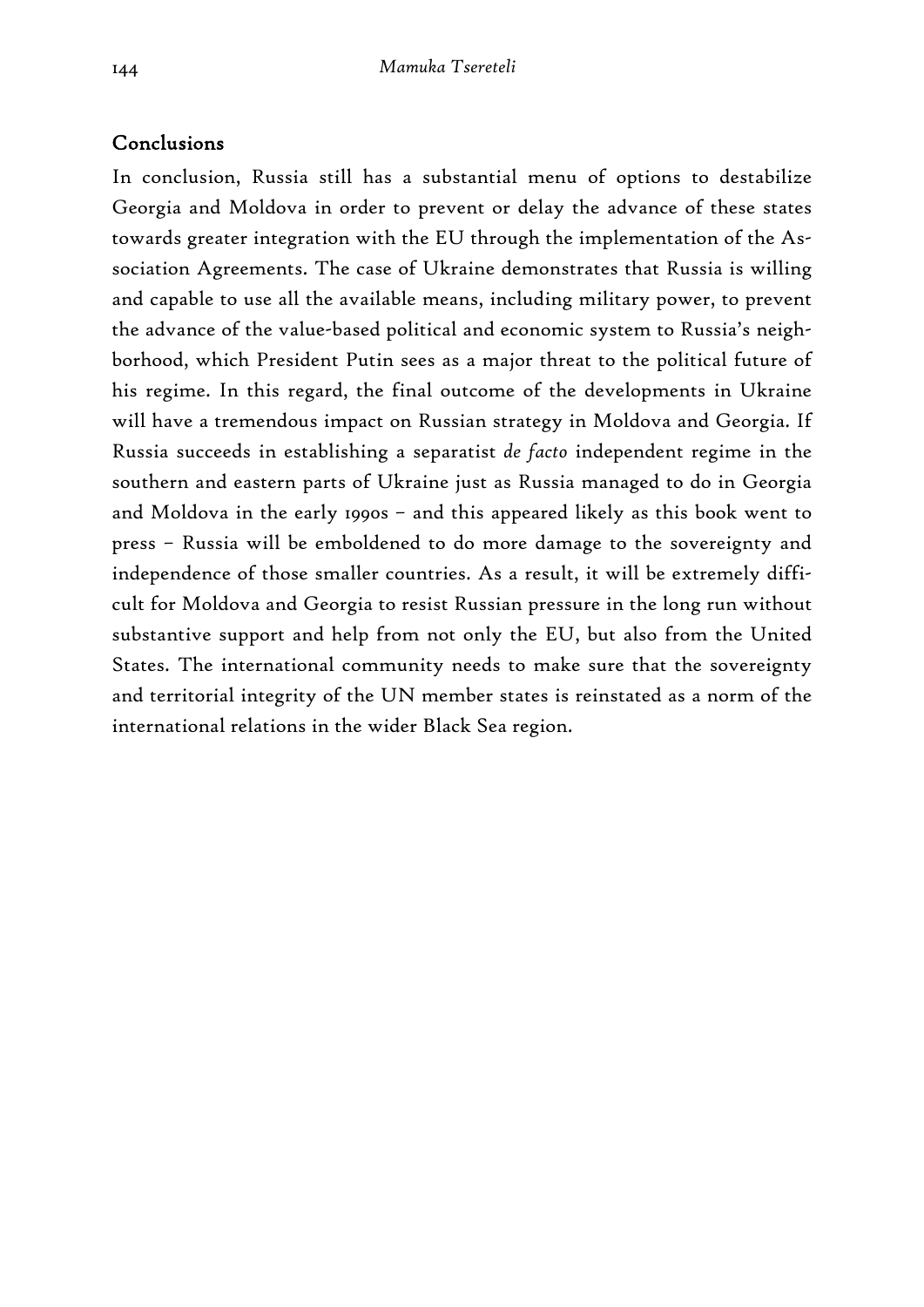### Conclusions

In conclusion, Russia still has a substantial menu of options to destabilize Georgia and Moldova in order to prevent or delay the advance of these states towards greater integration with the EU through the implementation of the Association Agreements. The case of Ukraine demonstrates that Russia is willing and capable to use all the available means, including military power, to prevent the advance of the value-based political and economic system to Russia's neighborhood, which President Putin sees as a major threat to the political future of his regime. In this regard, the final outcome of the developments in Ukraine will have a tremendous impact on Russian strategy in Moldova and Georgia. If Russia succeeds in establishing a separatist *de facto* independent regime in the southern and eastern parts of Ukraine just as Russia managed to do in Georgia and Moldova in the early 1990s – and this appeared likely as this book went to press – Russia will be emboldened to do more damage to the sovereignty and independence of those smaller countries. As a result, it will be extremely difficult for Moldova and Georgia to resist Russian pressure in the long run without substantive support and help from not only the EU, but also from the United States. The international community needs to make sure that the sovereignty and territorial integrity of the UN member states is reinstated as a norm of the international relations in the wider Black Sea region.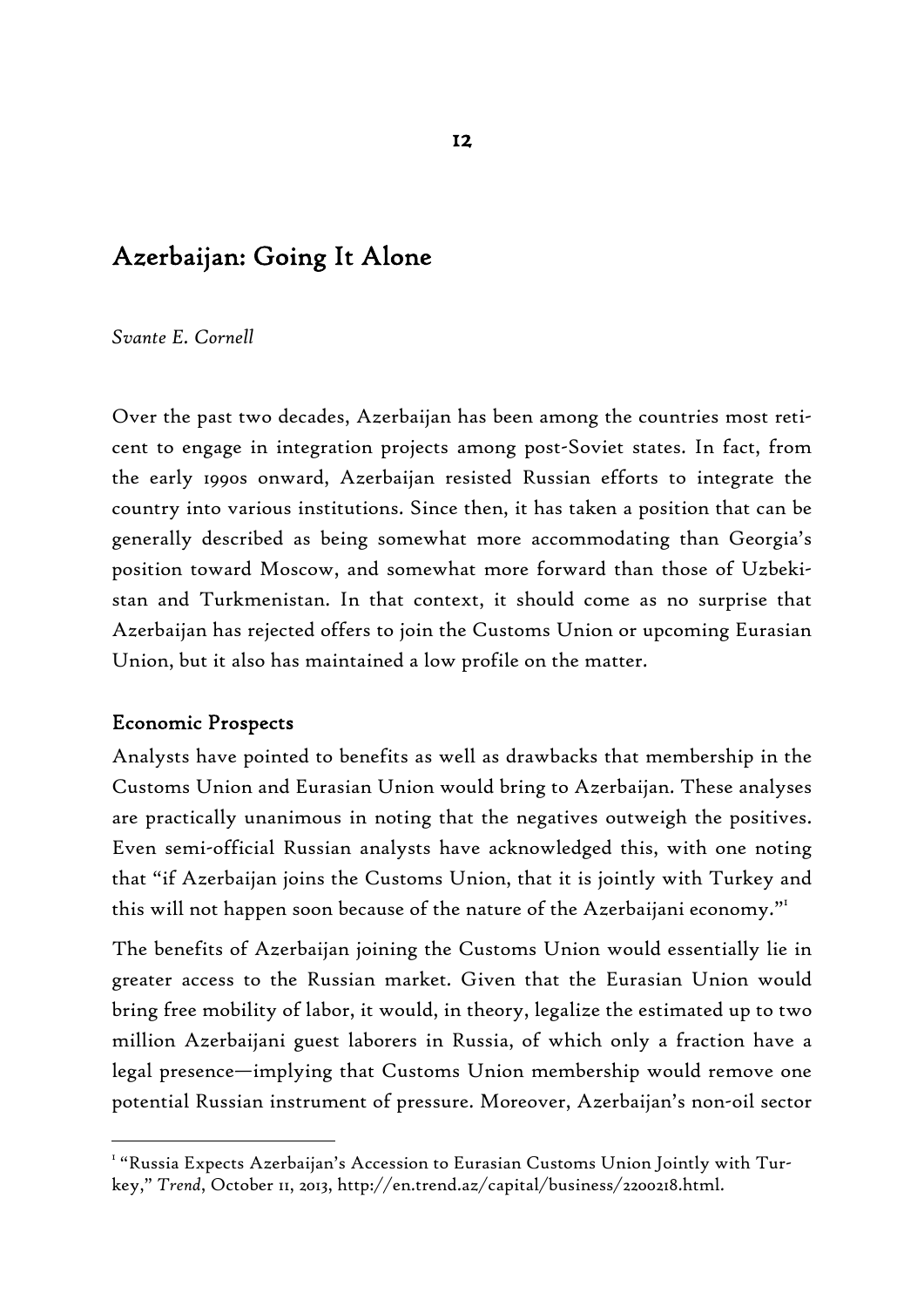# Azerbaijan: Going It Alone

*Svante E. Cornell* 

Over the past two decades, Azerbaijan has been among the countries most reticent to engage in integration projects among post-Soviet states. In fact, from the early 1990s onward, Azerbaijan resisted Russian efforts to integrate the country into various institutions. Since then, it has taken a position that can be generally described as being somewhat more accommodating than Georgia's position toward Moscow, and somewhat more forward than those of Uzbekistan and Turkmenistan. In that context, it should come as no surprise that Azerbaijan has rejected offers to join the Customs Union or upcoming Eurasian Union, but it also has maintained a low profile on the matter.

#### Economic Prospects

-

Analysts have pointed to benefits as well as drawbacks that membership in the Customs Union and Eurasian Union would bring to Azerbaijan. These analyses are practically unanimous in noting that the negatives outweigh the positives. Even semi-official Russian analysts have acknowledged this, with one noting that "if Azerbaijan joins the Customs Union, that it is jointly with Turkey and this will not happen soon because of the nature of the Azerbaijani economy."1

The benefits of Azerbaijan joining the Customs Union would essentially lie in greater access to the Russian market. Given that the Eurasian Union would bring free mobility of labor, it would, in theory, legalize the estimated up to two million Azerbaijani guest laborers in Russia, of which only a fraction have a legal presence—implying that Customs Union membership would remove one potential Russian instrument of pressure. Moreover, Azerbaijan's non-oil sector

 $^{\text{\tiny{\textsf{I}}}}$  "Russia Expects Azerbaijan's Accession to Eurasian Customs Union Jointly with Turkey," *Trend*, October 11, 2013, http://en.trend.az/capital/business/2200218.html.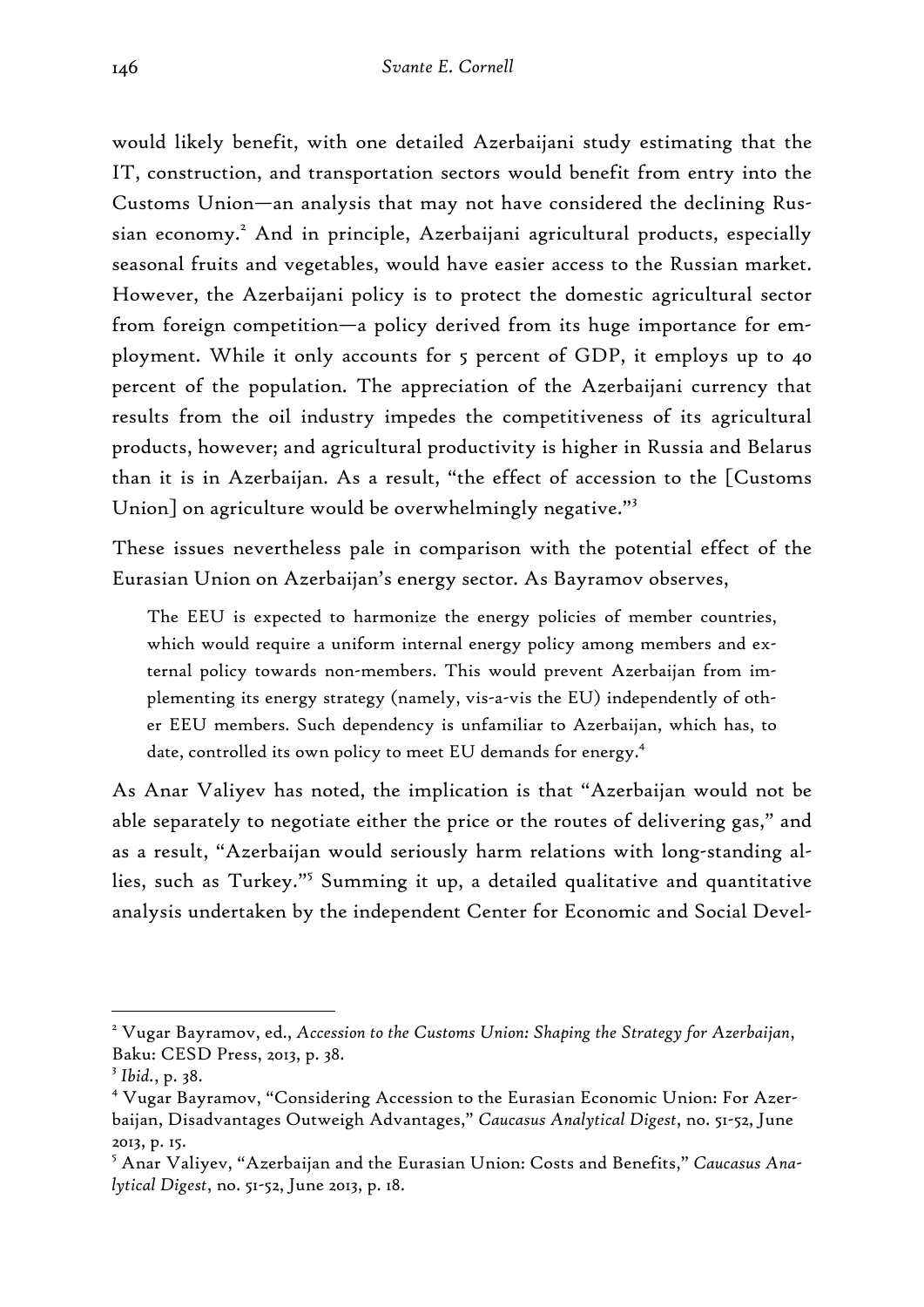would likely benefit, with one detailed Azerbaijani study estimating that the IT, construction, and transportation sectors would benefit from entry into the Customs Union—an analysis that may not have considered the declining Russian economy.<sup>2</sup> And in principle, Azerbaijani agricultural products, especially seasonal fruits and vegetables, would have easier access to the Russian market. However, the Azerbaijani policy is to protect the domestic agricultural sector from foreign competition—a policy derived from its huge importance for employment. While it only accounts for 5 percent of GDP, it employs up to 40 percent of the population. The appreciation of the Azerbaijani currency that results from the oil industry impedes the competitiveness of its agricultural products, however; and agricultural productivity is higher in Russia and Belarus than it is in Azerbaijan. As a result, "the effect of accession to the [Customs Union] on agriculture would be overwhelmingly negative."<sup>3</sup>

These issues nevertheless pale in comparison with the potential effect of the Eurasian Union on Azerbaijan's energy sector. As Bayramov observes,

The EEU is expected to harmonize the energy policies of member countries, which would require a uniform internal energy policy among members and external policy towards non-members. This would prevent Azerbaijan from implementing its energy strategy (namely, vis-a-vis the EU) independently of other EEU members. Such dependency is unfamiliar to Azerbaijan, which has, to date, controlled its own policy to meet EU demands for energy.<sup>4</sup>

As Anar Valiyev has noted, the implication is that "Azerbaijan would not be able separately to negotiate either the price or the routes of delivering gas," and as a result, "Azerbaijan would seriously harm relations with long-standing allies, such as Turkey."<sup>5</sup> Summing it up, a detailed qualitative and quantitative analysis undertaken by the independent Center for Economic and Social Devel-

<sup>2</sup> Vugar Bayramov, ed., *Accession to the Customs Union: Shaping the Strategy for Azerbaijan*, Baku: CESD Press, 2013, p. 38.

<sup>3</sup> *Ibid.*, p. 38.

<sup>4</sup> Vugar Bayramov, "Considering Accession to the Eurasian Economic Union: For Azerbaijan, Disadvantages Outweigh Advantages," *Caucasus Analytical Digest*, no. 51-52, June 2013, p. 15.

<sup>5</sup> Anar Valiyev, "Azerbaijan and the Eurasian Union: Costs and Benefits," *Caucasus Analytical Digest*, no. 51-52, June 2013, p. 18.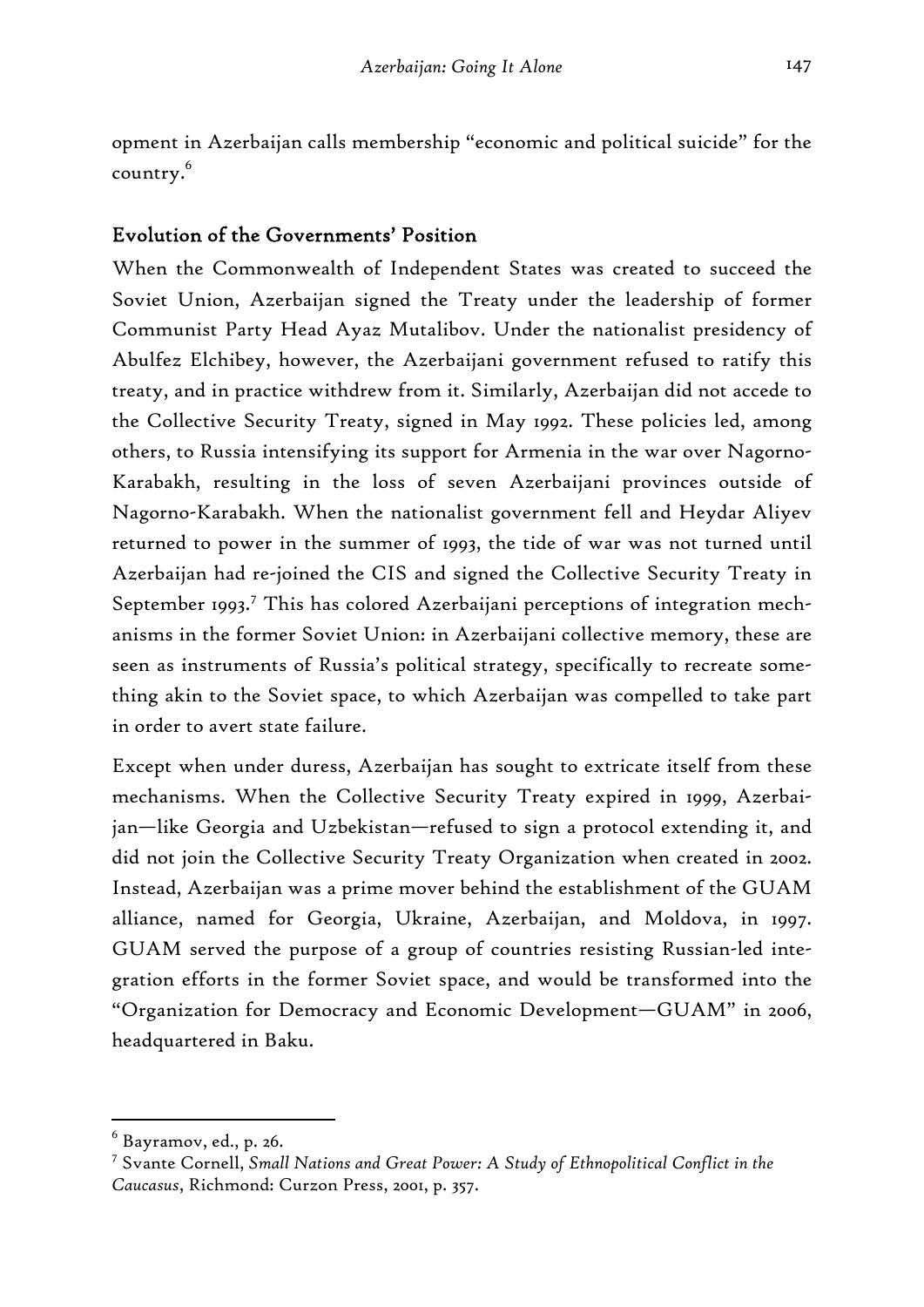opment in Azerbaijan calls membership "economic and political suicide" for the country.6

## Evolution of the Governments' Position

When the Commonwealth of Independent States was created to succeed the Soviet Union, Azerbaijan signed the Treaty under the leadership of former Communist Party Head Ayaz Mutalibov. Under the nationalist presidency of Abulfez Elchibey, however, the Azerbaijani government refused to ratify this treaty, and in practice withdrew from it. Similarly, Azerbaijan did not accede to the Collective Security Treaty, signed in May 1992. These policies led, among others, to Russia intensifying its support for Armenia in the war over Nagorno-Karabakh, resulting in the loss of seven Azerbaijani provinces outside of Nagorno-Karabakh. When the nationalist government fell and Heydar Aliyev returned to power in the summer of 1993, the tide of war was not turned until Azerbaijan had re-joined the CIS and signed the Collective Security Treaty in September 1993.<sup>7</sup> This has colored Azerbaijani perceptions of integration mechanisms in the former Soviet Union: in Azerbaijani collective memory, these are seen as instruments of Russia's political strategy, specifically to recreate something akin to the Soviet space, to which Azerbaijan was compelled to take part in order to avert state failure.

Except when under duress, Azerbaijan has sought to extricate itself from these mechanisms. When the Collective Security Treaty expired in 1999, Azerbaijan—like Georgia and Uzbekistan—refused to sign a protocol extending it, and did not join the Collective Security Treaty Organization when created in 2002. Instead, Azerbaijan was a prime mover behind the establishment of the GUAM alliance, named for Georgia, Ukraine, Azerbaijan, and Moldova, in 1997. GUAM served the purpose of a group of countries resisting Russian-led integration efforts in the former Soviet space, and would be transformed into the "Organization for Democracy and Economic Development—GUAM" in 2006, headquartered in Baku.

 $^6$  Bayramov, ed., p. 26.

<sup>7</sup> Svante Cornell, *Small Nations and Great Power: A Study of Ethnopolitical Conflict in the Caucasus*, Richmond: Curzon Press, 2001, p. 357.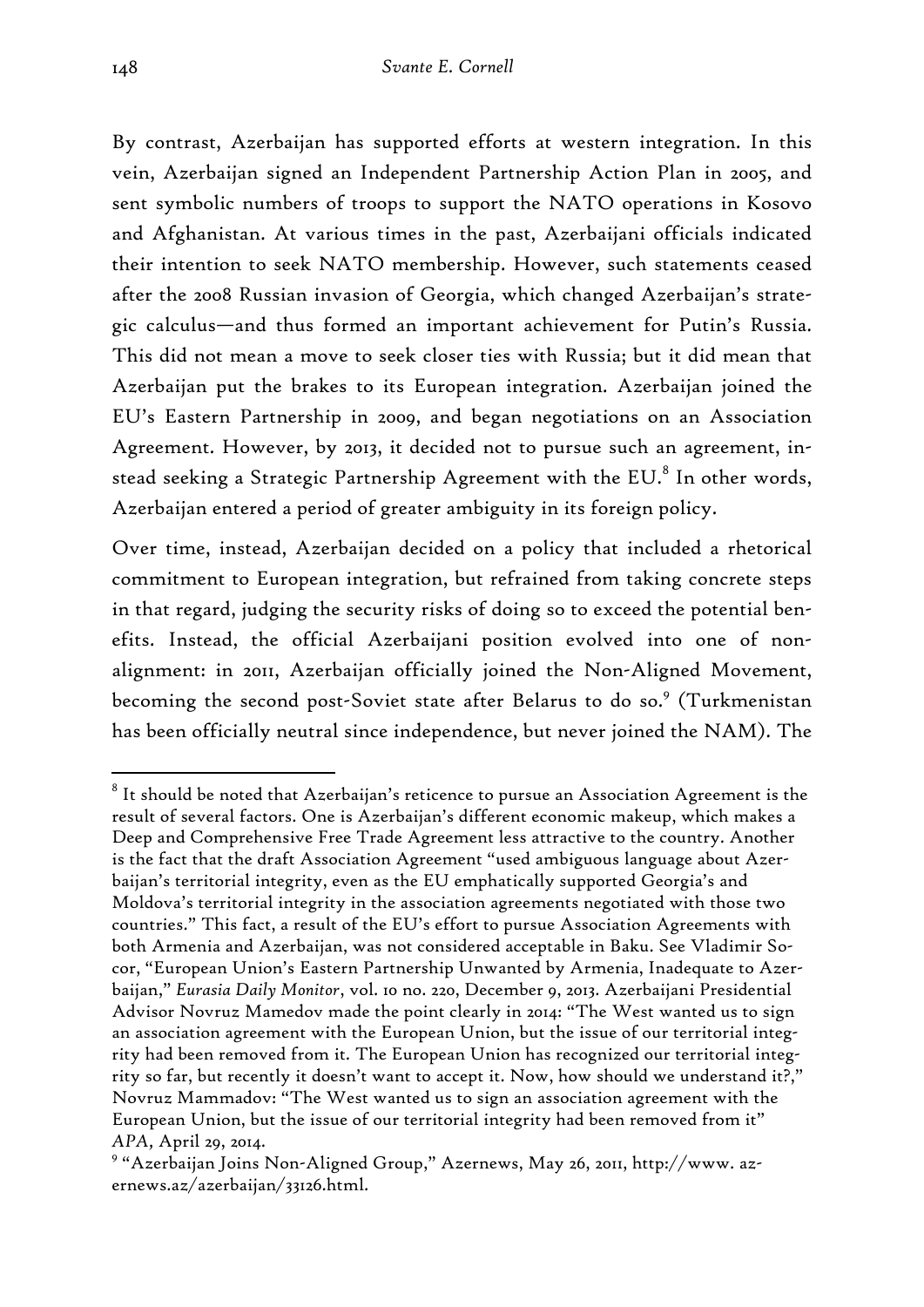By contrast, Azerbaijan has supported efforts at western integration. In this vein, Azerbaijan signed an Independent Partnership Action Plan in 2005, and sent symbolic numbers of troops to support the NATO operations in Kosovo and Afghanistan. At various times in the past, Azerbaijani officials indicated their intention to seek NATO membership. However, such statements ceased after the 2008 Russian invasion of Georgia, which changed Azerbaijan's strategic calculus—and thus formed an important achievement for Putin's Russia. This did not mean a move to seek closer ties with Russia; but it did mean that Azerbaijan put the brakes to its European integration. Azerbaijan joined the EU's Eastern Partnership in 2009, and began negotiations on an Association Agreement. However, by 2013, it decided not to pursue such an agreement, instead seeking a Strategic Partnership Agreement with the EU. $^8$  In other words, Azerbaijan entered a period of greater ambiguity in its foreign policy.

Over time, instead, Azerbaijan decided on a policy that included a rhetorical commitment to European integration, but refrained from taking concrete steps in that regard, judging the security risks of doing so to exceed the potential benefits. Instead, the official Azerbaijani position evolved into one of nonalignment: in 2011, Azerbaijan officially joined the Non-Aligned Movement, becoming the second post-Soviet state after Belarus to do so.<sup>9</sup> (Turkmenistan has been officially neutral since independence, but never joined the NAM). The

 $^{\rm 8}$  It should be noted that Azerbaijan's reticence to pursue an Association Agreement is the result of several factors. One is Azerbaijan's different economic makeup, which makes a Deep and Comprehensive Free Trade Agreement less attractive to the country. Another is the fact that the draft Association Agreement "used ambiguous language about Azerbaijan's territorial integrity, even as the EU emphatically supported Georgia's and Moldova's territorial integrity in the association agreements negotiated with those two countries." This fact, a result of the EU's effort to pursue Association Agreements with both Armenia and Azerbaijan, was not considered acceptable in Baku. See Vladimir Socor, "European Union's Eastern Partnership Unwanted by Armenia, Inadequate to Azerbaijan," *Eurasia Daily Monitor*, vol. 10 no. 220, December 9, 2013. Azerbaijani Presidential Advisor Novruz Mamedov made the point clearly in 2014: "The West wanted us to sign an association agreement with the European Union, but the issue of our territorial integrity had been removed from it. The European Union has recognized our territorial integrity so far, but recently it doesn't want to accept it. Now, how should we understand it?," Novruz Mammadov: "The West wanted us to sign an association agreement with the European Union, but the issue of our territorial integrity had been removed from it" *APA,* April 29, 2014.

<sup>9</sup> "Azerbaijan Joins Non-Aligned Group," Azernews, May 26, 2011, http://www. azernews.az/azerbaijan/33126.html.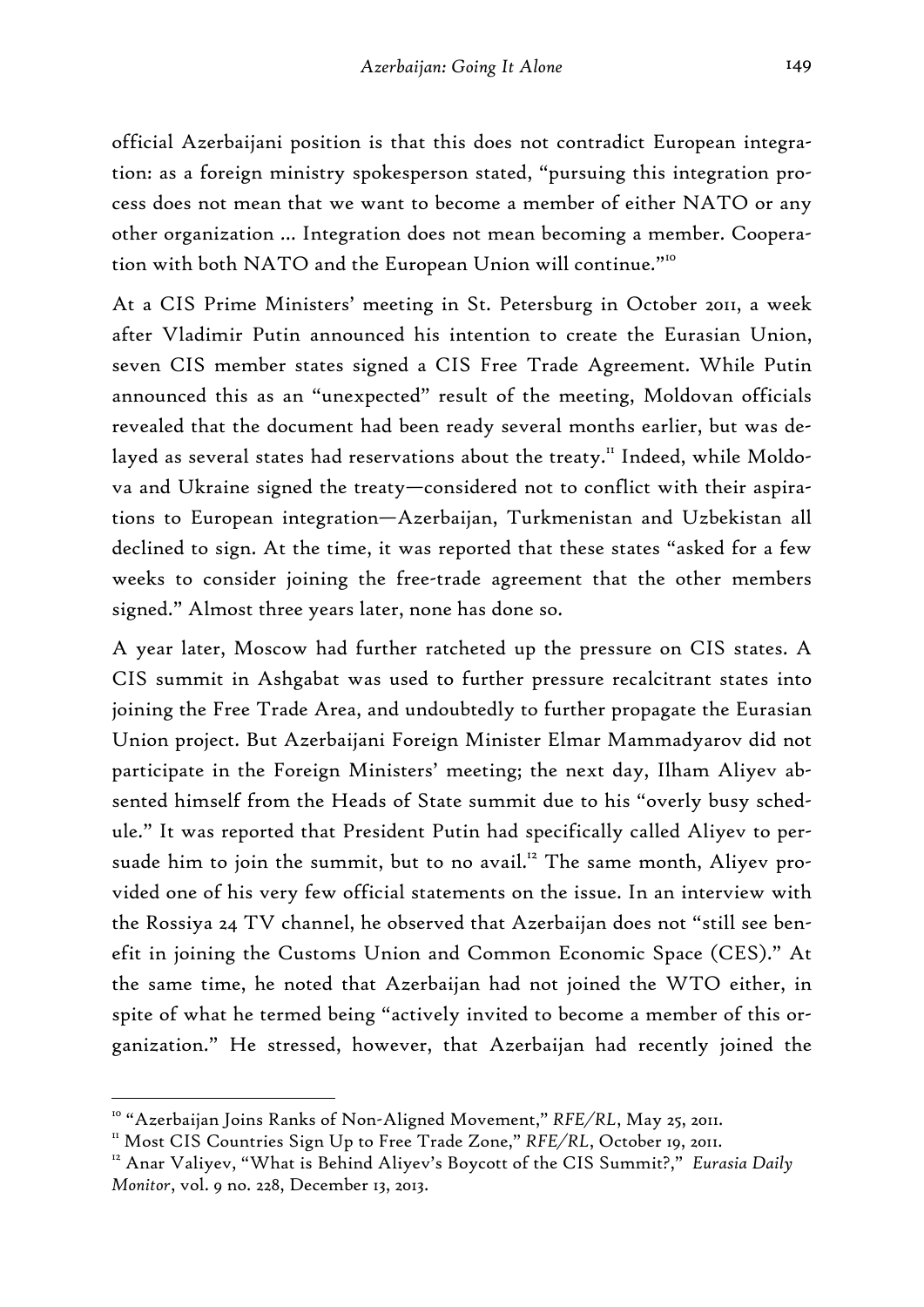official Azerbaijani position is that this does not contradict European integration: as a foreign ministry spokesperson stated, "pursuing this integration process does not mean that we want to become a member of either NATO or any other organization … Integration does not mean becoming a member. Cooperation with both NATO and the European Union will continue."<sup>10</sup>

At a CIS Prime Ministers' meeting in St. Petersburg in October 2011, a week after Vladimir Putin announced his intention to create the Eurasian Union, seven CIS member states signed a CIS Free Trade Agreement. While Putin announced this as an "unexpected" result of the meeting, Moldovan officials revealed that the document had been ready several months earlier, but was delayed as several states had reservations about the treaty.<sup>11</sup> Indeed, while Moldova and Ukraine signed the treaty—considered not to conflict with their aspirations to European integration—Azerbaijan, Turkmenistan and Uzbekistan all declined to sign. At the time, it was reported that these states "asked for a few weeks to consider joining the free-trade agreement that the other members signed." Almost three years later, none has done so.

A year later, Moscow had further ratcheted up the pressure on CIS states. A CIS summit in Ashgabat was used to further pressure recalcitrant states into joining the Free Trade Area, and undoubtedly to further propagate the Eurasian Union project. But Azerbaijani Foreign Minister Elmar Mammadyarov did not participate in the Foreign Ministers' meeting; the next day, Ilham Aliyev absented himself from the Heads of State summit due to his "overly busy schedule." It was reported that President Putin had specifically called Aliyev to persuade him to join the summit, but to no avail.<sup>12</sup> The same month, Aliyev provided one of his very few official statements on the issue. In an interview with the Rossiya 24 TV channel, he observed that Azerbaijan does not "still see benefit in joining the Customs Union and Common Economic Space (CES)." At the same time, he noted that Azerbaijan had not joined the WTO either, in spite of what he termed being "actively invited to become a member of this organization." He stressed, however, that Azerbaijan had recently joined the

<sup>&</sup>lt;sup>10</sup> "Azerbaijan Joins Ranks of Non-Aligned Movement," RFE/RL, May 25, 2011.<br><sup>11</sup> Most CIS Countries Sign Up to Free Trade Zone," RFE/RL, October 19, 2011.<br><sup>12</sup> Anar Valiyev, "What is Behind Aliyev's Boycott of the CIS Sum

*Monitor*, vol. 9 no. 228, December 13, 2013.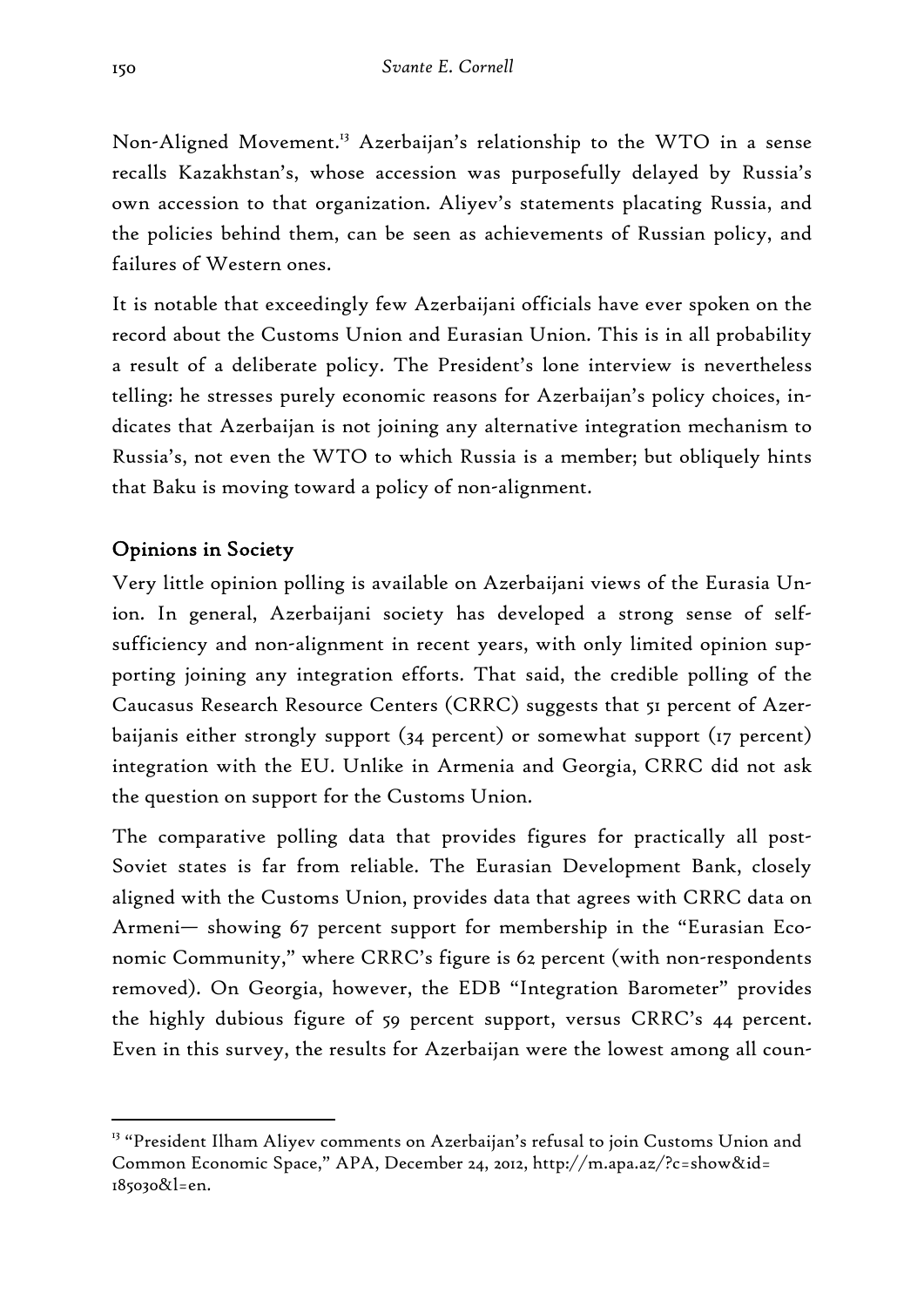Non-Aligned Movement.<sup>13</sup> Azerbaijan's relationship to the WTO in a sense recalls Kazakhstan's, whose accession was purposefully delayed by Russia's own accession to that organization. Aliyev's statements placating Russia, and the policies behind them, can be seen as achievements of Russian policy, and failures of Western ones.

It is notable that exceedingly few Azerbaijani officials have ever spoken on the record about the Customs Union and Eurasian Union. This is in all probability a result of a deliberate policy. The President's lone interview is nevertheless telling: he stresses purely economic reasons for Azerbaijan's policy choices, indicates that Azerbaijan is not joining any alternative integration mechanism to Russia's, not even the WTO to which Russia is a member; but obliquely hints that Baku is moving toward a policy of non-alignment.

## Opinions in Society

-

Very little opinion polling is available on Azerbaijani views of the Eurasia Union. In general, Azerbaijani society has developed a strong sense of selfsufficiency and non-alignment in recent years, with only limited opinion supporting joining any integration efforts. That said, the credible polling of the Caucasus Research Resource Centers (CRRC) suggests that 51 percent of Azerbaijanis either strongly support (34 percent) or somewhat support (17 percent) integration with the EU. Unlike in Armenia and Georgia, CRRC did not ask the question on support for the Customs Union.

The comparative polling data that provides figures for practically all post-Soviet states is far from reliable. The Eurasian Development Bank, closely aligned with the Customs Union, provides data that agrees with CRRC data on Armeni— showing 67 percent support for membership in the "Eurasian Economic Community," where CRRC's figure is 62 percent (with non-respondents removed). On Georgia, however, the EDB "Integration Barometer" provides the highly dubious figure of 59 percent support, versus CRRC's 44 percent. Even in this survey, the results for Azerbaijan were the lowest among all coun-

<sup>&</sup>lt;sup>13</sup> "President Ilham Aliyev comments on Azerbaijan's refusal to join Customs Union and Common Economic Space," APA, December 24, 2012, http://m.apa.az/?c=show&id= 185030&l=en.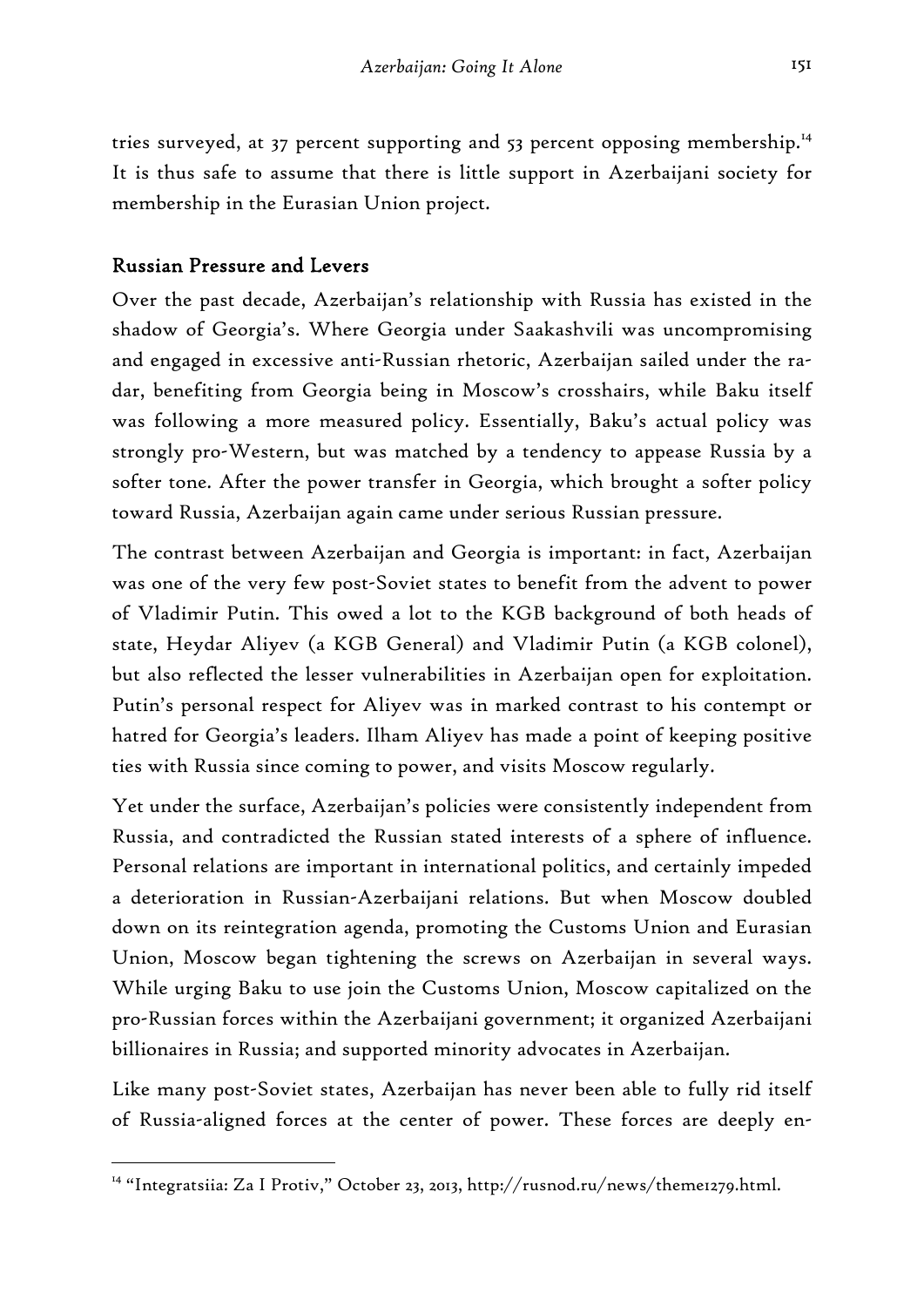tries surveyed, at 37 percent supporting and 53 percent opposing membership.<sup>14</sup> It is thus safe to assume that there is little support in Azerbaijani society for membership in the Eurasian Union project.

## Russian Pressure and Levers

-

Over the past decade, Azerbaijan's relationship with Russia has existed in the shadow of Georgia's. Where Georgia under Saakashvili was uncompromising and engaged in excessive anti-Russian rhetoric, Azerbaijan sailed under the radar, benefiting from Georgia being in Moscow's crosshairs, while Baku itself was following a more measured policy. Essentially, Baku's actual policy was strongly pro-Western, but was matched by a tendency to appease Russia by a softer tone. After the power transfer in Georgia, which brought a softer policy toward Russia, Azerbaijan again came under serious Russian pressure.

The contrast between Azerbaijan and Georgia is important: in fact, Azerbaijan was one of the very few post-Soviet states to benefit from the advent to power of Vladimir Putin. This owed a lot to the KGB background of both heads of state, Heydar Aliyev (a KGB General) and Vladimir Putin (a KGB colonel), but also reflected the lesser vulnerabilities in Azerbaijan open for exploitation. Putin's personal respect for Aliyev was in marked contrast to his contempt or hatred for Georgia's leaders. Ilham Aliyev has made a point of keeping positive ties with Russia since coming to power, and visits Moscow regularly.

Yet under the surface, Azerbaijan's policies were consistently independent from Russia, and contradicted the Russian stated interests of a sphere of influence. Personal relations are important in international politics, and certainly impeded a deterioration in Russian-Azerbaijani relations. But when Moscow doubled down on its reintegration agenda, promoting the Customs Union and Eurasian Union, Moscow began tightening the screws on Azerbaijan in several ways. While urging Baku to use join the Customs Union, Moscow capitalized on the pro-Russian forces within the Azerbaijani government; it organized Azerbaijani billionaires in Russia; and supported minority advocates in Azerbaijan.

Like many post-Soviet states, Azerbaijan has never been able to fully rid itself of Russia-aligned forces at the center of power. These forces are deeply en-

<sup>&</sup>lt;sup>14</sup> "Integratsiia: Za I Protiv," October 23, 2013, http://rusnod.ru/news/theme1279.html.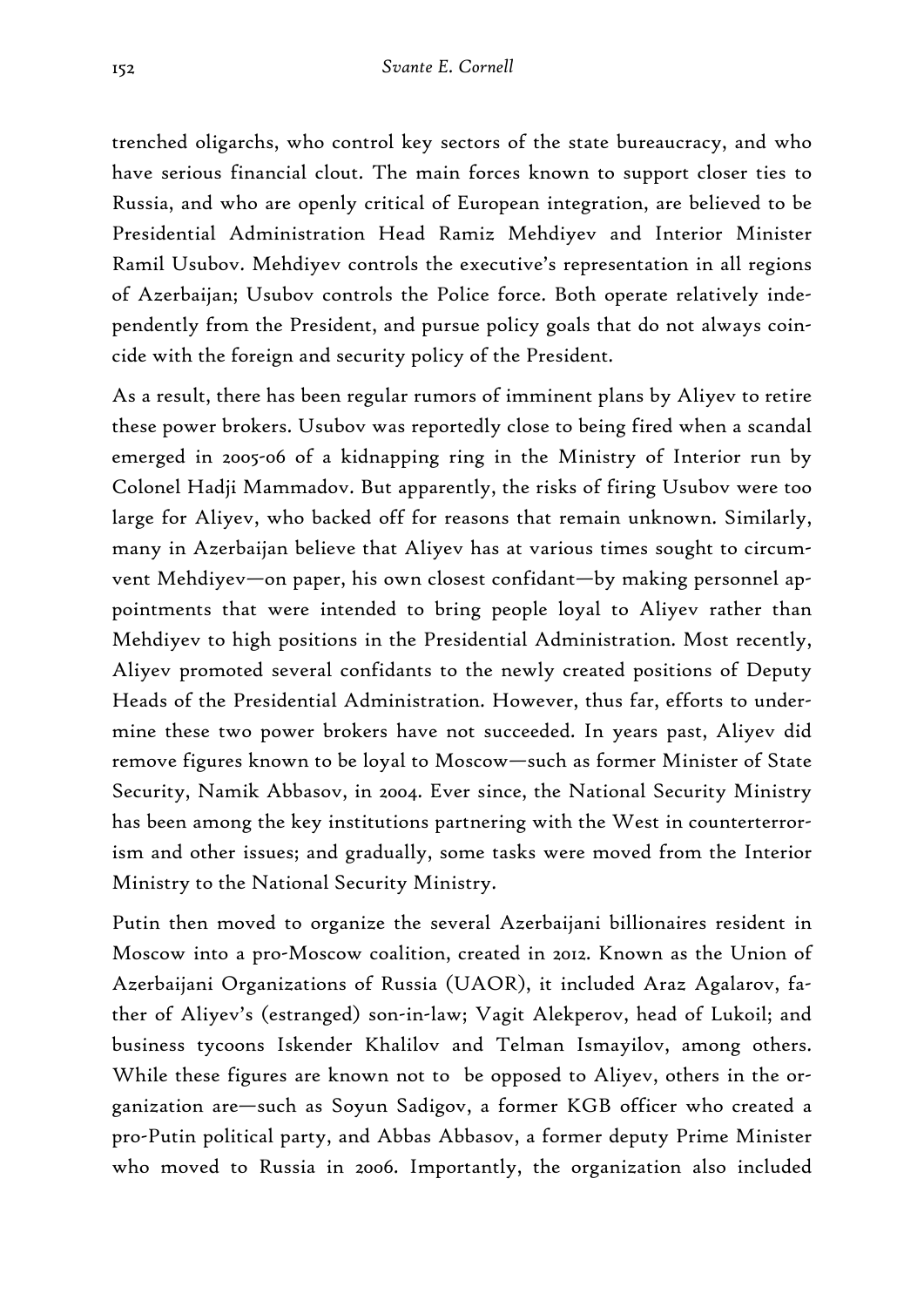trenched oligarchs, who control key sectors of the state bureaucracy, and who have serious financial clout. The main forces known to support closer ties to Russia, and who are openly critical of European integration, are believed to be Presidential Administration Head Ramiz Mehdiyev and Interior Minister Ramil Usubov. Mehdiyev controls the executive's representation in all regions of Azerbaijan; Usubov controls the Police force. Both operate relatively independently from the President, and pursue policy goals that do not always coincide with the foreign and security policy of the President.

As a result, there has been regular rumors of imminent plans by Aliyev to retire these power brokers. Usubov was reportedly close to being fired when a scandal emerged in 2005-06 of a kidnapping ring in the Ministry of Interior run by Colonel Hadji Mammadov. But apparently, the risks of firing Usubov were too large for Aliyev, who backed off for reasons that remain unknown. Similarly, many in Azerbaijan believe that Aliyev has at various times sought to circumvent Mehdiyev—on paper, his own closest confidant—by making personnel appointments that were intended to bring people loyal to Aliyev rather than Mehdiyev to high positions in the Presidential Administration. Most recently, Aliyev promoted several confidants to the newly created positions of Deputy Heads of the Presidential Administration. However, thus far, efforts to undermine these two power brokers have not succeeded. In years past, Aliyev did remove figures known to be loyal to Moscow—such as former Minister of State Security, Namik Abbasov, in 2004. Ever since, the National Security Ministry has been among the key institutions partnering with the West in counterterrorism and other issues; and gradually, some tasks were moved from the Interior Ministry to the National Security Ministry.

Putin then moved to organize the several Azerbaijani billionaires resident in Moscow into a pro-Moscow coalition, created in 2012. Known as the Union of Azerbaijani Organizations of Russia (UAOR), it included Araz Agalarov, father of Aliyev's (estranged) son-in-law; Vagit Alekperov, head of Lukoil; and business tycoons Iskender Khalilov and Telman Ismayilov, among others. While these figures are known not to be opposed to Aliyev, others in the organization are—such as Soyun Sadigov, a former KGB officer who created a pro-Putin political party, and Abbas Abbasov, a former deputy Prime Minister who moved to Russia in 2006. Importantly, the organization also included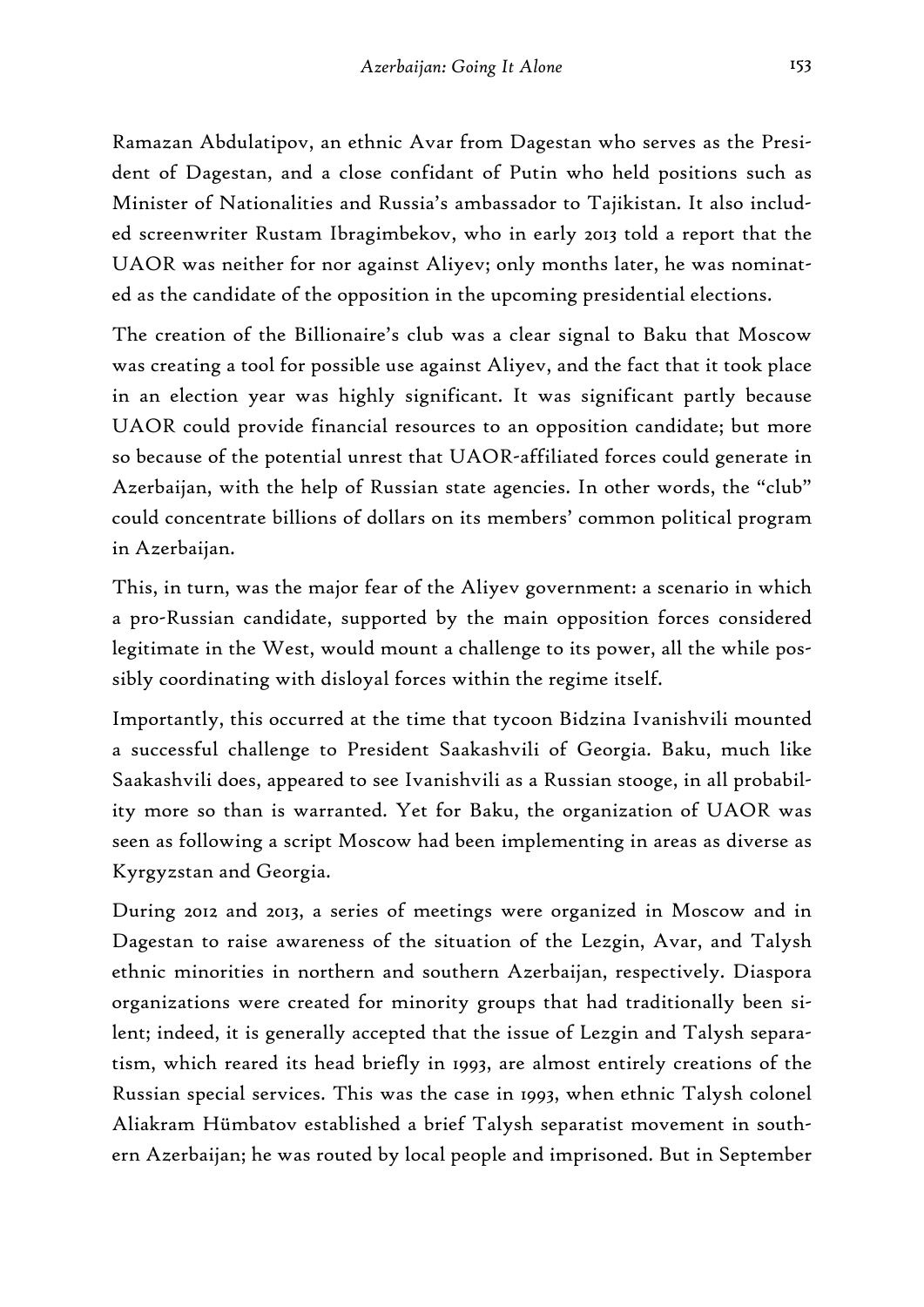Ramazan Abdulatipov, an ethnic Avar from Dagestan who serves as the President of Dagestan, and a close confidant of Putin who held positions such as Minister of Nationalities and Russia's ambassador to Tajikistan. It also included screenwriter Rustam Ibragimbekov, who in early 2013 told a report that the UAOR was neither for nor against Aliyev; only months later, he was nominated as the candidate of the opposition in the upcoming presidential elections.

The creation of the Billionaire's club was a clear signal to Baku that Moscow was creating a tool for possible use against Aliyev, and the fact that it took place in an election year was highly significant. It was significant partly because UAOR could provide financial resources to an opposition candidate; but more so because of the potential unrest that UAOR-affiliated forces could generate in Azerbaijan, with the help of Russian state agencies. In other words, the "club" could concentrate billions of dollars on its members' common political program in Azerbaijan.

This, in turn, was the major fear of the Aliyev government: a scenario in which a pro-Russian candidate, supported by the main opposition forces considered legitimate in the West, would mount a challenge to its power, all the while possibly coordinating with disloyal forces within the regime itself.

Importantly, this occurred at the time that tycoon Bidzina Ivanishvili mounted a successful challenge to President Saakashvili of Georgia. Baku, much like Saakashvili does, appeared to see Ivanishvili as a Russian stooge, in all probability more so than is warranted. Yet for Baku, the organization of UAOR was seen as following a script Moscow had been implementing in areas as diverse as Kyrgyzstan and Georgia.

During 2012 and 2013, a series of meetings were organized in Moscow and in Dagestan to raise awareness of the situation of the Lezgin, Avar, and Talysh ethnic minorities in northern and southern Azerbaijan, respectively. Diaspora organizations were created for minority groups that had traditionally been silent; indeed, it is generally accepted that the issue of Lezgin and Talysh separatism, which reared its head briefly in 1993, are almost entirely creations of the Russian special services. This was the case in 1993, when ethnic Talysh colonel Aliakram Hümbatov established a brief Talysh separatist movement in southern Azerbaijan; he was routed by local people and imprisoned. But in September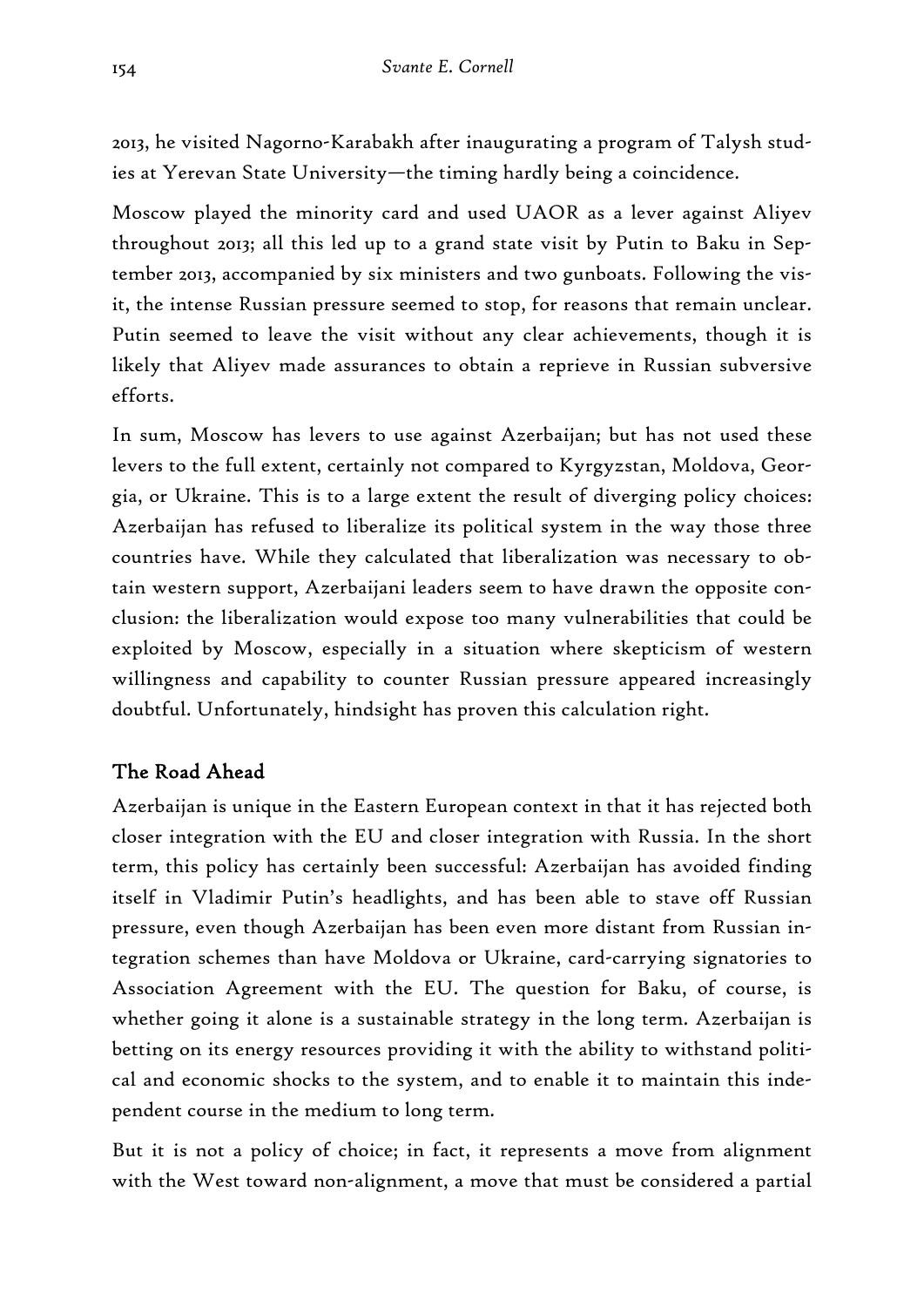2013, he visited Nagorno-Karabakh after inaugurating a program of Talysh studies at Yerevan State University—the timing hardly being a coincidence.

Moscow played the minority card and used UAOR as a lever against Aliyev throughout 2013; all this led up to a grand state visit by Putin to Baku in September 2013, accompanied by six ministers and two gunboats. Following the visit, the intense Russian pressure seemed to stop, for reasons that remain unclear. Putin seemed to leave the visit without any clear achievements, though it is likely that Aliyev made assurances to obtain a reprieve in Russian subversive efforts.

In sum, Moscow has levers to use against Azerbaijan; but has not used these levers to the full extent, certainly not compared to Kyrgyzstan, Moldova, Georgia, or Ukraine. This is to a large extent the result of diverging policy choices: Azerbaijan has refused to liberalize its political system in the way those three countries have. While they calculated that liberalization was necessary to obtain western support, Azerbaijani leaders seem to have drawn the opposite conclusion: the liberalization would expose too many vulnerabilities that could be exploited by Moscow, especially in a situation where skepticism of western willingness and capability to counter Russian pressure appeared increasingly doubtful. Unfortunately, hindsight has proven this calculation right.

## The Road Ahead

Azerbaijan is unique in the Eastern European context in that it has rejected both closer integration with the EU and closer integration with Russia. In the short term, this policy has certainly been successful: Azerbaijan has avoided finding itself in Vladimir Putin's headlights, and has been able to stave off Russian pressure, even though Azerbaijan has been even more distant from Russian integration schemes than have Moldova or Ukraine, card-carrying signatories to Association Agreement with the EU. The question for Baku, of course, is whether going it alone is a sustainable strategy in the long term. Azerbaijan is betting on its energy resources providing it with the ability to withstand political and economic shocks to the system, and to enable it to maintain this independent course in the medium to long term.

But it is not a policy of choice; in fact, it represents a move from alignment with the West toward non-alignment, a move that must be considered a partial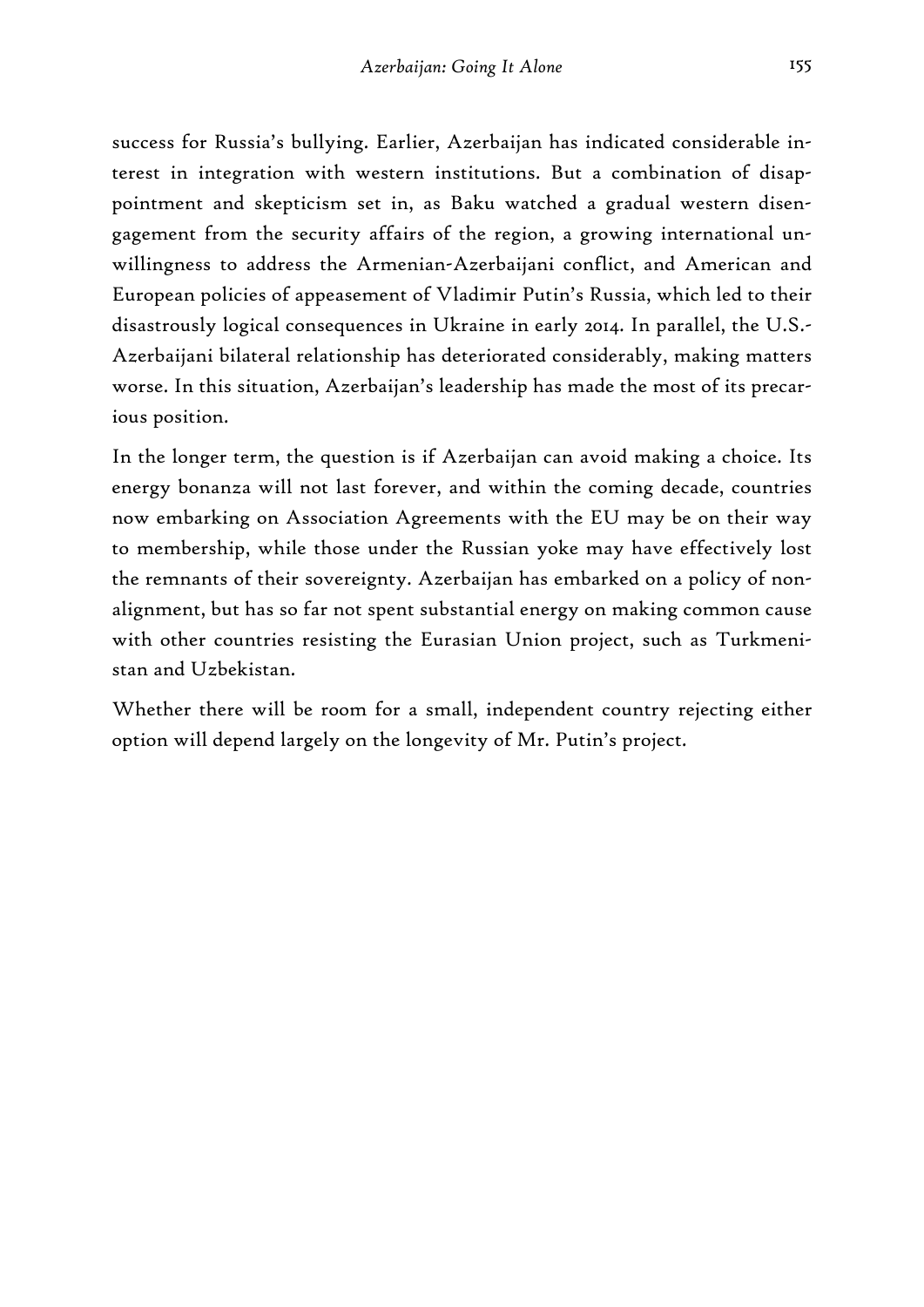success for Russia's bullying. Earlier, Azerbaijan has indicated considerable interest in integration with western institutions. But a combination of disappointment and skepticism set in, as Baku watched a gradual western disengagement from the security affairs of the region, a growing international unwillingness to address the Armenian-Azerbaijani conflict, and American and European policies of appeasement of Vladimir Putin's Russia, which led to their disastrously logical consequences in Ukraine in early 2014. In parallel, the U.S.- Azerbaijani bilateral relationship has deteriorated considerably, making matters worse. In this situation, Azerbaijan's leadership has made the most of its precarious position.

In the longer term, the question is if Azerbaijan can avoid making a choice. Its energy bonanza will not last forever, and within the coming decade, countries now embarking on Association Agreements with the EU may be on their way to membership, while those under the Russian yoke may have effectively lost the remnants of their sovereignty. Azerbaijan has embarked on a policy of nonalignment, but has so far not spent substantial energy on making common cause with other countries resisting the Eurasian Union project, such as Turkmenistan and Uzbekistan.

Whether there will be room for a small, independent country rejecting either option will depend largely on the longevity of Mr. Putin's project.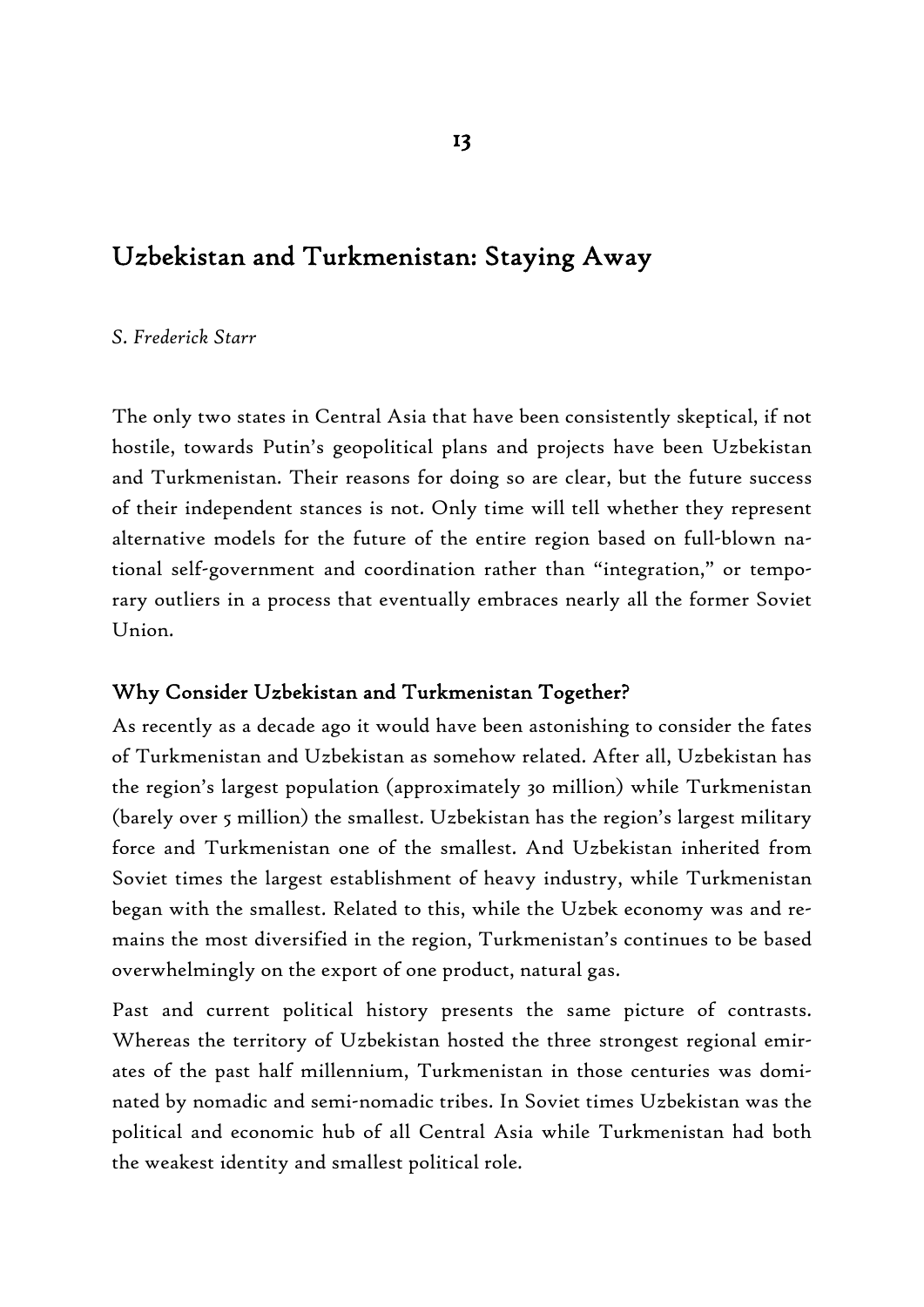# Uzbekistan and Turkmenistan: Staying Away

#### *S. Frederick Starr*

The only two states in Central Asia that have been consistently skeptical, if not hostile, towards Putin's geopolitical plans and projects have been Uzbekistan and Turkmenistan. Their reasons for doing so are clear, but the future success of their independent stances is not. Only time will tell whether they represent alternative models for the future of the entire region based on full-blown national self-government and coordination rather than "integration," or temporary outliers in a process that eventually embraces nearly all the former Soviet Union.

## Why Consider Uzbekistan and Turkmenistan Together?

As recently as a decade ago it would have been astonishing to consider the fates of Turkmenistan and Uzbekistan as somehow related. After all, Uzbekistan has the region's largest population (approximately 30 million) while Turkmenistan (barely over 5 million) the smallest. Uzbekistan has the region's largest military force and Turkmenistan one of the smallest. And Uzbekistan inherited from Soviet times the largest establishment of heavy industry, while Turkmenistan began with the smallest. Related to this, while the Uzbek economy was and remains the most diversified in the region, Turkmenistan's continues to be based overwhelmingly on the export of one product, natural gas.

Past and current political history presents the same picture of contrasts. Whereas the territory of Uzbekistan hosted the three strongest regional emirates of the past half millennium, Turkmenistan in those centuries was dominated by nomadic and semi-nomadic tribes. In Soviet times Uzbekistan was the political and economic hub of all Central Asia while Turkmenistan had both the weakest identity and smallest political role.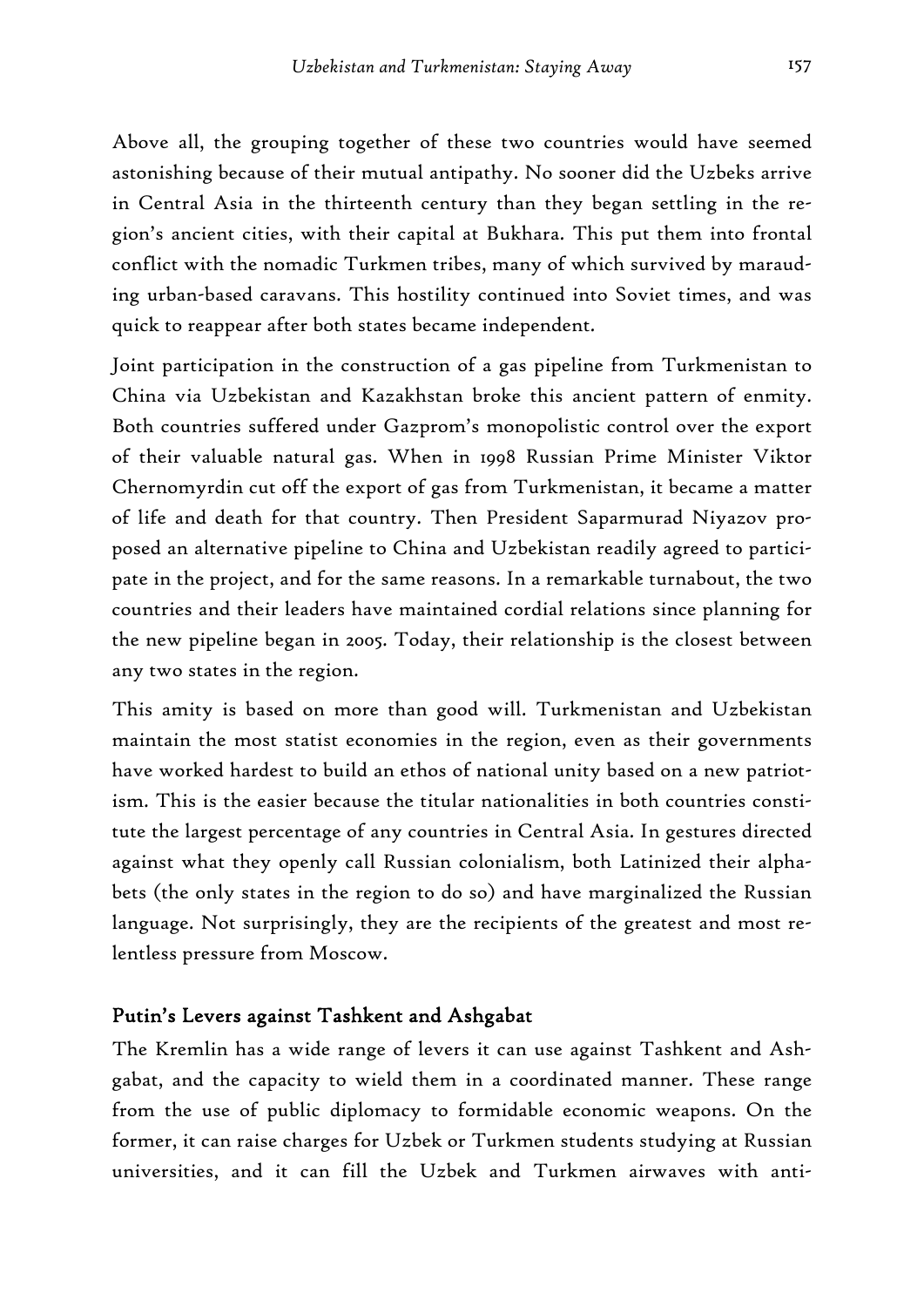Above all, the grouping together of these two countries would have seemed astonishing because of their mutual antipathy. No sooner did the Uzbeks arrive in Central Asia in the thirteenth century than they began settling in the region's ancient cities, with their capital at Bukhara. This put them into frontal conflict with the nomadic Turkmen tribes, many of which survived by marauding urban-based caravans. This hostility continued into Soviet times, and was quick to reappear after both states became independent.

Joint participation in the construction of a gas pipeline from Turkmenistan to China via Uzbekistan and Kazakhstan broke this ancient pattern of enmity. Both countries suffered under Gazprom's monopolistic control over the export of their valuable natural gas. When in 1998 Russian Prime Minister Viktor Chernomyrdin cut off the export of gas from Turkmenistan, it became a matter of life and death for that country. Then President Saparmurad Niyazov proposed an alternative pipeline to China and Uzbekistan readily agreed to participate in the project, and for the same reasons. In a remarkable turnabout, the two countries and their leaders have maintained cordial relations since planning for the new pipeline began in 2005. Today, their relationship is the closest between any two states in the region.

This amity is based on more than good will. Turkmenistan and Uzbekistan maintain the most statist economies in the region, even as their governments have worked hardest to build an ethos of national unity based on a new patriotism. This is the easier because the titular nationalities in both countries constitute the largest percentage of any countries in Central Asia. In gestures directed against what they openly call Russian colonialism, both Latinized their alphabets (the only states in the region to do so) and have marginalized the Russian language. Not surprisingly, they are the recipients of the greatest and most relentless pressure from Moscow.

#### Putin's Levers against Tashkent and Ashgabat

The Kremlin has a wide range of levers it can use against Tashkent and Ashgabat, and the capacity to wield them in a coordinated manner. These range from the use of public diplomacy to formidable economic weapons. On the former, it can raise charges for Uzbek or Turkmen students studying at Russian universities, and it can fill the Uzbek and Turkmen airwaves with anti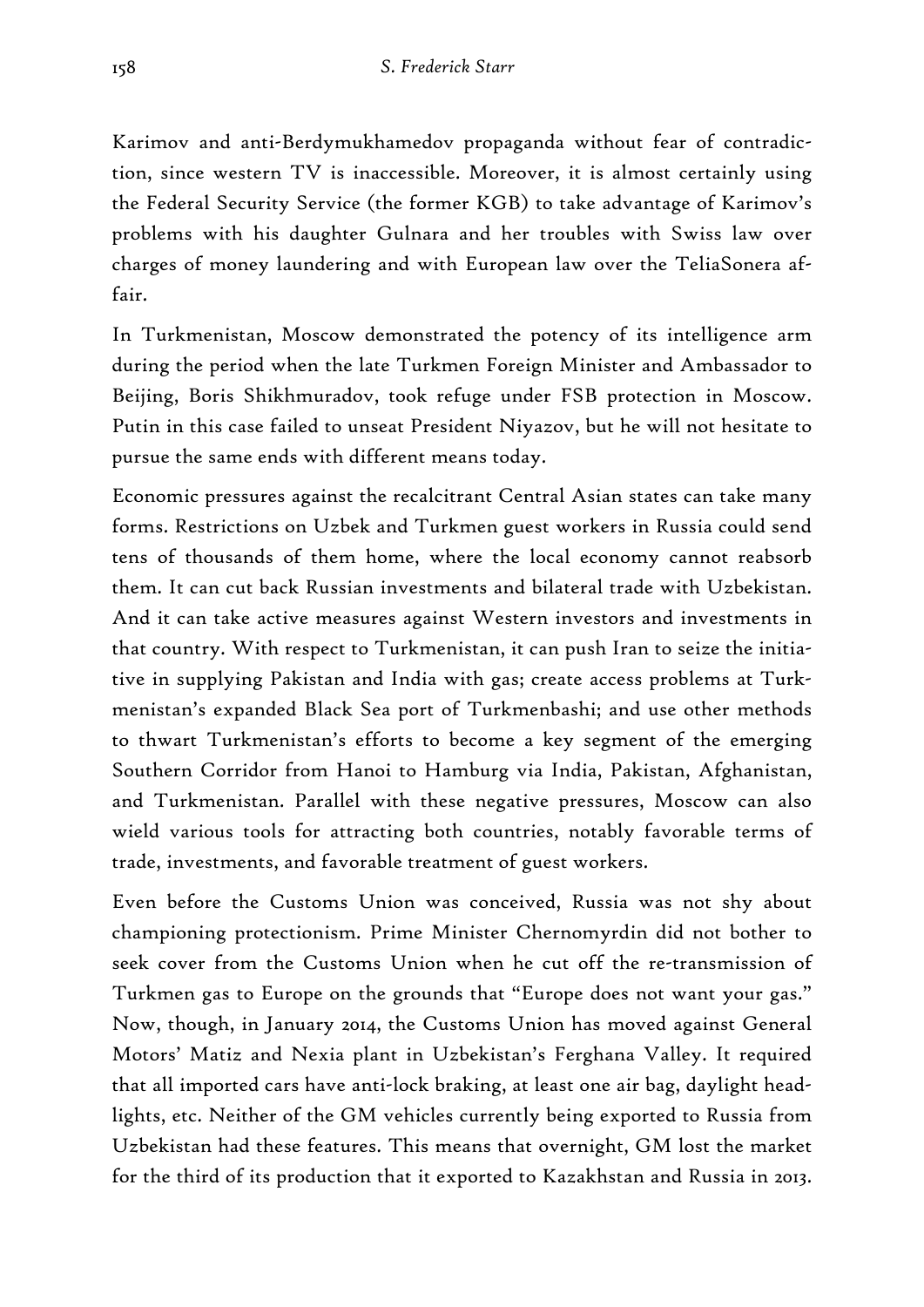Karimov and anti-Berdymukhamedov propaganda without fear of contradiction, since western TV is inaccessible. Moreover, it is almost certainly using the Federal Security Service (the former KGB) to take advantage of Karimov's problems with his daughter Gulnara and her troubles with Swiss law over charges of money laundering and with European law over the TeliaSonera affair.

In Turkmenistan, Moscow demonstrated the potency of its intelligence arm during the period when the late Turkmen Foreign Minister and Ambassador to Beijing, Boris Shikhmuradov, took refuge under FSB protection in Moscow. Putin in this case failed to unseat President Niyazov, but he will not hesitate to pursue the same ends with different means today.

Economic pressures against the recalcitrant Central Asian states can take many forms. Restrictions on Uzbek and Turkmen guest workers in Russia could send tens of thousands of them home, where the local economy cannot reabsorb them. It can cut back Russian investments and bilateral trade with Uzbekistan. And it can take active measures against Western investors and investments in that country. With respect to Turkmenistan, it can push Iran to seize the initiative in supplying Pakistan and India with gas; create access problems at Turkmenistan's expanded Black Sea port of Turkmenbashi; and use other methods to thwart Turkmenistan's efforts to become a key segment of the emerging Southern Corridor from Hanoi to Hamburg via India, Pakistan, Afghanistan, and Turkmenistan. Parallel with these negative pressures, Moscow can also wield various tools for attracting both countries, notably favorable terms of trade, investments, and favorable treatment of guest workers.

Even before the Customs Union was conceived, Russia was not shy about championing protectionism. Prime Minister Chernomyrdin did not bother to seek cover from the Customs Union when he cut off the re-transmission of Turkmen gas to Europe on the grounds that "Europe does not want your gas." Now, though, in January 2014, the Customs Union has moved against General Motors' Matiz and Nexia plant in Uzbekistan's Ferghana Valley. It required that all imported cars have anti-lock braking, at least one air bag, daylight headlights, etc. Neither of the GM vehicles currently being exported to Russia from Uzbekistan had these features. This means that overnight, GM lost the market for the third of its production that it exported to Kazakhstan and Russia in 2013.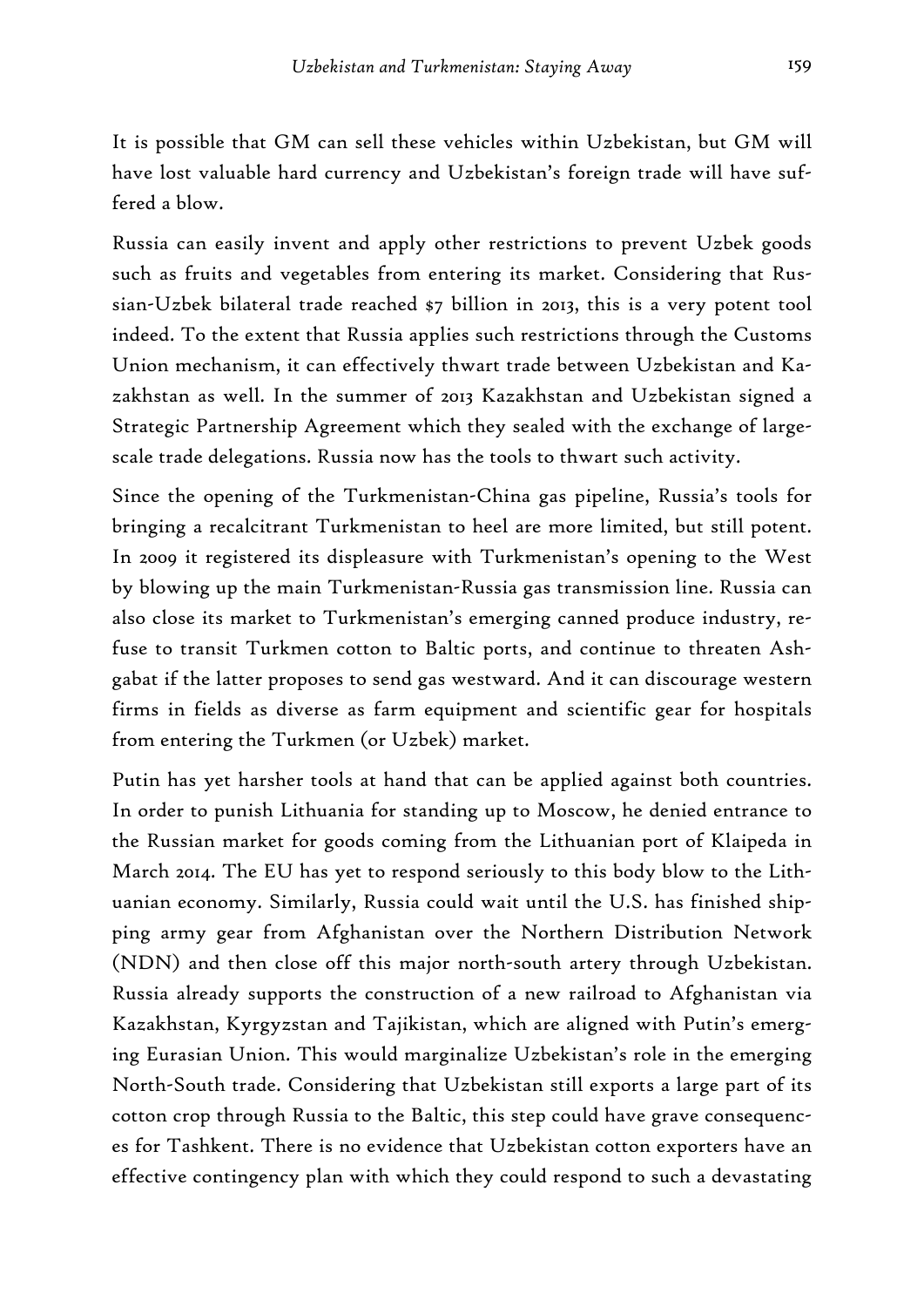It is possible that GM can sell these vehicles within Uzbekistan, but GM will have lost valuable hard currency and Uzbekistan's foreign trade will have suffered a blow.

Russia can easily invent and apply other restrictions to prevent Uzbek goods such as fruits and vegetables from entering its market. Considering that Russian-Uzbek bilateral trade reached \$7 billion in 2013, this is a very potent tool indeed. To the extent that Russia applies such restrictions through the Customs Union mechanism, it can effectively thwart trade between Uzbekistan and Kazakhstan as well. In the summer of 2013 Kazakhstan and Uzbekistan signed a Strategic Partnership Agreement which they sealed with the exchange of largescale trade delegations. Russia now has the tools to thwart such activity.

Since the opening of the Turkmenistan-China gas pipeline, Russia's tools for bringing a recalcitrant Turkmenistan to heel are more limited, but still potent. In 2009 it registered its displeasure with Turkmenistan's opening to the West by blowing up the main Turkmenistan-Russia gas transmission line. Russia can also close its market to Turkmenistan's emerging canned produce industry, refuse to transit Turkmen cotton to Baltic ports, and continue to threaten Ashgabat if the latter proposes to send gas westward. And it can discourage western firms in fields as diverse as farm equipment and scientific gear for hospitals from entering the Turkmen (or Uzbek) market.

Putin has yet harsher tools at hand that can be applied against both countries. In order to punish Lithuania for standing up to Moscow, he denied entrance to the Russian market for goods coming from the Lithuanian port of Klaipeda in March 2014. The EU has yet to respond seriously to this body blow to the Lithuanian economy. Similarly, Russia could wait until the U.S. has finished shipping army gear from Afghanistan over the Northern Distribution Network (NDN) and then close off this major north-south artery through Uzbekistan. Russia already supports the construction of a new railroad to Afghanistan via Kazakhstan, Kyrgyzstan and Tajikistan, which are aligned with Putin's emerging Eurasian Union. This would marginalize Uzbekistan's role in the emerging North-South trade. Considering that Uzbekistan still exports a large part of its cotton crop through Russia to the Baltic, this step could have grave consequences for Tashkent. There is no evidence that Uzbekistan cotton exporters have an effective contingency plan with which they could respond to such a devastating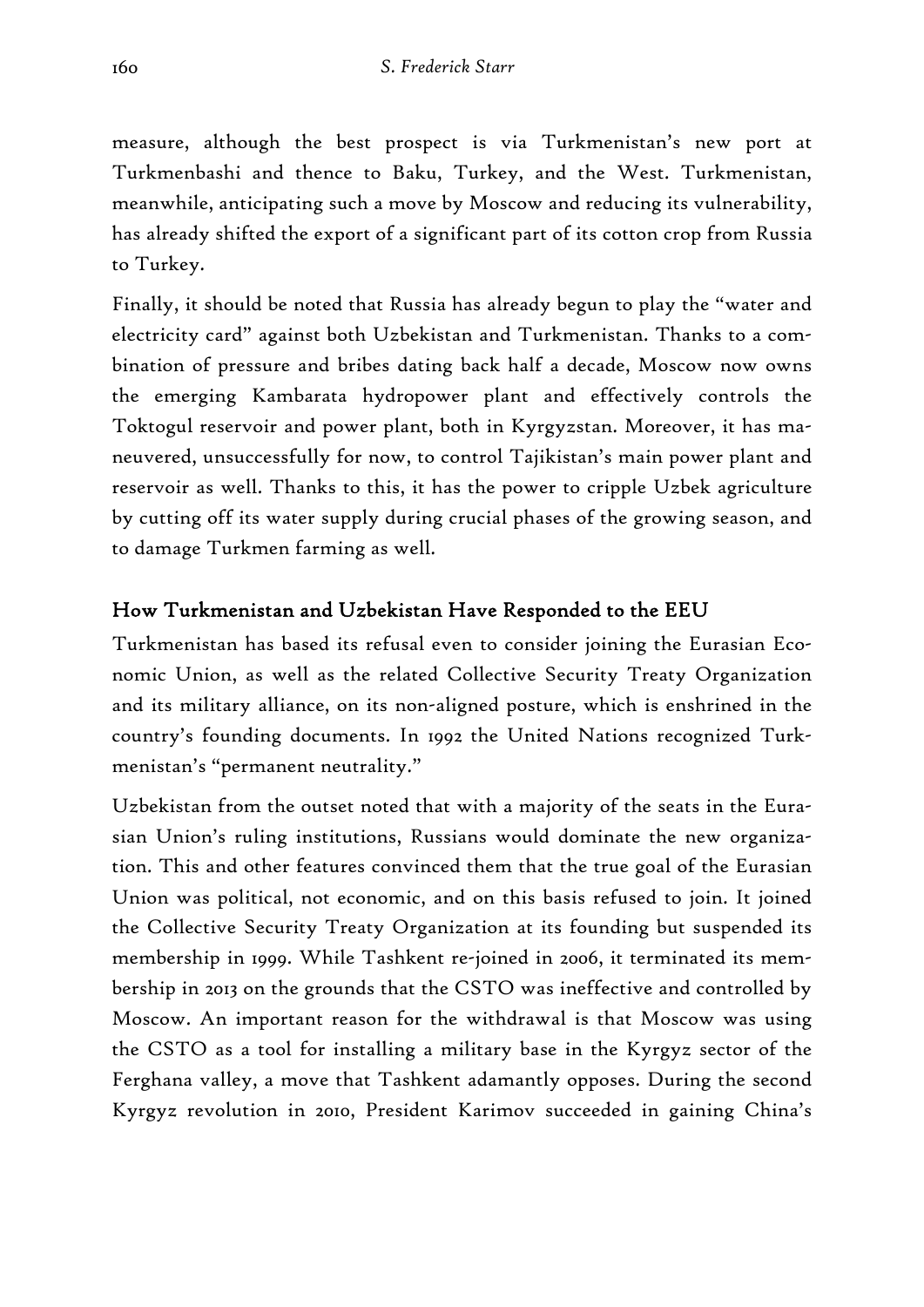measure, although the best prospect is via Turkmenistan's new port at Turkmenbashi and thence to Baku, Turkey, and the West. Turkmenistan, meanwhile, anticipating such a move by Moscow and reducing its vulnerability, has already shifted the export of a significant part of its cotton crop from Russia to Turkey.

Finally, it should be noted that Russia has already begun to play the "water and electricity card" against both Uzbekistan and Turkmenistan. Thanks to a combination of pressure and bribes dating back half a decade, Moscow now owns the emerging Kambarata hydropower plant and effectively controls the Toktogul reservoir and power plant, both in Kyrgyzstan. Moreover, it has maneuvered, unsuccessfully for now, to control Tajikistan's main power plant and reservoir as well. Thanks to this, it has the power to cripple Uzbek agriculture by cutting off its water supply during crucial phases of the growing season, and to damage Turkmen farming as well.

## How Turkmenistan and Uzbekistan Have Responded to the EEU

Turkmenistan has based its refusal even to consider joining the Eurasian Economic Union, as well as the related Collective Security Treaty Organization and its military alliance, on its non-aligned posture, which is enshrined in the country's founding documents. In 1992 the United Nations recognized Turkmenistan's "permanent neutrality."

Uzbekistan from the outset noted that with a majority of the seats in the Eurasian Union's ruling institutions, Russians would dominate the new organization. This and other features convinced them that the true goal of the Eurasian Union was political, not economic, and on this basis refused to join. It joined the Collective Security Treaty Organization at its founding but suspended its membership in 1999. While Tashkent re-joined in 2006, it terminated its membership in 2013 on the grounds that the CSTO was ineffective and controlled by Moscow. An important reason for the withdrawal is that Moscow was using the CSTO as a tool for installing a military base in the Kyrgyz sector of the Ferghana valley, a move that Tashkent adamantly opposes. During the second Kyrgyz revolution in 2010, President Karimov succeeded in gaining China's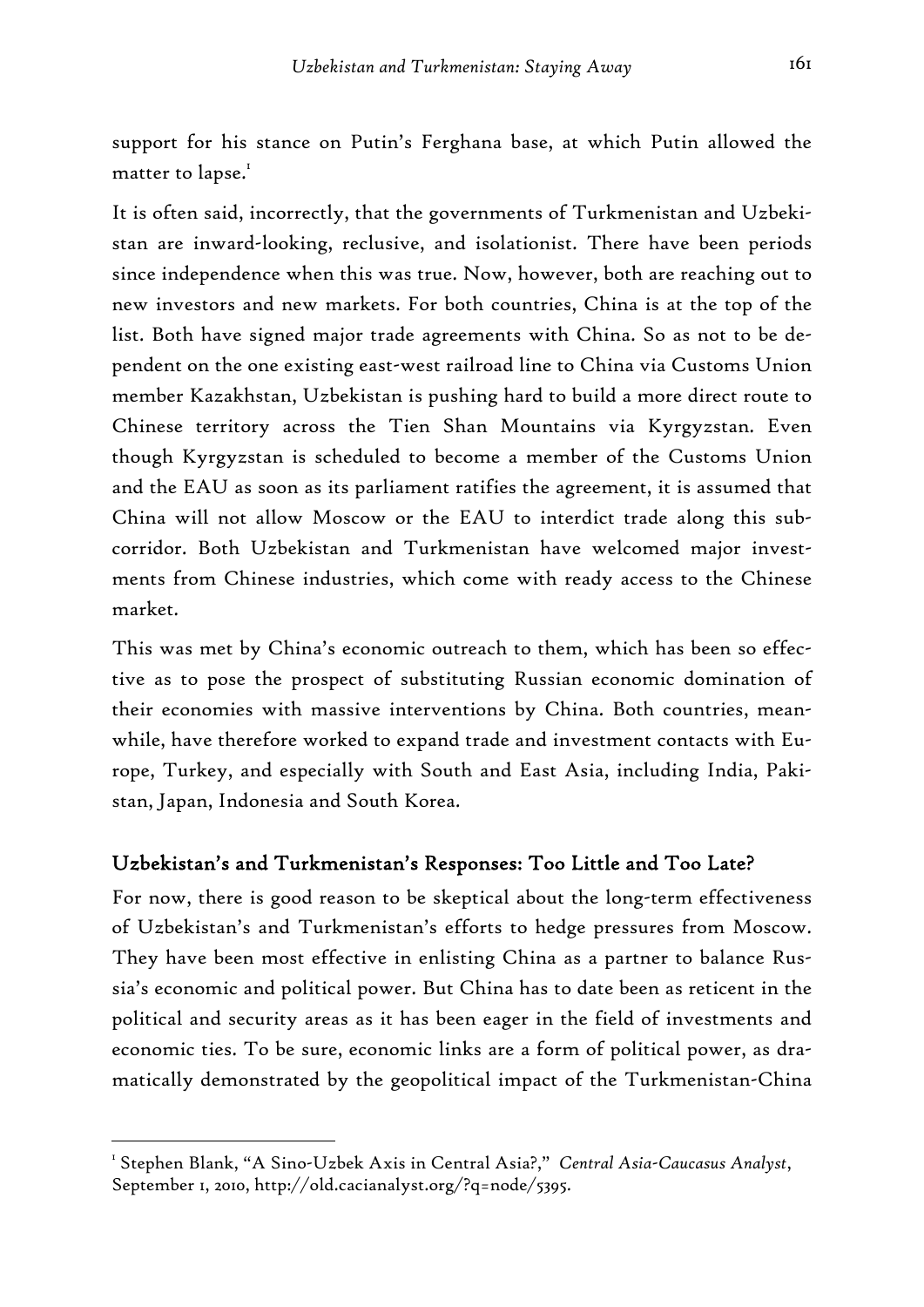support for his stance on Putin's Ferghana base, at which Putin allowed the matter to lapse. $^{\mathrm{I}}$ 

It is often said, incorrectly, that the governments of Turkmenistan and Uzbekistan are inward-looking, reclusive, and isolationist. There have been periods since independence when this was true. Now, however, both are reaching out to new investors and new markets. For both countries, China is at the top of the list. Both have signed major trade agreements with China. So as not to be dependent on the one existing east-west railroad line to China via Customs Union member Kazakhstan, Uzbekistan is pushing hard to build a more direct route to Chinese territory across the Tien Shan Mountains via Kyrgyzstan. Even though Kyrgyzstan is scheduled to become a member of the Customs Union and the EAU as soon as its parliament ratifies the agreement, it is assumed that China will not allow Moscow or the EAU to interdict trade along this subcorridor. Both Uzbekistan and Turkmenistan have welcomed major investments from Chinese industries, which come with ready access to the Chinese market.

This was met by China's economic outreach to them, which has been so effective as to pose the prospect of substituting Russian economic domination of their economies with massive interventions by China. Both countries, meanwhile, have therefore worked to expand trade and investment contacts with Europe, Turkey, and especially with South and East Asia, including India, Pakistan, Japan, Indonesia and South Korea.

#### Uzbekistan's and Turkmenistan's Responses: Too Little and Too Late?

For now, there is good reason to be skeptical about the long-term effectiveness of Uzbekistan's and Turkmenistan's efforts to hedge pressures from Moscow. They have been most effective in enlisting China as a partner to balance Russia's economic and political power. But China has to date been as reticent in the political and security areas as it has been eager in the field of investments and economic ties. To be sure, economic links are a form of political power, as dramatically demonstrated by the geopolitical impact of the Turkmenistan-China

<sup>&</sup>lt;sup>1</sup> Stephen Blank, "A Sino-Uzbek Axis in Central Asia?," *Central Asia-Caucasus Analyst*, September 1, 2010, http://old.cacianalyst.org/?q=node/5395.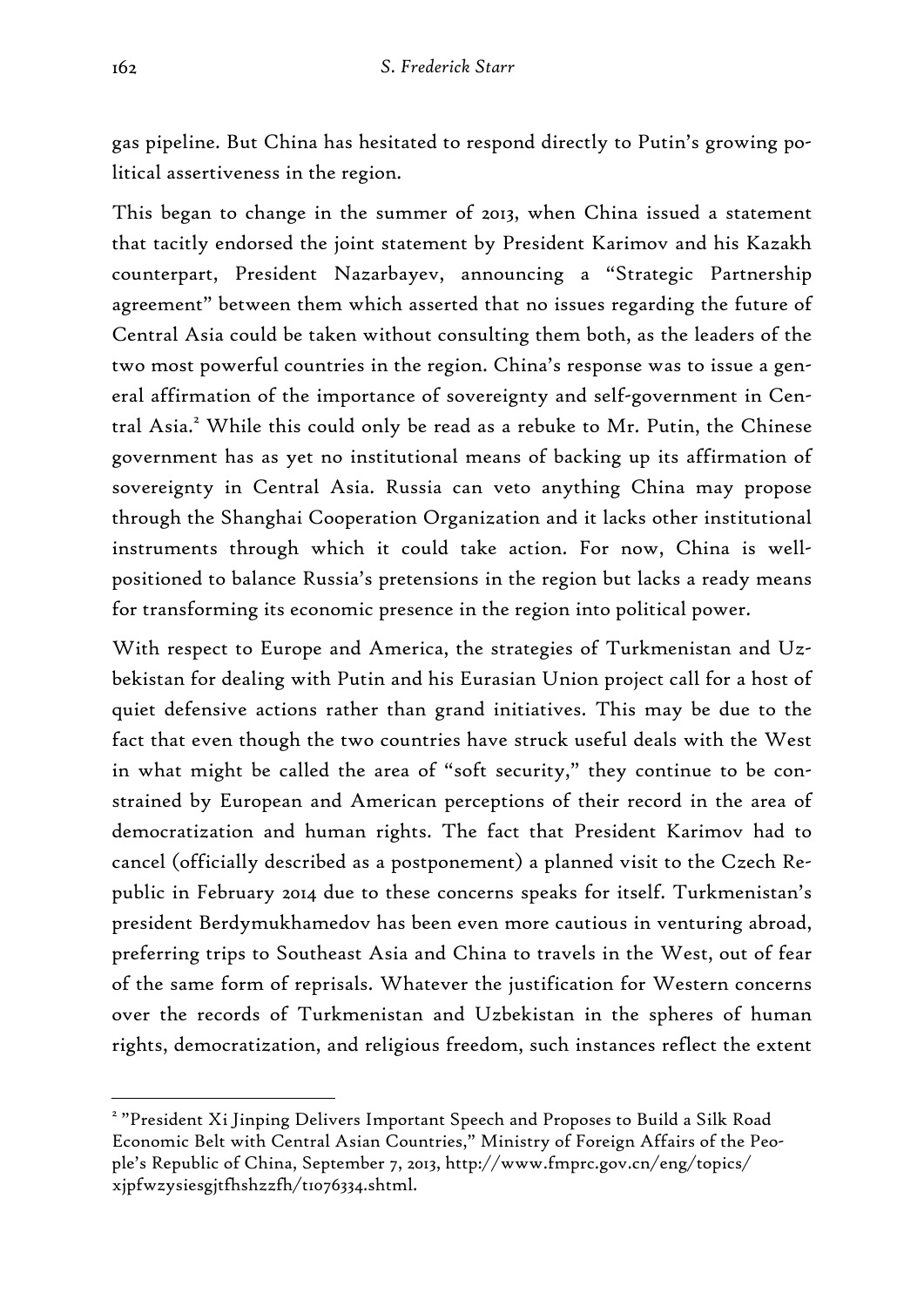gas pipeline. But China has hesitated to respond directly to Putin's growing political assertiveness in the region.

This began to change in the summer of 2013, when China issued a statement that tacitly endorsed the joint statement by President Karimov and his Kazakh counterpart, President Nazarbayev, announcing a "Strategic Partnership agreement" between them which asserted that no issues regarding the future of Central Asia could be taken without consulting them both, as the leaders of the two most powerful countries in the region. China's response was to issue a general affirmation of the importance of sovereignty and self-government in Central Asia.<sup>2</sup> While this could only be read as a rebuke to Mr. Putin, the Chinese government has as yet no institutional means of backing up its affirmation of sovereignty in Central Asia. Russia can veto anything China may propose through the Shanghai Cooperation Organization and it lacks other institutional instruments through which it could take action. For now, China is wellpositioned to balance Russia's pretensions in the region but lacks a ready means for transforming its economic presence in the region into political power.

With respect to Europe and America, the strategies of Turkmenistan and Uzbekistan for dealing with Putin and his Eurasian Union project call for a host of quiet defensive actions rather than grand initiatives. This may be due to the fact that even though the two countries have struck useful deals with the West in what might be called the area of "soft security," they continue to be constrained by European and American perceptions of their record in the area of democratization and human rights. The fact that President Karimov had to cancel (officially described as a postponement) a planned visit to the Czech Republic in February 2014 due to these concerns speaks for itself. Turkmenistan's president Berdymukhamedov has been even more cautious in venturing abroad, preferring trips to Southeast Asia and China to travels in the West, out of fear of the same form of reprisals. Whatever the justification for Western concerns over the records of Turkmenistan and Uzbekistan in the spheres of human rights, democratization, and religious freedom, such instances reflect the extent

<sup>&</sup>lt;sup>2</sup> "President Xi Jinping Delivers Important Speech and Proposes to Build a Silk Road Economic Belt with Central Asian Countries," Ministry of Foreign Affairs of the People's Republic of China, September 7, 2013, http://www.fmprc.gov.cn/eng/topics/ xjpfwzysiesgjtfhshzzfh/t1076334.shtml.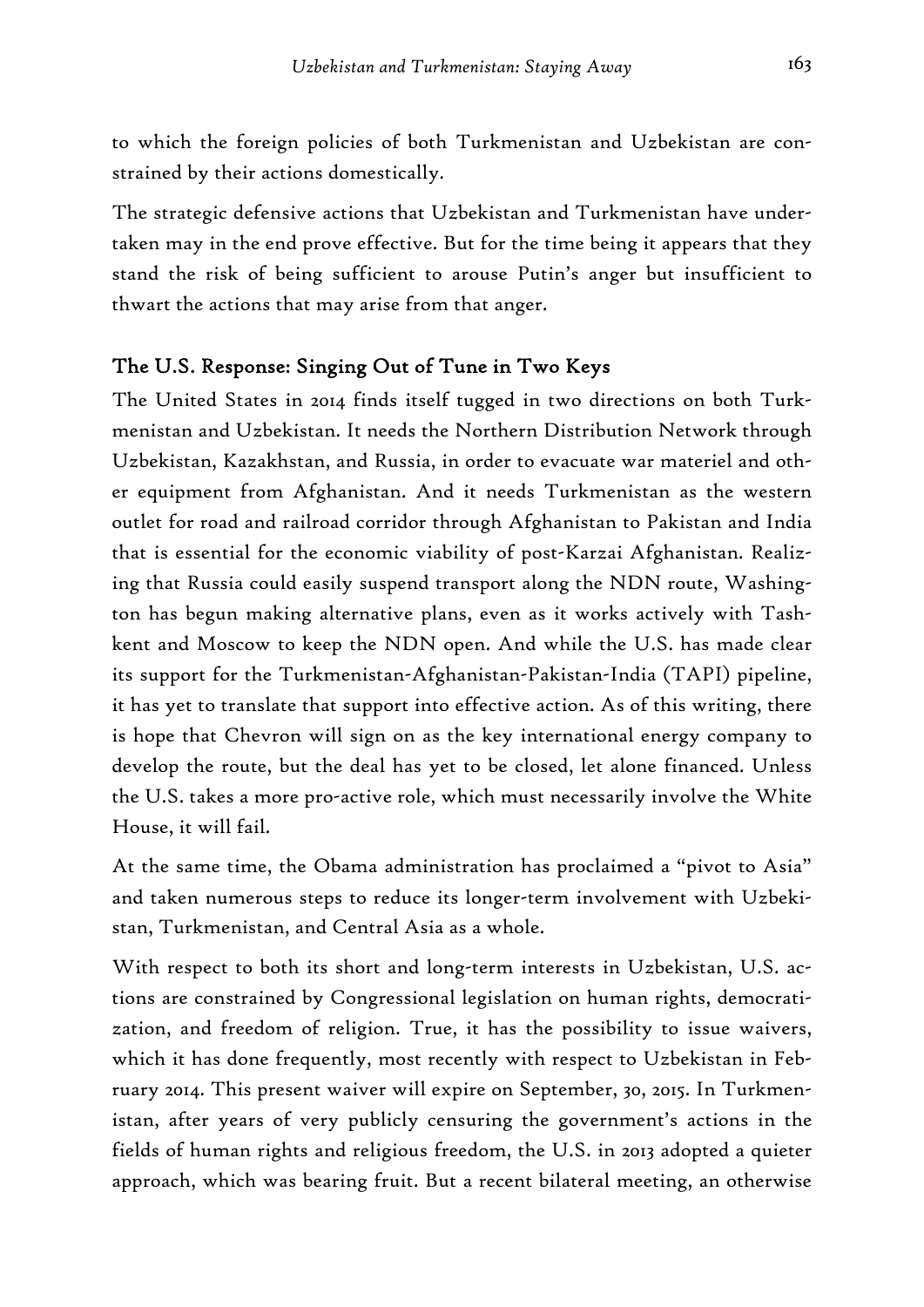to which the foreign policies of both Turkmenistan and Uzbekistan are constrained by their actions domestically.

The strategic defensive actions that Uzbekistan and Turkmenistan have undertaken may in the end prove effective. But for the time being it appears that they stand the risk of being sufficient to arouse Putin's anger but insufficient to thwart the actions that may arise from that anger.

### The U.S. Response: Singing Out of Tune in Two Keys

The United States in 2014 finds itself tugged in two directions on both Turkmenistan and Uzbekistan. It needs the Northern Distribution Network through Uzbekistan, Kazakhstan, and Russia, in order to evacuate war materiel and other equipment from Afghanistan. And it needs Turkmenistan as the western outlet for road and railroad corridor through Afghanistan to Pakistan and India that is essential for the economic viability of post-Karzai Afghanistan. Realizing that Russia could easily suspend transport along the NDN route, Washington has begun making alternative plans, even as it works actively with Tashkent and Moscow to keep the NDN open. And while the U.S. has made clear its support for the Turkmenistan-Afghanistan-Pakistan-India (TAPI) pipeline, it has yet to translate that support into effective action. As of this writing, there is hope that Chevron will sign on as the key international energy company to develop the route, but the deal has yet to be closed, let alone financed. Unless the U.S. takes a more pro-active role, which must necessarily involve the White House, it will fail.

At the same time, the Obama administration has proclaimed a "pivot to Asia" and taken numerous steps to reduce its longer-term involvement with Uzbekistan, Turkmenistan, and Central Asia as a whole.

With respect to both its short and long-term interests in Uzbekistan, U.S. actions are constrained by Congressional legislation on human rights, democratization, and freedom of religion. True, it has the possibility to issue waivers, which it has done frequently, most recently with respect to Uzbekistan in February 2014. This present waiver will expire on September, 30, 2015. In Turkmenistan, after years of very publicly censuring the government's actions in the fields of human rights and religious freedom, the U.S. in 2013 adopted a quieter approach, which was bearing fruit. But a recent bilateral meeting, an otherwise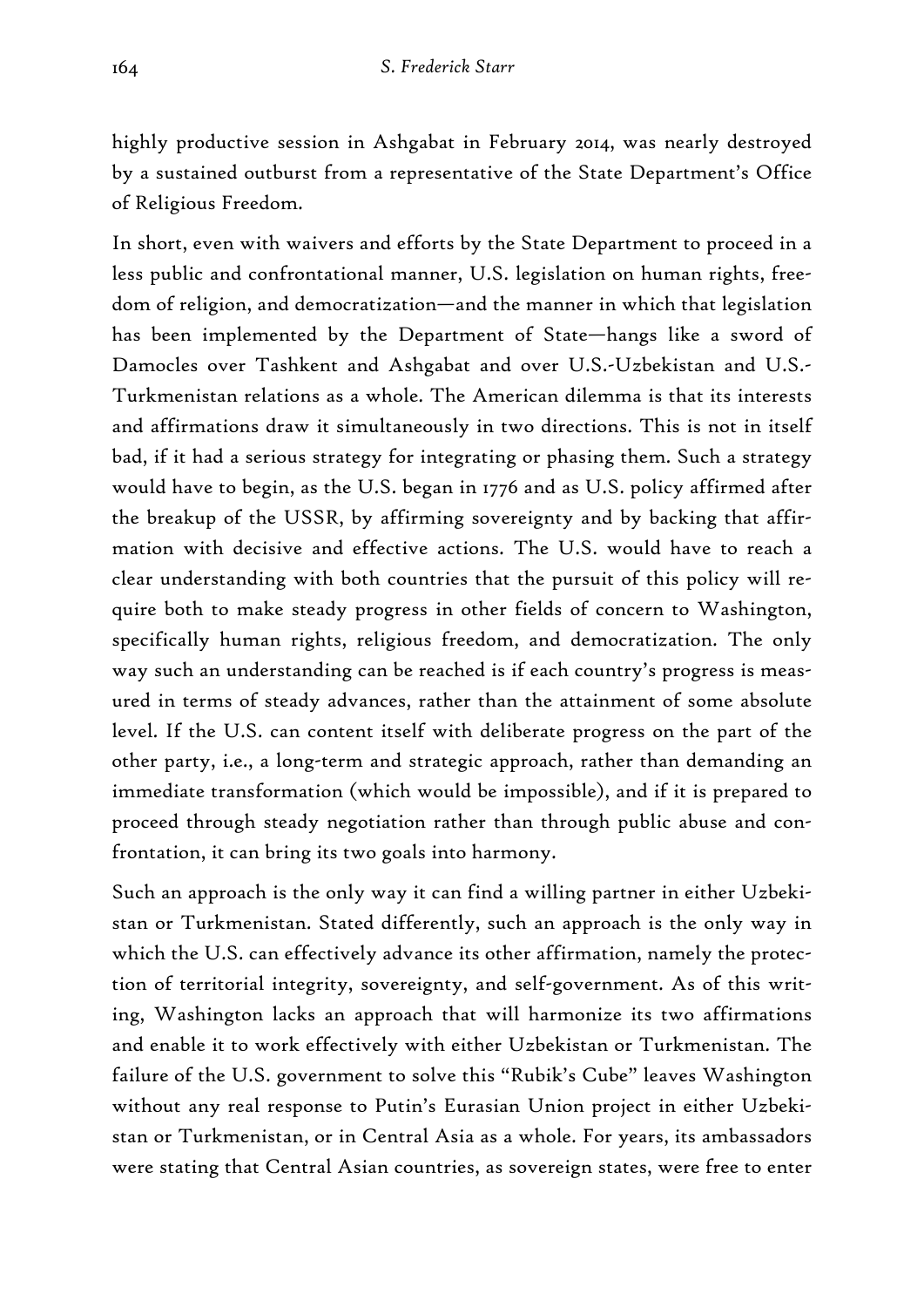highly productive session in Ashgabat in February 2014, was nearly destroyed by a sustained outburst from a representative of the State Department's Office of Religious Freedom.

In short, even with waivers and efforts by the State Department to proceed in a less public and confrontational manner, U.S. legislation on human rights, freedom of religion, and democratization—and the manner in which that legislation has been implemented by the Department of State—hangs like a sword of Damocles over Tashkent and Ashgabat and over U.S.-Uzbekistan and U.S.- Turkmenistan relations as a whole. The American dilemma is that its interests and affirmations draw it simultaneously in two directions. This is not in itself bad, if it had a serious strategy for integrating or phasing them. Such a strategy would have to begin, as the U.S. began in 1776 and as U.S. policy affirmed after the breakup of the USSR, by affirming sovereignty and by backing that affirmation with decisive and effective actions. The U.S. would have to reach a clear understanding with both countries that the pursuit of this policy will require both to make steady progress in other fields of concern to Washington, specifically human rights, religious freedom, and democratization. The only way such an understanding can be reached is if each country's progress is measured in terms of steady advances, rather than the attainment of some absolute level. If the U.S. can content itself with deliberate progress on the part of the other party, i.e., a long-term and strategic approach, rather than demanding an immediate transformation (which would be impossible), and if it is prepared to proceed through steady negotiation rather than through public abuse and confrontation, it can bring its two goals into harmony.

Such an approach is the only way it can find a willing partner in either Uzbekistan or Turkmenistan. Stated differently, such an approach is the only way in which the U.S. can effectively advance its other affirmation, namely the protection of territorial integrity, sovereignty, and self-government. As of this writing, Washington lacks an approach that will harmonize its two affirmations and enable it to work effectively with either Uzbekistan or Turkmenistan. The failure of the U.S. government to solve this "Rubik's Cube" leaves Washington without any real response to Putin's Eurasian Union project in either Uzbekistan or Turkmenistan, or in Central Asia as a whole. For years, its ambassadors were stating that Central Asian countries, as sovereign states, were free to enter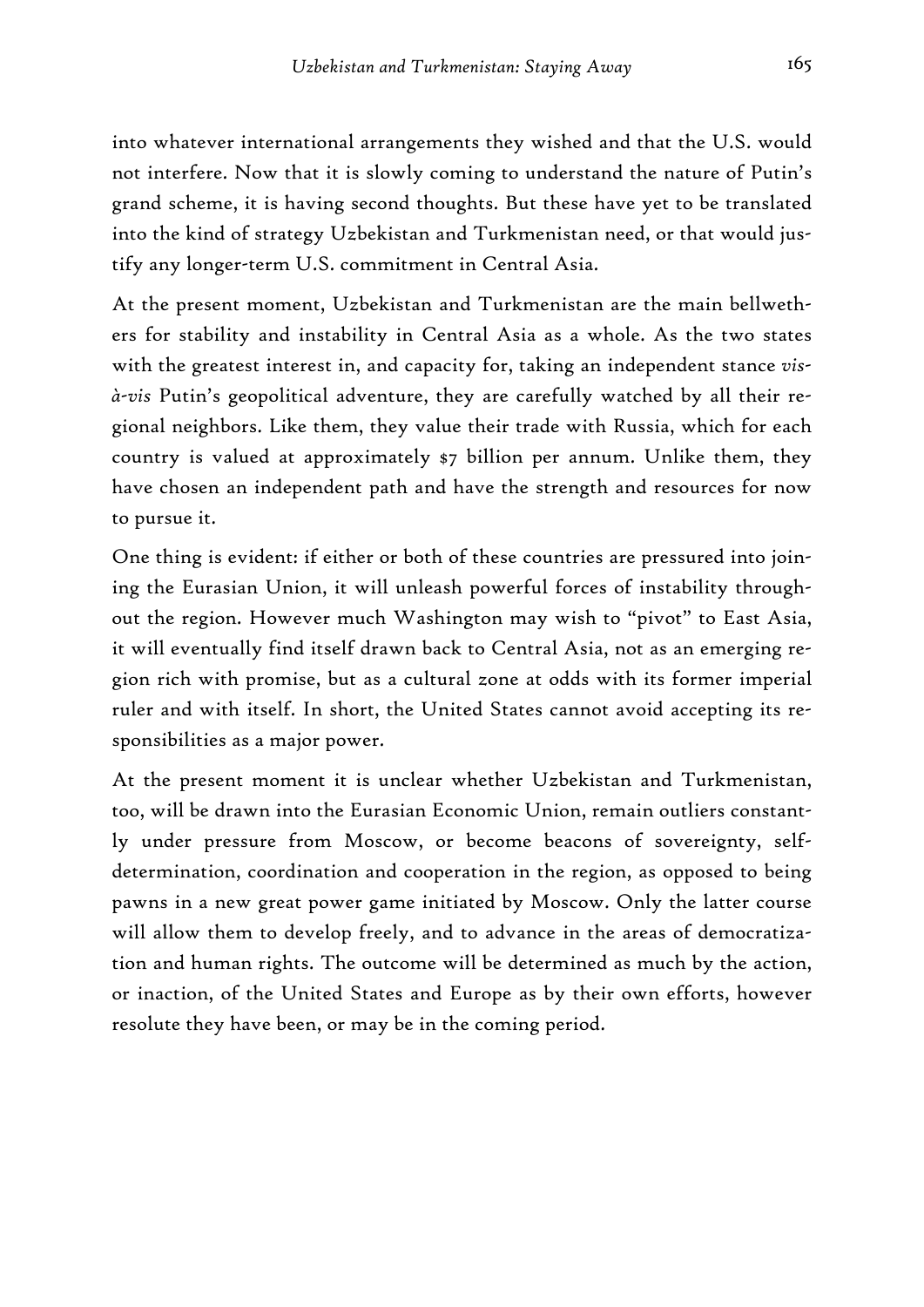into whatever international arrangements they wished and that the U.S. would not interfere. Now that it is slowly coming to understand the nature of Putin's grand scheme, it is having second thoughts. But these have yet to be translated into the kind of strategy Uzbekistan and Turkmenistan need, or that would justify any longer-term U.S. commitment in Central Asia.

At the present moment, Uzbekistan and Turkmenistan are the main bellwethers for stability and instability in Central Asia as a whole. As the two states with the greatest interest in, and capacity for, taking an independent stance *visà-vis* Putin's geopolitical adventure, they are carefully watched by all their regional neighbors. Like them, they value their trade with Russia, which for each country is valued at approximately \$7 billion per annum. Unlike them, they have chosen an independent path and have the strength and resources for now to pursue it.

One thing is evident: if either or both of these countries are pressured into joining the Eurasian Union, it will unleash powerful forces of instability throughout the region. However much Washington may wish to "pivot" to East Asia, it will eventually find itself drawn back to Central Asia, not as an emerging region rich with promise, but as a cultural zone at odds with its former imperial ruler and with itself. In short, the United States cannot avoid accepting its responsibilities as a major power.

At the present moment it is unclear whether Uzbekistan and Turkmenistan, too, will be drawn into the Eurasian Economic Union, remain outliers constantly under pressure from Moscow, or become beacons of sovereignty, selfdetermination, coordination and cooperation in the region, as opposed to being pawns in a new great power game initiated by Moscow. Only the latter course will allow them to develop freely, and to advance in the areas of democratization and human rights. The outcome will be determined as much by the action, or inaction, of the United States and Europe as by their own efforts, however resolute they have been, or may be in the coming period.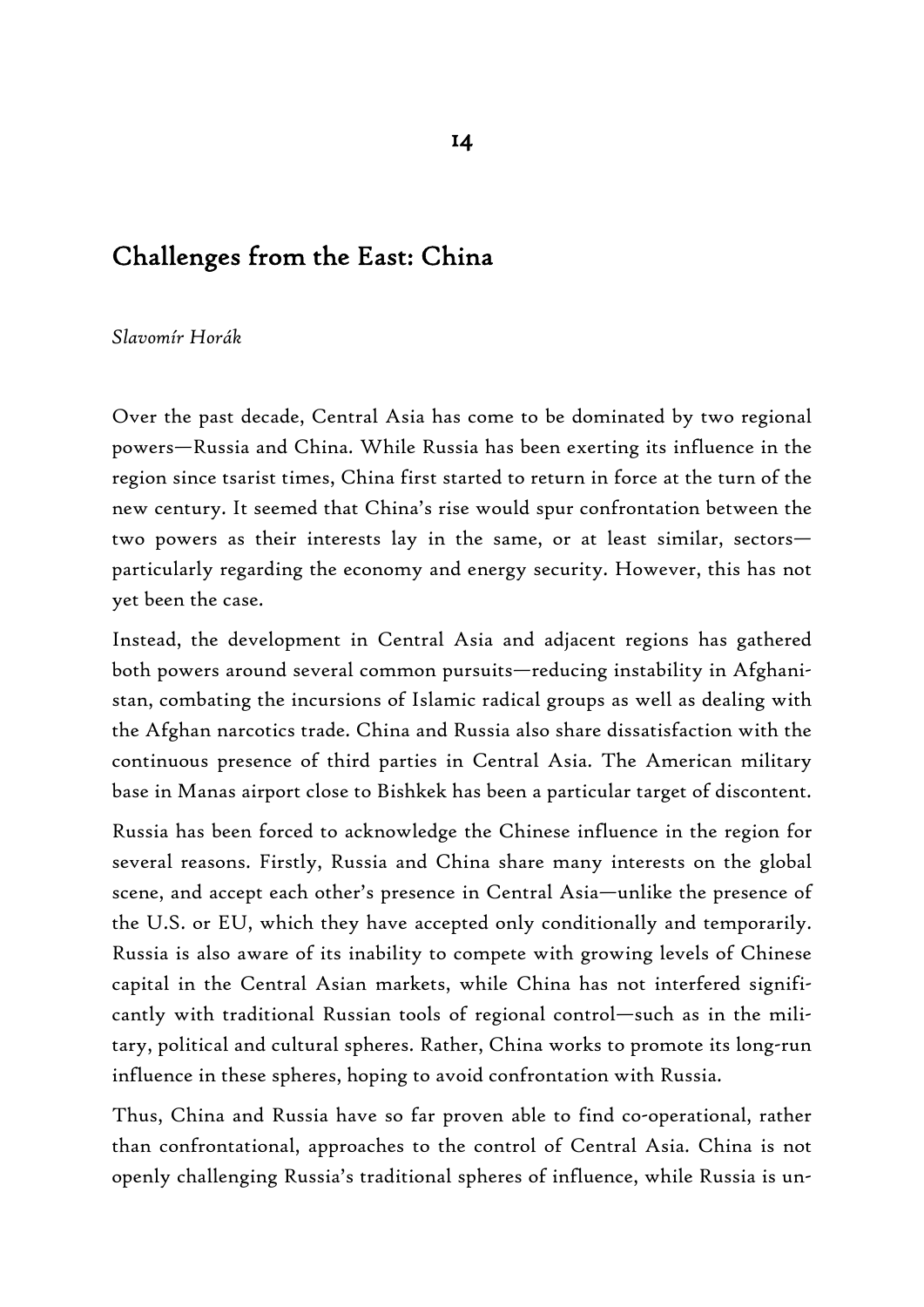# Challenges from the East: China

#### *Slavomír Horák*

Over the past decade, Central Asia has come to be dominated by two regional powers—Russia and China. While Russia has been exerting its influence in the region since tsarist times, China first started to return in force at the turn of the new century. It seemed that China's rise would spur confrontation between the two powers as their interests lay in the same, or at least similar, sectors particularly regarding the economy and energy security. However, this has not yet been the case.

Instead, the development in Central Asia and adjacent regions has gathered both powers around several common pursuits—reducing instability in Afghanistan, combating the incursions of Islamic radical groups as well as dealing with the Afghan narcotics trade. China and Russia also share dissatisfaction with the continuous presence of third parties in Central Asia. The American military base in Manas airport close to Bishkek has been a particular target of discontent.

Russia has been forced to acknowledge the Chinese influence in the region for several reasons. Firstly, Russia and China share many interests on the global scene, and accept each other's presence in Central Asia—unlike the presence of the U.S. or EU, which they have accepted only conditionally and temporarily. Russia is also aware of its inability to compete with growing levels of Chinese capital in the Central Asian markets, while China has not interfered significantly with traditional Russian tools of regional control—such as in the military, political and cultural spheres. Rather, China works to promote its long-run influence in these spheres, hoping to avoid confrontation with Russia.

Thus, China and Russia have so far proven able to find co-operational, rather than confrontational, approaches to the control of Central Asia. China is not openly challenging Russia's traditional spheres of influence, while Russia is un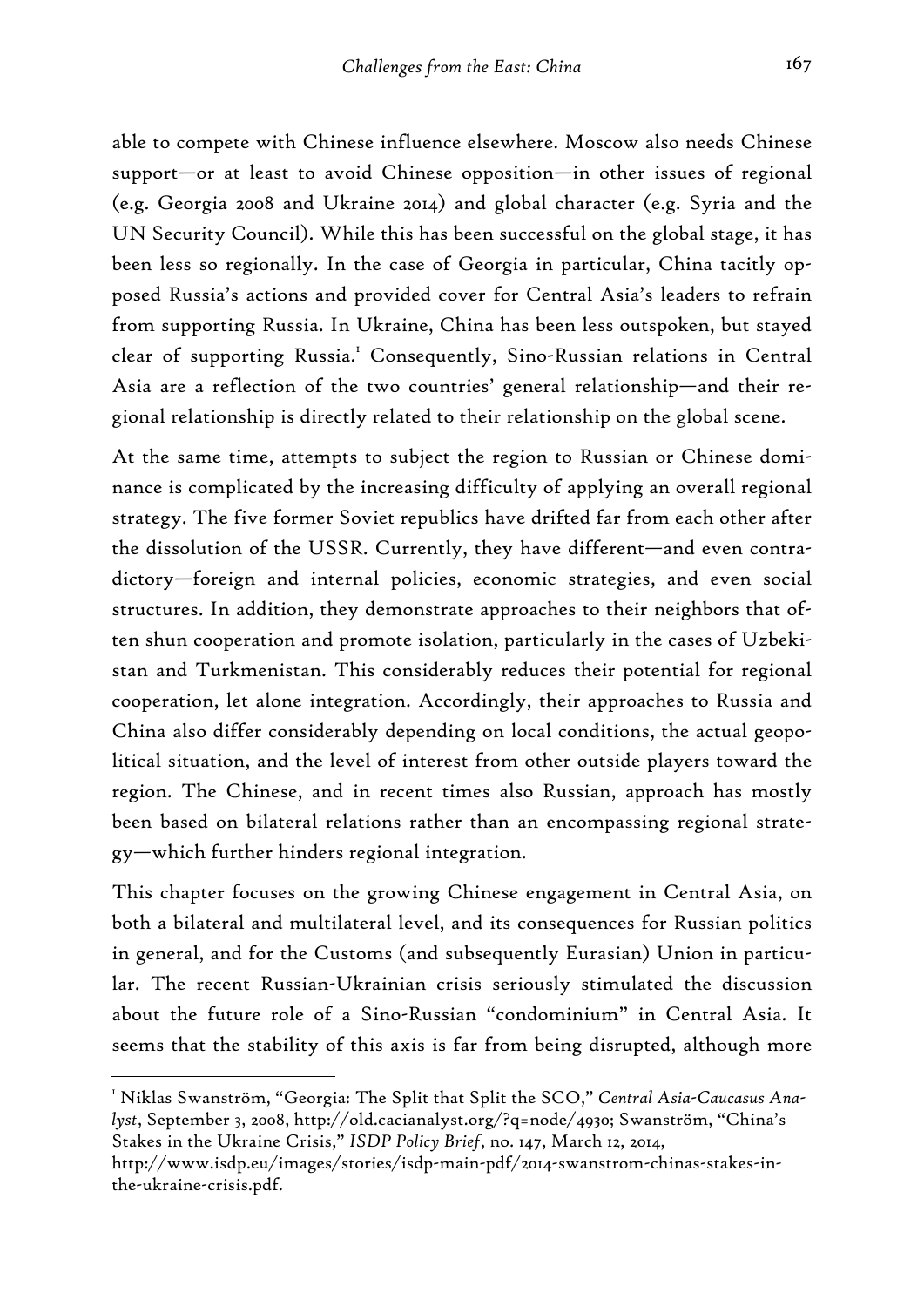able to compete with Chinese influence elsewhere. Moscow also needs Chinese support—or at least to avoid Chinese opposition—in other issues of regional (e.g. Georgia 2008 and Ukraine 2014) and global character (e.g. Syria and the UN Security Council). While this has been successful on the global stage, it has been less so regionally. In the case of Georgia in particular, China tacitly opposed Russia's actions and provided cover for Central Asia's leaders to refrain from supporting Russia. In Ukraine, China has been less outspoken, but stayed clear of supporting Russia.<sup>1</sup> Consequently, Sino-Russian relations in Central Asia are a reflection of the two countries' general relationship—and their regional relationship is directly related to their relationship on the global scene.

At the same time, attempts to subject the region to Russian or Chinese dominance is complicated by the increasing difficulty of applying an overall regional strategy. The five former Soviet republics have drifted far from each other after the dissolution of the USSR. Currently, they have different—and even contradictory—foreign and internal policies, economic strategies, and even social structures. In addition, they demonstrate approaches to their neighbors that often shun cooperation and promote isolation, particularly in the cases of Uzbekistan and Turkmenistan. This considerably reduces their potential for regional cooperation, let alone integration. Accordingly, their approaches to Russia and China also differ considerably depending on local conditions, the actual geopolitical situation, and the level of interest from other outside players toward the region. The Chinese, and in recent times also Russian, approach has mostly been based on bilateral relations rather than an encompassing regional strategy—which further hinders regional integration.

This chapter focuses on the growing Chinese engagement in Central Asia, on both a bilateral and multilateral level, and its consequences for Russian politics in general, and for the Customs (and subsequently Eurasian) Union in particular. The recent Russian-Ukrainian crisis seriously stimulated the discussion about the future role of a Sino-Russian "condominium" in Central Asia. It seems that the stability of this axis is far from being disrupted, although more

<sup>1</sup> Niklas Swanström, "Georgia: The Split that Split the SCO," *Central Asia-Caucasus Analyst*, September 3, 2008, http://old.cacianalyst.org/?q=node/4930; Swanström, "China's Stakes in the Ukraine Crisis," *ISDP Policy Brief*, no. 147, March 12, 2014,

http://www.isdp.eu/images/stories/isdp-main-pdf/2014-swanstrom-chinas-stakes-inthe-ukraine-crisis.pdf.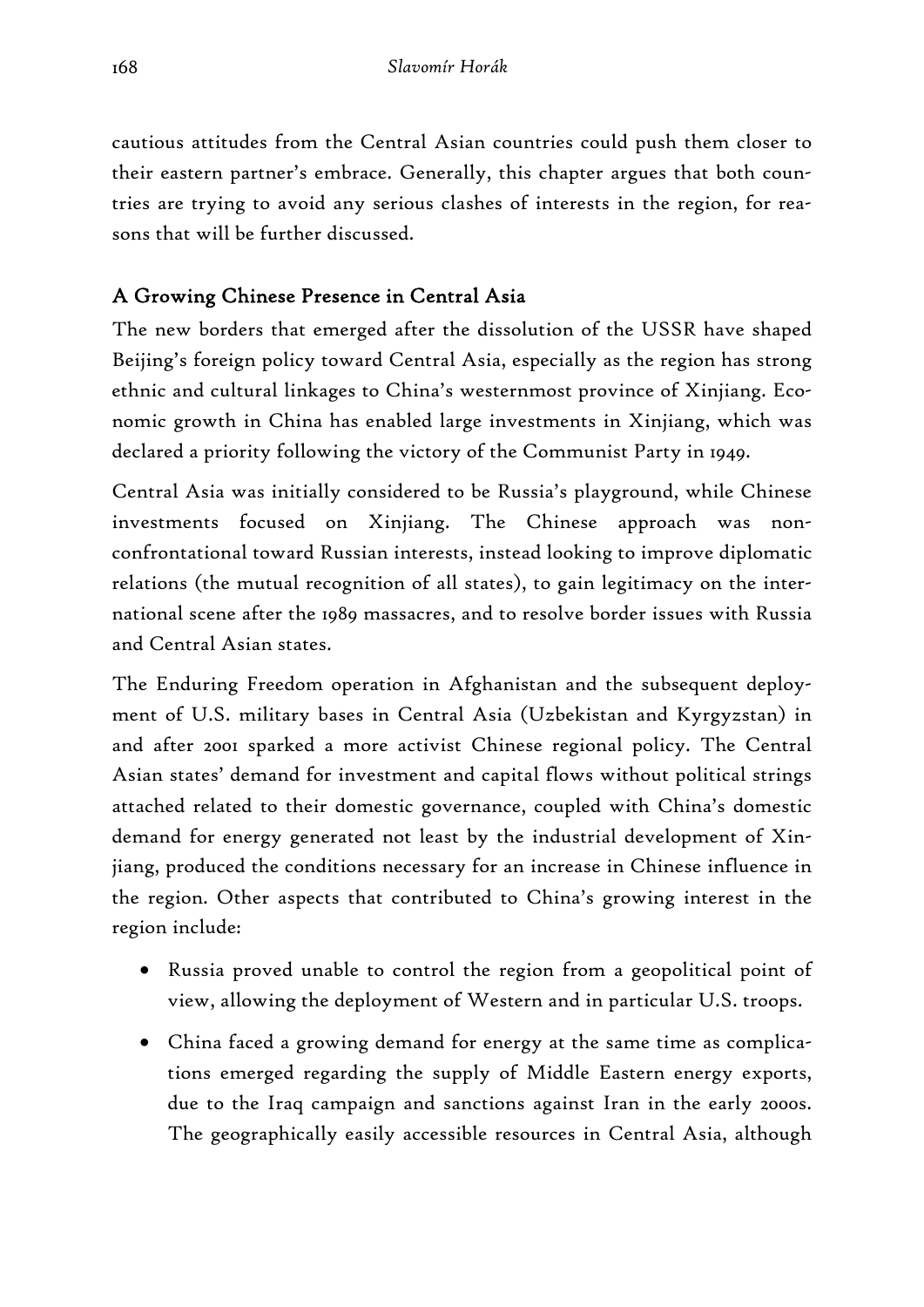cautious attitudes from the Central Asian countries could push them closer to their eastern partner's embrace. Generally, this chapter argues that both countries are trying to avoid any serious clashes of interests in the region, for reasons that will be further discussed.

# A Growing Chinese Presence in Central Asia

The new borders that emerged after the dissolution of the USSR have shaped Beijing's foreign policy toward Central Asia, especially as the region has strong ethnic and cultural linkages to China's westernmost province of Xinjiang. Economic growth in China has enabled large investments in Xinjiang, which was declared a priority following the victory of the Communist Party in 1949.

Central Asia was initially considered to be Russia's playground, while Chinese investments focused on Xinjiang. The Chinese approach was nonconfrontational toward Russian interests, instead looking to improve diplomatic relations (the mutual recognition of all states), to gain legitimacy on the international scene after the 1989 massacres, and to resolve border issues with Russia and Central Asian states.

The Enduring Freedom operation in Afghanistan and the subsequent deployment of U.S. military bases in Central Asia (Uzbekistan and Kyrgyzstan) in and after 2001 sparked a more activist Chinese regional policy. The Central Asian states' demand for investment and capital flows without political strings attached related to their domestic governance, coupled with China's domestic demand for energy generated not least by the industrial development of Xinjiang, produced the conditions necessary for an increase in Chinese influence in the region. Other aspects that contributed to China's growing interest in the region include:

- Russia proved unable to control the region from a geopolitical point of view, allowing the deployment of Western and in particular U.S. troops.
- China faced a growing demand for energy at the same time as complications emerged regarding the supply of Middle Eastern energy exports, due to the Iraq campaign and sanctions against Iran in the early 2000s. The geographically easily accessible resources in Central Asia, although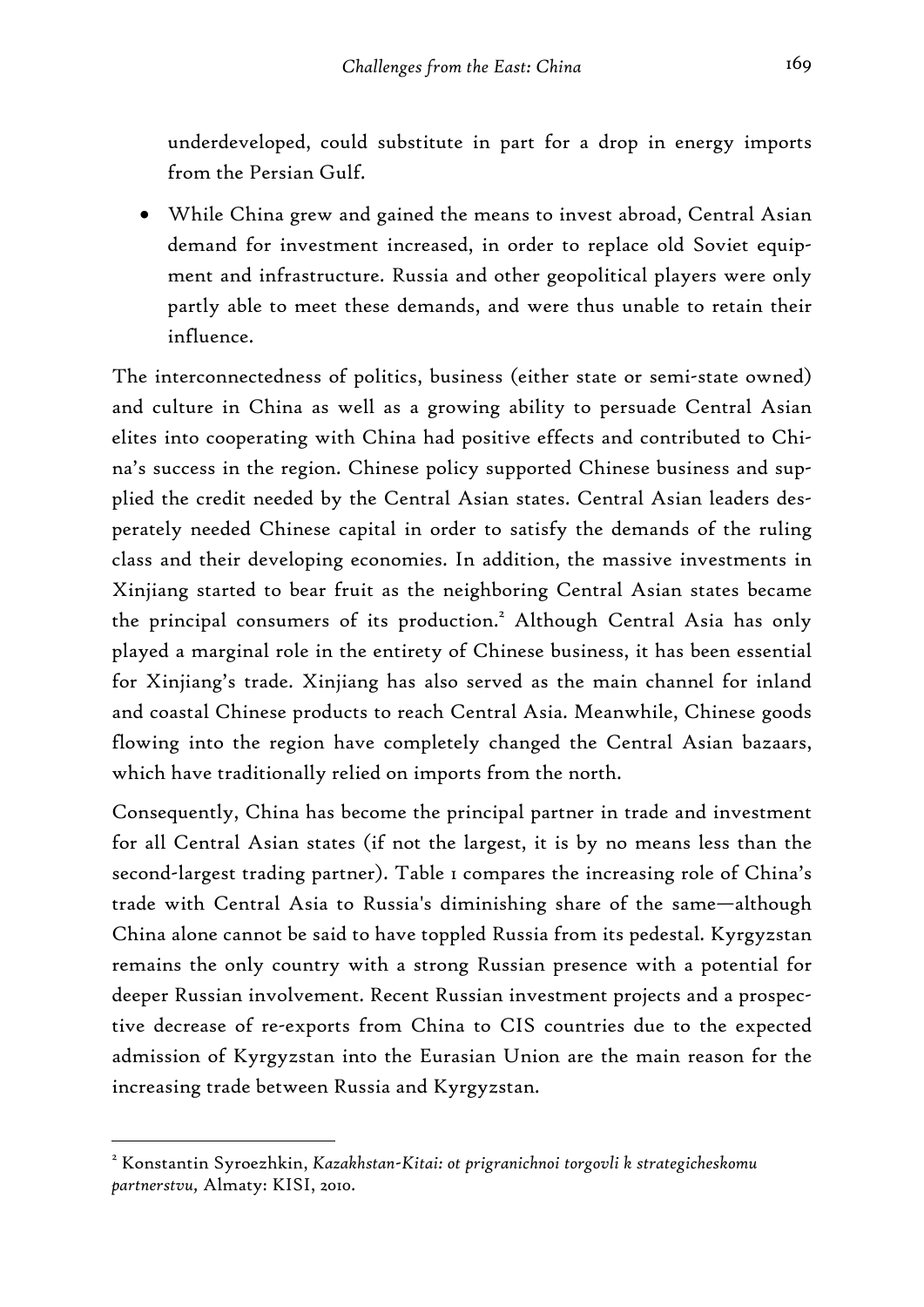underdeveloped, could substitute in part for a drop in energy imports from the Persian Gulf.

• While China grew and gained the means to invest abroad, Central Asian demand for investment increased, in order to replace old Soviet equipment and infrastructure. Russia and other geopolitical players were only partly able to meet these demands, and were thus unable to retain their influence.

The interconnectedness of politics, business (either state or semi-state owned) and culture in China as well as a growing ability to persuade Central Asian elites into cooperating with China had positive effects and contributed to China's success in the region. Chinese policy supported Chinese business and supplied the credit needed by the Central Asian states. Central Asian leaders desperately needed Chinese capital in order to satisfy the demands of the ruling class and their developing economies. In addition, the massive investments in Xinjiang started to bear fruit as the neighboring Central Asian states became the principal consumers of its production.<sup>2</sup> Although Central Asia has only played a marginal role in the entirety of Chinese business, it has been essential for Xinjiang's trade. Xinjiang has also served as the main channel for inland and coastal Chinese products to reach Central Asia. Meanwhile, Chinese goods flowing into the region have completely changed the Central Asian bazaars, which have traditionally relied on imports from the north.

Consequently, China has become the principal partner in trade and investment for all Central Asian states (if not the largest, it is by no means less than the second-largest trading partner). Table 1 compares the increasing role of China's trade with Central Asia to Russia's diminishing share of the same—although China alone cannot be said to have toppled Russia from its pedestal. Kyrgyzstan remains the only country with a strong Russian presence with a potential for deeper Russian involvement. Recent Russian investment projects and a prospective decrease of re-exports from China to CIS countries due to the expected admission of Kyrgyzstan into the Eurasian Union are the main reason for the increasing trade between Russia and Kyrgyzstan.

<sup>2</sup> Konstantin Syroezhkin, *Kazakhstan-Kitai: ot prigranichnoi torgovli k strategicheskomu partnerstvu,* Almaty: KISI, 2010.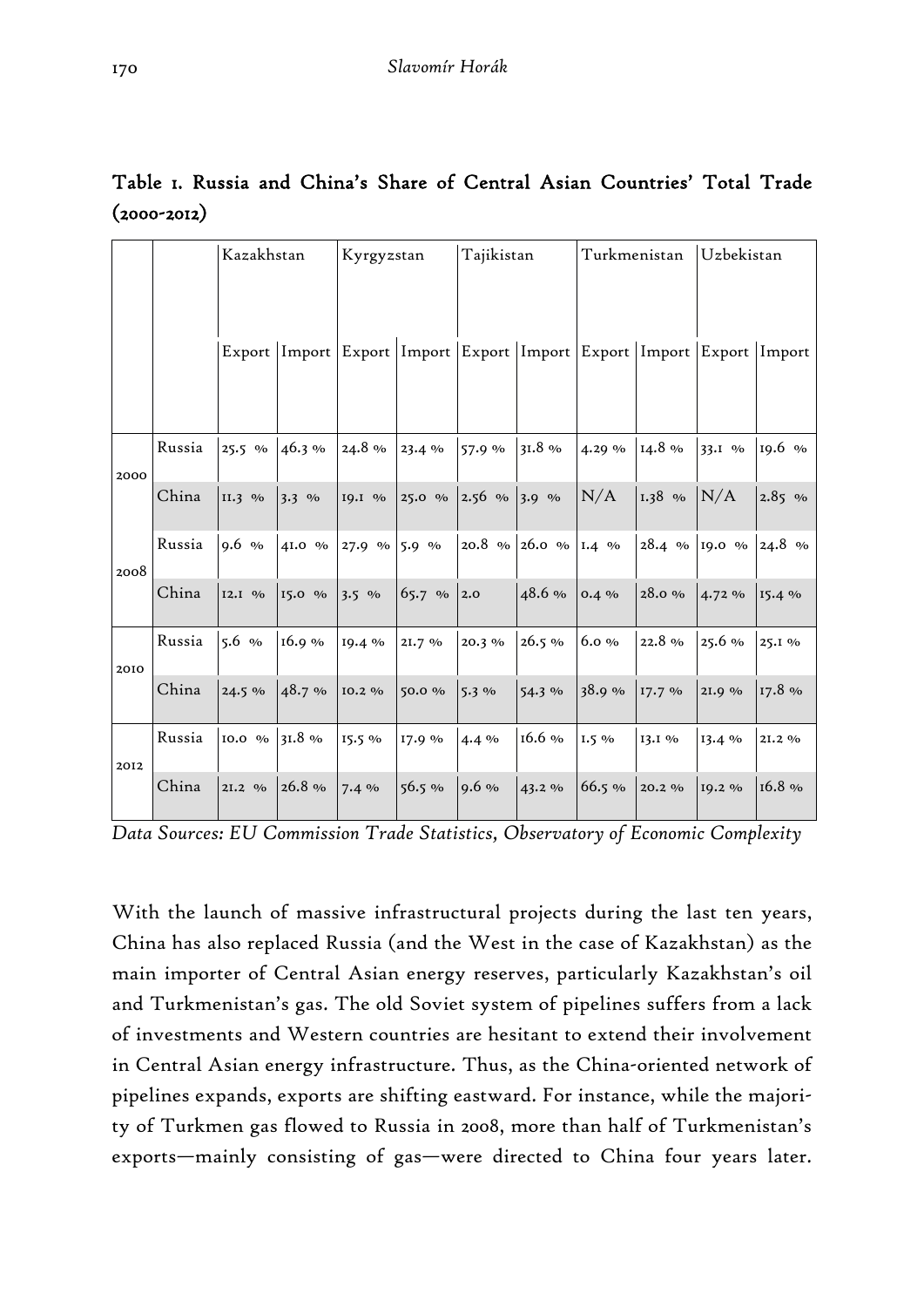|      |        | Kazakhstan |         | Kyrgyzstan |        | Tajikistan |              | Turkmenistan |                                                                                | Uzbekistan |          |
|------|--------|------------|---------|------------|--------|------------|--------------|--------------|--------------------------------------------------------------------------------|------------|----------|
|      |        |            |         |            |        |            |              |              |                                                                                |            |          |
|      |        |            |         |            |        |            |              |              | Export   Import   Export   Import   Export   Import   Export   Import   Export |            | Import   |
| 2000 | Russia | 25.5 %     | 46.3%   | 24.8%      | 23.4%  | 57.9 %     | $31.8\%$     | 4.29 %       | 14.8%                                                                          | 33.I %     | 19.6 %   |
|      | China  | $II.3\%$   | $3.3\%$ | 19.1 %     | 25.0 % | $2.56\%$   | 3.9 %        | N/A          | 1.38 %                                                                         | N/A        | $2.85\%$ |
| 2008 | Russia | $9.6\%$    | 41.0 %  | 27.9 %     | 5.9 %  | 20.8 %     | 26.0 % 1.4 % |              | 28.4 %                                                                         | 19.0 %     | 24.8 %   |
|      | China  | $I2.I$ %   | 15.0 %  | $3.5\%$    | 65.7 % | 2.0        | 48.6%        | $0.4\%$      | 28.0%                                                                          | $4.72\%$   | 15.4%    |
| 2010 | Russia | $5.6\%$    | 16.9%   | 19.4 %     | 21.7%  | 20.3 %     | 26.5%        | $6.0\%$      | 22.8%                                                                          | $25.6\%$   | 25.1 %   |
|      | China  | 24.5%      | 48.7%   | 10.2 %     | 50.0 % | $5.3\%$    | 54.3%        | 38.9%        | 17.7%                                                                          | 2I.9%      | 17.8 %   |
| 2012 | Russia | 10.0 %     | 31.8%   | 15.5 %     | 17.9 % | $4.4\%$    | $16.6\%$     | $1.5\%$      | 13.1 %                                                                         | 13.4 %     | 21.2 %   |
|      | China  | 21.2 %     | 26.8 %  | 7.4%       | 56.5%  | $9.6\%$    | 43.2 %       | 66.5%        | 20.2 %                                                                         | 19.2 %     | $16.8\%$ |

# Table 1. Russia and China's Share of Central Asian Countries' Total Trade  $(2000 - 2012)$

*Data Sources: EU Commission Trade Statistics, Observatory of Economic Complexity* 

With the launch of massive infrastructural projects during the last ten years, China has also replaced Russia (and the West in the case of Kazakhstan) as the main importer of Central Asian energy reserves, particularly Kazakhstan's oil and Turkmenistan's gas. The old Soviet system of pipelines suffers from a lack of investments and Western countries are hesitant to extend their involvement in Central Asian energy infrastructure. Thus, as the China-oriented network of pipelines expands, exports are shifting eastward. For instance, while the majority of Turkmen gas flowed to Russia in 2008, more than half of Turkmenistan's exports—mainly consisting of gas—were directed to China four years later.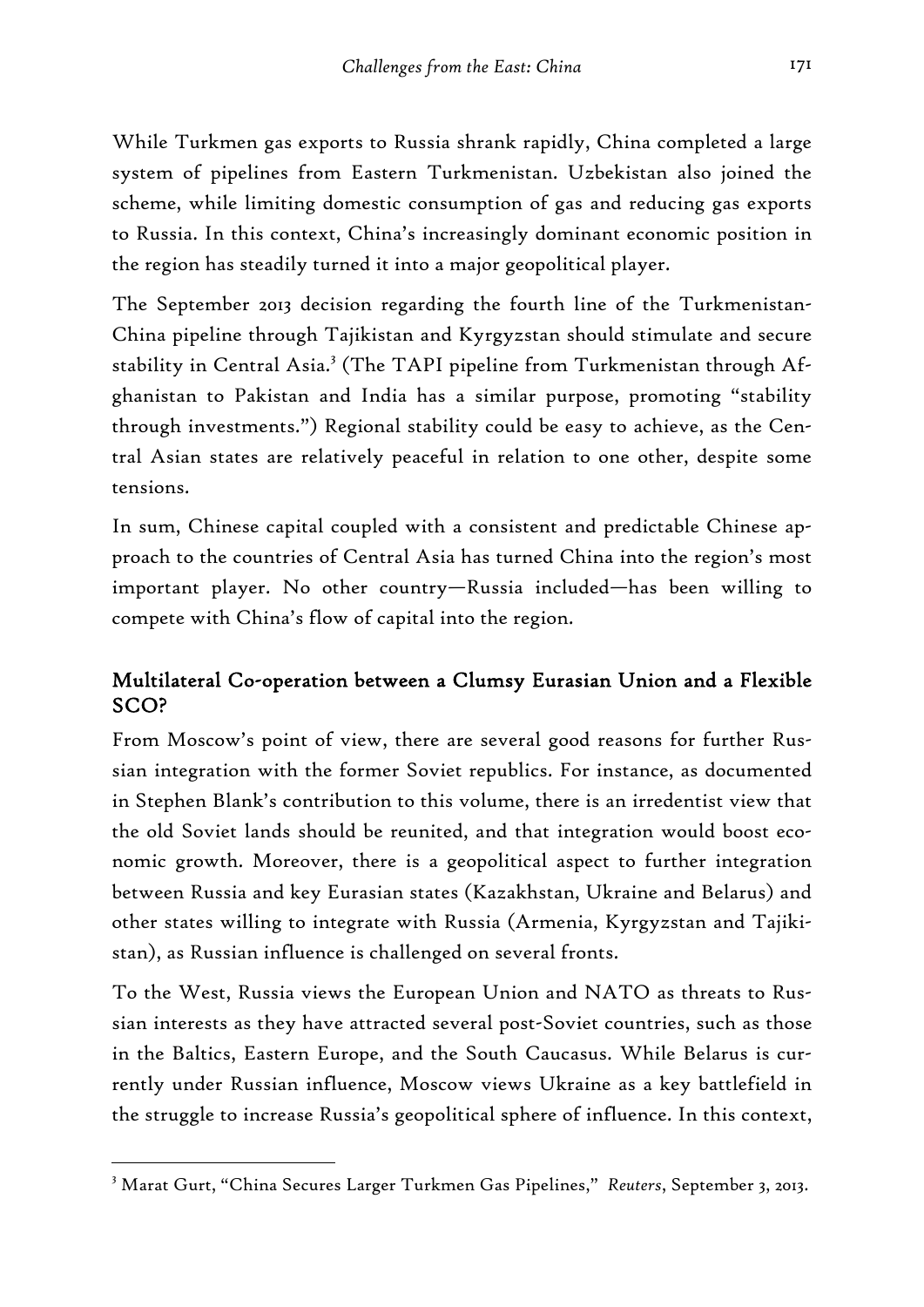While Turkmen gas exports to Russia shrank rapidly, China completed a large system of pipelines from Eastern Turkmenistan. Uzbekistan also joined the scheme, while limiting domestic consumption of gas and reducing gas exports to Russia. In this context, China's increasingly dominant economic position in the region has steadily turned it into a major geopolitical player.

The September 2013 decision regarding the fourth line of the Turkmenistan-China pipeline through Tajikistan and Kyrgyzstan should stimulate and secure stability in Central Asia.<sup>3</sup> (The TAPI pipeline from Turkmenistan through Afghanistan to Pakistan and India has a similar purpose, promoting "stability through investments.") Regional stability could be easy to achieve, as the Central Asian states are relatively peaceful in relation to one other, despite some tensions.

In sum, Chinese capital coupled with a consistent and predictable Chinese approach to the countries of Central Asia has turned China into the region's most important player. No other country—Russia included—has been willing to compete with China's flow of capital into the region.

## Multilateral Co-operation between a Clumsy Eurasian Union and a Flexible SCO?

From Moscow's point of view, there are several good reasons for further Russian integration with the former Soviet republics. For instance, as documented in Stephen Blank's contribution to this volume, there is an irredentist view that the old Soviet lands should be reunited, and that integration would boost economic growth. Moreover, there is a geopolitical aspect to further integration between Russia and key Eurasian states (Kazakhstan, Ukraine and Belarus) and other states willing to integrate with Russia (Armenia, Kyrgyzstan and Tajikistan), as Russian influence is challenged on several fronts.

To the West, Russia views the European Union and NATO as threats to Russian interests as they have attracted several post-Soviet countries, such as those in the Baltics, Eastern Europe, and the South Caucasus. While Belarus is currently under Russian influence, Moscow views Ukraine as a key battlefield in the struggle to increase Russia's geopolitical sphere of influence. In this context,

<sup>3</sup> Marat Gurt, "China Secures Larger Turkmen Gas Pipelines," *Reuters*, September 3, 2013.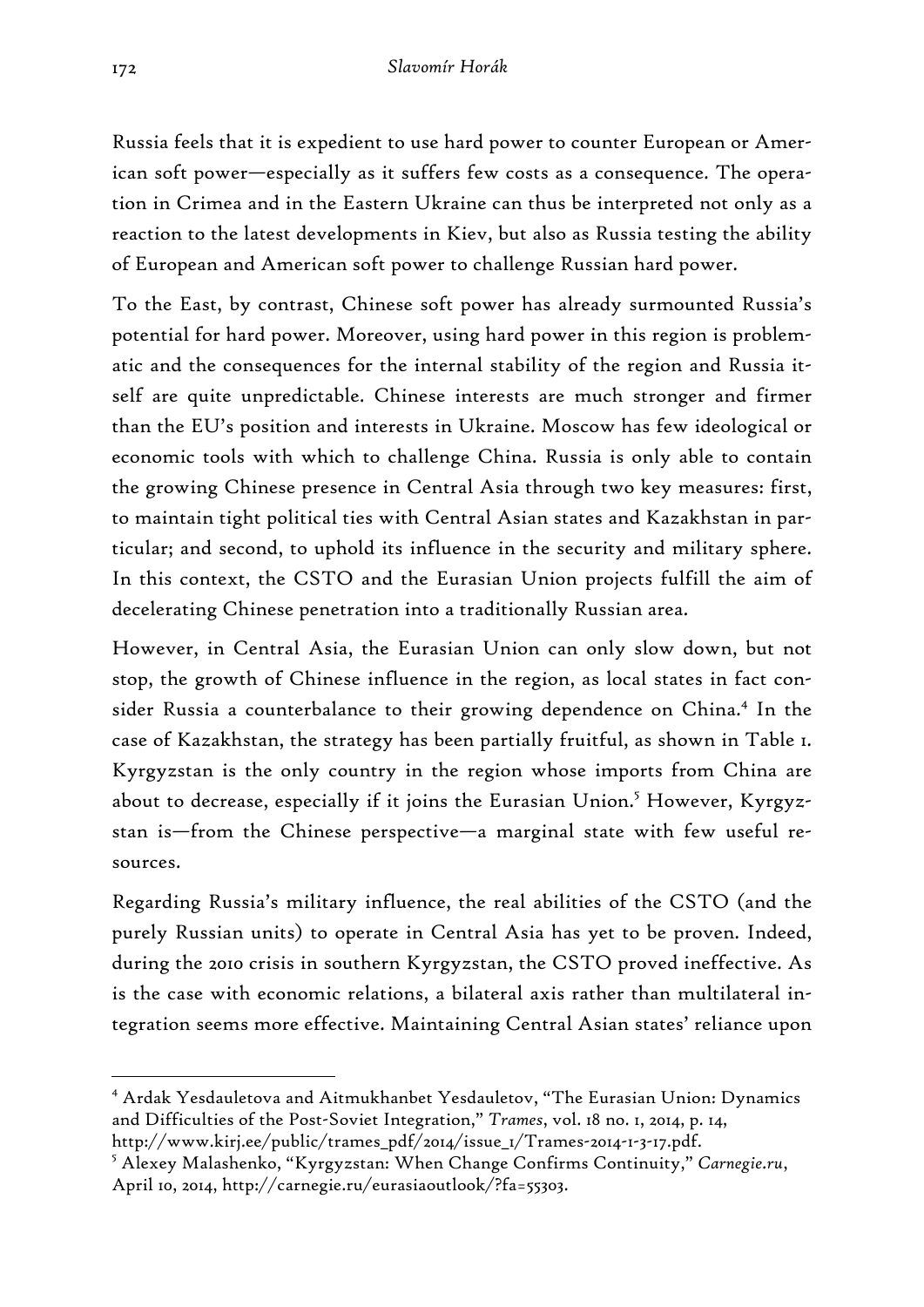Russia feels that it is expedient to use hard power to counter European or American soft power—especially as it suffers few costs as a consequence. The operation in Crimea and in the Eastern Ukraine can thus be interpreted not only as a reaction to the latest developments in Kiev, but also as Russia testing the ability of European and American soft power to challenge Russian hard power.

To the East, by contrast, Chinese soft power has already surmounted Russia's potential for hard power. Moreover, using hard power in this region is problematic and the consequences for the internal stability of the region and Russia itself are quite unpredictable. Chinese interests are much stronger and firmer than the EU's position and interests in Ukraine. Moscow has few ideological or economic tools with which to challenge China. Russia is only able to contain the growing Chinese presence in Central Asia through two key measures: first, to maintain tight political ties with Central Asian states and Kazakhstan in particular; and second, to uphold its influence in the security and military sphere. In this context, the CSTO and the Eurasian Union projects fulfill the aim of decelerating Chinese penetration into a traditionally Russian area.

However, in Central Asia, the Eurasian Union can only slow down, but not stop, the growth of Chinese influence in the region, as local states in fact consider Russia a counterbalance to their growing dependence on China.<sup>4</sup> In the case of Kazakhstan, the strategy has been partially fruitful, as shown in Table 1. Kyrgyzstan is the only country in the region whose imports from China are about to decrease, especially if it joins the Eurasian Union.<sup>5</sup> However, Kyrgyzstan is—from the Chinese perspective—a marginal state with few useful resources.

Regarding Russia's military influence, the real abilities of the CSTO (and the purely Russian units) to operate in Central Asia has yet to be proven. Indeed, during the 2010 crisis in southern Kyrgyzstan, the CSTO proved ineffective. As is the case with economic relations, a bilateral axis rather than multilateral integration seems more effective. Maintaining Central Asian states' reliance upon

<sup>4</sup> Ardak Yesdauletova and Aitmukhanbet Yesdauletov, "The Eurasian Union: Dynamics and Difficulties of the Post-Soviet Integration," *Trames*, vol. 18 no. 1, 2014, p. 14, http://www.kirj.ee/public/trames\_pdf/2014/issue\_1/Trames-2014-1-3-17.pdf.

<sup>5</sup> Alexey Malashenko, "Kyrgyzstan: When Change Confirms Continuity," *Carnegie.ru*, April 10, 2014, http://carnegie.ru/eurasiaoutlook/?fa=55303.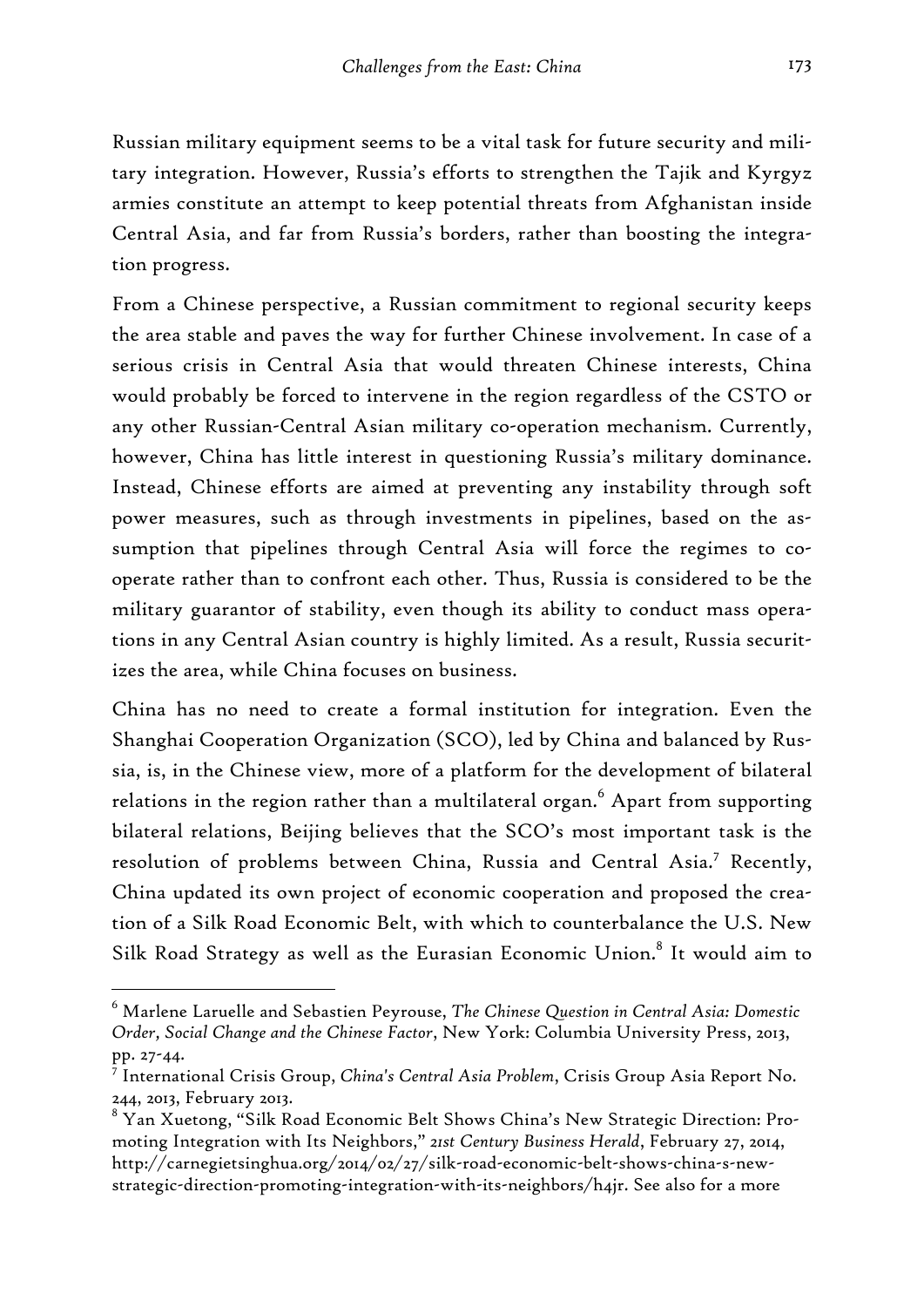Russian military equipment seems to be a vital task for future security and military integration. However, Russia's efforts to strengthen the Tajik and Kyrgyz armies constitute an attempt to keep potential threats from Afghanistan inside Central Asia, and far from Russia's borders, rather than boosting the integration progress.

From a Chinese perspective, a Russian commitment to regional security keeps the area stable and paves the way for further Chinese involvement. In case of a serious crisis in Central Asia that would threaten Chinese interests, China would probably be forced to intervene in the region regardless of the CSTO or any other Russian-Central Asian military co-operation mechanism. Currently, however, China has little interest in questioning Russia's military dominance. Instead, Chinese efforts are aimed at preventing any instability through soft power measures, such as through investments in pipelines, based on the assumption that pipelines through Central Asia will force the regimes to cooperate rather than to confront each other. Thus, Russia is considered to be the military guarantor of stability, even though its ability to conduct mass operations in any Central Asian country is highly limited. As a result, Russia securitizes the area, while China focuses on business.

China has no need to create a formal institution for integration. Even the Shanghai Cooperation Organization (SCO), led by China and balanced by Russia, is, in the Chinese view, more of a platform for the development of bilateral relations in the region rather than a multilateral organ. $^6$  Apart from supporting bilateral relations, Beijing believes that the SCO's most important task is the resolution of problems between China, Russia and Central Asia.7 Recently, China updated its own project of economic cooperation and proposed the creation of a Silk Road Economic Belt, with which to counterbalance the U.S. New Silk Road Strategy as well as the Eurasian Economic Union.<sup>8</sup> It would aim to

<sup>6</sup> Marlene Laruelle and Sebastien Peyrouse, *The Chinese Question in Central Asia: Domestic Order, Social Change and the Chinese Factor*, New York: Columbia University Press, 2013, pp. 27-44.

<sup>7</sup> International Crisis Group, *China's Central Asia Problem*, Crisis Group Asia Report No. 244, 2013, February 2013.

 $^8$  Yan Xuetong, "Silk Road Economic Belt Shows China's New Strategic Direction: Promoting Integration with Its Neighbors," *21st Century Business Herald*, February 27, 2014, http://carnegietsinghua.org/2014/02/27/silk-road-economic-belt-shows-china-s-newstrategic-direction-promoting-integration-with-its-neighbors/h4jr. See also for a more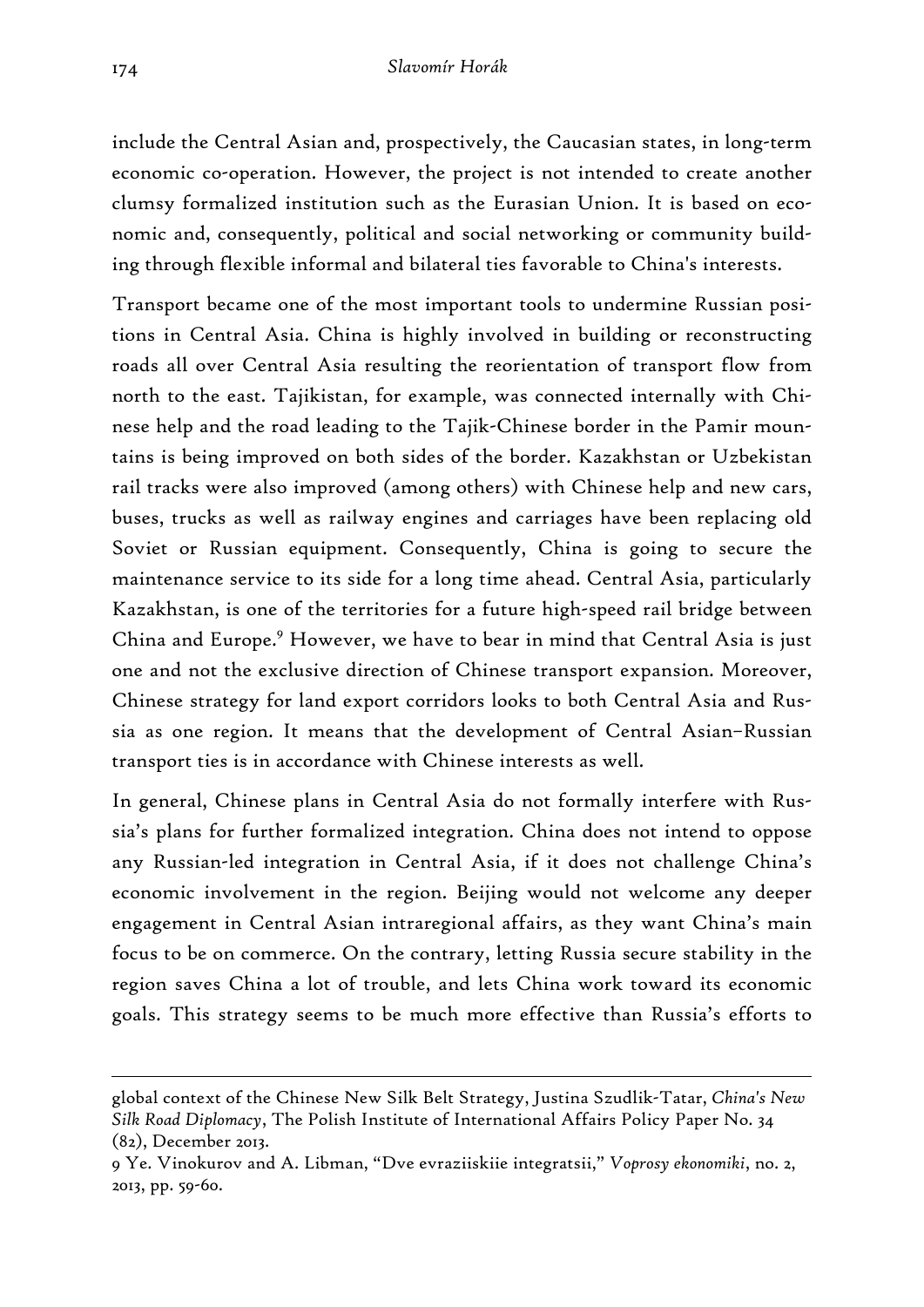include the Central Asian and, prospectively, the Caucasian states, in long-term economic co-operation. However, the project is not intended to create another clumsy formalized institution such as the Eurasian Union. It is based on economic and, consequently, political and social networking or community building through flexible informal and bilateral ties favorable to China's interests.

Transport became one of the most important tools to undermine Russian positions in Central Asia. China is highly involved in building or reconstructing roads all over Central Asia resulting the reorientation of transport flow from north to the east. Tajikistan, for example, was connected internally with Chinese help and the road leading to the Tajik-Chinese border in the Pamir mountains is being improved on both sides of the border. Kazakhstan or Uzbekistan rail tracks were also improved (among others) with Chinese help and new cars, buses, trucks as well as railway engines and carriages have been replacing old Soviet or Russian equipment. Consequently, China is going to secure the maintenance service to its side for a long time ahead. Central Asia, particularly Kazakhstan, is one of the territories for a future high-speed rail bridge between China and Europe.<sup>9</sup> However, we have to bear in mind that Central Asia is just one and not the exclusive direction of Chinese transport expansion. Moreover, Chinese strategy for land export corridors looks to both Central Asia and Russia as one region. It means that the development of Central Asian–Russian transport ties is in accordance with Chinese interests as well.

In general, Chinese plans in Central Asia do not formally interfere with Russia's plans for further formalized integration. China does not intend to oppose any Russian-led integration in Central Asia, if it does not challenge China's economic involvement in the region. Beijing would not welcome any deeper engagement in Central Asian intraregional affairs, as they want China's main focus to be on commerce. On the contrary, letting Russia secure stability in the region saves China a lot of trouble, and lets China work toward its economic goals. This strategy seems to be much more effective than Russia's efforts to

global context of the Chinese New Silk Belt Strategy, Justina Szudlik-Tatar, *China's New Silk Road Diplomacy*, The Polish Institute of International Affairs Policy Paper No. 34 (82), December 2013.

<sup>9</sup> Ye. Vinokurov and A. Libman, "Dve evraziiskiie integratsii," *Voprosy ekonomiki*, no. 2, 2013, pp. 59-60.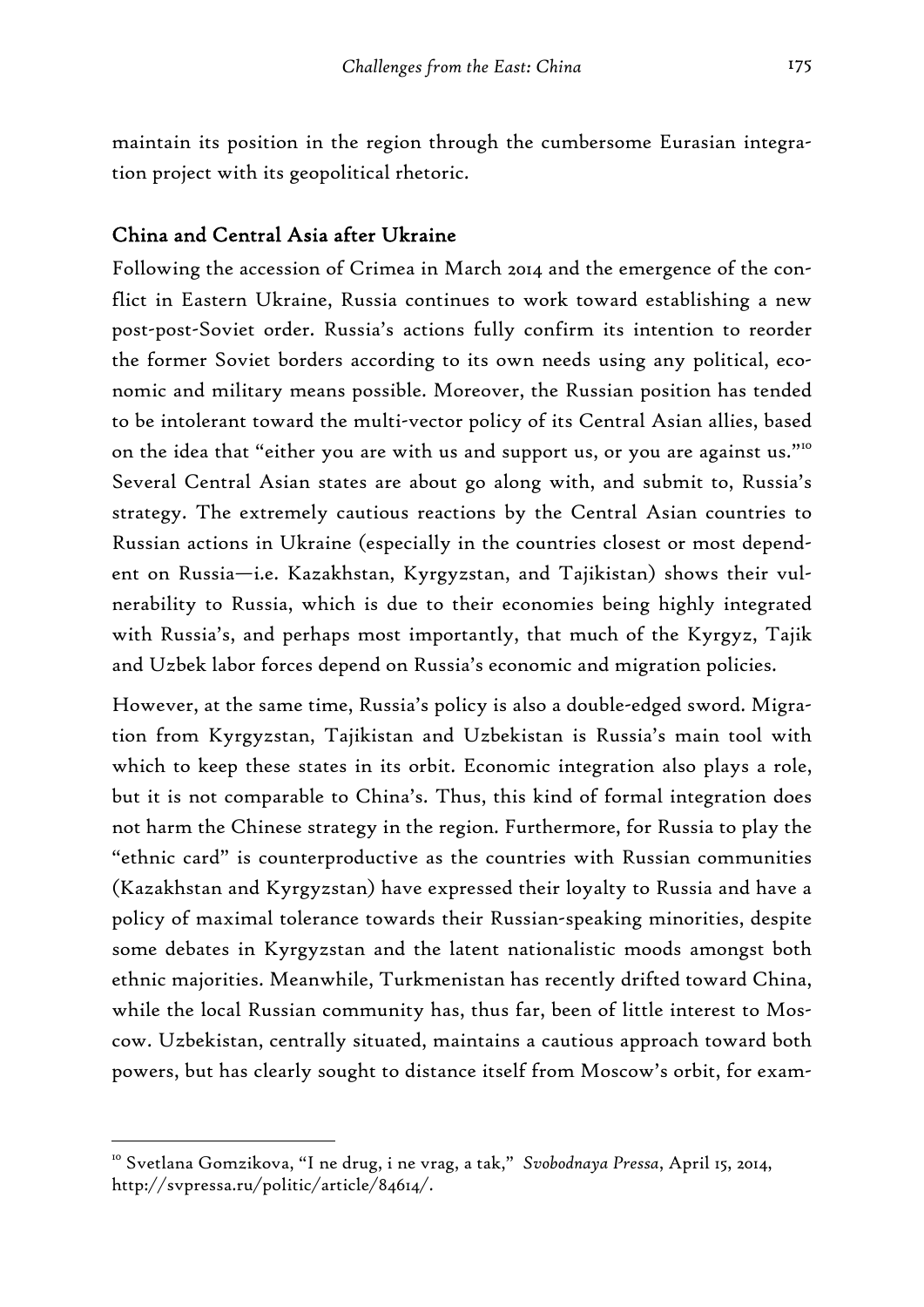maintain its position in the region through the cumbersome Eurasian integration project with its geopolitical rhetoric.

### China and Central Asia after Ukraine

Following the accession of Crimea in March 2014 and the emergence of the conflict in Eastern Ukraine, Russia continues to work toward establishing a new post-post-Soviet order. Russia's actions fully confirm its intention to reorder the former Soviet borders according to its own needs using any political, economic and military means possible. Moreover, the Russian position has tended to be intolerant toward the multi-vector policy of its Central Asian allies, based on the idea that "either you are with us and support us, or you are against us."<sup>10</sup> Several Central Asian states are about go along with, and submit to, Russia's strategy. The extremely cautious reactions by the Central Asian countries to Russian actions in Ukraine (especially in the countries closest or most dependent on Russia—i.e. Kazakhstan, Kyrgyzstan, and Tajikistan) shows their vulnerability to Russia, which is due to their economies being highly integrated with Russia's, and perhaps most importantly, that much of the Kyrgyz, Tajik and Uzbek labor forces depend on Russia's economic and migration policies.

However, at the same time, Russia's policy is also a double-edged sword. Migration from Kyrgyzstan, Tajikistan and Uzbekistan is Russia's main tool with which to keep these states in its orbit. Economic integration also plays a role, but it is not comparable to China's. Thus, this kind of formal integration does not harm the Chinese strategy in the region. Furthermore, for Russia to play the "ethnic card" is counterproductive as the countries with Russian communities (Kazakhstan and Kyrgyzstan) have expressed their loyalty to Russia and have a policy of maximal tolerance towards their Russian-speaking minorities, despite some debates in Kyrgyzstan and the latent nationalistic moods amongst both ethnic majorities. Meanwhile, Turkmenistan has recently drifted toward China, while the local Russian community has, thus far, been of little interest to Moscow. Uzbekistan, centrally situated, maintains a cautious approach toward both powers, but has clearly sought to distance itself from Moscow's orbit, for exam-

<sup>10</sup> Svetlana Gomzikova, "I ne drug, i ne vrag, a tak," *Svobodnaya Pressa*, April 15, 2014, http://svpressa.ru/politic/article/84614/.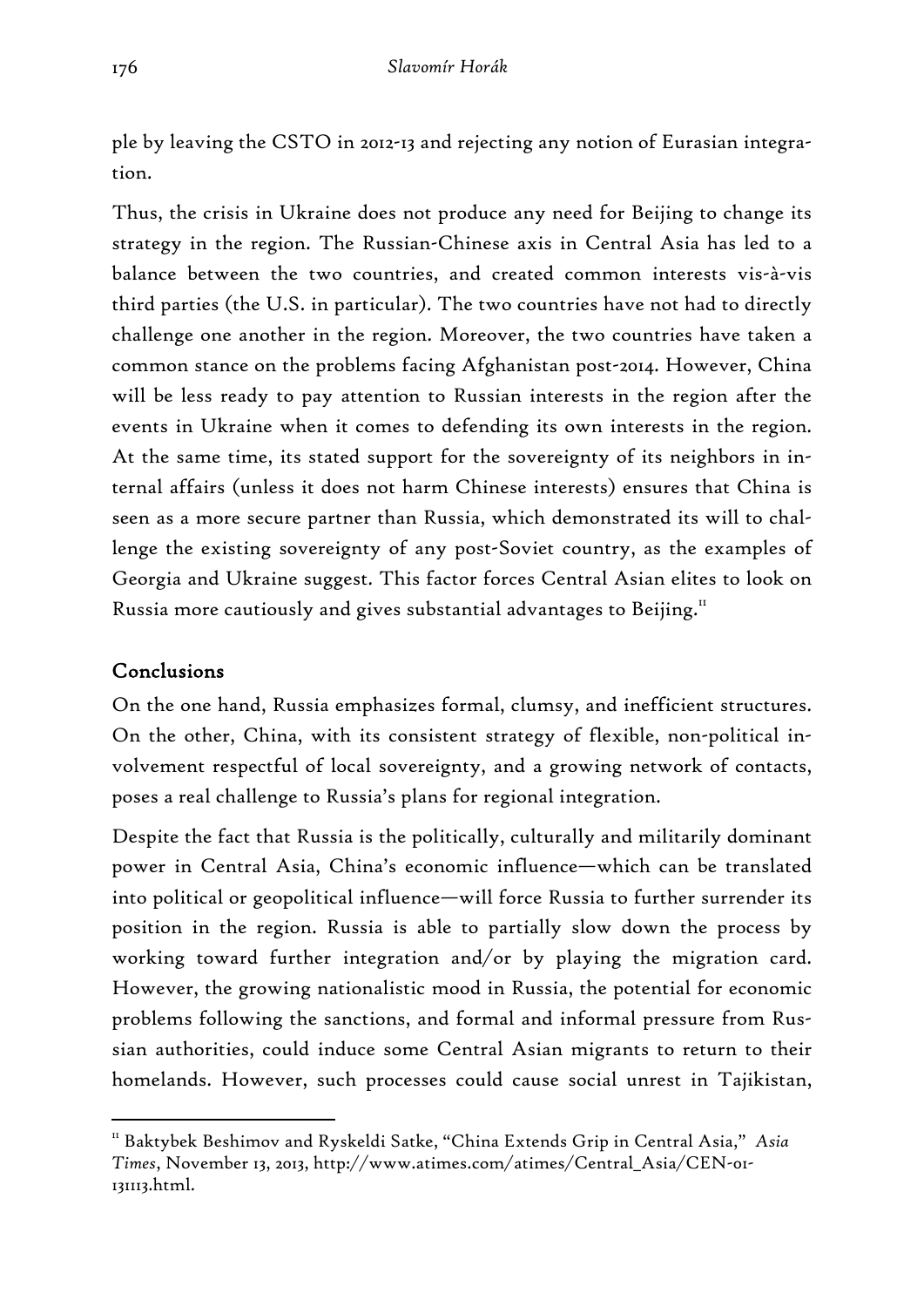ple by leaving the CSTO in 2012-13 and rejecting any notion of Eurasian integration.

Thus, the crisis in Ukraine does not produce any need for Beijing to change its strategy in the region. The Russian-Chinese axis in Central Asia has led to a balance between the two countries, and created common interests vis-à-vis third parties (the U.S. in particular). The two countries have not had to directly challenge one another in the region. Moreover, the two countries have taken a common stance on the problems facing Afghanistan post-2014. However, China will be less ready to pay attention to Russian interests in the region after the events in Ukraine when it comes to defending its own interests in the region. At the same time, its stated support for the sovereignty of its neighbors in internal affairs (unless it does not harm Chinese interests) ensures that China is seen as a more secure partner than Russia, which demonstrated its will to challenge the existing sovereignty of any post-Soviet country, as the examples of Georgia and Ukraine suggest. This factor forces Central Asian elites to look on Russia more cautiously and gives substantial advantages to Beijing.<sup>11</sup>

## Conclusions

-

On the one hand, Russia emphasizes formal, clumsy, and inefficient structures. On the other, China, with its consistent strategy of flexible, non-political involvement respectful of local sovereignty, and a growing network of contacts, poses a real challenge to Russia's plans for regional integration.

Despite the fact that Russia is the politically, culturally and militarily dominant power in Central Asia, China's economic influence—which can be translated into political or geopolitical influence—will force Russia to further surrender its position in the region. Russia is able to partially slow down the process by working toward further integration and/or by playing the migration card. However, the growing nationalistic mood in Russia, the potential for economic problems following the sanctions, and formal and informal pressure from Russian authorities, could induce some Central Asian migrants to return to their homelands. However, such processes could cause social unrest in Tajikistan,

<sup>11</sup> Baktybek Beshimov and Ryskeldi Satke, "China Extends Grip in Central Asia," *Asia Times*, November 13, 2013, http://www.atimes.com/atimes/Central\_Asia/CEN-01- 131113.html.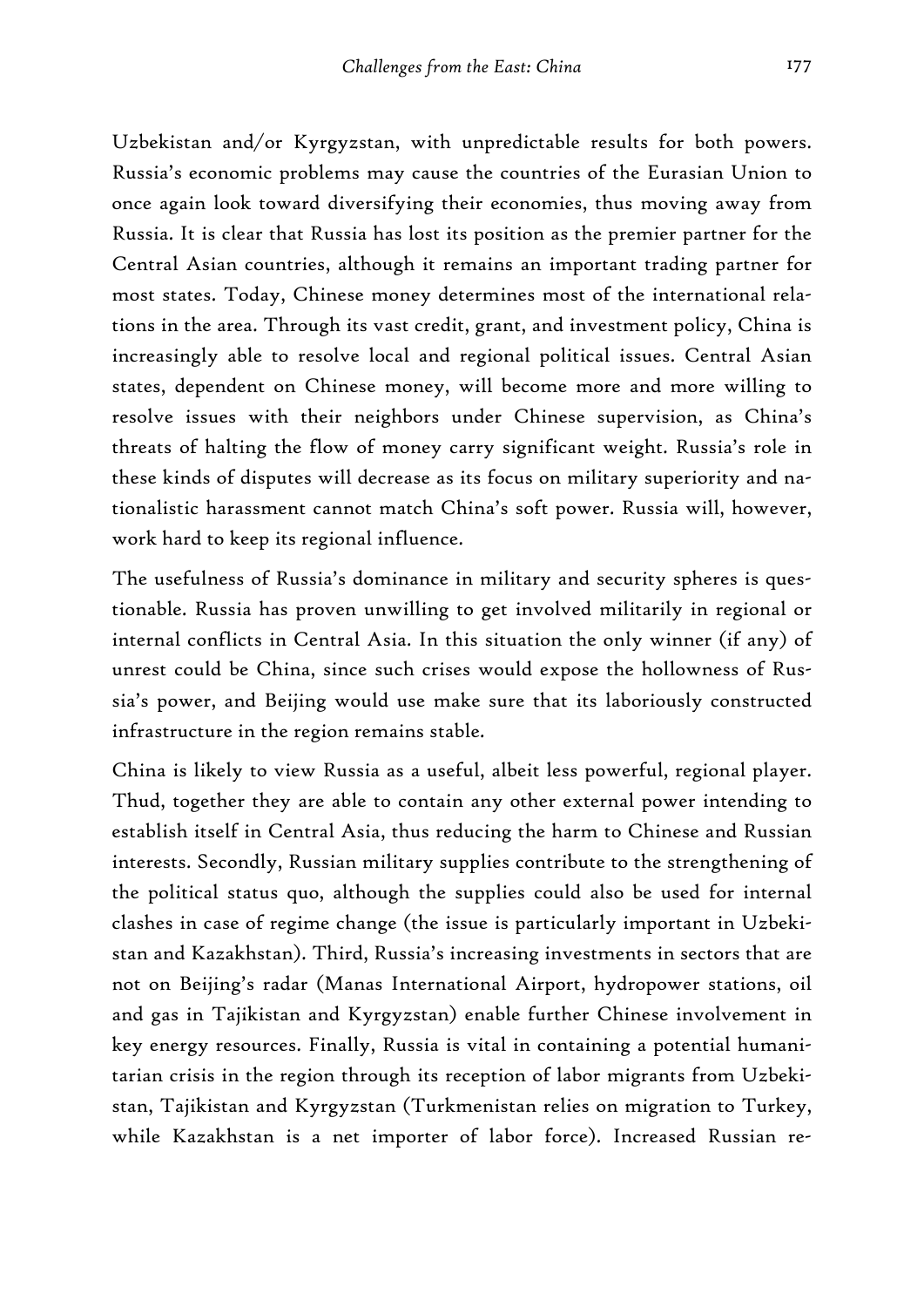Uzbekistan and/or Kyrgyzstan, with unpredictable results for both powers. Russia's economic problems may cause the countries of the Eurasian Union to once again look toward diversifying their economies, thus moving away from Russia. It is clear that Russia has lost its position as the premier partner for the Central Asian countries, although it remains an important trading partner for most states. Today, Chinese money determines most of the international relations in the area. Through its vast credit, grant, and investment policy, China is increasingly able to resolve local and regional political issues. Central Asian states, dependent on Chinese money, will become more and more willing to resolve issues with their neighbors under Chinese supervision, as China's threats of halting the flow of money carry significant weight. Russia's role in these kinds of disputes will decrease as its focus on military superiority and nationalistic harassment cannot match China's soft power. Russia will, however, work hard to keep its regional influence.

The usefulness of Russia's dominance in military and security spheres is questionable. Russia has proven unwilling to get involved militarily in regional or internal conflicts in Central Asia. In this situation the only winner (if any) of unrest could be China, since such crises would expose the hollowness of Russia's power, and Beijing would use make sure that its laboriously constructed infrastructure in the region remains stable.

China is likely to view Russia as a useful, albeit less powerful, regional player. Thud, together they are able to contain any other external power intending to establish itself in Central Asia, thus reducing the harm to Chinese and Russian interests. Secondly, Russian military supplies contribute to the strengthening of the political status quo, although the supplies could also be used for internal clashes in case of regime change (the issue is particularly important in Uzbekistan and Kazakhstan). Third, Russia's increasing investments in sectors that are not on Beijing's radar (Manas International Airport, hydropower stations, oil and gas in Tajikistan and Kyrgyzstan) enable further Chinese involvement in key energy resources. Finally, Russia is vital in containing a potential humanitarian crisis in the region through its reception of labor migrants from Uzbekistan, Tajikistan and Kyrgyzstan (Turkmenistan relies on migration to Turkey, while Kazakhstan is a net importer of labor force). Increased Russian re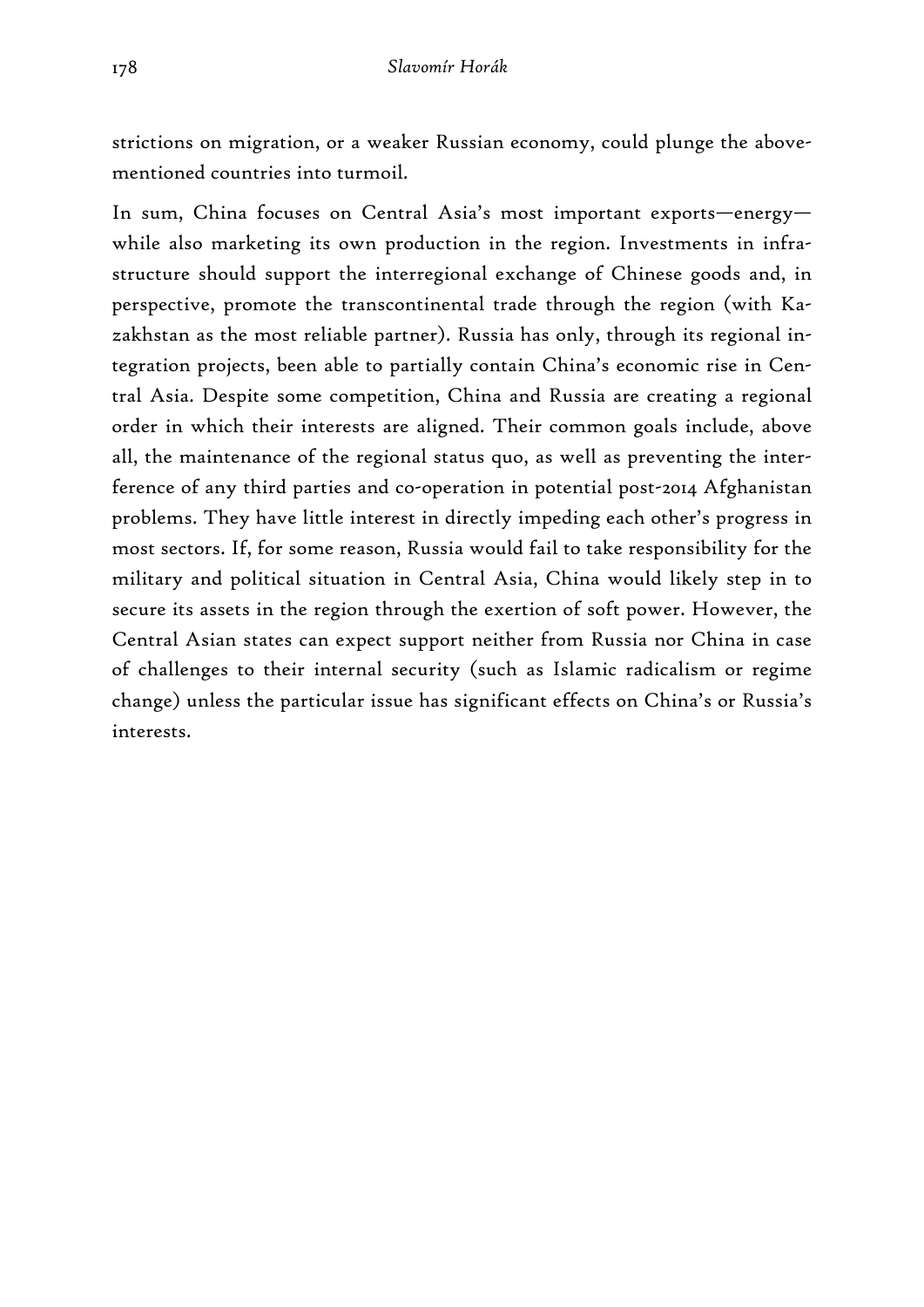strictions on migration, or a weaker Russian economy, could plunge the abovementioned countries into turmoil.

In sum, China focuses on Central Asia's most important exports—energy while also marketing its own production in the region. Investments in infrastructure should support the interregional exchange of Chinese goods and, in perspective, promote the transcontinental trade through the region (with Kazakhstan as the most reliable partner). Russia has only, through its regional integration projects, been able to partially contain China's economic rise in Central Asia. Despite some competition, China and Russia are creating a regional order in which their interests are aligned. Their common goals include, above all, the maintenance of the regional status quo, as well as preventing the interference of any third parties and co-operation in potential post-2014 Afghanistan problems. They have little interest in directly impeding each other's progress in most sectors. If, for some reason, Russia would fail to take responsibility for the military and political situation in Central Asia, China would likely step in to secure its assets in the region through the exertion of soft power. However, the Central Asian states can expect support neither from Russia nor China in case of challenges to their internal security (such as Islamic radicalism or regime change) unless the particular issue has significant effects on China's or Russia's interests.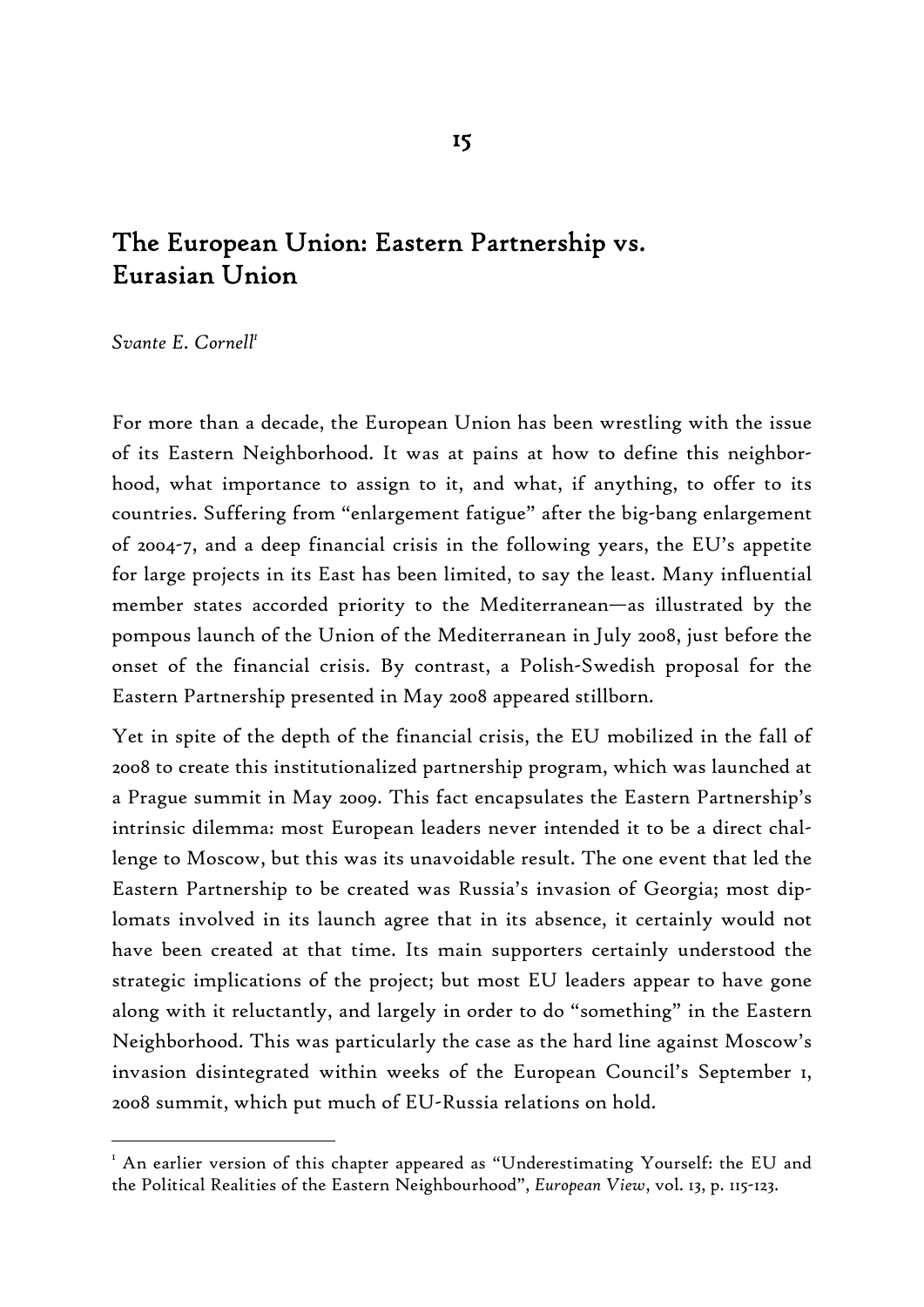# The European Union: Eastern Partnership vs. Eurasian Union

*Svante E. Cornell1*

-

For more than a decade, the European Union has been wrestling with the issue of its Eastern Neighborhood. It was at pains at how to define this neighborhood, what importance to assign to it, and what, if anything, to offer to its countries. Suffering from "enlargement fatigue" after the big-bang enlargement of 2004-7, and a deep financial crisis in the following years, the EU's appetite for large projects in its East has been limited, to say the least. Many influential member states accorded priority to the Mediterranean—as illustrated by the pompous launch of the Union of the Mediterranean in July 2008, just before the onset of the financial crisis. By contrast, a Polish-Swedish proposal for the Eastern Partnership presented in May 2008 appeared stillborn.

Yet in spite of the depth of the financial crisis, the EU mobilized in the fall of 2008 to create this institutionalized partnership program, which was launched at a Prague summit in May 2009. This fact encapsulates the Eastern Partnership's intrinsic dilemma: most European leaders never intended it to be a direct challenge to Moscow, but this was its unavoidable result. The one event that led the Eastern Partnership to be created was Russia's invasion of Georgia; most diplomats involved in its launch agree that in its absence, it certainly would not have been created at that time. Its main supporters certainly understood the strategic implications of the project; but most EU leaders appear to have gone along with it reluctantly, and largely in order to do "something" in the Eastern Neighborhood. This was particularly the case as the hard line against Moscow's invasion disintegrated within weeks of the European Council's September 1, 2008 summit, which put much of EU-Russia relations on hold.

 $^{\mathrm{I}}$  An earlier version of this chapter appeared as "Underestimating Yourself: the EU and the Political Realities of the Eastern Neighbourhood", *European View*, vol. 13, p. 115-123.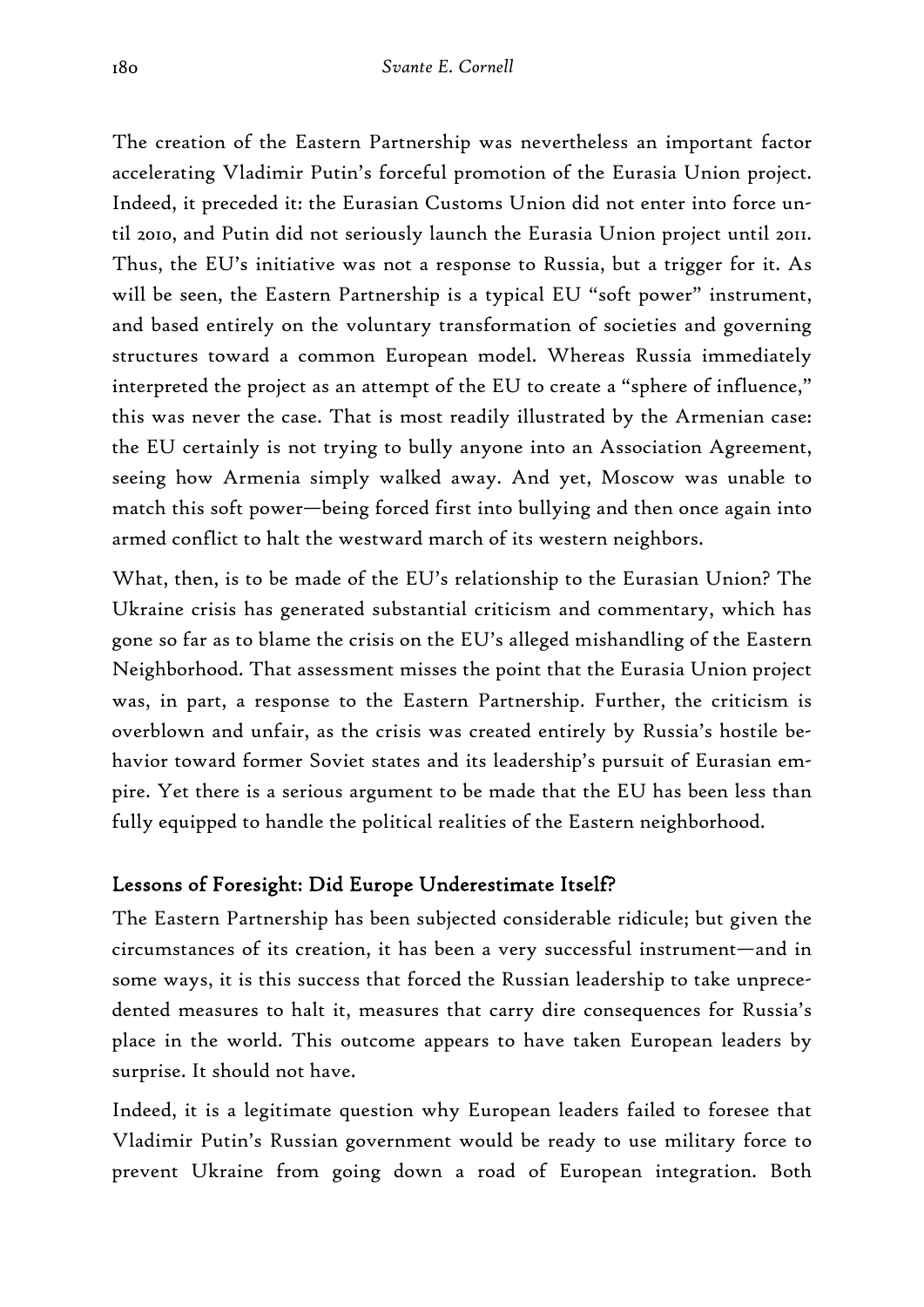The creation of the Eastern Partnership was nevertheless an important factor accelerating Vladimir Putin's forceful promotion of the Eurasia Union project. Indeed, it preceded it: the Eurasian Customs Union did not enter into force until 2010, and Putin did not seriously launch the Eurasia Union project until 2011. Thus, the EU's initiative was not a response to Russia, but a trigger for it. As will be seen, the Eastern Partnership is a typical EU "soft power" instrument, and based entirely on the voluntary transformation of societies and governing structures toward a common European model. Whereas Russia immediately interpreted the project as an attempt of the EU to create a "sphere of influence," this was never the case. That is most readily illustrated by the Armenian case: the EU certainly is not trying to bully anyone into an Association Agreement, seeing how Armenia simply walked away. And yet, Moscow was unable to match this soft power—being forced first into bullying and then once again into armed conflict to halt the westward march of its western neighbors.

What, then, is to be made of the EU's relationship to the Eurasian Union? The Ukraine crisis has generated substantial criticism and commentary, which has gone so far as to blame the crisis on the EU's alleged mishandling of the Eastern Neighborhood. That assessment misses the point that the Eurasia Union project was, in part, a response to the Eastern Partnership. Further, the criticism is overblown and unfair, as the crisis was created entirely by Russia's hostile behavior toward former Soviet states and its leadership's pursuit of Eurasian empire. Yet there is a serious argument to be made that the EU has been less than fully equipped to handle the political realities of the Eastern neighborhood.

## Lessons of Foresight: Did Europe Underestimate Itself?

The Eastern Partnership has been subjected considerable ridicule; but given the circumstances of its creation, it has been a very successful instrument—and in some ways, it is this success that forced the Russian leadership to take unprecedented measures to halt it, measures that carry dire consequences for Russia's place in the world. This outcome appears to have taken European leaders by surprise. It should not have.

Indeed, it is a legitimate question why European leaders failed to foresee that Vladimir Putin's Russian government would be ready to use military force to prevent Ukraine from going down a road of European integration. Both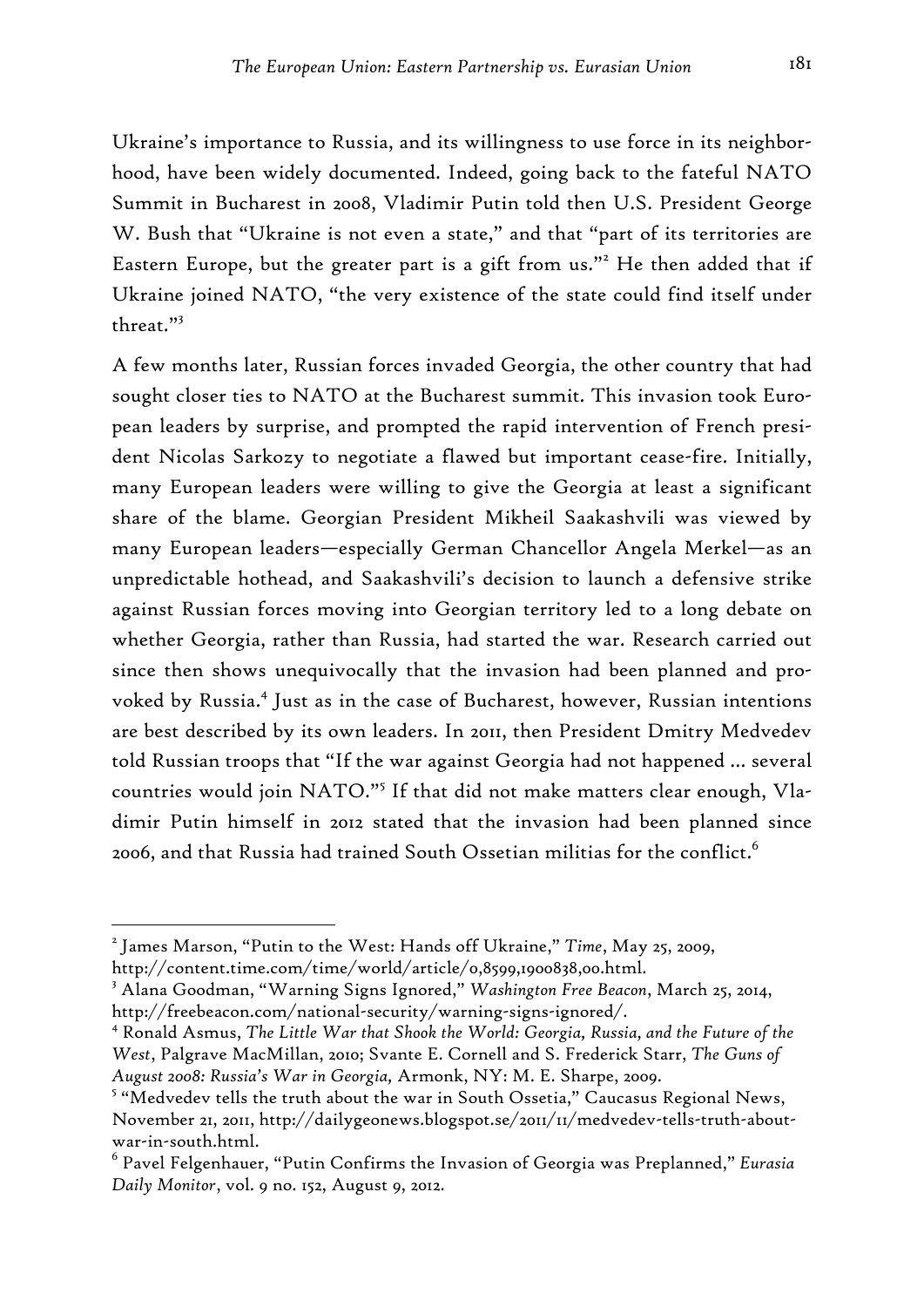Ukraine's importance to Russia, and its willingness to use force in its neighborhood, have been widely documented. Indeed, going back to the fateful NATO Summit in Bucharest in 2008, Vladimir Putin told then U.S. President George W. Bush that "Ukraine is not even a state," and that "part of its territories are Eastern Europe, but the greater part is a gift from us."<sup>2</sup> He then added that if Ukraine joined NATO, "the very existence of the state could find itself under threat."<sup>3</sup>

A few months later, Russian forces invaded Georgia, the other country that had sought closer ties to NATO at the Bucharest summit. This invasion took European leaders by surprise, and prompted the rapid intervention of French president Nicolas Sarkozy to negotiate a flawed but important cease-fire. Initially, many European leaders were willing to give the Georgia at least a significant share of the blame. Georgian President Mikheil Saakashvili was viewed by many European leaders—especially German Chancellor Angela Merkel—as an unpredictable hothead, and Saakashvili's decision to launch a defensive strike against Russian forces moving into Georgian territory led to a long debate on whether Georgia, rather than Russia, had started the war. Research carried out since then shows unequivocally that the invasion had been planned and provoked by Russia.4 Just as in the case of Bucharest, however, Russian intentions are best described by its own leaders. In 2011, then President Dmitry Medvedev told Russian troops that "If the war against Georgia had not happened … several countries would join NATO."<sup>5</sup> If that did not make matters clear enough, Vladimir Putin himself in 2012 stated that the invasion had been planned since 2006, and that Russia had trained South Ossetian militias for the conflict. $^6$ 

<sup>2</sup> James Marson, "Putin to the West: Hands off Ukraine," *Time*, May 25, 2009, http://content.time.com/time/world/article/0,8599,1900838,00.html.

<sup>3</sup> Alana Goodman, "Warning Signs Ignored," *Washington Free Beacon*, March 25, 2014, http://freebeacon.com/national-security/warning-signs-ignored/.

<sup>4</sup> Ronald Asmus, *The Little War that Shook the World: Georgia, Russia, and the Future of the West*, Palgrave MacMillan, 2010; Svante E. Cornell and S. Frederick Starr, *The Guns of August 2008: Russia's War in Georgia,* Armonk, NY: M. E. Sharpe, 2009.

<sup>&</sup>lt;sup>5</sup> "Medvedev tells the truth about the war in South Ossetia," Caucasus Regional News, November 21, 2011, http://dailygeonews.blogspot.se/2011/11/medvedev-tells-truth-aboutwar-in-south.html.

<sup>6</sup> Pavel Felgenhauer, "Putin Confirms the Invasion of Georgia was Preplanned," *Eurasia Daily Monitor*, vol. 9 no. 152, August 9, 2012.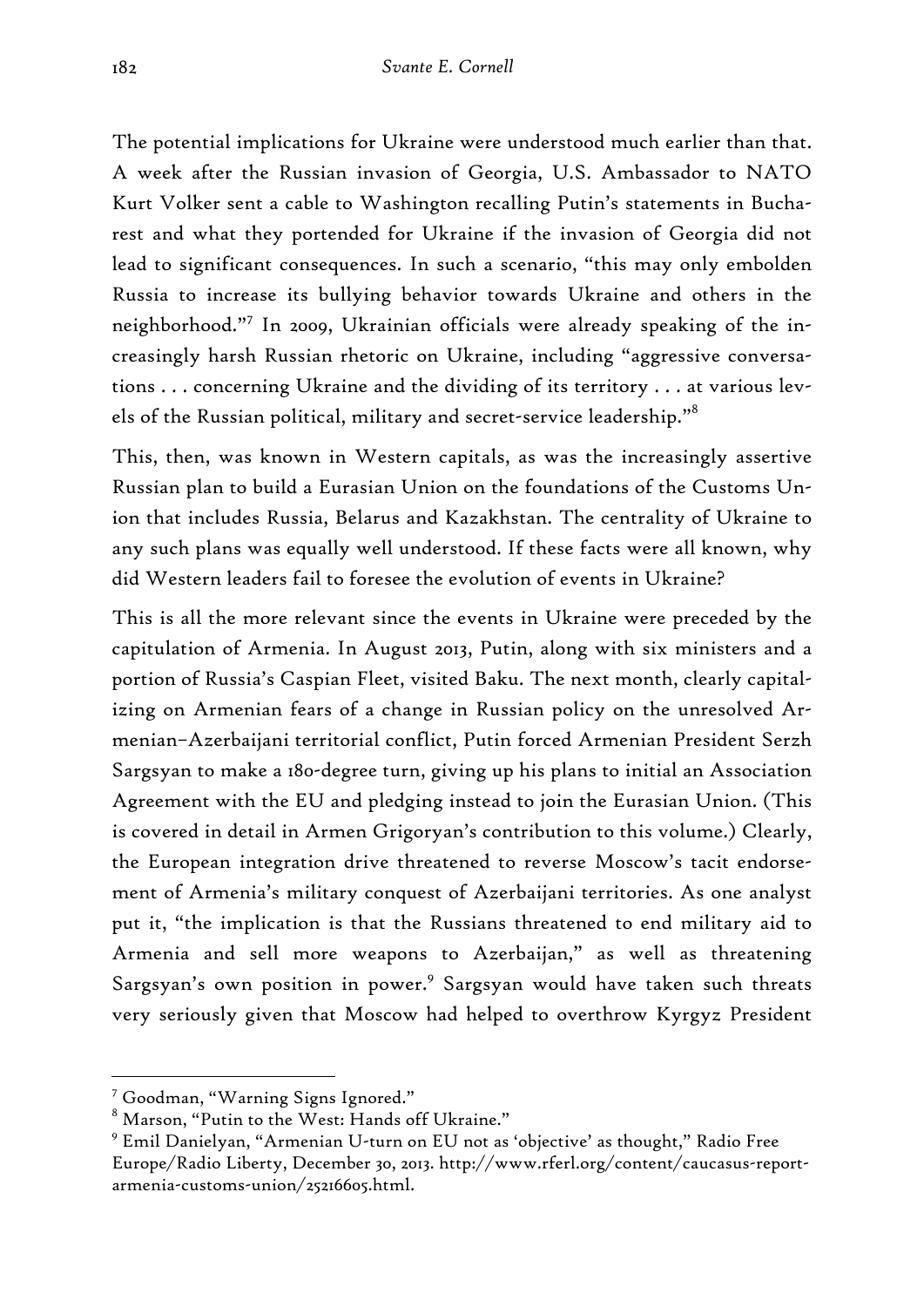The potential implications for Ukraine were understood much earlier than that. A week after the Russian invasion of Georgia, U.S. Ambassador to NATO Kurt Volker sent a cable to Washington recalling Putin's statements in Bucharest and what they portended for Ukraine if the invasion of Georgia did not lead to significant consequences. In such a scenario, "this may only embolden Russia to increase its bullying behavior towards Ukraine and others in the neighborhood."<sup>7</sup> In 2009, Ukrainian officials were already speaking of the increasingly harsh Russian rhetoric on Ukraine, including "aggressive conversations . . . concerning Ukraine and the dividing of its territory . . . at various levels of the Russian political, military and secret-service leadership."<sup>8</sup>

This, then, was known in Western capitals, as was the increasingly assertive Russian plan to build a Eurasian Union on the foundations of the Customs Union that includes Russia, Belarus and Kazakhstan. The centrality of Ukraine to any such plans was equally well understood. If these facts were all known, why did Western leaders fail to foresee the evolution of events in Ukraine?

This is all the more relevant since the events in Ukraine were preceded by the capitulation of Armenia. In August 2013, Putin, along with six ministers and a portion of Russia's Caspian Fleet, visited Baku. The next month, clearly capitalizing on Armenian fears of a change in Russian policy on the unresolved Armenian–Azerbaijani territorial conflict, Putin forced Armenian President Serzh Sargsyan to make a 180-degree turn, giving up his plans to initial an Association Agreement with the EU and pledging instead to join the Eurasian Union. (This is covered in detail in Armen Grigoryan's contribution to this volume.) Clearly, the European integration drive threatened to reverse Moscow's tacit endorsement of Armenia's military conquest of Azerbaijani territories. As one analyst put it, "the implication is that the Russians threatened to end military aid to Armenia and sell more weapons to Azerbaijan," as well as threatening Sargsyan's own position in power.<sup>9</sup> Sargsyan would have taken such threats very seriously given that Moscow had helped to overthrow Kyrgyz President

<sup>7</sup> Goodman, "Warning Signs Ignored."

 $^8$  Marson, "Putin to the West: Hands off Ukraine."

<sup>9</sup> Emil Danielyan, "Armenian U-turn on EU not as 'objective' as thought," Radio Free Europe/Radio Liberty, December 30, 2013. http://www.rferl.org/content/caucasus-reportarmenia-customs-union/25216605.html.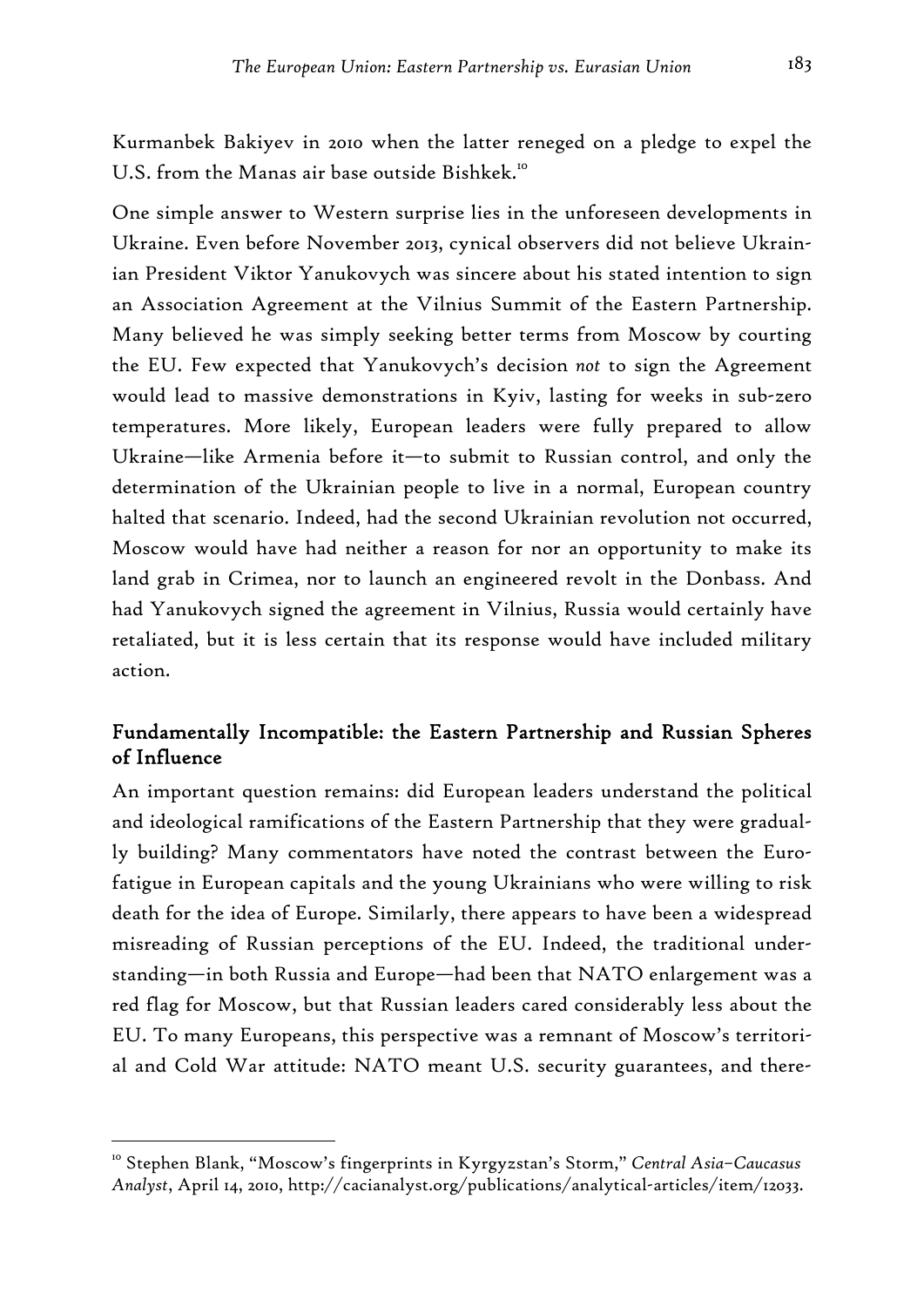Kurmanbek Bakiyev in 2010 when the latter reneged on a pledge to expel the U.S. from the Manas air base outside Bishkek.<sup>10</sup>

One simple answer to Western surprise lies in the unforeseen developments in Ukraine. Even before November 2013, cynical observers did not believe Ukrainian President Viktor Yanukovych was sincere about his stated intention to sign an Association Agreement at the Vilnius Summit of the Eastern Partnership. Many believed he was simply seeking better terms from Moscow by courting the EU. Few expected that Yanukovych's decision *not* to sign the Agreement would lead to massive demonstrations in Kyiv, lasting for weeks in sub-zero temperatures. More likely, European leaders were fully prepared to allow Ukraine—like Armenia before it—to submit to Russian control, and only the determination of the Ukrainian people to live in a normal, European country halted that scenario. Indeed, had the second Ukrainian revolution not occurred, Moscow would have had neither a reason for nor an opportunity to make its land grab in Crimea, nor to launch an engineered revolt in the Donbass. And had Yanukovych signed the agreement in Vilnius, Russia would certainly have retaliated, but it is less certain that its response would have included military action.

## Fundamentally Incompatible: the Eastern Partnership and Russian Spheres of Influence

An important question remains: did European leaders understand the political and ideological ramifications of the Eastern Partnership that they were gradually building? Many commentators have noted the contrast between the Eurofatigue in European capitals and the young Ukrainians who were willing to risk death for the idea of Europe. Similarly, there appears to have been a widespread misreading of Russian perceptions of the EU. Indeed, the traditional understanding—in both Russia and Europe—had been that NATO enlargement was a red flag for Moscow, but that Russian leaders cared considerably less about the EU. To many Europeans, this perspective was a remnant of Moscow's territorial and Cold War attitude: NATO meant U.S. security guarantees, and there-

<sup>10</sup> Stephen Blank, "Moscow's fingerprints in Kyrgyzstan's Storm," *Central Asia–Caucasus Analyst*, April 14, 2010, http://cacianalyst.org/publications/analytical-articles/item/12033.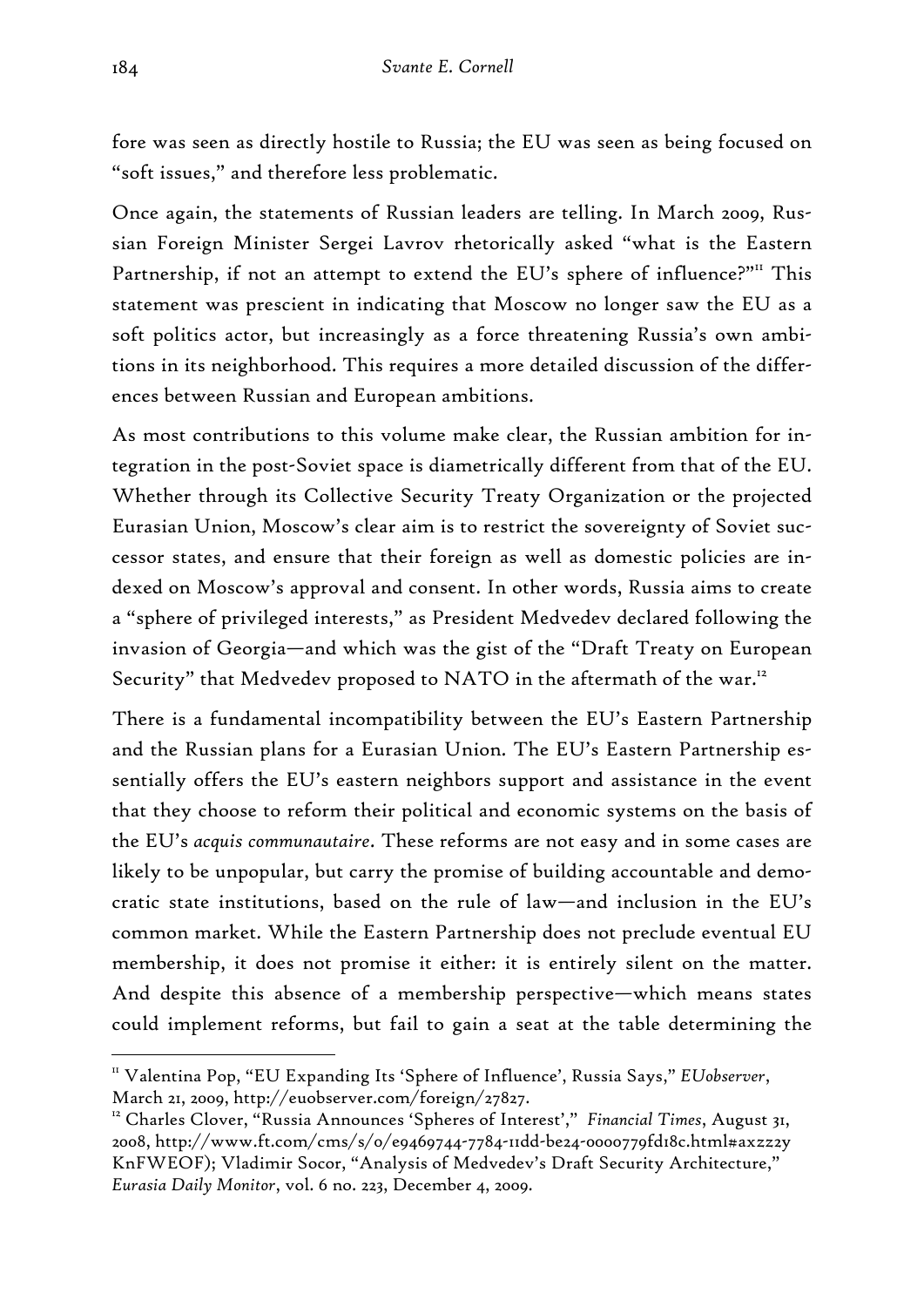fore was seen as directly hostile to Russia; the EU was seen as being focused on "soft issues," and therefore less problematic.

Once again, the statements of Russian leaders are telling. In March 2009, Russian Foreign Minister Sergei Lavrov rhetorically asked "what is the Eastern Partnership, if not an attempt to extend the EU's sphere of influence?"<sup>II</sup> This statement was prescient in indicating that Moscow no longer saw the EU as a soft politics actor, but increasingly as a force threatening Russia's own ambitions in its neighborhood. This requires a more detailed discussion of the differences between Russian and European ambitions.

As most contributions to this volume make clear, the Russian ambition for integration in the post-Soviet space is diametrically different from that of the EU. Whether through its Collective Security Treaty Organization or the projected Eurasian Union, Moscow's clear aim is to restrict the sovereignty of Soviet successor states, and ensure that their foreign as well as domestic policies are indexed on Moscow's approval and consent. In other words, Russia aims to create a "sphere of privileged interests," as President Medvedev declared following the invasion of Georgia—and which was the gist of the "Draft Treaty on European Security" that Medvedev proposed to NATO in the aftermath of the war.<sup>12</sup>

There is a fundamental incompatibility between the EU's Eastern Partnership and the Russian plans for a Eurasian Union. The EU's Eastern Partnership essentially offers the EU's eastern neighbors support and assistance in the event that they choose to reform their political and economic systems on the basis of the EU's *acquis communautaire*. These reforms are not easy and in some cases are likely to be unpopular, but carry the promise of building accountable and democratic state institutions, based on the rule of law—and inclusion in the EU's common market. While the Eastern Partnership does not preclude eventual EU membership, it does not promise it either: it is entirely silent on the matter. And despite this absence of a membership perspective—which means states could implement reforms, but fail to gain a seat at the table determining the

<sup>11</sup> Valentina Pop, "EU Expanding Its 'Sphere of Influence', Russia Says," *EUobserver*, March 21, 2009, http://euobserver.com/foreign/27827.

<sup>&</sup>lt;sup>12</sup> Charles Clover, "Russia Announces 'Spheres of Interest'," Financial Times, August 31, 2008, http://www.ft.com/cms/s/0/e9469744-7784-11dd-be24-0000779fd18c.html#axzz2y KnFWEOF); Vladimir Socor, "Analysis of Medvedev's Draft Security Architecture," *Eurasia Daily Monitor*, vol. 6 no. 223, December 4, 2009.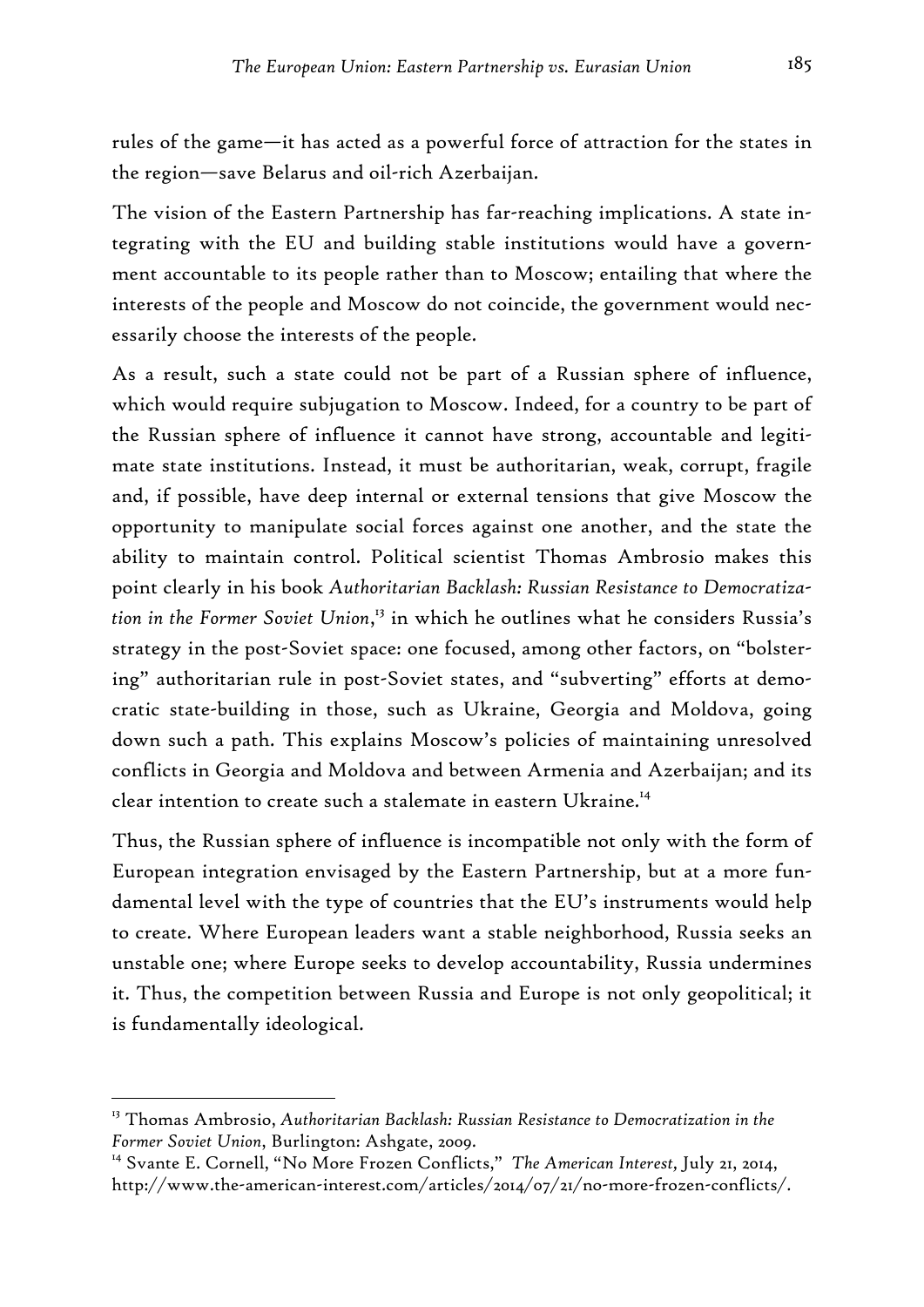rules of the game—it has acted as a powerful force of attraction for the states in the region—save Belarus and oil-rich Azerbaijan.

The vision of the Eastern Partnership has far-reaching implications. A state integrating with the EU and building stable institutions would have a government accountable to its people rather than to Moscow; entailing that where the interests of the people and Moscow do not coincide, the government would necessarily choose the interests of the people.

As a result, such a state could not be part of a Russian sphere of influence, which would require subjugation to Moscow. Indeed, for a country to be part of the Russian sphere of influence it cannot have strong, accountable and legitimate state institutions. Instead, it must be authoritarian, weak, corrupt, fragile and, if possible, have deep internal or external tensions that give Moscow the opportunity to manipulate social forces against one another, and the state the ability to maintain control. Political scientist Thomas Ambrosio makes this point clearly in his book *Authoritarian Backlash: Russian Resistance to Democratization in the Former Soviet Union*, 13 in which he outlines what he considers Russia's strategy in the post-Soviet space: one focused, among other factors, on "bolstering" authoritarian rule in post-Soviet states, and "subverting" efforts at democratic state-building in those, such as Ukraine, Georgia and Moldova, going down such a path. This explains Moscow's policies of maintaining unresolved conflicts in Georgia and Moldova and between Armenia and Azerbaijan; and its clear intention to create such a stalemate in eastern Ukraine.<sup>14</sup>

Thus, the Russian sphere of influence is incompatible not only with the form of European integration envisaged by the Eastern Partnership, but at a more fundamental level with the type of countries that the EU's instruments would help to create. Where European leaders want a stable neighborhood, Russia seeks an unstable one; where Europe seeks to develop accountability, Russia undermines it. Thus, the competition between Russia and Europe is not only geopolitical; it is fundamentally ideological.

<sup>13</sup> Thomas Ambrosio, *Authoritarian Backlash: Russian Resistance to Democratization in the Former Soviet Union*, Burlington: Ashgate, 2009.

<sup>14</sup> Svante E. Cornell, "No More Frozen Conflicts," *The American Interest,* July 21, 2014, http://www.the-american-interest.com/articles/2014/07/21/no-more-frozen-conflicts/.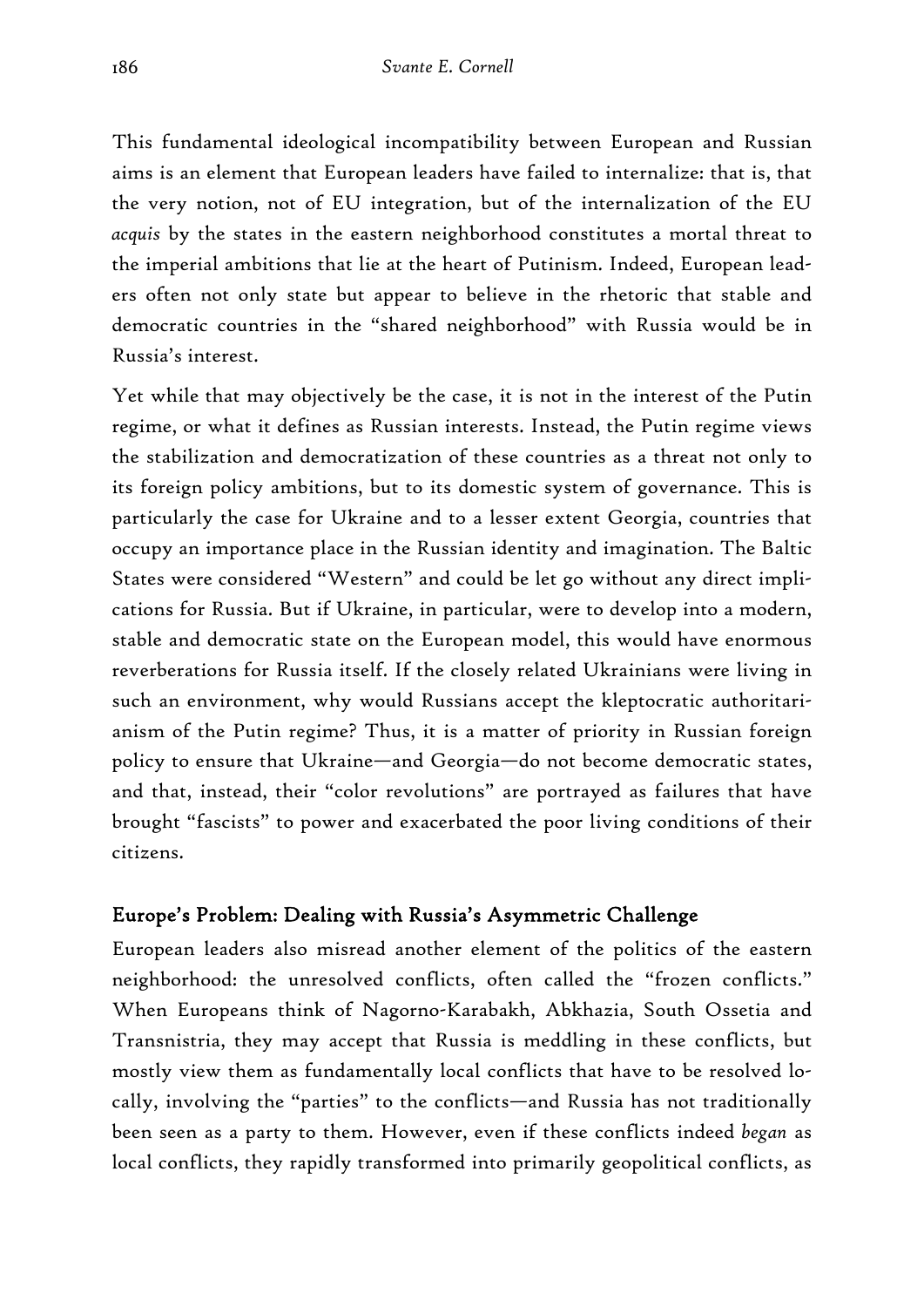This fundamental ideological incompatibility between European and Russian aims is an element that European leaders have failed to internalize: that is, that the very notion, not of EU integration, but of the internalization of the EU *acquis* by the states in the eastern neighborhood constitutes a mortal threat to the imperial ambitions that lie at the heart of Putinism. Indeed, European leaders often not only state but appear to believe in the rhetoric that stable and democratic countries in the "shared neighborhood" with Russia would be in Russia's interest.

Yet while that may objectively be the case, it is not in the interest of the Putin regime, or what it defines as Russian interests. Instead, the Putin regime views the stabilization and democratization of these countries as a threat not only to its foreign policy ambitions, but to its domestic system of governance. This is particularly the case for Ukraine and to a lesser extent Georgia, countries that occupy an importance place in the Russian identity and imagination. The Baltic States were considered "Western" and could be let go without any direct implications for Russia. But if Ukraine, in particular, were to develop into a modern, stable and democratic state on the European model, this would have enormous reverberations for Russia itself. If the closely related Ukrainians were living in such an environment, why would Russians accept the kleptocratic authoritarianism of the Putin regime? Thus, it is a matter of priority in Russian foreign policy to ensure that Ukraine—and Georgia—do not become democratic states, and that, instead, their "color revolutions" are portrayed as failures that have brought "fascists" to power and exacerbated the poor living conditions of their citizens.

## Europe's Problem: Dealing with Russia's Asymmetric Challenge

European leaders also misread another element of the politics of the eastern neighborhood: the unresolved conflicts, often called the "frozen conflicts." When Europeans think of Nagorno-Karabakh, Abkhazia, South Ossetia and Transnistria, they may accept that Russia is meddling in these conflicts, but mostly view them as fundamentally local conflicts that have to be resolved locally, involving the "parties" to the conflicts—and Russia has not traditionally been seen as a party to them. However, even if these conflicts indeed *began* as local conflicts, they rapidly transformed into primarily geopolitical conflicts, as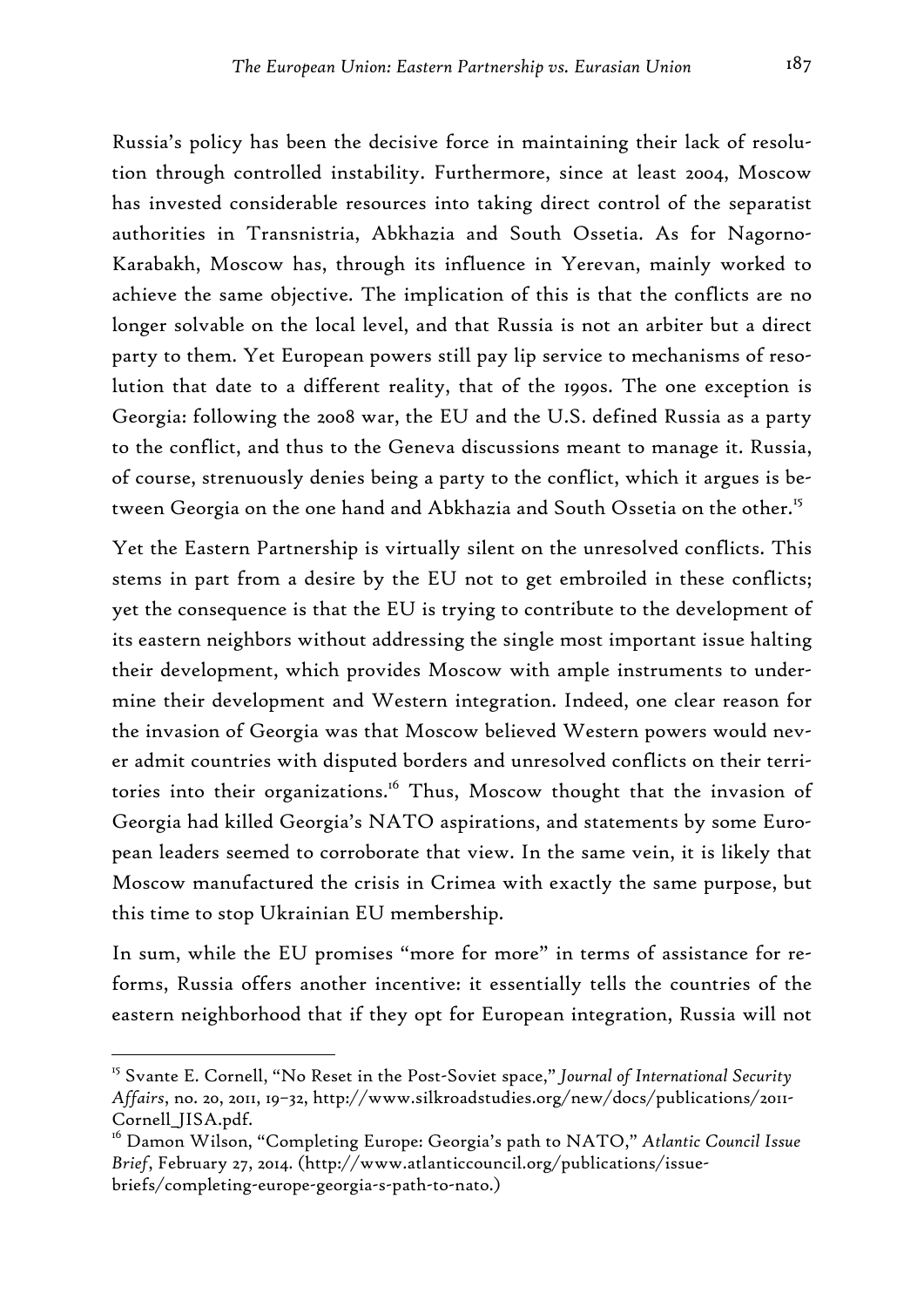Russia's policy has been the decisive force in maintaining their lack of resolution through controlled instability. Furthermore, since at least 2004, Moscow has invested considerable resources into taking direct control of the separatist authorities in Transnistria, Abkhazia and South Ossetia. As for Nagorno-Karabakh, Moscow has, through its influence in Yerevan, mainly worked to achieve the same objective. The implication of this is that the conflicts are no longer solvable on the local level, and that Russia is not an arbiter but a direct party to them. Yet European powers still pay lip service to mechanisms of resolution that date to a different reality, that of the 1990s. The one exception is Georgia: following the 2008 war, the EU and the U.S. defined Russia as a party to the conflict, and thus to the Geneva discussions meant to manage it. Russia, of course, strenuously denies being a party to the conflict, which it argues is between Georgia on the one hand and Abkhazia and South Ossetia on the other.<sup>15</sup>

Yet the Eastern Partnership is virtually silent on the unresolved conflicts. This stems in part from a desire by the EU not to get embroiled in these conflicts; yet the consequence is that the EU is trying to contribute to the development of its eastern neighbors without addressing the single most important issue halting their development, which provides Moscow with ample instruments to undermine their development and Western integration. Indeed, one clear reason for the invasion of Georgia was that Moscow believed Western powers would never admit countries with disputed borders and unresolved conflicts on their territories into their organizations.<sup>16</sup> Thus, Moscow thought that the invasion of Georgia had killed Georgia's NATO aspirations, and statements by some European leaders seemed to corroborate that view. In the same vein, it is likely that Moscow manufactured the crisis in Crimea with exactly the same purpose, but this time to stop Ukrainian EU membership.

In sum, while the EU promises "more for more" in terms of assistance for reforms, Russia offers another incentive: it essentially tells the countries of the eastern neighborhood that if they opt for European integration, Russia will not

<sup>15</sup> Svante E. Cornell, "No Reset in the Post-Soviet space," *Journal of International Security Affairs*, no. 20, 2011, 19–32, http://www.silkroadstudies.org/new/docs/publications/2011- Cornell\_JISA.pdf.

<sup>16</sup> Damon Wilson, "Completing Europe: Georgia's path to NATO," *Atlantic Council Issue Brief*, February 27, 2014. (http://www.atlanticcouncil.org/publications/issuebriefs/completing-europe-georgia-s-path-to-nato.)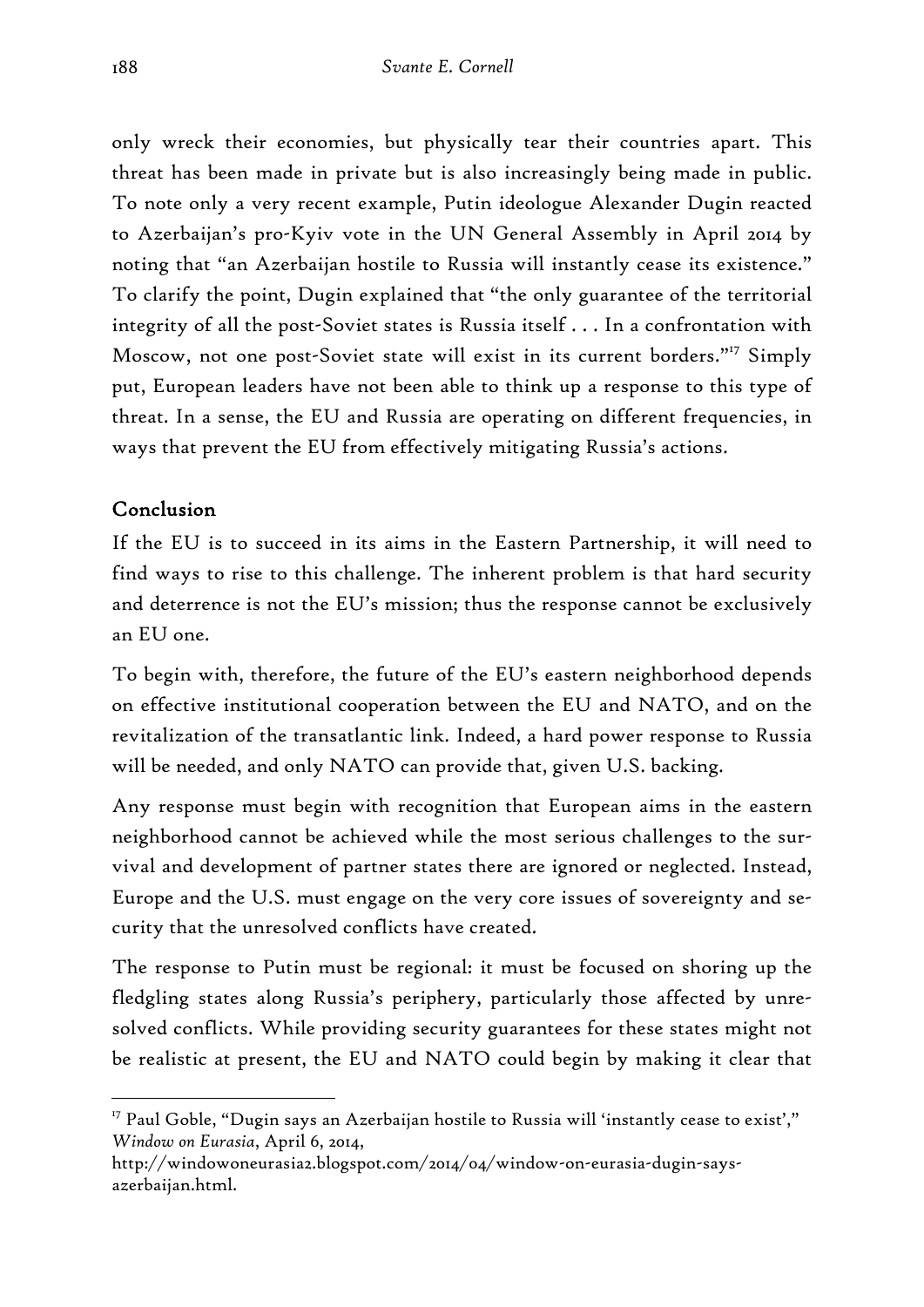only wreck their economies, but physically tear their countries apart. This threat has been made in private but is also increasingly being made in public. To note only a very recent example, Putin ideologue Alexander Dugin reacted to Azerbaijan's pro-Kyiv vote in the UN General Assembly in April 2014 by noting that "an Azerbaijan hostile to Russia will instantly cease its existence." To clarify the point, Dugin explained that "the only guarantee of the territorial integrity of all the post-Soviet states is Russia itself . . . In a confrontation with Moscow, not one post-Soviet state will exist in its current borders."<sup>17</sup> Simply put, European leaders have not been able to think up a response to this type of threat. In a sense, the EU and Russia are operating on different frequencies, in ways that prevent the EU from effectively mitigating Russia's actions.

### Conclusion

-

If the EU is to succeed in its aims in the Eastern Partnership, it will need to find ways to rise to this challenge. The inherent problem is that hard security and deterrence is not the EU's mission; thus the response cannot be exclusively an EU one.

To begin with, therefore, the future of the EU's eastern neighborhood depends on effective institutional cooperation between the EU and NATO, and on the revitalization of the transatlantic link. Indeed, a hard power response to Russia will be needed, and only NATO can provide that, given U.S. backing.

Any response must begin with recognition that European aims in the eastern neighborhood cannot be achieved while the most serious challenges to the survival and development of partner states there are ignored or neglected. Instead, Europe and the U.S. must engage on the very core issues of sovereignty and security that the unresolved conflicts have created.

The response to Putin must be regional: it must be focused on shoring up the fledgling states along Russia's periphery, particularly those affected by unresolved conflicts. While providing security guarantees for these states might not be realistic at present, the EU and NATO could begin by making it clear that

 $17$  Paul Goble, "Dugin says an Azerbaijan hostile to Russia will 'instantly cease to exist'," *Window on Eurasia*, April 6, 2014,

http://windowoneurasia2.blogspot.com/2014/04/window-on-eurasia-dugin-saysazerbaijan.html.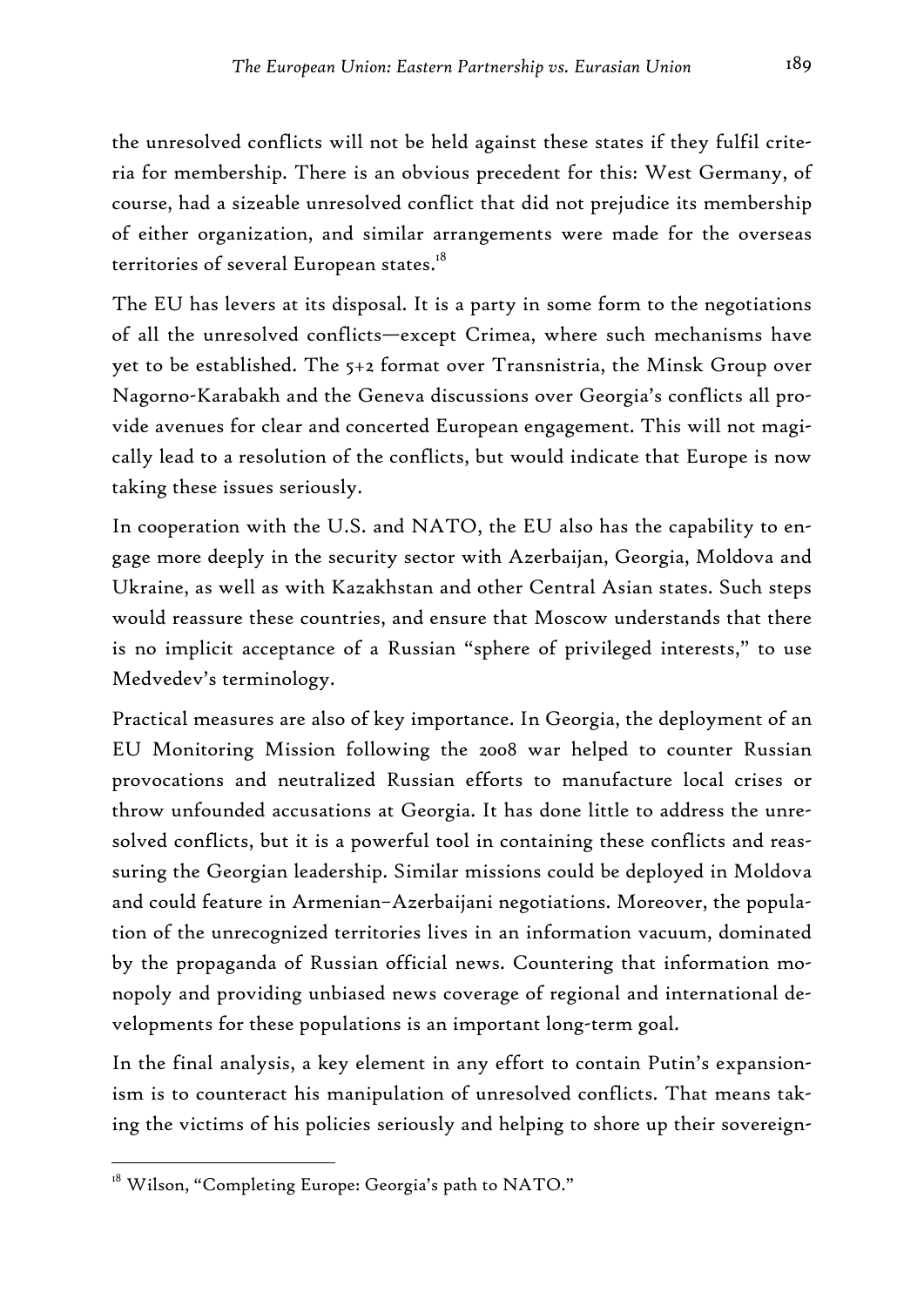the unresolved conflicts will not be held against these states if they fulfil criteria for membership. There is an obvious precedent for this: West Germany, of course, had a sizeable unresolved conflict that did not prejudice its membership of either organization, and similar arrangements were made for the overseas territories of several European states.<sup>18</sup>

The EU has levers at its disposal. It is a party in some form to the negotiations of all the unresolved conflicts—except Crimea, where such mechanisms have yet to be established. The 5+2 format over Transnistria, the Minsk Group over Nagorno-Karabakh and the Geneva discussions over Georgia's conflicts all provide avenues for clear and concerted European engagement. This will not magically lead to a resolution of the conflicts, but would indicate that Europe is now taking these issues seriously.

In cooperation with the U.S. and NATO, the EU also has the capability to engage more deeply in the security sector with Azerbaijan, Georgia, Moldova and Ukraine, as well as with Kazakhstan and other Central Asian states. Such steps would reassure these countries, and ensure that Moscow understands that there is no implicit acceptance of a Russian "sphere of privileged interests," to use Medvedev's terminology.

Practical measures are also of key importance. In Georgia, the deployment of an EU Monitoring Mission following the 2008 war helped to counter Russian provocations and neutralized Russian efforts to manufacture local crises or throw unfounded accusations at Georgia. It has done little to address the unresolved conflicts, but it is a powerful tool in containing these conflicts and reassuring the Georgian leadership. Similar missions could be deployed in Moldova and could feature in Armenian–Azerbaijani negotiations. Moreover, the population of the unrecognized territories lives in an information vacuum, dominated by the propaganda of Russian official news. Countering that information monopoly and providing unbiased news coverage of regional and international developments for these populations is an important long-term goal.

In the final analysis, a key element in any effort to contain Putin's expansionism is to counteract his manipulation of unresolved conflicts. That means taking the victims of his policies seriously and helping to shore up their sovereign-

<sup>&</sup>lt;sup>18</sup> Wilson, "Completing Europe: Georgia's path to NATO."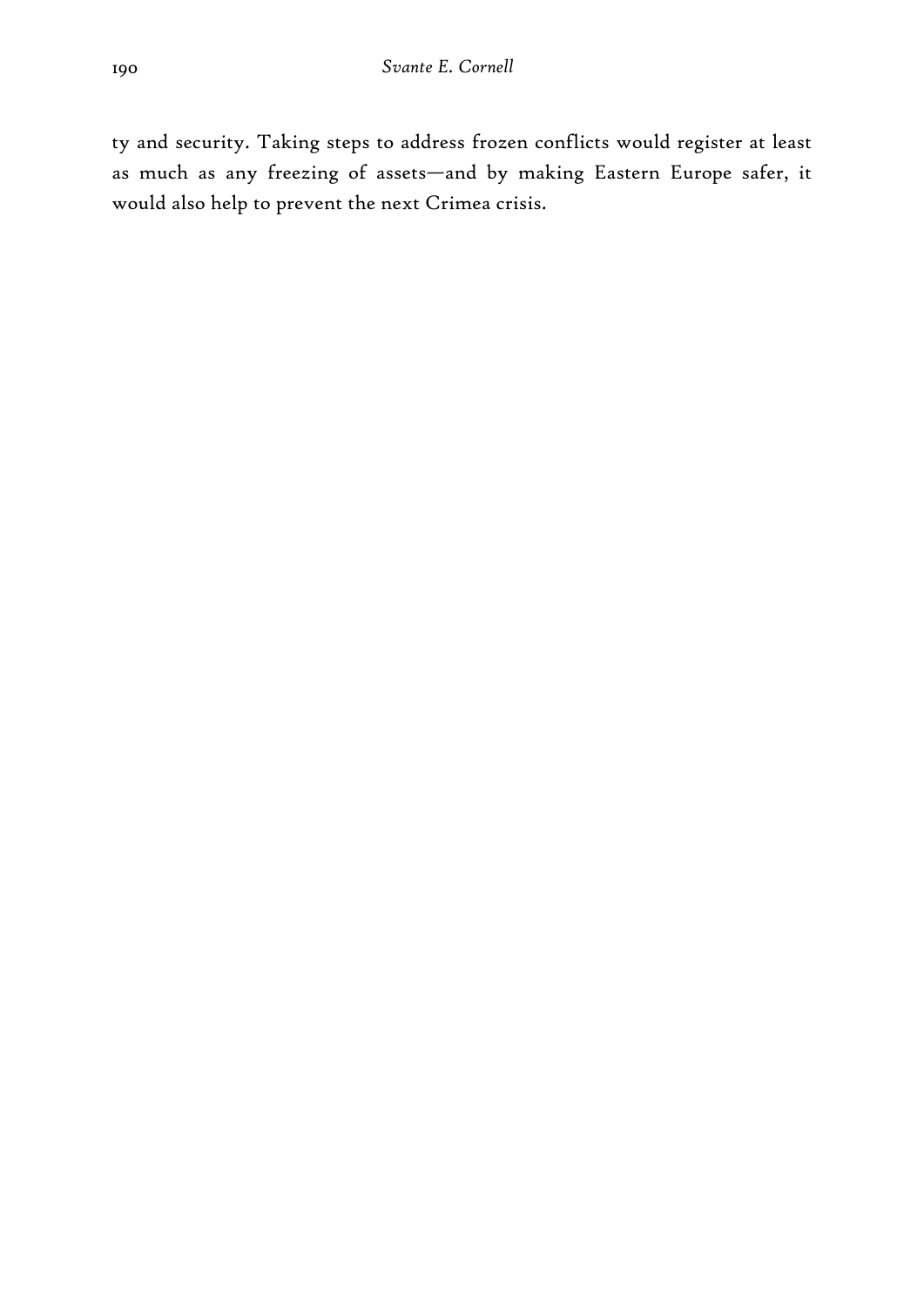ty and security. Taking steps to address frozen conflicts would register at least as much as any freezing of assets—and by making Eastern Europe safer, it would also help to prevent the next Crimea crisis.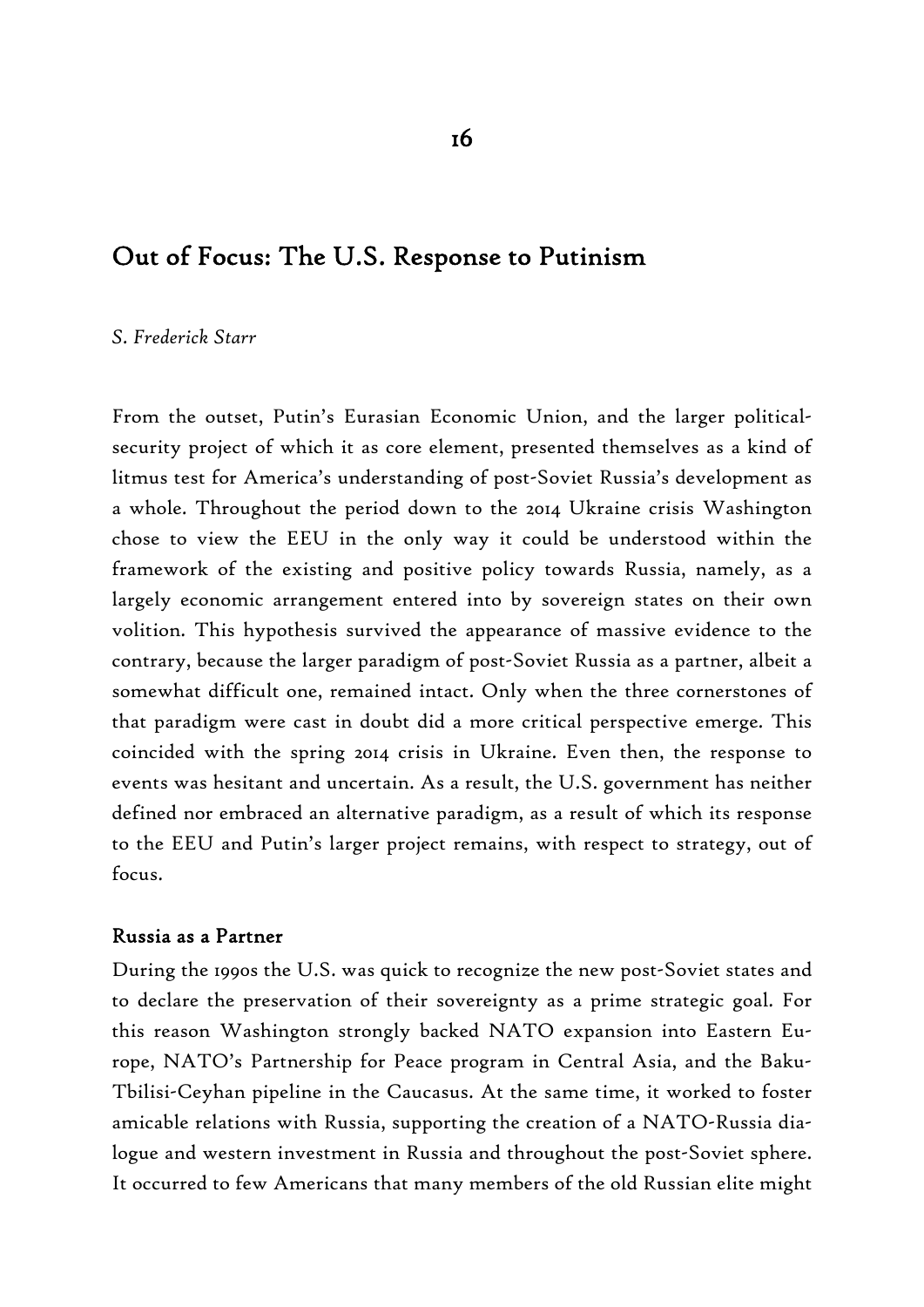## Out of Focus: The U.S. Response to Putinism

#### *S. Frederick Starr*

From the outset, Putin's Eurasian Economic Union, and the larger politicalsecurity project of which it as core element, presented themselves as a kind of litmus test for America's understanding of post-Soviet Russia's development as a whole. Throughout the period down to the 2014 Ukraine crisis Washington chose to view the EEU in the only way it could be understood within the framework of the existing and positive policy towards Russia, namely, as a largely economic arrangement entered into by sovereign states on their own volition. This hypothesis survived the appearance of massive evidence to the contrary, because the larger paradigm of post-Soviet Russia as a partner, albeit a somewhat difficult one, remained intact. Only when the three cornerstones of that paradigm were cast in doubt did a more critical perspective emerge. This coincided with the spring 2014 crisis in Ukraine. Even then, the response to events was hesitant and uncertain. As a result, the U.S. government has neither defined nor embraced an alternative paradigm, as a result of which its response to the EEU and Putin's larger project remains, with respect to strategy, out of focus.

#### Russia as a Partner

During the 1990s the U.S. was quick to recognize the new post-Soviet states and to declare the preservation of their sovereignty as a prime strategic goal. For this reason Washington strongly backed NATO expansion into Eastern Europe, NATO's Partnership for Peace program in Central Asia, and the Baku-Tbilisi-Ceyhan pipeline in the Caucasus. At the same time, it worked to foster amicable relations with Russia, supporting the creation of a NATO-Russia dialogue and western investment in Russia and throughout the post-Soviet sphere. It occurred to few Americans that many members of the old Russian elite might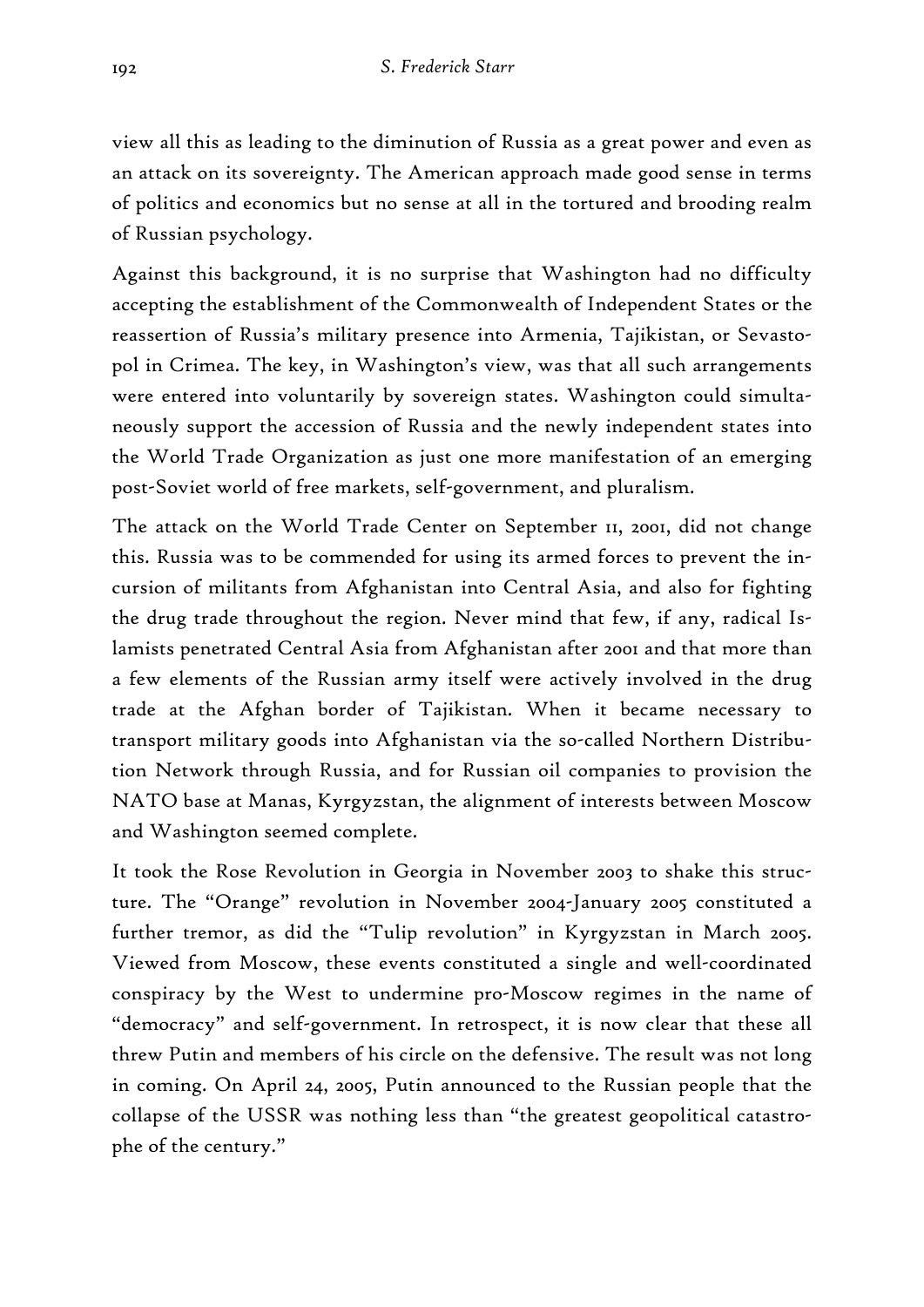view all this as leading to the diminution of Russia as a great power and even as an attack on its sovereignty. The American approach made good sense in terms of politics and economics but no sense at all in the tortured and brooding realm of Russian psychology.

Against this background, it is no surprise that Washington had no difficulty accepting the establishment of the Commonwealth of Independent States or the reassertion of Russia's military presence into Armenia, Tajikistan, or Sevastopol in Crimea. The key, in Washington's view, was that all such arrangements were entered into voluntarily by sovereign states. Washington could simultaneously support the accession of Russia and the newly independent states into the World Trade Organization as just one more manifestation of an emerging post-Soviet world of free markets, self-government, and pluralism.

The attack on the World Trade Center on September 11, 2001, did not change this. Russia was to be commended for using its armed forces to prevent the incursion of militants from Afghanistan into Central Asia, and also for fighting the drug trade throughout the region. Never mind that few, if any, radical Islamists penetrated Central Asia from Afghanistan after 2001 and that more than a few elements of the Russian army itself were actively involved in the drug trade at the Afghan border of Tajikistan. When it became necessary to transport military goods into Afghanistan via the so-called Northern Distribution Network through Russia, and for Russian oil companies to provision the NATO base at Manas, Kyrgyzstan, the alignment of interests between Moscow and Washington seemed complete.

It took the Rose Revolution in Georgia in November 2003 to shake this structure. The "Orange" revolution in November 2004-January 2005 constituted a further tremor, as did the "Tulip revolution" in Kyrgyzstan in March 2005. Viewed from Moscow, these events constituted a single and well-coordinated conspiracy by the West to undermine pro-Moscow regimes in the name of "democracy" and self-government. In retrospect, it is now clear that these all threw Putin and members of his circle on the defensive. The result was not long in coming. On April 24, 2005, Putin announced to the Russian people that the collapse of the USSR was nothing less than "the greatest geopolitical catastrophe of the century."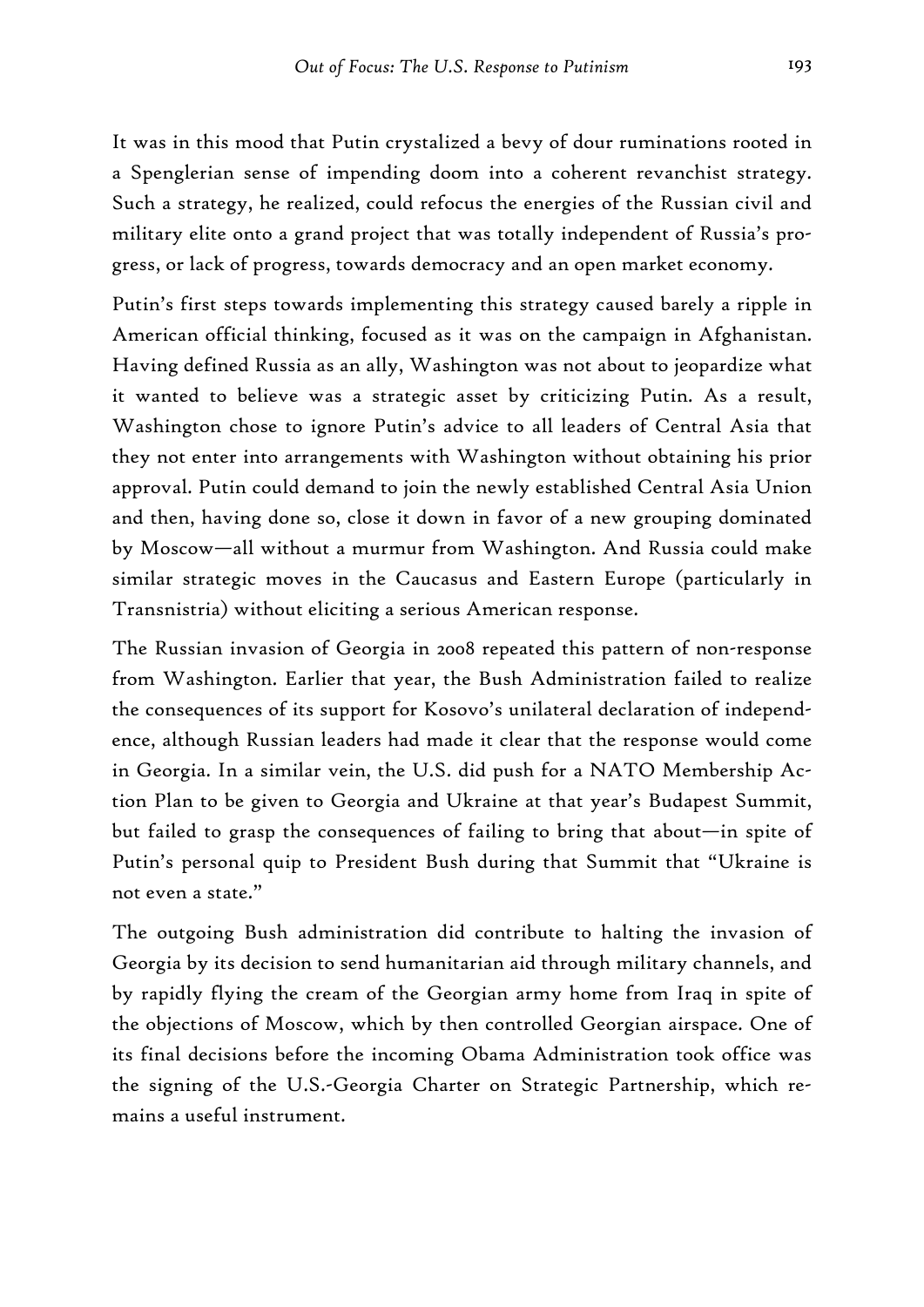It was in this mood that Putin crystalized a bevy of dour ruminations rooted in a Spenglerian sense of impending doom into a coherent revanchist strategy. Such a strategy, he realized, could refocus the energies of the Russian civil and military elite onto a grand project that was totally independent of Russia's progress, or lack of progress, towards democracy and an open market economy.

Putin's first steps towards implementing this strategy caused barely a ripple in American official thinking, focused as it was on the campaign in Afghanistan. Having defined Russia as an ally, Washington was not about to jeopardize what it wanted to believe was a strategic asset by criticizing Putin. As a result, Washington chose to ignore Putin's advice to all leaders of Central Asia that they not enter into arrangements with Washington without obtaining his prior approval. Putin could demand to join the newly established Central Asia Union and then, having done so, close it down in favor of a new grouping dominated by Moscow—all without a murmur from Washington. And Russia could make similar strategic moves in the Caucasus and Eastern Europe (particularly in Transnistria) without eliciting a serious American response.

The Russian invasion of Georgia in 2008 repeated this pattern of non-response from Washington. Earlier that year, the Bush Administration failed to realize the consequences of its support for Kosovo's unilateral declaration of independence, although Russian leaders had made it clear that the response would come in Georgia. In a similar vein, the U.S. did push for a NATO Membership Action Plan to be given to Georgia and Ukraine at that year's Budapest Summit, but failed to grasp the consequences of failing to bring that about—in spite of Putin's personal quip to President Bush during that Summit that "Ukraine is not even a state."

The outgoing Bush administration did contribute to halting the invasion of Georgia by its decision to send humanitarian aid through military channels, and by rapidly flying the cream of the Georgian army home from Iraq in spite of the objections of Moscow, which by then controlled Georgian airspace. One of its final decisions before the incoming Obama Administration took office was the signing of the U.S.-Georgia Charter on Strategic Partnership, which remains a useful instrument.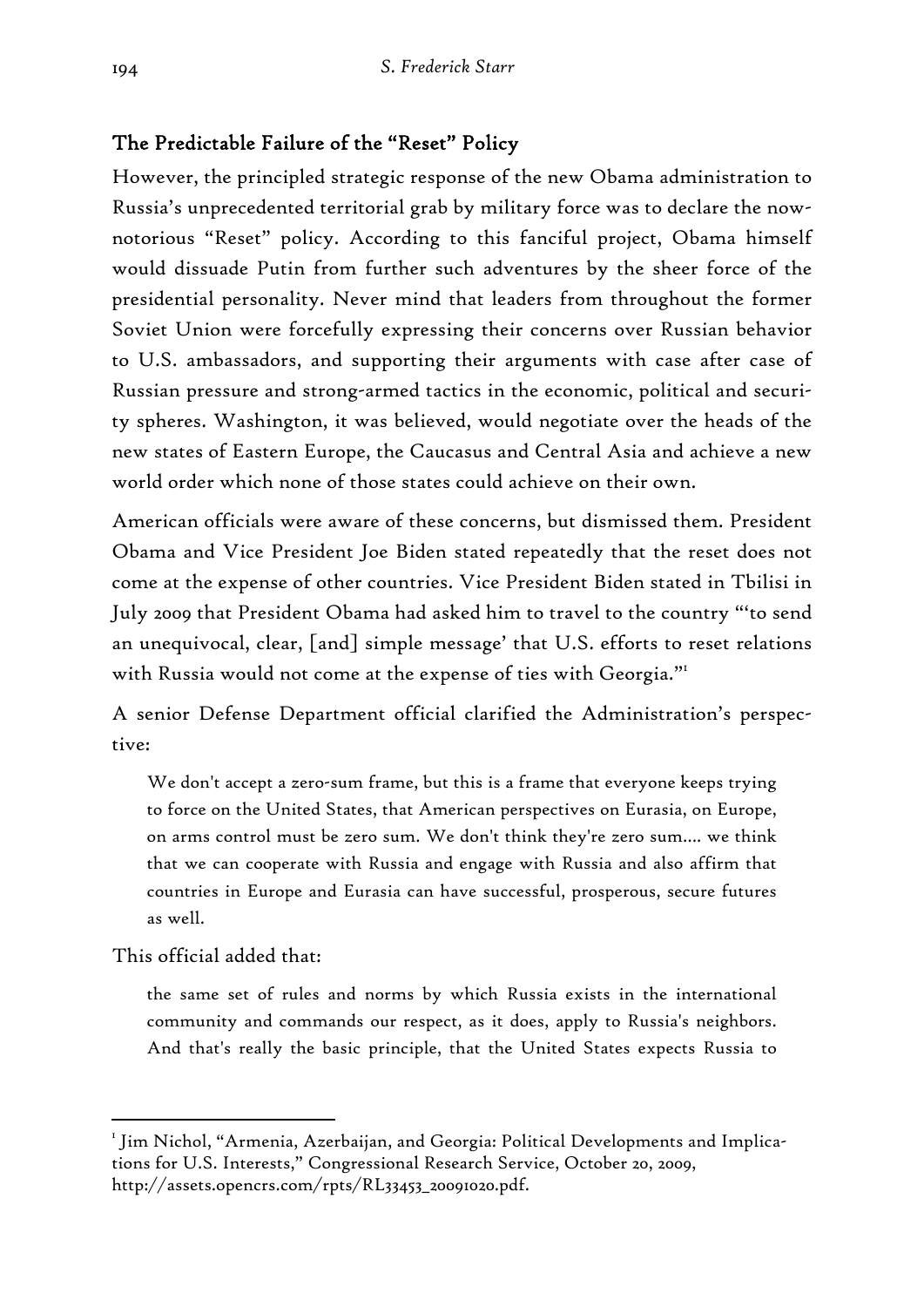## The Predictable Failure of the "Reset" Policy

However, the principled strategic response of the new Obama administration to Russia's unprecedented territorial grab by military force was to declare the nownotorious "Reset" policy. According to this fanciful project, Obama himself would dissuade Putin from further such adventures by the sheer force of the presidential personality. Never mind that leaders from throughout the former Soviet Union were forcefully expressing their concerns over Russian behavior to U.S. ambassadors, and supporting their arguments with case after case of Russian pressure and strong-armed tactics in the economic, political and security spheres. Washington, it was believed, would negotiate over the heads of the new states of Eastern Europe, the Caucasus and Central Asia and achieve a new world order which none of those states could achieve on their own.

American officials were aware of these concerns, but dismissed them. President Obama and Vice President Joe Biden stated repeatedly that the reset does not come at the expense of other countries. Vice President Biden stated in Tbilisi in July 2009 that President Obama had asked him to travel to the country "'to send an unequivocal, clear, [and] simple message' that U.S. efforts to reset relations with Russia would not come at the expense of ties with Georgia."<sup>1</sup>

A senior Defense Department official clarified the Administration's perspective:

We don't accept a zero-sum frame, but this is a frame that everyone keeps trying to force on the United States, that American perspectives on Eurasia, on Europe, on arms control must be zero sum. We don't think they're zero sum…. we think that we can cooperate with Russia and engage with Russia and also affirm that countries in Europe and Eurasia can have successful, prosperous, secure futures as well.

This official added that:

-

the same set of rules and norms by which Russia exists in the international community and commands our respect, as it does, apply to Russia's neighbors. And that's really the basic principle, that the United States expects Russia to

 $^{\rm\scriptscriptstyle I}$  Jim Nichol, "Armenia, Azerbaijan, and Georgia: Political Developments and Implications for U.S. Interests," Congressional Research Service, October 20, 2009, http://assets.opencrs.com/rpts/RL33453\_20091020.pdf.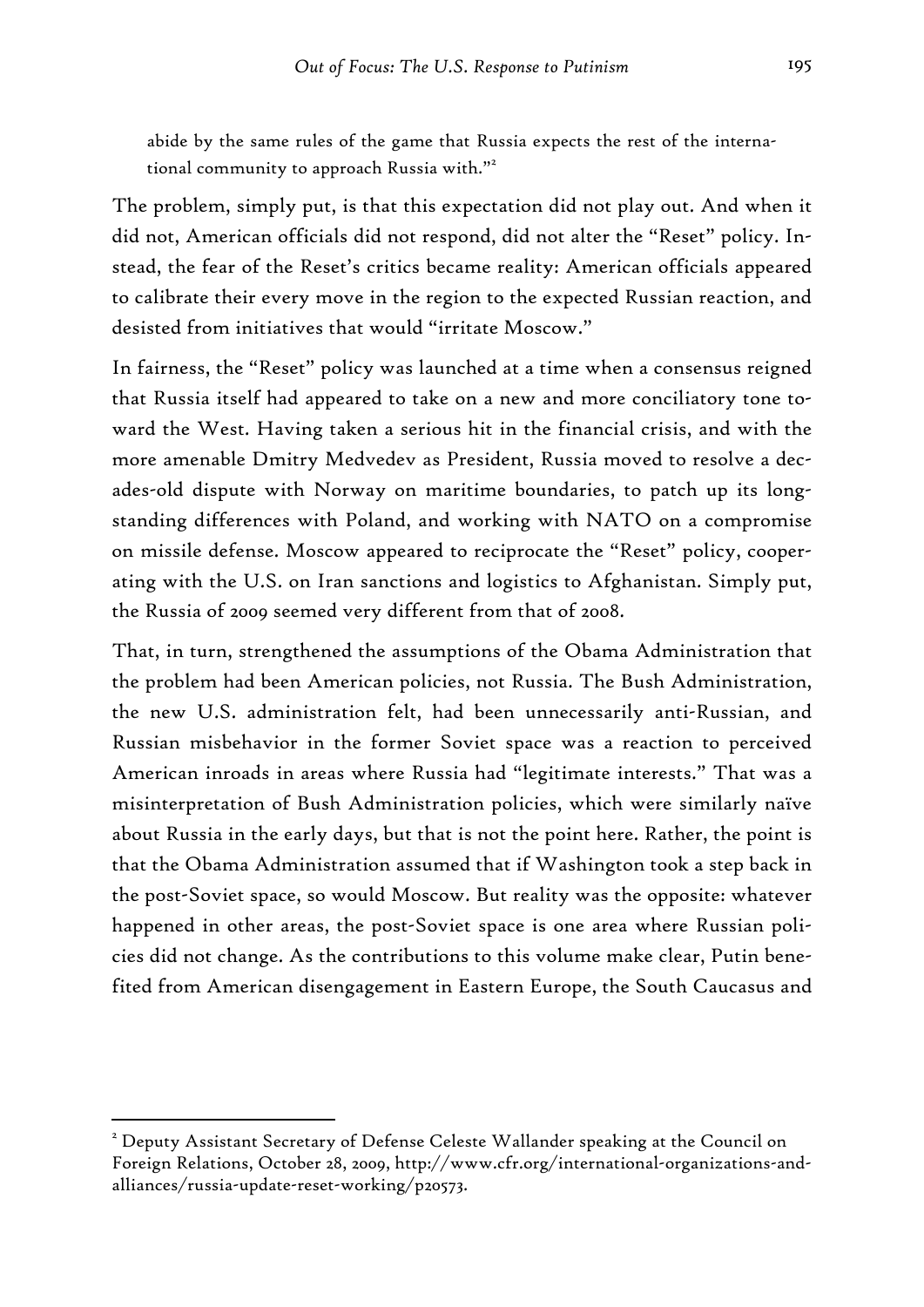abide by the same rules of the game that Russia expects the rest of the international community to approach Russia with."<sup>2</sup>

The problem, simply put, is that this expectation did not play out. And when it did not, American officials did not respond, did not alter the "Reset" policy. Instead, the fear of the Reset's critics became reality: American officials appeared to calibrate their every move in the region to the expected Russian reaction, and desisted from initiatives that would "irritate Moscow."

In fairness, the "Reset" policy was launched at a time when a consensus reigned that Russia itself had appeared to take on a new and more conciliatory tone toward the West. Having taken a serious hit in the financial crisis, and with the more amenable Dmitry Medvedev as President, Russia moved to resolve a decades-old dispute with Norway on maritime boundaries, to patch up its longstanding differences with Poland, and working with NATO on a compromise on missile defense. Moscow appeared to reciprocate the "Reset" policy, cooperating with the U.S. on Iran sanctions and logistics to Afghanistan. Simply put, the Russia of 2009 seemed very different from that of 2008.

That, in turn, strengthened the assumptions of the Obama Administration that the problem had been American policies, not Russia. The Bush Administration, the new U.S. administration felt, had been unnecessarily anti-Russian, and Russian misbehavior in the former Soviet space was a reaction to perceived American inroads in areas where Russia had "legitimate interests." That was a misinterpretation of Bush Administration policies, which were similarly naïve about Russia in the early days, but that is not the point here. Rather, the point is that the Obama Administration assumed that if Washington took a step back in the post-Soviet space, so would Moscow. But reality was the opposite: whatever happened in other areas, the post-Soviet space is one area where Russian policies did not change. As the contributions to this volume make clear, Putin benefited from American disengagement in Eastern Europe, the South Caucasus and

 $^2$  Deputy Assistant Secretary of Defense Celeste Wallander speaking at the Council on Foreign Relations, October 28, 2009, http://www.cfr.org/international-organizations-andalliances/russia-update-reset-working/p20573.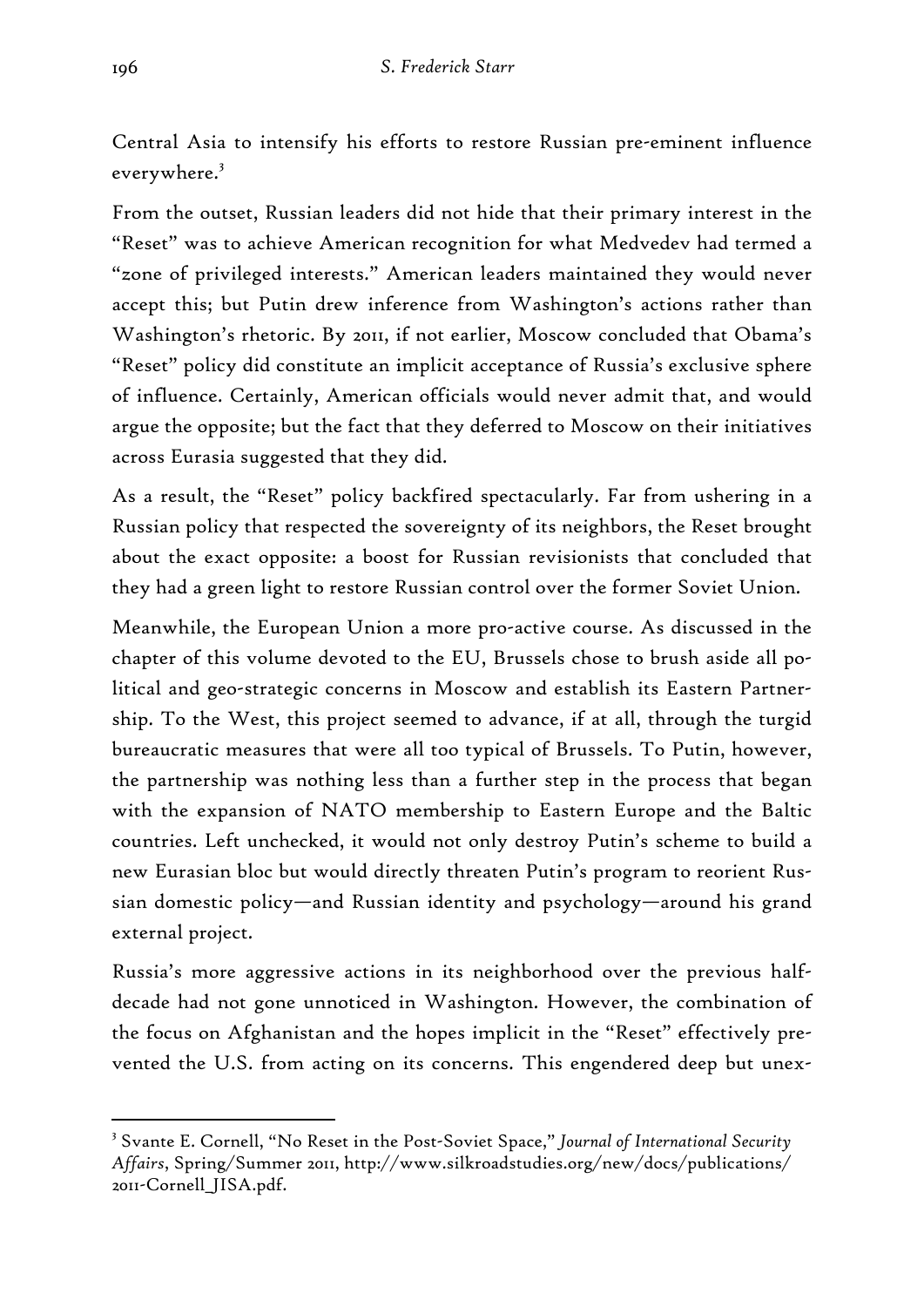Central Asia to intensify his efforts to restore Russian pre-eminent influence everywhere.<sup>3</sup>

From the outset, Russian leaders did not hide that their primary interest in the "Reset" was to achieve American recognition for what Medvedev had termed a "zone of privileged interests." American leaders maintained they would never accept this; but Putin drew inference from Washington's actions rather than Washington's rhetoric. By 2011, if not earlier, Moscow concluded that Obama's "Reset" policy did constitute an implicit acceptance of Russia's exclusive sphere of influence. Certainly, American officials would never admit that, and would argue the opposite; but the fact that they deferred to Moscow on their initiatives across Eurasia suggested that they did.

As a result, the "Reset" policy backfired spectacularly. Far from ushering in a Russian policy that respected the sovereignty of its neighbors, the Reset brought about the exact opposite: a boost for Russian revisionists that concluded that they had a green light to restore Russian control over the former Soviet Union.

Meanwhile, the European Union a more pro-active course. As discussed in the chapter of this volume devoted to the EU, Brussels chose to brush aside all political and geo-strategic concerns in Moscow and establish its Eastern Partnership. To the West, this project seemed to advance, if at all, through the turgid bureaucratic measures that were all too typical of Brussels. To Putin, however, the partnership was nothing less than a further step in the process that began with the expansion of NATO membership to Eastern Europe and the Baltic countries. Left unchecked, it would not only destroy Putin's scheme to build a new Eurasian bloc but would directly threaten Putin's program to reorient Russian domestic policy—and Russian identity and psychology—around his grand external project.

Russia's more aggressive actions in its neighborhood over the previous halfdecade had not gone unnoticed in Washington. However, the combination of the focus on Afghanistan and the hopes implicit in the "Reset" effectively prevented the U.S. from acting on its concerns. This engendered deep but unex-

<sup>-</sup>3 Svante E. Cornell, "No Reset in the Post-Soviet Space," *Journal of International Security Affairs*, Spring/Summer 2011, http://www.silkroadstudies.org/new/docs/publications/ 2011-Cornell\_JISA.pdf.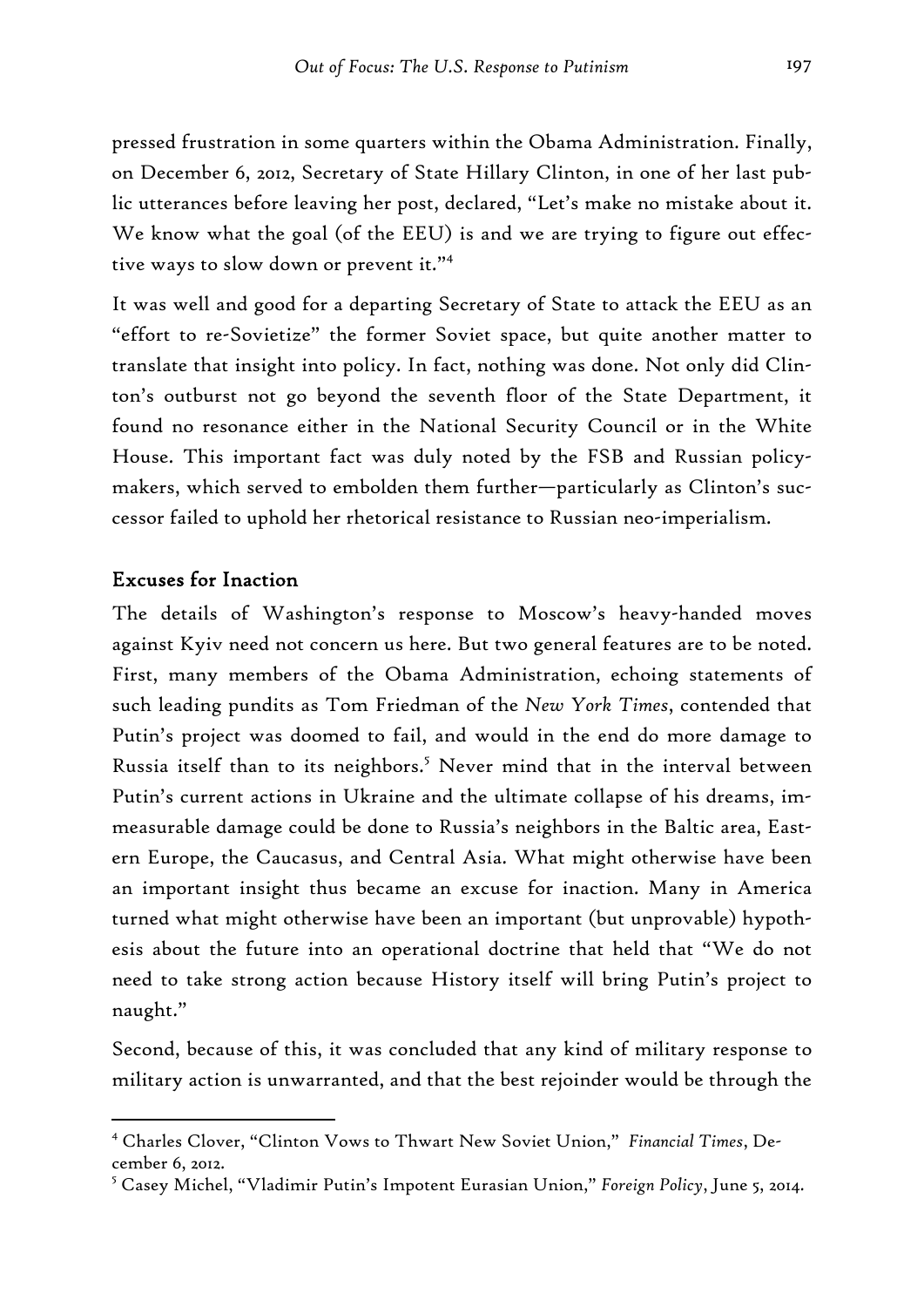pressed frustration in some quarters within the Obama Administration. Finally, on December 6, 2012, Secretary of State Hillary Clinton, in one of her last public utterances before leaving her post, declared, "Let's make no mistake about it. We know what the goal (of the EEU) is and we are trying to figure out effective ways to slow down or prevent it."4

It was well and good for a departing Secretary of State to attack the EEU as an "effort to re-Sovietize" the former Soviet space, but quite another matter to translate that insight into policy. In fact, nothing was done. Not only did Clinton's outburst not go beyond the seventh floor of the State Department, it found no resonance either in the National Security Council or in the White House. This important fact was duly noted by the FSB and Russian policymakers, which served to embolden them further—particularly as Clinton's successor failed to uphold her rhetorical resistance to Russian neo-imperialism.

#### Excuses for Inaction

-

The details of Washington's response to Moscow's heavy-handed moves against Kyiv need not concern us here. But two general features are to be noted. First, many members of the Obama Administration, echoing statements of such leading pundits as Tom Friedman of the *New York Times*, contended that Putin's project was doomed to fail, and would in the end do more damage to Russia itself than to its neighbors.<sup>5</sup> Never mind that in the interval between Putin's current actions in Ukraine and the ultimate collapse of his dreams, immeasurable damage could be done to Russia's neighbors in the Baltic area, Eastern Europe, the Caucasus, and Central Asia. What might otherwise have been an important insight thus became an excuse for inaction. Many in America turned what might otherwise have been an important (but unprovable) hypothesis about the future into an operational doctrine that held that "We do not need to take strong action because History itself will bring Putin's project to naught."

Second, because of this, it was concluded that any kind of military response to military action is unwarranted, and that the best rejoinder would be through the

<sup>4</sup> Charles Clover, "Clinton Vows to Thwart New Soviet Union," *Financial Times*, December 6, 2012.

<sup>5</sup> Casey Michel, "Vladimir Putin's Impotent Eurasian Union," *Foreign Policy*, June 5, 2014.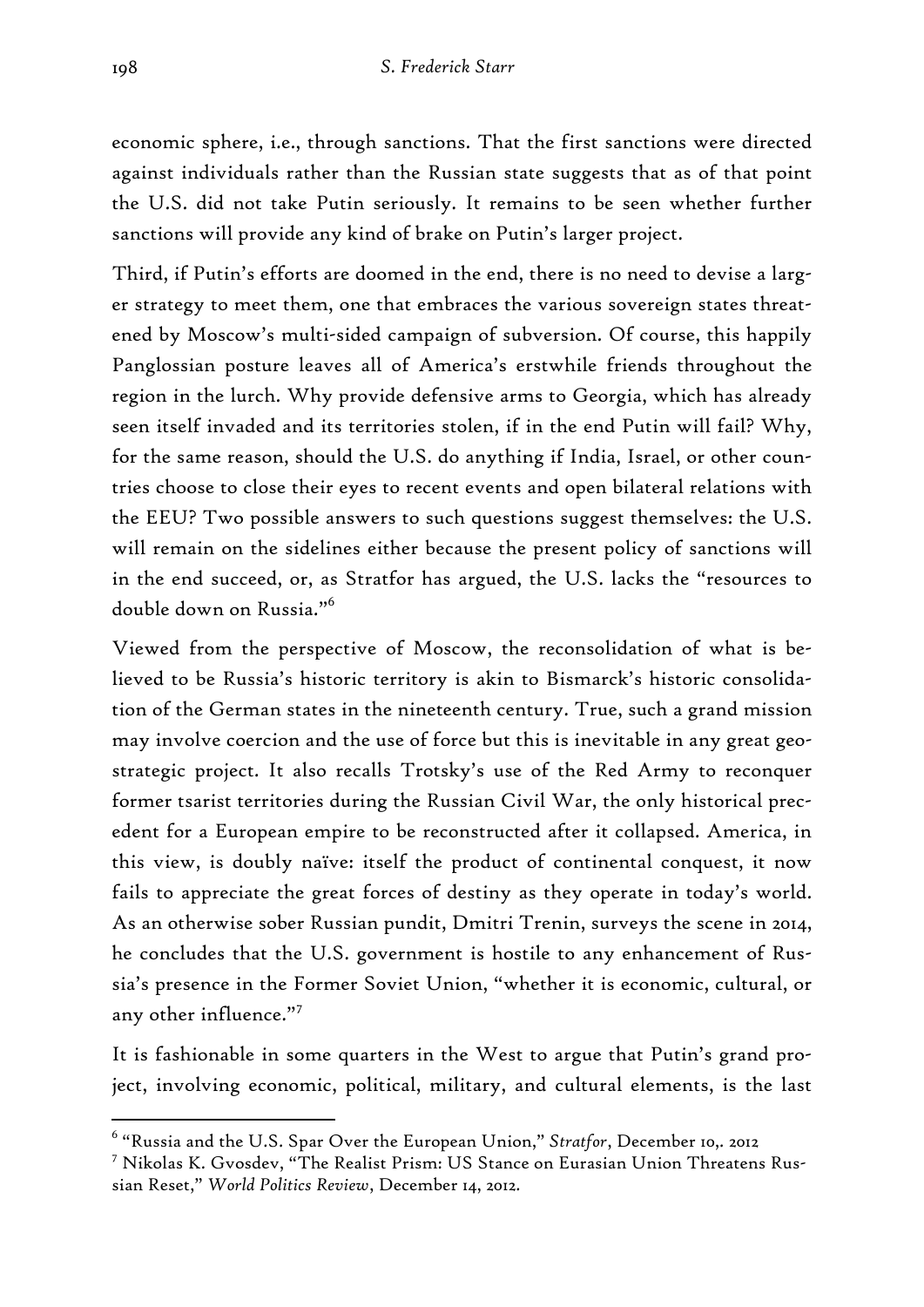economic sphere, i.e., through sanctions. That the first sanctions were directed against individuals rather than the Russian state suggests that as of that point the U.S. did not take Putin seriously. It remains to be seen whether further sanctions will provide any kind of brake on Putin's larger project.

Third, if Putin's efforts are doomed in the end, there is no need to devise a larger strategy to meet them, one that embraces the various sovereign states threatened by Moscow's multi-sided campaign of subversion. Of course, this happily Panglossian posture leaves all of America's erstwhile friends throughout the region in the lurch. Why provide defensive arms to Georgia, which has already seen itself invaded and its territories stolen, if in the end Putin will fail? Why, for the same reason, should the U.S. do anything if India, Israel, or other countries choose to close their eyes to recent events and open bilateral relations with the EEU? Two possible answers to such questions suggest themselves: the U.S. will remain on the sidelines either because the present policy of sanctions will in the end succeed, or, as Stratfor has argued, the U.S. lacks the "resources to double down on Russia."<sup>6</sup>

Viewed from the perspective of Moscow, the reconsolidation of what is believed to be Russia's historic territory is akin to Bismarck's historic consolidation of the German states in the nineteenth century. True, such a grand mission may involve coercion and the use of force but this is inevitable in any great geostrategic project. It also recalls Trotsky's use of the Red Army to reconquer former tsarist territories during the Russian Civil War, the only historical precedent for a European empire to be reconstructed after it collapsed. America, in this view, is doubly naïve: itself the product of continental conquest, it now fails to appreciate the great forces of destiny as they operate in today's world. As an otherwise sober Russian pundit, Dmitri Trenin, surveys the scene in 2014, he concludes that the U.S. government is hostile to any enhancement of Russia's presence in the Former Soviet Union, "whether it is economic, cultural, or any other influence."<sup>7</sup>

It is fashionable in some quarters in the West to argue that Putin's grand project, involving economic, political, military, and cultural elements, is the last

<sup>6</sup> "Russia and the U.S. Spar Over the European Union," *Stratfor*, December 10,. 2012

<sup>7</sup> Nikolas K. Gvosdev, "The Realist Prism: US Stance on Eurasian Union Threatens Russian Reset," *World Politics Review*, December 14, 2012.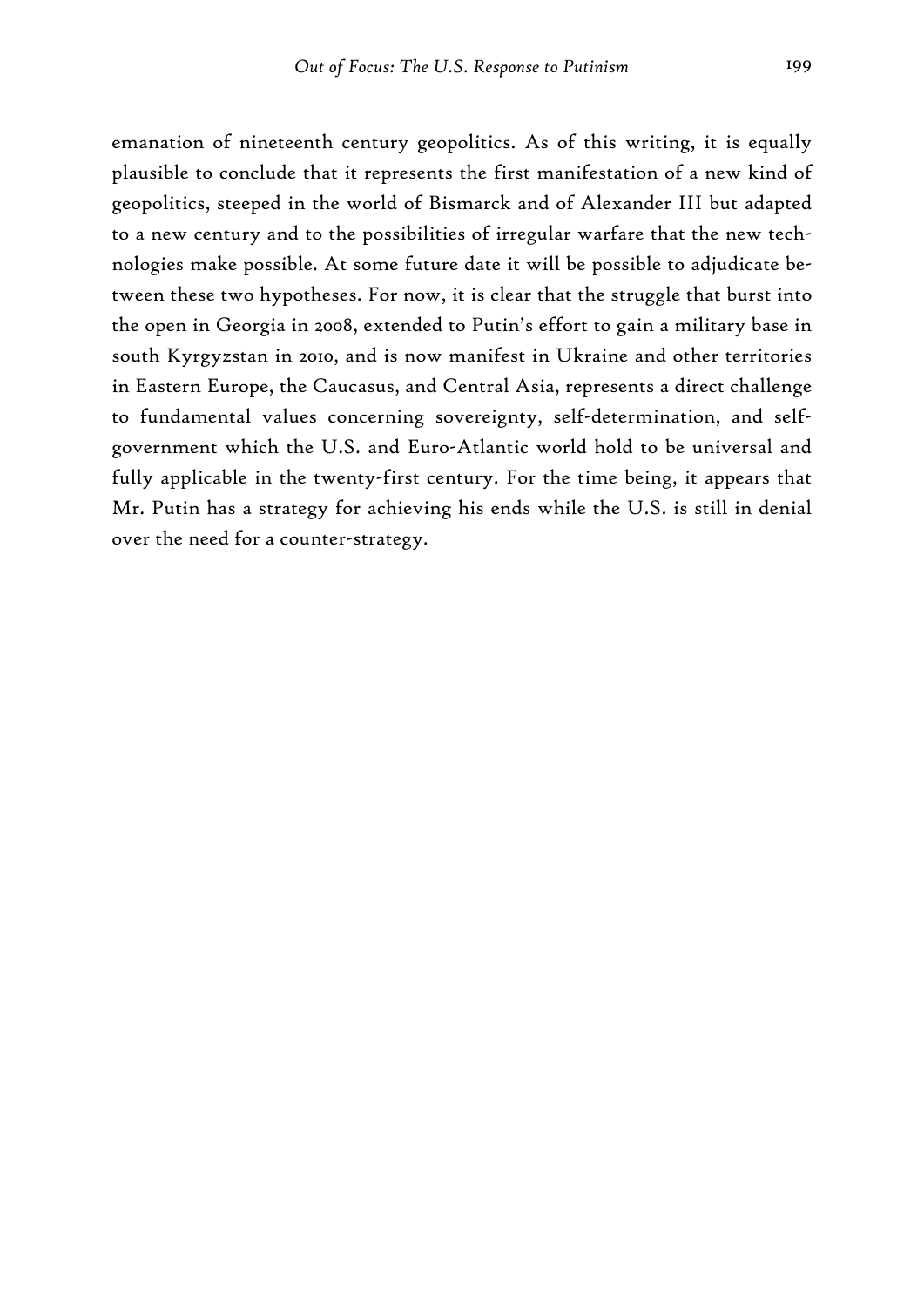emanation of nineteenth century geopolitics. As of this writing, it is equally plausible to conclude that it represents the first manifestation of a new kind of geopolitics, steeped in the world of Bismarck and of Alexander III but adapted to a new century and to the possibilities of irregular warfare that the new technologies make possible. At some future date it will be possible to adjudicate between these two hypotheses. For now, it is clear that the struggle that burst into the open in Georgia in 2008, extended to Putin's effort to gain a military base in south Kyrgyzstan in 2010, and is now manifest in Ukraine and other territories in Eastern Europe, the Caucasus, and Central Asia, represents a direct challenge to fundamental values concerning sovereignty, self-determination, and selfgovernment which the U.S. and Euro-Atlantic world hold to be universal and fully applicable in the twenty-first century. For the time being, it appears that Mr. Putin has a strategy for achieving his ends while the U.S. is still in denial over the need for a counter-strategy.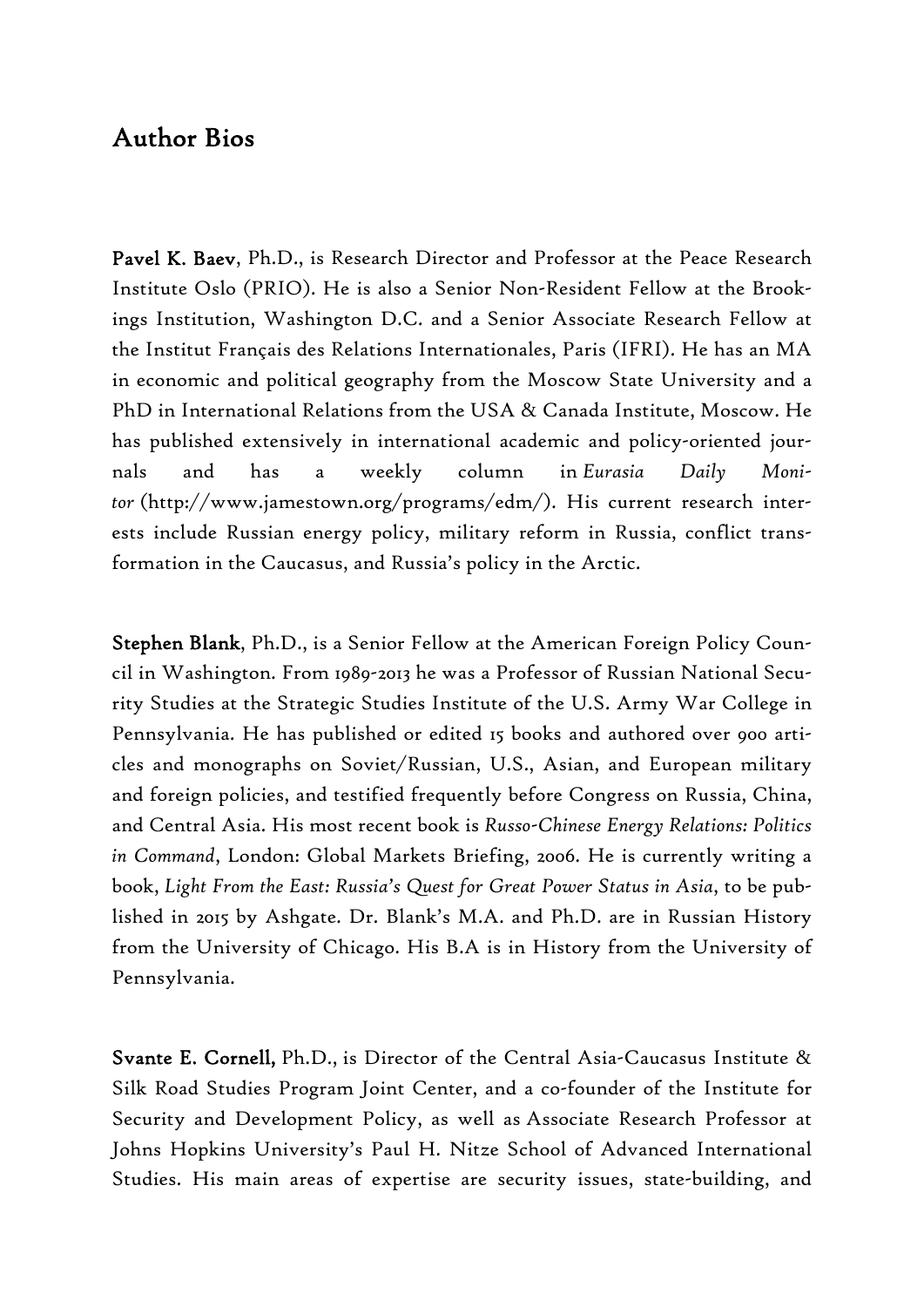## Author Bios

Pavel K. Baev, Ph.D., is Research Director and Professor at the Peace Research Institute Oslo (PRIO). He is also a Senior Non-Resident Fellow at the Brookings Institution, Washington D.C. and a Senior Associate Research Fellow at the Institut Français des Relations Internationales, Paris (IFRI). He has an MA in economic and political geography from the Moscow State University and a PhD in International Relations from the USA & Canada Institute, Moscow. He has published extensively in international academic and policy-oriented journals and has a weekly column in *Eurasia Daily Monitor* (http://www.jamestown.org/programs/edm/). His current research interests include Russian energy policy, military reform in Russia, conflict transformation in the Caucasus, and Russia's policy in the Arctic.

Stephen Blank, Ph.D., is a Senior Fellow at the American Foreign Policy Council in Washington. From 1989-2013 he was a Professor of Russian National Security Studies at the Strategic Studies Institute of the U.S. Army War College in Pennsylvania. He has published or edited 15 books and authored over 900 articles and monographs on Soviet/Russian, U.S., Asian, and European military and foreign policies, and testified frequently before Congress on Russia, China, and Central Asia. His most recent book is *Russo-Chinese Energy Relations: Politics in Command*, London: Global Markets Briefing, 2006. He is currently writing a book, *Light From the East: Russia's Quest for Great Power Status in Asia*, to be published in 2015 by Ashgate. Dr. Blank's M.A. and Ph.D. are in Russian History from the University of Chicago. His B.A is in History from the University of Pennsylvania.

Svante E. Cornell, Ph.D., is Director of the Central Asia-Caucasus Institute & Silk Road Studies Program Joint Center, and a co-founder of the Institute for Security and Development Policy, as well as Associate Research Professor at Johns Hopkins University's Paul H. Nitze School of Advanced International Studies. His main areas of expertise are security issues, state-building, and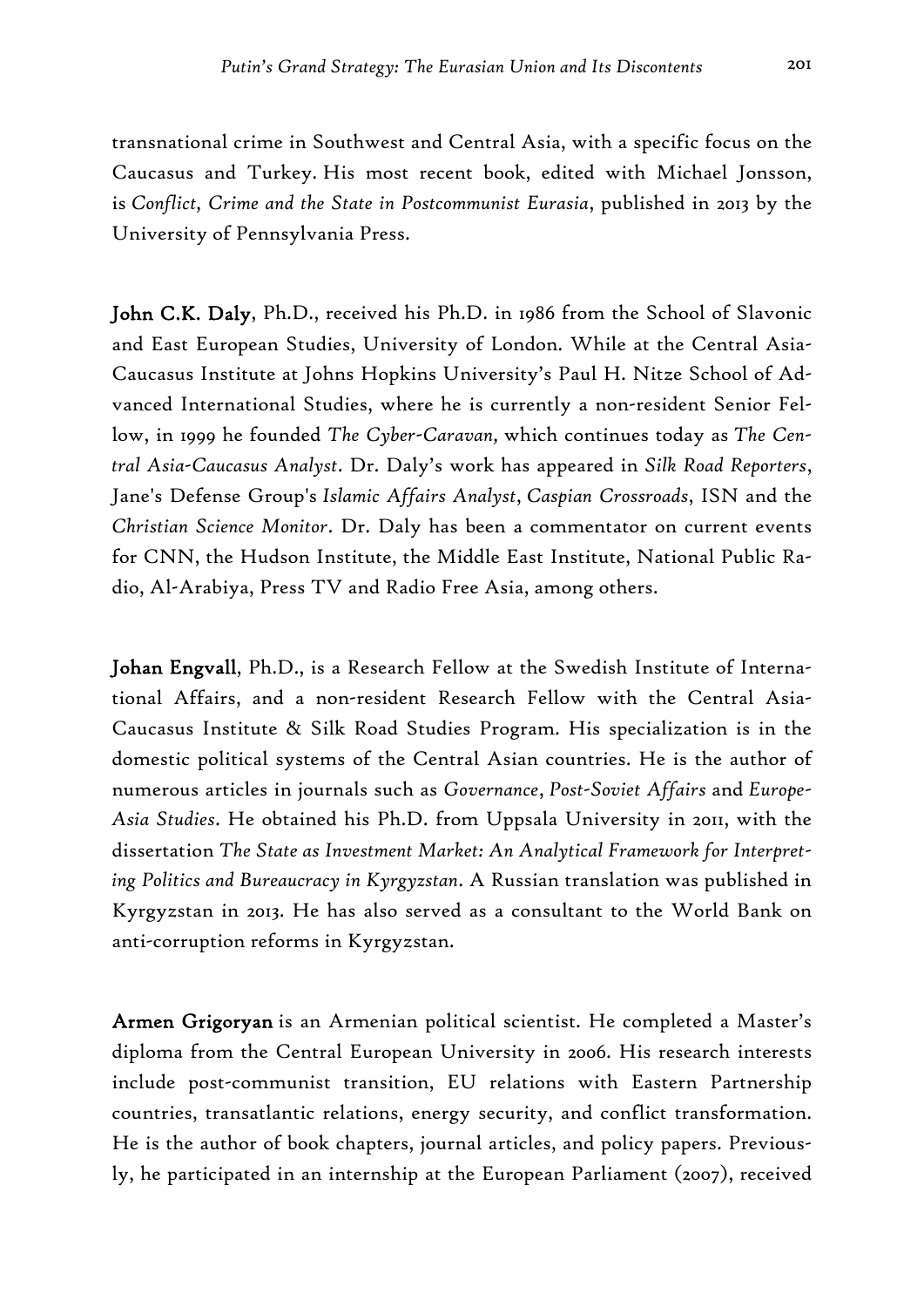transnational crime in Southwest and Central Asia, with a specific focus on the Caucasus and Turkey. His most recent book, edited with Michael Jonsson, is *Conflict, Crime and the State in Postcommunist Eurasia*, published in 2013 by the University of Pennsylvania Press.

John C.K. Daly, Ph.D., received his Ph.D. in 1986 from the School of Slavonic and East European Studies, University of London. While at the Central Asia-Caucasus Institute at Johns Hopkins University's Paul H. Nitze School of Advanced International Studies, where he is currently a non-resident Senior Fellow, in 1999 he founded *The Cyber-Caravan,* which continues today as *The Central Asia-Caucasus Analyst*. Dr. Daly's work has appeared in *Silk Road Reporters*, Jane's Defense Group's *Islamic Affairs Analyst*, *Caspian Crossroads*, ISN and the *Christian Science Monitor*. Dr. Daly has been a commentator on current events for CNN, the Hudson Institute, the Middle East Institute, National Public Radio, Al-Arabiya, Press TV and Radio Free Asia, among others.

Johan Engvall, Ph.D., is a Research Fellow at the Swedish Institute of International Affairs, and a non-resident Research Fellow with the Central Asia-Caucasus Institute & Silk Road Studies Program. His specialization is in the domestic political systems of the Central Asian countries. He is the author of numerous articles in journals such as *Governance*, *Post-Soviet Affairs* and *Europe-Asia Studies*. He obtained his Ph.D. from Uppsala University in 2011, with the dissertation *The State as Investment Market: An Analytical Framework for Interpreting Politics and Bureaucracy in Kyrgyzstan*. A Russian translation was published in Kyrgyzstan in 2013. He has also served as a consultant to the World Bank on anti-corruption reforms in Kyrgyzstan.

Armen Grigoryan is an Armenian political scientist. He completed a Master's diploma from the Central European University in 2006. His research interests include post-communist transition, EU relations with Eastern Partnership countries, transatlantic relations, energy security, and conflict transformation. He is the author of book chapters, journal articles, and policy papers. Previously, he participated in an internship at the European Parliament (2007), received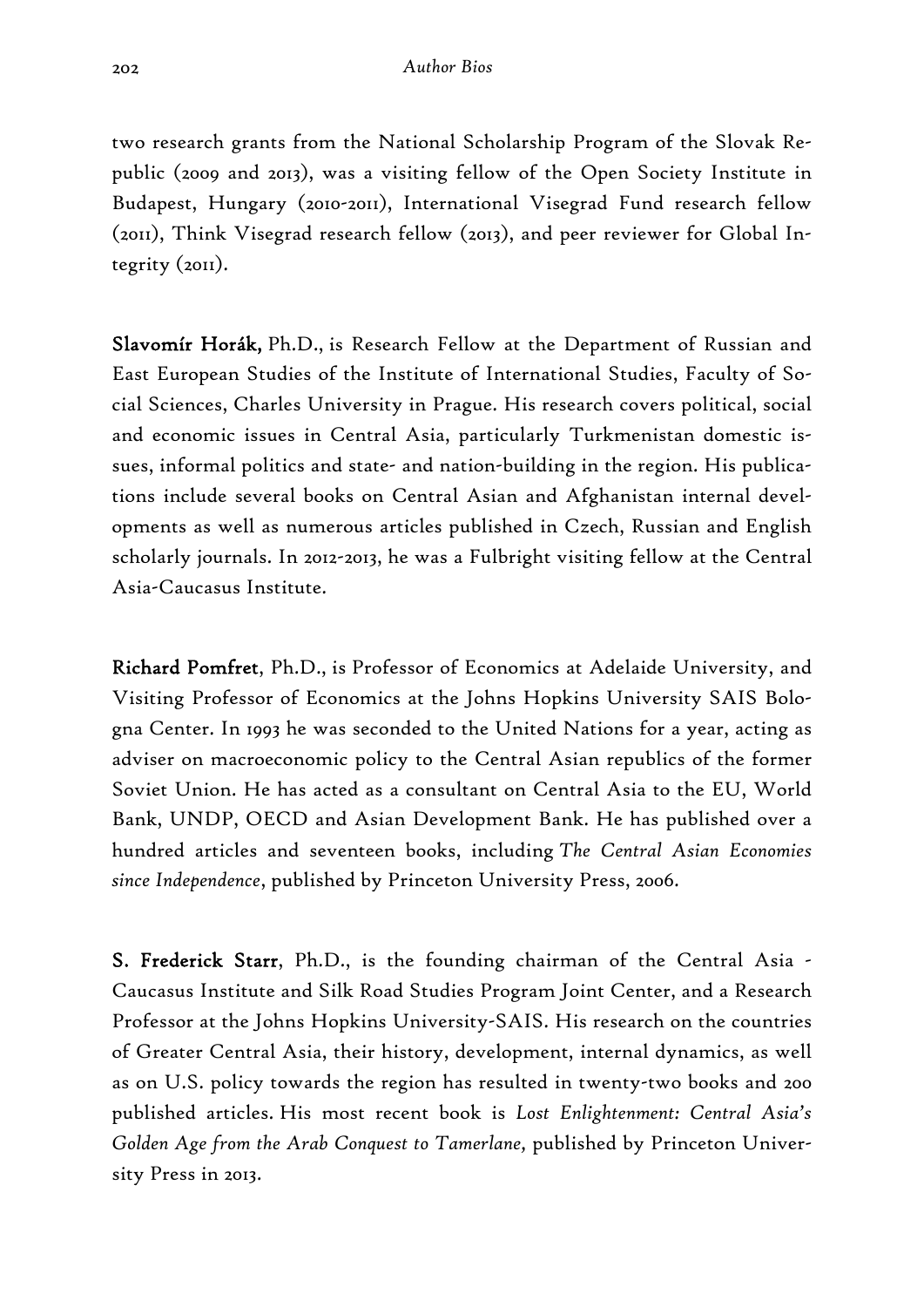two research grants from the National Scholarship Program of the Slovak Republic (2009 and 2013), was a visiting fellow of the Open Society Institute in Budapest, Hungary (2010-2011), International Visegrad Fund research fellow (2011), Think Visegrad research fellow (2013), and peer reviewer for Global In $tegrity$  (2011).

Slavomír Horák, Ph.D., is Research Fellow at the Department of Russian and East European Studies of the Institute of International Studies, Faculty of Social Sciences, Charles University in Prague. His research covers political, social and economic issues in Central Asia, particularly Turkmenistan domestic issues, informal politics and state- and nation-building in the region. His publications include several books on Central Asian and Afghanistan internal developments as well as numerous articles published in Czech, Russian and English scholarly journals. In 2012-2013, he was a Fulbright visiting fellow at the Central Asia-Caucasus Institute.

Richard Pomfret, Ph.D., is Professor of Economics at Adelaide University, and Visiting Professor of Economics at the Johns Hopkins University SAIS Bologna Center. In 1993 he was seconded to the United Nations for a year, acting as adviser on macroeconomic policy to the Central Asian republics of the former Soviet Union. He has acted as a consultant on Central Asia to the EU, World Bank, UNDP, OECD and Asian Development Bank. He has published over a hundred articles and seventeen books, including *The Central Asian Economies since Independence*, published by Princeton University Press, 2006.

S. Frederick Starr, Ph.D., is the founding chairman of the Central Asia - Caucasus Institute and Silk Road Studies Program Joint Center, and a Research Professor at the Johns Hopkins University-SAIS. His research on the countries of Greater Central Asia, their history, development, internal dynamics, as well as on U.S. policy towards the region has resulted in twenty-two books and 200 published articles. His most recent book is *Lost Enlightenment: Central Asia's Golden Age from the Arab Conquest to Tamerlane,* published by Princeton University Press in 2013.